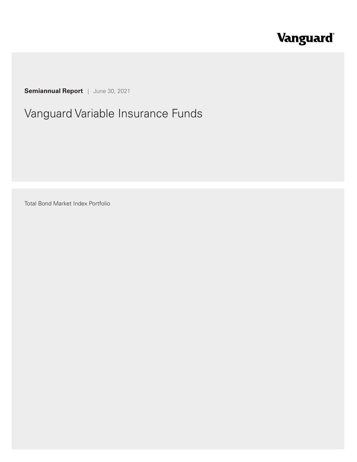# Vanguard®

**Semiannual Report** | June 30, 2021

## Vanguard Variable Insurance Funds

Total Bond Market Index Portfolio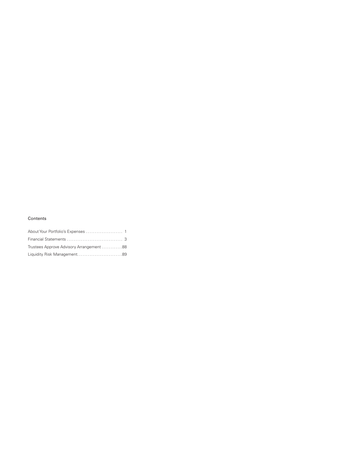#### Contents

| Trustees Approve Advisory Arrangement 88 |  |
|------------------------------------------|--|
| Liquidity Risk Management89              |  |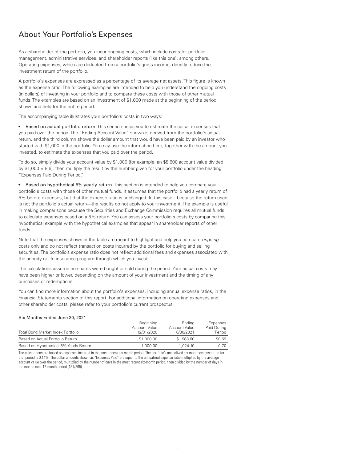#### About Your Portfolio's Expenses

As a shareholder of the portfolio, you incur ongoing costs, which include costs for portfolio management, administrative services, and shareholder reports (like this one), among others. Operating expenses, which are deducted from a portfolio's gross income, directly reduce the investment return of the portfolio.

A portfolio's expenses are expressed as a percentage of its average net assets. This figure is known as the expense ratio. The following examples are intended to help you understand the ongoing costs (in dollars) of investing in your portfolio and to compare these costs with those of other mutual funds. The examples are based on an investment of \$1,000 made at the beginning of the period shown and held for the entire period.

The accompanying table illustrates your portfolio's costs in two ways:

• Based on actual portfolio return. This section helps you to estimate the actual expenses that you paid over the period. The "Ending Account Value" shown is derived from the portfolio's actual return, and the third column shows the dollar amount that would have been paid by an investor who started with \$1,000 in the portfolio. You may use the information here, together with the amount you invested, to estimate the expenses that you paid over the period.

To do so, simply divide your account value by \$1,000 (for example, an \$8,600 account value divided by \$1,000 = 8.6), then multiply the result by the number given for your portfolio under the heading "Expenses Paid During Period."

• Based on hypothetical 5% yearly return. This section is intended to help you compare your portfolio's costs with those of other mutual funds. It assumes that the portfolio had a yearly return of 5% before expenses, but that the expense ratio is unchanged. In this case—because the return used is not the portfolio's actual return—the results do not apply to your investment. The example is useful in making comparisons because the Securities and Exchange Commission requires all mutual funds to calculate expenses based on a 5% return. You can assess your portfolio's costs by comparing this hypothetical example with the hypothetical examples that appear in shareholder reports of other funds.

Note that the expenses shown in the table are meant to highlight and help you compare *ongoing* costs only and do not reflect transaction costs incurred by the portfolio for buying and selling securities. The portfolio's expense ratio does not reflect additional fees and expenses associated with the annuity or life insurance program through which you invest.

The calculations assume no shares were bought or sold during the period. Your actual costs may have been higher or lower, depending on the amount of your investment and the timing of any purchases or redemptions.

You can find more information about the portfolio's expenses, including annual expense ratios, in the Financial Statements section of this report. For additional information on operating expenses and other shareholder costs, please refer to your portfolio's current prospectus.

| Six Months Ended June 30, 2021         |                                                 |                                      |                                   |
|----------------------------------------|-------------------------------------------------|--------------------------------------|-----------------------------------|
| Total Bond Market Index Portfolio      | Beginning<br><b>Account Value</b><br>12/31/2020 | Ending<br>Account Value<br>6/30/2021 | Expenses<br>Paid During<br>Period |
| Based on Actual Portfolio Return       | \$1,000.00                                      | \$983.60                             | \$0.69                            |
| Based on Hypothetical 5% Yearly Return | 1.000.00                                        | 1.024.10                             | 0.70                              |

The calculations are based on expenses incurred in the most recent six-month period. The portfolio's annualized six-month expense ratio for that period is 0.14%. The dollar amounts shown as "Expenses Paid" are equal to the annualized expense ratio multiplied by the average account value over the period, multiplied by the number of days in the most recent six-month period, then divided by the number of days in the most recent 12-month period (181/365).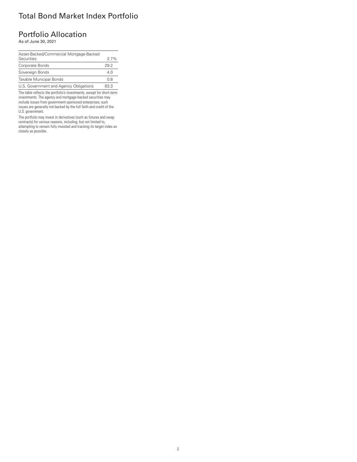### Total Bond Market Index Portfolio

#### Portfolio Allocation

As of June 30, 2021

| Asset-Backed/Commercial Mortgage-Backed |      |
|-----------------------------------------|------|
| Securities                              | 27%  |
| Corporate Bonds                         | 292  |
| Sovereign Bonds                         | 4.0  |
| Taxable Municipal Bonds                 | 0.8  |
| U.S. Government and Agency Obligations  | 63 3 |

The table reflects the portfolio's investments, except for short-term investments. The agency and mortgage-backed securities may include issues from government-sponsored enterprises; such issues are generally not backed by the full faith and credit of the U.S. government.

The portfolio may invest in derivatives (such as futures and swap contracts) for various reasons, including, but not limited to, attempting to remain fully invested and tracking its target index as closely as possible.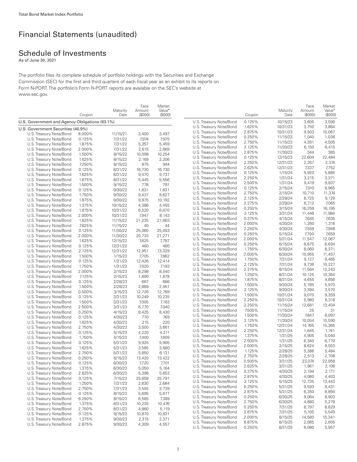### Financial Statements (unaudited)

### Schedule of Investments

As of June 30, 2021

The portfolio files its complete schedule of portfolio holdings with the Securities and Exchange Commission (SEC) for the first and third quarters of each fiscal year as an exhibit to its reports on Form N-PORT. The portfolio's Form N-PORT reports are available on the SEC's website at www.sec.gov.

|                                                |        |          | Face    | Market             |                         |                  |                  | Face            | Market             |
|------------------------------------------------|--------|----------|---------|--------------------|-------------------------|------------------|------------------|-----------------|--------------------|
|                                                |        | Maturity | Amount  | Value <sup>•</sup> |                         |                  | Maturity         | Amount          | Value <sup>•</sup> |
| U.S. Government and Agency Obligations (63.1%) | Coupon | Date     | (\$000) | (\$000)            | U.S. Treasury Note/Bond | Coupon<br>0.125% | Date<br>10/15/23 | (S000)<br>3,605 | (\$000)<br>3,590   |
|                                                |        |          |         |                    | U.S. Treasury Note/Bond | 1.625%           | 10/31/23         | 3,750           | 3,864              |
| U.S. Government Securities (40.9%)             |        |          |         |                    | U.S. Treasury Note/Bond | 2.875%           | 10/31/23         | 9,503           | 10,067             |
| U.S. Treasury Note/Bond                        | 8.000% | 11/15/21 | 3,400   | 3,497              | U.S. Treasury Note/Bond | 0.250%           | 11/15/23         | 1,040           | 1,038              |
| U.S. Treasury Note/Bond                        | 0.125% | 7/31/22  | 7,974   | 7,975              | U.S. Treasury Note/Bond | 2.750%           | 11/15/23         | 4,261           | 4,505              |
| U.S. Treasury Note/Bond                        | 1.875% | 7/31/22  | 5,357   | 5,459              | U.S. Treasury Note/Bond | 2.125%           | 11/30/23         | 6,150           | 6,415              |
| U.S. Treasury Note/Bond                        | 2.000% | 7/31/22  | 2,615   | 2,669              | U.S. Treasury Note/Bond | 2.875%           | 11/30/23         | 344             | 365                |
| U.S. Treasury Note/Bond                        | 1.500% | 8/15/22  | 10,098  | 10,254             | U.S. Treasury Note/Bond | 0.125%           | 12/15/23         | 22,604          | 22,484             |
| U.S. Treasury Note/Bond                        | 1.625% | 8/15/22  | 2,169   | 2,206              | U.S. Treasury Note/Bond | 2.250%           | 12/31/23         | 2,267           | 2,374              |
| U.S. Treasury Note/Bond                        | 7.250% | 8/15/22  | 875     | 944                | U.S. Treasury Note/Bond | 2.625%           | 12/31/23         | 7,337           | 7,752              |
| U.S. Treasury Note/Bond                        | 0.125% | 8/31/22  | 16,730  | 16,730             | U.S. Treasury Note/Bond | 0.125%           | 1/15/24          | 5,920           | 5,885              |
| U.S. Treasury Note/Bond                        | 1.625% | 8/31/22  | 9,570   | 9,737              | U.S. Treasury Note/Bond | 2.250%           | 1/31/24          | 3,215           | 3,371              |
| U.S. Treasury Note/Bond                        | 1.875% | 8/31/22  | 5,445   | 5,556              | U.S. Treasury Note/Bond | 2.500%           | 1/31/24          | 9,419           | 9,937              |
| U.S. Treasury Note/Bond                        | 1.500% | 9/15/22  | 778     | 791                | U.S. Treasury Note/Bond | 0.125%           | 2/15/24          | 7,010           | 6,965              |
| U.S. Treasury Note/Bond                        | 0.125% | 9/30/22  | 1,631   | 1,631              | U.S. Treasury Note/Bond | 2.750%           | 2/15/24          | 10,710          | 11,374             |
| U.S. Treasury Note/Bond                        | 1.750% | 9/30/22  | 9,437   | 9,627              | U.S. Treasury Note/Bond | 2.125%           | 2/29/24          | 8,725           | 9,129              |
| U.S. Treasury Note/Bond                        | 1.875% | 9/30/22  | 9,975   | 10,192             | U.S. Treasury Note/Bond | 2.375%           | 2/29/24          | 6,712           | 7,065              |
| U.S. Treasury Note/Bond                        | 1.375% | 10/15/22 | 4,386   | 4,455              | U.S. Treasury Note/Bond | 0.250%           | 3/15/24          | 16,259          | 16,195             |
| U.S. Treasury Note/Bond                        | 1.875% | 10/31/22 | 6,520   | 6,670              | U.S. Treasury Note/Bond | 2.125%           | 3/31/24          | 11,446          | 11,984             |
| U.S. Treasury Note/Bond                        | 2.000% | 10/31/22 | 7,947   | 8,143              | U.S. Treasury Note/Bond | 0.375%           | 4/15/24          | 7,645           | 7,635              |
| U.S. Treasury Note/Bond                        | 1.625% | 11/15/22 | 21,235  | 21,663             | U.S. Treasury Note/Bond | 2.000%           | 4/30/24          | 1,260           | 1,316              |
| U.S. Treasury Note/Bond                        | 7.625% | 11/15/22 | 40      | 44                 | U.S. Treasury Note/Bond | 2.250%           | 4/30/24          | 7,559           | 7,948              |
| U.S. Treasury Note/Bond                        | 0.125% | 11/30/22 | 25,065  | 25,053             | U.S. Treasury Note/Bond | 0.250%           | 5/15/24          | 7,700           | 7,659              |
| U.S. Treasury Note/Bond                        | 2.000% | 11/30/22 | 20,733  | 21,271             | U.S. Treasury Note/Bond | 2.000%           | 5/31/24          | 11,547          | 12,067             |
| U.S. Treasury Note/Bond                        | 1.625% | 12/15/22 | 7,625   | 7,787              | U.S. Treasury Note/Bond | 0.250%           | 6/15/24          | 6,675           | 6,634              |
| U.S. Treasury Note/Bond                        | 0.125% | 12/31/22 | 460     | 460                | U.S. Treasury Note/Bond | 1.750%           | 6/30/24          | 8,060           | 8,371              |
| U.S. Treasury Note/Bond                        | 2.125% | 12/31/22 | 12,951  | 13,329             | U.S. Treasury Note/Bond | 2.000%           | 6/30/24          | 10,955          | 11,457             |
| U.S. Treasury Note/Bond                        | 1.500% | 1/15/23  | 7,705   | 7,862              | U.S. Treasury Note/Bond | 1.750%           | 7/31/24          | 9,127           | 9,485              |
| U.S. Treasury Note/Bond                        | 0.125% | 1/31/23  | 12,426  | 12,414             | U.S. Treasury Note/Bond | 2.125%           | 7/31/24          | 9,736           | 10,227             |
| U.S. Treasury Note/Bond                        | 1.750% | 1/31/23  | 7,020   | 7,193              | U.S. Treasury Note/Bond | 2.375%           | 8/15/24          | 11,564          | 12,243             |
| U.S. Treasury Note/Bond                        | 2.000% | 2/15/23  | 8,298   | 8,540              | U.S. Treasury Note/Bond | 1.250%           | 8/31/24          | 10,125          | 10,364             |
| U.S. Treasury Note/Bond                        | 7.125% | 2/15/23  | 1,690   | 1,878              | U.S. Treasury Note/Bond | 1.875%           | 8/31/24          | 4,655           | 4,856              |
| U.S. Treasury Note/Bond                        | 0.125% | 2/28/23  | 667     | 666                | U.S. Treasury Note/Bond | 1.500%           | 9/30/24          | 5,785           | 5,970              |
| U.S. Treasury Note/Bond                        | 1.500% | 2/28/23  | 2,889   | 2,951              | U.S. Treasury Note/Bond | 2.125%           | 9/30/24          | 3,394           | 3,570              |
| U.S. Treasury Note/Bond                        | 0.500% | 3/15/23  | 12,726  | 12,789             | U.S. Treasury Note/Bond | 1.500%           | 10/31/24         | 9,070           | 9,359              |
| U.S. Treasury Note/Bond                        | 0.125% | 3/31/23  | 10,249  | 10,235             | U.S. Treasury Note/Bond | 2.250%           | 10/31/24         | 5,980           | 6,318              |
| U.S. Treasury Note/Bond                        | 1.500% | 3/31/23  | 7,005   | 7,163              | U.S. Treasury Note/Bond | 2.250%           | 11/15/24         | 12,681          | 13,404             |
| U.S. Treasury Note/Bond                        | 2.500% | 3/31/23  | 6,770   | 7,040              | U.S. Treasury Note/Bond | 7.500%           | 11/15/24         | 25              | 31                 |
| U.S. Treasury Note/Bond                        | 0.250% | 4/15/23  | 8,425   | 8,430              | U.S. Treasury Note/Bond | 1.500%           | 11/30/24         | 7,847           | 8,097              |
| U.S. Treasury Note/Bond                        | 0.125% | 4/30/23  | 770     | 769                | U.S. Treasury Note/Bond | 2.125%           | 11/30/24         | 10,054          | 10,590             |
| U.S. Treasury Note/Bond                        | 1.625% | 4/30/23  | 215     | 220                | U.S. Treasury Note/Bond | 1.750%           | 12/31/24         | 14,765          | 15,365             |
| U.S. Treasury Note/Bond                        | 2.750% | 4/30/23  | 3,500   | 3,661              | U.S. Treasury Note/Bond | 2.250%           | 12/31/24         | 1,645           | 1,741              |
| U.S. Treasury Note/Bond                        | 0.125% | 5/15/23  | 4,220   | 4,211              | U.S. Treasury Note/Bond | 1.375%           | 1/31/25          | 4,905           | 5,040              |
| U.S. Treasury Note/Bond                        | 1.750% | 5/15/23  | 7,400   | 7,609              | U.S. Treasury Note/Bond | 2.500%           | 1/31/25          | 6,340           | 6,770              |
| U.S. Treasury Note/Bond                        | 0.125% | 5/31/23  | 9,925   | 9,905              | U.S. Treasury Note/Bond | 2.000%           | 2/15/25          | 8,624           | 9,053              |
| U.S. Treasury Note/Bond                        | 1.625% | 5/31/23  | 3,585   | 3,680              | U.S. Treasury Note/Bond | 1.125%           | 2/28/25          | 5,386           | 5,484              |
| U.S. Treasury Note/Bond                        | 2.750% | 5/31/23  | 5,850   | 6,131              | U.S. Treasury Note/Bond | 2.750%           | 2/28/25          | 2,513           | 2,708              |
| U.S. Treasury Note/Bond                        | 0.250% | 6/15/23  | 13,420  | 13,422             | U.S. Treasury Note/Bond | 0.500%           | 3/31/25          | 23,074          | 22,958             |
| U.S. Treasury Note/Bond                        | 0.125% | 6/30/23  | 7,720   | 7,701              | U.S. Treasury Note/Bond | 2.625%           | 3/31/25          | 1,961           | 2,106              |
| U.S. Treasury Note/Bond                        | 1.375% | 6/30/23  | 5,050   | 5,164              | U.S. Treasury Note/Bond | 0.375%           | 4/30/25          | 2,194           | 2,171              |
| U.S. Treasury Note/Bond                        | 2.625% | 6/30/23  | 5,398   | 5,653              | U.S. Treasury Note/Bond | 2.875%           | 4/30/25          | 4,060           | 4,403              |
| U.S. Treasury Note/Bond                        | 0.125% | 7/15/23  | 25,859  | 25,791             | U.S. Treasury Note/Bond | 2.125%           | 5/15/25          | 12,735          | 13,443             |
| U.S. Treasury Note/Bond                        | 1.250% | 7/31/23  | 2,630   | 2,684              | U.S. Treasury Note/Bond | 0.250%           | 5/31/25          | 9,593           | 9,431              |
| U.S. Treasury Note/Bond                        | 2.750% | 7/31/23  | 3,555   | 3,739              | U.S. Treasury Note/Bond | 2.875%           | 5/31/25          | 6,350           | 6,894              |
| U.S. Treasury Note/Bond                        | 0.125% | 8/15/23  | 5,695   | 5,677              | U.S. Treasury Note/Bond | 0.250%           | 6/30/25          | 9,064           | 8,903              |
| U.S. Treasury Note/Bond                        | 6.250% | 8/15/23  | 6,565   | 7,389              | U.S. Treasury Note/Bond | 2.750%           | 6/30/25          | 4,880           | 5,278              |
| U.S. Treasury Note/Bond                        | 1.375% | 8/31/23  | 10,235  | 10,476             | U.S. Treasury Note/Bond | 0.250%           | 7/31/25          | 8,797           | 8,629              |
| U.S. Treasury Note/Bond                        | 2.750% | 8/31/23  | 4,860   | 5,119              | U.S. Treasury Note/Bond | 2.875%           | 7/31/25          | 5,105           | 5,549              |
| U.S. Treasury Note/Bond                        | 0.125% | 9/15/23  | 10,870  | 10,831             | U.S. Treasury Note/Bond | 2.000%           | 8/15/25          | 14,580          | 15,341             |
| U.S. Treasury Note/Bond                        | 1.375% | 9/30/23  | 2,315   | 2,371              | U.S. Treasury Note/Bond | 6.875%           | 8/15/25          | 2,085           | 2,605              |
| U.S. Treasury Note/Bond                        | 2.875% | 9/30/23  | 4,309   | 4,557              | U.S. Treasury Note/Bond | 0.250%           | 8/31/25          | 6,080           | 5,957              |
|                                                |        |          |         |                    |                         |                  |                  |                 |                    |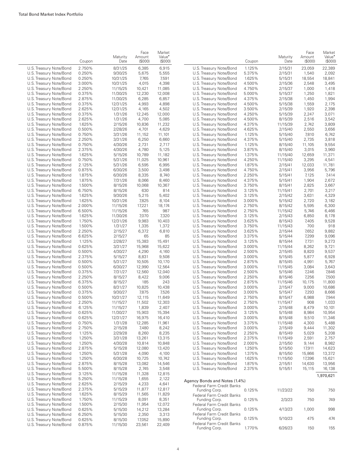|                         | Coupon | Maturity<br>Date | Face<br>Amount<br>(\$000) | Market<br>Value <sup>®</sup><br>(S000) |                                            | Coupon | Maturity<br>Date | Face<br>Amount<br>(S000) | Market<br>Value <sup>•</sup><br>(S000) |
|-------------------------|--------|------------------|---------------------------|----------------------------------------|--------------------------------------------|--------|------------------|--------------------------|----------------------------------------|
| U.S. Treasury Note/Bond | 2.750% | 8/31/25          | 6,385                     | 6,915                                  | U.S. Treasury Note/Bond                    | 1.125% | 2/15/31          | 23,059                   | 22,389                                 |
| U.S. Treasury Note/Bond | 0.250% | 9/30/25          | 5,675                     | 5,555                                  | U.S. Treasury Note/Bond                    | 5.375% | 2/15/31          | 1,540                    | 2,092                                  |
| U.S. Treasury Note/Bond | 0.250% | 10/31/25         | 7,765                     | 7,591                                  | U.S. Treasury Note/Bond                    | 1.625% | 5/15/31          | 18,554                   | 18,841                                 |
| U.S. Treasury Note/Bond | 3.000% | 10/31/25         | 4,015                     | 4,398                                  | U.S. Treasury Note/Bond                    | 4.500% | 2/15/36          | 2,548                    | 3,495                                  |
| U.S. Treasury Note/Bond | 2.250% | 11/15/25         | 10,421                    | 11,085                                 | U.S. Treasury Note/Bond                    | 4.750% | 2/15/37          | 1,000                    | 1,418                                  |
| U.S. Treasury Note/Bond | 0.375% | 11/30/25         | 12,230                    | 12,008                                 | U.S. Treasury Note/Bond                    | 5.000% | 5/15/37          | 1,250                    | 1,821                                  |
| U.S. Treasury Note/Bond | 2.875% | 11/30/25         | 6,285                     | 6,857                                  | U.S. Treasury Note/Bond                    | 4.375% | 2/15/38          | 1,450                    | 1,994                                  |
| U.S. Treasury Note/Bond | 0.375% | 12/31/25         | 4,993                     | 4,898                                  | U.S. Treasury Note/Bond                    | 4.500% | 5/15/38          | 1,559                    | 2,175                                  |
| U.S. Treasury Note/Bond | 2.625% | 12/31/25         | 4,165                     | 4,502                                  | U.S. Treasury Note/Bond                    | 3.500% | 2/15/39          | 1,920                    | 2,398                                  |
| U.S. Treasury Note/Bond | 0.375% | 1/31/26          | 12,245                    | 12,000                                 | U.S. Treasury Note/Bond                    | 4.250% | 5/15/39          | 2,247                    | 3,071                                  |
| U.S. Treasury Note/Bond | 2.625% | 1/31/26          | 4,700                     | 5,085                                  | U.S. Treasury Note/Bond                    | 4.500% | 8/15/39          | 2,516                    | 3,542                                  |
| U.S. Treasury Note/Bond | 1.625% | 2/15/26          | 10,836                    | 11,232                                 | U.S. Treasury Note/Bond                    | 4.375% | 11/15/39         | 2,742                    | 3,809                                  |
| U.S. Treasury Note/Bond | 0.500% | 2/28/26          | 4,701                     | 4,629                                  | U.S. Treasury Note/Bond                    | 4.625% | 2/15/40          | 2,550                    | 3,656                                  |
| U.S. Treasury Note/Bond | 0.750% | 3/31/26          | 11,152                    | 11,101                                 | U.S. Treasury Note/Bond                    | 1.125% | 5/15/40          | 7,810                    | 6,742                                  |
| U.S. Treasury Note/Bond | 2.250% | 3/31/26          | 6,250                     | 6,660                                  | U.S. Treasury Note/Bond                    | 4.375% | 5/15/40          | 2,735                    | 3,818                                  |
| U.S. Treasury Note/Bond | 0.750% | 4/30/26          | 2,731                     | 2,717                                  | U.S. Treasury Note/Bond                    | 1.125% | 8/15/40          | 11,105                   | 9,554                                  |
| U.S. Treasury Note/Bond | 2.375% | 4/30/26          | 4,780                     | 5,125                                  | U.S. Treasury Note/Bond                    | 3.875% | 8/15/40          | 3,015                    | 3,960                                  |
| U.S. Treasury Note/Bond | 1.625% | 5/15/26          | 10,789                    | 11,182                                 | U.S. Treasury Note/Bond                    | 1.375% | 11/15/40         | 12,659                   | 11,371                                 |
| U.S. Treasury Note/Bond | 0.750% | 5/31/26          | 11,025                    | 10,961                                 | U.S. Treasury Note/Bond                    | 4.250% | 11/15/40         | 3,295                    | 4,541                                  |
|                         |        |                  |                           |                                        |                                            |        |                  |                          |                                        |
| U.S. Treasury Note/Bond | 2.125% | 5/31/26          | 6,595                     | 6,995                                  | U.S. Treasury Note/Bond                    | 1.875% | 2/15/41          | 12,033                   | 11,781                                 |
| U.S. Treasury Note/Bond | 0.875% | 6/30/26          | 3,500                     | 3,498                                  | U.S. Treasury Note/Bond                    | 4.750% | 2/15/41          | 3,956                    | 5,796                                  |
| U.S. Treasury Note/Bond | 1.875% | 6/30/26          | 8,335                     | 8,740                                  | U.S. Treasury Note/Bond                    | 2.250% | 5/15/41          | 7,125                    | 7,414                                  |
| U.S. Treasury Note/Bond | 1.875% | 7/31/26          | 8,066                     | 8,460                                  | U.S. Treasury Note/Bond                    | 4.375% | 5/15/41          | 1,904                    | 2,672                                  |
| U.S. Treasury Note/Bond | 1.500% | 8/15/26          | 10,068                    | 10,367                                 | U.S. Treasury Note/Bond                    | 3.750% | 8/15/41          | 2,825                    | 3,667                                  |
| U.S. Treasury Note/Bond | 6.750% | 8/15/26          | 630                       | 814                                    | U.S. Treasury Note/Bond                    | 3.125% | 11/15/41         | 2,701                    | 3,217                                  |
| U.S. Treasury Note/Bond | 1.625% | 9/30/26          | 5,215                     | 5,402                                  | U.S. Treasury Note/Bond                    | 3.125% | 2/15/42          | 3,631                    | 4,329                                  |
| U.S. Treasury Note/Bond | 1.625% | 10/31/26         | 7,825                     | 8,104                                  | U.S. Treasury Note/Bond                    | 3.000% | 5/15/42          | 2,720                    | 3,182                                  |
| U.S. Treasury Note/Bond | 2.000% | 11/15/26         | 17,221                    | 18,174                                 | U.S. Treasury Note/Bond                    | 2.750% | 8/15/42          | 5,595                    | 6,300                                  |
| U.S. Treasury Note/Bond | 6.500% | 11/15/26         | 765                       | 987                                    | U.S. Treasury Note/Bond                    | 2.750% | 11/15/42         | 5,746                    | 6,466                                  |
| U.S. Treasury Note/Bond | 1.625% | 11/30/26         | 7,070                     | 7,320                                  | U.S. Treasury Note/Bond                    | 3.125% | 2/15/43          | 6,850                    | 8,178                                  |
| U.S. Treasury Note/Bond | 1.750% | 12/31/26         | 9,983                     | 10,403                                 | U.S. Treasury Note/Bond                    | 3.625% | 8/15/43          | 7,405                    | 9,528                                  |
| U.S. Treasury Note/Bond | 1.500% | 1/31/27          | 1,335                     | 1,372                                  | U.S. Treasury Note/Bond                    | 3.750% | 11/15/43         | 700                      | 918                                    |
| U.S. Treasury Note/Bond | 2.250% | 2/15/27          | 6,372                     | 6,810                                  | U.S. Treasury Note/Bond                    | 3.625% | 2/15/44          | 7,652                    | 9,882                                  |
| U.S. Treasury Note/Bond | 6.625% | 2/15/27          | 65                        | 85                                     | U.S. Treasury Note/Bond                    | 3.375% | 5/15/44          | 7,299                    | 9,096                                  |
| U.S. Treasury Note/Bond | 1.125% | 2/28/27          | 15,383                    | 15,491                                 | U.S. Treasury Note/Bond                    | 3.125% | 8/15/44          | 7,731                    | 9,273                                  |
| U.S. Treasury Note/Bond | 0.625% | 3/31/27          | 15,968                    | 15,622                                 | U.S. Treasury Note/Bond                    | 3.000% | 11/15/44         | 8,262                    | 9,721                                  |
| U.S. Treasury Note/Bond | 0.500% | 4/30/27          | 4,290                     | 4,160                                  | U.S. Treasury Note/Bond                    | 2.500% | 2/15/45          | 8,820                    | 9,537                                  |
| U.S. Treasury Note/Bond | 2.375% | 5/15/27          | 8,831                     | 9,508                                  | U.S. Treasury Note/Bond                    | 3.000% | 5/15/45          | 5,877                    | 6,928                                  |
| U.S. Treasury Note/Bond | 0.500% | 5/31/27          | 10,505                    | 10,170                                 | U.S. Treasury Note/Bond                    | 2.875% | 8/15/45          | 4,991                    | 5,767                                  |
| U.S. Treasury Note/Bond | 0.500% | 6/30/27          | 12,990                    | 12,564                                 | U.S. Treasury Note/Bond                    | 3.000% | 11/15/45         | 3,084                    | 3,643                                  |
| U.S. Treasury Note/Bond | 0.375% | 7/31/27          | 12,560                    | 12,040                                 | U.S. Treasury Note/Bond                    | 2.500% | 5/15/46          | 7,246                    | 7,846                                  |
| U.S. Treasury Note/Bond | 2.250% | 8/15/27          | 8,422                     | 9,006                                  | U.S. Treasury Note/Bond                    | 2.250% | 8/15/46          | 7,256                    | 7,500                                  |
| U.S. Treasury Note/Bond | 6.375% | 8/15/27          | 185                       | 243                                    | U.S. Treasury Note/Bond                    | 2.875% | 11/15/46         | 10,175                   | 11,800                                 |
| U.S. Treasury Note/Bond | 0.500% | 8/31/27          | 10,825                    | 10,438                                 | U.S. Treasury Note/Bond                    | 3.000% | 2/15/47          | 9,000                    | 10,686                                 |
| U.S. Treasury Note/Bond | 0.375% | 9/30/27          | 7,875                     | 7,526                                  | U.S. Treasury Note/Bond                    | 3.000% | 5/15/47          | 7,293                    | 8,666                                  |
| U.S. Treasury Note/Bond | 0.500% | 10/31/27         | 12,115                    | 11,649                                 | U.S. Treasury Note/Bond                    | 2.750% | 8/15/47          | 6,988                    | 7,944                                  |
| U.S. Treasury Note/Bond | 2.250% | 11/15/27         | 11,502                    | 12,303                                 | U.S. Treasury Note/Bond                    | 2.750% | 11/15/47         | 908                      | 1,033                                  |
| U.S. Treasury Note/Bond | 6.125% | 11/15/27         | 1,839                     | 2.407                                  | U.S. Treasury Note/Bond                    | 3.000% | 2/15/48          | 8,479                    | 10,101                                 |
| U.S. Treasury Note/Bond | 0.625% | 11/30/27         | 15,903                    | 15,394                                 | U.S. Treasury Note/Bond                    | 3.125% | 5/15/48          | 8,984                    | 10,954                                 |
| U.S. Treasury Note/Bond | 0.625% | 12/31/27         | 16,975                    | 16,410                                 | U.S. Treasury Note/Bond                    | 3.000% | 8/15/48          | 9,510                    | 11,346                                 |
| U.S. Treasury Note/Bond | 0.750% | 1/31/28          | 12,285                    | 11,961                                 | U.S. Treasury Note/Bond                    | 3.375% | 11/15/48         | 4,300                    | 5,488                                  |
| U.S. Treasury Note/Bond | 2.750% | 2/15/28          | 7,480                     | 8,242                                  | U.S. Treasury Note/Bond                    | 3.000% | 2/15/49          | 9,444                    | 11,302                                 |
| U.S. Treasury Note/Bond | 1.125% | 2/29/28          | 8,260                     | 8,235                                  | U.S. Treasury Note/Bond                    | 2.250% | 8/15/49          | 5,029                    | 5,208                                  |
| U.S. Treasury Note/Bond | 1.250% | 3/31/28          | 13,261                    | 13,315                                 | U.S. Treasury Note/Bond                    | 2.375% | 11/15/49         | 2,591                    | 2,757                                  |
| U.S. Treasury Note/Bond | 1.250% | 4/30/28          | 10,814                    | 10,848                                 | U.S. Treasury Note/Bond                    | 2.000% | 2/15/50          | 9,144                    | 8,982                                  |
| U.S. Treasury Note/Bond | 2.875% | 5/15/28          | 12,080                    | 13,420                                 | U.S. Treasury Note/Bond                    | 1.250% | 5/15/50          | 17,911                   | 14,623                                 |
| U.S. Treasury Note/Bond | 1.250% | 5/31/28          | 4,090                     | 4,100                                  | U.S. Treasury Note/Bond                    | 1.375% | 8/15/50          | 15,866                   | 13,372                                 |
| U.S. Treasury Note/Bond | 1.250% | 6/30/28          | 10,725                    | 10,742                                 | U.S. Treasury Note/Bond                    | 1.625% | 11/15/50         | 17,396                   | 15,621                                 |
| U.S. Treasury Note/Bond | 2.875% | 8/15/28          | 13,082                    | 14,546                                 | U.S. Treasury Note/Bond                    | 1.875% | 2/15/51          | 14,630                   | 13,956                                 |
| U.S. Treasury Note/Bond | 5.500% | 8/15/28          | 2,745                     | 3,548                                  | U.S. Treasury Note/Bond                    | 2.375% | 5/15/51          | 15,115                   | 16,138                                 |
| U.S. Treasury Note/Bond | 3.125% | 11/15/28         | 11,328                    | 12,815                                 |                                            |        |                  |                          |                                        |
| U.S. Treasury Note/Bond | 5.250% | 11/15/28         | 1,655                     | 2,122                                  |                                            |        |                  |                          | 1,970,621                              |
| U.S. Treasury Note/Bond | 2.625% | 2/15/29          | 4,233                     | 4,641                                  | Agency Bonds and Notes (1.4%)              |        |                  |                          |                                        |
| U.S. Treasury Note/Bond |        |                  |                           |                                        | Federal Farm Credit Banks                  |        |                  |                          |                                        |
|                         | 2.375% | 5/15/29          | 11,877                    | 12,817                                 | Funding Corp.                              | 0.125% | 11/23/22         | 750                      | 750                                    |
| U.S. Treasury Note/Bond | 1.625% | 8/15/29          | 11,565                    | 11,829                                 | Federal Farm Credit Banks                  |        |                  |                          |                                        |
| U.S. Treasury Note/Bond | 1.750% | 11/15/29         | 8,091                     | 8,351                                  | Funding Corp.                              | 0.125% | 2/3/23           | 750                      | 749                                    |
| U.S. Treasury Note/Bond | 1.500% | 2/15/30          | 11,954                    | 12,072                                 | Federal Farm Credit Banks                  |        |                  |                          |                                        |
| U.S. Treasury Note/Bond | 0.625% | 5/15/30          | 14,212                    | 13,284                                 | Funding Corp.                              | 0.125% | 4/13/23          | 1,000                    | 998                                    |
| U.S. Treasury Note/Bond | 6.250% | 5/15/30          | 2,350                     | 3,313                                  | Federal Farm Credit Banks<br>Funding Corp. | 0.125% | 5/10/23          | 475                      | 474                                    |
| U.S. Treasury Note/Bond | 0.625% | 8/15/30          | 17,052                    | 15,890                                 | Federal Farm Credit Banks                  |        |                  |                          |                                        |
| U.S. Treasury Note/Bond | 0.875% | 11/15/30         | 23,561                    | 22,409                                 | Funding Corp.                              | 1.770% | 6/26/23          | 150                      | 155                                    |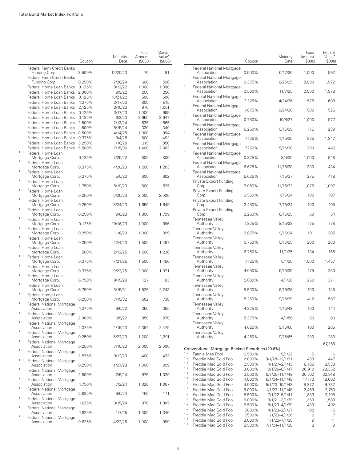|                   |                                                    | Coupon           | Maturity<br>Date  | Face<br>Amount<br>(\$000) | Market<br>Value <sup>•</sup><br>(\$000) |
|-------------------|----------------------------------------------------|------------------|-------------------|---------------------------|-----------------------------------------|
|                   | Federal Farm Credit Banks<br>Funding Corp.         | 3.500%           | 12/20/23          | 75                        | 81                                      |
|                   | Federal Farm Credit Banks<br>Funding Corp.         | 0.250%           | 2/26/24           | 600                       | 598                                     |
|                   | Federal Home Loan Banks                            | 0.125%           | 8/12/22           | 1,000                     | 1,000                                   |
|                   | Federal Home Loan Banks                            | 2.000%           | 9/9/22            | 250                       | 256                                     |
|                   | Federal Home Loan Banks                            | 0.125%           | 10/21/22          | 500                       | 500                                     |
|                   | Federal Home Loan Banks                            | 1.375%           | 2/17/23           | 800                       | 815                                     |
|                   | Federal Home Loan Banks                            | 2.125%           | 3/10/23           | 970                       | 1,001                                   |
|                   | Federal Home Loan Banks                            | 0.125%           | 3/17/23           | 1,000                     | 999                                     |
|                   | Federal Home Loan Banks<br>Federal Home Loan Banks | 0.125%<br>2.500% | 6/2/23<br>2/13/24 | 3,655<br>535              | 3,647<br>565                            |
|                   | Federal Home Loan Banks                            | 1.500%           | 8/15/24           | 330                       | 340                                     |
|                   | Federal Home Loan Banks                            | 0.500%           | 4/14/25           | 1,000                     | 994                                     |
|                   | Federal Home Loan Banks                            | 0.375%           | 9/4/25            | 500                       | 492                                     |
|                   | Federal Home Loan Banks                            | 3.250%           | 11/16/28          | 315                       | 358                                     |
|                   | Federal Home Loan Banks                            | 5.500%           | 7/15/36           | 1,400                     | 2,063                                   |
| 1<br>$\mathbf{1}$ | Federal Home Loan<br>Mortgage Corp.                | 0.125%           | 7/25/22           | 800                       | 800                                     |
|                   | Federal Home Loan<br>Mortgage Corp.                | 0.375%           | 4/20/23           | 1,200                     | 1,203                                   |
| 1                 | Federal Home Loan<br>Mortgage Corp.                | 0.375%           | 5/5/23            | 600                       | 602                                     |
| 1                 | Federal Home Loan<br>Mortgage Corp.                | 2.750%           | 6/19/23           | 500                       | 525                                     |
| 1                 | Federal Home Loan<br>Mortgage Corp.                | 0.250%           | 6/26/23           | 2,000                     | 2,000                                   |
| 1                 | Federal Home Loan<br>Mortgage Corp.                | 0.250%           | 8/24/23           | 1,650                     | 1,649                                   |
| 1                 | Federal Home Loan<br>Mortgage Corp.                | 0.250%           | 9/8/23            | 1,800                     | 1,799                                   |
| 1                 | Federal Home Loan<br>Mortgage Corp.                | 0.125%           | 10/16/23          | 1,000                     | 996                                     |
| 1                 | Federal Home Loan<br>Mortgage Corp.                | 0.250%           | 11/6/23           | 1,000                     | 999                                     |
| 1                 | Federal Home Loan<br>Mortgage Corp.                | 0.250%           | 12/4/23           | 1,500                     | 1,497                                   |
| 1                 | Federal Home Loan<br>Mortgage Corp.                | 1.500%           | 2/12/25           | 1,200                     | 1,238                                   |
| 1                 | Federal Home Loan<br>Mortgage Corp.                | 0.375%           | 7/21/25           | 1,500                     | 1,480                                   |
| 1                 | Federal Home Loan<br>Mortgage Corp.                | 0.375%           | 9/23/25           | 2,000                     | 1,971                                   |
| 1                 | Federal Home Loan<br>Mortgage Corp.                | 6.750%           | 9/15/29           | 127                       | 183                                     |
| 1                 | Federal Home Loan<br>Mortgage Corp.                | 6.750%           | 3/15/31           | 1,525                     | 2,243                                   |
| 1                 | Federal Home Loan<br>Mortgage Corp.                | 6.250%           | 7/15/32           | 502                       | 738                                     |
| 1                 | <b>Federal National Mortgage</b><br>Association    | 1.375%           | 9/6/22            | 350                       | 355                                     |
| 1                 | Federal National Mortgage<br>Association           | 2.000%           | 10/5/22           | 850                       | 870                                     |
| 1                 | Federal National Mortgage<br>Association           | 2.375%           | 1/19/23           | 2,394                     | 2,475                                   |
| 1                 | <b>Federal National Mortgage</b><br>Association    | 0.250%           | 5/22/23           | 1,200                     | 1,201                                   |
| 1                 | <b>Federal National Mortgage</b><br>Association    | 0.250%           | 7/10/23           | 2,000                     | 2,000                                   |
| 1                 | Federal National Mortgage<br>Association           | 2.875%           | 9/12/23           | 400                       | 423                                     |
| 1                 | <b>Federal National Mortgage</b><br>Association    | 0.250%           | 11/27/23          | 1.000                     | 999                                     |
| 1                 | <b>Federal National Mortgage</b><br>Association    | 2.500%           | 2/5/24            | 975                       | 1,029                                   |
| 1                 | <b>Federal National Mortgage</b><br>Association    | 1.750%           | 7/2/24            | 1,028                     | 1,067                                   |
| $\mathbf{1}$      | <b>Federal National Mortgage</b><br>Association    | 2.625%           | 9/6/24            | 160                       | 171                                     |
| 1                 | <b>Federal National Mortgage</b>                   |                  |                   |                           |                                         |
| 1                 | Association<br>Federal National Mortgage           | 1.625%           | 10/15/24          | 970                       | 1,005                                   |
| 1                 | Association<br><b>Federal National Mortgage</b>    | 1.625%           | 1/7/25            | 1,300                     | 1,346                                   |
|                   | Association                                        | 0.625%           | 4/22/25           | 1,000                     | 999                                     |

|            |                                                                                     | Coupon | Maturity<br>Date | Face<br>Amount<br>(\$000) | Market<br>Value <sup>•</sup><br>(\$000) |
|------------|-------------------------------------------------------------------------------------|--------|------------------|---------------------------|-----------------------------------------|
| 1          | Federal National Mortgage<br>Association                                            | 0.500% | 6/17/25          | 1,000                     | 992                                     |
| 1          | Federal National Mortgage<br>Association                                            | 0.375% | 8/25/25          | 2,000                     | 1,972                                   |
| 1          | <b>Federal National Mortgage</b><br>Association                                     | 0.500% | 11/7/25          | 2,000                     | 1,978                                   |
| 1          | Federal National Mortgage<br>Association                                            | 2.125% | 4/24/26          | 575                       | 609                                     |
| 1          | Federal National Mortgage<br>Association                                            | 1.875% | 9/24/26          | 500                       | 525                                     |
| 1<br>1     | <b>Federal National Mortgage</b><br>Association                                     | 0.750% | 10/8/27          | 1,000                     | 977                                     |
| 1          | <b>Federal National Mortgage</b><br>Association                                     | 6.250% | 5/15/29          | 175                       | 239                                     |
| 1          | Federal National Mortgage<br>Association                                            | 7.125% | 1/15/30          | 925                       | 1,347                                   |
| 1          | Federal National Mortgage<br>Association                                            | 7.250% | 5/15/30          | 300                       | 445                                     |
| 1          | <b>Federal National Mortgage</b><br>Association                                     | 0.875% | 8/5/30           | 1,000                     | 948                                     |
| 1          | <b>Federal National Mortgage</b><br>Association<br><b>Federal National Mortgage</b> | 6.625% | 11/15/30         | 300                       | 434                                     |
|            | Association<br>Private Export Funding                                               | 5.625% | 7/15/37          | 275                       | 418                                     |
|            | Corp.<br>Private Export Funding                                                     | 2.050% | 11/15/22         | 1,075                     | 1,097                                   |
|            | Corp.<br>Private Export Funding                                                     | 3.550% | 1/15/24          | 100                       | 107                                     |
|            | Corp.<br>Private Export Funding                                                     | 2.450% | 7/15/24          | 100                       | 105                                     |
|            | Corp.<br>Tennessee Valley                                                           | 3.250% | 6/15/25          | 50                        | 54                                      |
|            | Authority<br>Tennessee Valley                                                       | 1.875% | 8/15/22          | 175                       | 178                                     |
|            | Authority<br><b>Tennessee Valley</b>                                                | 2.875% | 9/15/24          | 191                       | 205                                     |
|            | Authority<br><b>Tennessee Valley</b>                                                | 0.750% | 5/15/25          | 200                       | 200                                     |
|            | Authority<br>Tennessee Valley                                                       | 6.750% | 11/1/25          | 134                       | 168                                     |
|            | Authority<br><b>Tennessee Valley</b>                                                | 7.125% | 5/1/30           | 1,000                     | 1,457                                   |
|            | Authority<br>Tennessee Vallev                                                       | 4.650% | 6/15/35          | 175                       | 230                                     |
|            | Authority<br><b>Tennessee Valley</b>                                                | 5.880% | 4/1/36           | 250                       | 371                                     |
|            | Authority<br><b>Tennessee Valley</b>                                                | 5.500% | 6/15/38          | 100                       | 145                                     |
|            | Authority<br><b>Tennessee Valley</b>                                                | 5.250% | 9/15/39          | 412                       | 587                                     |
|            | Authority<br>Tennessee Valley                                                       | 4.875% | 1/15/48          | 100                       | 144                                     |
|            | Authority<br>Tennessee Valley                                                       | 5.375% | 4/1/56           | 50                        | 80                                      |
|            | Authority<br>Tennessee Valley                                                       | 4.625% | 9/15/60          | 180                       | 265                                     |
|            | Authority                                                                           | 4.250% | 9/15/65          | 200                       | 280<br>67,255                           |
| 1,2        | Conventional Mortgage-Backed Securities (20.8%)<br>Fannie Mae Pool                  | 6.500% | 9/1/32           | 15                        | 16                                      |
| 1,2        | Freddie Mac Gold Pool                                                               | 2.000% | 8/1/28-12/1/31   | 433                       | 447                                     |
| 1,2        | Freddie Mac Gold Pool                                                               | 2.500% | 4/1/27-2/1/43    | 8,166                     | 8,533                                   |
| 1,2        | Freddie Mac Gold Pool                                                               | 3.000% | 10/1/26-8/1/47   | 26,910                    | 28,352                                  |
| 1,2        | Freddie Mac Gold Pool                                                               | 3.500% | 9/1/25-11/1/48   | 30,762                    | 32,918                                  |
| 1,2        | Freddie Mac Gold Pool                                                               | 4.000% | 6/1/24-11/1/48   | 17,170                    | 18,602                                  |
| 1,2        | Freddie Mac Gold Pool                                                               | 4.500% | 5/1/23-10/1/48   | 8,872                     | 9,732                                   |
| 1,2        | Freddie Mac Gold Pool                                                               | 5.000% | 1/1/22-11/1/48   | 2,459                     | 2,763                                   |
| 1,2        | Freddie Mac Gold Pool                                                               | 5.500% | 7/1/22-6/1/41    | 1,833                     | 2,105                                   |
| 1,2        | Freddie Mac Gold Pool                                                               | 6.000% | 9/1/21-3/1/39    | 1,369                     | 1,589                                   |
| 1,2        | Freddie Mac Gold Pool                                                               | 6.500% | 8/1/23-4/1/39    | 433                       | 492                                     |
| 1,2        | Freddie Mac Gold Pool                                                               | 7.000% | 4/1/23-2/1/37    | 102                       | 115                                     |
| 1,2        | Freddie Mac Gold Pool                                                               | 7.500% | 1/1/23-4/1/28    | 6                         | 7                                       |
| 1,2<br>1,2 | Freddie Mac Gold Pool                                                               | 8.000% | 1/1/22-7/1/30    | 9                         | 11                                      |
|            | Freddie Mac Gold Pool                                                               | 8.500% | 7/1/24-11/1/30   | 8                         | 9                                       |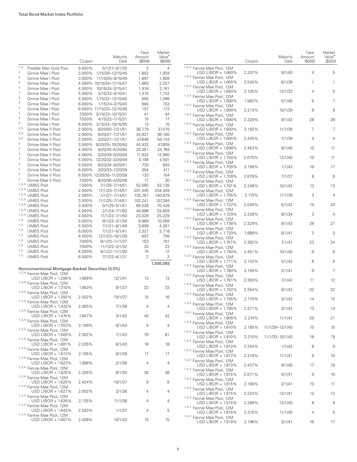|                                                                                                                                     |                                                                        | Coupon           | Maturity<br>Date                            | Face<br>Amount<br>(S000) | Market<br>Value <sup>•</sup><br>(\$000) |
|-------------------------------------------------------------------------------------------------------------------------------------|------------------------------------------------------------------------|------------------|---------------------------------------------|--------------------------|-----------------------------------------|
| 1,2                                                                                                                                 | Freddie Mac Gold Pool                                                  | 9.000%           | 5/1/27-5/1/30                               | 3                        | 4                                       |
| $\mathbf 2$                                                                                                                         | Ginnie Mae I Pool                                                      | 3.000%           | 1/15/26-12/15/45                            | 1,852                    | 1,934                                   |
| $\mathbf 2$                                                                                                                         | Ginnie Mae I Pool                                                      | 3.500%           | 11/15/25-9/15/49                            | 1,697                    | 1,808                                   |
| $\mathfrak 2$                                                                                                                       | Ginnie Mae I Pool                                                      |                  | 4.000% 10/15/24-11/15/47                    | 1,863                    | 2,037                                   |
| 2                                                                                                                                   | Ginnie Mae I Pool                                                      | 4.500%           | 10/15/24-3/15/41                            | 1,918                    | 2,161                                   |
| $\mathfrak 2$<br>$\overline{\mathbf{c}}$                                                                                            | Ginnie Mae I Pool                                                      | 5.000%           | 5/15/33-4/15/41                             | 1,515                    | 1,732                                   |
| $\overline{\mathbf{c}}$                                                                                                             | Ginnie Mae I Pool                                                      | 5.500%           | 1/15/32-12/15/40                            | 955                      | 1,096                                   |
| $\mathfrak 2$                                                                                                                       | Ginnie Mae I Pool<br>Ginnie Mae I Pool                                 | 6.000%           | 1/15/24-3/15/40<br>6.500% 11/15/23-12/15/38 | 664<br>157               | 753<br>172                              |
| $\mathfrak 2$                                                                                                                       | Ginnie Mae I Pool                                                      | 7.000%           | 5/15/23-10/15/31                            | 41                       | 44                                      |
| $\mathbf 2$                                                                                                                         | Ginnie Mae I Pool                                                      | 7.500%           | 4/15/22-1/15/31                             | 15                       | 17                                      |
| $\mathfrak 2$                                                                                                                       | Ginnie Mae I Pool                                                      | 8.000%           | 3/15/22-10/15/30                            | 13                       | 15                                      |
| 2,3                                                                                                                                 | Ginnie Mae II Pool                                                     | 2.000%           | 8/20/50-7/21/51                             | 36,779                   | 37,470                                  |
| 2,3                                                                                                                                 | Ginnie Mae II Pool                                                     | 2.500%           | 6/20/27-7/21/51                             | 34,927                   | 36,180                                  |
| 2,3                                                                                                                                 | Ginnie Mae II Pool                                                     | 3.000%           | 2/20/27-7/21/51                             | 47,646                   | 50,143                                  |
| 2                                                                                                                                   | Ginnie Mae II Pool                                                     | 3.500%           | 9/20/25-10/20/50                            | 44,932                   | 47,809                                  |
| $\mathfrak 2$<br>$\mathfrak{2}% _{T}=\mathfrak{2}_{T}\!\left( a,b\right) ,\ \mathfrak{2}_{T}=\mathfrak{2}_{T}\!\left( a,b\right) ,$ | Ginnie Mae II Pool                                                     | 4.000%           | 9/20/25-5/20/50                             | 23,051                   | 24,765                                  |
| $\overline{\mathbf{c}}$                                                                                                             | Ginnie Mae II Pool                                                     | 4.500%           | 2/20/39-9/20/49                             | 11,924                   | 12,980                                  |
| $\mathfrak 2$                                                                                                                       | Ginnie Mae II Pool<br>Ginnie Mae II Pool                               | 5.000%<br>5.500% | 12/20/32-3/20/49<br>6/20/34-9/20/41         | 4,108<br>730             | 4,501<br>845                            |
| $\mathfrak 2$                                                                                                                       | Ginnie Mae II Pool                                                     | 6.000%           | 3/20/33-7/20/39                             | 354                      | 411                                     |
| $\mathbf{2}$                                                                                                                        | Ginnie Mae II Pool                                                     |                  | 6.500% 12/20/35-11/20/39                    | 133                      | 154                                     |
| $\mathfrak 2$                                                                                                                       | Ginnie Mae II Pool                                                     | 7.000%           | 8/20/36-4/20/38                             | 17                       | 20                                      |
| 1,2,3 UMBS Pool                                                                                                                     |                                                                        | 1.500%           | 7/1/35-7/14/51                              | 52,565                   | 52,135                                  |
| 1,2,3 UMBS Pool                                                                                                                     |                                                                        | 2.000%           | 11/1/23-7/14/51                             | 201,445                  | 204,449                                 |
| 1, 2, 3<br><b>UMBS Pool</b>                                                                                                         |                                                                        | 2.500%           | 1/1/27-7/14/51                              | 135,767                  | 140,879                                 |
| 1,2,3 UMBS Pool                                                                                                                     |                                                                        | 3.000%           | 11/1/25-7/14/51                             | 102,241                  | 107,384                                 |
| 1,2,3 UMBS Pool                                                                                                                     |                                                                        | 3.500%           | $9/1/25 - 5/1/51$                           | 66,028                   | 70,426                                  |
| 1,2,3 UMBS Pool                                                                                                                     |                                                                        | 4.000%           | 2/1/24-7/1/50                               | 49,888                   | 53,859                                  |
| 1,2,3 UMBS Pool<br>1,2                                                                                                              |                                                                        | 4.500%           | 11/1/22-7/1/50                              | 23,029                   | 25,229                                  |
| <b>UMBS Pool</b><br>1,2<br><b>UMBS Pool</b>                                                                                         |                                                                        | 5.000%<br>5.500% | $9/1/22 - 3/1/50$<br>7/1/21-6/1/49          | 8,989<br>3,699           | 10,056<br>4,281                         |
| 1,2<br><b>UMBS Pool</b>                                                                                                             |                                                                        | 6.000%           | 7/1/21-5/1/41                               | 2,327                    | 2,718                                   |
| 1,2<br><b>UMBS Pool</b>                                                                                                             |                                                                        | 6.500%           | 12/1/23-10/1/39                             | 607                      | 706                                     |
| 1,2<br><b>UMBS Pool</b>                                                                                                             |                                                                        | 7.000%           | 6/1/23-11/1/37                              | 163                      | 191                                     |
| 1,2<br><b>UMBS Pool</b>                                                                                                             |                                                                        | 7.500%           | 11/1/22-2/1/32                              | 20                       | 23                                      |
| 1,2<br><b>UMBS Pool</b>                                                                                                             |                                                                        | 8.000%           | 6/1/22-11/1/30                              | 10                       | 12                                      |
| 1,2<br><b>UMBS Pool</b>                                                                                                             |                                                                        | 8.500%           | 7/1/22-4/1/31                               | 2                        | 2                                       |
|                                                                                                                                     |                                                                        |                  |                                             |                          | 1,005,093                               |
|                                                                                                                                     | Nonconventional Mortgage-Backed Securities (0.0%)                      |                  |                                             |                          |                                         |
|                                                                                                                                     | 1,2,4 Fannie Mae Pool, 12M                                             |                  |                                             |                          |                                         |
|                                                                                                                                     | USD LIBOR + 1.290%<br>1,2,4 Fannie Mae Pool, 12M                       | 1.668%           | 12/1/41                                     | 13                       | 13                                      |
|                                                                                                                                     | USD LIBOR + 1.310%<br>1,2,4 Fannie Mae Pool, 12M                       | 1.893%           | 9/1/37                                      | 32                       | 33                                      |
|                                                                                                                                     | USD LIBOR + 1.392%<br>1,2,4 Fannie Mae Pool, 12M                       | 2.002%           | 10/1/37                                     | 15                       | 16                                      |
|                                                                                                                                     | USD LIBOR + 1.432%<br>1,2,4 Fannie Mae Pool, 12M                       | 2.065%           | 7/1/36                                      | 4                        | 4                                       |
|                                                                                                                                     | USD LIBOR + 1.474%<br>1,2,4 Fannie Mae Pool, 12M                       | 1.847%           | 3/1/43                                      | 40                       | 42                                      |
|                                                                                                                                     | USD LIBOR + 1.553%<br>1,2,4 Fannie Mae Pool, 12M                       | 2.199%           | 9/1/43                                      | 4                        | 4                                       |
|                                                                                                                                     | USD LIBOR + 1.560%<br>1,2,4 Fannie Mae Pool, 12M                       | 2.302%           | 7/1/43                                      | 79                       | 81                                      |
|                                                                                                                                     | USD LIBOR + 1.601%<br>1,2,4 Fannie Mae Pool, 12M<br>USD LIBOR + 1.613% | 2.035%<br>2.165% | 6/1/43<br>8/1/39                            | 18<br>17                 | 18<br>17                                |
|                                                                                                                                     | 1,2,4 Fannie Mae Pool, 12M<br>USD LIBOR + 1.623%                       | 1.998%           | 2/1/36                                      | 4                        | 4                                       |
|                                                                                                                                     | 1,2,4 Fannie Mae Pool, 12M<br>USD LIBOR + 1.625%                       | 2.326%           | 8/1/35                                      | 36                       | 38                                      |
|                                                                                                                                     | <sup>1,2,4</sup> Fannie Mae Pool, 12M<br>USD LIBOR + 1.625%            | 2.424%           | 10/1/37                                     | 9                        | 9                                       |
|                                                                                                                                     | 1,2,4 Fannie Mae Pool, 12M<br>USD LIBOR + 1.627%                       | 2.002%           | 3/1/38                                      | 4                        | 4                                       |
|                                                                                                                                     | 1,2,4 Fannie Mae Pool, 12M<br>USD LIBOR + 1.635%                       | 2.135%           | 11/1/36                                     | 4                        | 4                                       |
|                                                                                                                                     | 1,2,4 Fannie Mae Pool, 12M<br>USD LIBOR + 1.643%                       | 2.033%           | 1/1/37                                      | 4                        | 5                                       |
|                                                                                                                                     | 1,2,4 Fannie Mae Pool, 12M<br>USD LIBOR + 1.657%                       | 2.408%           | 10/1/42                                     | 15                       | 15                                      |

|                                                                                | Coupon | Maturity<br>Date | Face<br>Amount<br>(S000) | Market<br>Value <sup>•</sup><br>(\$000) |
|--------------------------------------------------------------------------------|--------|------------------|--------------------------|-----------------------------------------|
| 1,2,4 Fannie Mae Pool, 12M<br>USD LIBOR + 1.660%                               | 2.207% | 9/1/40           | 4                        | 5                                       |
| 1,2,4 Fannie Mae Pool, 12M<br>USD LIBOR + 1.665%                               | 2.540% | 6/1/36           | 1                        | 1                                       |
| 1,2,4 Fannie Mae Pool, 12M<br>USD LIBOR + 1.684%                               | 2.105% | 12/1/33          | 4                        | 5                                       |
| 1,2,4 Fannie Mae Pool, 12M<br>USD LIBOR + 1.690%                               | 1.982% | 5/1/40           | 6                        | 7                                       |
| 1,2,4 Fannie Mae Pool, 12M<br>USD LIBOR + 1.690%                               | 2.213% | 10/1/39          | 8                        | 9                                       |
| 1,2,4 Fannie Mae Pool, 12M<br>USD LIBOR + 1.690%                               | 2.329% | 9/1/42           | 28                       | 29                                      |
| 1,2,4 Fannie Mae Pool, 12M<br>USD LIBOR + 1.693%                               | 2.192% | 11/1/39          | 7                        | 7                                       |
| 1,2,4 Fannie Mae Pool, 12M<br>USD LIBOR $+$ 1.695%                             | 2.445% | 7/1/39           | 4                        | 4                                       |
| 1,2,4 Fannie Mae Pool, 12M<br>USD LIBOR + 1.698%                               | 2.453% | 8/1/40           | 10                       | 11                                      |
| <sup>1,2,4</sup> Fannie Mae Pool, 12M<br>USD LIBOR + 1.700%                    | 2.075% | 12/1/40          | 10                       | 11                                      |
| 1,2,4 Fannie Mae Pool, 12M<br>USD LIBOR + 1.700%                               | 2.156% | 1/1/42           | 16                       | 17                                      |
| 1,2,4 Fannie Mae Pool, 12M<br>USD LIBOR + 1.700%                               | 2.678% | 7/1/37           | 8                        | 8                                       |
| 1,2,4 Fannie Mae Pool, 12M<br>USD LIBOR + 1.701%                               | 2.248% | 10/1/42          | 13                       | 13                                      |
| 1,2,4 Fannie Mae Pool, 12M<br>USD LIBOR + 1.705%                               | 2.110% | 11/1/39          | 3                        | 4                                       |
| 1,2,4 Fannie Mae Pool, 12M<br>USD LIBOR + 1.722%                               | 2.049% | 5/1/42           | 19                       | 20                                      |
| 1,2,4 Fannie Mae Pool, 12M<br>USD LIBOR + 1.729%                               | 2.228% | 9/1/34           | 3                        | 4                                       |
| 1,2,4 Fannie Mae Pool, 12M<br>USD LIBOR + 1.736%                               | 2.329% | 9/1/43           | 26                       | 27                                      |
| 1,2,4 Fannie Mae Pool, 12M<br>USD LIBOR + 1.739%                               | 1.988% | 6/1/41           | 3                        | 3                                       |
| 1,2,4 Fannie Mae Pool, 12M<br>USD LIBOR + 1.747%                               | 2.362% | 7/1/41           | 23                       | 24                                      |
| 1,2,4 Fannie Mae Pool, 12M<br>USD LIBOR + 1.750%<br>1,2,4 Fannie Mae Pool, 12M | 2.451% | 10/1/40          | 6                        | 6                                       |
| USD LIBOR + 1.771%<br>1,2,4 Fannie Mae Pool, 12M                               | 2.142% | 5/1/42           | 6                        | 6                                       |
| USD LIBOR + 1.780%<br>1,2,4 Fannie Mae Pool, 12M                               | 2.155% | 2/1/41           | 6                        | 7                                       |
| USD LIBOR + 1.781%<br>1,2,4 Fannie Mae Pool, 12M                               | 2.355% | 7/1/42           | 11                       | 12                                      |
| USD LIBOR + 1.792%<br>1,2,4 Fannie Mae Pool, 12M                               | 3.354% | 8/1/42           | 32                       | 32                                      |
| USD LIBOR + 1.795%<br>1,2,4 Fannie Mae Pool, 12M                               | 2.170% | 3/1/42           | 14                       | 15                                      |
| USD LIBOR + 1.795%<br>1,2,4 Fannie Mae Pool, 12M                               | 2.371% | 3/1/42           | 13                       | 14                                      |
| USD LIBOR + 1.805%<br>1,2,4 Fannie Mae Pool, 12M                               | 2.274% | 11/1/41          | 20                       | 21                                      |
| USD LIBOR + 1.810%<br>1,2,4 Fannie Mae Pool, 12M                               | 2.185% | 11/1/39-12/1/40  | 10                       | 10                                      |
| USD LIBOR + 1.810%<br>1,2,4 Fannie Mae Pool, 12M                               | 2.310% | 11/1/33-10/1/40  | 18                       | 19                                      |
| USD LIBOR + 1.813%<br>1,2,4 Fannie Mae Pool, 12M                               | 2.204% | 1/1/42           | 8                        | 9                                       |
| USD LIBOR + 1.813%<br>1,2,4 Fannie Mae Pool, 12M                               | 2.218% | 11/1/41          | 9                        | 10                                      |
| USD LIBOR + 1.813%<br>1,2,4 Fannie Mae Pool, 12M                               | 2.437% | 9/1/40           | 17                       | 18                                      |
| USD LIBOR + 1.815%<br>1,2,4 Fannie Mae Pool, 12M                               | 2.071% | 5/1/41           | 9                        | 10                                      |
| USD LIBOR + 1.815%<br>1,2,4 Fannie Mae Pool, 12M                               | 2.190% | 2/1/41           | 10                       | 11                                      |
| USD LIBOR + 1.815%<br>1,2,4 Fannie Mae Pool, 12M                               | 2.224% | 12/1/41          | 12                       | 12                                      |
| USD LIBOR + 1.815%<br>1,2,4 Fannie Mae Pool, 12M                               | 2.289% | 12/1/40          | 8                        | 9                                       |
| USD LIBOR + 1.815%<br>1,2,4 Fannie Mae Pool, 12M                               | 2.315% | 11/1/40          | 4                        | 5                                       |
| USD LIBOR + 1.819%                                                             | 2.196% | 3/1/41           | 16                       | 17                                      |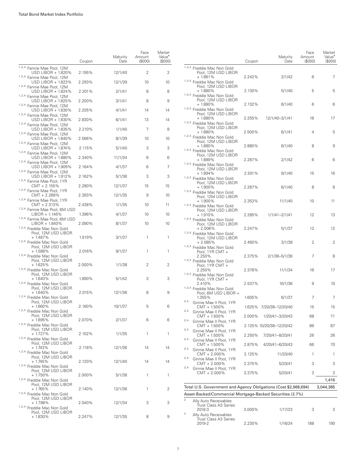|                                                                     | Coupon | Maturity<br>Date | Face<br>Amount<br>(S000) | Market<br>Value <sup>•</sup><br>(\$000) |
|---------------------------------------------------------------------|--------|------------------|--------------------------|-----------------------------------------|
| 1,2,4 Fannie Mae Pool, 12M<br>USD LIBOR + 1.820%                    | 2.195% | 12/1/40          | 2                        | 2                                       |
| 1,2,4 Fannie Mae Pool, 12M<br>USD LIBOR + 1.823%                    | 2.293% | 12/1/39          | 10                       | 10                                      |
| 1,2,4 Fannie Mae Pool, 12M<br>USD LIBOR + 1.824%                    | 2.201% | 2/1/41           | 8                        | 8                                       |
| 1,2,4 Fannie Mae Pool, 12M<br>USD LIBOR + 1.825%                    | 2.200% | 3/1/41           | 8                        | 9                                       |
| 1,2,4 Fannie Mae Pool, 12M<br>USD LIBOR + 1.830%                    | 2.205% | 4/1/41           | 14                       | 14                                      |
| 1,2,4 Fannie Mae Pool, 12M<br>USD LIBOR + 1.830%                    | 2.830% | 6/1/41           | 13                       | 14                                      |
| <sup>1,2,4</sup> Fannie Mae Pool, 12M<br>USD LIBOR + 1.835%         | 2.210% | 1/1/40           | 7                        | 8                                       |
| 1,2,4 Fannie Mae Pool, 12M<br>USD LIBOR + 1.840%                    | 2.566% | 8/1/39           | 10                       | 10                                      |
| 1,2,4 Fannie Mae Pool, 12M<br>USD LIBOR + 1.874%                    | 2.115% | 5/1/40           | 3                        | 3                                       |
| 1,2,4 Fannie Mae Pool, 12M<br>USD LIBOR + 1.880%                    | 2.340% | 11/1/34          | 6                        | 6                                       |
| 1,2,4 Fannie Mae Pool, 12M<br>USD LIBOR + 1.909%                    | 2.164% | 4/1/37           | 6                        | 7                                       |
| 1,2,4 Fannie Mae Pool, 12M<br>USD LIBOR + 1.912%                    | 2.162% | 5/1/36           | 3                        | 3                                       |
| 1,2,4 Fannie Mae Pool, 1YR<br>$CMT + 2.155%$                        | 2.280% | 12/1/37          | 15                       | 15                                      |
| 1,2,4 Fannie Mae Pool, 1YR<br>CMT + 2.268%                          | 2.393% | 12/1/35          | 9                        | 10                                      |
| 1,2,4 Fannie Mae Pool, 1YR<br>CMT + 2.313%                          | 2.438% |                  | 10                       | 11                                      |
| 1,2,4 Fannie Mae Pool, 6M USD<br>LIBOR + 1.146%                     | 1.396% | 1/1/35<br>4/1/37 | 10                       | 10                                      |
| 1,2,4 Fannie Mae Pool, 6M USD                                       |        |                  |                          |                                         |
| LIBOR + 1.840%<br>1,2,4 Freddie Mac Non Gold<br>Pool, 12M USD LIBOR | 2.090% | 8/1/37           | 10                       | 10                                      |
| $+1.487%$<br>1,2,4 Freddie Mac Non Gold                             | 1.919% | 3/1/37           | 1                        | 1                                       |
| Pool, 12M USD LIBOR<br>$+1.588%$<br>1,2,4 Freddie Mac Non Gold      | 2.016% | 9/1/37           | 1                        | 1                                       |
| Pool, 12M USD LIBOR<br>$+1.625%$                                    | 2.000% | 1/1/38           | 2                        | 2                                       |
| 1,2,4 Freddie Mac Non Gold<br>Pool, 12M USD LIBOR<br>$+1.640%$      | 1.890% | 5/1/42           | 3                        | 3                                       |
| 1,2,4 Freddie Mac Non Gold<br>Pool, 12M USD LIBOR                   |        |                  |                          |                                         |
| $+1.640%$<br>1,2,4 Freddie Mac Non Gold                             | 2.015% | 12/1/36          | 8                        | 9                                       |
| Pool, 12M USD LIBOR<br>$+1.660%$<br>1,2,4 Freddie Mac Non Gold      | 2.160% | 10/1/37          | 5                        | 6                                       |
| Pool, 12M USD LIBOR<br>$+1.695%$                                    | 2.070% | 2/1/37           | 6                        | 6                                       |
| 1,2,4 Freddie Mac Non Gold<br>Pool, 12M USD LIBOR                   |        |                  |                          |                                         |
| $+1.727%$<br>1,2,4 Freddie Mac Non Gold<br>Pool, 12M USD LIBOR      | 2.102% | 1/1/35           | 1                        | 1                                       |
| $+1.743%$<br>1,2,4 Freddie Mac Non Gold                             | 2.118% | 12/1/36          | 14                       | 14                                      |
| Pool, 12M USD LIBOR<br>$+1.745%$<br>1,2,4 Freddie Mac Non Gold      | 2.120% | 12/1/40          | 14                       | 14                                      |
| Pool, 12M USD LIBOR<br>$+1.750%$                                    | 2.000% | 5/1/38           | 1                        | 1                                       |
| 1,2,4 Freddie Mac Non Gold<br>Pool, 12M USD LIBOR<br>$+1.765%$      | 2.140% | 12/1/36          | 1                        | 2                                       |
| 1,2,4 Freddie Mac Non Gold<br>Pool, 12M USD LIBOR                   |        |                  |                          |                                         |
| + 1.798%<br>1,2,4 Freddie Mac Non Gold                              | 2.040% | 12/1/34          | 3                        | 3                                       |
| Pool, 12M USD LIBOR<br>$+1.830\%$                                   | 2.247% | 12/1/35          | 8                        | 9                                       |

|                |                                                                 | Coupon | Maturity<br>Date         | Face<br>Amount<br>(S000) | Market<br>Value <sup>-</sup><br>(S000) |
|----------------|-----------------------------------------------------------------|--------|--------------------------|--------------------------|----------------------------------------|
|                | 1,2,4 Freddie Mac Non Gold                                      |        |                          |                          |                                        |
|                | Pool, 12M USD LIBOR<br>$+1.861%$<br>1,2,4 Freddie Mac Non Gold  | 2.242% | 2/1/42                   | 6                        | 7                                      |
|                | Pool, 12M USD LIBOR<br>+ 1.880%<br>1,2,4 Freddie Mac Non Gold   | 2.130% | 5/1/40                   | 5                        | 5                                      |
|                | Pool, 12M USD LIBOR<br>+ 1.880%                                 | 2.132% | 6/1/40                   | 6                        | 6                                      |
|                | 1,2,4 Freddie Mac Non Gold<br>Pool, 12M USD LIBOR<br>+ 1.880%   | 2.255% | 12/1/40-3/1/41           | 16                       | 17                                     |
|                | 1,2,4 Freddie Mac Non Gold<br>Pool, 12M USD LIBOR<br>+ 1.880%   | 2.500% | 6/1/41                   | 4                        | 5                                      |
|                | 1,2,4 Freddie Mac Non Gold<br>Pool, 12M USD LIBOR<br>+ 1.880%   | 2.880% | 6/1/40                   | 8                        | 9                                      |
|                | 1,2,4 Freddie Mac Non Gold<br>Pool, 12M USD LIBOR<br>+ 1.889%   | 2.287% | 2/1/42                   | 6                        | 6                                      |
|                | 1,2,4 Freddie Mac Non Gold<br>Pool, 12M USD LIBOR<br>+ 1.894%   | 2.501% | 9/1/40                   | 15                       | 16                                     |
|                | 1,2,4 Freddie Mac Non Gold<br>Pool, 12M USD LIBOR               |        |                          |                          |                                        |
|                | + 1.900%<br>1,2,4 Freddie Mac Non Gold<br>Pool, 12M USD LIBOR   | 2.287% | 6/1/40                   | 8                        | 8                                      |
|                | + 1.900%<br>1,2,4 Freddie Mac Non Gold<br>Pool. 12M USD LIBOR   | 2.353% | 11/1/40                  | 10                       | 11                                     |
|                | $+1.910%$<br>1,2,4 Freddie Mac Non Gold<br>Pool, 12M USD LIBOR  | 2.285% | 1/1/41-2/1/41            | 12                       | 13                                     |
|                | $+2.006\%$<br>1,2,4 Freddie Mac Non Gold<br>Pool, 12M USD LIBOR | 2.247% | 5/1/37                   | 12                       | 12                                     |
|                | + 2.085%<br>1,2,4 Freddie Mac Non Gold<br>Pool, 1YR CMT +       | 2.460% | 3/1/38                   | 2                        | 2                                      |
|                | 2.250%<br>1,2,4 Freddie Mac Non Gold                            | 2.375% | 2/1/36-5/1/36            | 7                        | 8                                      |
|                | Pool, 1YR CMT +<br>2.250%<br>1,2,4 Freddie Mac Non Gold         | 2.378% | 11/1/34                  | 16                       | 17                                     |
|                | Pool, 1YR CMT +<br>2.410%<br>1,2,4 Freddie Mac Non Gold         | 2.537% | 10/1/36                  | 9                        | 10                                     |
| 2,4            | Pool, 6M USD LIBOR +<br>1.355%<br>Ginnie Mae II Pool, 1YR       | 1.605% | 6/1/37                   | 7                        | 7                                      |
| 2,4            | $CMT + 1.500\%$                                                 |        | 1.625% 7/20/38-12/20/40  | 15                       | 15                                     |
|                | Ginnie Mae II Pool, 1YR<br>CMT + 1.500%                         | 2.000% | 1/20/41-3/20/43          | 68                       | 71                                     |
| 2,4            | Ginnie Mae II Pool, 1YR<br>CMT + 1.500%                         |        | 2.125% 10/20/38-12/20/42 | 86                       | 87                                     |
| 2,4            | Ginnie Mae II Pool, 1YR<br>$CMT + 1.500\%$                      | 2.250% | 7/20/41-8/20/41          | 26                       | 26                                     |
| 2,4            | Ginnie Mae II Pool, 1YR<br>CMT + 1.500%                         | 2.875% | 4/20/41-6/20/43          | 66                       | 70                                     |
| 2,4            | Ginnie Mae II Pool, 1YR<br>CMT + 2.000%                         | 2.125% | 11/20/40                 | 1                        | 1                                      |
| 2,4            | Ginnie Mae II Pool, 1YR<br>$CMT + 2.000\%$                      | 2.375% | 5/20/41                  | 3                        | 3                                      |
| 2,4            | Ginnie Mae II Pool, 1YR<br>CMT + 2.000%                         | 3.375% | 5/20/41                  | 3                        | 3                                      |
|                |                                                                 |        |                          |                          | 1,416                                  |
|                | Total U.S. Government and Agency Obligations (Cost \$2,968,694) |        |                          |                          | 3,044,385                              |
|                | Asset-Backed/Commercial Mortgage-Backed Securities (2.7%)       |        |                          |                          |                                        |
| $\overline{2}$ | Ally Auto Receivables<br>Trust Class A3 Series<br>2018-3        | 3.000% | 1/17/23                  | 3                        | 3                                      |
| 2              | Ally Auto Receivables<br>Trust Class A3 Series<br>2019-2        | 2.230% | 1/16/24                  | 188                      | 190                                    |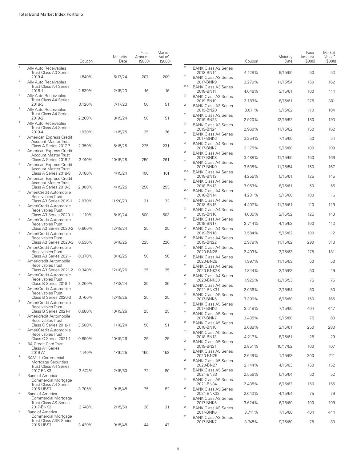|                |                                                                       | Coupon | Maturity<br>Date | Face<br>Amount<br>(S000) | Market<br>Value <sup>*</sup><br>(S000) |                                  |                                                                          | Coupon           | Maturity<br>Date    | Face<br>Amount<br>(\$000) | Market<br>Value <sup>•</sup><br>(\$000 |
|----------------|-----------------------------------------------------------------------|--------|------------------|--------------------------|----------------------------------------|----------------------------------|--------------------------------------------------------------------------|------------------|---------------------|---------------------------|----------------------------------------|
| $\overline{2}$ | Ally Auto Receivables<br>Trust Class A3 Series                        |        |                  |                          |                                        | $\overline{2}$                   | <b>BANK Class A2 Series</b><br>2018-BN14                                 | 4.128%           | 9/15/60             | 50                        | 53                                     |
| $\overline{2}$ | 2019-4<br>Ally Auto Receivables                                       | 1.840% | 6/17/24          | 207                      | 209                                    | $\overline{2}$                   | <b>BANK Class A3 Series</b><br>2017-BNK9                                 | 3.279%           | 11/15/54            | 150                       | 162                                    |
|                | Trust Class A4 Series<br>2018-1                                       | 2.530% | 2/15/23          | 16                       | 16                                     | 2,4                              | <b>BANK Class A3 Series</b><br>2018-BN11                                 | 4.046%           | 3/15/61             | 100                       | 114                                    |
| $\mathbf{2}$   | Ally Auto Receivables<br>Trust Class A4 Series                        |        |                  |                          |                                        | $\overline{2}$                   | <b>BANK Class A3 Series</b><br>2019-BN19                                 | 3.183%           | 8/15/61             | 275                       | 301                                    |
| $\mathbf{2}$   | 2018-3<br>Ally Auto Receivables                                       | 3.120% | 7/17/23          | 50                       | 51                                     | $\sqrt{2}$                       | <b>BANK Class A3 Series</b><br>2019-BN20                                 | 3.011%           | 9/15/62             | 170                       | 184                                    |
| $\overline{2}$ | Trust Class A4 Series<br>2019-2                                       | 2.260% | 8/15/24          | 50                       | 51                                     | $\overline{2}$                   | <b>BANK Class A3 Series</b><br>2019-BN23                                 | 2.920%           | 12/15/52            | 180                       | 193                                    |
|                | Ally Auto Receivables<br>Trust Class A4 Series<br>2019-4              | 1.920% | 1/15/25          | 25                       | 26                                     | $\overline{2}$                   | <b>BANK Class A3 Series</b><br>2019-BN24                                 | 2.960%           | 11/15/62            | 150                       | 162                                    |
| $\overline{2}$ | American Express Credit<br><b>Account Master Trust</b>                |        |                  |                          |                                        | $\mathbf{2}$                     | <b>BANK Class A4 Series</b><br>2017-BNK6                                 | 3.254%           | 7/15/60             | 50                        | 54                                     |
| $\overline{2}$ | Class A Series 2017-7<br>American Express Credit                      | 2.350% | 5/15/25          | 225                      | 231                                    | $\overline{2}$                   | <b>BANK Class A4 Series</b><br>2017-BNK7                                 | 3.175%           | 9/15/60             | 100                       | 109                                    |
|                | <b>Account Master Trust</b><br>Class A Series 2018-2                  | 3.010% | 10/15/25         | 250                      | 261                                    | $\overline{2}$<br>$\overline{2}$ | <b>BANK Class A4 Series</b><br>2017-BNK8                                 | 3.488%           | 11/15/50            | 150                       | 166                                    |
| $\overline{2}$ | American Express Credit<br><b>Account Master Trust</b>                |        |                  |                          |                                        | 2,4                              | <b>BANK Class A4 Series</b><br>2017-BNK9<br><b>BANK Class A4 Series</b>  | 3.538%           | 11/15/54            | 150                       | 167                                    |
| $\overline{2}$ | Class A Series 2018-8<br>American Express Credit                      | 3.180% | 4/15/24          | 100                      | 101                                    | $\overline{2}$                   | 2018-BN12<br><b>BANK Class A4 Series</b>                                 | 4.255%           | 5/15/61             | 125                       | 145                                    |
| $\overline{2}$ | <b>Account Master Trust</b><br>Class A Series 2019-3                  | 2.000% | 4/15/25          | 250                      | 255                                    | 2,4                              | 2018-BN13<br><b>BANK Class A4 Series</b>                                 | 3.953%           | 8/15/61             | 50                        | 56                                     |
|                | AmeriCredit Automobile<br>Receivables Trust<br>Class A3 Series 2019-1 | 2.970% | 11/20/23         | 31                       | 32                                     | 2,4                              | 2018-BN14<br><b>BANK Class A4 Series</b>                                 | 4.231%           | 9/15/60             | 100                       | 116                                    |
| $\overline{2}$ | AmeriCredit Automobile<br>Receivables Trust                           |        |                  |                          |                                        | $\overline{2}$                   | 2018-BN15<br><b>BANK Class A4 Series</b>                                 | 4.407%           | 11/15/61            | 110                       | 129                                    |
| $\overline{2}$ | Class A3 Series 2020-1<br>AmeriCredit Automobile                      | 1.110% | 8/19/24          | 500                      | 503                                    | $\overline{2}$                   | 2019-BN16<br><b>BANK Class A4 Series</b>                                 | 4.005%           | 2/15/52             | 125                       | 143                                    |
|                | Receivables Trust<br>Class A3 Series 2020-2                           | 0.660% | 12/18/24         | 25                       | 25                                     | $\overline{2}$                   | 2019-BN17<br><b>BANK Class A4 Series</b>                                 | 3.714%           | 4/15/52             | 100                       | 113                                    |
| $\overline{2}$ | AmeriCredit Automobile<br>Receivables Trust                           |        |                  |                          |                                        | $\overline{2}$                   | 2019-BN18<br><b>BANK Class A4 Series</b>                                 | 3.584%           | 5/15/62             | 100                       | 112                                    |
| $\overline{2}$ | Class A3 Series 2020-3<br>AmeriCredit Automobile                      | 0.530% | 6/18/25          | 225                      | 226                                    | $\overline{2}$                   | 2019-BN22<br><b>BANK Class A4 Series</b>                                 | 2.978%           | 11/15/62            | 290                       | 313                                    |
| $\overline{2}$ | Receivables Trust<br>Class A3 Series 2021-1                           | 0.370% | 8/18/25          | 50                       | 50                                     | $\boldsymbol{2}$                 | 2020-BN26<br><b>BANK Class A4 Series</b>                                 | 2.403%           | 3/15/63             | 175                       | 181                                    |
|                | Americredit Automobile<br>Receivables Trust<br>Class A3 Series 2021-2 | 0.340% | 12/18/26         | 25                       | 25                                     | $\overline{2}$                   | 2020-BN29<br><b>BANK Class A4 Series</b>                                 | 1.997%           | 11/15/53            | 50                        | 50                                     |
| $\overline{2}$ | AmeriCredit Automobile<br>Receivables Trust                           |        |                  |                          |                                        | $\overline{2}$                   | 2020-BNK28<br><b>BANK Class A4 Series</b><br>2020-BNK30                  | 1.844%           | 3/15/63             | 50                        | 49                                     |
| $\overline{2}$ | Class B Series 2018-1<br>AmeriCredit Automobile                       | 3.260% | 1/18/24          | 35                       | 36                                     | $\overline{a}$                   | <b>BANK Class A4 Series</b><br>2021-BNK31                                | 1.925%<br>2.036% | 12/15/53<br>2/15/54 | 75<br>50                  | 75<br>50                               |
|                | Receivables Trust<br>Class B Series 2020-3                            | 0.760% | 12/18/25         | 25                       | 25                                     | $\mathbf{2}$                     | <b>BANK Class A5 Series</b><br>2017-BNK5                                 | 3.390%           | 6/15/60             | 150                       | 165                                    |
| $\mathbf{2}$   | AmeriCredit Automobile<br>Receivables Trust                           |        |                  |                          |                                        | $\overline{2}$                   | <b>BANK Class A5 Series</b><br>2017-BNK6                                 | 3.518%           | 7/15/60             | 404                       | 447                                    |
| $\overline{2}$ | Class B Series 2021-1<br>Americredit Automobile                       | 0.680% | 10/19/26         | 25                       | 25                                     | $\overline{2}$                   | <b>BANK Class A5 Series</b><br>2017-BNK7                                 | 3.435%           | 9/15/60             | 75                        | 83                                     |
|                | Receivables Trust<br>Class C Series 2018-1                            | 3.500% | 1/18/24          | 50                       | 51                                     | $\overline{2}$                   | <b>BANK Class A5 Series</b><br>2018-BN10                                 | 3.688%           | 2/15/61             | 250                       | 280                                    |
|                | AmeriCredit Automobile<br>Receivables Trust<br>Class C Series 2021-1  | 0.890% | 10/19/26         | 25                       | 25                                     | 2,4                              | <b>BANK Class A5 Series</b><br>2018-BN13                                 | 4.217%           | 8/15/61             | 25                        | 29                                     |
| $\overline{2}$ | <b>BA Credit Card Trust</b><br>Class A1 Series                        |        |                  |                          |                                        | $\overline{a}$                   | <b>BANK Class A5 Series</b><br>2019-BN21                                 | 2.851%           | 10/17/52            | 100                       | 107                                    |
| $\overline{2}$ | 2019-A1<br><b>BAMLL Commercial</b>                                    | 1.740% | 1/15/25          | 150                      | 153                                    | $\overline{c}$                   | <b>BANK Class A5 Series</b><br>2020-BN25                                 | 2.649%           | 1/15/63             | 200                       | 211                                    |
|                | Mortgage Securities<br><b>Trust Class A4 Series</b>                   |        |                  |                          |                                        | $\overline{a}$                   | <b>BANK Class A5 Series</b><br>2020-BN27                                 | 2.144%           | 4/15/63             | 150                       | 152                                    |
| $\overline{2}$ | 2017-BNK3<br>Banc of America                                          | 3.574% | 2/15/50          | 72                       | 80                                     | $\overline{c}$<br>$\overline{2}$ | <b>BANK Class A5 Series</b><br>2021-BN33                                 | 2.556%           | 5/15/64             | 50                        | 52                                     |
|                | <b>Commercial Mortgage</b><br>Trust Class A4 Series<br>2015-UBS7      |        |                  |                          |                                        | $\overline{a}$                   | <b>BANK Class A5 Series</b><br>2021-BN34                                 | 2.438%           | 6/15/63             | 150                       | 155                                    |
| $\overline{2}$ | Banc of America<br>Commercial Mortgage                                | 3.705% | 9/15/48          | 75                       | 82                                     | $\overline{a}$                   | <b>BANK Class A5 Series</b><br>2021-BNK32<br><b>BANK Class AS Series</b> | 2.643%           | 4/15/54             | 75                        | 79                                     |
|                | <b>Trust Class AS Series</b><br>2017-BNK3                             | 3.748% | 2/15/50          | 28                       | 31                                     | $\overline{2}$                   | 2017-BNK5<br><b>BANK Class AS Series</b>                                 | 3.624%           | 6/15/60             | 100                       | 109                                    |
| $\overline{2}$ | Banc of America<br>Commercial Mortgage                                |        |                  |                          |                                        | $\overline{2}$                   | 2017-BNK6<br><b>BANK Class AS Series</b>                                 | 3.741%           | 7/15/60             | 404                       | 444                                    |
|                | <b>Trust Class ASB Series</b><br>2015-UBS7                            | 3.429% | 9/15/48          | 44                       | 47                                     |                                  | 2017-BNK7                                                                | 3.748%           | 9/15/60             | 75                        | 83                                     |

Market Value<sup>•</sup><br>(\$000)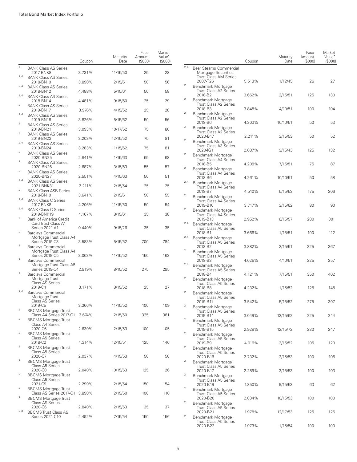| <b>BANK Class AS Series</b><br>2017-BNK8<br>3.731%<br>11/15/50<br>25<br>28<br>2,4<br><b>BANK Class AS Series</b><br>2018-BN10<br>3.898%<br>2/15/61<br>50<br>56<br>2,4<br><b>BANK Class AS Series</b><br>2018-BN12<br>58<br>4.488%<br>5/15/61<br>50<br>2,4<br><b>BANK Class AS Series</b><br>29<br>2018-BN14<br>4.481%<br>9/15/60<br>25<br>2<br><b>BANK Class AS Series</b><br>2019-BN17<br>3.976%<br>4/15/52<br>25<br>28<br>2,4<br><b>BANK Class AS Series</b><br>2019-BN18<br>3.826%<br>5/15/62<br>50<br>56<br>2<br><b>BANK Class AS Series</b><br>2019-BN21<br>75<br>80<br>3.093%<br>10/17/52<br>2<br><b>BANK Class AS Series</b><br>81<br>2019-BN23<br>3.203%<br>12/15/52<br>75<br>2,4<br><b>BANK Class AS Series</b><br>2019-BN24<br>81<br>3.283%<br>11/15/62<br>75<br>2<br><b>BANK Class AS Series</b><br>2020-BN25<br>2.841%<br>1/15/63<br>65<br>68<br>$\overline{2}$<br><b>BANK Class AS Series</b><br>2020-BN26<br>2.687%<br>55<br>57<br>3/15/63<br>2<br><b>BANK Class AS Series</b><br>2020-BN27<br>51<br>2.551%<br>4/15/63<br>50<br>2,4<br><b>BANK Class AS Series</b><br>2021-BNK31<br>2.211%<br>2/15/54<br>25<br>25<br>2<br><b>BANK Class ASB Series</b><br>2018-BN10<br>3.641%<br>2/15/61<br>50<br>55<br>2,4<br><b>BANK Class C Series</b><br>2017-BNK8<br>4.206%<br>11/15/50<br>50<br>54<br>2,4<br><b>BANK Class C Series</b><br>2019-BNK19<br>4.167%<br>8/15/61<br>35<br>38<br>2<br><b>Bank of America Credit</b><br>Card Trust Class A1<br><b>Series 2021-A1</b><br>0.440%<br>35<br>35<br>9/15/26<br>2<br>Barclays Commercial |                |                         | Coupon | Maturity<br>Date | Face<br>Amount<br>(S000) | Market<br>Value <sup>•</sup><br>(\$000) |
|-----------------------------------------------------------------------------------------------------------------------------------------------------------------------------------------------------------------------------------------------------------------------------------------------------------------------------------------------------------------------------------------------------------------------------------------------------------------------------------------------------------------------------------------------------------------------------------------------------------------------------------------------------------------------------------------------------------------------------------------------------------------------------------------------------------------------------------------------------------------------------------------------------------------------------------------------------------------------------------------------------------------------------------------------------------------------------------------------------------------------------------------------------------------------------------------------------------------------------------------------------------------------------------------------------------------------------------------------------------------------------------------------------------------------------------------------------------------------------------------------------------------------------------------------|----------------|-------------------------|--------|------------------|--------------------------|-----------------------------------------|
|                                                                                                                                                                                                                                                                                                                                                                                                                                                                                                                                                                                                                                                                                                                                                                                                                                                                                                                                                                                                                                                                                                                                                                                                                                                                                                                                                                                                                                                                                                                                               | $\overline{2}$ |                         |        |                  |                          |                                         |
|                                                                                                                                                                                                                                                                                                                                                                                                                                                                                                                                                                                                                                                                                                                                                                                                                                                                                                                                                                                                                                                                                                                                                                                                                                                                                                                                                                                                                                                                                                                                               |                |                         |        |                  |                          |                                         |
|                                                                                                                                                                                                                                                                                                                                                                                                                                                                                                                                                                                                                                                                                                                                                                                                                                                                                                                                                                                                                                                                                                                                                                                                                                                                                                                                                                                                                                                                                                                                               |                |                         |        |                  |                          |                                         |
|                                                                                                                                                                                                                                                                                                                                                                                                                                                                                                                                                                                                                                                                                                                                                                                                                                                                                                                                                                                                                                                                                                                                                                                                                                                                                                                                                                                                                                                                                                                                               |                |                         |        |                  |                          |                                         |
|                                                                                                                                                                                                                                                                                                                                                                                                                                                                                                                                                                                                                                                                                                                                                                                                                                                                                                                                                                                                                                                                                                                                                                                                                                                                                                                                                                                                                                                                                                                                               |                |                         |        |                  |                          |                                         |
|                                                                                                                                                                                                                                                                                                                                                                                                                                                                                                                                                                                                                                                                                                                                                                                                                                                                                                                                                                                                                                                                                                                                                                                                                                                                                                                                                                                                                                                                                                                                               |                |                         |        |                  |                          |                                         |
|                                                                                                                                                                                                                                                                                                                                                                                                                                                                                                                                                                                                                                                                                                                                                                                                                                                                                                                                                                                                                                                                                                                                                                                                                                                                                                                                                                                                                                                                                                                                               |                |                         |        |                  |                          |                                         |
|                                                                                                                                                                                                                                                                                                                                                                                                                                                                                                                                                                                                                                                                                                                                                                                                                                                                                                                                                                                                                                                                                                                                                                                                                                                                                                                                                                                                                                                                                                                                               |                |                         |        |                  |                          |                                         |
|                                                                                                                                                                                                                                                                                                                                                                                                                                                                                                                                                                                                                                                                                                                                                                                                                                                                                                                                                                                                                                                                                                                                                                                                                                                                                                                                                                                                                                                                                                                                               |                |                         |        |                  |                          |                                         |
|                                                                                                                                                                                                                                                                                                                                                                                                                                                                                                                                                                                                                                                                                                                                                                                                                                                                                                                                                                                                                                                                                                                                                                                                                                                                                                                                                                                                                                                                                                                                               |                |                         |        |                  |                          |                                         |
|                                                                                                                                                                                                                                                                                                                                                                                                                                                                                                                                                                                                                                                                                                                                                                                                                                                                                                                                                                                                                                                                                                                                                                                                                                                                                                                                                                                                                                                                                                                                               |                |                         |        |                  |                          |                                         |
|                                                                                                                                                                                                                                                                                                                                                                                                                                                                                                                                                                                                                                                                                                                                                                                                                                                                                                                                                                                                                                                                                                                                                                                                                                                                                                                                                                                                                                                                                                                                               |                |                         |        |                  |                          |                                         |
|                                                                                                                                                                                                                                                                                                                                                                                                                                                                                                                                                                                                                                                                                                                                                                                                                                                                                                                                                                                                                                                                                                                                                                                                                                                                                                                                                                                                                                                                                                                                               |                |                         |        |                  |                          |                                         |
|                                                                                                                                                                                                                                                                                                                                                                                                                                                                                                                                                                                                                                                                                                                                                                                                                                                                                                                                                                                                                                                                                                                                                                                                                                                                                                                                                                                                                                                                                                                                               |                |                         |        |                  |                          |                                         |
|                                                                                                                                                                                                                                                                                                                                                                                                                                                                                                                                                                                                                                                                                                                                                                                                                                                                                                                                                                                                                                                                                                                                                                                                                                                                                                                                                                                                                                                                                                                                               |                |                         |        |                  |                          |                                         |
|                                                                                                                                                                                                                                                                                                                                                                                                                                                                                                                                                                                                                                                                                                                                                                                                                                                                                                                                                                                                                                                                                                                                                                                                                                                                                                                                                                                                                                                                                                                                               |                |                         |        |                  |                          |                                         |
|                                                                                                                                                                                                                                                                                                                                                                                                                                                                                                                                                                                                                                                                                                                                                                                                                                                                                                                                                                                                                                                                                                                                                                                                                                                                                                                                                                                                                                                                                                                                               |                |                         |        |                  |                          |                                         |
| Series 2019-C3<br>700<br>3.583%<br>5/15/52<br>784                                                                                                                                                                                                                                                                                                                                                                                                                                                                                                                                                                                                                                                                                                                                                                                                                                                                                                                                                                                                                                                                                                                                                                                                                                                                                                                                                                                                                                                                                             |                | Mortgage Trust Class A4 |        |                  |                          |                                         |
| $\overline{2}$<br><b>Barclays Commercial</b><br>Mortgage Trust Class A4<br>Series 2019-C5<br>3.063%<br>11/15/52<br>150<br>163                                                                                                                                                                                                                                                                                                                                                                                                                                                                                                                                                                                                                                                                                                                                                                                                                                                                                                                                                                                                                                                                                                                                                                                                                                                                                                                                                                                                                 |                |                         |        |                  |                          |                                         |
| $\overline{2}$<br><b>Barclays Commercial</b><br>Mortgage Trust Class A5<br>Series 2019-C4<br>2.919%<br>8/15/52<br>275<br>295                                                                                                                                                                                                                                                                                                                                                                                                                                                                                                                                                                                                                                                                                                                                                                                                                                                                                                                                                                                                                                                                                                                                                                                                                                                                                                                                                                                                                  |                |                         |        |                  |                          |                                         |
| 2<br>Barclays Commercial<br>Mortgage Trust<br><b>Class AS Series</b>                                                                                                                                                                                                                                                                                                                                                                                                                                                                                                                                                                                                                                                                                                                                                                                                                                                                                                                                                                                                                                                                                                                                                                                                                                                                                                                                                                                                                                                                          |                |                         |        |                  |                          |                                         |
| 2019-C4<br>3.171%<br>25<br>27<br>8/15/52<br>2,4<br><b>Barclays Commercial</b>                                                                                                                                                                                                                                                                                                                                                                                                                                                                                                                                                                                                                                                                                                                                                                                                                                                                                                                                                                                                                                                                                                                                                                                                                                                                                                                                                                                                                                                                 |                |                         |        |                  |                          |                                         |
| Mortgage Trust<br><b>Class AS Series</b><br>2019-C5<br>3.366%<br>11/15/52<br>100<br>109                                                                                                                                                                                                                                                                                                                                                                                                                                                                                                                                                                                                                                                                                                                                                                                                                                                                                                                                                                                                                                                                                                                                                                                                                                                                                                                                                                                                                                                       |                |                         |        |                  |                          |                                         |
| BBCMS Mortgage Trust<br>Class A4 Series 2017-C1<br>3.674%<br>2/15/50<br>325<br>361                                                                                                                                                                                                                                                                                                                                                                                                                                                                                                                                                                                                                                                                                                                                                                                                                                                                                                                                                                                                                                                                                                                                                                                                                                                                                                                                                                                                                                                            |                |                         |        |                  |                          |                                         |
| 2<br><b>BBCMS Mortgage Trust</b><br>Class A4 Series                                                                                                                                                                                                                                                                                                                                                                                                                                                                                                                                                                                                                                                                                                                                                                                                                                                                                                                                                                                                                                                                                                                                                                                                                                                                                                                                                                                                                                                                                           |                |                         |        |                  |                          |                                         |
| 2020-C6<br>2.639%<br>100<br>105<br>2/15/53<br>2<br><b>BBCMS Mortgage Trust</b><br>Class A5 Series                                                                                                                                                                                                                                                                                                                                                                                                                                                                                                                                                                                                                                                                                                                                                                                                                                                                                                                                                                                                                                                                                                                                                                                                                                                                                                                                                                                                                                             |                |                         |        |                  |                          |                                         |
| 2018-C2<br>4.314%<br>125<br>146<br>12/15/51<br>2<br><b>BBCMS Mortgage Trust</b><br>Class A5 Series                                                                                                                                                                                                                                                                                                                                                                                                                                                                                                                                                                                                                                                                                                                                                                                                                                                                                                                                                                                                                                                                                                                                                                                                                                                                                                                                                                                                                                            |                |                         |        |                  |                          |                                         |
| 2020-C7<br>2.037%<br>4/15/53<br>50<br>50<br>2<br><b>BBCMS Mortgage Trust</b>                                                                                                                                                                                                                                                                                                                                                                                                                                                                                                                                                                                                                                                                                                                                                                                                                                                                                                                                                                                                                                                                                                                                                                                                                                                                                                                                                                                                                                                                  |                |                         |        |                  |                          |                                         |
| Class A5 Series<br>2020-C8<br>2.040%<br>10/15/53<br>125<br>126<br>2<br><b>BBCMS Mortgage Trust</b>                                                                                                                                                                                                                                                                                                                                                                                                                                                                                                                                                                                                                                                                                                                                                                                                                                                                                                                                                                                                                                                                                                                                                                                                                                                                                                                                                                                                                                            |                |                         |        |                  |                          |                                         |
| <b>Class A5 Series</b><br>2021-C9<br>2.299%<br>2/15/54<br>150<br>154                                                                                                                                                                                                                                                                                                                                                                                                                                                                                                                                                                                                                                                                                                                                                                                                                                                                                                                                                                                                                                                                                                                                                                                                                                                                                                                                                                                                                                                                          |                |                         |        |                  |                          |                                         |
| 2<br><b>BBCMS Mortgage Trust</b><br>Class AS Series 2017-C1<br>3.898%<br>2/15/50<br>100<br>110<br>2<br><b>BBCMS Mortgage Trust</b>                                                                                                                                                                                                                                                                                                                                                                                                                                                                                                                                                                                                                                                                                                                                                                                                                                                                                                                                                                                                                                                                                                                                                                                                                                                                                                                                                                                                            |                |                         |        |                  |                          |                                         |
| <b>Class AS Series</b><br>2020-C6<br>2.840%<br>35<br>37<br>2/15/53                                                                                                                                                                                                                                                                                                                                                                                                                                                                                                                                                                                                                                                                                                                                                                                                                                                                                                                                                                                                                                                                                                                                                                                                                                                                                                                                                                                                                                                                            |                |                         |        |                  |                          |                                         |
| 2,3<br><b>BBCMS Trust Class A5</b><br>Series 2021-C10<br>2.492%<br>7/15/54<br>150<br>156                                                                                                                                                                                                                                                                                                                                                                                                                                                                                                                                                                                                                                                                                                                                                                                                                                                                                                                                                                                                                                                                                                                                                                                                                                                                                                                                                                                                                                                      |                |                         |        |                  |                          |                                         |

|                         |                                                                                            | Coupon | Maturity<br>Date | Face<br>Amount<br>(S000) | Market<br>Value <sup>•</sup><br>(S000) |
|-------------------------|--------------------------------------------------------------------------------------------|--------|------------------|--------------------------|----------------------------------------|
| 2,4                     | Bear Stearns Commercial<br>Mortgage Securities<br><b>Trust Class AM Series</b><br>2007-T26 | 5.513% | 1/12/45          | 26                       | 27                                     |
| $\overline{\mathbf{c}}$ | Benchmark Mortgage<br><b>Trust Class A2 Series</b><br>2018-B2                              | 3.662% | 2/15/51          | 125                      | 130                                    |
| 2                       | Benchmark Mortgage<br><b>Trust Class A2 Series</b><br>2018-B3                              | 3.848% | 4/10/51          | 100                      | 104                                    |
| 2                       | Benchmark Mortgage<br><b>Trust Class A2 Series</b><br>2018-B6                              | 4.203% | 10/10/51         | 50                       | 53                                     |
| 2                       | Benchmark Mortgage<br><b>Trust Class A2 Series</b><br>2020-B17                             | 2.211% | 3/15/53          | 50                       | 52                                     |
| 2                       | Benchmark Mortgage<br><b>Trust Class A3 Series</b><br>2020-IG1                             | 2.687% | 9/15/43          | 125                      | 132                                    |
| 2                       | Benchmark Mortgage<br><b>Trust Class A4 Series</b><br>2018-B5                              | 4.208% | 7/15/51          | 75                       | 87                                     |
| 2                       | Benchmark Mortgage<br>Trust Class A4 Series<br>2018-B6                                     | 4.261% | 10/10/51         | 50                       | 58                                     |
| 2,4                     | Benchmark Mortgage<br><b>Trust Class A4 Series</b><br>2018-B7                              | 4.510% |                  |                          | 206                                    |
| 2                       | Benchmark Mortgage<br><b>Trust Class A4 Series</b>                                         |        | 5/15/53          | 175                      |                                        |
| 2                       | 2019-B10<br>Benchmark Mortgage<br>Trust Class A4 Series                                    | 3.717% | 3/15/62          | 80                       | 90                                     |
| 2,4                     | 2019-B13<br>Benchmark Mortgage<br>Trust Class A5 Series                                    | 2.952% | 8/15/57          | 280                      | 301                                    |
| 2,4                     | 2018-B1<br>Benchmark Mortgage<br><b>Trust Class A5 Series</b>                              | 3.666% | 1/15/51          | 100                      | 112                                    |
| 2                       | 2018-B2<br>Benchmark Mortgage<br><b>Trust Class A5 Series</b>                              | 3.882% | 2/15/51          | 325                      | 367                                    |
| 2,4                     | 2018-B3<br>Benchmark Mortgage<br><b>Trust Class A5 Series</b>                              | 4.025% | 4/10/51          | 225                      | 257                                    |
| 2                       | 2018-B4<br>Benchmark Mortgage<br><b>Trust Class A5 Series</b>                              | 4.121% | 7/15/51          | 350                      | 402                                    |
| 2                       | 2018-B8<br>Benchmark Mortgage<br><b>Trust Class A5 Series</b>                              | 4.232% | 1/15/52          | 125                      | 145                                    |
| 2                       | 2019-B11<br>Benchmark Mortgage<br>Trust Class A5 Series                                    | 3.542% | 5/15/52          | 275                      | 307                                    |
| 2                       | 2019-B14<br>Benchmark Mortgage<br>Trust Class A5 Series                                    | 3.049% | 12/15/62         | 225                      | 244                                    |
| 2                       | 2019-B15<br>Benchmark Mortgage<br>Trust Class A5 Series                                    | 2.928% | 12/15/72         | 230                      | 247                                    |
| 2                       | 2019-B9<br>Benchmark Mortgage<br><b>Trust Class A5 Series</b>                              | 4.016% | 3/15/52          | 105                      | 120                                    |
| $\overline{\mathbf{c}}$ | 2020-B16<br>Benchmark Mortgage<br>Trust Class A5 Series                                    | 2.732% | 2/15/53          | 100                      | 106                                    |
| 2                       | 2020-B17<br>Benchmark Mortgage<br><b>Trust Class A5 Series</b>                             | 2.289% | 3/15/53          | 100                      | 103                                    |
| 2                       | 2020-B19<br>Benchmark Mortgage<br>Trust Class A5 Series                                    | 1.850% | 9/15/53          | 63                       | 62                                     |
| $\overline{\mathbf{c}}$ | 2020-B20<br>Benchmark Mortgage<br>Trust Class A5 Series                                    | 2.034% | 10/15/53         | 100                      | 100                                    |
| $\overline{\mathbf{c}}$ | 2020-B21<br>Benchmark Mortgage<br><b>Trust Class A5 Series</b>                             | 1.978% | 12/17/53         | 125                      | 125                                    |
|                         | 2020-B22                                                                                   | 1.973% | 1/15/54          | 100                      | 100                                    |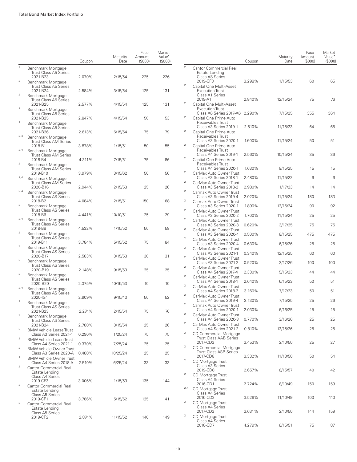|                                        |                                                                                           | Coupon           | Maturity<br>Date    | Face<br>Amount<br>(S000) | Market<br>Value <sup>•</sup><br>(\$000) |                                           |                                 |
|----------------------------------------|-------------------------------------------------------------------------------------------|------------------|---------------------|--------------------------|-----------------------------------------|-------------------------------------------|---------------------------------|
| $\overline{a}$                         | Benchmark Mortgage<br>Trust Class A5 Series<br>2021-B23                                   | 2.070%           | 2/15/54             | 225                      | 226                                     | $\bar{2}$                                 | Cantor Co<br>Estate<br>Class A  |
| $\mathbf{2}$                           | Benchmark Mortgage<br>Trust Class A5 Series                                               |                  |                     |                          |                                         | $\overline{c}$                            | 2019-C<br>Capital O             |
| $\bar{2}$                              | 2021-B24<br>Benchmark Mortgage<br>Trust Class A5 Series                                   | 2.584%           | 3/15/54             | 125                      | 131                                     |                                           | Execut<br>Class A<br>2019-A     |
| $\mathbf{2}$                           | 2021-B25<br>Benchmark Mortgage<br>Trust Class A5 Series                                   | 2.577%           | 4/15/54             | 125                      | 131                                     | 2                                         | Capital O<br>Execut<br>Class A  |
| $\mathbf{2}$                           | 2021-B25<br>Benchmark Mortgage                                                            | 2.847%           | 4/15/54             | 50                       | 53                                      | 2                                         | Capital O<br>Receiva<br>Class A |
| 2,4                                    | Trust Class A5 Series<br>2021-B26<br>Benchmark Mortgage                                   | 2.613%           | 6/15/54             | 75                       | 79                                      | 2                                         | Capital O<br>Receiva            |
| 2,4                                    | <b>Trust Class AM Series</b><br>2018-B1<br>Benchmark Mortgage                             | 3.878%           | 1/15/51             | 50                       | 55                                      | 2                                         | Class A<br>Capital O<br>Receiva |
| $\boldsymbol{2}$                       | Trust Class AM Series<br>2018-B4                                                          | 4.311%           | 7/15/51             | 75                       | 86                                      | $\mathfrak 2$                             | Class A<br>Capital O<br>Receiva |
| 2,4                                    | Benchmark Mortgage<br><b>Trust Class AM Series</b><br>2019-B10                            | 3.979%           | 3/15/62             | 50                       | 56                                      | $\mathbf 2$                               | Class A<br>CarMax A<br>Class A  |
|                                        | Benchmark Mortgage<br><b>Trust Class AM Series</b><br>2020-B16                            | 2.944%           | 2/15/53             | 25                       | 26                                      | $\overline{c}$                            | CarMax A<br>Class A             |
| 2,4                                    | Benchmark Mortgage<br><b>Trust Class AS Series</b><br>2018-B2                             | 4.084%           | 2/15/51             | 150                      | 168                                     | $\overline{c}$<br>$\overline{\mathbf{2}}$ | Carmax A<br>Class A<br>Carmax A |
| $\boldsymbol{2}$                       | Benchmark Mortgage<br><b>Trust Class AS Series</b><br>2018-B6                             | 4.441%           | 10/10/51            | 25                       | 29                                      | 2                                         | Class A<br>CarMax A<br>Class A  |
| 2,4                                    | Benchmark Mortgage<br><b>Trust Class AS Series</b><br>2018-B8                             | 4.532%           | 1/15/52             | 50                       | 58                                      | $\bar{2}$<br>$\overline{c}$               | CarMax A<br>Class $A$           |
| $\mathbf{2}$                           | Benchmark Mortgage<br><b>Trust Class AS Series</b>                                        |                  |                     |                          |                                         | $\mathbf{2}$                              | CarMax A<br>Class A<br>CarMax A |
| $\boldsymbol{2}$                       | 2019-B11<br>Benchmark Mortgage<br><b>Trust Class AS Series</b>                            | 3.784%           | 5/15/52             | 75                       | 84                                      | 2                                         | Class A<br>CarMax A<br>Class A  |
| $\mathbf 2$                            | 2020-B17<br>Benchmark Mortgage<br><b>Trust Class AS Series</b>                            | 2.583%           | 3/15/53             | 30                       | 31                                      | $\overline{\mathbf{2}}$<br>$\mathbf 2$    | CarMax A<br>Class A             |
| $\mathbf{2}$                           | 2020-B19<br>Benchmark Mortgage<br><b>Trust Class AS Series</b>                            | 2.148%           | 9/15/53             | 25                       | 25                                      | $\mathbf{2}$                              | CarMax A<br>Class A<br>CarMax A |
| 2,4                                    | 2020-B20<br>Benchmark Mortgage                                                            | 2.375%           | 10/15/53            | 10                       | 10                                      | $\overline{c}$                            | Class A<br>CarMax A<br>Class A  |
| $\mathbf{2}$                           | <b>Trust Class AS Series</b><br>2020-IG1<br>Benchmark Mortgage                            | 2.909%           | 9/15/43             | 50                       | 52                                      | $\mathfrak 2$<br>$\bar{2}$                | CarMax A<br>Class A<br>Carmax A |
| $\mathbf{2}$                           | Trust Class AS Series<br>2021-B23<br>Benchmark Mortgage                                   | 2.274%           | 2/15/54             | 75                       | 76                                      | $\mathbf{2}$                              | Class A<br>CarMax A             |
| $\overline{\mathbf{c}}$                | <b>Trust Class AS Series</b><br>2021-B24<br><b>BMW Vehicle Lease Trust</b>                | 2.780%           | 3/15/54             | 25                       | 26                                      | 2                                         | Class A<br>CarMax A<br>Class A  |
| $\overline{\mathbf{c}}$                | Class A3 Series 2021-1<br><b>BMW Vehicle Lease Trust</b>                                  | 0.290%           | 1/25/24             | 75                       | 75                                      | $\overline{\mathbf{c}}$                   | CD Comr<br>Trust C<br>2017-C    |
| $\overline{\mathbf{c}}$                | Class A4 Series 2021-1<br><b>BMW Vehicle Owner Trust</b><br>Class A3 Series 2020-A        | 0.370%<br>0.480% | 7/25/24<br>10/25/24 | 25<br>25                 | 25<br>25                                | $\overline{c}$                            | CD Comr<br>Trust C              |
| $\overline{\mathbf{c}}$<br>$\mathbf 2$ | <b>BMW Vehicle Owner Trust</b><br>Class A4 Series 2018-A<br><b>Cantor Commercial Real</b> | 2.510%           | 6/25/24             | 33                       | 33                                      | 2                                         | 2017-C<br>CD Morto<br>Class A   |
|                                        | Estate Lending<br>Class A4 Series<br>2019-CF3                                             | 3.006%           | 1/15/53             | 135                      | 144                                     | 2                                         | 2019-C<br>CD Morto<br>Class A   |
| $\boldsymbol{2}$                       | <b>Cantor Commercial Real</b><br>Estate Lending                                           |                  |                     |                          |                                         | 2,4                                       | 2016-C<br>CD Morto<br>Class A   |
| $\mathbf{2}$                           | Class A5 Series<br>2019-CF1<br><b>Cantor Commercial Real</b><br>Estate Lending            | 3.786%           | 5/15/52             | 125                      | 141                                     | $\overline{c}$                            | 2016-C<br>CD Morto<br>Class A   |
|                                        | Class A5 Series<br>2019-CF2                                                               | 2.874%           | 11/15/52            | 140                      | 149                                     | $\boldsymbol{2}$                          | 2017-C<br>CD Morto<br>Class A   |

|                         |                                                                              | Coupon | Maturity<br>Date | Face<br>Amount<br>(S000) | Market<br>Value <sup>•</sup><br>(\$000) |
|-------------------------|------------------------------------------------------------------------------|--------|------------------|--------------------------|-----------------------------------------|
| $\bar{2}$               | <b>Cantor Commercial Real</b><br>Estate Lending<br><b>Class AS Series</b>    |        |                  |                          |                                         |
| 2                       | 2019-CF3<br>Capital One Multi-Asset<br><b>Execution Trust</b>                | 3.298% | 1/15/53          | 60                       | 65                                      |
| 2                       | Class A1 Series<br>2019-A1<br>Capital One Multi-Asset                        | 2.840% | 12/15/24         | 75                       | 76                                      |
| 2                       | <b>Execution Trust</b><br>Class A6 Series 2017-A6<br>Capital One Prime Auto  | 2.290% | 7/15/25          | 355                      | 364                                     |
| 2                       | Receivables Trust<br>Class A3 Series 2019-1<br>Capital One Prime Auto        | 2.510% | 11/15/23         | 64                       | 65                                      |
| 2                       | Receivables Trust<br>Class A3 Series 2020-1<br>Capital One Prime Auto        | 1.600% | 11/15/24         | 50                       | 51                                      |
| 2                       | Receivables Trust<br>Class A4 Series 2019-1<br>Capital One Prime Auto        | 2.560% | 10/15/24         | 35                       | 36                                      |
| $\overline{\mathbf{c}}$ | Receivables Trust<br>Class A4 Series 2020-1<br>CarMax Auto Owner Trust       | 1.630% | 8/15/25          | 15                       | 15                                      |
| $\overline{2}$          | Class A3 Series 2018-1                                                       | 2.480% | 11/15/22         | 6                        | 6                                       |
|                         | CarMax Auto Owner Trust<br>Class A3 Series 2018-2                            | 2.980% | 1/17/23          | 14                       | 14                                      |
| 2<br>2                  | Carmax Auto Owner Trust<br>Class A3 Series 2019-4<br>Carmax Auto Owner Trust | 2.020% | 11/15/24         | 180                      | 183                                     |
| $\overline{\mathbf{c}}$ | Class A3 Series 2020-1                                                       | 1.890% | 12/16/24         | 90                       | 92                                      |
| $\overline{\mathbf{c}}$ | CarMax Auto Owner Trust<br>Class A3 Series 2020-2<br>CarMax Auto Owner Trust | 1.700% | 11/15/24         | 25                       | 25                                      |
| 2                       | Class A3 Series 2020-3                                                       | 0.620% | 3/17/25          | 75                       | 75                                      |
|                         | CarMax Auto Owner Trust<br>Class A3 Series 2020-4                            | 0.500% | 8/15/25          | 475                      | 475                                     |
| 2<br>2                  | CarMax Auto Owner Trust<br>Class A3 Series 2020-4<br>CarMax Auto Owner Trust | 0.630% | 6/15/26          | 25                       | 25                                      |
| 2                       | Class A3 Series 2021-1                                                       | 0.340% | 12/15/25         | 60                       | 60                                      |
| $\overline{\mathbf{c}}$ | CarMax Auto Owner Trust<br>Class A3 Series 2021-2<br>CarMax Auto Owner Trust | 0.520% | 2/17/26          | 100                      | 100                                     |
| $\overline{2}$          | Class A4 Series 2017-4                                                       | 2.330% | 5/15/23          | 44                       | 44                                      |
| 2                       | CarMax Auto Owner Trust<br>Class A4 Series 2018-1<br>CarMax Auto Owner Trust | 2.640% | 6/15/23          | 50                       | 51                                      |
| 2                       | Class A4 Series 2018-2                                                       | 3.160% | 7/17/23          | 50                       | 51                                      |
| $\overline{2}$          | CarMax Auto Owner Trust<br>Class A4 Series 2019-4<br>Carmax Auto Owner Trust | 2.130% | 7/15/25          | 25                       | 26                                      |
| $\overline{2}$          | Class A4 Series 2020-1<br>CarMax Auto Owner Trust                            | 2.030% | 6/16/25          | 15                       | 15                                      |
| $\overline{\mathbf{c}}$ | Class A4 Series 2020-3                                                       | 0.770% | 3/16/26          | 25                       | 25                                      |
| 2                       | CarMax Auto Owner Trust<br>Class A4 Series 2021-2<br>CD Commercial Mortgage  | 0.810% | 12/15/26         | 25                       | 25                                      |
| 2                       | <b>Trust Class AAB Series</b><br>2017-CD3<br>CD Commercial Mortgage          | 3.453% | 2/10/50          | 25                       | 27                                      |
| 2                       | <b>Trust Class ASB Series</b><br>2017-CD6<br>CD Mortgage Trust               | 3.332% | 11/13/50         | 50                       | 54                                      |
| 2                       | Class A3 Series<br>2019-CD8<br>CD Mortgage Trust                             | 2.657% | 8/15/57          | 40                       | 42                                      |
| 2,4                     | Class A4 Series<br>2016-CD1<br>CD Mortgage Trust                             | 2.724% | 8/10/49          | 150                      | 159                                     |
| 2                       | Class A4 Series<br>2016-CD2<br>CD Mortgage Trust                             | 3.526% | 11/10/49         | 100                      | 110                                     |
| 2                       | Class A4 Series<br>2017-CD3                                                  | 3.631% | 2/10/50          | 144                      | 159                                     |
|                         | CD Mortgage Trust<br>Class A4 Series<br>2018-CD7                             | 4.279% | 8/15/51          | 75                       | 87                                      |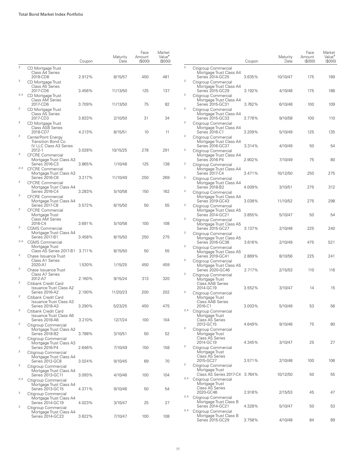|                         |                                                                             | Coupon | Maturity<br>Date | Face<br>Amount<br>(S000) | Market<br>Value <sup>•</sup><br>(S000) |
|-------------------------|-----------------------------------------------------------------------------|--------|------------------|--------------------------|----------------------------------------|
| $\overline{2}$          | CD Mortgage Trust<br>Class A4 Series<br>2019-CD8                            | 2.912% | 8/15/57          | 450                      | 481                                    |
| $\overline{2}$          | CD Mortgage Trust<br>Class A5 Series<br>2017-CD6                            | 3.456% | 11/13/50         | 125                      | 137                                    |
| 2,4                     | CD Mortgage Trust<br><b>Class AM Series</b>                                 |        |                  |                          |                                        |
| $\overline{\mathbf{c}}$ | 2017-CD6<br>CD Mortgage Trust<br>Class AS Series                            | 3.709% | 11/13/50         | 75                       | 82                                     |
| $\overline{\mathbf{c}}$ | 2017-CD3<br>CD Mortgage Trust<br><b>Class ASB Series</b>                    | 3.833% | 2/10/50          | 31                       | 34                                     |
| $\overline{2}$          | 2018-CD7<br>CenterPoint Energy<br>Transition Bond Co.                       | 4.213% | 8/15/51          | 10                       | 11                                     |
| $\mathbf{2}$            | IV LLC Class A3 Series<br>2012-1<br><b>CFCRE Commercial</b>                 | 3.028% | 10/15/25         | 278                      | 291                                    |
| 2,4                     | Mortgage Trust Class A3<br>Series 2016-C3<br><b>CFCRE Commercial</b>        | 3.865% | 1/10/48          | 125                      | 138                                    |
| $\overline{2}$          | Mortgage Trust Class A3<br>Series 2016-C6<br><b>CFCRE Commercial</b>        | 3.217% | 11/10/49         | 250                      | 269                                    |
| $\overline{2}$          | Mortgage Trust Class A4<br>Series 2016-C4<br><b>CFCRE</b> Commercial        | 3.283% | 5/10/58          | 150                      | 162                                    |
| $\mathbf{2}$            | Mortgage Trust Class A4<br><b>Series 2017-C8</b><br><b>CFCRE Commercial</b> | 3.572% | 6/15/50          | 50                       | 55                                     |
|                         | Mortgage Trust<br><b>Class AM Series</b><br>2016-C4                         | 3.691% | 5/10/58          | 100                      | 108                                    |
| $\overline{\mathbf{c}}$ | <b>CGMS Commercial</b><br>Mortgage Trust Class A4<br><b>Series 2017-B1</b>  | 3.458% | 8/15/50          | 250                      | 275                                    |
| 2,4                     | <b>CGMS Commercial</b><br>Mortgage Trust                                    |        |                  |                          |                                        |
| $\overline{2}$          | Class AS Series 2017-B1<br>Chase Issuance Trust<br>Class A1 Series          | 3.711% | 8/15/50          | 50                       | 55                                     |
| $\mathbf{2}$            | 2020-A1<br>Chase Issuance Trust<br>Class A7 Series                          | 1.530% | 1/15/25          | 450                      | 459                                    |
| 2                       | 2012-A7<br>Citibank Credit Card<br><b>Issuance Trust Class A2</b>           | 2.160% | 9/15/24          | 313                      | 320                                    |
| $\overline{2}$          | Series 2016-A2<br>Citibank Credit Card<br><b>Issuance Trust Class A3</b>    | 2.190% | 11/20/23         | 200                      | 202                                    |
| 2                       | Series 2018-A3<br>Citibank Credit Card<br><b>Issuance Trust Class A6</b>    | 3.290% | 5/23/25          | 450                      | 475                                    |
| $\overline{2}$          | Series 2018-A6<br>Citigroup Commercial                                      | 3.210% | 12/7/24          | 100                      | 104                                    |
| 2                       | Mortgage Trust Class A2<br><b>Series 2018-B2</b><br>Citigroup Commercial    | 3.788% | 3/10/51          | 50                       | 52                                     |
| $\mathbf{2}$            | Mortgage Trust Class A3<br>Series 2016-P4<br>Citigroup Commercial           | 2.646% | 7/10/49          | 150                      | 158                                    |
| $\overline{2}$          | Mortgage Trust Class A4<br>Series 2012-GC8<br>Citigroup Commercial          | 3.024% | 9/10/45          | 69                       | 70                                     |
| 2,4                     | Mortgage Trust Class A4<br>Series 2013-GC11<br>Citigroup Commercial         | 3.093% | 4/10/46          | 100                      | 104                                    |
| 2                       | Mortgage Trust Class A4<br>Series 2013-GC15                                 | 4.371% | 9/10/46          | 50                       | 54                                     |
| $\overline{2}$          | Citigroup Commercial<br>Mortgage Trust Class A4<br>Series 2014-GC19         | 4.023% | 3/10/47          | 25                       | 27                                     |
|                         | Citigroup Commercial<br>Mortgage Trust Class A4<br>Series 2014-GC23         | 3.622% | 7/10/47          | 100                      | 108                                    |

|        |                                                                                             | Coupon | Maturity<br>Date | Face<br>Amount<br>(S000) | Market<br>Value <sup>*</sup><br>(\$000) |
|--------|---------------------------------------------------------------------------------------------|--------|------------------|--------------------------|-----------------------------------------|
| 2      | Citigroup Commercial<br>Mortgage Trust Class A4<br>Series 2014-GC25                         | 3.635% | 10/10/47         | 175                      | 189                                     |
| 2      | Citigroup Commercial<br>Mortgage Trust Class A4<br>Series 2015-GC29                         | 3.192% | 4/10/48          | 175                      | 188                                     |
| 2      | Citigroup Commercial<br>Mortgage Trust Class A4<br>Series 2015-GC31                         | 3.762% | 6/10/48          | 100                      | 109                                     |
| 2      | Citigroup Commercial<br>Mortgage Trust Class A4<br>Series 2015-GC33                         | 3.778% | 9/10/58          | 100                      | 110                                     |
| 2      | Citigroup Commercial<br>Mortgage Trust Class A4<br>Series 2016-C1                           | 3.209% | 5/10/49          | 125                      | 135                                     |
| 2      | Citigroup Commercial<br>Mortgage Trust Class A4<br>Series 2016-GC37                         | 3.314% | 4/10/49          | 50                       | 54                                      |
| 2<br>2 | Citigroup Commercial<br>Mortgage Trust Class A4<br>Series 2016-P4                           | 2.902% | 7/10/49          | 75                       | 80                                      |
| 2      | Citigroup Commercial<br>Mortgage Trust Class A4<br>Series 2017-C4                           | 3.471% | 10/12/50         | 250                      | 275                                     |
| 2      | Citigroup Commercial<br>Mortgage Trust Class A4<br>Series 2018-B2                           | 4.009% | 3/10/51          | 275                      | 312                                     |
| 2      | Citigroup Commercial<br>Mortgage Trust Class A4<br>Series 2019-GC43                         | 3.038% | 11/10/52         | 275                      | 298                                     |
| 2      | Citigroup Commercial<br>Mortgage Trust Class A5<br>Series 2014-GC21                         | 3.855% | 5/10/47          | 50                       | 54                                      |
| 2      | Citigroup Commercial<br>Mortgage Trust Class A5<br>Series 2015-GC27                         | 3.137% | 2/10/48          | 225                      | 240                                     |
| 2      | Citigroup Commercial<br>Mortgage Trust Class A5<br>Series 2016-GC36<br>Citigroup Commercial | 3.616% | 2/10/49          | 475                      | 521                                     |
| 2      | Mortgage Trust Class A5<br>Series 2019-GC41<br>Citigroup Commercial                         | 2.869% | 8/10/56          | 225                      | 241                                     |
| 2      | Mortgage Trust Class A5<br>Series 2020-GC46<br>Citigroup Commercial                         | 2.717% | 2/15/53          | 110                      | 116                                     |
|        | Mortgage Trust<br>Class AAB Series<br>2014-GC19                                             | 3.552% | 3/10/47          | 14                       | 15                                      |
| 2      | Citigroup Commercial<br>Mortgage Trust<br>Class AAB Series                                  |        |                  |                          |                                         |
| 2,4    | 2016-C1<br>Citigroup Commercial<br>Mortgage Trust                                           | 3.003% | 5/10/49          | 53                       | 56                                      |
| 2      | <b>Class AS Series</b><br>2013-GC15<br>Citigroup Commercial                                 | 4.649% | 9/10/46          | 75                       | 80                                      |
|        | Mortgage Trust<br><b>Class AS Series</b><br>2014-GC19                                       | 4.345% | 3/10/47          | 25                       | 27                                      |
| 2      | Citigroup Commercial<br>Mortgage Trust<br>Class AS Series                                   |        |                  | 100                      |                                         |
| 2      | 2015-GC27<br>Citigroup Commercial<br>Mortgage Trust                                         | 3.571% | 2/10/48          |                          | 106                                     |
| 2,4    | Class AS Series 2017-C4 3.764%<br>Citigroup Commercial<br>Mortgage Trust                    |        | 10/12/50         | 50                       | 55                                      |
| 2,4    | <b>Class AS Series</b><br>2020-GC46<br>Citigroup Commercial                                 | 2.918% | 2/15/53          | 45                       | 47                                      |
| 2,4    | Mortgage Trust Class B<br>Series 2014-GC21<br>Citigroup Commercial                          | 4.328% | 5/10/47          | 50                       | 53                                      |
|        | Mortgage Trust Class B<br>Series 2015-GC29                                                  | 3.758% | 4/10/48          | 84                       | 89                                      |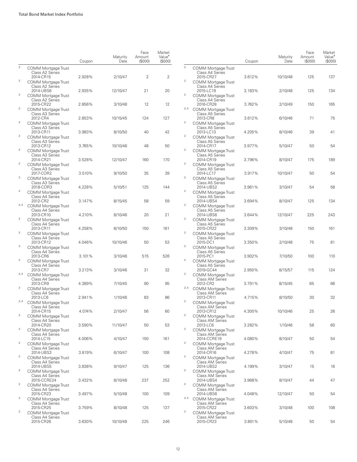|                |                                                            | Coupon | Maturity<br>Date | Face<br>Amount<br>(S000) | Market<br>Value <sup>•</sup><br>(S000) |                |
|----------------|------------------------------------------------------------|--------|------------------|--------------------------|----------------------------------------|----------------|
| $\overline{c}$ | COMM Mortgage Trust<br>Class A2 Series                     |        |                  |                          |                                        | $\overline{2}$ |
|                | 2014-CR15                                                  | 2.928% | 2/10/47          | 2                        | 2                                      |                |
| 2              | COMM Mortgage Trust<br>Class A2 Series                     |        |                  |                          |                                        | $\overline{2}$ |
| 2              | 2014-UBS6<br>COMM Mortgage Trust                           | 2.935% | 12/10/47         | 21                       | 20                                     | $\overline{c}$ |
| 2              | Class A2 Series<br>2015-CR22                               | 2.856% | 3/10/48          | 12                       | 12                                     | 2,4            |
|                | <b>COMM Mortgage Trust</b><br>Class A3 Series<br>2012-CR4  | 2.853% | 10/15/45         | 124                      | 127                                    |                |
| 2              | <b>COMM Mortgage Trust</b><br>Class A3 Series              |        |                  |                          |                                        | 2              |
| 2              | 2013-CR11<br>COMM Mortgage Trust                           | 3.983% | 8/10/50          | 40                       | 42                                     | $\overline{2}$ |
|                | Class A3 Series<br>2013-CR12                               | 3.765% | 10/10/46         | 48                       | 50                                     |                |
| 2              | <b>COMM Mortgage Trust</b><br>Class A3 Series              |        |                  |                          |                                        | 2              |
| 2              | 2014-CR21<br>COMM Mortgage Trust<br>Class A3 Series        | 3.528% | 12/10/47         | 160                      | 170                                    | 2              |
| 2              | 2017-COR2<br>COMM Mortgage Trust                           | 3.510% | 9/10/50          | 35                       | 39                                     | $\overline{2}$ |
|                | Class A3 Series<br>2018-COR3                               | 4.228% | 5/10/51          | 125                      | 144                                    |                |
| 2              | <b>COMM Mortgage Trust</b><br>Class A4 Series              |        |                  |                          |                                        | $\overline{2}$ |
| 2,4            | 2012-CR2<br>COMM Mortgage Trust<br>Class A4 Series         | 3.147% | 8/15/45          | 58                       | 59                                     | $\mathbf{2}$   |
| 2              | 2013-CR10<br><b>COMM Mortgage Trust</b>                    | 4.210% | 8/10/46          | 20                       | 21                                     | 2              |
|                | Class A4 Series<br>2013-CR11                               | 4.258% | 8/10/50          | 150                      | 161                                    |                |
| 2              | COMM Mortgage Trust<br>Class A4 Series                     |        |                  |                          |                                        | $\overline{2}$ |
| 2              | 2013-CR12<br>COMM Mortgage Trust<br>Class A4 Series        | 4.046% | 10/10/46         | 50                       | 53                                     | $\overline{2}$ |
| 2              | 2013-CR6<br><b>COMM Mortgage Trust</b>                     | 3.101% | 3/10/46          | 515                      | 526                                    | 2              |
|                | Class A4 Series<br>2013-CR7                                | 3.213% | 3/10/46          | 31                       | 32                                     |                |
| 2,4            | COMM Mortgage Trust<br>Class A4 Series                     |        |                  |                          |                                        | 2              |
| 2              | 2013-CR9<br><b>COMM Mortgage Trust</b><br>Class A4 Series  | 4.389% | 7/10/45          | 90                       | 95                                     | 2,4            |
| 2,4            | 2013-LC6<br>COMM Mortgage Trust                            | 2.941% | 1/10/46          | 83                       | 86                                     | $\overline{2}$ |
|                | Class A4 Series<br>2014-CR15                               | 4.074% | 2/10/47          | 56                       | 60                                     |                |
| 2              | <b>COMM Mortgage Trust</b><br>Class A4 Series              |        |                  |                          |                                        | $\overline{2}$ |
| 2              | 2014-CR20<br><b>COMM Mortgage Trust</b>                    | 3.590% | 11/10/47         | 50                       | 53                                     | $\overline{2}$ |
| 2              | Class A4 Series<br>2014-LC15<br>COMM Mortgage Trust        | 4.006% | 4/10/47          | 150                      | 161                                    | 2              |
|                | Class A4 Series<br>2014-UBS3                               | 3.819% | 6/10/47          | 100                      | 108                                    |                |
| 2              | <b>COMM Mortgage Trust</b><br>Class A4 Series              |        |                  |                          |                                        | $\bar{2}$      |
| 2              | 2014-UBS5<br><b>COMM Mortgage Trust</b>                    | 3.838% | 9/10/47          | 125                      | 136                                    | $\bar{2}$      |
| 2              | Class A4 Series<br>2015-CCRE24                             | 3.432% | 8/10/48          | 237                      | 252                                    | $\overline{c}$ |
|                | <b>COMM Mortgage Trust</b><br>Class A4 Series<br>2015-CR23 | 3.497% | 5/10/48          | 100                      | 109                                    |                |
| 2              | COMM Mortgage Trust<br>Class A4 Series                     |        |                  |                          |                                        | 2,4            |
| $\overline{2}$ | 2015-CR25<br><b>COMM Mortgage Trust</b>                    | 3.759% | 8/10/48          | 125                      | 137                                    | $\bar{2}$      |
|                | Class A4 Series<br>2015-CR26                               | 3.630% | 10/10/48         | 225                      | 246                                    |                |

|                         |                                                                   | Coupon | Maturity<br>Date | Face<br>Amount<br>(\$000) | Market<br>Value <sup>•</sup><br>(\$000) |
|-------------------------|-------------------------------------------------------------------|--------|------------------|---------------------------|-----------------------------------------|
| 2                       | COMM Mortgage Trust<br>Class A4 Series<br>2015-CR27               | 3.612% | 10/10/48         | 125                       | 137                                     |
| 2                       | <b>COMM Mortgage Trust</b><br>Class A4 Series                     |        |                  |                           |                                         |
| $\overline{\mathbf{c}}$ | 2015-LC19<br>COMM Mortgage Trust<br>Class A4 Series               | 3.183% | 2/10/48          | 125                       | 134                                     |
| 2,4                     | 2016-CR28<br>COMM Mortgage Trust<br>Class A5 Series               | 3.762% | 2/10/49          | 150                       | 165                                     |
| 2                       | 2013-CR8<br>COMM Mortgage Trust<br>Class A5 Series                | 3.612% | 6/10/46          | 71                        | 75                                      |
| 2                       | 2013-LC13<br><b>COMM Mortgage Trust</b><br>Class A5 Series        | 4.205% | 8/10/46          | 39                        | 41                                      |
| 2                       | 2014-CR17<br><b>COMM Mortgage Trust</b><br>Class A5 Series        | 3.977% | 5/10/47          | 50                        | 54                                      |
| $\overline{\mathbf{c}}$ | 2014-CR19<br>COMM Mortgage Trust                                  | 3.796% | 8/10/47          | 175                       | 189                                     |
| 2                       | Class A5 Series<br>2014-LC17<br><b>COMM Mortgage Trust</b>        | 3.917% | 10/10/47         | 50                        | 54                                      |
| 2                       | Class A5 Series<br>2014-UBS2<br>COMM Mortgage Trust               | 3.961% | 3/10/47          | 54                        | 58                                      |
| 2                       | Class A5 Series<br>2014-UBS4<br>COMM Mortgage Trust               | 3.694% | 8/10/47          | 125                       | 134                                     |
| $\overline{\mathbf{c}}$ | Class A5 Series<br>2014-UBS6<br>COMM Mortgage Trust               | 3.644% | 12/10/47         | 225                       | 243                                     |
| 2                       | Class A5 Series<br>2015-CR22<br><b>COMM Mortgage Trust</b>        | 3.309% | 3/10/48          | 150                       | 161                                     |
| 2                       | Class A5 Series<br>2015-DC1                                       | 3.350% | 2/10/48          | 75                        | 81                                      |
| 2                       | COMM Mortgage Trust<br>Class A5 Series<br>2015-PC1                | 3.902% | 7/10/50          | 100                       | 110                                     |
| $\overline{\mathbf{c}}$ | COMM Mortgage Trust<br>Class A5 Series<br>2019-GC44               | 2.950% | 8/15/57          | 115                       | 124                                     |
|                         | COMM Mortgage Trust<br>Class AM Series<br>2012-CR2                | 3.791% | 8/15/45          | 65                        | 66                                      |
| 2,4                     | COMM Mortgage Trust<br><b>Class AM Series</b><br>2013-CR11        | 4.715% | 8/10/50          | 30                        | 32                                      |
| 2                       | COMM Mortgage Trust<br><b>Class AM Series</b><br>2013-CR12        | 4.300% | 10/10/46         | 25                        | 26                                      |
| 2                       | COMM Mortgage Trust<br>Class AM Series<br>2013-LC6                | 3.282% | 1/10/46          | 58                        | 60                                      |
| $\overline{\mathbf{c}}$ | COMM Mortgage Trust<br>Class AM Series<br>2014-CCRE19             | 4.080% | 8/10/47          | 50                        | 54                                      |
| $\overline{\mathbf{c}}$ | COMM Mortgage Trust<br><b>Class AM Series</b><br>2014-CR16        | 4.278% | 4/10/47          | 75                        | 81                                      |
| 2                       | <b>COMM Mortgage Trust</b><br>Class AM Series                     |        |                  |                           |                                         |
| 2                       | 2014-UBS2<br><b>COMM Mortgage Trust</b><br><b>Class AM Series</b> | 4.199% | 3/10/47          | 15                        | 16                                      |
| $\overline{\mathbf{c}}$ | 2014-UBS4<br>COMM Mortgage Trust<br>Class AM Series               | 3.968% | 8/10/47          | 44                        | 47                                      |
| 2,4                     | 2014-UBS6<br>COMM Mortgage Trust<br><b>Class AM Series</b>        | 4.048% | 12/10/47         | 50                        | 54                                      |
| 2                       | 2015-CR22<br><b>COMM Mortgage Trust</b><br>Class AM Series        | 3.603% | 3/10/48          | 100                       | 108                                     |
|                         | 2015-CR23                                                         | 3.801% | 5/10/48          | 50                        | 54                                      |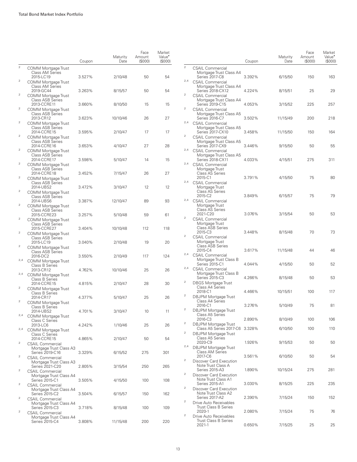|                         |                                                                       | Coupon | Maturity<br>Date | Face<br>Amount<br>(S000) | Market<br>Value <sup>•</sup><br>(S000) |
|-------------------------|-----------------------------------------------------------------------|--------|------------------|--------------------------|----------------------------------------|
| $\bar{2}$               | <b>COMM Mortgage Trust</b><br><b>Class AM Series</b><br>2015-LC19     | 3.527% | 2/10/48          | 50                       | 54                                     |
| $\overline{2}$          | <b>COMM Mortgage Trust</b><br>Class AM Series                         |        |                  |                          |                                        |
| 2                       | 2019-GC44<br><b>COMM Mortgage Trust</b><br><b>Class ASB Series</b>    | 3.263% | 8/15/57          | 50                       | 54                                     |
| $\overline{\mathbf{c}}$ | 2013-CCRE11<br><b>COMM Mortgage Trust</b><br><b>Class ASB Series</b>  | 3.660% | 8/10/50          | 15                       | 15                                     |
| $\overline{\mathbf{c}}$ | 2013-CR12<br>COMM Mortgage Trust                                      | 3.623% | 10/10/46         | 26                       | 27                                     |
| $\overline{2}$          | Class ASB Series<br>2014-CCRE15<br>COMM Mortgage Trust                | 3.595% | 2/10/47          | 17                       | 17                                     |
| 2                       | Class ASB Series<br>2014-CCRE16<br><b>COMM Mortgage Trust</b>         | 3.653% | 4/10/47          | 27                       | 28                                     |
|                         | <b>Class ASB Series</b><br>2014-CCRE17                                | 3.598% | 5/10/47          | 14                       | 15                                     |
| 2                       | COMM Mortgage Trust<br><b>Class ASB Series</b><br>2014-CCRE18         | 3.452% | 7/15/47          | 26                       | 27                                     |
| 2                       | COMM Mortgage Trust<br><b>Class ASB Series</b><br>2014-UBS2           | 3.472% | 3/10/47          | 12                       | 12                                     |
| $\overline{2}$          | <b>COMM Mortgage Trust</b><br><b>Class ASB Series</b><br>2014-UBS6    | 3.387% | 12/10/47         | 89                       | 93                                     |
| 2                       | COMM Mortgage Trust<br><b>Class ASB Series</b>                        |        |                  |                          |                                        |
| 2                       | 2015-CCRE23<br>COMM Mortgage Trust<br><b>Class ASB Series</b>         | 3.257% | 5/10/48          | 59                       | 61                                     |
| $\mathbf{2}$            | 2015-CCRE27<br>COMM Mortgage Trust<br><b>Class ASB Series</b>         | 3.404% | 10/10/48         | 112                      | 118                                    |
| $\overline{2}$          | 2015-LC19<br>COMM Mortgage Trust                                      | 3.040% | 2/10/48          | 19                       | 20                                     |
| 2,4                     | <b>Class ASB Series</b><br>2016-DC2<br>COMM Mortgage Trust            | 3.550% | 2/10/49          | 117                      | 124                                    |
| 2,4                     | <b>Class B Series</b><br>2013-CR12<br>COMM Mortgage Trust             | 4.762% | 10/10/46         | 25                       | 26                                     |
| $\overline{2}$          | <b>Class B Series</b><br>2014-CCRE15                                  | 4.815% | 2/10/47          | 28                       | 30                                     |
|                         | COMM Mortgage Trust<br><b>Class B Series</b><br>2014-CR17             | 4.377% | 5/10/47          | 25                       | 26                                     |
| $\overline{2}$          | <b>COMM Mortgage Trust</b><br><b>Class B Series</b><br>2014-UBS2      | 4.701% | 3/10/47          | 10                       | 11                                     |
| 2,4                     | COMM Mortgage Trust<br>Class C Series<br>2013-LC6                     | 4.242% | 1/10/46          | 25                       | 26                                     |
| 2,4                     | <b>COMM Mortgage Trust</b><br>Class C Series                          |        |                  |                          |                                        |
| $\overline{\mathbf{c}}$ | 2014-CCRE15<br><b>CSAIL Commercial</b><br>Mortgage Trust Class A3     | 4.865% | 2/10/47          | 50                       | 54                                     |
| 2                       | Series 2019-C16<br><b>CSAIL Commercial</b><br>Mortgage Trust Class A3 | 3.329% | 6/15/52          | 275                      | 301                                    |
| $\overline{2}$          | Series 2021-C20<br><b>CSAIL Commercial</b>                            | 2.805% | 3/15/54          | 250                      | 265                                    |
| 2                       | Mortgage Trust Class A4<br>Series 2015-C1<br><b>CSAIL Commercial</b>  | 3.505% | 4/15/50          | 100                      | 108                                    |
| 2                       | Mortgage Trust Class A4<br>Series 2015-C2<br><b>CSAIL Commercial</b>  | 3.504% | 6/15/57          | 150                      | 162                                    |
| $\boldsymbol{2}$        | Mortgage Trust Class A4<br>Series 2015-C3                             | 3.718% | 8/15/48          | 100                      | 109                                    |
|                         | <b>CSAIL Commercial</b><br>Mortgage Trust Class A4<br>Series 2015-C4  | 3.808% | 11/15/48         | 200                      | 220                                    |

|                         |                                                                                 | Coupon | Maturity<br>Date | Face<br>Amount<br>(\$000) | Market<br>Value <sup>•</sup><br>(\$000) |
|-------------------------|---------------------------------------------------------------------------------|--------|------------------|---------------------------|-----------------------------------------|
| $\overline{2}$          | <b>CSAIL Commercial</b><br>Mortgage Trust Class A4                              |        |                  |                           |                                         |
| 2,4                     | Series 2017-C8<br><b>CSAIL Commercial</b>                                       | 3.392% | 6/15/50          | 150                       | 163                                     |
| 2                       | Mortgage Trust Class A4<br>Series 2018-CX12<br><b>CSAIL Commercial</b>          | 4.224% | 8/15/51          | 25                        | 29                                      |
| $\overline{\mathbf{c}}$ | Mortgage Trust Class A4<br>Series 2019-C15                                      | 4.053% | 3/15/52          | 225                       | 257                                     |
| 2,4                     | <b>CSAIL Commercial</b><br>Mortgage Trust Class A5<br>Series 2016-C7            | 3.502% | 11/15/49         | 200                       | 218                                     |
| 2                       | <b>CSAIL Commercial</b><br>Mortgage Trust Class A5<br>Series 2017-CX10          | 3.458% | 11/15/50         | 150                       | 164                                     |
|                         | <b>CSAIL Commercial</b><br>Mortgage Trust Class A5<br>Series 2017-CX9           | 3.446% | 9/15/50          | 50                        | 55                                      |
| 2,4                     | <b>CSAIL Commercial</b><br>Mortgage Trust Class A5<br>Series 2018-CX11          | 4.033% | 4/15/51          | 275                       | 311                                     |
| 2,4                     | <b>CSAIL Commercial</b><br>Mortgage Trust<br><b>Class AS Series</b>             |        |                  |                           |                                         |
| 2,4                     | 2015-C1<br><b>CSAIL Commercial</b><br>Mortgage Trust                            | 3.791% | 4/15/50          | 75                        | 80                                      |
| 2,4                     | Class AS Series<br>2015-C2<br><b>CSAIL Commercial</b><br>Mortgage Trust         | 3.849% | 6/15/57          | 75                        | 79                                      |
| 2                       | <b>Class AS Series</b><br>2021-C20<br><b>CSAIL Commercial</b>                   | 3.076% | 3/15/54          | 50                        | 53                                      |
|                         | Mortgage Trust<br><b>Class ASB Series</b><br>2015-C3                            | 3.448% | 8/15/48          | 70                        | 73                                      |
| 2                       | <b>CSAIL Commercial</b><br>Mortgage Trust<br><b>Class ASB Series</b><br>2015-C4 | 3.617% | 11/15/48         | 44                        | 46                                      |
| 2,4                     | <b>CSAIL Commercial</b><br>Mortgage Trust Class B                               |        |                  |                           |                                         |
| 2,4                     | Series 2015-C1<br><b>CSAIL Commercial</b><br>Mortgage Trust Class B             | 4.044% | 4/15/50          | 50                        | 52                                      |
| 2                       | Series 2015-C3<br>DBGS Mortgage Trust<br>Class A4 Series                        | 4.266% | 8/15/48          | 50                        | 53                                      |
| 2                       | 2018-C1<br>DBJPM Mortgage Trust                                                 | 4.466% | 10/15/51         | 100                       | 117                                     |
| $\overline{\mathbf{c}}$ | Class A4 Series<br>2016-C1<br>DBJPM Mortgage Trust                              | 3.276% | 5/10/49          | 75                        | 81                                      |
| 2                       | Class A5 Series<br>2016-C3<br><b>DBJPM Mortgage Trust</b>                       | 2.890% | 8/10/49          | 100                       | 106                                     |
| 2                       | Class A5 Series 2017-C6<br><b>DBJPM Mortgage Trust</b>                          | 3.328% | 6/10/50          | 100                       | 110                                     |
| 2,4                     | Class A5 Series<br>2020-C9<br>DBJPM Mortgage Trust                              | 1.926% | 9/15/53          | 50                        | 50                                      |
| 2                       | <b>Class AM Series</b><br>2017-C6<br>Discover Card Execution                    | 3.561% | 6/10/50          | 50                        | 54                                      |
| 2                       | Note Trust Class A<br>Series 2015-A3<br>Discover Card Execution                 | 1.890% | 10/15/24         | 275                       | 281                                     |
| $\overline{\mathbf{c}}$ | Note Trust Class A1<br>Series 2015-A1                                           | 3.030% | 8/15/25          | 225                       | 235                                     |
|                         | Discover Card Execution<br>Note Trust Class A2<br><b>Series 2017-A2</b>         | 2.390% | 7/15/24          | 150                       | 152                                     |
| $\overline{\mathbf{c}}$ | Drive Auto Receivables<br><b>Trust Class B Series</b><br>2020-1                 | 2.080% | 7/15/24          | 75                        | 76                                      |
| 2                       | Drive Auto Receivables<br><b>Trust Class B Series</b><br>2021-1                 | 0.650% | 7/15/25          | 25                        | 25                                      |
|                         |                                                                                 |        |                  |                           |                                         |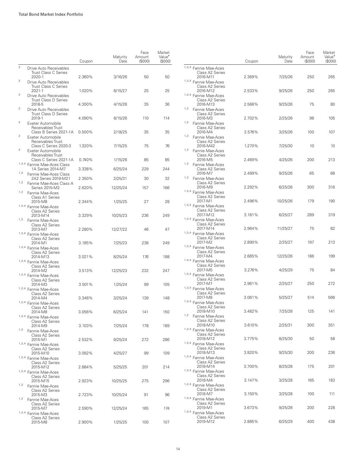|                         |                                                                                       | Coupon | Maturity<br>Date | Face<br>Amount<br>(S000) | Market<br>Value <sup>*</sup><br>(S000) |
|-------------------------|---------------------------------------------------------------------------------------|--------|------------------|--------------------------|----------------------------------------|
| $\overline{2}$          | Drive Auto Receivables                                                                |        |                  |                          |                                        |
| 2                       | <b>Trust Class C Series</b><br>2020-1                                                 | 2.360% | 3/16/26          | 50                       | 50                                     |
|                         | Drive Auto Receivables<br><b>Trust Class C Series</b><br>2021-1                       | 1.020% | 6/15/27          | 25                       | 25                                     |
| $\overline{\mathbf{c}}$ | Drive Auto Receivables<br><b>Trust Class D Series</b>                                 |        |                  |                          |                                        |
| $\overline{2}$          | 2018-5<br>Drive Auto Receivables                                                      | 4.300% | 4/15/26          | 35                       | 36                                     |
| 2                       | <b>Trust Class D Series</b><br>2019-1                                                 | 4.090% | 6/15/26          | 110                      | 114                                    |
| 2                       | Exeter Automobile<br>Receivables Trust<br>Class B Series 2021-1A<br>Exeter Automobile | 0.500% | 2/18/25          | 35                       | 35                                     |
|                         | Receivables Trust<br>Class C Series 2020-3                                            | 1.320% | 7/15/25          | 75                       | 76                                     |
| $\mathbf{2}$            | Exeter Automobile<br>Receivables Trust                                                |        |                  |                          |                                        |
|                         | Class C Series 2021-1A<br>1,2,4 Fannie Mae-Aces Class                                 | 0.740% | 1/15/26          | 85                       | 85                                     |
| 1,2                     | 1A Series 2014-M7                                                                     | 3.338% | 6/25/24          | 229                      | 244                                    |
| 1,2                     | Fannie Mae-Aces Class<br>2A2 Series 2019-M21<br>Fannie Mae-Aces Class A               | 2.350% | 2/25/31          | 30                       | 32                                     |
| 1,2                     | Series 2015-M2<br>Fannie Mae-Aces                                                     | 2.620% | 12/25/24         | 157                      | 166                                    |
|                         | Class A1 Series<br>2015-M8                                                            | 2.344% | 1/25/25          | 27                       | 28                                     |
|                         | 1,2,4 Fannie Mae-Aces<br>Class A2 Series                                              |        |                  | 236                      |                                        |
| 1,2                     | 2013-M14<br>Fannie Mae-Aces<br>Class A2 Series                                        | 3.329% | 10/25/23         |                          | 249                                    |
|                         | 2013-M7<br>1,2,4 Fannie Mae-Aces                                                      | 2.280% | 12/27/22         | 46                       | 47                                     |
|                         | Class A2 Series<br>2014-M1                                                            | 3.185% | 7/25/23          | 238                      | 249                                    |
|                         | 1,2,4 Fannie Mae-Aces<br>Class A2 Series<br>2014-M13                                  | 3.021% | 8/25/24          | 176                      | 188                                    |
|                         | 1,2,4 Fannie Mae-Aces<br>Class A2 Series<br>2014-M2                                   | 3.513% | 12/25/23         | 232                      | 247                                    |
|                         | 1,2,4 Fannie Mae-Aces<br>Class A2 Series                                              |        |                  |                          |                                        |
|                         | 2014-M3<br>1,2,4 Fannie Mae-Aces                                                      | 3.501% | 1/25/24          | 99                       | 105                                    |
|                         | Class A2 Series<br>2014-M4<br>1,2,4 Fannie Mae-Aces                                   | 3.346% | 3/25/24          | 139                      | 148                                    |
|                         | Class A2 Series<br>2014-M8                                                            | 3.056% | 6/25/24          | 141                      | 150                                    |
|                         | 1,2,4 Fannie Mae-Aces<br>Class A2 Series                                              |        |                  |                          |                                        |
| 1,2                     | 2014-M9<br>Fannie Mae-Aces<br>Class A2 Series                                         | 3.103% | 7/25/24          | 178                      | 189                                    |
|                         | 2015-M1<br>1,2,4 Fannie Mae-Aces                                                      | 2.532% | 9/25/24          | 272                      | 286                                    |
|                         | Class A2 Series<br>2015-M10                                                           | 3.092% | 4/25/27          | 99                       | 109                                    |
|                         | 1,2,4 Fannie Mae-Aces<br>Class A2 Series<br>2015-M12                                  | 2.884% | 5/25/25          | 201                      | 214                                    |
|                         | 1,2,4 Fannie Mae-Aces<br>Class A2 Series                                              |        |                  |                          |                                        |
| 1,2                     | 2015-M15<br>Fannie Mae-Aces                                                           | 2.923% | 10/25/25         | 275                      | 296                                    |
| 1,2                     | Class A2 Series<br>2015-M3                                                            | 2.723% | 10/25/24         | 91                       | 96                                     |
|                         | Fannie Mae-Aces<br>Class A2 Series<br>2015-M7                                         | 2.590% | 12/25/24         | 165                      | 174                                    |
|                         | 1,2,4 Fannie Mae-Aces<br>Class A2 Series                                              |        |                  |                          |                                        |
|                         | 2015-M8                                                                               | 2.900% | 1/25/25          | 100                      | 107                                    |

|     |                                                                 | Coupon | Maturity<br>Date | Face<br>Amount<br>(\$000) | Market<br>Value <sup>•</sup><br>(\$000) |
|-----|-----------------------------------------------------------------|--------|------------------|---------------------------|-----------------------------------------|
|     | 1,2,4 Fannie Mae-Aces                                           |        |                  |                           |                                         |
|     | Class A2 Series<br>2016-M11<br>1,2,4 Fannie Mae-Aces            | 2.369% | 7/25/26          | 250                       | 265                                     |
|     | Class A2 Series<br>2016-M12                                     | 2.533% | 9/25/26          | 250                       | 265                                     |
|     | 1,2,4 Fannie Mae-Aces<br>Class A2 Series<br>2016-M13            | 2.566% | 9/25/26          | 75                        | 80                                      |
| 1,2 | Fannie Mae-Aces<br>Class A2 Series<br>2016-M3                   | 2.702% | 2/25/26          | 98                        | 105                                     |
| 1,2 | Fannie Mae-Aces<br>Class A2 Series                              |        |                  |                           |                                         |
| 1,2 | 2016-M4<br>Fannie Mae-Aces<br>Class A2 Series                   | 2.576% | 3/25/26          | 100                       | 107                                     |
| 1,2 | 2016-M42<br>Fannie Mae-Aces                                     | 1.270% | 7/25/30          | 10                        | 10                                      |
| 1,2 | Class A2 Series<br>2016-M5<br>Fannie Mae-Aces                   | 2.469% | 4/25/26          | 200                       | 213                                     |
| 1,2 | Class A2 Series<br>2016-M7<br>Fannie Mae-Aces                   | 2.499% | 9/25/26          | 65                        | 68                                      |
|     | Class A2 Series<br>2016-M9<br>1,2,4 Fannie Mae-Aces             | 2.292% | 6/25/26          | 300                       | 316                                     |
|     | Class A2 Series<br>2017-M1                                      | 2.496% | 10/25/26         | 179                       | 190                                     |
|     | 1,2,4 Fannie Mae-Aces<br>Class A2 Series<br>2017-M12            | 3.181% | 6/25/27          | 289                       | 319                                     |
|     | <sup>1,2,4</sup> Fannie Mae-Aces<br>Class A2 Series<br>2017-M14 | 2.964% | 11/25/27         | 75                        | 82                                      |
|     | 1,2,4 Fannie Mae-Aces                                           |        |                  |                           |                                         |
|     | Class A2 Series<br>2017-M2<br>1,2,4 Fannie Mae-Aces             | 2.890% | 2/25/27          | 197                       | 213                                     |
|     | Class A2 Series<br>2017-M4<br>1,2,4 Fannie Mae-Aces             | 2.665% | 12/25/26         | 186                       | 199                                     |
|     | Class A2 Series<br>2017-M5                                      | 3.276% | 4/25/29          | 75                        | 84                                      |
|     | <sup>1,2,4</sup> Fannie Mae-Aces<br>Class A2 Series<br>2017-M7  | 2.961% | 2/25/27          | 250                       | 272                                     |
|     | 1,2,4 Fannie Mae-Aces<br>Class A2 Series<br>2017-M8             | 3.061% | 5/25/27          | 514                       | 566                                     |
|     | 1,2,4 Fannie Mae-Aces<br>Class A2 Series                        |        |                  |                           |                                         |
| 1,2 | 2018-M10<br>Fannie Mae-Aces<br>Class A2 Series                  | 3.482% | 7/25/28          | 125                       | 141                                     |
|     | 2018-M10<br>1,2,4 Fannie Mae-Aces<br>Class A2 Series            | 3.610% | 2/25/31          | 300                       | 351                                     |
|     | 2018-M12<br>1,2,4 Fannie Mae-Aces                               | 3.775% | 8/25/30          | 50                        | 58                                      |
|     | Class A2 Series<br>2018-M13<br>1,2,4 Fannie Mae-Aces            | 3.820% | 9/25/30          | 200                       | 236                                     |
|     | Class A2 Series<br>2018-M14                                     | 3.700% | 8/25/28          | 175                       | 201                                     |
|     | 1,2,4 Fannie Mae-Aces<br>Class A2 Series<br>2018-M4             | 3.147% | 3/25/28          | 165                       | 183                                     |
|     | <sup>1,2,4</sup> Fannie Mae-Aces<br>Class A2 Series<br>2018-M7  | 3.150% | 3/25/28          | 100                       | 111                                     |
|     | <sup>1,2,4</sup> Fannie Mae-Aces<br>Class A2 Series             |        |                  |                           |                                         |
|     | 2019-M1<br>1,2,4 Fannie Mae-Aces<br>Class A2 Series             | 3.673% | 9/25/28          | 200                       | 228                                     |
|     | 2019-M12                                                        | 2.885% | 6/25/29          | 400                       | 438                                     |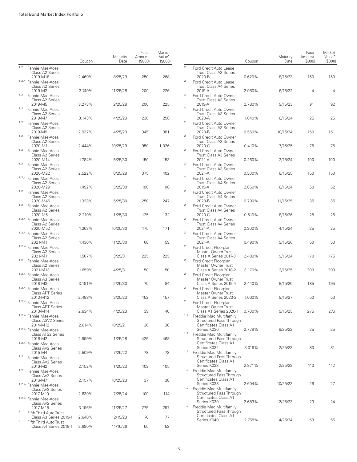|                         |                                                                | Coupon | Maturity<br>Date | Face<br>Amount<br>(S000) | Market<br>Value <sup>•</sup><br>(\$000) |
|-------------------------|----------------------------------------------------------------|--------|------------------|--------------------------|-----------------------------------------|
| 1,2                     | Fannie Mae-Aces<br>Class A2 Series                             |        |                  |                          |                                         |
|                         | 2019-M18<br>1,2,4 Fannie Mae-Aces<br>Class A2 Series           | 2.469% | 8/25/29          | 250                      | 268                                     |
| 1,2                     | 2019-M2<br>Fannie Mae-Aces                                     | 3.749% | 11/25/28         | 200                      | 226                                     |
|                         | Class A2 Series<br>2019-M5                                     | 3.273% | 2/25/29          | 200                      | 225                                     |
| 1,2                     | Fannie Mae-Aces<br>Class A2 Series<br>2019-M7                  | 3.143% | 4/25/29          | 230                      | 258                                     |
| 1,2                     | Fannie Mae-Aces<br>Class A2 Series<br>2019-M9                  | 2.937% | 4/25/29          | 345                      | 381                                     |
| 1,2                     | Fannie Mae-Aces<br>Class A2 Series                             |        |                  |                          |                                         |
| 1,2                     | 2020-M1<br>Fannie Mae-Aces<br>Class A2 Series                  | 2.444% | 10/25/29         | 950                      | 1,026                                   |
| 1,2                     | 2020-M14<br>Fannie Mae-Aces                                    | 1.784% | 5/25/30          | 150                      | 153                                     |
|                         | Class A2 Series<br>2020-M22<br>1,2,4 Fannie Mae-Aces           | 2.522% | 8/25/29          | 375                      | 402                                     |
| 1,2                     | Class A2 Series<br>2020-M29<br>Fannie Mae-Aces                 | 1.492% | 5/25/30          | 100                      | 100                                     |
| 1,2                     | Class A2 Series<br>2020-M46                                    | 1.323% | 5/25/30          | 250                      | 247                                     |
|                         | Fannie Mae-Aces<br>Class A2 Series<br>2020-M5                  | 2.210% | 1/25/30          | 125                      | 132                                     |
|                         | 1,2,4 Fannie Mae-Aces<br>Class A2 Series<br>2020-M52           | 1.363% | 10/25/30         | 175                      | 171                                     |
|                         | 1,2,4 Fannie Mae-Aces<br>Class A2 Series                       |        |                  |                          |                                         |
|                         | 2021-M1<br><sup>1,2,4</sup> Fannie Mae-Aces<br>Class A2 Series | 1.436% | 11/25/30         | 60                       | 59                                      |
| 1,2                     | 2021-M11<br>Fannie Mae-Aces                                    | 1.507% | 3/25/31          | 225                      | 225                                     |
|                         | Class A2 Series<br>2021-M13<br>1,2,4 Fannie Mae-Aces           | 1.659% | 4/25/31          | 50                       | 50                                      |
|                         | Class A3 Series<br>2018-M3<br>1,2,4 Fannie Mae-Aces            | 3.191% | 2/25/30          | 75                       | 84                                      |
|                         | <b>Class APT Series</b><br>2013-M12                            | 2.488% | 3/25/23          | 152                      | 157                                     |
|                         | 1,2,4 Fannie Mae-Aces<br><b>Class APT Series</b><br>2013-M14   | 2.634% | 4/25/23          | 39                       | 40                                      |
|                         | 1,2,4 Fannie Mae-Aces<br>Class ASV2 Series<br>2014-M12         | 2.614% | 10/25/21         | 36                       | 36                                      |
|                         | 1,2,4 Fannie Mae-Aces<br>Class ATS2 Series                     |        |                  |                          |                                         |
|                         | 2018-M2<br>1,2,4 Fannie Mae-Aces<br>Class AV2 Series           | 2.999% | 1/25/28          | 425                      | 468                                     |
| 1,2                     | 2015-M4<br>Fannie Mae-Aces                                     | 2.509% | 7/25/22          | 78                       | 78                                      |
| 1,2                     | Class AV2 Series<br>2016-M2<br>Fannie Mae-Aces                 | 2.152% | 1/25/23          | 103                      | 105                                     |
|                         | Class AV2 Series<br>2016-M7<br>1,2,4 Fannie Mae-Aces           | 2.157% | 10/25/23         | 37                       | 38                                      |
|                         | Class AV2 Series<br>2017-M10                                   | 2.639% | 7/25/24          | 109                      | 114                                     |
|                         | 1,2,4 Fannie Mae-Aces<br>Class AV2 Series<br>2017-M15          | 3.196% | 11/25/27         | 275                      | 297                                     |
| 2                       | Fifth Third Auto Trust<br>Class A3 Series 2019-1               | 2.640% | 12/15/23         | 76                       | 77                                      |
| $\overline{\mathbf{c}}$ | Fifth Third Auto Trust<br>Class A4 Series 2019-1               | 2.690% | 11/16/26         | 50                       | 52                                      |

|                         |                                                                                            | Coupon | Maturity<br>Date | Face<br>Amount<br>(\$000) | Market<br>Value <sup>•</sup><br>(\$000) |
|-------------------------|--------------------------------------------------------------------------------------------|--------|------------------|---------------------------|-----------------------------------------|
| $\overline{c}$          | Ford Credit Auto Lease<br><b>Trust Class A3 Series</b>                                     |        |                  |                           |                                         |
| 2                       | 2020-B<br>Ford Credit Auto Lease<br><b>Trust Class A4 Series</b>                           | 0.620% | 8/15/23          | 150                       | 150                                     |
| 2                       | $2019 - A$<br>Ford Credit Auto Owner<br>Trust Class A3 Series                              | 2.980% | 6/15/22          | 4                         | 4                                       |
| $\overline{\mathbf{c}}$ | 2019-A<br>Ford Credit Auto Owner<br><b>Trust Class A3 Series</b>                           | 2.780% | 9/15/23          | 91                        | 92                                      |
| 2                       | 2020-A<br>Ford Credit Auto Owner                                                           | 1.040% | 8/15/24          | 25                        | 25                                      |
| 2                       | <b>Trust Class A3 Series</b><br>2020-B<br>Ford Credit Auto Owner                           | 0.560% | 10/15/24         | 150                       | 151                                     |
| 2                       | <b>Trust Class A3 Series</b><br>2020-C<br>Ford Credit Auto Owner                           | 0.410% | 7/15/25          | 75                        | 75                                      |
| 2                       | <b>Trust Class A3 Series</b><br>2021-A<br>Ford Credit Auto Owner                           | 0.260% | 2/15/24          | 100                       | 100                                     |
| 2                       | <b>Trust Class A3 Series</b><br>$2021 - A$                                                 | 0.300% | 8/15/25          | 150                       | 150                                     |
|                         | Ford Credit Auto Owner<br><b>Trust Class A4 Series</b><br>2019-A                           | 2.850% | 8/15/24          | 50                        | 52                                      |
| 2                       | Ford Credit Auto Owner<br><b>Trust Class A4 Series</b><br>2020-B                           | 0.790% | 11/15/25         | 35                        | 35                                      |
| 2                       | Ford Credit Auto Owner<br><b>Trust Class A4 Series</b><br>$2020 - C$                       | 0.510% | 8/15/26          | 25                        | 25                                      |
| 2                       | Ford Credit Auto Owner<br><b>Trust Class A4 Series</b><br>2021-A                           | 0.300% | 4/15/24          | 25                        | 25                                      |
| 2                       | Ford Credit Auto Owner<br><b>Trust Class A4 Series</b><br>2021-A                           | 0.490% | 9/15/26          | 50                        | 50                                      |
| 2                       | Ford Credit Floorplan<br>Master Owner Trust<br>Class A Series 2017-3                       | 2.480% | 9/15/24          | 170                       | 175                                     |
| 2                       | Ford Credit Floorplan<br>Master Owner Trust                                                |        |                  |                           |                                         |
| 2                       | Class A Series 2018-2<br>Ford Credit Floorplan<br>Master Owner Trust                       | 3.170% | 3/15/25          | 200                       | 209                                     |
| 2                       | Class A Series 2019-4<br>Ford Credit Floorplan<br>Master Owner Trust                       | 2.440% | 9/15/26          | 185                       | 195                                     |
| 2                       | Class A Series 2020-2<br>Ford Credit Floorplan<br>Master Owner Trust                       | 1.060% | 9/15/27          | 50                        | 50                                      |
| 1,2                     | Class A1 Series 2020-1<br>Freddie Mac Multifamily<br>Structured Pass Through               | 0.700% | 9/15/25          | 275                       | 276                                     |
| 1,2                     | Certificates Class A1<br>Series K030<br>Freddie Mac Multifamily                            | 2.779% | 9/25/22          | 25                        | 25                                      |
|                         | Structured Pass Through<br>Certificates Class A1<br>Series K032                            | 3.016% | 2/25/23          | 80                        | 81                                      |
| 1,2                     | Freddie Mac Multifamily<br>Structured Pass Through<br>Certificates Class A1                |        |                  |                           |                                         |
| 1,2                     | Series K033<br>Freddie Mac Multifamily<br>Structured Pass Through                          | 2.871% | 2/25/23          | 110                       | 112                                     |
| 1,2                     | Certificates Class A1<br>Series K038<br>Freddie Mac Multifamily                            | 2.604% | 10/25/23         | 26                        | 27                                      |
| 1,2                     | Structured Pass Through<br>Certificates Class A1<br>Series K039<br>Freddie Mac Multifamily | 2.683% | 12/25/23         | 23                        | 24                                      |
|                         | Structured Pass Through<br>Certificates Class A1<br>Series K040                            | 2.768% | 4/25/24          | 53                        | 55                                      |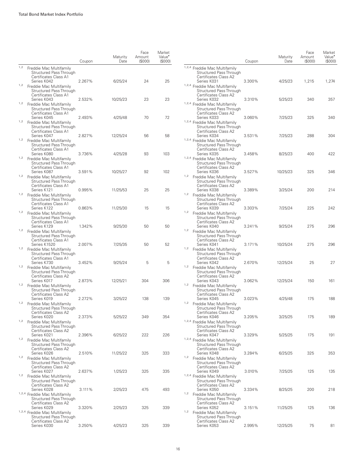|     |                                                                                                  | Coupon | Maturity<br>Date | Face<br>Amount<br>(S000) | Market<br>Value <sup>•</sup><br>(S000) |
|-----|--------------------------------------------------------------------------------------------------|--------|------------------|--------------------------|----------------------------------------|
| 1,2 | Freddie Mac Multifamily<br>Structured Pass Through<br>Certificates Class A1                      |        |                  |                          |                                        |
| 1,2 | Series K042<br>Freddie Mac Multifamily<br>Structured Pass Through                                | 2.267% | 6/25/24          | 24                       | 25                                     |
| 1,2 | Certificates Class A1<br>Series K043<br>Freddie Mac Multifamily<br>Structured Pass Through       | 2.532% | 10/25/23         | 23                       | 23                                     |
| 1,2 | Certificates Class A1<br>Series K045<br>Freddie Mac Multifamily                                  | 2.493% | 4/25/48          | 70                       | 72                                     |
|     | Structured Pass Through<br>Certificates Class A1<br>Series K047                                  | 2.827% | 12/25/24         | 56                       | 58                                     |
| 1,2 | Freddie Mac Multifamily<br>Structured Pass Through<br>Certificates Class A1<br>Series K080       | 3.736% | 4/25/28          | 93                       | 103                                    |
| 1,2 | Freddie Mac Multifamily<br>Structured Pass Through<br>Certificates Class A1                      |        |                  |                          |                                        |
| 1,2 | Series K087<br>Freddie Mac Multifamily<br>Structured Pass Through                                | 3.591% | 10/25/27         | 92                       | 102                                    |
| 1,2 | Certificates Class A1<br>Series K121<br>Freddie Mac Multifamily<br>Structured Pass Through       | 0.995% | 11/25/53         | 25                       | 25                                     |
| 1,2 | Certificates Class A1<br>Series K122<br>Freddie Mac Multifamily                                  | 0.863% | 11/25/30         | 15                       | 15                                     |
| 1,2 | Structured Pass Through<br>Certificates Class A1<br>Series K129                                  | 1.342% | 9/25/30          | 50                       | 50                                     |
|     | Freddie Mac Multifamily<br>Structured Pass Through<br>Certificates Class A1<br>Series K1520      | 2.007% | 7/25/35          | 50                       | 52                                     |
| 1,2 | Freddie Mac Multifamily<br>Structured Pass Through<br>Certificates Class A1                      |        |                  |                          |                                        |
| 1,2 | Series K730<br>Freddie Mac Multifamily<br>Structured Pass Through<br>Certificates Class A2       | 3.452% | 9/25/24          | 5                        | 5                                      |
| 1,2 | Series K017<br>Freddie Mac Multifamily<br>Structured Pass Through                                | 2.873% | 12/25/21         | 304                      | 306                                    |
| 1,2 | Certificates Class A2<br>Series K019<br>Freddie Mac Multifamily                                  | 2.272% | 3/25/22          | 138                      | 139                                    |
| 1,2 | Structured Pass Through<br>Certificates Class A2<br>Series K020<br>Freddie Mac Multifamily       | 2.373% | 5/25/22          | 349                      | 354                                    |
| 1,2 | Structured Pass Through<br>Certificates Class A2<br>Series K021                                  | 2.396% | 6/25/22          | 222                      | 226                                    |
|     | Freddie Mac Multifamily<br>Structured Pass Through<br>Certificates Class A2<br>Series K026       | 2.510% | 11/25/22         | 325                      | 333                                    |
| 1,2 | Freddie Mac Multifamily<br>Structured Pass Through<br>Certificates Class A2                      |        |                  |                          |                                        |
| 1,2 | Series K027<br>Freddie Mac Multifamily<br>Structured Pass Through                                | 2.637% | 1/25/23          | 325                      | 335                                    |
|     | Certificates Class A2<br>Series K028<br>1,2,4 Freddie Mac Multifamily<br>Structured Pass Through | 3.111% | 2/25/23          | 475                      | 493                                    |
|     | Certificates Class A2<br>Series K029<br>1,2,4 Freddie Mac Multifamily                            | 3.320% | 2/25/23          | 325                      | 339                                    |
|     | Structured Pass Through<br>Certificates Class A2<br>Series K030                                  | 3.250% | 4/25/23          | 325                      | 339                                    |

|      |                                                                                                                    | Coupon | Maturity<br>Date   | Face<br>Amount<br>(S000) | Market<br>Value <sup>•</sup><br>(\$000) |
|------|--------------------------------------------------------------------------------------------------------------------|--------|--------------------|--------------------------|-----------------------------------------|
|      | <sup>1,2,4</sup> Freddie Mac Multifamily<br>Structured Pass Through<br>Certificates Class A2<br>Series K031        | 3.300% | 4/25/23            | 1,215                    | 1,274                                   |
|      | 1,2,4 Freddie Mac Multifamily<br><b>Structured Pass Through</b><br>Certificates Class A2<br>Series K032            | 3.310% |                    | 340                      | 357                                     |
|      | 1,2,4 Freddie Mac Multifamily<br>Structured Pass Through<br>Certificates Class A2<br>Series K033                   | 3.060% | 5/25/23<br>7/25/23 | 325                      | 340                                     |
|      | 1,2,4 Freddie Mac Multifamily<br><b>Structured Pass Through</b><br>Certificates Class A2                           |        |                    |                          |                                         |
|      | Series K034<br>1,2,4 Freddie Mac Multifamily<br>Structured Pass Through<br>Certificates Class A2                   | 3.531% | 7/25/23            | 288                      | 304                                     |
|      | Series K035<br>1,2,4 Freddie Mac Multifamily<br>Structured Pass Through<br>Certificates Class A2                   | 3.458% | 8/25/23            | 400                      | 422                                     |
| 1,2  | Series K036<br>Freddie Mac Multifamily<br>Structured Pass Through<br>Certificates Class A2                         | 3.527% | 10/25/23           | 325                      | 346                                     |
| 1,2  | Series K038<br>Freddie Mac Multifamily<br>Structured Pass Through<br>Certificates Class A2                         | 3.389% | 3/25/24            | 200                      | 214                                     |
| 1,2  | Series K039<br>Freddie Mac Multifamily<br>Structured Pass Through<br>Certificates Class A2                         | 3.303% | 7/25/24            | 225                      | 242                                     |
| 1,2  | Series K040<br>Freddie Mac Multifamily<br>Structured Pass Through<br>Certificates Class A2                         | 3.241% | 9/25/24            | 275                      | 296                                     |
| 1,2  | Series K041<br>Freddie Mac Multifamily<br>Structured Pass Through<br>Certificates Class A2                         | 3.171% | 10/25/24           | 275                      | 296                                     |
| 1,2  | Series K042<br>Freddie Mac Multifamily<br>Structured Pass Through                                                  | 2.670% | 12/25/24           | 25                       | 27                                      |
| 1, 2 | Certificates Class A2<br>Series K043<br>Freddie Mac Multifamily<br>Structured Pass Through                         | 3.062% | 12/25/24           | 150                      | 161                                     |
| 1,2  | Certificates Class A2<br>Series K045<br>Freddie Mac Multifamily<br>Structured Pass Through                         | 3.023% | 4/25/48            | 175                      | 188                                     |
|      | Certificates Class A2<br>Series K046<br>1,2,4 Freddie Mac Multifamily<br><b>Structured Pass Through</b>            | 3.205% | 3/25/25            | 175                      | 189                                     |
|      | Certificates Class A2<br>Series K047<br><sup>1,2,4</sup> Freddie Mac Multifamily<br><b>Structured Pass Through</b> | 3.329% | 5/25/25            | 175                      | 191                                     |
| 1,2  | Certificates Class A2<br>Series K048<br>Freddie Mac Multifamily<br>Structured Pass Through                         | 3.284% | 6/25/25            | 325                      | 353                                     |
|      | Certificates Class A2<br>Series K049<br><sup>1,2,4</sup> Freddie Mac Multifamily<br><b>Structured Pass Through</b> | 3.010% | 7/25/25            | 125                      | 135                                     |
| 1,2  | Certificates Class A2<br>Series K050<br>Freddie Mac Multifamily<br><b>Structured Pass Through</b>                  | 3.334% | 8/25/25            | 200                      | 218                                     |
| 1,2  | Certificates Class A2<br>Series K052<br>Freddie Mac Multifamily                                                    | 3.151% | 11/25/25           | 125                      | 136                                     |
|      | <b>Structured Pass Through</b><br>Certificates Class A2<br>Series K053                                             | 2.995% | 12/25/25           | 75                       | 81                                      |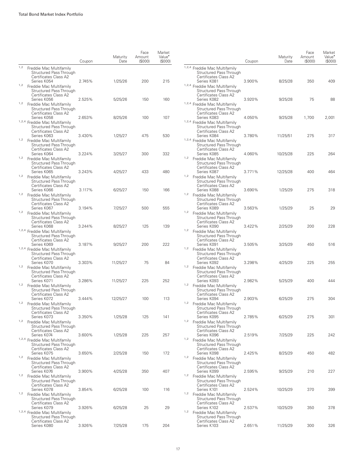|     |                                                                                                           | Coupon           | Maturity<br>Date   | Face<br>Amount<br>(S000) | Market<br>Value <sup>•</sup><br>(S000) |
|-----|-----------------------------------------------------------------------------------------------------------|------------------|--------------------|--------------------------|----------------------------------------|
| 1,2 | Freddie Mac Multifamily<br>Structured Pass Through<br>Certificates Class A2                               |                  |                    |                          |                                        |
| 1,2 | Series K054<br>Freddie Mac Multifamily<br>Structured Pass Through<br>Certificates Class A2                | 2.745%           | 1/25/26            | 200                      | 215                                    |
| 1,2 | Series K056<br>Freddie Mac Multifamily<br>Structured Pass Through<br>Certificates Class A2                | 2.525%           | 5/25/26            | 150                      | 160                                    |
|     | Series K058<br>1,2,4 Freddie Mac Multifamily<br>Structured Pass Through<br>Certificates Class A2          | 2.653%           | 8/25/26            | 100                      | 107                                    |
| 1,2 | Series K063<br>Freddie Mac Multifamily<br>Structured Pass Through<br>Certificates Class A2<br>Series K064 | 3.430%<br>3.224% | 1/25/27<br>3/25/27 | 475<br>300               | 530<br>332                             |
| 1,2 | Freddie Mac Multifamily<br>Structured Pass Through<br>Certificates Class A2<br>Series K065                | 3.243%           | 4/25/27            | 433                      | 480                                    |
| 1,2 | Freddie Mac Multifamily<br>Structured Pass Through<br>Certificates Class A2<br>Series K066                | 3.117%           | 6/25/27            | 150                      | 166                                    |
| 1,2 | Freddie Mac Multifamily<br>Structured Pass Through<br>Certificates Class A2<br>Series K067                | 3.194%           | 7/25/27            | 500                      | 555                                    |
| 1,2 | Freddie Mac Multifamily<br>Structured Pass Through<br>Certificates Class A2<br>Series K068                | 3.244%           | 8/25/27            | 125                      | 139                                    |
|     | 1,2,4 Freddie Mac Multifamily<br><b>Structured Pass Through</b><br>Certificates Class A2<br>Series K069   | 3.187%           | 9/25/27            | 200                      | 222                                    |
|     | 1,2,4 Freddie Mac Multifamily<br>Structured Pass Through<br>Certificates Class A2<br>Series K070          | 3.303%           | 11/25/27           | 75                       | 84                                     |
| 1,2 | Freddie Mac Multifamily<br>Structured Pass Through<br>Certificates Class A2<br>Series K071                | 3.286%           | 11/25/27           | 225                      | 252                                    |
| 1,2 | Freddie Mac Multifamily<br>Structured Pass Through<br>Certificates Class A2<br>Series K072                | 3.444%           | 12/25/27           | 100                      | 113                                    |
| 1,2 | Freddie Mac Multifamily<br>Structured Pass Through<br>Certificates Class A2<br>Series K073                | 3.350%           | 1/25/28            | 125                      | 141                                    |
| 1,2 | Freddie Mac Multifamily<br>Structured Pass Through<br>Certificates Class A2<br>Series K074                | 3.600%           | 1/25/28            | 225                      | 257                                    |
|     | 1,2,4 Freddie Mac Multifamily<br><b>Structured Pass Through</b><br>Certificates Class A2<br>Series K075   | 3.650%           | 2/25/28            | 150                      | 172                                    |
| 1,2 | Freddie Mac Multifamily<br>Structured Pass Through<br>Certificates Class A2<br>Series K076                | 3.900%           | 4/25/28            | 350                      | 407                                    |
| 1,2 | Freddie Mac Multifamily<br>Structured Pass Through<br>Certificates Class A2<br>Series K078                | 3.854%           | 6/25/28            | 100                      | 116                                    |
| 1,2 | Freddie Mac Multifamily<br>Structured Pass Through<br>Certificates Class A2<br>Series K079                | 3.926%           | 6/25/28            | 25                       | 29                                     |
|     | 1,2,4 Freddie Mac Multifamily<br>Structured Pass Through<br>Certificates Class A2                         |                  |                    |                          |                                        |
|     | Series K080                                                                                               | 3.926%           | 7/25/28            | 175                      | 204                                    |

|     |                                                                                                                    | Coupon | Maturity<br>Date | Face<br>Amount<br>(S000) | Market<br>Value <sup>•</sup><br>(S000) |
|-----|--------------------------------------------------------------------------------------------------------------------|--------|------------------|--------------------------|----------------------------------------|
|     | <sup>1,2,4</sup> Freddie Mac Multifamily<br><b>Structured Pass Through</b><br>Certificates Class A2<br>Series K081 | 3.900% | 8/25/28          | 350                      | 409                                    |
|     | 1,2,4 Freddie Mac Multifamily<br>Structured Pass Through<br>Certificates Class A2<br>Series K082                   |        |                  |                          |                                        |
|     | 1,2,4 Freddie Mac Multifamily<br>Structured Pass Through<br>Certificates Class A2                                  | 3.920% | 9/25/28          | 75                       | 88                                     |
|     | Series K083<br>1,2,4 Freddie Mac Multifamily<br>Structured Pass Through<br>Certificates Class A2                   | 4.050% | 9/25/28          | 1,700                    | 2,001                                  |
|     | Series K084<br>1,2,4 Freddie Mac Multifamily<br><b>Structured Pass Through</b><br>Certificates Class A2            | 3.780% | 11/25/51         | 275                      | 317                                    |
| 1,2 | Series K085<br>Freddie Mac Multifamily<br><b>Structured Pass Through</b><br>Certificates Class A2                  | 4.060% | 10/25/28         | 225                      | 264                                    |
| 1,2 | Series K087<br>Freddie Mac Multifamily<br>Structured Pass Through<br>Certificates Class A2                         | 3.771% | 12/25/28         | 400                      | 464                                    |
| 1,2 | Series K088<br>Freddie Mac Multifamily<br>Structured Pass Through<br>Certificates Class A2                         | 3.690% | 1/25/29          | 275                      | 318                                    |
| 1,2 | Series K089<br>Freddie Mac Multifamily<br><b>Structured Pass Through</b><br>Certificates Class A2                  | 3.563% | 1/25/29          | 25                       | 29                                     |
| 1,2 | Series K090<br>Freddie Mac Multifamily<br>Structured Pass Through<br>Certificates Class A2                         | 3.422% | 2/25/29          | 200                      | 228                                    |
| 1,2 | Series K091<br>Freddie Mac Multifamily<br>Structured Pass Through<br>Certificates Class A2                         | 3.505% | 3/25/29          | 450                      | 516                                    |
| 1,2 | Series K092<br>Freddie Mac Multifamily<br><b>Structured Pass Through</b><br>Certificates Class A2                  | 3.298% | 4/25/29          | 225                      | 255                                    |
| 1,2 | Series K093<br>Freddie Mac Multifamily<br>Structured Pass Through<br>Certificates Class A2                         | 2.982% | 5/25/29          | 400                      | 444                                    |
| 1,2 | Series K094<br>Freddie Mac Multifamily<br><b>Structured Pass Through</b><br>Certificates Class A2                  | 2.903% | 6/25/29          | 275                      | 304                                    |
| 1,2 | Series K095<br>Freddie Mac Multifamily<br>Structured Pass Through<br>Certificates Class A2                         | 2.785% | 6/25/29          | 275                      | 301                                    |
| 1,2 | Series K096<br>Freddie Mac Multifamily<br><b>Structured Pass Through</b><br>Certificates Class A2                  | 2.519% | 7/25/29          | 225                      | 242                                    |
| 1,2 | Series K098<br>Freddie Mac Multifamily<br>Structured Pass Through<br>Certificates Class A2                         | 2.425% | 8/25/29          | 450                      | 482                                    |
| 1,2 | Series K099<br>Freddie Mac Multifamily<br><b>Structured Pass Through</b><br>Certificates Class A2                  | 2.595% | 9/25/29          | 210                      | 227                                    |
| 1,2 | Series K101<br>Freddie Mac Multifamily<br>Structured Pass Through                                                  | 2.524% | 10/25/29         | 370                      | 399                                    |
| 1,2 | Certificates Class A2<br>Series K102<br>Freddie Mac Multifamily<br><b>Structured Pass Through</b>                  | 2.537% | 10/25/29         | 350                      | 378                                    |
|     | Certificates Class A2<br>Series K103                                                                               | 2.651% | 11/25/29         | 300                      | 326                                    |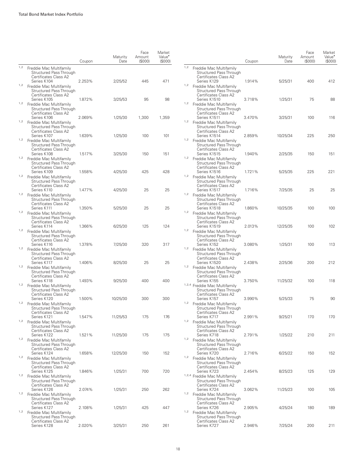|     |                                                                                            | Coupon | Maturity<br>Date | Face<br>Amount<br>(S000) | Market<br>Value <sup>•</sup><br>(S000) |
|-----|--------------------------------------------------------------------------------------------|--------|------------------|--------------------------|----------------------------------------|
| 1,2 | Freddie Mac Multifamily<br>Structured Pass Through<br>Certificates Class A2                |        |                  |                          |                                        |
| 1,2 | Series K104<br>Freddie Mac Multifamily<br>Structured Pass Through<br>Certificates Class A2 | 2.253% | 2/25/52          | 445                      | 471                                    |
| 1,2 | Series K105<br>Freddie Mac Multifamily<br>Structured Pass Through<br>Certificates Class A2 | 1.872% | 3/25/53          | 95                       | 98                                     |
| 1,2 | Series K106<br>Freddie Mac Multifamily<br>Structured Pass Through<br>Certificates Class A2 | 2.069% | 1/25/30          | 1,300                    | 1,359                                  |
| 1,2 | Series K107<br>Freddie Mac Multifamily<br>Structured Pass Through<br>Certificates Class A2 | 1.639% | 1/25/30          | 100                      | 101                                    |
| 1,2 | Series K108<br>Freddie Mac Multifamily<br>Structured Pass Through<br>Certificates Class A2 | 1.517% | 3/25/30          | 150                      | 151                                    |
| 1,2 | Series K109<br>Freddie Mac Multifamily<br>Structured Pass Through<br>Certificates Class A2 | 1.558% | 4/25/30          | 425                      | 428                                    |
| 1,2 | Series K110<br>Freddie Mac Multifamily<br>Structured Pass Through<br>Certificates Class A2 | 1.477% | 4/25/30          | 25                       | 25                                     |
| 1,2 | Series K111<br>Freddie Mac Multifamily<br>Structured Pass Through<br>Certificates Class A2 | 1.350% | 5/25/30          | 25                       | 25                                     |
| 1,2 | Series K114<br>Freddie Mac Multifamily<br>Structured Pass Through<br>Certificates Class A2 | 1.366% | 6/25/30          | 125                      | 124                                    |
| 1,2 | Series K116<br>Freddie Mac Multifamily<br>Structured Pass Through<br>Certificates Class A2 | 1.378% | 7/25/30          | 320                      | 317                                    |
| 1,2 | Series K117<br>Freddie Mac Multifamily<br>Structured Pass Through<br>Certificates Class A2 | 1.406% | 8/25/30          | 25                       | 25                                     |
| 1,2 | Series K118<br>Freddie Mac Multifamily<br>Structured Pass Through<br>Certificates Class A2 | 1.493% | 9/25/30          | 400                      | 400                                    |
| 1,2 | Series K120<br>Freddie Mac Multifamily<br>Structured Pass Through<br>Certificates Class A2 | 1.500% | 10/25/30         | 300                      | 300                                    |
| 1,2 | Series K121<br>Freddie Mac Multifamily<br>Structured Pass Through<br>Certificates Class A2 | 1.547% | 11/25/53         | 175                      | 176                                    |
| 1,2 | Series K122<br>Freddie Mac Multifamily<br>Structured Pass Through<br>Certificates Class A2 | 1.521% | 11/25/30         | 175                      | 175                                    |
| 1,2 | Series K124<br>Freddie Mac Multifamily<br>Structured Pass Through<br>Certificates Class A2 | 1.658% | 12/25/30         | 150                      | 152                                    |
| 1,2 | Series K125<br>Freddie Mac Multifamily<br>Structured Pass Through<br>Certificates Class A2 | 1.846% | 1/25/31          | 700                      | 720                                    |
| 1,2 | Series K126<br>Freddie Mac Multifamily<br>Structured Pass Through<br>Certificates Class A2 | 2.074% | 1/25/31          | 250                      | 262                                    |
| 1,2 | Series K127<br>Freddie Mac Multifamily<br>Structured Pass Through<br>Certificates Class A2 | 2.108% | 1/25/31          | 425                      | 447                                    |
|     | Series K128                                                                                | 2.020% | 3/25/31          | 250                      | 261                                    |

|     |                                                                                                                     | Coupon | Maturity<br>Date | Face<br>Amount<br>(\$000) | Market<br>Value <sup>•</sup><br>(S000) |
|-----|---------------------------------------------------------------------------------------------------------------------|--------|------------------|---------------------------|----------------------------------------|
| 1,2 | Freddie Mac Multifamily<br>Structured Pass Through<br>Certificates Class A2<br>Series K129                          | 1.914% | 5/25/31          | 400                       | 412                                    |
| 1,2 | Freddie Mac Multifamily<br>Structured Pass Through<br>Certificates Class A2                                         |        |                  |                           |                                        |
| 1,2 | Series K1510<br>Freddie Mac Multifamily<br>Structured Pass Through<br>Certificates Class A2                         | 3.718% | 1/25/31          | 75                        | 88                                     |
| 1,2 | Series K1511<br>Freddie Mac Multifamily<br><b>Structured Pass Through</b><br>Certificates Class A2                  | 3.470% | 3/25/31          | 100                       | 116                                    |
| 1,2 | Series K1514<br>Freddie Mac Multifamily<br><b>Structured Pass Through</b><br>Certificates Class A2                  | 2.859% | 10/25/34         | 225                       | 250                                    |
| 1,2 | Series K1515<br>Freddie Mac Multifamily<br>Structured Pass Through<br>Certificates Class A2                         | 1.940% | 2/25/35          | 150                       | 151                                    |
| 1,2 | Series K1516<br>Freddie Mac Multifamily<br>Structured Pass Through<br>Certificates Class A2                         | 1.721% | 5/25/35          | 225                       | 221                                    |
| 1,2 | Series K1517<br>Freddie Mac Multifamily<br>Structured Pass Through<br>Certificates Class A2                         | 1.716% | 7/25/35          | 25                        | 25                                     |
| 1,2 | Series K1518<br>Freddie Mac Multifamily<br>Structured Pass Through<br>Certificates Class A2                         | 1.860% | 10/25/35         | 100                       | 100                                    |
| 1,2 | Series K1519<br>Freddie Mac Multifamily<br>Structured Pass Through<br>Certificates Class A2                         | 2.013% | 12/25/35         | 100                       | 102                                    |
| 1,2 | Series K152<br>Freddie Mac Multifamily<br><b>Structured Pass Through</b><br>Certificates Class A2                   | 3.080% | 1/25/31          | 100                       | 113                                    |
| 1,2 | Series K1520<br>Freddie Mac Multifamily<br><b>Structured Pass Through</b><br>Certificates Class A2                  | 2.438% | 2/25/36          | 200                       | 212                                    |
|     | Series K155<br>1,2,4 Freddie Mac Multifamily<br>Structured Pass Through<br>Certificates Class A2                    | 3.750% | 11/25/32         | 100                       | 118                                    |
| 1,2 | Series K157<br>Freddie Mac Multifamily<br>Structured Pass Through                                                   | 3.990% | 5/25/33          | 75                        | 90                                     |
| 1,2 | Certificates Class A2<br>Series K717<br>Freddie Mac Multifamily<br>Structured Pass Through<br>Certificates Class A2 | 2.991% | 9/25/21          | 170                       | 170                                    |
| 1,2 | Series K718<br>Freddie Mac Multifamily<br><b>Structured Pass Through</b><br>Certificates Class A2                   | 2.791% | 1/25/22          | 210                       | 211                                    |
| 1,2 | Series K720<br>Freddie Mac Multifamily<br>Structured Pass Through<br>Certificates Class A2                          | 2.716% | 6/25/22          | 150                       | 152                                    |
|     | Series K723<br>1,2,4 Freddie Mac Multifamily<br>Structured Pass Through                                             | 2.454% | 8/25/23          | 125                       | 129                                    |
| 1,2 | Certificates Class A2<br>Series K724<br>Freddie Mac Multifamily<br><b>Structured Pass Through</b>                   | 3.062% | 11/25/23         | 100                       | 105                                    |
| 1,2 | Certificates Class A2<br>Series K726<br>Freddie Mac Multifamily<br><b>Structured Pass Through</b>                   | 2.905% | 4/25/24          | 180                       | 189                                    |
|     | Certificates Class A2<br>Series K727                                                                                | 2.946% | 7/25/24          | 200                       | 211                                    |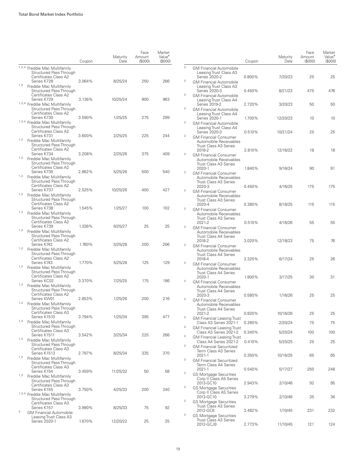|                                                                                                   | Coupon | Maturity<br>Date | Face<br>Amount<br>(S000) | Market<br>Value <sup>*</sup><br>(\$000) |                                  |                                                                                                  | Coupon           | Maturity<br>Date   | Face<br>Amount<br>(S000) | Market<br>Value <sup>•</sup><br>(S000) |
|---------------------------------------------------------------------------------------------------|--------|------------------|--------------------------|-----------------------------------------|----------------------------------|--------------------------------------------------------------------------------------------------|------------------|--------------------|--------------------------|----------------------------------------|
| <sup>1,2,4</sup> Freddie Mac Multifamily<br>Structured Pass Through<br>Certificates Class A2      |        |                  |                          |                                         | $\overline{c}$                   | <b>GM Financial Automobile</b><br>Leasing Trust Class A3<br>Series 2020-2                        | 0.800%           | 7/20/23            | 25                       | 25                                     |
| Series K728<br>1,2<br>Freddie Mac Multifamily<br>Structured Pass Through                          | 3.064% | 8/25/24          | 250                      | 266                                     | $\overline{a}$                   | <b>GM Financial Automobile</b><br>Leasing Trust Class A3<br>Series 2020-3                        | 0.450%           | 8/21/23            | 475                      | 476                                    |
| Certificates Class A2<br>Series K729<br>1,2,4 Freddie Mac Multifamily                             | 3.136% | 10/25/24         | 900                      | 963                                     | $\overline{a}$                   | <b>GM Financial Automobile</b><br>Leasing Trust Class A4<br>Series 2019-2                        | 2.720%           | 3/20/23            | 50                       | 50                                     |
| Structured Pass Through<br>Certificates Class A2<br>Series K730                                   | 3.590% | 1/25/25          | 275                      | 299                                     | $\overline{a}$                   | <b>GM Financial Automobile</b><br>Leasing Trust Class A4<br>Series 2020-1                        | 1.700%           | 12/20/23           | 10                       | 10                                     |
| 1,2,4 Freddie Mac Multifamily<br>Structured Pass Through<br>Certificates Class A2                 |        |                  |                          |                                         | $\overline{2}$                   | <b>GM Financial Automobile</b><br>Leasing Trust Class A4<br>Series 2020-3                        | 0.510%           | 10/21/24           | 25                       | 25                                     |
| Series K731<br>1,2<br>Freddie Mac Multifamily<br><b>Structured Pass Through</b>                   | 3.600% | 2/25/25          | 225                      | 244                                     | $\overline{c}$                   | <b>GM Financial Consumer</b><br>Automobile Receivables<br><b>Trust Class A3 Series</b>           |                  |                    |                          |                                        |
| Certificates Class A2<br>Series K734<br>1,2<br>Freddie Mac Multifamily<br>Structured Pass Through | 3.208% | 2/25/26          | 375                      | 409                                     | $\overline{a}$                   | 2018-2<br><b>GM Financial Consumer</b><br>Automobile Receivables                                 | 2.810%           | 12/16/22           | 18                       | 18                                     |
| Certificates Class A2<br>Series K735<br>1,2<br>Freddie Mac Multifamily                            | 2.862% | 5/25/26          | 500                      | 540                                     | $\overline{2}$                   | <b>Trust Class A3 Series</b><br>2020-1<br><b>GM Financial Consumer</b><br>Automobile Receivables | 1.840%           | 9/16/24            | 90                       | 91                                     |
| Structured Pass Through<br>Certificates Class A2<br>Series K737                                   | 2.525% | 10/25/26         | 400                      | 427                                     | $\overline{2}$                   | <b>Trust Class A3 Series</b><br>2020-3<br><b>GM Financial Consumer</b>                           | 0.450%           | 4/16/25            | 175                      | 175                                    |
| 1,2<br>Freddie Mac Multifamily<br>Structured Pass Through<br>Certificates Class A2                |        |                  |                          |                                         |                                  | Automobile Receivables<br>Trust Class A3 Series<br>2020-4                                        | 0.380%           | 8/18/25            | 115                      | 115                                    |
| Series K738<br>1,2<br>Freddie Mac Multifamily<br>Structured Pass Through                          | 1.545% | 1/25/27          | 100                      | 102                                     | $\overline{2}$                   | <b>GM Financial Consumer</b><br>Automobile Receivables<br><b>Trust Class A3 Series</b>           |                  |                    |                          |                                        |
| Certificates Class A2<br>Series K739<br><sup>1,2</sup> Freddie Mac Multifamily                    | 1.336% | 9/25/27          | 25                       | 25                                      | $\boldsymbol{2}$                 | 2021-2<br><b>GM Financial Consumer</b><br>Automobile Receivables                                 | 0.510%           | 4/16/26            | 55                       | 55                                     |
| Structured Pass Through<br>Certificates Class A2<br>Series K742<br>1,2                            | 1.760% | 3/25/28          | 200                      | 206                                     | $\overline{2}$                   | <b>Trust Class A4 Series</b><br>2018-2<br><b>GM Financial Consumer</b>                           | 3.020%           | 12/18/23           | 75                       | 76                                     |
| Freddie Mac Multifamily<br>Structured Pass Through<br>Certificates Class A2<br>Series K743        | 1.770% | 5/25/28          | 125                      | 129                                     | $\overline{c}$                   | Automobile Receivables<br><b>Trust Class A4 Series</b><br>2018-4                                 | 3.320%           | 6/17/24            | 25                       | 26                                     |
| 1,2<br>Freddie Mac Multifamily<br>Structured Pass Through<br>Certificates Class A2                |        |                  |                          |                                         |                                  | <b>GM Financial Consumer</b><br>Automobile Receivables<br><b>Trust Class A4 Series</b><br>2020-1 | 1.900%           | 3/17/25            | 30                       | 31                                     |
| Series KC02<br>1,2<br>Freddie Mac Multifamily<br><b>Structured Pass Through</b>                   | 3.370% | 7/25/25          | 175                      | 186                                     | $\overline{a}$                   | <b>GM Financial Consumer</b><br>Automobile Receivables<br><b>Trust Class A4 Series</b>           |                  |                    |                          |                                        |
| Certificates Class A2<br>Series KW01<br>1,2 Freddie Mac Multifamily                               | 2.853% | 1/25/26          | 200                      | 216                                     | $\overline{2}$                   | 2020-3<br><b>GM Financial Consumer</b><br>Automobile Receivables                                 | 0.580%           | 1/16/26            | 25                       | 25                                     |
| Structured Pass Through<br>Certificates Class A3<br>Series K1510                                  | 3.794% | 1/25/34          | 395                      | 477                                     | $\overline{2}$                   | Trust Class A4 Series<br>2021-2<br><b>GM Financial Leasing Trust</b>                             | 0.820%           | 10/16/26           | 25                       | 25                                     |
| <sup>1,2</sup> Freddie Mac Multifamily<br>Structured Pass Through<br>Certificates Class A3        |        |                  |                          |                                         | $\overline{2}$                   | Class A3 Series 2021-1<br><b>GM Financial Leasing Trust</b><br>Class A3 Series 2021-2            | 0.260%<br>0.340% | 2/20/24<br>5/20/24 | 75<br>100                | 75<br>100                              |
| Series K1511<br>1,2<br>Freddie Mac Multifamily<br>Structured Pass Through                         | 3.542% | 3/25/34          | 225                      | 266                                     | $\overline{a}$<br>$\overline{a}$ | <b>GM Financial Leasing Trust</b><br>Class A4 Series 2021-2<br><b>GM Financial Securitized</b>   | 0.410%           | 5/20/25            | 25                       | 25                                     |
| Certificates Class A3<br>Series K1513<br>1,2<br>Freddie Mac Multifamily                           | 2.797% | 8/25/34          | 335                      | 370                                     | $\overline{2}$                   | Term Class A3 Series<br>2021-1<br><b>GM Financial Securitized</b>                                | 0.350%           | 10/16/25           | 65                       | 65                                     |
| Structured Pass Through<br>Certificates Class A3<br>Series K154                                   | 3.459% | 11/25/32         | 50                       | 58                                      | $\overline{2}$                   | Term Class A4 Series<br>2021-1<br><b>GS Mortgage Securities</b>                                  | 0.540%           | 5/17/27            | 250                      | 248                                    |
| 1,2<br>Freddie Mac Multifamily<br>Structured Pass Through<br>Certificates Class A3                |        |                  |                          |                                         | $\overline{c}$                   | Corp II Class A5 Series<br>2013-GC10<br><b>GS Mortgage Securities</b>                            | 2.943%           | 2/10/46            | 92                       | 95                                     |
| Series K155<br>1,2,4 Freddie Mac Multifamily<br>Structured Pass Through<br>Certificates Class A3  | 3.750% | 4/25/33          | 200                      | 240                                     | $\overline{c}$                   | Corp II Class AS Series<br>2013-GC10<br><b>GS Mortgage Securities</b>                            | 3.279%           | 2/10/46            | 35                       | 36                                     |
| Series K157<br>$\overline{2}$<br><b>GM Financial Automobile</b><br>Leasing Trust Class A3         | 3.990% | 8/25/33          | 75                       | 92                                      | $\overline{c}$                   | Trust Class A3 Series<br>2012-GC6<br><b>GS Mortgage Securities</b>                               | 3.482%           | 1/10/45            | 231                      | 232                                    |
| Series 2020-1                                                                                     | 1.670% | 12/20/22         | 25                       | 25                                      |                                  | Trust Class A3 Series<br>2012-GCJ9                                                               | 2.773%           | 11/10/45           | 121                      | 124                                    |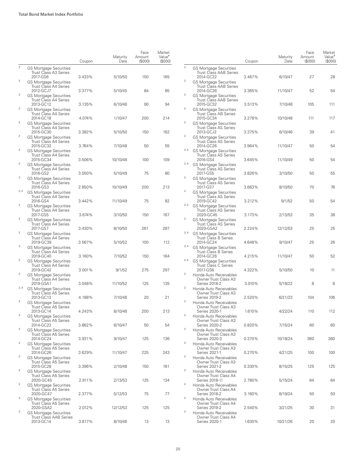|                         |                                                                             | Coupon | Maturity<br>Date | Face<br>Amount<br>(S000) | Market<br>Value <sup>•</sup><br>(\$000) |                  |                                                      |
|-------------------------|-----------------------------------------------------------------------------|--------|------------------|--------------------------|-----------------------------------------|------------------|------------------------------------------------------|
| $\overline{a}$          | <b>GS Mortgage Securities</b><br>Trust Class A3 Series<br>2017-GS6          | 3.433% | 5/10/50          | 150                      | 165                                     | $\overline{2}$   | <b>GS Mortgage</b><br>Trust Class /<br>2014-GC22     |
| $\overline{2}$          | <b>GS Mortgage Securities</b><br><b>Trust Class A4 Series</b>               |        |                  |                          |                                         | $\bar{2}$        | GS Mortgage<br>Trust Class /                         |
| $\bar{2}$               | 2012-GCJ7<br><b>GS Mortgage Securities</b><br><b>Trust Class A4 Series</b>  | 3.377% | 5/10/45          | 84                       | 85                                      | $\bar{2}$        | 2014-GC26<br>GS Mortgage<br>Trust Class /            |
| $\mathbf{2}$            | 2013-GC12<br><b>GS Mortgage Securities</b>                                  | 3.135% | 6/10/46          | 90                       | 94                                      | $\bar{2}$        | 2015-GC32<br><b>GS Mortgage</b>                      |
| $\mathfrak 2$           | <b>Trust Class A4 Series</b><br>2014-GC18<br><b>GS Mortgage Securities</b>  | 4.074% | 1/10/47          | 200                      | 214                                     | $\bar{2}$        | Trust Class <i>i</i><br>2015-GC34<br>GS Mortgage     |
| $\mathfrak 2$           | Trust Class A4 Series<br>2015-GC30<br><b>GS Mortgage Securities</b>         | 3.382% | 5/10/50          | 150                      | 162                                     | $\overline{2}$   | Trust Class /<br>2013-GCJ2<br>GS Mortgage            |
| $\mathbf{2}$            | Trust Class A4 Series<br>2015-GC32                                          | 3.764% | 7/10/48          | 50                       | 55                                      | 2,4              | Trust Class /<br>2014-GC26                           |
|                         | <b>GS Mortgage Securities</b><br><b>Trust Class A4 Series</b><br>2015-GC34  | 3.506% | 10/10/48         | 100                      | 109                                     |                  | GS Mortgage<br>Trust Class /<br>2016-GS4             |
| $\boldsymbol{2}$        | <b>GS Mortgage Securities</b><br><b>Trust Class A4 Series</b><br>2016-GS2   | 3.050% | 5/10/49          | 75                       | 80                                      | 2,4              | GS Mortgage<br>Trust Class /<br>2017-GS5             |
| $\mathfrak 2$           | <b>GS Mortgage Securities</b><br><b>Trust Class A4 Series</b><br>2016-GS3   | 2.850% | 10/10/49         | 200                      | 213                                     | 2                | GS Mortgage<br>Trust Class /<br>2017-GS7             |
| 2,4                     | <b>GS Mortgage Securities</b><br><b>Trust Class A4 Series</b><br>2016-GS4   | 3.442% | 11/10/49         | 75                       | 82                                      | $\bar{2}$        | GS Mortgage<br>Trust Class /<br>2019-GC42            |
| $\mathbf{2}$            | <b>GS Mortgage Securities</b><br><b>Trust Class A4 Series</b>               |        |                  |                          |                                         | 2,4              | GS Mortgage<br>Trust Class /                         |
| $\mathbf{2}$            | 2017-GS5<br><b>GS Mortgage Securities</b><br><b>Trust Class A4 Series</b>   | 3.674% | 3/10/50          | 150                      | 167                                     | $\boldsymbol{2}$ | 2020-GC45<br>GS Mortgage<br>Trust Class /            |
| $\mathfrak 2$           | 2017-GS7<br><b>GS Mortgage Securities</b><br><b>Trust Class A4 Series</b>   | 3.430% | 8/10/50          | 261                      | 287                                     | 2,4              | 2020-GSA2<br>GS Mortgage<br>Trust Class I            |
| $\mathbf 2$             | 2019-GC39<br><b>GS Mortgage Securities</b>                                  | 3.567% | 5/10/52          | 100                      | 112                                     | 2,4              | 2014-GC24<br>GS Mortgage                             |
| $\mathbf{2}$            | <b>Trust Class A4 Series</b><br>2019-GC40<br><b>GS Mortgage Securities</b>  | 3.160% | 7/10/52          | 150                      | 164                                     | 2,4              | Trust Class I<br>2014-GC26<br><b>GS Mortgage</b>     |
| $\mathbf{2}$            | <b>Trust Class A4 Series</b><br>2019-GC42<br><b>GS Mortgage Securities</b>  | 3.001% | 9/1/52           | 275                      | 297                                     | $\boldsymbol{2}$ | Trust Class <sup>(</sup><br>2017-GS6<br>Honda Auto R |
| 2,4                     | <b>Trust Class A4 Series</b><br>2019-GSA1                                   | 3.048% | 11/10/52         | 125                      | 135                                     | $\bar{2}$        | <b>Owner Trust</b><br>Series 2018                    |
|                         | <b>GS Mortgage Securities</b><br><b>Trust Class A5 Series</b><br>2013-GC13  | 4.188% | 7/10/46          | 20                       | 21                                      |                  | Honda Auto Re<br>Owner Trust<br>Series 2019          |
| $\overline{2}$          | <b>GS Mortgage Securities</b><br>Trust Class A5 Series<br>2013-GC14         | 4.243% | 8/10/46          | 200                      | 213                                     | $\bar{2}$        | Honda Auto R<br>Owner Trust<br>Series 2020           |
| $\overline{2}$          | <b>GS Mortgage Securities</b><br><b>Trust Class A5 Series</b><br>2014-GC22  | 3.862% | 6/10/47          | 50                       | 54                                      | $\bar{2}$        | Honda Auto R<br><b>Owner Trust</b><br>Series 2020    |
| $\mathbf{2}$            | <b>GS Mortgage Securities</b><br>Trust Class A5 Series                      |        |                  |                          |                                         | $\mathbf{2}$     | Honda Auto R<br><b>Owner Trust</b>                   |
| $\mathbf{2}$            | 2014-GC24<br><b>GS Mortgage Securities</b><br><b>Trust Class A5 Series</b>  | 3.931% | 9/10/47          | 125                      | 136                                     | $\mathbf{2}$     | Series 2020<br>Honda Auto R<br>Owner Trust           |
| $\mathbf 2$             | 2014-GC26<br><b>GS Mortgage Securities</b><br>Trust Class A5 Series         | 3.629% | 11/10/47         | 225                      | 243                                     | $\bar{2}$        | Series 2021<br>Honda Auto R<br><b>Owner Trust</b>    |
| $\mathbf 2$             | 2015-GC28<br><b>GS Mortgage Securities</b>                                  | 3.396% | 2/10/48          | 150                      | 161                                     | $\bar{2}$        | Series 2021<br>Honda Auto R                          |
| $\mathbf{2}$            | <b>Trust Class A5 Series</b><br>2020-GC45<br><b>GS Mortgage Securities</b>  | 2.911% | 2/13/53          | 125                      | 134                                     | $\mathbf{2}$     | <b>Owner Trust</b><br>Series 2018<br>Honda Auto R    |
| $\overline{\mathbf{c}}$ | Trust Class A5 Series<br>2020-GC47<br><b>GS Mortgage Securities</b>         | 2.377% | 5/12/53          | 75                       | 77                                      | 2                | <b>Owner Trust</b><br>Series 2018<br>Honda Auto R    |
| $\mathbf 2$             | Trust Class A5 Series<br>2020-GSA2                                          | 2.012% | 12/12/53         | 125                      | 125                                     | $\bar{2}$        | <b>Owner Trust</b><br>Series 2019                    |
|                         | <b>GS Mortgage Securities</b><br><b>Trust Class AAB Series</b><br>2013-GC14 | 3.817% | 8/10/46          | 13                       | 13                                      |                  | Honda Auto R<br>Owner Trust<br>Series 2020           |

|                         |                                                                             | Coupon | Maturity<br>Date | Face<br>Amount<br>(S000) | Market<br>Value <sup>•</sup><br>(\$000) |
|-------------------------|-----------------------------------------------------------------------------|--------|------------------|--------------------------|-----------------------------------------|
| $\overline{c}$          | <b>GS Mortgage Securities</b><br><b>Trust Class AAB Series</b>              |        |                  |                          |                                         |
| $\overline{\mathbf{c}}$ | 2014-GC22<br><b>GS Mortgage Securities</b><br><b>Trust Class AAB Series</b> | 3.467% | 6/10/47          | 27                       | 28                                      |
| 2                       | 2014-GC26<br><b>GS Mortgage Securities</b>                                  | 3.365% | 11/10/47         | 52                       | 54                                      |
| 2                       | <b>Trust Class AAB Series</b><br>2015-GC32<br><b>GS Mortgage Securities</b> | 3.513% | 7/10/48          | 105                      | 111                                     |
| 2                       | <b>Trust Class AB Series</b><br>2015-GC34                                   | 3.278% | 10/10/48         | 111                      | 117                                     |
|                         | <b>GS Mortgage Securities</b><br><b>Trust Class AS Series</b><br>2013-GCJ2  | 3.375% | 6/10/46          | 39                       | 41                                      |
| 2                       | <b>GS Mortgage Securities</b><br><b>Trust Class AS Series</b><br>2014-GC26  | 3.964% | 11/10/47         | 50                       | 54                                      |
| 2,4                     | <b>GS Mortgage Securities</b><br><b>Trust Class AS Series</b>               |        |                  |                          |                                         |
| 2,4                     | 2016-GS4<br><b>GS Mortgage Securities</b><br><b>Trust Class AS Series</b>   | 3.645% | 11/10/49         | 50                       | 54                                      |
| 2                       | 2017-GS5<br><b>GS Mortgage Securities</b><br><b>Trust Class AS Series</b>   | 3.826% | 3/10/50          | 50                       | 55                                      |
| 2                       | 2017-GS7<br><b>GS Mortgage Securities</b>                                   | 3.663% | 8/10/50          | 70                       | 76                                      |
| 2,4                     | <b>Trust Class AS Series</b><br>2019-GC42<br><b>GS Mortgage Securities</b>  | 3.212% | 9/1/52           | 50                       | 54                                      |
|                         | <b>Trust Class AS Series</b><br>2020-GC45                                   | 3.173% | 2/13/53          | 35                       | 38                                      |
| 2                       | <b>GS Mortgage Securities</b><br><b>Trust Class AS Series</b><br>2020-GSA2  | 2.224% | 12/12/53         | 25                       | 25                                      |
| 2,4                     | <b>GS Mortgage Securities</b><br><b>Trust Class B Series</b><br>2014-GC24   | 4.648% | 9/10/47          | 25                       | 26                                      |
| 2,4                     | <b>GS Mortgage Securities</b><br><b>Trust Class B Series</b>                |        |                  |                          |                                         |
| 2,4                     | 2014-GC26<br><b>GS Mortgage Securities</b><br><b>Trust Class C Series</b>   | 4.215% | 11/10/47         | 50                       | 52                                      |
| 2                       | 2017-GS6<br>Honda Auto Receivables<br>Owner Trust Class A3                  | 4.322% | 5/10/50          | 10                       | 11                                      |
| 2                       | Series 2018-2<br>Honda Auto Receivables                                     | 3.010% | 5/18/22          | 8                        | 8                                       |
| $\overline{\mathbf{c}}$ | Owner Trust Class A3<br>Series 2019-2<br>Honda Auto Receivables             | 2.520% | 6/21/23          | 104                      | 106                                     |
| 2                       | Owner Trust Class A3<br>Series 2020-1                                       | 1.610% | 4/22/24          | 110                      | 112                                     |
|                         | Honda Auto Receivables<br>Owner Trust Class A3<br>Series 2020-2             | 0.820% | 7/15/24          | 60                       | 60                                      |
| 2                       | Honda Auto Receivables<br>Owner Trust Class A3<br>Series 2020-3             | 0.370% | 10/18/24         | 360                      | 360                                     |
| 2                       | Honda Auto Receivables<br>Owner Trust Class A3<br>Series 2021-1             |        |                  | 100                      | 100                                     |
| 2                       | Honda Auto Receivables<br>Owner Trust Class A3                              | 0.270% | 4/21/25          |                          |                                         |
| $\overline{\mathbf{c}}$ | Series 2021-2<br>Honda Auto Receivables<br>Owner Trust Class A4             | 0.330% | 8/15/25          | 125                      | 125                                     |
| 2                       | Series 2018-11<br>Honda Auto Receivables                                    | 2.780% | 5/15/24          | 64                       | 64                                      |
| 2                       | Owner Trust Class A4<br>Series 2018-2<br>Honda Auto Receivables             | 3.160% | 8/19/24          | 50                       | 50                                      |
| $\overline{\mathbf{c}}$ | Owner Trust Class A4<br>Series 2019-2<br>Honda Auto Receivables             | 2.540% | 3/21/25          | 30                       | 31                                      |
|                         | Owner Trust Class A4<br>Series 2020-1                                       | 1.630% | 10/21/26         | 20                       | 20                                      |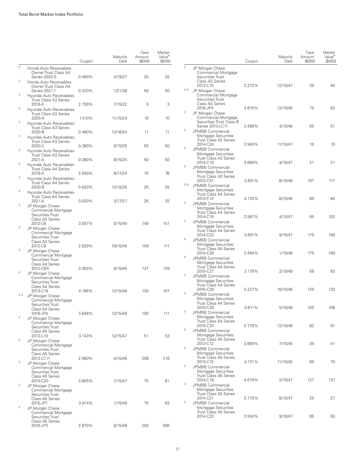|                  |                                                                                                  | Coupon | Maturity<br>Date | Face<br>Amount<br>(S000) | Market<br>Value <sup>•</sup><br>(\$000) |                |                                                                           |
|------------------|--------------------------------------------------------------------------------------------------|--------|------------------|--------------------------|-----------------------------------------|----------------|---------------------------------------------------------------------------|
| $\overline{a}$   | Honda Auto Receivables<br>Owner Trust Class A4<br>Series 2020-3                                  | 0.460% |                  | 25                       | 25                                      | $\overline{2}$ | JP Morgan Chas<br>Commercial N<br>Securities Trus                         |
| $\mathfrak 2$    | Honda Auto Receivables<br>Owner Trust Class A4                                                   |        | 4/19/27          |                          |                                         |                | Class AS Serie<br>2013-C10                                                |
| $\bar{2}$        | Series 2021-1<br>Hyundai Auto Receivables<br><b>Trust Class A3 Series</b>                        | 0.420% | 1/21/28          | 50                       | 50                                      | 2,4            | JP Morgan Chas<br>Commercial N<br>Securities Trus                         |
| $\mathbf{2}$     | 2018-A<br>Hyundai Auto Receivables                                                               | 2.790% | 7/15/22          | 3                        | 3                                       | $\mathbf{2}$   | Class AS Serie<br>2016-JP4                                                |
| $\mathbf{2}$     | <b>Trust Class A3 Series</b><br>$2020 - A$<br>Hyundai Auto Receivables                           | 1.410% | 11/15/24         | 10                       | 10                                      |                | JP Morgan Chas<br>Commercial N<br><b>Securities Trus</b><br>Series 2013-L |
| $\boldsymbol{2}$ | Trust Class A3 Series<br>2020-B<br>Hyundai Auto Receivables                                      | 0.480% | 12/16/24         | 11                       | 11                                      | $\overline{2}$ | <b>JPMBB Comme</b><br>Mortgage Sec                                        |
| $\boldsymbol{2}$ | Trust Class A3 Series<br>2020-C<br>Hyundai Auto Receivables                                      | 0.380% | 5/15/25          | 50                       | 50                                      | $\overline{2}$ | Trust Class A2<br>2014-C24<br><b>JPMBB Comme</b>                          |
| $\mathbf{2}$     | <b>Trust Class A3 Series</b><br>2021-A<br>Hyundai Auto Receivables                               | 0.380% | 9/15/25          | 50                       | 50                                      |                | Mortgage Sec<br><b>Trust Class A3</b><br>2014-C19                         |
| $\mathbf{2}$     | <b>Trust Class A4 Series</b><br>2018-A<br>Hyundai Auto Receivables                               | 2.940% | 6/17/24          | 75                       | 76                                      | $\overline{2}$ | <b>JPMBB Comme</b><br>Mortgage Sec<br><b>Trust Class A3</b>               |
| $\boldsymbol{2}$ | <b>Trust Class A4 Series</b><br>2020-B                                                           | 0.620% | 12/15/25         | 25                       | 25                                      | 2,4            | 2015-C31<br>JPMBB Comme<br>Mortgage Sec                                   |
|                  | Hyundai Auto Receivables<br>Trust Class A4 Series<br>2021-A                                      | 0.620% | 5/17/27          | 25                       | 25                                      | $\overline{2}$ | Trust Class A4<br>2013-C14<br>JPMBB Comme                                 |
| $\mathbf{2}$     | JP Morgan Chase<br>Commercial Mortgage<br>Securities Trust<br>Class A3 Series                    |        |                  |                          |                                         | $\sqrt{2}$     | Mortgage Sec<br>Trust Class A4<br>2014-C19<br>JPMBB Comme                 |
| $\mathbf{2}$     | 2012-C6<br>JP Morgan Chase<br><b>Commercial Mortgage</b><br>Securities Trust                     | 3.507% | 5/15/45          | 149                      | 151                                     | $\overline{2}$ | Mortgage Sec<br>Trust Class A4<br>2014-C22<br>JPMBB Comme                 |
| $\mathbf{2}$     | Class A3 Series<br>2012-C8<br>JP Morgan Chase<br>Commercial Mortgage<br>Securities Trust         | 2.829% | 10/15/45         | 109                      | 111                                     | $\overline{2}$ | Mortgage Sec<br>Trust Class A4<br>2014-C26<br>JPMBB Comme                 |
| $\bar{2}$        | Class A4 Series<br>2012-CBX<br>JP Morgan Chase                                                   | 3.483% | 6/15/45          | 127                      | 129                                     |                | Mortgage Sec<br>Trust Class A4<br>2015-C27                                |
|                  | Commercial Mortgage<br>Securities Trust<br>Class A4 Series                                       |        |                  |                          |                                         | $\mathbf{2}$   | JPMBB Comme<br>Mortgage Sec<br>Trust Class A4<br>2015-C28                 |
| 2,4              | 2013-C16<br>JP Morgan Chase<br><b>Commercial Mortgage</b><br>Securities Trust<br>Class A4 Series | 4.166% | 12/15/46         | 100                      | 107                                     | $\overline{2}$ | <b>JPMBB Comme</b><br>Mortgage Sec<br>Trust Class A4<br>2015-C29          |
| $\mathbf{2}$     | 2016-JP4<br>JP Morgan Chase<br><b>Commercial Mortgage</b><br>Securities Trust                    | 3.648% | 12/15/49         | 100                      | 111                                     | $\overline{2}$ | JPMBB Comme<br>Mortgage Sec<br>Trust Class A4<br>2015-C33                 |
| $\bar{2}$        | Class A5 Series<br>2013-C10<br>JP Morgan Chase<br>Commercial Mortgage                            | 3.143% | 12/15/47         | 51                       | 53                                      | $\mathbf{2}$   | <b>JPMBB Comme</b><br>Mortgage Sec<br><b>Trust Class A5</b><br>2013-C12   |
| $\bar{2}$        | Securities Trust<br>Class A5 Series<br>2013-LC11                                                 | 2.960% | 4/15/46          | 208                      | 216                                     | $\overline{c}$ | JPMBB Comme<br>Mortgage Sec<br>Trust Class A5<br>2013-C15                 |
|                  | JP Morgan Chase<br>Commercial Mortgage<br>Securities Trust<br>Class A5 Series                    |        |                  |                          |                                         | $\mathbf{2}$   | JPMBB Comme<br>Mortgage Sec<br><b>Trust Class A5</b><br>2014-C18          |
| $\mathbf{2}$     | 2014-C20<br>JP Morgan Chase<br>Commercial Mortgage<br>Securities Trust                           | 3.805% | 7/15/47          | 75                       | 81                                      | $\mathbf{2}$   | JPMBB Comme<br>Mortgage Sec<br><b>Trust Class A5</b><br>2014-C21          |
| $\boldsymbol{2}$ | Class A5 Series<br>2015-JP1<br>JP Morgan Chase<br>Commercial Mortgage<br>Securities Trust        | 3.914% | 1/15/49          | 75                       | 83                                      | $\mathbf{2}$   | JPMBB Comme<br>Mortgage Sec<br><b>Trust Class A5</b><br>2014-C23          |
|                  | Class A5 Series<br>2016-JP3                                                                      | 2.870% | 8/15/49          | 250                      | 266                                     |                |                                                                           |

|                |                                                                                                                         | Coupon | Maturity<br>Date | Face<br>Amount<br>(\$000) | Market<br>Value <sup>•</sup><br>(S000) |
|----------------|-------------------------------------------------------------------------------------------------------------------------|--------|------------------|---------------------------|----------------------------------------|
| $\overline{c}$ | JP Morgan Chase<br>Commercial Mortgage<br>Securities Trust<br><b>Class AS Series</b>                                    |        |                  |                           |                                        |
| 2,4            | 2013-C10<br>JP Morgan Chase<br>Commercial Mortgage<br>Securities Trust<br><b>Class AS Series</b>                        | 3.372% | 12/15/47         | 39                        | 40                                     |
| $\mathbf{2}$   | 2016-JP4<br>JP Morgan Chase<br>Commercial Mortgage                                                                      | 3.870% | 12/15/49         | 75                        | 83                                     |
| 2              | Securities Trust Class B<br>Series 2013-LC11<br>JPMBB Commercial<br>Mortgage Securities<br><b>Trust Class A2 Series</b> | 3.499% | 4/15/46          | 50                        | 51                                     |
| $\mathbf{2}$   | 2014-C24<br>JPMBB Commercial<br>Mortgage Securities<br>Trust Class A3 Series                                            | 2.940% | 11/15/47         | 10                        | 10                                     |
| $\mathbf{2}$   | 2014-C19<br>JPMBB Commercial<br>Mortgage Securities<br>Trust Class A3 Series                                            | 3.669% | 4/15/47          | 21                        | 21                                     |
| 2,4            | 2015-C31<br><b>JPMBB Commercial</b><br>Mortgage Securities                                                              | 3.801% | 8/15/48          | 107                       | 117                                    |
| $\mathbf{2}$   | <b>Trust Class A4 Series</b><br>2013-C14<br>JPMBB Commercial<br>Mortgage Securities                                     | 4.133% | 8/15/46          | 80                        | 84                                     |
| 2              | <b>Trust Class A4 Series</b><br>2014-C19<br>JPMBB Commercial<br>Mortgage Securities                                     | 3.997% | 4/15/47          | 95                        | 102                                    |
| 2              | Trust Class A4 Series<br>2014-C <sub>22</sub><br><b>JPMBB Commercial</b>                                                | 3.801% | 9/15/47          | 175                       | 189                                    |
| 2              | Mortgage Securities<br><b>Trust Class A4 Series</b><br>2014-C26<br>JPMBB Commercial                                     | 3.494% | 1/15/48          | 175                       | 189                                    |
| $\mathbf{2}$   | Mortgage Securities<br><b>Trust Class A4 Series</b><br>2015-C27<br><b>JPMBB Commercial</b>                              | 3.179% | 2/15/48          | 59                        | 63                                     |
| 2              | Mortgage Securities<br><b>Trust Class A4 Series</b><br>2015-C28<br>JPMBB Commercial                                     | 3.227% | 10/15/48         | 125                       | 133                                    |
| 2              | Mortgage Securities<br>Trust Class A4 Series<br>2015-C29                                                                | 3.611% | 5/15/48          | 100                       | 108                                    |
|                | JPMBB Commercial<br>Mortgage Securities<br><b>Trust Class A4 Series</b><br>2015-C33                                     | 3.770% | 12/15/48         | 82                        | 91                                     |
| $\mathbf{2}$   | JPMBB Commercial<br>Mortgage Securities<br><b>Trust Class A5 Series</b><br>2013-C12                                     | 3.664% | 7/15/45          | 39                        | 41                                     |
| 2              | <b>JPMBB Commercial</b><br>Mortgage Securities<br><b>Trust Class A5 Series</b><br>2013-C15                              | 4.131% | 11/15/45         | 65                        | 70                                     |
| $\mathbf{2}$   | <b>JPMBB Commercial</b><br>Mortgage Securities<br><b>Trust Class A5 Series</b>                                          |        |                  |                           |                                        |
| $\mathbf{2}$   | 2014-C18<br>JPMBB Commercial<br>Mortgage Securities<br><b>Trust Class A5 Series</b>                                     | 4.079% | 2/15/47          | 127                       | 137                                    |
| $\mathbf{2}$   | 2014-C21<br>JPMBB Commercial<br>Mortgage Securities                                                                     | 3.775% | 8/15/47          | 25                        | 27                                     |
|                | <b>Trust Class A5 Series</b><br>2014-C23                                                                                | 3.934% | 9/15/47          | 85                        | 93                                     |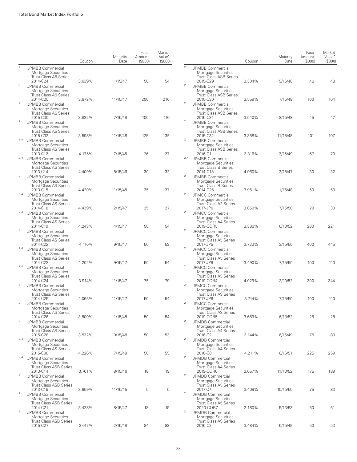|                |                                                                                                            | Coupon | Maturity<br>Date | Face<br>Amount<br>(S000) | Market<br>Value <sup>*</sup><br>(S000) |                  |                                                                                            | Coupon | Maturity<br>Date | Face<br>Amount<br>(S000) | Market<br>Value <sup>•</sup><br>(S000) |
|----------------|------------------------------------------------------------------------------------------------------------|--------|------------------|--------------------------|----------------------------------------|------------------|--------------------------------------------------------------------------------------------|--------|------------------|--------------------------|----------------------------------------|
| $\sqrt{2}$     | <b>JPMBB Commercial</b><br>Mortgage Securities<br><b>Trust Class A5 Series</b>                             |        |                  |                          |                                        | $\overline{2}$   | JPMBB Commercial<br>Mortgage Securities<br><b>Trust Class ASB Series</b>                   |        |                  |                          |                                        |
| $\overline{2}$ | 2014-C24<br>JPMBB Commercial<br>Mortgage Securities<br>Trust Class A5 Series                               | 3.639% | 11/15/47         | 50                       | 54                                     | $\overline{2}$   | 2015-C29<br>JPMBB Commercial<br>Mortgage Securities<br><b>Trust Class ASB Series</b>       | 3.304% | 5/15/48          | 46                       | 48                                     |
| $\sqrt{2}$     | 2014-C25<br>JPMBB Commercial<br>Mortgage Securities<br><b>Trust Class A5 Series</b>                        | 3.672% | 11/15/47         | 200                      | 216                                    | $\boldsymbol{2}$ | 2015-C30<br>JPMBB Commercial<br>Mortgage Securities<br><b>Trust Class ASB Series</b>       | 3.559% | 7/15/48          | 100                      | 104                                    |
| $\sqrt{2}$     | 2015-C30<br><b>JPMBB Commercial</b><br>Mortgage Securities                                                 | 3.822% | 7/15/48          | 100                      | 110                                    | $\overline{2}$   | 2015-C31<br>JPMBB Commercial<br>Mortgage Securities                                        | 3.540% | 8/15/48          | 45                       | 47                                     |
| 2,4            | <b>Trust Class A5 Series</b><br>2015-C32<br>JPMBB Commercial<br>Mortgage Securities                        | 3.598% | 11/15/48         | 125                      | 135                                    | $\overline{2}$   | <b>Trust Class ASB Series</b><br>2015-C32<br>JPMBB Commercial<br>Mortgage Securities       | 3.358% | 11/15/48         | 101                      | 107                                    |
| 2,4            | <b>Trust Class AS Series</b><br>2013-C12<br>JPMBB Commercial<br>Mortgage Securities                        | 4.175% | 7/15/45          | 26                       | 27                                     | 2,4              | <b>Trust Class ASB Series</b><br>2016-C1<br>JPMBB Commercial<br>Mortgage Securities        | 3.316% | 3/15/49          | 67                       | 70                                     |
| $\overline{2}$ | <b>Trust Class AS Series</b><br>2013-C14<br>JPMBB Commercial<br>Mortgage Securities                        | 4.409% | 8/15/46          | 30                       | 32                                     | $\overline{2}$   | <b>Trust Class B Series</b><br>2014-C18<br>JPMBB Commercial<br>Mortgage Securities         | 4.960% | 2/15/47          | 30                       | 32                                     |
| 2,4            | <b>Trust Class AS Series</b><br>2013-C15<br>JPMBB Commercial<br>Mortgage Securities                        | 4.420% | 11/15/45         | 35                       | 37                                     | $\mathbf{2}$     | <b>Trust Class B Series</b><br>2014-C26<br>JPMCC Commercial<br>Mortgage Securities         | 3.951% | 1/15/48          | 50                       | 53                                     |
| 2,4            | <b>Trust Class AS Series</b><br>2014-C18<br>JPMBB Commercial                                               | 4.439% | 2/15/47          | 25                       | 27                                     | $\overline{2}$   | <b>Trust Class A2 Series</b><br>2017-JP6<br>JPMCC Commercial                               | 3.050% | 7/15/50          | 29                       | 30                                     |
| $\overline{2}$ | Mortgage Securities<br><b>Trust Class AS Series</b><br>2014-C19<br>JPMBB Commercial                        | 4.243% | 4/15/47          | 50                       | 54                                     | $\overline{2}$   | Mortgage Securities<br><b>Trust Class A4 Series</b><br>2019-COR5<br>JPMCC Commercial       | 3.386% | 6/13/52          | 200                      | 221                                    |
| 2,4            | Mortgage Securities<br><b>Trust Class AS Series</b><br>2014-C22<br>JPMBB Commercial                        | 4.110% | 9/15/47          | 50                       | 53                                     | $\overline{2}$   | Mortgage Securities<br><b>Trust Class A5 Series</b><br>2017-JP5<br>JPMCC Commercial        | 3.723% | 3/15/50          | 400                      | 445                                    |
| 2,4            | Mortgage Securities<br><b>Trust Class AS Series</b><br>2014-C23<br>JPMBB Commercial                        | 4.202% | 9/15/47          | 50                       | 54                                     | $\overline{2}$   | Mortgage Securities<br><b>Trust Class A5 Series</b><br>2017-JP6<br>JPMCC Commercial        | 3.490% | 7/15/50          | 100                      | 110                                    |
| $\overline{2}$ | Mortgage Securities<br><b>Trust Class AS Series</b><br>2014-C24<br>JPMBB Commercial                        | 3.914% | 11/15/47         | 75                       | 79                                     | $\overline{c}$   | Mortgage Securities<br><b>Trust Class A5 Series</b><br>2019-COR4<br>JPMCC Commercial       | 4.029% | 3/10/52          | 300                      | 344                                    |
| $\overline{2}$ | Mortgage Securities<br><b>Trust Class AS Series</b><br>2014-C25<br>JPMBB Commercial<br>Mortgage Securities | 4.065% | 11/15/47         | 50                       | 54                                     | $\overline{2}$   | Mortgage Securities<br><b>Trust Class AS Series</b><br>2017-JP6<br><b>JPMCC Commercial</b> | 3.744% | 7/15/50          | 100                      | 110                                    |
| $\sqrt{2}$     | Trust Class AS Series<br>2014-C26<br><b>JPMBB Commercial</b>                                               | 3.800% | 1/15/48          | 50                       | 54                                     | $\overline{2}$   | Mortgage Securities<br>Trust Class AS Series<br>2019-COR5<br>JPMDB Commercial              | 3.669% | 6/13/52          | 25                       | 28                                     |
| 2,4            | Mortgage Securities<br><b>Trust Class AS Series</b><br>2015-C28<br>JPMBB Commercial                        | 3.532% | 10/15/48         | 50                       | 53                                     | $\mathbf{2}$     | Mortgage Securities<br>Trust Class A4 Series<br>2016-C2<br>JPMDB Commercial                | 3.144% | 6/15/49          | 75                       | 80                                     |
| 2,4            | Mortgage Securities<br><b>Trust Class AS Series</b><br>2015-C30<br>JPMBB Commercial                        | 4.226% | 7/15/48          | 50                       | 55                                     | $\overline{2}$   | Mortgage Securities<br><b>Trust Class A4 Series</b><br>2018-C8<br><b>JPMDB Commercial</b>  | 4.211% | 6/15/51          | 225                      | 259                                    |
| $\overline{2}$ | Mortgage Securities<br>Trust Class ASB Series<br>2013-C14<br>JPMBB Commercial                              | 3.761% | 8/15/46          | 18                       | 19                                     | $\overline{2}$   | Mortgage Securities<br>Trust Class A4 Series<br>2019-COR6<br>JPMDB Commercial              | 3.057% | 11/13/52         | 175                      | 189                                    |
| $\overline{2}$ | Mortgage Securities<br><b>Trust Class ASB Series</b><br>2013-C15<br>JPMBB Commercial                       | 3.659% | 11/15/45         | 5                        | 5                                      | $\overline{2}$   | Mortgage Securities<br>Trust Class A5 Series<br>2017-C7<br>JPMDB Commercial                | 3.409% | 10/15/50         | 75                       | 83                                     |
| $\overline{2}$ | Mortgage Securities<br><b>Trust Class ASB Series</b><br>2014-C21<br>JPMBB Commercial                       | 3.428% | 8/15/47          | 18                       | 19                                     | $\overline{2}$   | Mortgage Securities<br><b>Trust Class A5 Series</b><br>2020-COR7<br>JPMDB Commercial       | 2.180% | 5/13/53          | 50                       | 51                                     |
|                | Mortgage Securities<br><b>Trust Class ASB Series</b><br>2015-C27                                           | 3.017% | 2/15/48          | 84                       | 88                                     |                  | Mortgage Securities<br><b>Trust Class AS Series</b><br>2016-C2                             | 3.484% | 6/15/49          | 50                       | 53                                     |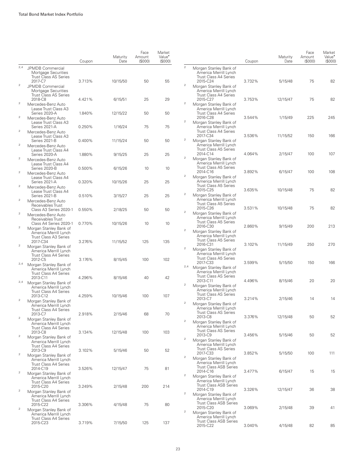|                                  |                                                                                             | Coupon           | Maturity<br>Date   | Face<br>Amount<br>(\$000) | Market<br>Value <sup>•</sup><br>(S000) |                         |                                                                                              | Coupon | Maturity<br>Date | Face<br>Amount<br>(S000) | Market<br>Value <sup>*</sup><br>(\$000) |
|----------------------------------|---------------------------------------------------------------------------------------------|------------------|--------------------|---------------------------|----------------------------------------|-------------------------|----------------------------------------------------------------------------------------------|--------|------------------|--------------------------|-----------------------------------------|
| 2,4                              | JPMDB Commercial<br>Mortgage Securities<br><b>Trust Class AS Series</b>                     |                  |                    |                           |                                        | $\mathbf 2$             | Morgan Stanley Bank of<br>America Merrill Lynch<br><b>Trust Class A4 Series</b>              |        |                  |                          |                                         |
| $\overline{2}$                   | 2017-C7<br><b>JPMDB Commercial</b><br>Mortgage Securities<br><b>Trust Class AS Series</b>   | 3.713%           | 10/15/50           | 50                        | 55                                     | $\overline{a}$          | 2015-C24<br>Morgan Stanley Bank of<br>America Merrill Lynch<br><b>Trust Class A4 Series</b>  | 3.732% | 5/15/48          | 75                       | 82                                      |
| $\overline{2}$                   | 2018-C8<br>Mercedes-Benz Auto<br>Lease Trust Class A3                                       | 4.421%           | 6/15/51            | 25                        | 29                                     | $\sqrt{2}$              | 2015-C27<br>Morgan Stanley Bank of<br>America Merrill Lynch                                  | 3.753% | 12/15/47         | 75                       | 82                                      |
| $\boldsymbol{2}$                 | Series 2020-A<br>Mercedes-Benz Auto<br>Lease Trust Class A3                                 | 1.840%           | 12/15/22           | 50                        | 50                                     | $\sqrt{2}$              | Trust Class A4 Series<br>2016-C28<br>Morgan Stanley Bank of                                  | 3.544% | 1/15/49          | 225                      | 245                                     |
| $\boldsymbol{2}$                 | Series 2021-A<br>Mercedes-Benz Auto<br>Lease Trust Class A3                                 | 0.250%           | 1/16/24            | 75                        | 75                                     |                         | America Merrill Lynch<br><b>Trust Class A4 Series</b><br>2017-C34                            | 3.536% | 11/15/52         | 150                      | 166                                     |
| $\sqrt{2}$                       | Series 2021-B<br>Mercedes-Benz Auto<br>Lease Trust Class A4<br>Series 2020-A                | 0.400%           | 11/15/24           | 50                        | 50                                     | $\sqrt{2}$              | Morgan Stanley Bank of<br>America Merrill Lynch<br><b>Trust Class A5 Series</b><br>2014-C14  | 4.064% | 2/15/47          | 100                      | 107                                     |
| $\boldsymbol{2}$                 | Mercedes-Benz Auto<br>Lease Trust Class A4<br>Series 2020-B                                 | 1.880%<br>0.500% | 9/15/25<br>6/15/26 | 25<br>10                  | 25<br>10                               | $\sqrt{2}$              | Morgan Stanley Bank of<br>America Merrill Lynch<br><b>Trust Class A5 Series</b>              |        |                  |                          |                                         |
| $\boldsymbol{2}$                 | Mercedes-Benz Auto<br>Lease Trust Class A4<br>Series 2021-A                                 | 0.320%           | 10/15/26           | 25                        | 25                                     | $\sqrt{2}$              | 2014-C16<br>Morgan Stanley Bank of<br>America Merrill Lynch                                  | 3.892% | 6/15/47          | 100                      | 108                                     |
| $\overline{c}$                   | Mercedes-Benz Auto<br>Lease Trust Class A4<br>Series 2021-B                                 | 0.510%           | 3/15/27            | 25                        | 25                                     | $\sqrt{2}$              | <b>Trust Class A5 Series</b><br>2015-C25<br>Morgan Stanley Bank of                           | 3.635% | 10/15/48         | 75                       | 82                                      |
| $\overline{c}$<br>$\overline{c}$ | Mercedes-Benz Auto<br>Receivables Trust<br>Class A3 Series 2020-1                           | 0.550%           | 2/18/25            | 50                        | 50                                     | $\sqrt{2}$              | America Merrill Lynch<br><b>Trust Class A5 Series</b><br>2015-C26<br>Morgan Stanley Bank of  | 3.531% | 10/15/48         | 75                       | 82                                      |
| $\boldsymbol{2}$                 | Mercedes-Benz Auto<br>Receivables Trust<br>Class A4 Series 2020-1<br>Morgan Stanley Bank of | 0.770%           | 10/15/26           | 10                        | 10                                     |                         | America Merrill Lynch<br>Trust Class A5 Series<br>2016-C30                                   | 2.860% | 9/15/49          | 200                      | 213                                     |
|                                  | America Merrill Lynch<br><b>Trust Class A3 Series</b><br>2017-C34                           | 3.276%           | 11/15/52           | 125                       | 135                                    | $\sqrt{2}$              | Morgan Stanley Bank of<br>America Merrill Lynch<br>Trust Class A5 Series                     |        |                  |                          |                                         |
| $\overline{2}$                   | Morgan Stanley Bank of<br>America Merrill Lynch<br>Trust Class A4 Series                    |                  |                    |                           |                                        | $\boldsymbol{2}$        | 2016-C31<br>Morgan Stanley Bank of<br>America Merrill Lynch<br><b>Trust Class A5 Series</b>  | 3.102% | 11/15/49         | 250                      | 270                                     |
| 2,4                              | 2012-C5<br>Morgan Stanley Bank of<br>America Merrill Lynch<br>Trust Class A4 Series         | 3.176%           | 8/15/45            | 100                       | 102                                    | 2,4                     | 2017-C33<br>Morgan Stanley Bank of<br>America Merrill Lynch                                  | 3.599% | 5/15/50          | 150                      | 166                                     |
| 2,4                              | 2013-C11<br>Morgan Stanley Bank of<br>America Merrill Lynch                                 | 4.296%           | 8/15/46            | 40                        | 42                                     | $\overline{\mathbf{c}}$ | <b>Trust Class AS Series</b><br>2013-C11<br>Morgan Stanley Bank of                           | 4.496% | 8/15/46          | 20                       | 20                                      |
| $\sqrt{2}$                       | Trust Class A4 Series<br>2013-C12<br>Morgan Stanley Bank of                                 | 4.259%           | 10/15/46           | 100                       | 107                                    | $\overline{a}$          | America Merrill Lynch<br><b>Trust Class AS Series</b><br>2013-C7<br>Morgan Stanley Bank of   | 3.214% | 2/15/46          | 14                       | 14                                      |
| $\overline{2}$                   | America Merrill Lynch<br>Irust Class A4 Series<br>2013-C7<br>Morgan Stanley Bank of         | 2.918%           | 2/15/46            | 68                        | 70                                     |                         | America Merrill Lynch<br><b>Trust Class AS Series</b><br>2013-C8                             | 3.376% | 12/15/48         | 50                       | 52                                      |
|                                  | America Merrill Lynch<br>Trust Class A4 Series<br>2013-C8                                   | 3.134%           | 12/15/48           | 100                       | 103                                    | $\boldsymbol{2}$        | Morgan Stanley Bank of<br>America Merrill Lynch<br><b>Trust Class AS Series</b><br>2013-C9   | 3.456% | 5/15/46          | 50                       | 52                                      |
| $\overline{2}$                   | Morgan Stanley Bank of<br>America Merrill Lynch<br>Trust Class A4 Series<br>2013-C9         | 3.102%           | 5/15/46            | 50                        | 52                                     | $\boldsymbol{2}$        | Morgan Stanley Bank of<br>America Merrill Lynch<br>Trust Class AS Series                     |        |                  |                          |                                         |
| $\overline{2}$                   | Morgan Stanley Bank of<br>America Merrill Lynch<br>Trust Class A4 Series                    |                  |                    |                           |                                        | $\overline{a}$          | 2017-C33<br>Morgan Stanley Bank of<br>America Merrill Lynch                                  | 3.852% | 5/15/50          | 100                      | 111                                     |
| $\overline{c}$                   | 2014-C19<br>Morgan Stanley Bank of<br>America Merrill Lynch                                 | 3.526%           | 12/15/47           | 75                        | 81                                     | $\boldsymbol{2}$        | <b>Trust Class ASB Series</b><br>2014-C16<br>Morgan Stanley Bank of<br>America Merrill Lynch | 3.477% | 6/15/47          | 15                       | 15                                      |
| $\overline{c}$                   | Trust Class A4 Series<br>2015-C20<br>Morgan Stanley Bank of<br>America Merrill Lynch        | 3.249%           | 2/15/48            | 200                       | 214                                    | $\overline{\mathbf{c}}$ | <b>Trust Class ASB Series</b><br>2014-C19<br>Morgan Stanley Bank of                          | 3.326% | 12/15/47         | 36                       | 38                                      |
| $\overline{2}$                   | Trust Class A4 Series<br>2015-C22<br>Morgan Stanley Bank of                                 | 3.306%           | 4/15/48            | 75                        | 80                                     | $\overline{a}$          | America Merrill Lynch<br><b>Trust Class ASB Series</b><br>2015-C20                           | 3.069% | 2/15/48          | 39                       | 41                                      |
|                                  | America Merrill Lynch<br>Trust Class A4 Series<br>2015-C23                                  | 3.719%           | 7/15/50            | 125                       | 137                                    |                         | Morgan Stanley Bank of<br>America Merrill Lynch<br>Trust Class ASB Series<br>2015-C22        | 3.040% | 4/15/48          | 82                       | 85                                      |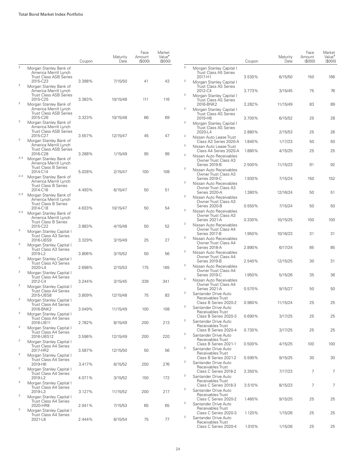|                |                                                                                  | Coupon | Maturity<br>Date | Face<br>Amount<br>(S000) | Market<br>Value <sup>*</sup><br>(S000) |                              |                                                                              | Coupon | Maturity<br>Date | Face<br>Amount<br>(\$000) | Market<br>Value <sup>•</sup><br>(\$000) |
|----------------|----------------------------------------------------------------------------------|--------|------------------|--------------------------|----------------------------------------|------------------------------|------------------------------------------------------------------------------|--------|------------------|---------------------------|-----------------------------------------|
| $\sqrt{2}$     | Morgan Stanley Bank of<br>America Merrill Lynch<br><b>Trust Class ASB Series</b> |        |                  |                          |                                        | $\mathbf{2}$                 | Morgan Stanley Capital I<br><b>Trust Class A5 Series</b><br>2017-H1          | 3.530% | 6/15/50          | 150                       | 166                                     |
| $\sqrt{2}$     | 2015-C23<br>Morgan Stanley Bank of<br>America Merrill Lynch                      | 3.398% | 7/15/50          | 41                       | 43                                     | $\overline{c}$               | Morgan Stanley Capital I<br>Trust Class AS Series<br>2012-C4                 | 3.773% | 3/15/45          | 75                        | 76                                      |
| $\,2$          | <b>Trust Class ASB Series</b><br>2015-C25<br>Morgan Stanley Bank of              | 3.383% | 10/15/48         | 111                      | 116                                    | $\overline{c}$               | Morgan Stanley Capital I<br>Trust Class AS Series<br>2016-BNK2               | 3.282% | 11/15/49         | 83                        | 89                                      |
|                | America Merrill Lynch<br><b>Trust Class ASB Series</b><br>2015-C26               | 3.323% | 10/15/48         | 66                       | 69                                     | $\overline{a}$               | Morgan Stanley Capital I<br><b>Trust Class AS Series</b><br>2019-H6          | 3.700% | 6/15/52          | 25                        | 28                                      |
| $\,2$          | Morgan Stanley Bank of<br>America Merrill Lynch<br><b>Trust Class ASB Series</b> |        |                  |                          |                                        | $\boldsymbol{2}$             | Morgan Stanley Capital I<br><b>Trust Class AS Series</b><br>2020-L4          | 2.880% | 2/15/53          | 25                        | 26                                      |
| $\mathbf{2}$   | 2015-C27<br>Morgan Stanley Bank of<br>America Merrill Lynch                      | 3.557% | 12/15/47         | 45                       | 47                                     | $\overline{2}$<br>$\sqrt{2}$ | Nissan Auto Lease Trust<br>Class A3 Series 2020-A                            | 1.840% | 1/17/23          | 50                        | 50                                      |
| 2,4            | <b>Trust Class ASB Series</b><br>2016-C28<br>Morgan Stanley Bank of              | 3.288% | 1/15/49          | 95                       | 99                                     | $\overline{2}$               | Nissan Auto Lease Trust<br>Class A4 Series 2020-A<br>Nissan Auto Receivables | 1.880% | 4/15/25          | 25                        | 25                                      |
|                | America Merrill Lynch<br>Trust Class B Series<br>2014-C14                        | 5.028% | 2/15/47          | 100                      | 108                                    | $\overline{2}$               | Owner Trust Class A3<br>Series 2019-B<br>Nissan Auto Receivables             | 2.500% | 11/15/23         | 91                        | 92                                      |
| 2,4            | Morgan Stanley Bank of<br>America Merrill Lynch<br><b>Trust Class B Series</b>   |        |                  |                          |                                        | $\overline{c}$               | Owner Trust Class A3<br>Series 2019-C<br>Nissan Auto Receivables             | 1.930% | 7/15/24          | 150                       | 152                                     |
| 2,4            | 2014-C16<br>Morgan Stanley Bank of<br>America Merrill Lynch                      | 4.493% | 6/15/47          | 50                       | 51                                     | $\overline{2}$               | Owner Trust Class A3<br>Series 2020-A<br>Nissan Auto Receivables             | 1.380% | 12/16/24         | 50                        | 51                                      |
| 2,4            | Trust Class B Series<br>2014-C18<br>Morgan Stanley Bank of                       | 4.633% | 10/15/47         | 50                       | 54                                     | $\overline{2}$               | Owner Trust Class A3<br>Series 2020-B<br>Nissan Auto Receivables             | 0.550% | 7/15/24          | 50                        | 50                                      |
|                | America Merrill Lynch<br>Trust Class B Series<br>2015-C22                        | 3.883% | 4/15/48          | 50                       | 52                                     | $\overline{2}$               | Owner Trust Class A3<br>Series 2021-A<br>Nissan Auto Receivables             | 0.330% | 10/15/25         | 100                       | 100                                     |
| $\,2$          | Morgan Stanley Capital I<br>Trust Class A3 Series<br>2016-UBS9                   | 3.329% | 3/15/49          | 25                       | 27                                     | $\overline{2}$               | Owner Trust Class A4<br>Series 2017-B<br>Nissan Auto Receivables             | 1.950% | 10/16/23         | 31                        | 31                                      |
| $\sqrt{2}$     | Morgan Stanley Capital I<br>Trust Class A3 Series<br>2019-L2                     | 3.806% | 3/15/52          | 50                       | 56                                     | $\overline{2}$               | Owner Trust Class A4<br>Series 2018-A<br>Nissan Auto Receivables             | 2.890% | 6/17/24          | 85                        | 85                                      |
| $\mathbf{2}$   | Morgan Stanley Capital I<br>Trust Class A3 Series<br>2020-L4                     | 2.698% | 2/15/53          | 175                      | 185                                    | $\overline{c}$               | Owner Trust Class A4<br>Series 2019-B<br>Nissan Auto Receivables             | 2.540% | 12/15/25         | 30                        | 31                                      |
| $\sqrt{2}$     | Morgan Stanley Capital I<br>Trust Class A4 Series<br>2012-C4                     | 3.244% | 3/15/45          | 339                      | 341                                    | $\overline{2}$               | Owner Trust Class A4<br>Series 2019-C<br>Nissan Auto Receivables             | 1.950% | 5/15/26          | 35                        | 36                                      |
| $\,2$          | Morgan Stanley Capital I<br>Trust Class A4 Series<br>2015-UBS8                   | 3.809% | 12/15/48         | 75                       | 83                                     | $\overline{c}$               | Owner Trust Class A4<br>Series 2021-A<br>Santander Drive Auto                | 0.570% | 9/15/27          | 50                        | 50                                      |
| $\sqrt{2}$     | Morgan Stanley Capital I<br>Trust Class A4 Series<br>2016-BNK2                   | 3.049% | 11/15/49         | 100                      | 108                                    | $\overline{2}$               | Receivables Trust<br>Class B Series 2020-2<br>Santander Drive Auto           | 0.960% | 11/15/24         | 25                        | 25                                      |
| $\sqrt{2}$     | Morgan Stanley Capital I<br>Trust Class A4 Series<br>2016-UB11                   | 2.782% | 8/15/49          | 200                      | 213                                    | $\overline{c}$               | Receivables Trust<br>Class B Series 2020-3<br>Santander Drive Auto           | 0.690% | 3/17/25          | 25                        | 25                                      |
| $\sqrt{2}$     | Morgan Stanley Capital I<br>Trust Class A4 Series<br>2016-UBS12                  | 3.596% | 12/15/49         | 200                      | 220                                    | $\overline{c}$               | Receivables Trust<br>Class B Series 2020-4<br>Santander Drive Auto           | 0.730% | 3/17/25          | 25                        | 25                                      |
| $\sqrt{2}$     | Morgan Stanley Capital I<br>Trust Class A4 Series<br>2017-HR2                    | 3.587% | 12/15/50         | 50                       | 56                                     | $\overline{c}$               | Receivables Trust<br>Class B Series 2021-1<br>Santander Drive Auto           | 0.500% | 4/15/25          | 100                       | 100                                     |
| $\sqrt{2}$     | Morgan Stanley Capital I<br>Trust Class A4 Series<br>2019-H6                     | 3.417% | 6/15/52          | 250                      | 276                                    | $\overline{c}$               | Receivables Trust<br>Class B Series 2021-2<br>Santander Drive Auto           | 0.590% | 9/15/25          | 30                        | 30                                      |
| $\sqrt{2}$     | Morgan Stanley Capital I<br>Trust Class A4 Series<br>2019-L2                     | 4.071% | 3/15/52          | 150                      | 172                                    | $\overline{c}$               | Receivables Trust<br>Class C Series 2018-2<br>Santander Drive Auto           | 3.350% | 7/17/23          | 7                         | 7                                       |
| $\sqrt{2}$     | Morgan Stanley Capital I<br>Trust Class A4 Series<br>2019-L3                     | 3.127% | 11/15/52         | 200                      | 217                                    | $\overline{a}$               | Receivables Trust<br>Class C Series 2018-3<br>Santander Drive Auto           | 3.510% | 8/15/23          | 7                         | 7                                       |
| $\sqrt{2}$     | Morgan Stanley Capital I<br>Trust Class A4 Series<br>2020-HR8                    | 2.041% | 7/15/53          | 65                       | 65                                     | $\overline{a}$               | Receivables Trust<br>Class C Series 2020-2<br>Santander Drive Auto           | 1.460% | 9/15/25          | 25                        | 25                                      |
| $\overline{2}$ | Morgan Stanley Capital I<br><b>Trust Class A4 Series</b><br>2021-L6              | 2.444% | 6/15/54          | 75                       | 77                                     | $\overline{c}$               | Receivables Trust<br>Class C Series 2020-3<br>Santander Drive Auto           | 1.120% | 1/15/26          | 25                        | 25                                      |
|                |                                                                                  |        |                  |                          |                                        |                              | Receivables Trust<br>Class C Series 2020-4                                   | 1.010% | 1/15/26          | 25                        | 25                                      |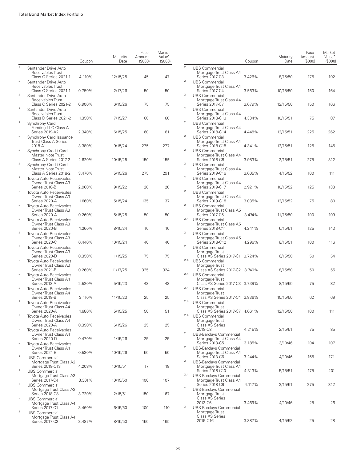|                         |                                                                              | Coupon | Maturity<br>Date | Face<br>Amount<br>(S000) | Market<br>Value <sup>•</sup><br>(S000) |
|-------------------------|------------------------------------------------------------------------------|--------|------------------|--------------------------|----------------------------------------|
| $\overline{c}$          | Santander Drive Auto<br>Receivables Trust<br>Class C Series 2021-1           | 4.110% | 12/15/25         | 45                       | 47                                     |
| $\overline{2}$          | Santander Drive Auto<br>Receivables Trust<br>Class C Series 2021-1           |        |                  |                          |                                        |
| $\mathbf{2}$            | Santander Drive Auto<br>Receivables Trust                                    | 0.750% | 2/17/26          | 50                       | 50                                     |
| $\overline{\mathbf{c}}$ | Class C Series 2021-2<br>Santander Drive Auto<br>Receivables Trust           | 0.900% | 6/15/26          | 75                       | 75                                     |
| $\overline{\mathbf{c}}$ | Class D Series 2021-2<br>Synchrony Card<br>Funding LLC Class A               | 1.350% | 7/15/27          | 60                       | 60                                     |
| $\overline{\mathbf{c}}$ | Series 2019-A2<br>Synchrony Card Issuance                                    | 2.340% | 6/15/25          | 60                       | 61                                     |
| $\overline{2}$          | <b>Trust Class A Series</b><br>2018-A1<br>Synchrony Credit Card              | 3.380% | 9/15/24          | 275                      | 277                                    |
| $\mathbf{2}$            | Master Note Trust<br>Class A Series 2017-2<br>Synchrony Credit Card          | 2.620% | 10/15/25         | 150                      | 155                                    |
| 2                       | Master Note Trust<br>Class A Series 2018-2<br><b>Toyota Auto Receivables</b> | 3.470% | 5/15/26          | 275                      | 291                                    |
| 2                       | Owner Trust Class A3<br>Series 2018-B                                        | 2.960% | 9/15/22          | 20                       | 20                                     |
|                         | Toyota Auto Receivables<br>Owner Trust Class A3<br>Series 2020-A             | 1.660% | 5/15/24          | 135                      | 137                                    |
| $\mathbf{2}$            | Toyota Auto Receivables<br>Owner Trust Class A3<br>Series 2020-A             | 0.260% | 5/15/25          | 50                       | 50                                     |
| 2                       | <b>Toyota Auto Receivables</b><br>Owner Trust Class A3<br>Series 2020-B      | 1.360% | 8/15/24          | 10                       | 10                                     |
| 2                       | Toyota Auto Receivables<br>Owner Trust Class A3<br>Series 2020-C             | 0.440% |                  | 40                       | 40                                     |
| $\mathbf{2}$            | Toyota Auto Receivables<br>Owner Trust Class A3                              |        | 10/15/24         |                          |                                        |
| $\overline{2}$          | Series 2020-D<br><b>Toyota Auto Receivables</b><br>Owner Trust Class A3      | 0.350% | 1/15/25          | 75                       | 75                                     |
| $\mathbf{2}$            | Series 2021-B<br><b>Tovota Auto Receivables</b><br>Owner Trust Class A4      | 0.260% | 11/17/25         | 325                      | 324                                    |
| $\mathbf{2}$            | Series 2018-A<br><b>Tovota Auto Receivables</b>                              | 2.520% | 5/15/23          | 48                       | 48                                     |
| $\mathbf{2}$            | Owner Trust Class A4<br>Series 2018-B<br>Tovota Auto Receivables             | 3.110% | 11/15/23         | 25                       | 25                                     |
| $\overline{2}$          | Owner Trust Class A4<br>Series 2020-A<br><b>Toyota Auto Receivables</b>      | 1.680% | 5/15/25          | 50                       | 51                                     |
| $\mathbf{2}$            | Owner Trust Class A4<br>Series 2020-A<br><b>Toyota Auto Receivables</b>      | 0.390% | 6/15/26          | 25                       | 25                                     |
| $\boldsymbol{2}$        | Owner Trust Class A4<br>Series 2020-D                                        | 0.470% | 1/15/26          | 25                       | 25                                     |
|                         | Toyota Auto Receivables<br>Owner Trust Class A4<br>Series 2021-B             | 0.530% | 10/15/26         | 50                       | 50                                     |
| $\boldsymbol{2}$        | <b>UBS Commercial</b><br>Mortgage Trust Class A2<br>Series 2018-C13          | 4.208% | 10/15/51         | 17                       | 18                                     |
| $\boldsymbol{2}$        | <b>UBS Commercial</b><br>Mortgage Trust Class A3<br>Series 2017-C4           | 3.301% | 10/15/50         | 100                      | 107                                    |
| $\mathbf{2}$            | <b>UBS Commercial</b><br>Mortgage Trust Class A3                             |        |                  |                          |                                        |
| 2                       | <b>Series 2018-C8</b><br><b>UBS Commercial</b><br>Mortgage Trust Class A4    | 3.720% | 2/15/51          | 150                      | 167                                    |
| 2                       | Series 2017-C1<br><b>UBS Commercial</b><br>Mortgage Trust Class A4           | 3.460% | 6/15/50          | 100                      | 110                                    |
|                         | Series 2017-C2                                                               | 3.487% | 8/15/50          | 150                      | 165                                    |

|                         |                                                                                | Coupon | Maturity<br>Date | Face<br>Amount<br>(S000) | Market<br>Value <sup>•</sup><br>(\$000) |
|-------------------------|--------------------------------------------------------------------------------|--------|------------------|--------------------------|-----------------------------------------|
| $\overline{2}$          | <b>UBS Commercial</b>                                                          |        |                  |                          |                                         |
| 2                       | Mortgage Trust Class A4<br>Series 2017-C3                                      | 3.426% | 8/15/50          | 175                      | 192                                     |
|                         | <b>UBS Commercial</b><br>Mortgage Trust Class A4<br>Series 2017-C4             | 3.563% | 10/15/50         | 150                      | 164                                     |
| 2                       | <b>UBS Commercial</b><br>Mortgage Trust Class A4<br>Series 2017-C7             | 3.679% | 12/15/50         | 150                      | 166                                     |
| 2                       | <b>UBS Commercial</b><br>Mortgage Trust Class A4<br>Series 2018-C13            | 4.334% | 10/15/51         | 75                       | 87                                      |
| 2                       | <b>UBS Commercial</b><br>Mortgage Trust Class A4                               |        |                  |                          |                                         |
| 2                       | Series 2018-C14<br><b>UBS Commercial</b><br>Mortgage Trust Class A4            | 4.448% | 12/15/51         | 225                      | 262                                     |
| 2                       | Series 2018-C15<br><b>UBS Commercial</b><br>Mortgage Trust Class A4            | 4.341% | 12/15/51         | 125                      | 145                                     |
| 2                       | Series 2018-C8<br><b>UBS Commercial</b>                                        | 3.983% | 2/15/51          | 275                      | 312                                     |
| 2                       | Mortgage Trust Class A4<br>Series 2019-C16<br><b>UBS Commercial</b>            | 3.605% | 4/15/52          | 100                      | 111                                     |
| 2                       | Mortgage Trust Class A4<br>Series 2019-C17<br><b>UBS Commercial</b>            | 2.921% | 10/15/52         | 125                      | 133                                     |
| 2                       | Mortgage Trust Class A4<br>Series 2019-C18<br><b>UBS Commercial</b>            | 3.035% | 12/15/52         | 75                       | 80                                      |
| 2,4                     | Mortgage Trust Class A5<br>Series 2017-C5                                      | 3.474% | 11/15/50         | 100                      | 109                                     |
| 2                       | <b>UBS Commercial</b><br>Mortgage Trust Class A5<br>Series 2018-C11            | 4.241% | 6/15/51          | 125                      | 143                                     |
|                         | <b>UBS Commercial</b><br>Mortgage Trust Class A5<br>Series 2018-C12            | 4.296% | 8/15/51          | 100                      | 116                                     |
| 2                       | <b>UBS Commercial</b><br>Mortgage Trust<br>Class AS Series 2017-C1             | 3.724% | 6/15/50          | 50                       | 54                                      |
| 2,4                     | <b>UBS Commercial</b><br>Mortgage Trust<br>Class AS Series 2017-C2             | 3.740% | 8/15/50          | 50                       | 55                                      |
| 2,4                     | <b>UBS Commercial</b><br>Mortgage Trust<br>Class AS Series 2017-C3             | 3.739% | 8/15/50          | 75                       | 82                                      |
| 2,4                     | <b>UBS Commercial</b><br>Mortgage Trust<br>Class AS Series 2017-C4 3.836%      |        | 10/15/50         | 62                       | 69                                      |
| 2,4                     | <b>UBS Commercial</b><br>Mortgage Trust                                        |        |                  |                          |                                         |
| 2,4                     | Class AS Series 2017-C7 4.061%<br>UBS Commercial<br>Mortgage Trust             |        | 12/15/50         | 100                      | 111                                     |
| $\overline{\mathbf{c}}$ | <b>Class AS Series</b><br>2018-C8<br><b>UBS-Barclays Commercial</b>            | 4.215% | 2/15/51          | 75                       | 85                                      |
| 2                       | Mortgage Trust Class A4<br>Series 2013-C5<br><b>UBS-Barclays Commercial</b>    | 3.185% | 3/10/46          | 104                      | 107                                     |
| 2                       | Mortgage Trust Class A4<br>Series 2013-C6                                      | 3.244% | 4/10/46          | 165                      | 171                                     |
|                         | UBS-Barclays Commercial<br>Mortgage Trust Class A4<br>Series 2018-C10          | 4.313% | 5/15/51          | 175                      | 201                                     |
| 2,4                     | UBS-Barclays Commercial<br>Mortgage Trust Class A4<br>Series 2018-C9           | 4.117% | 3/15/51          | 275                      | 312                                     |
| 2                       | UBS-Barclays Commercial<br>Mortgage Trust<br><b>Class AS Series</b><br>2013-C6 | 3.469% | 4/10/46          | 25                       | 26                                      |
| 2                       | <b>UBS-Barclays Commercial</b><br>Mortgage Trust<br><b>Class AS Series</b>     |        |                  |                          |                                         |
|                         | 2019-C16                                                                       | 3.887% | 4/15/52          | 25                       | 28                                      |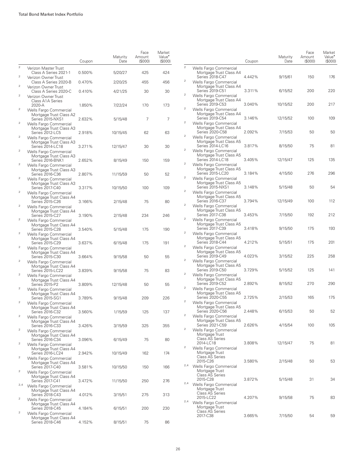|                                  |                                                                       | Coupon | Maturity<br>Date | Face<br>Amount<br>(S000) | Market<br>Value <sup>•</sup><br>(S000) |
|----------------------------------|-----------------------------------------------------------------------|--------|------------------|--------------------------|----------------------------------------|
| $\overline{2}$                   | Verizon Master Trust<br>Class A Series 2021-1                         | 0.500% | 5/20/27          | 425                      | 424                                    |
| $\overline{2}$                   | Verizon Owner Trust<br>Class A Series 2020-B                          | 0.470% | 2/20/25          | 455                      | 456                                    |
| $\overline{2}$<br>$\overline{2}$ | Verizon Owner Trust<br>Class A Series 2020-C                          | 0.410% | 4/21/25          | 30                       | 30                                     |
|                                  | Verizon Owner Trust<br>Class A1A Series<br>2020-A                     | 1.850% | 7/22/24          | 170                      | 173                                    |
| $\overline{2}$                   | Wells Fargo Commercial<br>Mortgage Trust Class A2<br>Series 2015-NXS1 | 2.632% | 5/15/48          | 7                        | 7                                      |
| $\overline{2}$                   | Wells Fargo Commercial<br>Mortgage Trust Class A3<br>Series 2012-LC5  | 2.918% | 10/15/45         | 62                       | 63                                     |
| $\overline{2}$                   | Wells Fargo Commercial<br>Mortgage Trust Class A3<br>Series 2014-LC18 | 3.271% | 12/15/47         | 30                       | 30                                     |
| $\overline{\mathbf{c}}$          | Wells Fargo Commercial<br>Mortgage Trust Class A3<br>Series 2016-BNK1 | 2.652% |                  |                          |                                        |
| $\overline{2}$                   | Wells Fargo Commercial<br>Mortgage Trust Class A3                     |        | 8/15/49          | 150                      | 159                                    |
| $\overline{2}$                   | Series 2016-C36<br>Wells Fargo Commercial<br>Mortgage Trust Class A3  | 2.807% | 11/15/59         | 50                       | 52                                     |
| $\overline{2}$                   | Series 2017-C40<br>Wells Fargo Commercial<br>Mortgage Trust Class A4  | 3.317% | 10/15/50         | 100                      | 109                                    |
| $\overline{2}$                   | Series 2015-C26<br>Wells Fargo Commercial<br>Mortgage Trust Class A4  | 3.166% | 2/15/48          | 75                       | 80                                     |
| $\overline{2}$                   | Series 2015-C27<br>Wells Fargo Commercial                             | 3.190% | 2/15/48          | 234                      | 246                                    |
| $\overline{2}$                   | Mortgage Trust Class A4<br>Series 2015-C28<br>Wells Fargo Commercial  | 3.540% | 5/15/48          | 175                      | 190                                    |
| $\overline{2}$                   | Mortgage Trust Class A4<br>Series 2015-C29<br>Wells Fargo Commercial  | 3.637% | 6/15/48          | 175                      | 191                                    |
| $\overline{2}$                   | Mortgage Trust Class A4<br>Series 2015-C30<br>Wells Fargo Commercial  | 3.664% | 9/15/58          | 50                       | 55                                     |
| $\mathcal{P}$                    | Mortgage Trust Class A4<br>Series 2015-LC22                           | 3.839% | 9/15/58          | 75                       | 83                                     |
|                                  | Wells Fargo Commercial<br>Mortgage Trust Class A4<br>Series 2015-P2   | 3.809% | 12/15/48         | 50                       | 55                                     |
| $\overline{2}$                   | Wells Fargo Commercial<br>Mortgage Trust Class A4<br>Series 2015-SG1  | 3.789% | 9/15/48          | 209                      | 226                                    |
| $\overline{2}$                   | Wells Fargo Commercial<br>Mortgage Trust Class A4<br>Series 2016-C32  | 3.560% | 1/15/59          | 125                      | 137                                    |
| $\overline{\mathbf{c}}$          | Wells Fargo Commercial<br>Mortgage Trust Class A4<br>Series 2016-C33  | 3.426% | 3/15/59          | 325                      | 355                                    |
| $\sqrt{2}$                       | Wells Fargo Commercial<br>Mortgage Trust Class A4                     |        |                  |                          |                                        |
| $\overline{2}$                   | Series 2016-C34<br>Wells Fargo Commercial<br>Mortgage Trust Class A4  | 3.096% | 6/15/49          | 75                       | 80                                     |
| 2                                | Series 2016-LC24<br>Wells Fargo Commercial<br>Mortgage Trust Class A4 | 2.942% | 10/15/49         | 162                      | 174                                    |
| 2                                | Series 2017-C40<br>Wells Fargo Commercial                             | 3.581% | 10/15/50         | 150                      | 166                                    |
| 2,4                              | Mortgage Trust Class A4<br>Series 2017-C41<br>Wells Fargo Commercial  | 3.472% | 11/15/50         | 250                      | 276                                    |
| $\overline{2}$                   | Mortgage Trust Class A4<br>Series 2018-C43<br>Wells Fargo Commercial  | 4.012% | 3/15/51          | 275                      | 313                                    |
| $\overline{2}$                   | Mortgage Trust Class A4<br>Series 2018-C45<br>Wells Fargo Commercial  | 4.184% | 6/15/51          | 200                      | 230                                    |
|                                  | Mortgage Trust Class A4<br>Series 2018-C46                            | 4.152% | 8/15/51          | 75                       | 86                                     |

|                         |                                                                       | Coupon | Maturity<br>Date | Face<br>Amount<br>(S000) | Market<br>Value <sup>•</sup><br>(S000) |
|-------------------------|-----------------------------------------------------------------------|--------|------------------|--------------------------|----------------------------------------|
| $\overline{c}$          | Wells Fargo Commercial<br>Mortgage Trust Class A4<br>Series 2018-C47  | 4.442% | 9/15/61          | 150                      | 176                                    |
| 2                       | Wells Fargo Commercial<br>Mortgage Trust Class A4<br>Series 2019-C51  | 3.311% | 6/15/52          | 200                      | 220                                    |
| 2                       | Wells Fargo Commercial<br>Mortgage Trust Class A4<br>Series 2019-C53  | 3.040% | 10/15/52         | 200                      | 217                                    |
| 2                       | Wells Fargo Commercial<br>Mortgage Trust Class A4<br>Series 2019-C54  | 3.146% | 12/15/52         | 100                      | 109                                    |
| 2                       | Wells Fargo Commercial<br>Mortgage Trust Class A4<br>Series 2020-C58  | 2.092% | 7/15/53          | 50                       | 50                                     |
| 2                       | Wells Fargo Commercial<br>Mortgage Trust Class A5<br>Series 2014-LC16 | 3.817% | 8/15/50          | 75                       | 81                                     |
| 2                       | Wells Fargo Commercial<br>Mortgage Trust Class A5<br>Series 2014-LC18 | 3.405% |                  | 125                      | 135                                    |
| 2                       | Wells Fargo Commercial<br>Mortgage Trust Class A5<br>Series 2015-LC20 |        | 12/15/47         | 276                      |                                        |
| 2                       | Wells Fargo Commercial<br>Mortgage Trust Class A5                     | 3.184% | 4/15/50          |                          | 296                                    |
| 2                       | Series 2015-NXS1<br>Wells Fargo Commercial<br>Mortgage Trust Class A5 | 3.148% | 5/15/48          | 50                       | 54                                     |
| 2                       | Series 2016-C37<br>Wells Fargo Commercial<br>Mortgage Trust Class A5  | 3.794% | 12/15/49         | 100                      | 112                                    |
| 2                       | Series 2017-C38<br>Wells Fargo Commercial<br>Mortgage Trust Class A5  | 3.453% | 7/15/50          | 192                      | 212                                    |
| $\overline{\mathbf{c}}$ | Series 2017-C39<br>Wells Fargo Commercial<br>Mortgage Trust Class A5  | 3.418% | 9/15/50          | 175<br>175               | 193                                    |
| 2                       | Series 2018-C44<br>Wells Fargo Commercial<br>Mortgage Trust Class A5  | 4.212% | 5/15/51          |                          | 201                                    |
| 2                       | Series 2019-C49<br>Wells Fargo Commercial<br>Mortgage Trust Class A5  | 4.023% | 3/15/52          | 225                      | 258                                    |
| 2                       | Series 2019-C50<br>Wells Fargo Commercial<br>Mortgage Trust Class A5  | 3.729% | 5/15/52          | 125                      | 141                                    |
| 2                       | Series 2019-C52<br>Wells Fargo Commercial<br>Mortgage Trust Class A5  | 2.892% | 8/15/52          | 270                      | 290                                    |
| 2                       | Series 2020-C55<br>Wells Fargo Commercial<br>Mortgage Trust Class A5  | 2.725% | 2/15/53          | 165                      | 175                                    |
| $\overline{c}$          | Series 2020-C56<br>Wells Fargo Commercial<br>Mortgage Trust Class A5  | 2.448% | 6/15/53          | 50                       | 52                                     |
| 2                       | Series 2021-C59<br>Wells Fargo Commercial<br>Mortgage Trust           | 2.626% | 4/15/54          | 100                      | 105                                    |
| 2                       | Class AS Series<br>2014-LC18<br>Wells Fargo Commercial                | 3.808% | 12/15/47         | 75                       | 81                                     |
|                         | Mortgage Trust<br><b>Class AS Series</b><br>2015-C26                  | 3.580% | 2/15/48          | 50                       | 53                                     |
| 2,4                     | Wells Fargo Commercial<br>Mortgage Trust<br><b>Class AS Series</b>    |        |                  |                          |                                        |
| 2,4                     | 2015-C28<br>Wells Fargo Commercial<br>Mortgage Trust                  | 3.872% | 5/15/48          | 31                       | 34                                     |
| 2,4                     | Class AS Series<br>2015-LC22<br>Wells Fargo Commercial                | 4.207% | 9/15/58          | 75                       | 83                                     |
|                         | Mortgage Trust<br>Class AS Series<br>2017-C38                         | 3.665% | 7/15/50          | 54                       | 59                                     |
|                         |                                                                       |        |                  |                          |                                        |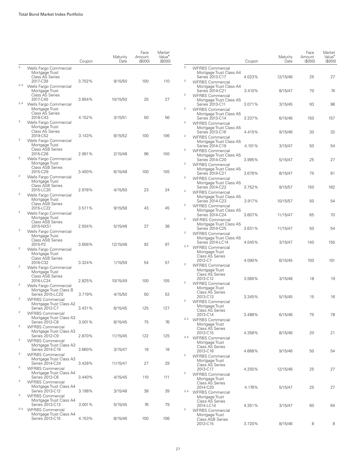|                         |                                                                                                  | Coupon           | Maturity<br>Date   | Face<br>Amount<br>(S000) | Market<br>Value <sup>*</sup><br>(S000) |                                  |                                                                                                  | Coupon | Maturity<br>Date | Face<br>Amount<br>(S000) | Market<br>Value <sup>•</sup><br>(S000) |
|-------------------------|--------------------------------------------------------------------------------------------------|------------------|--------------------|--------------------------|----------------------------------------|----------------------------------|--------------------------------------------------------------------------------------------------|--------|------------------|--------------------------|----------------------------------------|
| $\mathbf{2}$            | Wells Fargo Commercial<br>Mortgage Trust<br>Class AS Series                                      |                  |                    |                          |                                        | $\overline{2}$                   | <b>WFRBS Commercial</b><br>Mortgage Trust Class A4<br>Series 2013-C17                            | 4.023% | 12/15/46         | 25                       | 27                                     |
| 2,4                     | 2017-C39<br>Wells Fargo Commercial<br>Mortgage Trust<br>Class AS Series                          | 3.702%           | 9/15/50            | 100                      | 110                                    | $\overline{a}$<br>$\overline{2}$ | <b>WFRBS Commercial</b><br>Mortgage Trust Class A4<br>Series 2014-C21                            | 3.410% | 8/15/47          | 70                       | 74                                     |
| 2,4                     | 2017-C40<br>Wells Fargo Commercial<br>Mortgage Trust                                             | 3.854%           | 10/15/50           | 25                       | 27                                     | $\sqrt{2}$                       | <b>WFRBS Commercial</b><br>Mortgage Trust Class A5<br>Series 2013-C11<br><b>WFRBS Commercial</b> | 3.071% | 3/15/45          | 93                       | 96                                     |
| $\mathbf 2$             | <b>Class AS Series</b><br>2018-C43<br>Wells Fargo Commercial                                     | 4.152%           | 3/15/51            | 50                       | 56                                     | $\mathbf 2$                      | Mortgage Trust Class A5<br>Series 2013-C14<br><b>WFRBS Commercial</b>                            | 3.337% | 6/15/46          | 150                      | 157                                    |
|                         | Mortgage Trust<br>Class AS Series<br>2019-C52                                                    | 3.143%           | 8/15/52            | 100                      | 106                                    | $\overline{a}$                   | Mortgage Trust Class A5<br>Series 2013-C16<br><b>WFRBS Commercial</b>                            | 4.415% | 9/15/46          | 30                       | 32                                     |
| $\mathbf 2$             | Wells Fargo Commercial<br>Mortgage Trust<br><b>Class ASB Series</b><br>2015-C26                  | 2.991%           | 2/15/48            | 96                       | 100                                    | $\overline{2}$                   | Mortgage Trust Class A5<br>Series 2014-C19<br><b>WFRBS Commercial</b>                            | 4.101% | 3/15/47          | 50                       | 54                                     |
| $\mathbf 2$             | Wells Fargo Commercial<br>Mortgage Trust<br>Class ASB Series                                     |                  |                    |                          |                                        | $\overline{a}$                   | Mortgage Trust Class A5<br>Series 2014-C20<br><b>WFRBS Commercial</b>                            | 3.995% | 5/15/47          | 25                       | 27                                     |
| $\overline{a}$          | 2015-C29<br>Wells Fargo Commercial<br>Mortgage Trust                                             | 3.400%           | 6/15/48            | 100                      | 105                                    | $\overline{a}$                   | Mortgage Trust Class A5<br>Series 2014-C21<br><b>WFRBS Commercial</b><br>Mortgage Trust Class A5 | 3.678% | 8/15/47          | 75                       | 81                                     |
| $\mathbf 2$             | <b>Class ASB Series</b><br>2015-LC20<br>Wells Fargo Commercial                                   | 2.978%           | 4/15/50            | 23                       | 24                                     | $\overline{a}$                   | Series 2014-C22<br><b>WFRBS Commercial</b><br>Mortgage Trust Class A5                            | 3.752% | 9/15/57          | 150                      | 162                                    |
| $\,2$                   | Mortgage Trust<br>Class ASB Series<br>2015-LC22                                                  | 3.571%           | 9/15/58            | 43                       | 45                                     | $\overline{a}$                   | Series 2014-C23<br><b>WFRBS Commercial</b><br>Mortgage Trust Class A5                            | 3.917% | 10/15/57         | 50                       | 54                                     |
|                         | Wells Fargo Commercial<br>Mortgage Trust<br>Class ASB Series<br>2015-NXS1                        | 2.934%           | 5/15/48            | 37                       | 38                                     | $\overline{a}$                   | Series 2014-C24<br><b>WF-RBS Commercial</b><br>Mortgage Trust Class A5                           | 3.607% | 11/15/47         | 65                       | 70                                     |
| $\mathbf 2$             | Wells Fargo Commercial<br>Mortgage Trust<br>Class ASB Series                                     |                  |                    |                          |                                        | $\overline{a}$                   | Series 2014-C25<br><b>WFRBS Commercial</b><br>Mortgage Trust Class A5                            | 3.631% | 11/15/47         | 50                       | 54                                     |
| $\overline{c}$          | 2015-P2<br>Wells Fargo Commercial<br>Mortgage Trust                                              | 3.656%           | 12/15/48           | 92                       | 97                                     |                                  | Series 2014-LC14<br><sup>2,4</sup> WFRBS Commercial<br>Mortgage Trust<br><b>Class AS Series</b>  | 4.045% | 3/15/47          | 140                      | 150                                    |
| $\overline{c}$          | <b>Class ASB Series</b><br>2016-C32<br>Wells Fargo Commercial<br>Mortgage Trust                  | 3.324%           | 1/15/59            | 54                       | 57                                     | $\overline{c}$                   | 2012-C7<br><b>WFRBS Commercial</b><br>Mortgage Trust                                             | 4.090% | 6/15/45          | 100                      | 101                                    |
| $\overline{c}$          | <b>Class ASB Series</b><br>2016-LC24<br>Wells Fargo Commercial                                   | 2.825%           | 10/15/49           | 100                      | 105                                    | $\overline{a}$                   | Class AS Series<br>2013-C12<br><b>WFRBS Commercial</b>                                           | 3.560% | 3/15/48          | 18                       | 19                                     |
| $\overline{\mathbf{c}}$ | Mortgage Trust Class B<br>Series 2015-LC20<br><b>WFRBS Commercial</b>                            | 3.719%           | 4/15/50            | 50                       | 53                                     | $\sqrt{2}$                       | Mortgage Trust<br>Class AS Series<br>2013-C13<br><b>WFRBS Commercial</b>                         | 3.345% | 5/15/45          | 15                       | 16                                     |
| $\overline{c}$          | Mortgage Trust Class A2<br>Series 2012-C7<br><b>WFRBS Commercial</b>                             | 3.431%           | 6/15/45            | 125                      | 127                                    |                                  | Mortgage Trust<br>Class AS Series<br>2013-C14                                                    | 3.488% | 6/15/46          | 75                       | 78                                     |
| $\overline{a}$          | Mortgage Trust Class A3<br>Series 2012-C8<br><b>WFRBS Commercial</b><br>Mortgage Trust Class A3  | 3.001%           | 8/15/45            | 75                       | 76                                     |                                  | <sup>2,4</sup> WFRBS Commercial<br>Mortgage Trust<br>Class AS Series                             |        |                  |                          |                                        |
| $\overline{a}$          | Series 2012-C9<br><b>WFRBS Commercial</b><br>Mortgage Trust Class A3                             | 2.870%           | 11/15/45           | 122                      | 125                                    |                                  | 2013-C15<br><sup>2,4</sup> WFRBS Commercial<br>Mortgage Trust                                    | 4.358% | 8/15/46          | 20                       | 21                                     |
| $\overline{a}$          | Series 2014-C19<br><b>WFRBS Commercial</b><br>Mortgage Trust Class A3                            | 3.660%           | 3/15/47            | 18                       | 18                                     | $\overline{2}$                   | Class AS Series<br>2013-C16<br><b>WFRBS Commercial</b><br>Mortgage Trust                         | 4.668% | 9/15/46          | 50                       | 54                                     |
| $\overline{c}$          | Series 2014-C24<br><b>WFRBS Commercial</b><br>Mortgage Trust Class A4                            | 3.428%           | 11/15/47           | 27                       | 29                                     | $\overline{2}$                   | Class AS Series<br>2013-C17<br><b>WFRBS Commercial</b>                                           | 4.255% | 12/15/46         | 25                       | 27                                     |
| $\overline{a}$          | Series 2012-C6<br><b>WFRBS Commercial</b><br>Mortgage Trust Class A4                             | 3.440%           | 4/15/45            | 110                      | 111                                    |                                  | Mortgage Trust<br>Class AS Series<br>2014-C20                                                    | 4.176% | 5/15/47          | 25                       | 27                                     |
| $\overline{a}$          | Series 2013-C12<br><b>WFRBS Commercial</b><br>Mortgage Trust Class A4                            | 3.198%           | 3/15/48            | 38                       | 39                                     |                                  | <sup>2,4</sup> WFRBS Commercial<br>Mortgage Trust<br>Class AS Series                             |        |                  |                          |                                        |
|                         | Series 2013-C13<br><sup>2,4</sup> WFRBS Commercial<br>Mortgage Trust Class A4<br>Series 2013-C15 | 3.001%<br>4.153% | 5/15/45<br>8/15/46 | 76<br>100                | 79<br>106                              | $\sqrt{2}$                       | 2014-LC14<br><b>WFRBS Commercial</b><br>Mortgage Trust                                           | 4.351% | 3/15/47          | 60                       | 64                                     |
|                         |                                                                                                  |                  |                    |                          |                                        |                                  | Class ASB Series<br>2013-C15                                                                     | 3.720% | 8/15/46          | 8                        | 8                                      |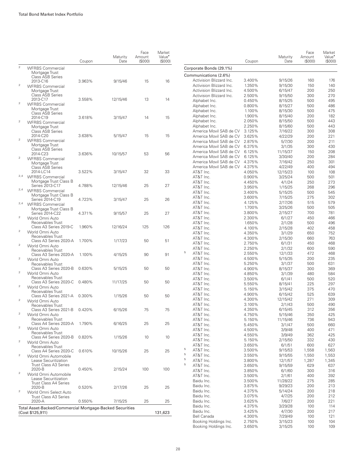|                                                 |                                                          | Coupon | Maturity<br>Date | Face<br>Amount<br>(\$000) | Market<br>Value <sup>*</sup><br>(\$000) |                                | Coupon           | Maturity<br>Date   | Face<br>Amount<br>(S000) | Market<br>Value <sup>•</sup><br>(S000) |
|-------------------------------------------------|----------------------------------------------------------|--------|------------------|---------------------------|-----------------------------------------|--------------------------------|------------------|--------------------|--------------------------|----------------------------------------|
| $\mathbf{2}$                                    | <b>WFRBS Commercial</b>                                  |        |                  |                           |                                         | Corporate Bonds (29.1%)        |                  |                    |                          |                                        |
|                                                 | Mortgage Trust                                           |        |                  |                           |                                         | Communications (2.6%)          |                  |                    |                          |                                        |
|                                                 | <b>Class ASB Series</b><br>2013-C16                      | 3.963% | 9/15/46          | 15                        | 16                                      | Activision Blizzard Inc.       | 3.400%           | 9/15/26            | 160                      | 176                                    |
| $\mathbf{2}$                                    | <b>WFRBS Commercial</b>                                  |        |                  |                           |                                         | Activision Blizzard Inc.       | 1.350%           | 9/15/30            | 150                      | 140                                    |
|                                                 | Mortgage Trust                                           |        |                  |                           |                                         | Activision Blizzard Inc.       | 4.500%           | 6/15/47            | 200                      | 250                                    |
|                                                 | <b>Class ASB Series</b>                                  |        |                  |                           |                                         | Activision Blizzard Inc.       | 2.500%           | 9/15/50            | 300                      | 270                                    |
| $\mathfrak{2}% \left( \mathfrak{1}\right) ^{2}$ | 2013-C17<br><b>WFRBS Commercial</b>                      | 3.558% | 12/15/46         | 13                        | 14                                      | Alphabet Inc.                  | 0.450%           | 8/15/25            | 500                      | 495                                    |
|                                                 | Mortgage Trust                                           |        |                  |                           |                                         | Alphabet Inc.                  | 0.800%           | 8/15/27            | 500                      | 486                                    |
|                                                 | <b>Class ASB Series</b>                                  |        |                  |                           |                                         | Alphabet Inc.                  | 1.100%           | 8/15/30            | 500                      | 475                                    |
|                                                 | 2014-C19                                                 | 3.618% | 3/15/47          | 14                        | 15                                      | Alphabet Inc.<br>Alphabet Inc. | 1.900%           | 8/15/40            | 200<br>500               | 182                                    |
| $\mathfrak 2$                                   | <b>WFRBS Commercial</b>                                  |        |                  |                           |                                         | Alphabet Inc.                  | 2.050%<br>2.250% | 8/15/50<br>8/15/60 | 500                      | 443<br>443                             |
|                                                 | Mortgage Trust<br><b>Class ASB Series</b>                |        |                  |                           |                                         | America Movil SAB de CV        | 3.125%           | 7/16/22            | 300                      | 308                                    |
|                                                 | 2014-C20                                                 | 3.638% | 5/15/47          | 15                        | 15                                      | America Movil SAB de CV        | 3.625%           | 4/22/29            | 200                      | 221                                    |
| $\mathbf 2$                                     | <b>WFRBS Commercial</b>                                  |        |                  |                           |                                         | America Movil SAB de CV        | 2.875%           | 5/7/30             | 200                      | 211                                    |
|                                                 | Mortgage Trust                                           |        |                  |                           |                                         | America Movil SAB de CV        | 6.375%           | 3/1/35             | 300                      | 430                                    |
|                                                 | <b>Class ASB Series</b>                                  |        |                  |                           | 56                                      | America Movil SAB de CV        | 6.125%           | 11/15/37           | 150                      | 208                                    |
| $\mathbf 2$                                     | 2014-C23<br><b>WFRBS Commercial</b>                      | 3.636% | 10/15/57         | 53                        |                                         | America Movil SAB de CV        | 6.125%           | 3/30/40            | 200                      | 284                                    |
|                                                 | Mortgage Trust                                           |        |                  |                           |                                         | America Movil SAB de CV        | 4.375%           | 7/16/42            | 250                      | 301                                    |
|                                                 | <b>Class ASB Series</b>                                  |        |                  |                           |                                         | America Movil SAB de CV        | 4.375%           | 4/22/49            | 400                      | 494                                    |
|                                                 | 2014-LC14                                                | 3.522% | 3/15/47          | 32                        | 33                                      | AT&T Inc.                      | 4.050%           | 12/15/23           | 100                      | 108                                    |
| 2,4                                             | <b>WFRBS Commercial</b>                                  |        |                  |                           |                                         | AT&T Inc.                      | 0.900%           | 3/25/24            | 500                      | 501                                    |
|                                                 | Mortgage Trust Class B<br>Series 2013-C17                | 4.788% | 12/15/46         | 25                        | 27                                      | AT&T Inc.                      | 4.450%           | 4/1/24             | 250                      | 273                                    |
|                                                 | <sup>2,4</sup> WFRBS Commercial                          |        |                  |                           |                                         | AT&T Inc.                      | 3.950%           | 1/15/25            | 268                      | 296                                    |
|                                                 | Mortgage Trust Class B                                   |        |                  |                           |                                         | AT&T Inc.                      | 3.400%           | 5/15/25            | 500                      | 545                                    |
|                                                 | Series 2014-C19                                          | 4.723% | 3/15/47          | 25                        | 26                                      | AT&T Inc.                      | 3.600%           | 7/15/25            | 275                      | 302                                    |
|                                                 | <sup>2,4</sup> WFRBS Commercial                          |        |                  |                           |                                         | AT&T Inc.<br>AT&T Inc.         | 4.125%           | 2/17/26            | 515                      | 579                                    |
|                                                 | Mortgage Trust Class B                                   |        |                  |                           |                                         | AT&T Inc.                      | 1.700%<br>3.800% | 3/25/26<br>2/15/27 | 500<br>700               | 505<br>781                             |
| $\mathbf{2}$                                    | Series 2014-C22                                          | 4.371% | 9/15/57          | 25                        | 27                                      | AT&T Inc.                      | 2.300%           | 6/1/27             | 450                      | 466                                    |
|                                                 | World Omni Auto<br>Receivables Trust                     |        |                  |                           |                                         | AT&T Inc.                      | 1.650%           | 2/1/28             | 500                      | 496                                    |
|                                                 | Class A3 Series 2019-C                                   | 1.960% | 12/16/24         | 125                       | 126                                     | AT&T Inc.                      | 4.100%           | 2/15/28            | 402                      | 458                                    |
| $\mathbf 2$                                     | World Omni Auto                                          |        |                  |                           |                                         | AT&T Inc.                      | 4.350%           | 3/1/29             | 650                      | 752                                    |
|                                                 | Receivables Trust                                        |        |                  |                           |                                         | AT&T Inc.                      | 4.300%           | 2/15/30            | 660                      | 763                                    |
| $\mathfrak 2$                                   | Class A3 Series 2020-A                                   | 1.700% | 1/17/23          | 50                        | 51                                      | AT&T Inc.                      | 2.750%           | 6/1/31             | 450                      | 468                                    |
|                                                 | World Omni Auto<br>Receivables Trust                     |        |                  |                           |                                         | AT&T Inc.                      | 2.250%           | 2/1/32             | 600                      | 590                                    |
|                                                 | Class A3 Series 2020-A                                   | 1.100% | 4/15/25          | 90                        | 91                                      | 5<br>AT&T Inc.                 | 2.550%           | 12/1/33            | 472                      | 468                                    |
| $\mathbf{2}$                                    | World Omni Auto                                          |        |                  |                           |                                         | AT&T Inc.                      | 4.500%           | 5/15/35            | 200                      | 235                                    |
|                                                 | Receivables Trust                                        |        |                  |                           |                                         | AT&T Inc.                      | 5.250%           | 3/1/37             | 500                      | 631                                    |
|                                                 | Class A3 Series 2020-B                                   | 0.630% | 5/15/25          | 50                        | 50                                      | AT&T Inc.                      | 4.900%           | 8/15/37            | 300                      | 369                                    |
| $\mathbf 2$                                     | World Omni Auto                                          |        |                  |                           |                                         | AT&T Inc.                      | 4.850%           | 3/1/39             | 480                      | 584                                    |
|                                                 | Receivables Trust<br>Class A3 Series 2020-C              | 0.480% | 11/17/25         | 50                        | 50                                      | AT&T Inc.                      | 3.500%           | 6/1/41             | 500                      | 520                                    |
| $\mathfrak{2}% \left( \mathfrak{1}\right) ^{2}$ | World Omni Auto                                          |        |                  |                           |                                         | AT&T Inc.                      | 5.550%           | 8/15/41            | 225                      | 297                                    |
|                                                 | Receivables Trust                                        |        |                  |                           |                                         | AT&T Inc.                      | 5.150%           | 3/15/42            | 375                      | 470                                    |
|                                                 | Class A3 Series 2021-A                                   | 0.300% | 1/15/26          | 50                        | 50                                      | AT&T Inc.                      | 4.900%           | 6/15/42            | 525                      | 639                                    |
| $\mathfrak 2$                                   | World Omni Auto                                          |        |                  |                           |                                         | AT&T Inc.<br>AT&T Inc.         | 4.300%<br>3.100% | 12/15/42           | 271<br>500               | 309<br>490                             |
|                                                 | Receivables Trust<br>Class A3 Series 2021-B 0.420%       |        | 6/15/26          |                           | 75                                      | AT&T Inc.                      | 4.350%           | 2/1/43<br>6/15/45  | 312                      | 356                                    |
| $\mathfrak 2$                                   | World Omni Auto                                          |        |                  | 75                        |                                         | AT&T Inc.                      | 4.750%           | 5/15/46            | 350                      | 425                                    |
|                                                 | Receivables Trust                                        |        |                  |                           |                                         | AT&T Inc.                      | 5.150%           | 11/15/46           | 736                      | 943                                    |
|                                                 | Class A4 Series 2020-A                                   | 1.790% | 6/16/25          | 25                        | 25                                      | AT&T Inc.                      | 5.450%           | 3/1/47             | 500                      | 660                                    |
| $\mathfrak 2$                                   | World Omni Auto                                          |        |                  |                           |                                         | AT&T Inc.                      | 4.500%           | 3/9/48             | 400                      | 471                                    |
|                                                 | Receivables Trust                                        |        |                  |                           |                                         | AT&T Inc.                      | 4.550%           | 3/9/49             | 362                      | 425                                    |
| $\mathfrak 2$                                   | Class A4 Series 2020-B                                   | 0.820% | 1/15/26          | 10                        | 10                                      | AT&T Inc.                      | 5.150%           | 2/15/50            | 332                      | 430                                    |
|                                                 | World Omni Auto<br>Receivables Trust                     |        |                  |                           |                                         | AT&T Inc.                      | 3.650%           | 6/1/51             | 600                      | 627                                    |
|                                                 | Class A4 Series 2020-C                                   | 0.610% | 10/15/26         | 25                        | 25                                      | 5<br>AT&T Inc.                 | 3.500%           | 9/15/53            | 1,558                    | 1,563                                  |
| 2                                               | World Omni Automobile                                    |        |                  |                           |                                         | 5<br>AT&T Inc.                 | 3.550%           | 9/15/55            | 1,550                    | 1,553                                  |
|                                                 | Lease Securitization                                     |        |                  |                           |                                         | 5<br>AT&T Inc.                 | 3.800%           | 12/1/57            | 1,287                    | 1,345                                  |
|                                                 | Trust Class A3 Series                                    |        |                  |                           |                                         | 5<br>AT&T Inc.                 | 3.650%           | 9/15/59            | 629                      | 637                                    |
| $\overline{\mathbf{c}}$                         | 2020-B                                                   | 0.450% | 2/15/24          | 100                       | 100                                     | AT&T Inc.                      | 3.850%           | 6/1/60             | 300                      | 316                                    |
|                                                 | World Omni Automobile<br>Lease Securitization            |        |                  |                           |                                         | AT&T Inc.                      | 3.500%           | 2/1/61             | 400                      | 392                                    |
|                                                 | Trust Class A4 Series                                    |        |                  |                           |                                         | Baidu Inc.                     | 3.500%           | 11/28/22           | 275                      | 285                                    |
|                                                 | 2020-B                                                   | 0.520% | 2/17/26          | 25                        | 25                                      | Baidu Inc.                     | 3.875%           | 9/29/23            | 200                      | 213                                    |
| $\overline{c}$                                  | World Omni Select Auto                                   |        |                  |                           |                                         | Baidu Inc.                     | 4.375%           | 5/14/24            | 200                      | 218                                    |
|                                                 | Trust Class A3 Series                                    |        | 7/15/25          |                           |                                         | Baidu Inc.                     | 3.075%           | 4/7/25             | 200                      | 212                                    |
|                                                 | 2020-A                                                   | 0.550% |                  | 25                        | 25                                      | Baidu Inc.<br>Baidu Inc.       | 3.625%<br>4.375% | 7/6/27<br>3/29/28  | 200<br>100               | 221<br>114                             |
|                                                 | Total Asset-Backed/Commercial Mortgage-Backed Securities |        |                  |                           |                                         | Baidu Inc.                     | 3.425%           | 4/7/30             | 200                      | 217                                    |
|                                                 | (Cost \$125,911)                                         |        |                  |                           | 131,623                                 | <b>Bell Canada</b>             | 4.300%           | 7/29/49            | 100                      | 121                                    |
|                                                 |                                                          |        |                  |                           |                                         | Booking Holdings Inc.          | 2.750%           | 3/15/23            | 100                      | 104                                    |

Booking Holdings Inc. 3.650% 3/15/25 100 109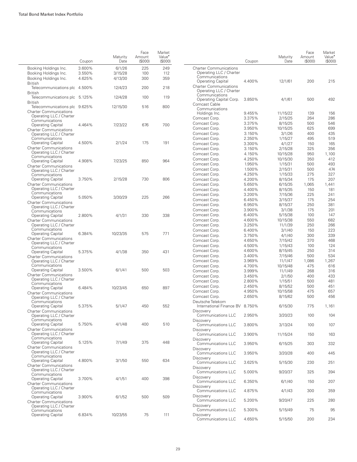|                                                           | Coupon | Maturity<br>Date | Face<br>Amount<br>(S000) | Market<br>Value <sup>*</sup><br>(S000) |                                                          | Coupon           | Maturity<br>Date   | Face<br>Amount<br>(\$000) | Market<br>Value <sup>*</sup><br>(S000) |
|-----------------------------------------------------------|--------|------------------|--------------------------|----------------------------------------|----------------------------------------------------------|------------------|--------------------|---------------------------|----------------------------------------|
| Booking Holdings Inc.                                     | 3.600% | 6/1/26           | 225                      | 249                                    | <b>Charter Communications</b>                            |                  |                    |                           |                                        |
| Booking Holdings Inc.                                     | 3.550% | 3/15/28          | 100                      | 112                                    | Operating LLC / Charter                                  |                  |                    |                           |                                        |
| Booking Holdings Inc.                                     | 4.625% | 4/13/30          | 300                      | 359                                    | Communications                                           |                  |                    |                           |                                        |
| <b>British</b>                                            |        |                  |                          |                                        | <b>Operating Capital</b>                                 | 4.400%           | 12/1/61            | 200                       | 215                                    |
| Telecommunications plc 4.500%<br><b>British</b>           |        | 12/4/23          | 200                      | 218                                    | <b>Charter Communications</b><br>Operating LLC / Charter |                  |                    |                           |                                        |
| Telecommunications plc 5.125%<br><b>British</b>           |        | 12/4/28          | 100                      | 119                                    | Communications<br>Operating Capital Corp.                | 3.850%           | 4/1/61             | 500                       | 492                                    |
| Telecommunications plc 9.625%                             |        | 12/15/30         | 516                      | 800                                    | Comcast Cable<br>Communications                          |                  |                    |                           |                                        |
| <b>Charter Communications</b><br>Operating LLC / Charter  |        |                  |                          |                                        | Holdings Inc.                                            | 9.455%           | 11/15/22           | 139                       | 156                                    |
| Communications                                            |        |                  |                          |                                        | Comcast Corp.                                            | 3.375%           | 2/15/25            | 264                       | 286                                    |
| <b>Operating Capital</b>                                  | 4.464% | 7/23/22          | 676                      | 700                                    | Comcast Corp.                                            | 3.375%           | 8/15/25            | 500                       | 546                                    |
| <b>Charter Communications</b>                             |        |                  |                          |                                        | Comcast Corp.                                            | 3.950%           | 10/15/25           | 625                       | 699                                    |
| Operating LLC / Charter                                   |        |                  |                          |                                        | Comcast Corp.                                            | 3.150%           | 3/1/26             | 400                       | 435                                    |
| Communications                                            | 4.500% | 2/1/24           | 175                      | 191                                    | Comcast Corp.                                            | 2.350%           | 1/15/27            | 495                       | 519                                    |
| <b>Operating Capital</b><br><b>Charter Communications</b> |        |                  |                          |                                        | Comcast Corp.                                            | 3.300%           | 4/1/27             | 150                       | 165                                    |
| Operating LLC / Charter                                   |        |                  |                          |                                        | Comcast Corp.                                            | 3.150%           | 2/15/28            | 325                       | 356                                    |
| Communications                                            |        |                  |                          |                                        | Comcast Corp.                                            | 4.150%           | 10/15/28           | 950                       | 1,100                                  |
| <b>Operating Capital</b>                                  | 4.908% | 7/23/25          | 850                      | 964                                    | Comcast Corp.                                            | 4.250%           | 10/15/30           | 350                       | 412                                    |
| <b>Charter Communications</b>                             |        |                  |                          |                                        | Comcast Corp.                                            | 1.950%           | 1/15/31            | 500                       | 493                                    |
| Operating LLC / Charter                                   |        |                  |                          |                                        | Comcast Corp.                                            | 1.500%           | 2/15/31            | 500                       | 474                                    |
| Communications                                            |        |                  |                          |                                        | Comcast Corp.                                            | 4.250%           | 1/15/33            | 275                       | 327                                    |
| <b>Operating Capital</b>                                  | 3.750% | 2/15/28          | 730                      | 806                                    | Comcast Corp.                                            | 4.200%           | 8/15/34            | 175                       | 207                                    |
| <b>Charter Communications</b><br>Operating LLC / Charter  |        |                  |                          |                                        | Comcast Corp.                                            | 5.650%           | 6/15/35            | 1,065                     | 1,441                                  |
| Communications                                            |        |                  |                          |                                        | Comcast Corp.                                            | 4.400%           | 8/15/35            | 150                       | 181                                    |
| <b>Operating Capital</b>                                  | 5.050% | 3/30/29          | 225                      | 266                                    | Comcast Corp.                                            | 3.200%           | 7/15/36            | 225                       | 241                                    |
| <b>Charter Communications</b>                             |        |                  |                          |                                        | Comcast Corp.                                            | 6.450%           | 3/15/37<br>8/15/37 | 175                       | 254                                    |
| Operating LLC / Charter                                   |        |                  |                          |                                        | Comcast Corp.<br>Comcast Corp.                           | 6.950%<br>3.900% |                    | 250<br>175                | 381<br>201                             |
| Communications                                            |        |                  |                          |                                        |                                                          |                  | 3/1/38<br>5/15/38  |                           | 147                                    |
| <b>Operating Capital</b>                                  | 2.800% | 4/1/31           | 330                      | 338                                    | Comcast Corp.<br>Comcast Corp.                           | 6.400%<br>4.600% | 10/15/38           | 100<br>550                | 682                                    |
| <b>Charter Communications</b><br>Operating LLC / Charter  |        |                  |                          |                                        | Comcast Corp.                                            | 3.250%           | 11/1/39            | 250                       | 266                                    |
| Communications                                            |        |                  |                          |                                        | Comcast Corp.                                            | 6.400%           | 3/1/40             | 150                       | 223                                    |
| <b>Operating Capital</b>                                  | 6.384% | 10/23/35         | 575                      | 771                                    | Comcast Corp.                                            | 3.750%           | 4/1/40             | 300                       | 339                                    |
| <b>Charter Communications</b>                             |        |                  |                          |                                        | Comcast Corp.                                            | 4.650%           | 7/15/42            | 370                       | 468                                    |
| Operating LLC / Charter                                   |        |                  |                          |                                        | Comcast Corp.                                            | 4.500%           | 1/15/43            | 100                       | 124                                    |
| Communications                                            |        |                  |                          |                                        | Comcast Corp.                                            | 4.600%           | 8/15/45            | 250                       | 314                                    |
| <b>Operating Capital</b>                                  | 5.375% | 4/1/38           | 350                      | 431                                    | Comcast Corp.                                            | 3.400%           | 7/15/46            | 500                       | 534                                    |
| <b>Charter Communications</b><br>Operating LLC / Charter  |        |                  |                          |                                        | Comcast Corp.                                            | 3.969%           | 11/1/47            | 1,086                     | 1,267                                  |
| Communications                                            |        |                  |                          |                                        | Comcast Corp.                                            | 4.700%           | 10/15/48           | 475                       | 616                                    |
| <b>Operating Capital</b>                                  | 3.500% | 6/1/41           | 500                      | 503                                    | Comcast Corp.                                            | 3.999%           | 11/1/49            | 268                       | 316                                    |
| <b>Charter Communications</b>                             |        |                  |                          |                                        | Comcast Corp.                                            | 3.450%           | 2/1/50             | 400                       | 433                                    |
| Operating LLC / Charter                                   |        |                  |                          |                                        | Comcast Corp.                                            | 2.800%           | 1/15/51            | 500                       | 481                                    |
| Communications                                            |        |                  |                          |                                        | Comcast Corp.                                            | 2.450%           | 8/15/52            | 500                       | 451                                    |
| <b>Operating Capital</b>                                  | 6.484% | 10/23/45         | 650                      | 897                                    | Comcast Corp.                                            | 4.950%           | 10/15/58           | 475                       | 657                                    |
| <b>Charter Communications</b><br>Operating LLC / Charter  |        |                  |                          |                                        | Comcast Corp.                                            | 2.650%           | 8/15/62            | 500                       | 456                                    |
| Communications                                            |        |                  |                          |                                        | Deutsche Telekom                                         |                  |                    |                           |                                        |
| <b>Operating Capital</b>                                  | 5.375% | 5/1/47           | 450                      | 552                                    | International Finance BV 8.750%                          |                  | 6/15/30            | 775                       | 1,161                                  |
| <b>Charter Communications</b>                             |        |                  |                          |                                        | Discovery                                                |                  |                    |                           |                                        |
| Operating LLC / Charter<br>Communications                 |        |                  |                          |                                        | Communications LLC<br>Discovery                          | 2.950%           | 3/20/23            | 100                       | 104                                    |
| <b>Operating Capital</b>                                  | 5.750% | 4/1/48           | 400                      | 510                                    | Communications LLC                                       | 3.800%           | 3/13/24            | 100                       | 107                                    |
| <b>Charter Communications</b>                             |        |                  |                          |                                        | Discovery                                                |                  |                    |                           |                                        |
| Operating LLC / Charter                                   |        |                  |                          |                                        | Communications LLC                                       | 3.900%           | 11/15/24           | 150                       | 163                                    |
| Communications                                            |        |                  |                          |                                        | Discovery                                                |                  |                    |                           |                                        |
| <b>Operating Capital</b>                                  | 5.125% | 7/1/49           | 375                      | 448                                    | Communications LLC                                       | 3.950%           | 6/15/25            | 303                       | 332                                    |
| <b>Charter Communications</b><br>Operating LLC / Charter  |        |                  |                          |                                        | Discovery                                                |                  |                    |                           |                                        |
| Communications                                            |        |                  |                          |                                        | Communications LLC                                       | 3.950%           | 3/20/28            | 400                       | 445                                    |
| <b>Operating Capital</b>                                  | 4.800% | 3/1/50           | 550                      | 634                                    | Discovery<br>Communications LLC                          | 3.625%           | 5/15/30            | 230                       | 251                                    |
| <b>Charter Communications</b>                             |        |                  |                          |                                        |                                                          |                  |                    |                           |                                        |
| Operating LLC / Charter<br>Communications                 |        |                  |                          |                                        | Discovery<br>Communications LLC                          | 5.000%           | 9/20/37            | 325                       | 394                                    |
| <b>Operating Capital</b>                                  | 3.700% | 4/1/51           | 400                      | 398                                    | Discovery                                                |                  |                    |                           |                                        |
| <b>Charter Communications</b>                             |        |                  |                          |                                        | Communications LLC                                       | 6.350%           | 6/1/40             | 150                       | 207                                    |
| Operating LLC / Charter                                   |        |                  |                          |                                        | Discovery                                                |                  |                    |                           |                                        |
| Communications                                            |        |                  |                          |                                        | Communications LLC                                       | 4.875%           | 4/1/43             | 300                       | 359                                    |
| <b>Operating Capital</b>                                  | 3.900% | 6/1/52           | 500                      | 509                                    | Discovery<br>Communications LLC                          |                  |                    |                           | 280                                    |
| <b>Charter Communications</b>                             |        |                  |                          |                                        | Discovery                                                | 5.200%           | 9/20/47            | 225                       |                                        |
| Operating LLC / Charter<br>Communications                 |        |                  |                          |                                        | Communications LLC                                       | 5.300%           | 5/15/49            | 75                        | 95                                     |
| <b>Operating Capital</b>                                  | 6.834% | 10/23/55         | 75                       | 111                                    | Discovery                                                |                  |                    |                           |                                        |
|                                                           |        |                  |                          |                                        | Communications LLC                                       | 4.650%           | 5/15/50            | 200                       | 234                                    |
|                                                           |        |                  |                          |                                        |                                                          |                  |                    |                           |                                        |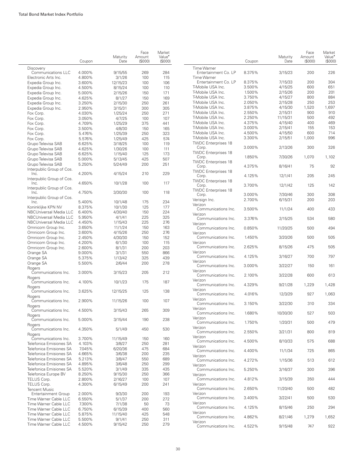|                                                                         | Coupon           | Maturity<br>Date     | Face<br>Amount<br>(S000) | Market<br>Value <sup>•</sup><br>(S000) |
|-------------------------------------------------------------------------|------------------|----------------------|--------------------------|----------------------------------------|
| Discovery                                                               |                  |                      |                          |                                        |
| Communications LLC                                                      | 4.000%           | 9/15/55              | 269                      | 284                                    |
| Electronic Arts Inc.                                                    | 4.800%           | 3/1/26               | 100                      | 115                                    |
| Expedia Group Inc.                                                      | 3.600%           | 12/15/23             | 100                      | 106                                    |
| Expedia Group Inc.                                                      | 4.500%           | 8/15/24              | 100                      | 110                                    |
| Expedia Group Inc.                                                      | 5.000%           | 2/15/26              | 150                      | 171                                    |
| Expedia Group Inc.                                                      | 4.625%           | 8/1/27               | 150                      | 169                                    |
| Expedia Group Inc.                                                      | 3.250%           | 2/15/30              | 250                      | 261                                    |
| Expedia Group Inc.                                                      | 2.950%           | 3/15/31              | 300                      | 305                                    |
| Fox Corp.                                                               | 4.030%           | 1/25/24              | 250                      | 271                                    |
| Fox Corp.                                                               | 3.050%           | 4/7/25               | 100                      | 107                                    |
| Fox Corp.                                                               | 4.709%           | 1/25/29              | 375                      | 441                                    |
| Fox Corp.                                                               | 3.500%           | 4/8/30               | 150                      | 165                                    |
| Fox Corp.                                                               | 5.476%           | 1/25/39              | 250                      | 323                                    |
| Fox Corp.                                                               | 5.576%           |                      | 425                      | 574                                    |
|                                                                         | 6.625%           | 1/25/49              |                          |                                        |
| Grupo Televisa SAB                                                      |                  | 3/18/25              | 100                      | 119                                    |
| Grupo Televisa SAB                                                      | 4.625%           | 1/30/26              | 100                      | 111                                    |
| Grupo Televisa SAB                                                      | 6.625%           | 1/15/40              | 125                      | 173                                    |
| Grupo Televisa SAB                                                      | 5.000%           | 5/13/45              | 425                      | 507                                    |
| Grupo Televisa SAB                                                      | 5.250%           | 5/24/49              | 200                      | 251                                    |
| Interpublic Group of Cos.<br>Inc.                                       | 4.200%           | 4/15/24              | 210                      | 229                                    |
| Interpublic Group of Cos.<br>Inc.                                       | 4.650%           | 10/1/28              | 100                      | 117                                    |
| Interpublic Group of Cos.<br>Inc.                                       | 4.750%           | 3/30/30              | 100                      | 118                                    |
| Interpublic Group of Cos.                                               |                  |                      |                          |                                        |
| Inc.                                                                    | 5.400%           | 10/1/48              | 175                      | 234                                    |
| Koninklijke KPN NV                                                      | 8.375%           | 10/1/30              | 125                      | 177                                    |
| NBCUniversal Media LLC                                                  | 6.400%           | 4/30/40              | 150                      | 224                                    |
| NBCUniversal Media LLC                                                  | 5.950%           | 4/1/41               | 225                      | 325                                    |
| NBCUniversal Media LLC                                                  | 4.450%           | 1/15/43              | 225                      | 276                                    |
| Omnicom Group Inc.                                                      | 3.650%           | 11/1/24              | 150                      | 163                                    |
| Omnicom Group Inc.                                                      | 3.600%           | 4/15/26              | 250                      | 276                                    |
| Omnicom Group Inc.                                                      | 2.450%           | 4/30/30              | 150                      | 152                                    |
| Omnicom Group Inc.                                                      | 4.200%           | 6/1/30               | 100                      | 115                                    |
| Omnicom Group Inc.                                                      | 2.600%           | 8/1/31               | 200                      | 203                                    |
| Orange SA                                                               | 9.000%           | 3/1/31               | 550                      | 866                                    |
| Orange SA                                                               | 5.375%           | 1/13/42              | 325                      | 439                                    |
|                                                                         |                  |                      |                          | 278                                    |
| Orange SA<br>Rogers                                                     | 5.500%           | 2/6/44               | 200                      |                                        |
| Communications Inc.<br>Rogers                                           | 3.000%           | 3/15/23              | 205                      | 212                                    |
| Communications Inc.<br>Rogers<br>Communications Inc.                    | 4.100%<br>3.625% | 10/1/23              | 175<br>125               | 187<br>138                             |
| Rogers<br>Communications Inc.                                           | 2.900%           | 12/15/25<br>11/15/26 | 100                      | 107                                    |
| Rogers<br>Communications Inc.                                           | 4.500%           | 3/15/43              | 265                      | 309                                    |
| Rogers<br>Communications Inc.                                           | 5.000%           | 3/15/44              | 190                      | 238                                    |
| Rogers<br>Communications Inc.                                           | 4.350%           | 5/1/49               | 450                      | 530                                    |
| Rogers<br>Communications Inc.                                           | 3.700%           | 11/15/49             | 150                      | 160                                    |
| Telefonica Emisiones SA                                                 | 4.103%           | 3/8/27               | 250                      | 281                                    |
| Telefonica Emisiones SA                                                 | 7.045%           | 6/20/36              | 475                      | 684                                    |
| Telefonica Emisiones SA                                                 |                  |                      |                          |                                        |
|                                                                         | 4.665%           | 3/6/38               | 200                      | 235                                    |
| Telefonica Emisiones SA                                                 | 5.213%           | 3/8/47               | 550                      | 689                                    |
| Telefonica Emisiones SA                                                 | 4.895%           | 3/6/48               | 250                      | 299                                    |
| Telefonica Emisiones SA                                                 | 5.520%           | 3/1/49               | 335                      | 435                                    |
| Telefonica Europe BV                                                    | 8.250%           | 9/15/30              | 250                      | 366                                    |
| TELUS Corp.                                                             | 2.800%           | 2/16/27              | 100                      | 107                                    |
| TELUS Corp.<br><b>Tencent Music</b>                                     | 4.300%           | 6/15/49              | 200                      | 241                                    |
| <b>Entertainment Group</b>                                              | 2.000%           | 9/3/30               | 200                      | 193                                    |
|                                                                         | 6.550%           | 5/1/37               | 200                      | 272                                    |
|                                                                         |                  |                      |                          |                                        |
|                                                                         | 7.300%           | 7/1/38               | 50                       | 73                                     |
| Time Warner Cable LLC<br>Time Warner Cable LLC<br>Time Warner Cable LLC | 6.750%           | 6/15/39              | 400                      | 560                                    |
| Time Warner Cable LLC                                                   | 5.875%           |                      | 425                      | 548                                    |
| Time Warner Cable LLC                                                   | 5.500%           | 11/15/40<br>9/1/41   | 250                      | 311                                    |

|                                                       | Coupon           | Maturity<br>Date   | Face<br>Amount<br>(S000) | Market<br>Value <sup>•</sup><br>(S000) |
|-------------------------------------------------------|------------------|--------------------|--------------------------|----------------------------------------|
| <b>Time Warner</b><br>Entertainment Co. LP            | 8.375%           | 3/15/23            | 200                      | 226                                    |
| <b>Time Warner</b>                                    |                  |                    |                          |                                        |
| Entertainment Co. LP<br>T-Mobile USA Inc.             | 8.375%<br>3.500% | 7/15/33<br>4/15/25 | 200<br>600               | 304<br>651                             |
| T-Mobile USA Inc.                                     | 1.500%           | 2/15/26            | 200                      | 201                                    |
| T-Mobile USA Inc.                                     | 3.750%           | 4/15/27            | 800                      | 884                                    |
| T-Mobile USA Inc.                                     | 2.050%           | 2/15/28            | 250                      | 253                                    |
| T-Mobile USA Inc.                                     | 3.875%           | 4/15/30            | 1,520                    | 1,697                                  |
| T-Mobile USA Inc.                                     | 2.550%           | 2/15/31            | 900                      | 910                                    |
| T-Mobile USA Inc.                                     | 2.250%           | 11/15/31           | 500                      | 492                                    |
| T-Mobile USA Inc.                                     | 4.375%           | 4/15/40            | 400                      | 469                                    |
| T-Mobile USA Inc.                                     | 3.000%           | 2/15/41            | 155                      | 153                                    |
| T-Mobile USA Inc.                                     | 4.500%           | 4/15/50            | 600                      | 714                                    |
| T-Mobile USA Inc.<br><b>TWDC Enterprises 18</b>       | 3.300%           | 2/15/51            | 1,000                    | 996                                    |
| Corp.<br><b>TWDC Enterprises 18</b>                   | 3.000%           | 2/13/26            | 300                      | 326                                    |
| Corp.<br><b>TWDC Enterprises 18</b>                   | 1.850%           | 7/30/26            | 1,070                    | 1,102                                  |
| Corp.<br><b>TWDC Enterprises 18</b>                   | 4.375%           | 8/16/41            | 75                       | 92                                     |
| Corp.<br><b>TWDC Enterprises 18</b>                   | 4.125%           | 12/1/41            | 205                      | 245                                    |
| Corp.<br><b>TWDC Enterprises 18</b>                   | 3.700%           | 12/1/42            | 125                      | 142                                    |
| Corp.<br>Verisign Inc.                                | 3.000%<br>2.700% | 7/30/46<br>6/15/31 | 300<br>200               | 308<br>203                             |
| Verizon<br>Communications Inc.                        | 3.500%           | 11/1/24            | 400                      | 433                                    |
| Verizon<br>Communications Inc.<br>Verizon             | 3.376%           | 2/15/25            | 534                      | 580                                    |
| Communications Inc.<br>Verizon                        | 0.850%           | 11/20/25           | 500                      | 494                                    |
| Communications Inc.<br>Verizon                        | 1.450%           | 3/20/26            | 500                      | 505                                    |
| Communications Inc.<br>Verizon                        | 2.625%           | 8/15/26            | 475                      | 505                                    |
| Communications Inc.<br>Verizon                        | 4.125%           | 3/16/27            | 700                      | 797                                    |
| Communications Inc.<br>Verizon<br>Communications Inc. | 3.000%<br>2.100% | 3/22/27<br>3/22/28 | 150<br>600               | 161<br>613                             |
| Verizon<br>Communications Inc.                        | 4.329%           | 9/21/28            | 1,229                    | 1,428                                  |
| Verizon<br>Communications Inc.                        | 4.016%           | 12/3/29            | 927                      | 1,063                                  |
| Verizon<br>Communications Inc.                        | 3.150%           | 3/22/30            | 310                      | 334                                    |
| Verizon<br>Communications Inc.                        | 1.680%           | 10/30/30           | 527                      | 503                                    |
| Verizon<br>Communications Inc.                        | 1.750%           | 1/20/31            | 500                      | 479                                    |
| Verizon<br>Communications Inc.                        | 2.550%           | 3/21/31            | 800                      | 819                                    |
| Verizon<br>Communications Inc.                        | 4.500%           | 8/10/33            | 575                      | 688                                    |
| Verizon<br>Communications Inc.<br>Verizon             | 4.400%           | 11/1/34            | 725                      | 865                                    |
| Communications Inc.<br>Verizon                        | 4.272%           | 1/15/36            | 513                      | 612                                    |
| Communications Inc.<br>Verizon                        | 5.250%           | 3/16/37            | 300                      | 396                                    |
| Communications Inc.<br>Verizon                        | 4.812%           | 3/15/39            | 350                      | 444                                    |
| Communications Inc.<br>Verizon                        | 2.650%           | 11/20/40           | 500                      | 482                                    |
| Communications Inc.<br>Verizon                        | 3.400%           | 3/22/41            | 500                      | 530                                    |
| Communications Inc.<br>Verizon                        | 4.125%           | 8/15/46            | 250                      | 294                                    |
| Communications Inc.<br>Verizon                        | 4.862%           | 8/21/46            | 1,279                    | 1,652                                  |
| Communications Inc.                                   | 4.522%           | 9/15/48            | 747                      | 922                                    |

 $\overline{\phantom{0}}$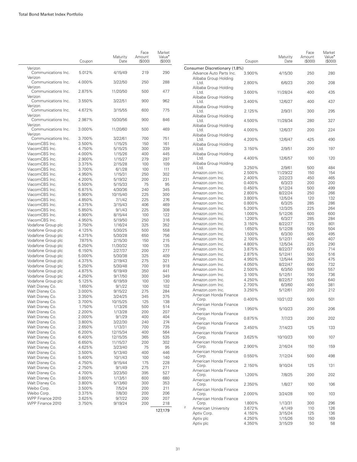|                                | Coupon | Maturity<br>Date | Face<br>Amount<br>(S000) | Market<br>Value <sup>•</sup><br>(\$000) |
|--------------------------------|--------|------------------|--------------------------|-----------------------------------------|
| Verizon<br>Communications Inc. | 5.012% | 4/15/49          | 219                      | 290                                     |
| Verizon<br>Communications Inc. | 4.000% | 3/22/50          | 250                      | 288                                     |
| Verizon<br>Communications Inc. | 2.875% | 11/20/50         | 500                      | 477                                     |
| Verizon<br>Communications Inc. | 3.550% | 3/22/51          | 900                      | 962                                     |
| Verizon<br>Communications Inc. | 4.672% | 3/15/55          | 600                      | 775                                     |
| Verizon<br>Communications Inc. | 2.987% | 10/30/56         | 900                      | 846                                     |
| Verizon<br>Communications Inc. | 3.000% | 11/20/60         | 500                      | 469                                     |
| Verizon<br>Communications Inc. | 3.700% | 3/22/61          | 700                      | 751                                     |
| ViacomCBS Inc.                 | 3.500% | 1/15/25          | 150                      | 161                                     |
| ViacomCBS Inc.                 | 4.750% | 5/15/25          | 300                      | 339                                     |
| ViacomCBS Inc.                 | 4.000% | 1/15/26          | 400                      | 445                                     |
| ViacomCBS Inc.                 | 2.900% | 1/15/27          | 279                      | 297                                     |
| ViacomCBS Inc.                 | 3.375% | 2/15/28          | 100                      | 109                                     |
| ViacomCBS Inc.                 | 3.700% |                  |                          |                                         |
|                                |        | 6/1/28           | 100                      | 111                                     |
| ViacomCBS Inc.                 | 4.950% | 1/15/31          | 250                      | 302                                     |
| ViacomCBS Inc.                 | 4.200% | 5/19/32          | 200                      | 231                                     |
| ViacomCBS Inc.                 | 5.500% | 5/15/33          | 75                       | 95                                      |
| ViacomCBS Inc.                 | 6.875% | 4/30/36          | 240                      | 345                                     |
| ViacomCBS Inc.                 | 5.900% | 10/15/40         | 225                      | 300                                     |
| ViacomCBS Inc.                 | 4.850% | 7/1/42           | 225                      | 276                                     |
| ViacomCBS Inc.                 | 4.375% | 3/15/43          | 406                      | 469                                     |
| ViacomCBS Inc.                 | 5.850% | 9/1/43           | 225                      | 308                                     |
| ViacomCBS Inc.                 | 4.900% | 8/15/44          | 100                      | 122                                     |
| ViacomCBS Inc.                 | 4.950% | 5/19/50          | 250                      | 316                                     |
| Vodafone Group plc             | 3.750% | 1/16/24          | 325                      | 352                                     |
| Vodafone Group plc             | 4.125% | 5/30/25          | 500                      | 558                                     |
| Vodafone Group plc             | 4.375% |                  | 650                      | 756                                     |
|                                | 7.875% | 5/30/28          | 150                      | 215                                     |
| Vodafone Group plc             |        | 2/15/30          |                          |                                         |
| Vodafone Group plc             | 6.250% | 11/30/32         | 100                      | 135                                     |
| Vodafone Group plc             | 6.150% | 2/27/37          | 200                      | 277                                     |
| Vodafone Group plc             | 5.000% | 5/30/38          | 325                      | 409                                     |
| Vodafone Group plc             | 4.375% | 2/19/43          | 275                      | 321                                     |
| Vodafone Group plc             | 5.250% | 5/30/48          | 700                      | 918                                     |
| Vodafone Group plc             | 4.875% | 6/19/49          | 350                      | 441                                     |
| Vodafone Group plc             | 4.250% | 9/17/50          | 300                      | 349                                     |
| Vodafone Group plc             | 5.125% | 6/19/59          | 100                      | 130                                     |
| Walt Disney Co.                | 1.650% | 9/1/22           | 100                      | 102                                     |
| Walt Disney Co.                | 3.000% | 9/15/22          | 275                      | 284                                     |
| Walt Disney Co.                | 3.350% | 3/24/25          | 345                      | 375                                     |
| Walt Disney Co.                | 3.700% | 10/15/25         | 125                      | 138                                     |
| Walt Disney Co.                | 1.750% | 1/13/26          | 500                      | 514                                     |
| Walt Disney Co.                | 2.200% | 1/13/28          | 200                      | 207                                     |
| Walt Disney Co.                | 2.000% | 9/1/29           | 400                      | 404                                     |
| Walt Disney Co.                | 3.800% | 3/22/30          | 240                      | 274                                     |
| Walt Disney Co.                | 2.650% | 1/13/31          | 700                      | 735                                     |
| Walt Disney Co.                | 6.200% | 12/15/34         | 400                      | 564                                     |
| Walt Disney Co.                | 6.400% | 12/15/35         | 365                      | 535                                     |
| Walt Disney Co.                | 6.650% | 11/15/37         | 200                      | 302                                     |
| Walt Disney Co.                |        |                  |                          |                                         |
|                                | 4.625% | 3/23/40          | 75                       | 95                                      |
| Walt Disney Co.                | 3.500% | 5/13/40          | 400                      | 446                                     |
| Walt Disney Co.                | 5.400% | 10/1/43          | 100                      | 140                                     |
| Walt Disney Co.                | 4.750% | 9/15/44          | 175                      | 228                                     |
| Walt Disney Co.                | 2.750% | 9/1/49           | 275                      | 271                                     |
| Walt Disney Co.                | 4.700% | 3/23/50          | 395                      | 527                                     |
| Walt Disney Co.                | 3.600% | 1/13/51          | 600                      | 680                                     |
| Walt Disney Co.                | 3.800% | 5/13/60          | 300                      | 353                                     |
| Weibo Corp.                    | 3.500% | 7/5/24           | 200                      | 211                                     |
| Weibo Corp.                    | 3.375% | 7/8/30           | 200                      | 206                                     |
| WPP Finance 2010               | 3.625% | 9/7/22           | 200                      | 207                                     |
| WPP Finance 2010               | 3.750% | 9/19/24          | 200                      | 218                                     |
|                                |        |                  |                          |                                         |
|                                |        |                  |                          | 127,179                                 |

|                                           | Coupon | Maturity<br>Date | Face<br>Amount<br>(S000) | Market<br>Value <sup>•</sup><br>(S000) |
|-------------------------------------------|--------|------------------|--------------------------|----------------------------------------|
| Consumer Discretionary (1.8%)             |        |                  |                          |                                        |
| Advance Auto Parts Inc.                   | 3.900% | 4/15/30          | 250                      | 280                                    |
| Alibaba Group Holding<br>Ltd.             | 2.800% | 6/6/23           | 200                      | 208                                    |
| Alibaba Group Holding<br>Ltd.             | 3.600% | 11/28/24         | 400                      | 435                                    |
| Alibaba Group Holding<br>Ltd.             | 3.400% | 12/6/27          | 400                      | 437                                    |
| Alibaba Group Holding<br>Ltd.             | 2.125% | 2/9/31           | 300                      | 295                                    |
| Alibaba Group Holding<br>Ltd.             | 4.500% | 11/28/34         | 280                      | 327                                    |
| Alibaba Group Holding                     | 4.000% |                  | 200                      | 224                                    |
| Ltd.<br>Alibaba Group Holding             |        | 12/6/37          |                          |                                        |
| Ltd.<br>Alibaba Group Holding             | 4.200% | 12/6/47          | 425                      | 490                                    |
| Ltd.<br>Alibaba Group Holding             | 3.150% | 2/9/51           | 200                      | 197                                    |
| Ltd.<br>Alibaba Group Holding             | 4.400% | 12/6/57          | 100                      | 120                                    |
| Ltd.                                      | 3.250% | 2/9/61           | 500                      | 484                                    |
| Amazon.com Inc.                           | 2.500% | 11/29/22         | 150                      | 154                                    |
| Amazon.com Inc.                           | 2.400% | 2/22/23          | 450                      | 465                                    |
| Amazon.com Inc.                           | 0.400% | 6/3/23           | 200                      | 200                                    |
| Amazon.com Inc.                           | 0.450% | 5/12/24          | 500                      | 499                                    |
| Amazon.com Inc.                           | 2.800% | 8/22/24          | 250                      | 266                                    |
| Amazon.com Inc.                           | 3.800% | 12/5/24          | 120                      | 132                                    |
|                                           |        | 6/3/25           |                          | 286                                    |
| Amazon.com Inc.                           | 0.800% |                  | 285                      |                                        |
| Amazon.com Inc.                           | 5.200% | 12/3/25          | 225                      | 264                                    |
| Amazon.com Inc.                           | 1.000% | 5/12/26          | 600                      | 600                                    |
| Amazon.com Inc.                           | 1.200% | 6/3/27           | 285                      | 284                                    |
| Amazon.com Inc.                           | 3.150% | 8/22/27          | 725                      | 801                                    |
| Amazon.com Inc.                           | 1.650% | 5/12/28          | 500                      | 504                                    |
| Amazon.com Inc.                           | 1.500% | 6/3/30           | 505                      | 495                                    |
| Amazon.com Inc.                           | 2.100% | 5/12/31          | 400                      | 407                                    |
| Amazon.com Inc.                           | 4.800% | 12/5/34          | 225                      | 290                                    |
| Amazon.com Inc.                           | 3.875% | 8/22/37          | 600                      | 714                                    |
| Amazon.com Inc.                           | 2.875% | 5/12/41          | 500                      | 516                                    |
| Amazon.com Inc.                           | 4.950% | 12/5/44          | 350                      | 475                                    |
| Amazon.com Inc.                           | 4.050% | 8/22/47          | 600                      | 732                                    |
| Amazon.com Inc.                           | 2.500% | 6/3/50           | 590                      | 557                                    |
| Amazon.com Inc.                           | 3.100% | 5/12/51          | 700                      | 736                                    |
|                                           |        |                  |                          |                                        |
| Amazon.com Inc.                           | 4.250% | 8/22/57          | 500                      | 640                                    |
| Amazon.com Inc.                           | 2.700% | 6/3/60           | 400                      | 381                                    |
| Amazon.com Inc.<br>American Honda Finance | 3.250% | 5/12/61          | 200                      | 212                                    |
| Corp.<br>American Honda Finance           | 0.400% | 10/21/22         | 500                      | 501                                    |
| Corp.<br>American Honda Finance           | 1.950% | 5/10/23          | 200                      | 206                                    |
| Corp.                                     | 0.875% | 7/7/23           | 200                      | 202                                    |
| American Honda Finance<br>Corp.           | 3.450% | 7/14/23          | 125                      | 133                                    |
| American Honda Finance<br>Corp.           | 3.625% | 10/10/23         | 100                      | 107                                    |
| American Honda Finance<br>Corp.           | 2.900% | 2/16/24          | 150                      | 159                                    |
| American Honda Finance<br>Corp.           | 0.550% | 7/12/24          | 500                      | 498                                    |
| American Honda Finance<br>Corp.           | 2.150% | 9/10/24          | 125                      | 131                                    |
| American Honda Finance                    | 1.200% |                  | 200                      | 202                                    |
| Corp.<br>American Honda Finance           |        | 7/8/25           |                          |                                        |
| Corp.<br>American Honda Finance           | 2.350% | 1/8/27           | 100                      | 106                                    |
| Corp.<br>American Honda Finance           | 2.000% | 3/24/28          | 100                      | 103                                    |
| Corp.                                     | 1.800% | 1/13/31          | 300                      | 296                                    |
| 2<br>American University                  | 3.672% | 4/1/49           | 110                      | 126                                    |
| Aptiv Corp.                               | 4.150% | 3/15/24          | 125                      | 136                                    |
| Aptiv plc                                 | 4.250% | 1/15/26          | 150                      | 169                                    |
| Aptiv plc                                 | 4.350% | 3/15/29          | 50                       | 58                                     |
|                                           |        |                  |                          |                                        |

31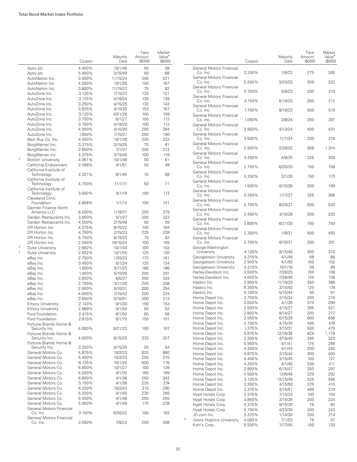|                |                                                       | Coupon           | Maturity<br>Date    | Face<br>Amount<br>(S000) | Market<br>Value <sup>•</sup><br>(S000) |                |                                               | Coupon           | Maturity<br>Date   | Face<br>Amount<br>(\$000) | Market<br>Value <sup>*</sup><br>(\$000 |
|----------------|-------------------------------------------------------|------------------|---------------------|--------------------------|----------------------------------------|----------------|-----------------------------------------------|------------------|--------------------|---------------------------|----------------------------------------|
|                | Aptiv plc<br>Aptiv plc                                | 4.400%<br>5.400% | 10/1/46<br>3/15/49  | 50<br>50                 | 58<br>68                               |                | General Motors Financial<br>Co. Inc.          | 3.250%           | 1/5/23             | 275                       | 285                                    |
|                | AutoNation Inc.                                       | 3.500%           | 11/15/24            | 205                      | 221                                    |                | General Motors Financial<br>Co. Inc.          | 5.200%           | 3/20/23            | 300                       | 323                                    |
|                | AutoNation Inc.<br>AutoNation Inc.                    | 4.500%<br>3.800% | 10/1/25<br>11/15/27 | 150<br>75                | 167<br>82                              |                | General Motors Financial<br>Co. Inc.          | 3.700%           | 5/9/23             | 200                       | 210                                    |
|                | AutoZone Inc.                                         | 3.125%           | 7/15/23             | 125                      | 131                                    |                | <b>General Motors Financial</b>               |                  |                    |                           |                                        |
|                | AutoZone Inc.<br>AutoZone Inc.                        | 3.125%<br>3.250% | 4/18/24<br>4/15/25  | 130<br>132               | 138<br>142                             |                | Co. Inc.                                      | 4.150%           | 6/19/23            | 200                       | 212                                    |
|                | AutoZone Inc.                                         | 3.625%           | 4/15/25             | 153                      | 167                                    |                | General Motors Financial<br>Co. Inc.          | 1.700%           | 8/18/23            | 500                       | 510                                    |
|                | AutoZone Inc.                                         | 3.125%           | 4/21/26             | 100                      | 109                                    |                | <b>General Motors Financial</b>               |                  |                    |                           |                                        |
|                | AutoZone Inc.                                         | 3.750%           | 6/1/27              | 100                      | 112                                    |                | Co. Inc.                                      | 1.050%           | 3/8/24             | 200                       | 201                                    |
|                | AutoZone Inc.<br>AutoZone Inc.                        | 3.750%<br>4.000% | 4/18/29<br>4/15/30  | 100<br>250               | 112<br>284                             |                | <b>General Motors Financial</b><br>Co. Inc.   | 3.950%           | 4/13/24            | 400                       | 431                                    |
|                | AutoZone Inc.                                         | 1.650%           | 1/15/31             | 200                      | 190                                    |                | General Motors Financial                      |                  |                    |                           |                                        |
|                | Best Buy Co. Inc.                                     | 4.450%           | 10/1/28             | 200                      | 232                                    |                | Co. Inc.                                      | 3.500%           | 11/7/24            | 200                       | 215                                    |
|                | BorgWarner Inc.                                       | 3.375%           | 3/15/25             | 75                       | 81                                     |                | <b>General Motors Financial</b><br>Co. Inc.   | 2.900%           | 2/26/25            | 958                       | 1,014                                  |
|                | BorgWarner Inc.                                       | 2.650%           | 7/1/27              | 200                      | 212                                    |                | General Motors Financial                      |                  |                    |                           |                                        |
| $\sqrt{2}$     | BorgWarner Inc.<br><b>Boston University</b>           | 4.375%<br>4.061% | 3/15/45<br>10/1/48  | 100<br>50                | 116<br>61                              |                | Co. Inc.                                      | 4.350%           | 4/9/25             | 325                       | 359                                    |
|                | California Endowment                                  | 2.498%           | 4/1/51              | 50                       | 48                                     |                | General Motors Financial                      |                  |                    |                           |                                        |
|                | California Institute of                               |                  |                     |                          |                                        |                | Co. Inc.<br>General Motors Financial          | 2.750%           | 6/20/25            | 150                       | 158                                    |
|                | Technology                                            | 4.321%           | 8/1/45              | 70                       | 89                                     |                | Co. Inc.                                      | 5.250%           | 3/1/26             | 150                       | 173                                    |
|                | California Institute of<br>Technology                 | 4.700%           | 11/1/11             | 50                       | 71                                     |                | <b>General Motors Financial</b>               |                  |                    |                           |                                        |
|                | California Institute of                               |                  |                     |                          |                                        |                | Co. Inc.<br>General Motors Financial          | 1.500%           | 6/10/26            | 200                       | 199                                    |
|                | Technology                                            | 3.650%           | 9/1/19              | 100                      | 113                                    |                | Co. Inc.                                      | 4.350%           | 1/17/27            | 325                       | 366                                    |
|                | Cleveland Clinic<br>Foundation                        | 4.858%           | 1/1/14              | 100                      | 141                                    |                | General Motors Financial                      |                  |                    |                           |                                        |
|                | Daimler Finance North                                 |                  |                     |                          |                                        |                | Co. Inc.<br><b>General Motors Financial</b>   | 2.700%           | 8/20/27            | 500                       | 520                                    |
|                | America LLC                                           | 8.500%           | 1/18/31             | 250                      | 379                                    |                | Co. Inc.                                      | 2.400%           | 4/10/28            | 200                       | 203                                    |
|                | Darden Restaurants Inc.<br>Darden Restaurants Inc.    | 3.850%<br>4.550% | 5/1/27<br>2/15/48   | 200<br>50                | 222<br>59                              |                | <b>General Motors Financial</b>               |                  |                    |                           |                                        |
|                | DR Horton Inc.                                        | 4.375%           | 9/15/22             | 100                      | 104                                    |                | Co. Inc.<br><b>General Motors Financial</b>   | 3.600%           | 6/21/30            | 700                       | 759                                    |
|                | DR Horton Inc.                                        | 4.750%           | 2/15/23             | 225                      | 238                                    |                | Co. Inc.                                      | 2.350%           | 1/8/31             | 500                       | 493                                    |
|                | DR Horton Inc.                                        | 5.750%           | 8/15/23             | 75                       | 82                                     |                | General Motors Financial                      |                  |                    |                           |                                        |
| $\overline{2}$ | DR Horton Inc.                                        | 2.500%<br>2.682% | 10/15/24<br>10/1/44 | 100<br>100               | 105<br>102                             |                | Co. Inc.<br>George Washington                 | 2.700%           | 6/10/31            | 200                       | 201                                    |
| $\sqrt{2}$     | Duke University<br>Duke University                    | 2.832%           | 10/1/55             | 125                      | 130                                    |                | University                                    | 4.126%           | 9/15/48            | 300                       | 372                                    |
|                | eBay Inc.                                             | 2.750%           | 1/30/23             | 175                      | 181                                    |                | Georgetown University                         | 4.315%           | 4/1/49             | 68                        | 85                                     |
|                | eBay Inc.                                             | 3.450%           | 8/1/24              | 125                      | 134                                    |                | Georgetown University                         | 2.943%           | 4/1/50             | 100                       | 102                                    |
|                | eBay Inc.                                             | 1.900%           | 3/11/25             | 180                      | 186                                    |                | Georgetown University<br>Harley-Davidson Inc. | 5.215%<br>3.500% | 10/1/18<br>7/28/25 | 59<br>100                 | 89<br>108                              |
|                | eBay Inc.<br>eBay Inc.                                | 1.400%<br>3.600% | 5/10/26<br>6/5/27   | 200<br>300               | 201<br>333                             |                | Harley-Davidson Inc.                          | 4.625%           | 7/28/45            | 125                       | 138                                    |
|                | eBay Inc.                                             | 2.700%           | 3/11/30             | 200                      | 208                                    |                | Hasbro Inc.                                   | 3.900%           | 11/19/29           | 350                       | 389                                    |
|                | eBay Inc.                                             | 2.600%           | 5/10/31             | 200                      | 204                                    |                | Hasbro Inc.                                   | 6.350%           | 3/15/40            | 125                       | 174                                    |
|                | eBay Inc.                                             | 4.000%           | 7/15/42             | 200                      | 224                                    |                | Hasbro Inc.                                   | 5.100%           | 5/15/44            | 50                        | 61                                     |
|                | eBay Inc.                                             | 3.650%           | 5/10/51             | 200                      | 212                                    |                | Home Depot Inc.<br>Home Depot Inc.            | 3.750%<br>3.000% | 2/15/24<br>4/1/26  | 200<br>275                | 216<br>299                             |
|                | <b>Emory University</b><br><b>Emory University</b>    | 2.143%<br>2.969% | 9/1/30<br>9/1/50    | 150<br>50                | 153<br>52                              |                | Home Depot Inc.                               | 2.500%           | 4/15/27            | 395                       | 421                                    |
|                | Ford Foundation                                       | 2.415%           | 6/1/50              | 60                       | 58                                     |                | Home Depot Inc.                               | 2.800%           | 9/14/27            | 200                       | 217                                    |
|                | Ford Foundation                                       | 2.815%           | 6/1/70              | 150                      | 151                                    |                | Home Depot Inc.                               | 2.950%           | 6/15/29            | 600                       | 656                                    |
|                | Fortune Brands Home &                                 |                  |                     |                          |                                        |                | Home Depot Inc.<br>Home Depot Inc.            | 2.700%<br>1.375% | 4/15/30<br>3/15/31 | 445<br>500                | 476<br>479                             |
|                | Security Inc.<br>Fortune Brands Home &                | 4.000%           | 9/21/23             | 100                      | 107                                    |                | Home Depot Inc.                               | 5.875%           | 12/16/36           | 825                       | 1,179                                  |
|                | Security Inc.                                         | 4.000%           | 6/15/25             | 233                      | 257                                    |                | Home Depot Inc.                               | 3.300%           | 4/15/40            | 295                       | 323                                    |
|                | Fortune Brands Home &                                 |                  |                     |                          |                                        |                | Home Depot Inc.                               | 5.950%           | 4/1/41             | 175                       | 256                                    |
|                | Security Inc.<br>General Motors Co.                   | 3.250%<br>4.875% | 9/15/29<br>10/2/23  | 50<br>625                | 54<br>680                              |                | Home Depot Inc.                               | 4.200%           | 4/1/43             | 200                       | 245                                    |
|                | General Motors Co.                                    | 5.400%           | 10/2/23             | 250                      | 275                                    |                | Home Depot Inc.<br>Home Depot Inc.            | 4.875%<br>4.400% | 2/15/44<br>3/15/45 | 300<br>100                | 400<br>127                             |
|                | General Motors Co.                                    | 6.125%           | 10/1/25             | 600                      | 710                                    |                | Home Depot Inc.                               | 4.250%           | 4/1/46             | 330                       | 411                                    |
|                | General Motors Co.                                    | 6.800%           | 10/1/27             | 100                      | 126                                    |                | Home Depot Inc.                               | 3.900%           | 6/15/47            | 250                       | 297                                    |
|                | General Motors Co.<br>General Motors Co.              | 5.000%<br>6.600% | 4/1/35<br>4/1/36    | 165<br>250               | 199<br>342                             |                | Home Depot Inc.                               | 4.500%           | 12/6/48            | 225                       | 292                                    |
|                | General Motors Co.                                    | 5.150%           | 4/1/38              | 225                      | 274                                    |                | Home Depot Inc.                               | 3.125%           | 12/15/49           | 525                       | 556                                    |
|                | General Motors Co.                                    | 6.250%           | 10/2/43             | 210                      | 290                                    |                | Home Depot Inc.<br>Home Depot Inc.            | 3.350%<br>2.375% | 4/15/50<br>3/15/51 | 375<br>400                | 415<br>370                             |
|                | General Motors Co.                                    | 5.200%           | 4/1/45              | 230                      | 285                                    |                | Hyatt Hotels Corp.                            | 3.375%           | 7/15/23            | 100                       | 104                                    |
|                | General Motors Co.                                    | 5.400%           | 4/1/48              | 200                      | 255                                    |                | Hyatt Hotels Corp.                            | 4.850%           | 3/15/26            | 200                       | 224                                    |
|                | General Motors Co.<br><b>General Motors Financial</b> | 5.950%           | 4/1/49              | 175                      | 238                                    |                | Hyatt Hotels Corp.                            | 4.375%           | 9/15/28            | 75                        | 83                                     |
|                | Co. Inc.                                              | 3.150%           | 6/30/22             | 100                      | 102                                    |                | Hyatt Hotels Corp.<br>JD.com Inc.             | 5.750%<br>3.375% | 4/23/30<br>1/14/30 | 200<br>200                | 243<br>214                             |
|                | General Motors Financial                              |                  |                     |                          |                                        | $\mathfrak{2}$ | Johns Hopkins University                      | 4.083%           | 7/1/53             | 75                        | 97                                     |
|                | Co. Inc.                                              | 3.550%           | 7/8/22              | 200                      | 206                                    |                | Kohl's Corp.                                  | 5.550%           | 7/17/45            | 100                       | 120                                    |

Market Value• (\$000)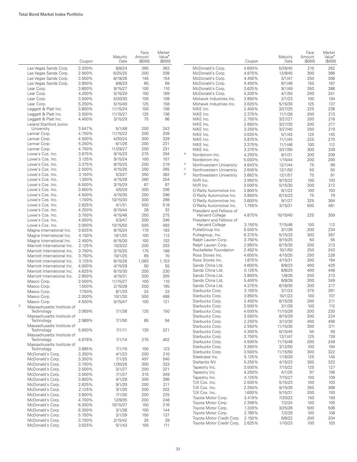|                                            | Coupon           | Maturity<br>Date    | Face<br>Amount<br>(S000) | Market<br>Value <sup>•</sup><br>$($ \$000 $)$ |
|--------------------------------------------|------------------|---------------------|--------------------------|-----------------------------------------------|
| Las Vegas Sands Corp.                      | 3.200%           | 8/8/24              | 365                      | 383                                           |
| Las Vegas Sands Corp.                      | 2.900%           | 6/25/25             | 200                      | 208                                           |
| Las Vegas Sands Corp.                      | 3.500%           | 8/18/26             | 145                      | 154                                           |
| Las Vegas Sands Corp.                      | 3.900%           | 8/8/29              | 65                       | 69                                            |
| Lear Corp.                                 | 3.800%           | 9/15/27             | 100                      | 110                                           |
| Lear Corp.                                 | 4.250%           | 5/15/29             | 150                      | 169                                           |
| Lear Corp.                                 | 3.500%           | 5/30/30             | 100                      | 108                                           |
| Lear Corp.                                 | 5.250%           | 5/15/49             | 125                      | 158                                           |
| Leggett & Platt Inc.                       | 3.800%           | 11/15/24            | 100                      | 108                                           |
| Leggett & Platt Inc.                       | 3.500%           | 11/15/27            | 125                      | 136                                           |
| Leggett & Platt Inc.                       | 4.400%           | 3/15/29             | 75                       | 86                                            |
| Leland Stanford Junior<br>University       | 3.647%           | 5/1/48              | 200                      | 242                                           |
| Lennar Corp.                               | 4.750%           | 11/15/22            | 200                      | 209                                           |
| Lennar Corp.                               | 4.500%           | 4/30/24             | 300                      | 328                                           |
| Lennar Corp.                               | 5.250%           | 6/1/26              | 200                      | 231                                           |
| Lennar Corp.                               | 4.750%           | 11/29/27            | 200                      | 231                                           |
| Lowe's Cos. Inc.                           | 3.875%           | 9/15/23             | 275                      | 294                                           |
| Lowe's Cos. Inc.                           | 3.125%           | 9/15/24             | 100                      | 107                                           |
| Lowe's Cos. Inc.                           | 3.375%           | 9/15/25             | 200                      | 219                                           |
| Lowe's Cos. Inc.                           | 2.500%           | 4/15/26             | 250                      | 265                                           |
| Lowe's Cos. Inc.                           | 3.100%           | 5/3/27              | 350                      | 382                                           |
| Lowe's Cos. Inc.                           | 1.300%           | 4/15/28             | 260                      | 254                                           |
| Lowe's Cos. Inc.                           | 6.500%           | 3/15/29             | 67                       | 87                                            |
| Lowe's Cos. Inc.                           | 3.650%           | 4/5/29              | 300                      | 336                                           |
| Lowe's Cos. Inc.                           | 4.500%<br>1.700% | 4/15/30             | 250                      | 296                                           |
| Lowe's Cos. Inc.<br>Lowe's Cos. Inc.       | 2.625%           | 10/15/30<br>4/1/31  | 300<br>500               | 288                                           |
| Lowe's Cos. Inc.                           | 4.250%           | 9/15/44             | 28                       | 518<br>32                                     |
| Lowe's Cos. Inc.                           | 3.700%           | 4/15/46             | 250                      | 275                                           |
| Lowe's Cos. Inc.                           | 4.050%           | 5/3/47              | 300                      | 346                                           |
| Lowe's Cos. Inc.                           | 3.000%           | 10/15/50            | 500                      | 493                                           |
| Magna International Inc.                   | 3.625%           | 6/15/24             | 170                      | 183                                           |
| Magna International Inc.                   | 4.150%           | 10/1/25             | 100                      | 112                                           |
| Magna International Inc.                   | 2.450%           | 6/15/30             | 100                      | 102                                           |
| Marriott International Inc.                | 2.125%           | 10/3/22             | 200                      | 203                                           |
| Marriott International Inc.                | 3.750%           | 3/15/25             | 175                      | 188                                           |
| Marriott International Inc.                | 3.750%           | 10/1/25             | 65                       | 70                                            |
| Marriott International Inc.                | 3.125%           | 6/15/26             | 1,083                    | 1,153                                         |
| Marriott International Inc.                | 4.000%           | 4/15/28             | 50                       | 55                                            |
| Marriott International Inc.                | 4.625%           | 6/15/30             | 200                      | 230                                           |
| Marriott International Inc.<br>Masco Corp. | 2.850%<br>3.500% | 4/15/31<br>11/15/27 | 300<br>100               | 305<br>110                                    |
| Masco Corp.                                | 1.500%           | 2/15/28             | 200                      | 195                                           |
| Masco Corp.                                | 7.750%           | 8/1/29              | 24                       | 33                                            |
| Masco Corp.                                | 2.000%           | 10/1/30             | 500                      | 488                                           |
| Masco Corp.                                | 4.500%           | 5/15/47             | 100                      | 121                                           |
| $\bar{2}$<br>Massachusetts Institute of    |                  |                     |                          |                                               |
| Technology                                 | 3.959%           | 7/1/38              | 125                      | 150                                           |
| Massachusetts Institute of                 |                  |                     |                          |                                               |
| Technology                                 | 2.989%           | 7/1/50              | 85                       | 94                                            |
| Massachusetts Institute of<br>Technology   | 5.600%           | 7/1/11              | 130                      | 221                                           |
| Massachusetts Institute of                 |                  |                     |                          |                                               |
| Technology                                 | 4.678%           | 7/1/14              | 275                      | 402                                           |
| Massachusetts Institute of                 |                  |                     |                          |                                               |
| Technology                                 | 3.885%           | 7/1/16              | 100                      | 123                                           |
| McDonald's Corp.                           | 3.350%           | 4/1/23              | 200                      | 210                                           |
| McDonald's Corp.                           | 3.300%           | 7/1/25              | 497                      | 540                                           |
| McDonald's Corp.                           | 3.700%           | 1/30/26             | 300                      | 333                                           |
| McDonald's Corp.                           | 3.500%           | 3/1/27              | 200                      | 221                                           |
| McDonald's Corp.<br>McDonald's Corp.       | 3.500%<br>3.800% | 7/1/27<br>4/1/28    | 315<br>350               | 349<br>396                                    |
| McDonald's Corp.                           | 2.625%           | 9/1/29              | 200                      | 211                                           |
| McDonald's Corp.                           | 2.125%           | 3/1/30              | 200                      | 202                                           |
| McDonald's Corp.                           | 3.600%           | 7/1/30              | 200                      | 225                                           |
| McDonald's Corp.                           | 4.700%           | 12/9/35             | 200                      | 248                                           |
| McDonald's Corp.                           | 6.300%           | 10/15/37            | 150                      | 216                                           |
| McDonald's Corp.                           | 6.300%           | 3/1/38              | 100                      | 144                                           |
| McDonald's Corp.                           | 5.700%           | 2/1/39              | 100                      | 137                                           |
| McDonald's Corp.                           | 3.700%           | 2/15/42             | 25                       | 28                                            |
| McDonald's Corp.                           | 3.625%           | 5/1/43              | 100                      | 111                                           |

|                         |                                             | Coupon           | Maturity<br>Date    | Face<br>Amount<br>(S000) | Market<br>Value <sup>•</sup><br>$($ \$000 $)$ |
|-------------------------|---------------------------------------------|------------------|---------------------|--------------------------|-----------------------------------------------|
|                         | McDonald's Corp.                            | 4.600%           | 5/26/45             | 210                      | 262                                           |
|                         | McDonald's Corp.                            | 4.875%           | 12/9/45             | 300                      | 386                                           |
|                         | McDonald's Corp.                            | 4.450%           | 3/1/47              | 250                      | 306                                           |
|                         | McDonald's Corp.                            | 4.450%           | 9/1/48              | 150                      | 187                                           |
|                         | McDonald's Corp.                            | 3.625%           | 9/1/49              | 350                      | 388                                           |
|                         | McDonald's Corp.                            | 4.200%           | 4/1/50              | 200                      | 241                                           |
|                         | Mohawk Industries Inc.                      | 3.850%           | 2/1/23              | 100                      | 104                                           |
|                         | Mohawk Industries Inc.                      | 3.625%           | 5/15/30             | 125                      | 137                                           |
|                         | NIKE Inc.                                   | 2.400%           | 3/27/25             | 225                      | 238                                           |
|                         | NIKE Inc.                                   | 2.375%           | 11/1/26             | 200                      | 213                                           |
|                         | NIKE Inc.                                   | 2.750%           | 3/27/27             | 200                      | 216                                           |
|                         | NIKE Inc.                                   | 2.850%           | 3/27/30             | 200                      | 217                                           |
|                         | NIKE Inc.                                   | 3.250%           | 3/27/40             | 200                      | 219                                           |
|                         | NIKE Inc.                                   | 3.625%           | 5/1/43              | 125                      | 145                                           |
|                         | NIKE Inc.                                   | 3.875%           | 11/1/45             | 225                      | 270                                           |
|                         | NIKE Inc.<br>NIKE Inc.                      | 3.375%<br>3.375% | 11/1/46             | 100<br>300               | 112<br>339                                    |
| 5                       | Nordstrom Inc.                              | 4.250%           | 3/27/50<br>8/1/31   | 200                      | 209                                           |
|                         | Nordstrom Inc.                              | 5.000%           | 1/15/44             | 200                      | 200                                           |
| $\overline{\mathbf{c}}$ | Northwestern University                     | 4.643%           | 12/1/44             | 75                       | 99                                            |
| $\overline{2}$          | Northwestern University                     | 2.640%           | 12/1/50             | 50                       | 50                                            |
| $\overline{2}$          | Northwestern University                     | 3.662%           | 12/1/57             | 75                       | 91                                            |
|                         | NVR Inc.                                    | 3.950%           | 9/15/22             | 100                      | 103                                           |
|                         | NVR Inc.                                    | 3.000%           | 5/15/30             | 200                      | 212                                           |
|                         | O'Reilly Automotive Inc.                    | 3.800%           | 9/1/22              | 100                      | 103                                           |
|                         | O'Reilly Automotive Inc.                    | 3.850%           | 6/15/23             | 75                       | 79                                            |
|                         | O'Reilly Automotive Inc.                    | 3.600%           | 9/1/27              | 325                      | 364                                           |
|                         | O'Reilly Automotive Inc.                    | 1.750%           | 3/15/31             | 500                      | 481                                           |
|                         | President and Fellows of<br>Harvard College | 4.875%           | 10/15/40            | 225                      | 309                                           |
|                         | President and Fellows of                    |                  |                     |                          |                                               |
|                         | Harvard College                             | 3.150%<br>5.500% | 7/15/46             | 100                      | 112<br>234                                    |
|                         | PulteGroup Inc.<br>Pultegroup, Inc.         | 6.375%           | 3/1/26<br>5/15/33   | 200<br>300               | 397                                           |
|                         | Ralph Lauren Corp.                          | 3.750%           | 9/15/25             | 50                       | 55                                            |
|                         | Ralph Lauren Corp.                          | 2.950%           | 6/15/30             | 200                      | 213                                           |
|                         | Rockefeller Foundation                      | 2.492%           | 10/1/50             | 250                      | 243                                           |
|                         | Ross Stores Inc.                            | 4.600%           | 4/15/25             | 200                      | 226                                           |
|                         | Ross Stores Inc.                            | 1.875%           | 4/15/31             | 200                      | 194                                           |
|                         | Sands China Ltd.                            | 4.600%           | 8/8/23              | 400                      | 425                                           |
|                         | Sands China Ltd.                            | 5.125%           | 8/8/25              | 400                      | 448                                           |
|                         | Sands China Ltd.                            | 3.800%           | 1/8/26              | 200                      | 213                                           |
|                         | Sands China Ltd.                            | 5.400%           | 8/8/28              | 300                      | 349                                           |
|                         | Sands China Ltd.                            | 4.375%           | 6/18/30             | 200                      | 217                                           |
|                         | Starbucks Corp.                             | 3.100%           | 3/1/23              | 375                      | 391                                           |
|                         | Starbucks Corp.                             | 3.850%           | 10/1/23             | 100                      | 107                                           |
|                         | Starbucks Corp.                             | 2.450%           | 6/15/26             | 200                      | 211                                           |
|                         | Starbucks Corp.                             | 3.500%           | 3/1/28              | 100                      | 112                                           |
|                         | Starbucks Corp.                             | 4.000%           | 11/15/28            | 200                      | 230                                           |
|                         | Starbucks Corp.                             | 3.550%           | 8/15/29             | 200                      | 224                                           |
|                         | Starbucks Corp.<br>Starbucks Corp.          | 2.250%<br>2.550% | 3/12/30             | 450<br>300               | 456<br>311                                    |
|                         | Starbucks Corp.                             | 4.300%           | 11/15/30<br>6/15/45 | 50                       | 59                                            |
|                         | Starbucks Corp.                             | 3.750%           | 12/1/47             | 125                      | 139                                           |
|                         | Starbucks Corp.                             | 4.500%           | 11/15/48            | 200                      | 249                                           |
|                         | Starbucks Corp.                             | 3.350%           | 3/12/50             | 100                      | 104                                           |
|                         | Starbucks Corp.                             | 3.500%           | 11/15/50            | 300                      | 322                                           |
|                         | Steelcase Inc.                              | 5.125%           | 1/18/29             | 125                      | 145                                           |
|                         | Stellantis NV                               | 5.250%           | 4/15/23             | 300                      | 323                                           |
|                         | Tapestry Inc.                               | 3.000%           | 7/15/22             | 125                      | 127                                           |
|                         | Tapestry Inc.                               | 4.250%           | 4/1/25              | 97                       | 106                                           |
|                         | Tapestry Inc.                               | 4.125%           | 7/15/27             | 100                      | 109                                           |
|                         | TJX Cos. Inc.                               | 2.500%           | 5/15/23             | 100                      | 103                                           |
|                         | TJX Cos. Inc.                               | 2.250%           | 9/15/26             | 350                      | 368                                           |
|                         | TJX Cos. Inc.                               | 1.600%           | 5/15/31             | 200                      | 193                                           |
|                         | Toyota Motor Corp.                          | 3.419%           | 7/20/23             | 150                      | 159                                           |
|                         | Toyota Motor Corp.                          | 2.358%           | 7/2/24              | 100                      | 105                                           |
|                         | Toyota Motor Corp.                          | 1.339%           | 3/25/26             | 500                      | 506                                           |
|                         | Toyota Motor Corp.                          | 2.760%           | 7/2/29              | 100                      | 108                                           |
|                         | Toyota Motor Credit Corp.                   | 2.150%           | 9/8/22              | 200                      | 204                                           |
|                         | Toyota Motor Credit Corp.                   | 2.625%           | 1/10/23             | 100                      | 103                                           |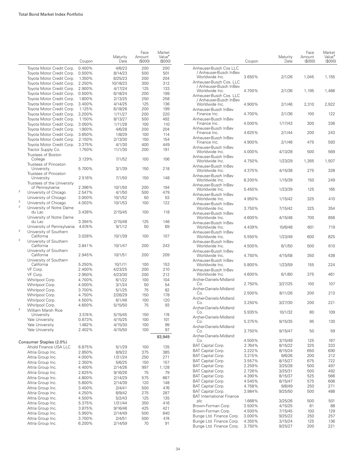|                         |                                                      |                  | Maturity           | Face<br>Amount | Market<br>Value <sup>•</sup> |
|-------------------------|------------------------------------------------------|------------------|--------------------|----------------|------------------------------|
|                         |                                                      | Coupon           | Date               | (S000)         | (\$000)                      |
|                         | Toyota Motor Credit Corp.                            | 0.400%           | 4/6/23             | 200            | 200                          |
|                         | Toyota Motor Credit Corp.                            | 0.500%           | 8/14/23            | 500            | 501                          |
|                         | Toyota Motor Credit Corp.                            | 1.350%           | 8/25/23            | 200            | 204                          |
|                         | Toyota Motor Credit Corp.                            | 2.250%           | 10/18/23           | 300            | 312                          |
|                         | Toyota Motor Credit Corp.                            | 2.900%           | 4/17/24            | 125            | 133                          |
|                         | Toyota Motor Credit Corp.                            | 0.500%           | 6/18/24            | 200            | 199                          |
|                         | Toyota Motor Credit Corp.                            | 1.800%           | 2/13/25            | 250            | 258                          |
|                         | Toyota Motor Credit Corp.                            | 3.400%           | 4/14/25            | 125            | 136                          |
|                         | Toyota Motor Credit Corp.                            | 1.125%           | 6/18/26            | 200            | 199                          |
|                         | Toyota Motor Credit Corp.                            | 3.200%           | 1/11/27            | 200            | 220                          |
|                         | Toyota Motor Credit Corp.                            | 1.150%           | 8/13/27            | 500            | 492                          |
|                         | Toyota Motor Credit Corp.                            | 3.050%           | 1/11/28            | 100            | 110                          |
|                         | Toyota Motor Credit Corp.                            | 1.900%           | 4/6/28             | 200            | 204                          |
|                         | Toyota Motor Credit Corp.                            | 3.650%           | 1/8/29             | 100            | 114                          |
|                         | Toyota Motor Credit Corp.                            | 2.150%           | 2/13/30            | 150            | 154                          |
|                         | Toyota Motor Credit Corp.                            | 3.375%           | 4/1/30             | 400            | 449                          |
|                         | Tractor Supply Co.<br>Trustees of Boston             | 1.750%           | 11/1/30            | 200            | 191                          |
|                         | College                                              | 3.129%           | 7/1/52             | 100            | 106                          |
|                         | Trustees of Princeton                                |                  |                    |                | 218                          |
|                         | University<br>Trustees of Princeton                  | 5.700%           | 3/1/39             | 150            |                              |
|                         | University                                           | 2.516%           | 7/1/50             | 150            | 148                          |
|                         | Trustees of the University<br>of Pennsylvania        | 2.396%           | 10/1/50            | 200            | 194                          |
| $\overline{2}$          | University of Chicago                                | 2.547%           | 4/1/50             | 500            | 479                          |
|                         | University of Chicago                                | 3.000%           | 10/1/52            | 50             | 53                           |
| $\overline{\mathbf{c}}$ | University of Chicago                                | 4.003%           | 10/1/53            | 100            | 122                          |
| $\bar{2}$               | University of Notre Dame<br>du Lac                   | 3.438%           | 2/15/45            | 100            | 118                          |
|                         | University of Notre Dame                             |                  |                    |                |                              |
|                         | du Lac                                               | 3.394%           | 2/15/48            | 125            | 146                          |
| $\overline{2}$          | University of Pennsylvania<br>University of Southern | 4.674%           | 9/1/12             | 50             | 69                           |
| $\overline{2}$          | California                                           | 3.028%           | 10/1/39            | 100            | 107                          |
|                         | University of Southern<br>California                 | 3.841%           | 10/1/47            | 200            | 243                          |
|                         | University of Southern                               |                  |                    |                |                              |
|                         | California                                           | 2.945%           | 10/1/51            | 200            | 209                          |
|                         | University of Southern<br>California                 | 5.250%           | 10/1/11            | 100            | 153                          |
|                         | VF Corp.                                             | 2.400%           | 4/23/25            | 200            | 210                          |
|                         | VF Corp.                                             | 2.950%           | 4/23/30            | 200            | 212                          |
|                         | Whirlpool Corp.                                      | 4.700%           | 6/1/22             | 100            | 104                          |
|                         | Whirlpool Corp.                                      | 4.000%           | 3/1/24             | 50             | 54                           |
|                         | Whirlpool Corp.                                      | 3.700%           | 5/1/25             | 75             | 82                           |
|                         | Whirlpool Corp.                                      | 4.750%           | 2/26/29            | 150            | 178                          |
|                         | Whirlpool Corp.                                      | 4.500%           | 6/1/46             | 100            | 120                          |
| $\overline{2}$          | Whirlpool Corp.                                      | 4.600%           | 5/15/50            | 75             | 93                           |
|                         | <b>William Marsh Rice</b><br>University              |                  |                    |                | 174                          |
|                         | Yale University                                      | 3.574%<br>0.873% | 5/15/45<br>4/15/25 | 150<br>100     | 101                          |
|                         | Yale University                                      | 1.482%           | 4/15/30            | 100            | 99                           |
|                         | Yale University                                      | 2.402%           | 4/15/50            | 100            | 97                           |
|                         |                                                      |                  |                    |                | 83,949                       |
|                         | Consumer Staples (2.0%)                              |                  |                    |                |                              |
|                         | Ahold Finance USA LLC                                | 6.875%           | 5/1/29             | 100            | 135                          |
|                         | Altria Group Inc.                                    | 2.850%           | 8/9/22             | 375            | 385                          |
|                         | Altria Group Inc.                                    | 4.000%           | 1/31/24            | 250            | 271                          |
|                         | Altria Group Inc.                                    | 2.350%           | 5/6/25             | 150            | 157                          |
|                         | Altria Group Inc.                                    | 4.400%<br>2.625% | 2/14/26            | 997            | 1,128                        |
|                         | Altria Group Inc.<br>Altria Group Inc.               | 4.800%           | 9/16/26<br>2/14/29 | 75<br>575      | 79<br>667                    |
|                         | Altria Group Inc.                                    | 5.800%           | 2/14/39            | 120            | 148                          |
|                         | Altria Group Inc.                                    | 3.400%           | 2/4/41             | 500            | 476                          |
|                         | Altria Group Inc.                                    | 4.250%           | 8/9/42             | 275            | 287                          |
|                         | Altria Group Inc.                                    | 4.500%           | 5/2/43             | 125            | 135                          |
|                         | Altria Group Inc.                                    | 5.375%           | 1/31/44            | 350            | 416                          |
|                         | Altria Group Inc.                                    | 3.875%           | 9/16/46            | 425            | 421                          |
|                         | Altria Group Inc.                                    | 5.950%           | 2/14/49            | 500            | 640                          |
|                         | Altria Group Inc.                                    | 3.700%           | 2/4/51             | 500            | 474                          |
|                         | Altria Group Inc.                                    | 6.200%           | 2/14/59            | 70             | 91                           |

|                                                                     | Coupon           | Maturity<br>Date   | Face<br>Amount<br>(S000) | Market<br>Value <sup>•</sup><br>(\$000) |
|---------------------------------------------------------------------|------------------|--------------------|--------------------------|-----------------------------------------|
| Anheuser-Busch Cos LLC                                              |                  |                    |                          |                                         |
| / Anheuser-Busch InBev<br>Worldwide Inc.<br>Anheuser-Busch Cos. LLC | 3.650%           | 2/1/26             | 1,045                    | 1,155                                   |
| / Anheuser-Busch InBev<br>Worldwide Inc.<br>Anheuser-Busch Cos. LLC | 4.700%           | 2/1/36             | 1,195                    | 1.466                                   |
| / Anheuser-Busch InBev<br>Worldwide Inc.                            | 4.900%           | 2/1/46             | 2,310                    | 2,922                                   |
| Anheuser-Busch InBev<br>Finance Inc.                                | 4.700%           | 2/1/36             | 100                      | 122                                     |
| Anheuser-Busch InBev<br>Finance Inc.                                | 4.000%           | 1/17/43            | 300                      | 336                                     |
| Anheuser-Busch InBev<br>Finance Inc.                                | 4.625%           | 2/1/44             | 200                      | 243                                     |
| Anheuser-Busch InBev<br>Finance Inc.                                | 4.900%           | 2/1/46             | 475                      | 593                                     |
| Anheuser-Busch InBev<br>Worldwide Inc.                              | 4.000%           | 4/13/28            | 500                      | 569                                     |
| Anheuser-Busch InBev<br>Worldwide Inc.                              | 4.750%           | 1/23/29            | 1,265                    | 1,507                                   |
| Anheuser-Busch InBev<br>Worldwide Inc.                              | 4.375%           | 4/15/38            | 275                      | 328                                     |
| Anheuser-Busch InBev<br>Worldwide Inc.                              | 8.200%           | 1/15/39            | 150                      | 249                                     |
| Anheuser-Busch InBev<br>Worldwide Inc.                              | 5.450%           | 1/23/39            | 125                      | 165                                     |
| Anheuser-Busch InBev<br>Worldwide Inc.                              | 4.950%           | 1/15/42            | 325                      | 410                                     |
| Anheuser-Busch InBev<br>Worldwide Inc.                              | 3.750%           | 7/15/42            | 325                      | 354                                     |
| Anheuser-Busch InBev<br>Worldwide Inc.                              | 4.600%           | 4/15/48            | 700                      | 856                                     |
| Anheuser-Busch InBev<br>Worldwide Inc.                              | 4.439%           | 10/6/48            | 601                      | 719                                     |
| Anheuser-Busch InBev<br>Worldwide Inc.                              | 5.550%           | 1/23/49            | 600                      | 825                                     |
| Anheuser-Busch InBev<br>Worldwide Inc.                              | 4.500%           | 6/1/50             | 500                      | 610                                     |
| Anheuser-Busch InBev<br>Worldwide Inc.                              | 4.750%           | 4/15/58            | 350                      | 438                                     |
| Anheuser-Busch InBev<br>Worldwide Inc.                              | 5.800%           | 1/23/59            | 155                      | 224                                     |
| Anheuser-Busch InBev<br>Worldwide Inc.                              | 4.600%           | 6/1/60             | 375                      | 461                                     |
| Archer-Daniels-Midland<br>Co.                                       | 2.750%           | 3/27/25            | 100                      | 107                                     |
| Archer-Daniels-Midland<br>Co.                                       | 2.500%           | 8/11/26            | 200                      | 213                                     |
| Archer-Daniels-Midland<br>Co.                                       | 3.250%           | 3/27/30            | 200                      | 221                                     |
| Archer-Daniels-Midland<br>Co.                                       | 5.935%           | 10/1/32            | 80                       | 109                                     |
| Archer-Daniels-Midland<br>Co.                                       | 5.375%           | 9/15/35            | 95                       | 130                                     |
| Archer-Daniels-Midland<br>Co.                                       | 3.750%           | 9/15/47            | 50                       | 59                                      |
| Archer-Daniels-Midland                                              |                  |                    |                          |                                         |
| Co.<br>BAT Capital Corp.                                            | 4.500%<br>2.764% | 3/15/49<br>8/15/22 | 125<br>325               | 167<br>333                              |
| BAT Capital Corp.                                                   | 3.222%           | 8/15/24            | 650                      | 690                                     |
| BAT Capital Corp.                                                   | 3.215%           | 9/6/26             | 200                      | 212                                     |
| BAT Capital Corp.                                                   | 3.557%           | 8/15/27            | 675                      | 722                                     |
| BAT Capital Corp.                                                   | 2.259%           | 3/25/28            | 500                      | 497                                     |
| BAT Capital Corp.                                                   | 2.726%           | 3/25/31            | 500                      | 492                                     |
| BAT Capital Corp.                                                   | 4.390%           | 8/15/37            | 525                      | 566                                     |
| BAT Capital Corp.                                                   | 4.540%           | 8/15/47            | 575                      | 606                                     |
| BAT Capital Corp.                                                   | 4.758%           | 9/6/49             | 250                      | 271                                     |
| BAT Capital Corp.<br><b>BAT International Finance</b>               | 3.984%           | 9/25/50            | 500                      | 488                                     |
| plc                                                                 | 1.668%           | 3/25/26            | 500                      | 501                                     |
| Brown-Forman Corp.                                                  | 3.500%           | 4/15/25            | 81                       | 88                                      |
| Brown-Forman Corp.                                                  | 4.500%           | 7/15/45            | 100                      | 129                                     |
| Bunge Ltd. Finance Corp.                                            | 3.000%           | 9/25/22            | 250                      | 257                                     |
| Bunge Ltd. Finance Corp.                                            | 4.350%           | 3/15/24            | 125                      | 136                                     |
| Bunge Ltd. Finance Corp.                                            | 3.750%           | 9/25/27            | 200                      | 221                                     |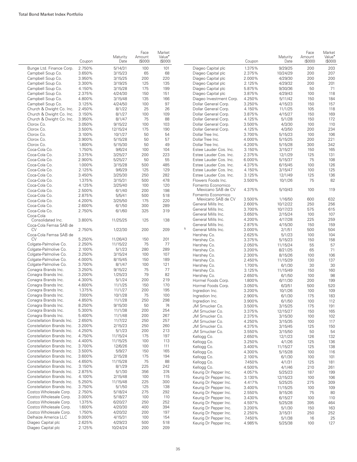|                           | Coupon | Maturity<br>Date | Face<br>Amount<br>(S000) | Market<br>Value <sup>*</sup><br>(S000) |   |                         | Coupon | Maturity<br>Date | Face<br>Amount<br>$($ \$000 $)$ | Market<br>Value <sup>•</sup><br>(\$000) |
|---------------------------|--------|------------------|--------------------------|----------------------------------------|---|-------------------------|--------|------------------|---------------------------------|-----------------------------------------|
| Bunge Ltd. Finance Corp.  | 2.750% | 5/14/31          | 100                      | 101                                    |   | Diageo Capital plc      | 1.375% | 9/29/25          | 200                             | 203                                     |
| Campbell Soup Co.         | 3.650% | 3/15/23          | 65                       | 68                                     |   | Diageo Capital plc      | 2.375% | 10/24/29         | 200                             | 207                                     |
| Campbell Soup Co.         | 3.950% | 3/15/25          | 200                      | 220                                    |   | Diageo Capital plc      | 2.000% | 4/29/30          | 200                             | 200                                     |
| Campbell Soup Co.         | 3.300% | 3/19/25          | 125                      | 135                                    |   | Diageo Capital plc      | 2.125% | 4/29/32          | 200                             | 201                                     |
| Campbell Soup Co.         | 4.150% | 3/15/28          | 175                      | 199                                    |   | Diageo Capital plc      | 5.875% | 9/30/36          | 50                              | 71                                      |
| Campbell Soup Co.         | 2.375% | 4/24/30          | 150                      | 151                                    |   | Diageo Capital plc      | 3.875% | 4/29/43          | 100                             | 118                                     |
| Campbell Soup Co.         | 4.800% | 3/15/48          | 135                      | 166                                    |   | Diageo Investment Corp. | 4.250% | 5/11/42          | 150                             | 184                                     |
| Campbell Soup Co.         | 3.125% | 4/24/50          | 100                      | 97                                     |   | Dollar General Corp.    | 3.250% | 4/15/23          | 150                             | 157                                     |
| Church & Dwight Co. Inc.  | 2.450% | 8/1/22           | 25                       | 26                                     |   | Dollar General Corp.    | 4.150% | 11/1/25          | 105                             | 118                                     |
| Church & Dwight Co. Inc.  | 3.150% | 8/1/27           | 100                      | 109                                    |   | Dollar General Corp.    | 3.875% | 4/15/27          | 150                             | 169                                     |
| Church & Dwight Co. Inc.  | 3.950% | 8/1/47           | 75                       | 88                                     |   | Dollar General Corp.    | 4.125% | 5/1/28           | 150                             | 172                                     |
| Clorox Co.                | 3.050% | 9/15/22          | 100                      | 103                                    |   | Dollar General Corp.    | 3.500% |                  | 100                             | 110                                     |
| Clorox Co.                | 3.500% |                  | 175                      | 190                                    |   | Dollar General Corp.    | 4.125% | 4/3/30<br>4/3/50 | 200                             | 234                                     |
|                           |        | 12/15/24         |                          | 54                                     |   |                         |        |                  |                                 |                                         |
| Clorox Co.                | 3.100% | 10/1/27          | 50                       |                                        |   | Dollar Tree Inc.        | 3.700% | 5/15/23          | 100                             | 106                                     |
| Clorox Co.                | 3.900% | 5/15/28          | 50                       | 57                                     |   | Dollar Tree Inc.        | 4.000% | 5/15/25          | 200                             | 221                                     |
| Clorox Co.                | 1.800% | 5/15/30          | 50                       | 49                                     |   | Dollar Tree Inc.        | 4.200% | 5/15/28          | 300                             | 342                                     |
| Coca-Cola Co.             | 1.750% | 9/6/24           | 100                      | 104                                    |   | Estee Lauder Cos. Inc.  | 3.150% | 3/15/27          | 150                             | 165                                     |
| Coca-Cola Co.             | 3.375% | 3/25/27          | 200                      | 223                                    |   | Estee Lauder Cos. Inc.  | 2.375% | 12/1/29          | 125                             | 131                                     |
| Coca-Cola Co.             | 2.900% | 5/25/27          | 50                       | 55                                     |   | Estee Lauder Cos. Inc.  | 6.000% | 5/15/37          | 75                              | 108                                     |
| Coca-Cola Co.             | 1.000% | 3/15/28          | 500                      | 485                                    |   | Estee Lauder Cos. Inc.  | 4.375% | 6/15/45          | 100                             | 126                                     |
| Coca-Cola Co.             | 2.125% | 9/6/29           | 125                      | 129                                    |   | Estee Lauder Cos. Inc.  | 4.150% | 3/15/47          | 100                             | 125                                     |
| Coca-Cola Co.             | 3.450% | 3/25/30          | 250                      | 282                                    |   | Estee Lauder Cos. Inc.  | 3.125% | 12/1/49          | 125                             | 136                                     |
| Coca-Cola Co.             | 1.375% | 3/15/31          | 500                      | 478                                    |   | Flowers Foods Inc.      | 3.500% | 10/1/26          | 75                              | 82                                      |
| Coca-Cola Co.             | 4.125% | 3/25/40          | 100                      | 120                                    |   | Fomento Economico       |        |                  |                                 |                                         |
| Coca-Cola Co.             | 2.500% | 6/1/40           | 200                      | 198                                    |   | Mexicano SAB de CV      | 4.375% | 5/10/43          | 100                             | 119                                     |
| Coca-Cola Co.             | 2.875% | 5/5/41           | 500                      | 518                                    |   | Fomento Economico       |        |                  |                                 |                                         |
| Coca-Cola Co.             | 4.200% | 3/25/50          | 175                      | 220                                    |   | Mexicano SAB de CV      | 3.500% | 1/16/50          | 600                             | 632                                     |
| Coca-Cola Co.             | 2.600% | 6/1/50           | 300                      | 289                                    |   | General Mills Inc.      | 2.600% | 10/12/22         | 250                             | 256                                     |
| Coca-Cola Co.             | 2.750% | 6/1/60           | 325                      | 319                                    |   | General Mills Inc.      | 3.700% | 10/17/23         | 575                             | 615                                     |
| Coca-Cola                 |        |                  |                          |                                        |   | General Mills Inc.      | 3.650% | 2/15/24          | 100                             | 107                                     |
| Consolidated Inc.         | 3.800% | 11/25/25         | 125                      | 138                                    |   | General Mills Inc.      | 4.200% | 4/17/28          | 225                             | 259                                     |
| Coca-Cola Femsa SAB de    |        |                  |                          |                                        |   | General Mills Inc.      | 2.875% | 4/15/30          | 150                             | 159                                     |
| CV                        | 2.750% | 1/22/30          | 200                      | 209                                    | 5 | General Mills Inc.      | 3.000% | 2/1/51           | 500                             | 504                                     |
| Coca-Cola Femsa SAB de    |        |                  |                          |                                        |   | Hershey Co.             | 2.625% | 5/1/23           | 100                             | 104                                     |
| CV                        | 5.250% | 11/26/43         | 150                      | 201                                    |   | Hershey Co.             | 3.375% | 5/15/23          | 150                             | 158                                     |
| Colgate-Palmolive Co.     | 2.250% | 11/15/22         | 75                       | 77                                     |   | Hershey Co.             | 2.050% | 11/15/24         | 55                              | 57                                      |
| Colgate-Palmolive Co.     | 2.100% | 5/1/23           | 280                      | 289                                    |   | Hershey Co.             | 3.200% | 8/21/25          | 65                              | 71                                      |
| Colgate-Palmolive Co.     | 3.250% | 3/15/24          | 100                      | 107                                    |   | Hershey Co.             | 2.300% | 8/15/26          | 100                             | 106                                     |
| Colgate-Palmolive Co.     | 4.000% | 8/15/45          | 150                      | 189                                    |   | Hershey Co.             | 2.450% | 11/15/29         | 130                             | 137                                     |
| Colgate-Palmolive Co.     | 3.700% | 8/1/47           | 100                      | 121                                    |   | Hershey Co.             | 1.700% | 6/1/30           | 30                              | 30                                      |
| Conagra Brands Inc.       | 3.250% | 9/15/22          | 75                       | 77                                     |   | Hershey Co.             | 3.125% | 11/15/49         | 150                             | 160                                     |
| Conagra Brands Inc.       | 3.200% | 1/25/23          | 79                       | 82                                     |   | Hershey Co.             | 2.650% | 6/1/50           | 100                             | 98                                      |
| Conagra Brands Inc.       | 4.300% | 5/1/24           | 200                      | 219                                    |   | Hormel Foods Corp.      | 1.800% | 6/11/30          | 200                             | 199                                     |
| Conagra Brands Inc.       | 4.600% | 11/1/25          | 150                      | 170                                    |   | Hormel Foods Corp.      | 3.050% | 6/3/51           | 500                             | 520                                     |
| Conagra Brands Inc.       | 1.375% | 11/1/27          | 200                      | 195                                    |   | Ingredion Inc.          | 3.200% | 10/1/26          | 100                             | 109                                     |
| Conagra Brands Inc.       | 7.000% | 10/1/28          | 75                       | 100                                    |   | Ingredion Inc.          | 2.900% | 6/1/30           | 175                             | 183                                     |
| Conagra Brands Inc.       | 4.850% | 11/1/28          | 250                      | 298                                    |   | Ingredion Inc.          | 3.900% | 6/1/50           | 100                             | 112                                     |
| Conagra Brands Inc.       | 8.250% | 9/15/30          | 50                       | 74                                     |   | JM Smucker Co.          | 3.500% | 3/15/25          | 175                             | 191                                     |
| Conagra Brands Inc.       | 5.300% | 11/1/38          | 200                      | 254                                    |   | JM Smucker Co.          | 3.375% | 12/15/27         | 150                             | 165                                     |
| Conagra Brands Inc.       | 5.400% | 11/1/48          | 200                      | 267                                    |   | JM Smucker Co.          | 2.375% | 3/15/30          | 100                             | 102                                     |
| Constellation Brands Inc. | 2.650% | 11/7/22          | 250                      | 257                                    |   | JM Smucker Co.          | 4.250% | 3/15/35          | 100                             | 117                                     |
| Constellation Brands Inc. | 3.200% | 2/15/23          | 250                      | 260                                    |   | JM Smucker Co.          | 4.375% | 3/15/45          | 125                             | 150                                     |
| Constellation Brands Inc. | 4.250% | 5/1/23           | 200                      | 213                                    |   | JM Smucker Co.          | 3.550% |                  | 50                              | 54                                      |
| Constellation Brands Inc. | 4.750% | 11/15/24         | 175                      | 197                                    |   |                         |        | 3/15/50          |                                 |                                         |
| Constellation Brands Inc. | 4.400% | 11/15/25         | 100                      | 113                                    |   | Kellogg Co.             | 2.650% | 12/1/23          | 126                             | 132                                     |
| Constellation Brands Inc. | 3.700% | 12/6/26          | 100                      | 111                                    |   | Kellogg Co.             | 3.250% | 4/1/26           | 125                             | 136                                     |
| Constellation Brands Inc. | 3.500% |                  |                          | 165                                    |   | Kellogg Co.             | 3.400% | 11/15/27         | 125                             | 138                                     |
|                           |        | 5/9/27           | 150                      |                                        |   | Kellogg Co.             | 4.300% | 5/15/28          | 100                             | 116                                     |
| Constellation Brands Inc. | 3.600% | 2/15/28          | 175                      | 194                                    |   | Kellogg Co.             | 2.100% | 6/1/30           | 100                             | 101                                     |
| Constellation Brands Inc. | 4.650% | 11/15/28         | 75                       | 88                                     |   | Kellogg Co.             | 7.450% | 4/1/31           | 125                             | 181                                     |
| Constellation Brands Inc. | 3.150% | 8/1/29           | 225                      | 242                                    |   | Kellogg Co.             | 4.500% | 4/1/46           | 210                             | 261                                     |
| Constellation Brands Inc. | 2.875% | 5/1/30           | 356                      | 374                                    |   | Keurig Dr Pepper Inc.   | 4.057% | 5/25/23          | 187                             | 199                                     |
| Constellation Brands Inc. | 4.100% | 2/15/48          | 100                      | 115                                    |   | Keurig Dr Pepper Inc.   | 3.130% | 12/15/23         | 100                             | 106                                     |
| Constellation Brands Inc. | 5.250% | 11/15/48         | 225                      | 300                                    |   | Keurig Dr Pepper Inc.   | 4.417% | 5/25/25          | 275                             | 309                                     |
| Constellation Brands Inc. | 3.750% | 5/1/50           | 125                      | 138                                    |   | Keurig Dr Pepper Inc.   | 3.400% | 11/15/25         | 100                             | 109                                     |
| Costco Wholesale Corp.    | 2.750% | 5/18/24          | 275                      | 292                                    |   | Keurig Dr Pepper Inc.   | 2.550% | 9/15/26          | 75                              | 80                                      |
| Costco Wholesale Corp.    | 3.000% | 5/18/27          | 100                      | 110                                    |   | Keurig Dr Pepper Inc.   | 3.430% | 6/15/27          | 100                             | 110                                     |
| Costco Wholesale Corp.    | 1.375% | 6/20/27          | 250                      | 252                                    |   | Keurig Dr Pepper Inc.   | 4.597% | 5/25/28          | 395                             | 464                                     |
| Costco Wholesale Corp.    | 1.600% | 4/20/30          | 400                      | 394                                    |   | Keurig Dr Pepper Inc.   | 3.200% | 5/1/30           | 150                             | 163                                     |
| Costco Wholesale Corp.    | 1.750% | 4/20/32          | 200                      | 197                                    |   | Keurig Dr Pepper Inc.   | 2.250% | 3/15/31          | 250                             | 252                                     |
| Delhaize America LLC      | 9.000% | 4/15/31          | 100                      | 154                                    |   | Keurig Dr Pepper Inc.   | 7.450% | 5/1/38           | 16                              | 25                                      |
| Diageo Capital plc        | 2.625% | 4/29/23          | 500                      | 518                                    |   | Keurig Dr Pepper Inc.   | 4.985% | 5/25/38          | 100                             | 127                                     |
| Diageo Capital plc        | 2.125% | 10/24/24         | 200                      | 209                                    |   |                         |        |                  |                                 |                                         |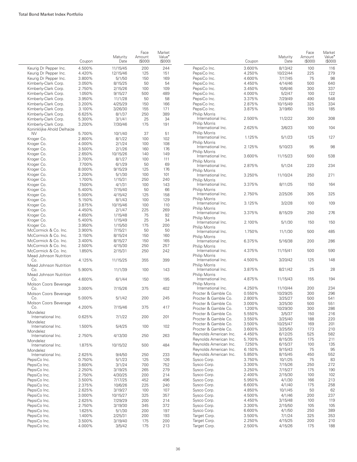|                               | Coupon | Maturity<br>Date | Face<br>Amount<br>(S000) | Market<br>Value <sup>•</sup><br>(S000) |                                           |
|-------------------------------|--------|------------------|--------------------------|----------------------------------------|-------------------------------------------|
| Keurig Dr Pepper Inc.         | 4.500% | 11/15/45         | 200                      | 244                                    | PepsiCo Inc.                              |
| Keurig Dr Pepper Inc.         | 4.420% | 12/15/46         | 125                      | 151                                    | PepsiCo Inc.                              |
| Keurig Dr Pepper Inc.         | 3.800% | 5/1/50           | 150                      | 169                                    | PepsiCo Inc.                              |
| Kimberly-Clark Corp.          | 3.050% | 8/15/25          | 50                       | 54                                     | PepsiCo Inc.                              |
| Kimberly-Clark Corp.          | 2.750% | 2/15/26          | 100                      | 109                                    | PepsiCo Inc.                              |
| Kimberly-Clark Corp.          | 1.050% | 9/15/27          | 500                      | 489                                    | PepsiCo Inc.                              |
| Kimberly-Clark Corp.          | 3.950% | 11/1/28          | 50                       | 58                                     | PepsiCo Inc.                              |
| Kimberly-Clark Corp.          | 3.200% | 4/25/29          | 150                      | 166                                    | PepsiCo Inc.                              |
| Kimberly-Clark Corp.          | 3.100% | 3/26/30          | 155                      | 171                                    | PepsiCo Inc.                              |
| Kimberly-Clark Corp.          | 6.625% | 8/1/37           | 250                      | 389                                    | Philip Morris                             |
| Kimberly-Clark Corp.          | 5.300% | 3/1/41           | 25                       | 34                                     | International Inc                         |
| Kimberly-Clark Corp.          | 3.200% | 7/30/46          | 175                      | 191                                    | Philip Morris                             |
| Koninklijke Ahold Delhaize    |        |                  |                          |                                        | International Inc                         |
| <b>NV</b>                     | 5.700% | 10/1/40          | 37                       | 51                                     | Philip Morris                             |
| Kroger Co.                    | 2.800% | 8/1/22           | 100                      | 102                                    | International Inc                         |
| Kroger Co.                    | 4.000% | 2/1/24           | 100                      | 108                                    | Philip Morris                             |
| Kroger Co.                    | 3.500% | 2/1/26           | 160                      | 176                                    | International Inc                         |
| Kroger Co.                    | 2.650% | 10/15/26         | 140                      | 149                                    | Philip Morris                             |
| Kroger Co.                    | 3.700% | 8/1/27           | 100                      | 111                                    | International Inc                         |
|                               |        | 6/1/29           |                          |                                        | <b>Philip Morris</b>                      |
| Kroger Co.                    | 7.700% |                  | 50                       | 69                                     | International Inc                         |
| Kroger Co.                    | 8.000% | 9/15/29          | 125                      | 176                                    | Philip Morris                             |
| Kroger Co.                    | 2.200% | 5/1/30           | 100                      | 101                                    | International Inc                         |
| Kroger Co.                    | 1.700% | 1/15/31          | 250                      | 240                                    | <b>Philip Morris</b>                      |
| Kroger Co.                    | 7.500% | 4/1/31           | 100                      | 143                                    | International Inc                         |
| Kroger Co.                    | 5.400% | 7/15/40          | 50                       | 66                                     | Philip Morris                             |
| Kroger Co.                    | 5.000% | 4/15/42          | 125                      | 158                                    | International Inc                         |
| Kroger Co.                    | 5.150% | 8/1/43           | 100                      | 129                                    | <b>Philip Morris</b>                      |
| Kroger Co.                    | 3.875% | 10/15/46         | 100                      | 110                                    | International Inc                         |
| Kroger Co.                    | 4.450% | 2/1/47           | 225                      | 269                                    | <b>Philip Morris</b><br>International Inc |
| Kroger Co.                    | 4.650% | 1/15/48          | 75                       | 92                                     |                                           |
| Kroger Co.                    | 5.400% | 1/15/49          | 25                       | 34                                     | Philip Morris<br>International Inc        |
| Kroger Co.                    | 3.950% | 1/15/50          | 175                      | 200                                    | <b>Philip Morris</b>                      |
| McCormick & Co. Inc.          | 3.900% | 7/15/21          | 50                       | 50                                     | International Inc                         |
| McCormick & Co. Inc.          | 3.150% | 8/15/24          | 150                      | 160                                    | <b>Philip Morris</b>                      |
| McCormick & Co. Inc.          | 3.400% | 8/15/27          | 150                      | 165                                    | International Inc                         |
| McCormick & Co. Inc.          | 2.500% | 4/15/30          | 250                      | 257                                    | Philip Morris                             |
| McCormick & Co. Inc.          | 1.850% | 2/15/31          | 250                      | 242                                    | International Inc                         |
| Mead Johnson Nutrition<br>Co. | 4.125% | 11/15/25         | 355                      | 399                                    | <b>Philip Morris</b><br>International Inc |
| Mead Johnson Nutrition        |        |                  |                          |                                        | <b>Philip Morris</b>                      |
| Co.                           | 5.900% | 11/1/39          | 100                      | 143                                    | International Inc                         |
| Mead Johnson Nutrition        |        |                  |                          |                                        | Philip Morris                             |
| Co.                           | 4.600% | 6/1/44           | 150                      | 195                                    | International Inc                         |
| Molson Coors Beverage         |        |                  |                          |                                        | <b>Philip Morris</b>                      |
| Co.                           | 3.000% | 7/15/26          | 375                      | 402                                    | International Inc                         |
| Molson Coors Beverage         |        |                  |                          |                                        | Procter & Gamble                          |
| Co.                           | 5.000% | 5/1/42           | 200                      | 245                                    | Procter & Gamble                          |
| Molson Coors Beverage         |        |                  |                          |                                        | Procter & Gamble                          |
| CO.                           | 4.200% | 7/15/46          | 375                      | 417                                    | Procter & Gamble                          |
| Mondelez                      |        |                  |                          |                                        | Procter & Gamble                          |
| International Inc.            | 0.625% | 7/1/22           | 200                      | 201                                    | Procter & Gamble                          |
| Mondelez                      |        |                  |                          |                                        | Procter & Gamble                          |
| International Inc.            | 1.500% | 5/4/25           | 100                      | 102                                    | Procter & Gamble                          |
| Mondelez                      |        |                  |                          |                                        |                                           |
| International Inc.            | 2.750% | 4/13/30          | 250                      | 263                                    | Reynolds America                          |
| Mondelez                      |        |                  |                          |                                        | Reynolds America                          |
| International Inc.            | 1.875% | 10/15/32         | 500                      | 484                                    | Reynolds America                          |
| Mondelez                      |        |                  |                          |                                        | Reynolds America                          |
| International Inc.            | 2.625% | 9/4/50           | 250                      | 233                                    | Reynolds America                          |
| PepsiCo Inc.                  | 0.750% | 5/1/23           | 125                      | 126                                    | Sysco Corp.                               |
| PepsiCo Inc.                  | 3.600% | 3/1/24           | 700                      | 752                                    | Sysco Corp.                               |
| PepsiCo Inc.                  | 2.250% | 3/19/25          | 265                      | 279                                    | Sysco Corp.                               |
| PepsiCo Inc.                  | 2.750% | 4/30/25          | 200                      | 214                                    | Sysco Corp.                               |
| PepsiCo Inc.                  | 3.500% | 7/17/25          | 452                      | 496                                    | Sysco Corp.                               |
| PepsiCo Inc.                  | 2.375% | 10/6/26          | 225                      | 240                                    | Sysco Corp.                               |
| PepsiCo Inc.                  | 2.625% | 3/19/27          | 100                      | 107                                    | Sysco Corp.                               |
| PepsiCo Inc.                  | 3.000% |                  | 325                      | 357                                    | Sysco Corp.                               |
|                               |        | 10/15/27         |                          |                                        |                                           |
| PepsiCo Inc.                  | 2.625% | 7/29/29          | 200                      | 214                                    | Sysco Corp.                               |
| PepsiCo Inc.                  | 2.750% | 3/19/30          | 345                      | 372                                    | Sysco Corp.                               |
| PepsiCo Inc.                  | 1.625% | 5/1/30           | 200                      | 197                                    | Sysco Corp.                               |
| PepsiCo Inc.                  | 1.400% | 2/25/31          | 200                      | 193                                    | Target Corp.                              |
| PepsiCo Inc.                  | 3.500% | 3/19/40          | 175                      | 200                                    | Target Corp.                              |
| PepsiCo Inc.                  | 4.000% | 3/5/42           | 175                      | 213                                    | Target Corp.                              |

|                                            | Coupon | Maturity<br>Date | Face<br>Amount<br>(S000) | Market<br>Value <sup>•</sup><br>(\$000) |
|--------------------------------------------|--------|------------------|--------------------------|-----------------------------------------|
| PepsiCo Inc.                               | 3.600% | 8/13/42          | 100                      | 116                                     |
| PepsiCo Inc.                               | 4.250% | 10/22/44         | 225                      | 279                                     |
| PepsiCo Inc.                               | 4.600% | 7/17/45          | 75                       | 98                                      |
| PepsiCo Inc.                               | 4.450% | 4/14/46          | 500                      | 640                                     |
| PepsiCo Inc.                               | 3.450% | 10/6/46          | 300                      | 337                                     |
| PepsiCo Inc.                               | 4.000% | 5/2/47           | 100                      | 122                                     |
| PepsiCo Inc.                               | 3.375% | 7/29/49          | 490                      | 548                                     |
|                                            |        |                  |                          |                                         |
| PepsiCo Inc.<br>PepsiCo Inc.               | 2.875% | 10/15/49         | 325                      | 334<br>185                              |
| Philip Morris                              | 3.875% | 3/19/60          | 150                      |                                         |
| International Inc.<br><b>Philip Morris</b> | 2.500% | 11/2/22          | 300                      | 308                                     |
| International Inc.<br><b>Philip Morris</b> | 2.625% | 3/6/23           | 100                      | 104                                     |
| International Inc.<br><b>Philip Morris</b> | 1.125% | 5/1/23           | 125                      | 127                                     |
| International Inc.<br><b>Philip Morris</b> | 2.125% | 5/10/23          | 95                       | 98                                      |
| International Inc.<br><b>Philip Morris</b> | 3.600% | 11/15/23         | 500                      | 538                                     |
| International Inc.<br><b>Philip Morris</b> | 2.875% | 5/1/24           | 220                      | 234                                     |
| International Inc.                         | 3.250% | 11/10/24         | 250                      | 271                                     |
| <b>Philip Morris</b><br>International Inc. | 3.375% | 8/11/25          | 150                      | 164                                     |
| Philip Morris<br>International Inc.        | 2.750% | 2/25/26          | 305                      | 325                                     |
| <b>Philip Morris</b><br>International Inc. | 3.125% | 3/2/28           | 100                      | 109                                     |
| <b>Philip Morris</b><br>International Inc. | 3.375% | 8/15/29          | 250                      | 276                                     |
| <b>Philip Morris</b><br>International Inc. | 2.100% | 5/1/30           | 150                      | 150                                     |
| <b>Philip Morris</b><br>International Inc. | 1.750% | 11/1/30          | 500                      | 485                                     |
| <b>Philip Morris</b><br>International Inc. | 6.375% | 5/16/38          | 200                      | 286                                     |
| <b>Philip Morris</b><br>International Inc. | 4.375% | 11/15/41         | 500                      | 590                                     |
| <b>Philip Morris</b><br>International Inc. | 4.500% | 3/20/42          | 125                      | 148                                     |
| <b>Philip Morris</b><br>International Inc. | 3.875% | 8/21/42          | 25                       | 28                                      |
| Philip Morris<br>International Inc.        | 4.875% | 11/15/43         | 155                      | 194                                     |
| Philip Morris<br>International Inc.        | 4.250% | 11/10/44         | 200                      | 234                                     |
| Procter & Gamble Co.                       |        |                  |                          | 296                                     |
| Procter & Gamble Co.                       | 0.550% | 10/29/25         | 300                      |                                         |
|                                            | 2.800% | 3/25/27          | 500                      | 541                                     |
| Procter & Gamble Co.                       | 3.000% | 3/25/30          | 500                      | 551                                     |
| Procter & Gamble Co.                       | 1.200% | 10/29/30         | 300                      | 286                                     |
| Procter & Gamble Co.                       | 5.550% | 3/5/37           | 150                      | 216                                     |
| Procter & Gamble Co.                       | 3.550% | 3/25/40          | 188                      | 220                                     |
| Procter & Gamble Co.                       | 3.500% | 10/25/47         | 169                      | 201                                     |
| Procter & Gamble Co.                       | 3.600% | 3/25/50          | 173                      | 210                                     |
| Reynolds American Inc.                     | 4.450% | 6/12/25          | 525                      | 582                                     |
| Reynolds American Inc.                     | 5.700% | 8/15/35          | 175                      | 211                                     |
| Reynolds American Inc.                     | 7.250% | 6/15/37          | 100                      | 135                                     |
| Reynolds American Inc.                     | 6.150% | 9/15/43          | 75                       | 95                                      |
| Reynolds American Inc.                     | 5.850% | 8/15/45          | 450                      | 552                                     |
| Sysco Corp.                                | 3.750% | 10/1/25          | 75                       | 83                                      |
| Sysco Corp.                                | 3.300% | 7/15/26          | 250                      | 272                                     |
| Sysco Corp.                                | 3.250% | 7/15/27          | 175                      | 190                                     |
| Sysco Corp.                                | 2.400% | 2/15/30          | 100                      | 102                                     |
| Sysco Corp.                                | 5.950% | 4/1/30           | 166                      | 213                                     |
| Sysco Corp.                                | 6.600% | 4/1/40           | 175                      | 258                                     |
| Sysco Corp.                                | 4.850% | 10/1/45          | 50                       | 62                                      |
| Sysco Corp.                                | 4.500% | 4/1/46           | 200                      | 237                                     |
| Sysco Corp.                                | 4.450% | 3/15/48          | 100                      | 119                                     |
| Sysco Corp.                                | 3.300% | 2/15/50          | 105                      | 105                                     |
| Sysco Corp.                                | 6.600% | 4/1/50           | 250                      | 389                                     |
| Target Corp.                               | 3.500% | 7/1/24           | 325                      | 353                                     |
| Target Corp.                               | 2.250% | 4/15/25          | 200                      | 210                                     |
| Target Corp.                               | 2.500% | 4/15/26          | 175                      | 188                                     |
|                                            |        |                  |                          |                                         |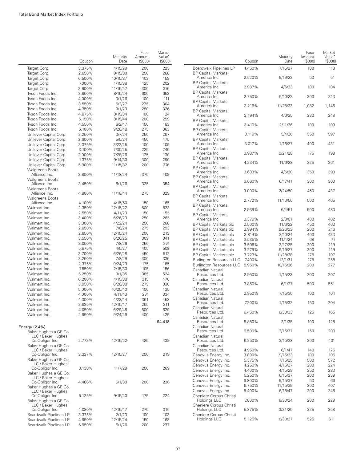|                                                  | Coupon           | Maturity<br>Date    | Face<br>Amount<br>(S000) | Market<br>Value <sup>*</sup><br>(\$000) |                                            | Coupon           | Maturity<br>Date   | Face<br>Amount<br>$($ \$000 $)$ | Market<br>Value <sup>•</sup><br>(S000) |
|--------------------------------------------------|------------------|---------------------|--------------------------|-----------------------------------------|--------------------------------------------|------------------|--------------------|---------------------------------|----------------------------------------|
| Target Corp.                                     | 3.375%           | 4/15/29             | 200                      | 225                                     | Boardwalk Pipelines LP                     | 4.450%           | 7/15/27            | 100                             | 113                                    |
| Target Corp.                                     | 2.650%           | 9/15/30             | 250                      | 268                                     | <b>BP Capital Markets</b>                  |                  |                    |                                 |                                        |
| Target Corp.                                     | 6.500%           | 10/15/37            | 103                      | 159                                     | America Inc.                               | 2.520%           | 9/19/22            | 50                              | 51                                     |
| Target Corp.                                     | 7.000%           | 1/15/38             | 125                      | 202                                     | <b>BP Capital Markets</b><br>America Inc.  | 2.937%           | 4/6/23             | 100                             | 104                                    |
| Target Corp.<br>Tyson Foods Inc.                 | 3.900%<br>3.950% | 11/15/47<br>8/15/24 | 300<br>600               | 376<br>653                              | <b>BP Capital Markets</b>                  |                  |                    |                                 |                                        |
| Tyson Foods Inc.                                 | 4.000%           | 3/1/26              | 100                      | 111                                     | America Inc.                               | 2.750%           | 5/10/23            | 300                             | 313                                    |
| Tyson Foods Inc.                                 | 3.550%           | 6/2/27              | 275                      | 304                                     | <b>BP Capital Markets</b>                  |                  |                    |                                 |                                        |
| Tyson Foods Inc.                                 | 4.350%           | 3/1/29              | 280                      | 326                                     | America Inc.                               | 3.216%           | 11/28/23           | 1,082                           | 1,146                                  |
| Tyson Foods Inc.                                 | 4.875%           | 8/15/34             | 100                      | 124                                     | <b>BP Capital Markets</b><br>America Inc.  | 3.194%           | 4/6/25             | 230                             | 248                                    |
| Tyson Foods Inc.                                 | 5.150%           | 8/15/44             | 200                      | 259                                     | <b>BP Capital Markets</b>                  |                  |                    |                                 |                                        |
| Tyson Foods Inc.                                 | 4.550%           | 6/2/47              | 150                      | 183                                     | America Inc.                               | 3.410%           | 2/11/26            | 100                             | 109                                    |
| Tyson Foods Inc.                                 | 5.100%           | 9/28/48             | 275                      | 363                                     | <b>BP Capital Markets</b>                  |                  |                    |                                 |                                        |
| Unilever Capital Corp.                           | 3.250%           | 3/7/24              | 250                      | 267                                     | America Inc.                               | 3.119%           | 5/4/26             | 550                             | 597                                    |
| Unilever Capital Corp.                           | 2.600%           | 5/5/24              | 450                      | 475                                     | <b>BP Capital Markets</b><br>America Inc.  | 3.017%           | 1/16/27            | 400                             | 431                                    |
| Unilever Capital Corp.                           | 3.375%           | 3/22/25             | 100                      | 109                                     | <b>BP Capital Markets</b>                  |                  |                    |                                 |                                        |
| Unilever Capital Corp.                           | 3.100%<br>2.000% | 7/30/25<br>7/28/26  | 225<br>125               | 245<br>130                              | America Inc.                               | 3.937%           | 9/21/28            | 175                             | 199                                    |
| Unilever Capital Corp.<br>Unilever Capital Corp. | 1.375%           | 9/14/30             | 300                      | 290                                     | <b>BP Capital Markets</b>                  |                  |                    |                                 |                                        |
| Unilever Capital Corp.                           | 5.900%           | 11/15/32            | 200                      | 276                                     | America Inc.                               | 4.234%           | 11/6/28            | 225                             | 261                                    |
| <b>Walgreens Boots</b>                           |                  |                     |                          |                                         | <b>BP Capital Markets</b>                  |                  |                    |                                 |                                        |
| Alliance Inc.                                    | 3.800%           | 11/18/24            | 375                      | 409                                     | America Inc.                               | 3.633%           | 4/6/30             | 350                             | 393                                    |
| <b>Walgreens Boots</b>                           |                  |                     |                          |                                         | <b>BP Capital Markets</b><br>America Inc.  | 3.060%           | 6/17/41            | 300                             | 303                                    |
| Alliance Inc.                                    | 3.450%           | 6/1/26              | 325                      | 354                                     | <b>BP Capital Markets</b>                  |                  |                    |                                 |                                        |
| <b>Walgreens Boots</b>                           |                  |                     |                          |                                         | America Inc.                               | 3.000%           | 2/24/50            | 450                             | 437                                    |
| Alliance Inc.                                    | 4.800%           | 11/18/44            | 275                      | 329                                     | <b>BP Capital Markets</b>                  |                  |                    |                                 |                                        |
| <b>Walgreens Boots</b><br>Alliance Inc.          | 4.100%           | 4/15/50             | 150                      | 165                                     | America Inc.                               | 2.772%           | 11/10/50           | 500                             | 465                                    |
| Walmart Inc.                                     | 2.350%           | 12/15/22            | 800                      | 823                                     | <b>BP Capital Markets</b>                  |                  |                    |                                 |                                        |
| Walmart Inc.                                     | 2.550%           | 4/11/23             | 150                      | 155                                     | America Inc.                               | 2.939%           | 6/4/51             | 500                             | 480                                    |
| Walmart Inc.                                     | 3.400%           | 6/26/23             | 250                      | 265                                     | <b>BP Capital Markets</b>                  | 3.379%           |                    | 400                             | 402                                    |
| Walmart Inc.                                     | 3.300%           | 4/22/24             | 250                      | 268                                     | America Inc.<br>BP Capital Markets plc     | 2.500%           | 2/8/61<br>11/6/22  | 450                             | 463                                    |
| Walmart Inc.                                     | 2.850%           | 7/8/24              | 275                      | 293                                     | BP Capital Markets plc                     | 3.994%           | 9/26/23            | 200                             | 216                                    |
| Walmart Inc.                                     | 2.650%           | 12/15/24            | 200                      | 213                                     | <b>BP Capital Markets plc</b>              | 3.814%           | 2/10/24            | 400                             | 433                                    |
| Walmart Inc.                                     | 3.550%           | 6/26/25             | 309                      | 341                                     | <b>BP Capital Markets plc</b>              | 3.535%           | 11/4/24            | 68                              | 74                                     |
| Walmart Inc.                                     | 3.050%           | 7/8/26              | 250                      | 274                                     | BP Capital Markets plc                     | 3.506%           | 3/17/25            | 200                             | 219                                    |
| Walmart Inc.                                     | 5.875%           | 4/5/27              | 405                      | 508                                     | BP Capital Markets plc                     | 3.279%           | 9/19/27            | 200                             | 219                                    |
| Walmart Inc.                                     | 3.700%           | 6/26/28             | 450                      | 512                                     | BP Capital Markets plc                     | 3.723%           | 11/28/28           | 175                             | 197                                    |
| Walmart Inc.                                     | 3.250%           | 7/8/29              | 300                      | 336                                     | <b>Burlington Resources LLC</b>            | 7.400%           | 12/1/31            | 175                             | 258                                    |
| Walmart Inc.                                     | 2.375%           | 9/24/29             | 175                      | 185                                     | <b>Burlington Resources LLC</b>            | 5.950%           | 10/15/36           | 200                             | 277                                    |
| Walmart Inc.                                     | 7.550%           | 2/15/30             | 105                      | 156                                     | Canadian Natural                           |                  |                    |                                 |                                        |
| Walmart Inc.                                     | 5.250%           | 9/1/35              | 385                      | 524                                     | Resources Ltd.                             | 2.950%           | 1/15/23            | 200                             | 207                                    |
| Walmart Inc.                                     | 6.200%           | 4/15/38             | 315                      | 470                                     | Canadian Natural                           |                  |                    |                                 |                                        |
| Walmart Inc.                                     | 3.950%           | 6/28/38             | 275                      | 330                                     | Resources Ltd.<br>Canadian Natural         | 3.850%           | 6/1/27             | 500                             | 551                                    |
| Walmart Inc.<br>Walmart Inc.                     | 5.000%<br>4.000% | 10/25/40<br>4/11/43 | 100<br>274               | 135<br>334                              | Resources Ltd.                             | 2.950%           | 7/15/30            | 100                             | 104                                    |
| Walmart Inc.                                     | 4.300%           | 4/22/44             | 361                      | 458                                     | Canadian Natural                           |                  |                    |                                 |                                        |
| Walmart Inc.                                     | 3.625%           | 12/15/47            | 265                      | 311                                     | Resources Ltd.                             | 7.200%           | 1/15/32            | 150                             | 204                                    |
| Walmart Inc.                                     | 4.050%           | 6/29/48             | 500                      | 629                                     | Canadian Natural                           |                  |                    |                                 |                                        |
| Walmart Inc.                                     | 2.950%           | 9/24/49             | 400                      | 425                                     | Resources Ltd.                             | 6.450%           | 6/30/33            | 125                             | 165                                    |
|                                                  |                  |                     |                          | 94,418                                  | Canadian Natural<br>Resources Ltd.         | 5.850%           | 2/1/35             | 100                             | 128                                    |
| Energy $(2.4%)$                                  |                  |                     |                          |                                         | Canadian Natural                           |                  |                    |                                 |                                        |
| Baker Hughes a GE Co.                            |                  |                     |                          |                                         | Resources Ltd.                             | 6.500%           | 2/15/37            | 150                             | 203                                    |
| LLC / Baker Hughes                               |                  |                     |                          |                                         | Canadian Natural                           |                  |                    |                                 |                                        |
| Co-Obligor Inc.                                  | 2.773%           | 12/15/22            | 425                      | 439                                     | Resources Ltd.                             | 6.250%           | 3/15/38            | 300                             | 401                                    |
| Baker Hughes a GE Co.                            |                  |                     |                          |                                         | Canadian Natural                           |                  |                    |                                 |                                        |
| LLC / Baker Hughes<br>Co-Obligor Inc.            | 3.337%           | 12/15/27            | 200                      | 219                                     | Resources Ltd.                             | 4.950%           | 6/1/47             | 140                             | 175                                    |
| Baker Hughes a GE Co.                            |                  |                     |                          |                                         | Cenovus Energy Inc.<br>Cenovus Energy Inc. | 3.800%           | 9/15/23            | 100                             | 105                                    |
| LLC / Baker Hughes                               |                  |                     |                          |                                         | Cenovus Energy Inc.                        | 5.375%           | 7/15/25            | 500<br>200                      | 572                                    |
| Co-Obligor Inc.                                  | 3.138%           | 11/7/29             | 250                      | 269                                     | Cenovus Energy Inc.                        | 4.250%<br>4.400% | 4/15/27<br>4/15/29 | 250                             | 224<br>283                             |
| Baker Hughes a GE Co.                            |                  |                     |                          |                                         | Cenovus Energy Inc.                        | 5.250%           | 6/15/37            | 200                             | 239                                    |
| LLC / Baker Hughes                               |                  |                     |                          |                                         | Cenovus Energy Inc.                        | 6.800%           | 9/15/37            | 50                              | 66                                     |
| Co-Obligor Inc.                                  | 4.486%           | 5/1/30              | 200                      | 236                                     | Cenovus Energy Inc.                        | 6.750%           | 11/15/39           | 300                             | 407                                    |
| Baker Hughes a GE Co.<br>LLC / Baker Hughes      |                  |                     |                          |                                         | Cenovus Energy Inc.                        | 5.400%           | 6/15/47            | 200                             | 248                                    |
| Co-Obligor Inc.                                  | 5.125%           | 9/15/40             | 175                      | 224                                     | Cheniere Corpus Christi                    |                  |                    |                                 |                                        |
| Baker Hughes a GE Co.                            |                  |                     |                          |                                         | Holdings LLC                               | 7.000%           | 6/30/24            | 200                             | 229                                    |
| LLC / Baker Hughes                               |                  |                     |                          |                                         | Cheniere Corpus Christi                    |                  |                    |                                 |                                        |
| Co-Obligor Inc.                                  | 4.080%           | 12/15/47            | 275                      | 315                                     | Holdings LLC                               | 5.875%           | 3/31/25            | 225                             | 258                                    |
| Boardwalk Pipelines LP                           | 3.375%           | 2/1/23              | 100                      | 103                                     | Cheniere Corpus Christi<br>Holdings LLC    | 5.125%           | 6/30/27            | 525                             | 611                                    |
| Boardwalk Pipelines LP                           | 4.950%           | 12/15/24            | 150                      | 168                                     |                                            |                  |                    |                                 |                                        |
| Boardwalk Pipelines LP                           | 5.950%           | 6/1/26              | 200                      | 237                                     |                                            |                  |                    |                                 |                                        |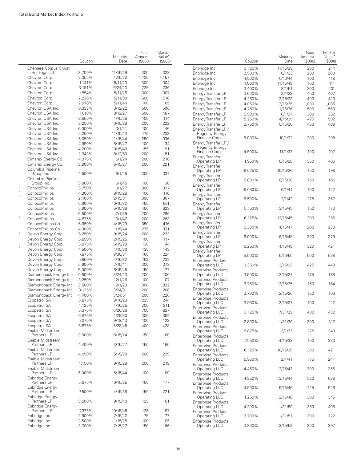|   |                                                     | Coupon           | Maturity<br>Date     | Face<br>Amount<br>(S000) | Market<br>Value <sup>•</sup><br>(\$000) |
|---|-----------------------------------------------------|------------------|----------------------|--------------------------|-----------------------------------------|
|   | Cheniere Corpus Christi                             |                  |                      |                          |                                         |
|   | Holdings LLC                                        | 3.700%           | 11/15/29             | 300                      | 328                                     |
|   | Chevron Corp.                                       | 2.355%<br>1.141% | 12/5/22              | 1,130                    | 1,157                                   |
|   | Chevron Corp.<br>Chevron Corp.                      | 3.191%           | 5/11/23<br>6/24/23   | 300<br>225               | 304<br>236                              |
|   | Chevron Corp.                                       | 1.554%           | 5/11/25              | 300                      | 307                                     |
|   | Chevron Corp.                                       | 2.236%           | 5/11/30              | 500                      | 516                                     |
|   | Chevron Corp.                                       | 2.978%           | 5/11/40              | 100                      | 105                                     |
|   | Chevron USA Inc.                                    | 0.333%           | 8/12/22              | 500                      | 500                                     |
|   | Chevron USA Inc.                                    | 1.018%           | 8/12/27              | 500                      | 487                                     |
|   | Chevron USA Inc.                                    | 3.850%           | 1/15/28              | 100                      | 114                                     |
|   | Chevron USA Inc.                                    | 3.250%           | 10/15/29             | 200                      | 222                                     |
|   | Chevron USA Inc.<br>Chevron USA Inc.                | 6.000%<br>5.250% | 3/1/41               | 100<br>175               | 146<br>238                              |
|   | Chevron USA Inc.                                    | 5.050%           | 11/15/43<br>11/15/44 | 250                      | 336                                     |
|   | Chevron USA Inc.                                    | 4.950%           | 8/15/47              | 100                      | 134                                     |
|   | Chevron USA Inc.                                    | 4.200%           | 10/15/49             | 155                      | 191                                     |
|   | Chevron USA Inc.                                    | 2.343%           | 8/12/50              | 200                      | 181                                     |
|   | Cimarex Energy Co.                                  | 4.375%           | 6/1/24               | 200                      | 218                                     |
|   | Cimarex Energy Co.                                  | 3.900%           | 5/15/27              | 200                      | 221                                     |
|   | Columbia Pipeline<br>Group Inc.                     | 4.500%           | 6/1/25               | 300                      | 337                                     |
|   | Columbia Pipeline<br>Group Inc.                     | 5.800%           | 6/1/45               | 100                      | 136                                     |
| 5 | ConocoPhillips                                      | 3.750%           | 10/1/27              | 300                      | 337                                     |
| 5 | ConocoPhillips                                      | 4.300%           | 8/15/28              | 100                      | 116                                     |
| 5 | ConocoPhillips                                      | 2.400%           | 2/15/31              | 300                      | 307                                     |
|   | ConocoPhillips                                      | 5.900%           | 10/15/32             | 450                      | 601                                     |
|   | ConocoPhillips                                      | 5.900%           | 5/15/38              | 450                      | 629                                     |
| 5 | ConocoPhillips                                      | 6.500%           | 2/1/39               | 200                      | 296                                     |
|   | ConocoPhillips                                      | 4.875%           | 10/1/47              | 200                      | 263                                     |
|   | ConocoPhillips Co.                                  | 6.950%           | 4/15/29              | 350<br>275               | 476                                     |
| 5 | ConocoPhillips Co.<br>Devon Energy Corp.            | 4.300%<br>5.250% | 11/15/44<br>9/15/24  | 200                      | 331<br>223                              |
|   | Devon Energy Corp.                                  | 5.850%           | 12/15/25             | 100                      | 117                                     |
| 5 | Devon Energy Corp.                                  | 5.875%           | 6/15/28              | 130                      | 144                                     |
| 5 | Devon Energy Corp.                                  | 4.500%           | 1/15/30              | 130                      | 143                                     |
|   | Devon Energy Corp.                                  | 7.875%           | 9/30/31              | 160                      | 224                                     |
|   | Devon Energy Corp.                                  | 7.950%           | 4/15/32              | 163                      | 232                                     |
|   | Devon Energy Corp.                                  | 5.600%           | 7/15/41              | 300                      | 372                                     |
|   | Devon Energy Corp.                                  | 5.000%           | 6/15/45              | 150                      | 177                                     |
|   | Diamondback Energy Inc.                             | 0.900%           | 3/24/23              | 200                      | 200                                     |
|   | Diamondback Energy Inc.                             | 3.250%           | 12/1/26              | 100                      | 107                                     |
|   | Diamondback Energy Inc.<br>Diamondback Energy Inc.  | 3.500%<br>3.125% | 12/1/29              | 300<br>200               | 322<br>208                              |
|   | Diamondback Energy Inc.                             | 4.400%           | 3/24/31<br>3/24/51   | 200                      | 226                                     |
|   | Ecopetrol SA                                        | 5.875%           | 9/18/23              | 225                      | 244                                     |
|   | Ecopetrol SA                                        | 4.125%           | 1/16/25              | 200                      | 211                                     |
|   | Ecopetrol SA                                        | 5.375%           | 6/26/26              | 750                      | 827                                     |
|   | Ecopetrol SA                                        | 6.875%           | 4/29/30              | 300                      | 362                                     |
|   | Ecopetrol SA                                        | 7.375%           | 9/18/43              | 100                      | 123                                     |
|   | Ecopetrol SA                                        | 5.875%           | 5/28/45              | 400                      | 428                                     |
|   | Enable Midstream<br>Partners LP                     | 3.900%           | 5/15/24              | 150                      | 160                                     |
|   | Enable Midstream<br>Partners LP<br>Enable Midstream | 4.400%           | 3/15/27              | 150                      | 166                                     |
|   | Partners LP<br>Enable Midstream                     | 4.950%           | 5/15/28              | 200                      | 229                                     |
|   | Partners LP<br>Enable Midstream                     | 4.150%           | 9/15/29              | 200                      | 219                                     |
|   | Partners LP<br>Enbridge Energy                      | 5.000%           | 5/15/44              | 100                      | 109                                     |
|   | Partners LP<br>Enbridge Energy                      | 5.875%           | 10/15/25             | 150                      | 177                                     |
|   | Partners LP<br>Enbridge Energy                      | 7.500%           | 4/15/38              | 150                      | 221                                     |
|   | Partners LP<br>Enbridge Energy                      | 5.500%           | 9/15/40              | 125                      | 161                                     |
|   | Partners LP                                         | 7.375%           | 10/15/45             | 125                      | 197                                     |
|   | Enbridge Inc.                                       | 2.900%           | 7/15/22              | 75                       | 77                                      |
|   | Enbridge Inc.<br>Enbridge Inc.                      | 2.500%<br>3.700% | 1/15/25<br>7/15/27   | 100<br>150               | 105<br>166                              |
|   |                                                     |                  |                      |                          |                                         |

|                                                                  | Coupon | Maturity<br>Date | Face<br>Amount<br>(S000) | Market<br>Value <sup>•</sup><br>(S000) |
|------------------------------------------------------------------|--------|------------------|--------------------------|----------------------------------------|
| Enbridge Inc.                                                    | 3.125% | 11/15/29         | 200                      | 214                                    |
| Enbridge Inc.                                                    | 2.500% | 8/1/33           | 200                      | 200                                    |
| Enbridge Inc.                                                    | 4.500% | 6/10/44          | 100                      | 118                                    |
| Enbridge Inc.                                                    | 4.000% | 11/15/49         | 100                      | 111                                    |
| Enbridge Inc.                                                    | 3.400% | 8/1/51           | 200                      | 201                                    |
| Energy Transfer LP                                               | 3.600% | 2/1/23           | 450                      | 467                                    |
| Energy Transfer LP                                               | 4.250% | 3/15/23          | 400                      | 420                                    |
| Energy Transfer LP                                               | 4.050% | 3/15/25          | 1,000                    | 1,085                                  |
| Energy Transfer LP                                               | 4.750% | 1/15/26          | 500                      | 563                                    |
| Energy Transfer LP                                               | 5.500% | 6/1/27           | 300                      | 352                                    |
| Energy Transfer LP                                               | 5.250% | 4/15/29          | 425                      | 502                                    |
| Energy Transfer LP                                               | 3.750% | 5/15/30          | 450                      | 489                                    |
| Energy Transfer LP /<br>Regency Energy                           |        |                  |                          |                                        |
| Finance Corp.<br>Energy Transfer LP /                            | 5.000% | 10/1/22          | 200                      | 208                                    |
| Regency Energy<br>Finance Corp.                                  | 4.500% | 11/1/23          | 100                      | 107                                    |
| <b>Energy Transfer</b><br>Operating LP                           | 4.950% | 6/15/28          | 350                      | 406                                    |
| Energy Transfer<br>Operating LP                                  | 6.625% | 10/15/36         | 150                      | 198                                    |
| Energy Transfer<br>Operating LP                                  | 5.800% | 6/15/38          | 150                      | 186                                    |
| <b>Energy Transfer</b><br>Operating LP                           | 6.050% | 6/1/41           | 100                      | 127                                    |
| <b>Energy Transfer</b><br>Operating LP                           | 6.500% | 2/1/42           | 275                      | 357                                    |
| <b>Energy Transfer</b><br>Operating LP                           | 5.150% | 3/15/45          | 150                      | 173                                    |
| <b>Energy Transfer</b><br>Operating LP                           | 6.125% | 12/15/45         | 200                      | 255                                    |
| <b>Energy Transfer</b><br>Operating LP<br><b>Energy Transfer</b> | 5.300% | 4/15/47          | 200                      | 233                                    |
| Operating LP<br><b>Energy Transfer</b>                           | 6.000% | 6/15/48          | 300                      | 379                                    |
| Operating LP<br><b>Energy Transfer</b>                           | 6.250% | 4/15/49          | 320                      | 421                                    |
| Operating LP<br><b>Enterprise Products</b>                       | 5.000% | 5/15/50          | 500                      | 578                                    |
| <b>Operating LLC</b><br><b>Enterprise Products</b>               | 3.350% | 3/15/23          | 425                      | 443                                    |
| <b>Operating LLC</b><br><b>Enterprise Products</b>               | 3.900% | 2/15/24          | 175                      | 188                                    |
| <b>Operating LLC</b><br><b>Enterprise Products</b>               | 3.750% | 2/15/25          | 150                      | 164                                    |
| <b>Operating LLC</b><br><b>Enterprise Products</b>               | 3.700% | 2/15/26          | 150                      | 166                                    |
| Operating LLC<br><b>Enterprise Products</b>                      | 3.950% | 2/15/27          | 100                      | 112                                    |
| <b>Operating LLC</b><br><b>Enterprise Products</b>               | 3.125% | 7/31/29          | 400                      | 432                                    |
| <b>Operating LLC</b><br><b>Enterprise Products</b>               | 2.800% | 1/31/30          | 300                      | 317                                    |
| <b>Operating LLC</b><br><b>Enterprise Products</b>               | 6.875% | 3/1/33           | 175                      | 249                                    |
| Operating LLC<br><b>Enterprise Products</b>                      | 7.550% | 4/15/38          | 150                      | 230                                    |
| <b>Operating LLC</b><br><b>Enterprise Products</b>               | 6.125% | 10/15/39         | 300                      | 421                                    |
| <b>Operating LLC</b><br><b>Enterprise Products</b>               | 5.950% | 2/1/41           | 175                      | 241                                    |
| Operating LLC<br><b>Enterprise Products</b>                      | 4.450% | 2/15/43          | 300                      | 355                                    |
| Operating LLC<br><b>Enterprise Products</b>                      | 4.850% | 3/15/44          | 520                      | 638                                    |
| Operating LLC<br><b>Enterprise Products</b>                      | 4.900% | 5/15/46          | 425                      | 526                                    |
| Operating LLC<br><b>Enterprise Products</b>                      | 4.250% | 2/15/48          | 300                      | 345                                    |
| <b>Operating LLC</b><br><b>Enterprise Products</b>               | 4.200% | 1/31/50          | 350                      | 405                                    |
| <b>Operating LLC</b><br><b>Enterprise Products</b>               | 3.700% | 1/31/51          | 300                      | 322                                    |
| <b>Operating LLC</b>                                             | 3.200% | 2/15/52          | 300                      | 297                                    |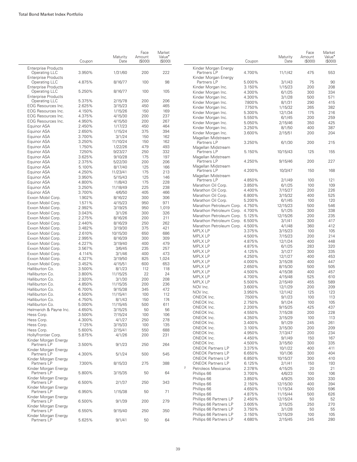|                                             | Coupon           | Maturity<br>Date   | Face<br>Amount<br>(\$000) | Market<br>Value <sup>•</sup><br>(\$000) |                                            | Coupon           | Maturity<br>Date   | Face<br>Amount<br>(S000) | Market<br>Value <sup>*</sup><br>(\$000 |
|---------------------------------------------|------------------|--------------------|---------------------------|-----------------------------------------|--------------------------------------------|------------------|--------------------|--------------------------|----------------------------------------|
| <b>Enterprise Products</b>                  |                  |                    |                           |                                         | Kinder Morgan Energy                       |                  |                    |                          |                                        |
| Operating LLC                               | 3.950%           | 1/31/60            | 200                       | 222                                     | Partners LP                                | 4.700%           | 11/1/42            | 475                      | 553                                    |
| <b>Enterprise Products</b>                  |                  |                    |                           |                                         | Kinder Morgan Energy                       |                  |                    |                          |                                        |
| Operating LLC<br><b>Enterprise Products</b> | 4.875%           | 8/16/77            | 100                       | 98                                      | Partners LP                                | 5.000%<br>3.150% | 3/1/43             | 75<br>200                | 90<br>208                              |
| Operating LLC                               | 5.250%           | 8/16/77            | 100                       | 105                                     | Kinder Morgan Inc.<br>Kinder Morgan Inc.   | 4.300%           | 1/15/23<br>6/1/25  | 300                      | 334                                    |
| <b>Enterprise Products</b>                  |                  |                    |                           |                                         | Kinder Morgan Inc.                         | 4.300%           | 3/1/28             | 500                      | 571                                    |
| <b>Operating LLC</b>                        | 5.375%           | 2/15/78            | 200                       | 206                                     | Kinder Morgan Inc.                         | 7.800%           | 8/1/31             | 290                      | 415                                    |
| EOG Resources Inc.                          | 2.625%           | 3/15/23            | 450                       | 465                                     | Kinder Morgan Inc.                         | 7.750%           | 1/15/32            | 265                      | 382                                    |
| EOG Resources Inc.                          | 4.150%           | 1/15/26            | 150                       | 169                                     | Kinder Morgan Inc.                         | 5.300%           | 12/1/34            | 175                      | 216                                    |
| <b>EOG Resources Inc.</b>                   | 4.375%           | 4/15/30            | 200                       | 237                                     | Kinder Morgan Inc.                         | 5.550%           | 6/1/45             | 200                      | 259                                    |
| EOG Resources Inc.                          | 4.950%           | 4/15/50            | 200                       | 267                                     | Kinder Morgan Inc.                         | 5.050%           | 2/15/46            | 350                      | 425                                    |
| Equinor ASA                                 | 2.450%           | 1/17/23            | 450                       | 464                                     | Kinder Morgan Inc.                         | 3.250%           | 8/1/50             | 400                      | 387                                    |
| Equinor ASA                                 | 2.650%<br>3.700% | 1/15/24<br>3/1/24  | 375                       | 394<br>162                              | Kinder Morgan Inc.                         | 3.600%           | 2/15/51            | 200                      | 204                                    |
| Equinor ASA<br>Equinor ASA                  | 3.250%           | 11/10/24           | 150<br>150                | 162                                     | Magellan Midstream                         |                  |                    |                          |                                        |
| Equinor ASA                                 | 1.750%           | 1/22/26            | 479                       | 493                                     | Partners LP                                | 3.250%           | 6/1/30             | 200                      | 215                                    |
| Equinor ASA                                 | 7.250%           | 9/23/27            | 250                       | 332                                     | Magellan Midstream<br>Partners LP          | 5.150%           | 10/15/43           | 125                      | 155                                    |
| Equinor ASA                                 | 3.625%           | 9/10/28            | 175                       | 197                                     | Magellan Midstream                         |                  |                    |                          |                                        |
| Equinor ASA                                 | 2.375%           | 5/22/30            | 200                       | 206                                     | Partners LP                                | 4.250%           | 9/15/46            | 200                      | 227                                    |
| Equinor ASA                                 | 5.100%           | 8/17/40            | 125                       | 166                                     | Magellan Midstream                         |                  |                    |                          |                                        |
| Equinor ASA                                 | 4.250%           | 11/23/41           | 175                       | 213                                     | Partners LP                                | 4.200%           | 10/3/47            | 150                      | 168                                    |
| Equinor ASA                                 | 3.950%           | 5/15/43            | 125                       | 146                                     | Magellan Midstream                         |                  |                    |                          |                                        |
| Equinor ASA                                 | 4.800%           | 11/8/43            | 175                       | 228                                     | Partners LP                                | 4.850%           | 2/1/49             | 100                      | 121                                    |
| Equinor ASA                                 | 3.250%           | 11/18/49           | 225                       | 238                                     | Marathon Oil Corp.                         | 3.850%           | 6/1/25             | 100                      | 109                                    |
| Equinor ASA                                 | 3.700%           | 4/6/50             | 405                       | 466                                     | Marathon Oil Corp.                         | 4.400%<br>6.800% | 7/15/27<br>3/15/32 | 200<br>400               | 226<br>525                             |
| Exxon Mobil Corp.                           | 1.902%           | 8/16/22            | 300                       | 306                                     | Marathon Oil Corp.<br>Marathon Oil Corp.   | 5.200%           | 6/1/45             | 100                      | 120                                    |
| Exxon Mobil Corp.                           | 1.571%           | 4/15/23            | 950                       | 971                                     | Marathon Petroleum Corp. 4.750%            |                  | 12/15/23           | 500                      | 546                                    |
| Exxon Mobil Corp.                           | 2.992%           | 3/19/25            | 950                       | 1,019                                   | Marathon Petroleum Corp. 4.700%            |                  | 5/1/25             | 300                      | 338                                    |
| Exxon Mobil Corp.                           | 3.043%           | 3/1/26             | 300                       | 326                                     | Marathon Petroleum Corp. 5.125%            |                  | 12/15/26           | 200                      | 235                                    |
| Exxon Mobil Corp.                           | 2.275%           | 8/16/26            | 200                       | 211                                     | Marathon Petroleum Corp. 6.500%            |                  | 3/1/41             | 300                      | 417                                    |
| Exxon Mobil Corp.                           | 2.440%           | 8/16/29            | 250                       | 262                                     | Marathon Petroleum Corp. 4.500%            |                  | 4/1/48             | 360                      | 412                                    |
| Exxon Mobil Corp.                           | 3.482%           | 3/19/30            | 375                       | 421                                     | <b>MPLX LP</b>                             | 3.375%           | 3/15/23            | 100                      | 105                                    |
| Exxon Mobil Corp.                           | 2.610%           | 10/15/30           | 650                       | 686<br>309                              | <b>MPLX LP</b>                             | 4.500%           | 7/15/23            | 200                      | 214                                    |
| Exxon Mobil Corp.<br>Exxon Mobil Corp.      | 2.995%<br>4.227% | 8/16/39<br>3/19/40 | 300<br>400                | 479                                     | <b>MPLX LP</b>                             | 4.875%           | 12/1/24            | 400                      | 448                                    |
| Exxon Mobil Corp.                           | 3.567%           | 3/6/45             | 235                       | 257                                     | <b>MPLX LP</b>                             | 4.875%           | 6/1/25             | 283                      | 320                                    |
| Exxon Mobil Corp.                           | 4.114%           | 3/1/46             | 400                       | 473                                     | <b>MPLX LP</b>                             | 4.125%           | 3/1/27             | 300                      | 335                                    |
| Exxon Mobil Corp.                           | 4.327%           | 3/19/50            | 825                       | 1,024                                   | <b>MPLX LP</b>                             | 4.250%           | 12/1/27            | 400                      | 453                                    |
| Exxon Mobil Corp.                           | 3.452%           | 4/15/51            | 600                       | 653                                     | <b>MPLX LP</b>                             | 4.000%           | 3/15/28            | 400                      | 447                                    |
| Halliburton Co.                             | 3.500%           | 8/1/23             | 112                       | 118                                     | <b>MPLX LP</b>                             | 2.650%           | 8/15/30            | 500                      | 505                                    |
| Halliburton Co.                             | 3.800%           | 11/15/25           | 22                        | 24                                      | <b>MPLX LP</b>                             | 4.500%           | 4/15/38            | 400                      | 457                                    |
| Halliburton Co.                             | 2.920%           | 3/1/30             | 200                       | 208                                     | <b>MPLX LP</b>                             | 4.700%           | 4/15/48            | 525                      | 610                                    |
| Halliburton Co.                             | 4.850%           | 11/15/35           | 200                       | 236                                     | <b>MPLX LP</b><br>NOV Inc.                 | 5.500%<br>3.600% | 2/15/49            | 455<br>200               | 589<br>209                             |
| Halliburton Co.                             | 6.700%           | 9/15/38            | 345                       | 472                                     | NOV Inc.                                   | 3.950%           | 12/1/29<br>12/1/42 | 125                      | 123                                    |
| Halliburton Co.                             | 4.500%           | 11/15/41           | 100                       | 112                                     | ONEOK Inc.                                 | 7.500%           | 9/1/23             | 100                      | 113                                    |
| Halliburton Co.                             | 4.750%           | 8/1/43             | 150                       | 174                                     | ONEOK Inc.                                 | 2.750%           | 9/1/24             | 100                      | 105                                    |
| Halliburton Co.                             | 5.000%           | 11/15/45           | 500                       | 611                                     | ONEOK Inc.                                 | 2.200%           | 9/15/25            | 425                      | 437                                    |
| Helmerich & Payne Inc.                      | 4.650%           | 3/15/25            | 50                        | 56                                      | ONEOK Inc.                                 | 4.550%           | 7/15/28            | 200                      | 228                                    |
| Hess Corp.<br>Hess Corp.                    | 3.500%           | 7/15/24            | 100                       | 106                                     | ONEOK Inc.                                 | 4.350%           | 3/15/29            | 100                      | 113                                    |
| Hess Corp.                                  | 4.300%<br>7.125% | 4/1/27<br>3/15/33  | 250<br>100                | 278<br>135                              | ONEOK Inc.                                 | 3.400%           | 9/1/29             | 245                      | 261                                    |
| Hess Corp.                                  | 5.600%           | 2/15/41            | 550                       | 688                                     | ONEOK Inc.                                 | 3.100%           | 3/15/30            | 200                      | 209                                    |
| HollyFrontier Corp.                         | 5.875%           | 4/1/26             | 200                       | 231                                     | ONEOK Inc.                                 | 4.950%           | 7/13/47            | 200                      | 234                                    |
| Kinder Morgan Energy                        |                  |                    |                           |                                         | ONEOK Inc.                                 | 4.450%           | 9/1/49             | 150                      | 167                                    |
| Partners LP                                 | 3.500%           | 9/1/23             | 250                       | 264                                     | ONEOK Inc.                                 | 4.500%           | 3/15/50            | 300                      | 335                                    |
| Kinder Morgan Energy                        |                  |                    |                           |                                         | <b>ONEOK Partners LP</b>                   | 3.375%           | 10/1/22            | 400                      | 411                                    |
| Partners LP                                 | 4.300%           | 5/1/24             | 500                       | 545                                     | <b>ONEOK Partners LP</b>                   | 6.650%           | 10/1/36            | 300                      | 404                                    |
| Kinder Morgan Energy                        |                  |                    |                           |                                         | <b>ONEOK Partners LP</b>                   | 6.850%           | 10/15/37           | 300                      | 410                                    |
| Partners LP                                 | 7.300%           | 8/15/33            | 275                       | 388                                     | <b>ONEOK Partners LP</b><br>$\overline{c}$ | 6.125%           | 2/1/41             | 150                      | 193                                    |
| Kinder Morgan Energy<br>Partners LP         | 5.800%           | 3/15/35            | 50                        | 64                                      | Petroleos Mexicanos                        | 2.378%           | 4/15/25            | 20                       | 21                                     |
| Kinder Morgan Energy                        |                  |                    |                           |                                         | Phillips 66                                | 3.700%           | 4/6/23             | 100                      | 106                                    |
| Partners LP                                 | 6.500%           | 2/1/37             | 250                       | 343                                     | Phillips 66<br>Phillips 66                 | 3.850%<br>2.150% | 4/9/25<br>12/15/30 | 300<br>400               | 330<br>394                             |
| Kinder Morgan Energy                        |                  |                    |                           |                                         | Phillips 66                                | 4.650%           | 11/15/34           | 500                      | 596                                    |
| Partners LP                                 | 6.950%           | 1/15/38            | 50                        | 71                                      | Phillips 66                                | 4.875%           | 11/15/44           | 500                      | 626                                    |
| Kinder Morgan Energy                        |                  |                    |                           |                                         | Phillips 66 Partners LP                    | 2.450%           | 12/15/24           | 50                       | 52                                     |
| Partners LP                                 | 6.500%           | 9/1/39             | 200                       | 279                                     | Phillips 66 Partners LP                    | 3.605%           | 2/15/25            | 250                      | 270                                    |
| Kinder Morgan Energy<br>Partners LP         | 6.550%           | 9/15/40            | 250                       | 350                                     | Phillips 66 Partners LP                    | 3.750%           | 3/1/28             | 50                       | 55                                     |
| Kinder Morgan Energy                        |                  |                    |                           |                                         | Phillips 66 Partners LP                    | 3.150%           | 12/15/29           | 100                      | 105                                    |
| Partners LP                                 | 5.625%           | 9/1/41             | 50                        | 64                                      | Phillips 66 Partners LP                    | 4.680%           | 2/15/45            | 245                      | 280                                    |

Market Value<sup>•</sup> (\$000)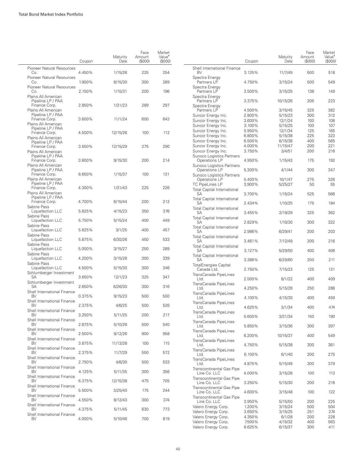|                                          | Coupon | Maturity<br>Date | Face<br>Amount<br>(\$000) | Market<br>Value <sup>*</sup><br>(\$000) |                                            | Coupon           | Maturity<br>Date   | Face<br>Amount<br>$($ \$000 $)$ | Market<br>Value <sup>•</sup><br>(S000) |
|------------------------------------------|--------|------------------|---------------------------|-----------------------------------------|--------------------------------------------|------------------|--------------------|---------------------------------|----------------------------------------|
| Pioneer Natural Resources<br>Co.         | 4.450% | 1/15/26          | 225                       | 254                                     | Shell International Finance<br><b>BV</b>   | 3.125%           | 11/7/49            | 500                             | 518                                    |
| Pioneer Natural Resources                |        |                  |                           |                                         | Spectra Energy                             |                  |                    |                                 |                                        |
| Co.<br><b>Pioneer Natural Resources</b>  | 1.900% | 8/15/30          | 300                       | 289                                     | Partners LP<br>Spectra Energy              | 4.750%           | 3/15/24            | 500                             | 549                                    |
| Co.                                      | 2.150% | 1/15/31          | 200                       | 196                                     | Partners LP                                | 3.500%           | 3/15/25            | 138                             | 149                                    |
| Plains All American                      |        |                  |                           |                                         | Spectra Energy                             |                  |                    |                                 |                                        |
| Pipeline LP / PAA<br>Finance Corp.       | 2.850% | 1/31/23          | 289                       | 297                                     | Partners LP<br>Spectra Energy              | 3.375%           | 10/15/26           | 205                             | 223                                    |
| Plains All American                      |        |                  |                           |                                         | Partners LP                                | 4.500%           | 3/15/45            | 325                             | 382                                    |
| Pipeline LP / PAA<br>Finance Corp.       | 3.600% | 11/1/24          | 600                       | 643                                     | Suncor Energy Inc.                         | 2.800%           | 5/15/23            | 300                             | 312                                    |
| Plains All American                      |        |                  |                           |                                         | Suncor Energy Inc.                         | 3.600%           | 12/1/24            | 100                             | 108                                    |
| Pipeline LP / PAA                        |        |                  |                           |                                         | Suncor Energy Inc.<br>Suncor Energy Inc.   | 3.100%<br>5.950% | 5/15/25<br>12/1/34 | 100<br>125                      | 107<br>165                             |
| Finance Corp.                            | 4.500% | 12/15/26         | 100                       | 112                                     | Suncor Energy Inc.                         | 6.800%           | 5/15/38            | 225                             | 323                                    |
| Plains All American<br>Pipeline LP / PAA |        |                  |                           |                                         | Suncor Energy Inc.                         | 6.500%           | 6/15/38            | 400                             | 565                                    |
| Finance Corp.                            | 3.550% | 12/15/29         | 275                       | 290                                     | Suncor Energy Inc.                         | 4.000%           | 11/15/47           | 200                             | 221                                    |
| Plains All American                      |        |                  |                           |                                         | Suncor Energy Inc.                         | 3.750%           | 3/4/51             | 200                             | 216                                    |
| Pipeline LP / PAA                        |        |                  |                           |                                         | Sunoco Logistics Partners                  |                  |                    |                                 |                                        |
| Finance Corp.<br>Plains All American     | 3.800% | 9/15/30          | 200                       | 214                                     | Operations LP<br>Sunoco Logistics Partners | 4.950%           | 1/15/43            | 175                             | 192                                    |
| Pipeline LP / PAA                        |        |                  |                           |                                         | Operations LP                              | 5.300%           | 4/1/44             | 300                             | 347                                    |
| Finance Corp.                            | 6.650% | 1/15/37          | 100                       | 131                                     | Sunoco Logistics Partners                  |                  |                    |                                 |                                        |
| Plains All American                      |        |                  |                           |                                         | Operations LP                              | 5.400%           | 10/1/47            | 275                             | 326                                    |
| Pipeline LP / PAA<br>Finance Corp.       | 4.300% | 1/31/43          | 225                       | 226                                     | <b>TC PipeLines LP</b>                     | 3.900%           | 5/25/27            | 50                              | 55                                     |
| Plains All American                      |        |                  |                           |                                         | <b>Total Capital International</b><br>SA   | 3.700%           | 1/15/24            | 525                             | 566                                    |
| Pipeline LP / PAA                        |        |                  |                           |                                         | <b>Total Capital International</b>         |                  |                    |                                 |                                        |
| Finance Corp.<br>Sabine Pass             | 4.700% | 6/15/44          | 200                       | 212                                     | SA                                         | 2.434%           | 1/10/25            | 175                             | 184                                    |
| Liquefaction LLC                         | 5.625% | 4/15/23          | 350                       | 376                                     | <b>Total Capital International</b>         | 3.455%           |                    | 325                             | 362                                    |
| Sabine Pass                              |        |                  |                           |                                         | SА<br><b>Total Capital International</b>   |                  | 2/19/29            |                                 |                                        |
| Liquefaction LLC                         | 5.750% | 5/15/24          | 400                       | 449                                     | SA                                         | 2.829%           | 1/10/30            | 300                             | 322                                    |
| Sabine Pass<br>Liquefaction LLC          | 5.625% | 3/1/25           | 400                       | 457                                     | <b>Total Capital International</b>         |                  |                    |                                 |                                        |
| Sabine Pass                              |        |                  |                           |                                         | <b>SA</b>                                  | 2.986%           | 6/29/41            | 200                             | 203                                    |
| Liquefaction LLC                         | 5.875% | 6/30/26          | 450                       | 533                                     | <b>Total Capital International</b><br>SA   | 3.461%           | 7/12/49            | 200                             | 216                                    |
| Sabine Pass                              |        |                  |                           |                                         | <b>Total Capital International</b>         |                  |                    |                                 |                                        |
| Liquefaction LLC<br>Sabine Pass          | 5.000% | 3/15/27          | 250                       | 289                                     | SA                                         | 3.127%           | 5/29/50            | 400                             | 406                                    |
| Liquefaction LLC                         | 4.200% | 3/15/28          | 300                       | 339                                     | <b>Total Capital International</b><br>SА   | 3.386%           | 6/29/60            | 200                             | 211                                    |
| Sabine Pass                              |        |                  |                           |                                         | <b>TotalEnergies Capital</b>               |                  |                    |                                 |                                        |
| Liquefaction LLC                         | 4.500% | 5/15/30          | 300                       | 346                                     | Canada Ltd.                                | 2.750%           | 7/15/23            | 125                             | 131                                    |
| Schlumberger Investment<br>SА            | 3.650% | 12/1/23          | 325                       | 347                                     | TransCanada PipeLines                      |                  |                    |                                 |                                        |
| Schlumberger Investment                  |        |                  |                           |                                         | Ltd.                                       | 2.500%           | 8/1/22             | 400                             | 409                                    |
| SA                                       | 2.650% | 6/26/30          | 300                       | 316                                     | TransCanada PipeLines<br>Ltd.              | 4.250%           | 5/15/28            | 250                             | 288                                    |
| Shell International Finance              |        |                  |                           |                                         | TransCanada PipeLines                      |                  |                    |                                 |                                        |
| <b>BV</b><br>Shell International Finance | 0.375% | 9/15/23          | 500                       | 500                                     | Ltd.                                       | 4.100%           | 4/15/30            | 400                             | 459                                    |
| BV                                       | 2.375% | 4/6/25           | 500                       | 526                                     | TransCanada PipeLines<br>Ltd.              | 4.625%           | 3/1/34             | 400                             | 474                                    |
| <b>Shell International Finance</b>       |        |                  |                           |                                         | TransCanada PipeLines                      |                  |                    |                                 |                                        |
| BV<br>Shell International Finance        | 3.250% | 5/11/25          | 200                       | 217                                     | Ltd.                                       | 5.600%           | 3/31/34            | 150                             | 190                                    |
| <b>BV</b>                                | 2.875% | 5/10/26          | 500                       | 540                                     | TransCanada PipeLines<br>Ltd.              |                  |                    | 300                             |                                        |
| Shell International Finance              |        |                  |                           |                                         | TransCanada PipeLines                      | 5.850%           | 3/15/36            |                                 | 397                                    |
| <b>BV</b>                                | 2.500% | 9/12/26          | 900                       | 958                                     | Ltd.                                       | 6.200%           | 10/15/37           | 400                             | 549                                    |
| Shell International Finance<br><b>BV</b> | 3.875% | 11/13/28         | 100                       | 115                                     | TransCanada PipeLines                      |                  |                    |                                 |                                        |
| Shell International Finance              |        |                  |                           |                                         | Ltd.                                       | 4.750%           | 5/15/38            | 300                             | 361                                    |
| <b>BV</b>                                | 2.375% | 11/7/29          | 550                       | 572                                     | TransCanada PipeLines<br>Ltd.              | 6.100%           | 6/1/40             | 200                             | 275                                    |
| Shell International Finance              |        |                  |                           |                                         | TransCanada PipeLines                      |                  |                    |                                 |                                        |
| <b>BV</b><br>Shell International Finance | 2.750% | 4/6/30           | 500                       | 533                                     | Ltd.                                       | 4.875%           | 5/15/48            | 300                             | 379                                    |
| <b>BV</b>                                | 4.125% | 5/11/35          | 300                       | 356                                     | <b>Transcontinental Gas Pipe</b>           |                  |                    |                                 |                                        |
| Shell International Finance              |        |                  |                           |                                         | Line Co. LLC<br>Transcontinental Gas Pipe  | 4.000%           | 3/15/28            | 100                             | 113                                    |
| <b>BV</b>                                | 6.375% | 12/15/38         | 475                       | 705                                     | Line Co. LLC                               | 3.250%           | 5/15/30            | 200                             | 216                                    |
| Shell International Finance<br><b>BV</b> | 5.500% | 3/25/40          | 175                       | 244                                     | <b>Transcontinental Gas Pipe</b>           |                  |                    |                                 |                                        |
| Shell International Finance              |        |                  |                           |                                         | Line Co. LLC                               | 4.600%           | 3/15/48            | 100                             | 122                                    |
| BV                                       | 4.550% | 8/12/43          | 300                       | 374                                     | Transcontinental Gas Pipe<br>Line Co. LLC  | 3.950%           | 5/15/50            | 200                             | 225                                    |
| Shell International Finance              |        |                  |                           |                                         | Valero Energy Corp.                        | 1.200%           | 3/15/24            | 500                             | 504                                    |
| <b>BV</b>                                | 4.375% | 5/11/45          | 630                       | 773                                     | Valero Energy Corp.                        | 3.650%           | 3/15/25            | 251                             | 274                                    |
| Shell International Finance<br><b>BV</b> | 4.000% | 5/10/46          | 700                       | 819                                     | Valero Energy Corp.                        | 4.350%           | 6/1/28             | 200                             | 228                                    |
|                                          |        |                  |                           |                                         | Valero Energy Corp.                        | 7.500%           | 4/15/32            | 400                             | 563                                    |
|                                          |        |                  |                           |                                         | Valero Energy Corp.                        | 6.625%           | 6/15/37            | 300                             | 411                                    |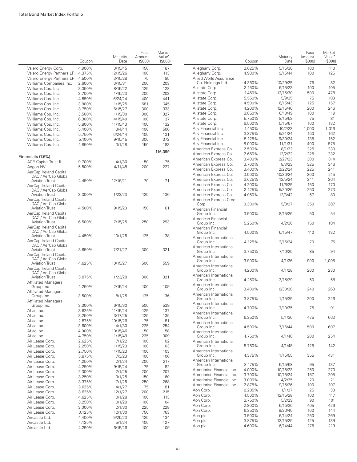|                                               |                  |                    | Face             | Market                       |        |
|-----------------------------------------------|------------------|--------------------|------------------|------------------------------|--------|
|                                               | Coupon           | Maturity<br>Date   | Amount<br>(S000) | Value <sup>•</sup><br>(S000) |        |
| Valero Energy Corp.                           | 4.900%           | 3/15/45            | 150              | 187                          | А      |
| Valero Energy Partners LP                     | 4.375%           | 12/15/26           | 100              | 113                          | А      |
| Valero Energy Partners LP                     | 4.500%           | 3/15/28            | 75               | 85                           | А      |
| Williams Companies Inc.<br>Williams Cos. Inc. | 2.600%<br>3.350% | 3/15/31            | 200<br>125       | 203<br>128                   | А      |
| Williams Cos. Inc.                            | 3.700%           | 8/15/22<br>1/15/23 | 200              | 208                          | А      |
| Williams Cos. Inc.                            | 4.550%           | 6/24/24            | 400              | 441                          | А      |
| Williams Cos. Inc.                            | 3.900%           | 1/15/25            | 681              | 745                          | А      |
| Williams Cos. Inc.                            | 3.750%           | 6/15/27            | 300              | 333                          | А      |
| Williams Cos. Inc.                            | 3.500%           | 11/15/30           | 300              | 327                          | А      |
| Williams Cos. Inc.                            | 6.300%           | 4/15/40            | 100              | 137                          | А      |
| Williams Cos. Inc.                            | 5.800%           | 11/15/43           | 100              | 132                          | А      |
| Williams Cos. Inc.                            | 5.400%           | 3/4/44             | 400              | 506                          | А      |
| Williams Cos. Inc.                            | 5.750%           | 6/24/44            | 100              | 131                          | А      |
| Williams Cos. Inc.                            | 5.100%           | 9/15/45            | 300              | 372                          | А      |
| Williams Cos. Inc.                            | 4.850%           | 3/1/48             | 150              | 183                          | А      |
|                                               |                  |                    |                  | 116,399                      | А<br>А |
| Financials (7.6%)                             |                  |                    |                  |                              | А      |
| <b>ACE Capital Trust II</b>                   | 9.700%           | 4/1/30             | 50               | 75                           | А      |
| Aegon NV                                      | 5.500%           | 4/11/48            | 200              | 227                          | А      |
| AerCap Ireland Capital                        |                  |                    |                  |                              | А      |
| DAC / AerCap Global                           |                  |                    |                  |                              | А      |
| <b>Aviation Trust</b>                         | 4.450%           | 12/16/21           | 70               | 71                           | А      |
| AerCap Ireland Capital<br>DAC / AerCap Global |                  |                    |                  |                              | А      |
| <b>Aviation Trust</b>                         | 3.300%           | 1/23/23            | 125              | 130                          | А      |
| AerCap Ireland Capital                        |                  |                    |                  |                              | А      |
| DAC / AerCap Global                           |                  |                    |                  |                              |        |
| <b>Aviation Trust</b>                         | 4.500%           | 9/15/23            | 150              | 161                          | А      |
| AerCap Ireland Capital                        |                  |                    |                  |                              |        |
| DAC / AerCap Global                           |                  |                    |                  |                              | А      |
| <b>Aviation Trust</b>                         | 6.500%           | 7/15/25            | 250              | 293                          |        |
| AerCap Ireland Capital<br>DAC / AerCap Global |                  |                    |                  |                              | А      |
| <b>Aviation Trust</b>                         | 4.450%           | 10/1/25            | 125              | 138                          |        |
| AerCap Ireland Capital                        |                  |                    |                  |                              | А      |
| DAC / AerCap Global                           |                  |                    |                  |                              | А      |
| <b>Aviation Trust</b>                         | 3.650%           | 7/21/27            | 300              | 321                          |        |
| AerCap Ireland Capital                        |                  |                    |                  |                              | А      |
| DAC / AerCap Global                           |                  |                    |                  |                              |        |
| <b>Aviation Trust</b>                         | 4.625%           | 10/15/27           | 500              | 559                          | А      |
| AerCap Ireland Capital<br>DAC / AerCap Global |                  |                    |                  |                              |        |
| <b>Aviation Trust</b>                         | 3.875%           | 1/23/28            | 300              | 321                          | А      |
| <b>Affiliated Managers</b>                    |                  |                    |                  |                              |        |
| Group Inc.                                    | 4.250%           | 2/15/24            | 100              | 109                          | А      |
| <b>Affiliated Managers</b>                    |                  |                    |                  |                              |        |
| Group Inc.                                    | 3.500%           | 8/1/25             | 125              | 136                          | А      |
| <b>Affiliated Managers</b>                    |                  |                    |                  |                              | А      |
| Group Inc.                                    | 3.300%           | 6/15/30            | 500              | 539                          |        |
| Aflac Inc.                                    | 3.625%           | 11/15/24           | 125              | 137                          | А      |
| Aflac Inc.                                    | 3.250%           | 3/17/25            | 125              | 135                          |        |
| Aflac Inc.                                    | 2.875%           | 10/15/26           | 75               | 81                           | А      |
| Aflac Inc.                                    | 3.600%           | 4/1/30             | 225              | 254                          |        |
| Aflac Inc.                                    | 4.000%           | 10/15/46           | 50               | 58                           | А      |
| Aflac Inc.                                    | 4.750%           | 1/15/49            | 235              | 309                          |        |
| Air Lease Corp.                               | 2.625%           | 7/1/22             | 100              | 102                          | А      |
| Air Lease Corp.                               | 2.250%           | 1/15/23            | 100              | 103                          |        |
| Air Lease Corp.                               | 2.750%           | 1/15/23            | 100              | 103                          | А      |
| Air Lease Corp.                               | 3.875%           | 7/3/23             | 100              | 106                          | А      |
| Air Lease Corp.                               | 4.250%           | 2/1/24             | 200              | 217                          |        |
| Air Lease Corp.                               | 4.250%           | 9/15/24            | 75               | 82                           | А      |
| Air Lease Corp.                               | 2.300%           | 2/1/25             | 200              | 207                          | А      |
| Air Lease Corp.                               | 3.250%           | 3/1/25             | 150              | 160                          | А      |
| Air Lease Corp.                               | 3.375%           | 7/1/25             | 250              | 268                          | А      |
| Air Lease Corp.                               | 3.625%           | 4/1/27             | 75               | 81                           | А      |
| Air Lease Corp.                               | 3.625%           | 12/1/27            | 200              | 215                          | А      |
| Air Lease Corp.                               | 4.625%           | 10/1/28            | 100              | 113                          | А      |
| Air Lease Corp.                               | 3.250%           | 10/1/29            | 100              | 104                          | А      |
| Air Lease Corp.                               | 3.000%           | 2/1/30             | 225              | 228                          | А      |
| Air Lease Corp.                               | 3.125%           | 12/1/30            | 750              | 763                          | А      |
| Aircastle Ltd.                                | 4.400%           | 9/25/23            | 125              | 134                          | А      |
| Aircastle Ltd.                                | 4.125%           | 5/1/24             | 400              | 427                          | А      |
| Aircastle Ltd.                                | 4.250%           | 6/15/26            | 100              | 109                          |        |

|                                                                | Coupon           | Maturity<br>Date    | Face<br>Amount<br>(\$000) | Market<br>Value <sup>•</sup><br>(\$000) |
|----------------------------------------------------------------|------------------|---------------------|---------------------------|-----------------------------------------|
| Alleghany Corp.                                                | 3.625%           | 5/15/30             | 100                       | 110                                     |
| Alleghany Corp.                                                | 4.900%           | 9/15/44             | 100                       | 125                                     |
| Allied World Assurance                                         |                  |                     |                           |                                         |
| Co. Holdings Ltd.                                              | 4.350%<br>3.150% | 10/29/25            | 75<br>100                 | 82<br>105                               |
| Allstate Corp.<br>Allstate Corp.                               | 1.450%           | 6/15/23<br>12/15/30 | 500                       | 478                                     |
| Allstate Corp.                                                 | 5.550%           | 5/9/35              | 75                        | 103                                     |
| Allstate Corp.                                                 | 4.500%           | 6/15/43             | 125                       | 157                                     |
| Allstate Corp.                                                 | 4.200%           | 12/15/46            | 200                       | 246                                     |
| Allstate Corp.                                                 | 3.850%           | 8/10/49             | 100                       | 119                                     |
| Allstate Corp.                                                 | 5.750%           | 8/15/53             | 75                        | 81                                      |
| Allstate Corp.                                                 | 6.500%           | 5/15/67             | 100                       | 132                                     |
| Ally Financial Inc.                                            | 1.450%           | 10/2/23             | 1,000                     | 1,016                                   |
| Ally Financial Inc.                                            | 3.875%           | 5/21/24             | 150                       | 162                                     |
| Ally Financial Inc.                                            | 5.125%           | 9/30/24             | 135                       | 152                                     |
| Ally Financial Inc.                                            | 8.000%           | 11/1/31             | 400                       | 575                                     |
| American Express Co.                                           | 2.500%           | 8/1/22              | 225                       | 230                                     |
| American Express Co.                                           | 2.650%           | 12/2/22             | 225                       | 232                                     |
| American Express Co.                                           | 3.400%           | 2/27/23             | 300                       | 314                                     |
| American Express Co.<br>American Express Co.                   | 3.700%           | 8/3/23              | 325<br>225                | 346<br>241                              |
| American Express Co.                                           | 3.400%<br>3.000% | 2/22/24<br>10/30/24 | 200                       | 215                                     |
| American Express Co.                                           | 3.625%           | 12/5/24             | 241                       | 264                                     |
| American Express Co.                                           | 4.200%           | 11/6/25             | 150                       | 170                                     |
| American Express Co.                                           | 3.125%           | 5/20/26             | 250                       | 273                                     |
| American Express Co.                                           | 4.050%           | 12/3/42             | 67                        | 80                                      |
| American Express Credit<br>Corp.                               | 3.300%           | 5/3/27              | 350                       | 387                                     |
| American Financial<br>Group Inc.                               | 3.500%           | 8/15/26             | 50                        | 54                                      |
| American Financial<br>Group Inc.<br>American Financial         | 5.250%           | 4/2/30              | 150                       | 184                                     |
| Group Inc.<br>American International                           | 4.500%           | 6/15/47             | 110                       | 132                                     |
| Group Inc.                                                     | 4.125%           | 2/15/24             | 70                        | 76                                      |
| American International<br>Group Inc.<br>American International | 3.750%           | 7/10/25             | 85                        | 94                                      |
| Group Inc.<br>American International                           | 3.900%           | 4/1/26              | 900                       | 1,005                                   |
| Group Inc.<br>American International                           | 4.200%           | 4/1/28              | 200                       | 230                                     |
| Group Inc.<br>American International                           | 4.250%           | 3/15/29             | 50                        | 58                                      |
| Group Inc.<br>American International                           | 3.400%           | 6/30/30             | 240                       | 263                                     |
| Group Inc.<br>American International                           | 3.875%           | 1/15/35             | 200                       | 226                                     |
| Group Inc.<br>American International                           | 4.700%           | 7/10/35             | 75                        | 91                                      |
| Group Inc.<br>American International                           | 6.250%           | 5/1/36              | 475                       | 663                                     |
| Group Inc.<br>American International                           | 4.500%           | 7/16/44             | 500                       | 607                                     |
| Group Inc.<br>American International                           | 4.750%           | 4/1/48              | 200                       | 254                                     |
| Group Inc.<br>American International                           | 5.750%           | 4/1/48              | 125                       | 142                                     |
| Group Inc.<br>American International                           | 4.375%           | 1/15/55             | 355                       | 431                                     |
| Group Inc.                                                     | 8.175%           | 5/15/68             | 95                        | 137                                     |
| Ameriprise Financial Inc.                                      | 4.000%           | 10/15/23            | 250                       | 270                                     |
| Ameriprise Financial Inc.                                      | 3.700%           | 10/15/24            | 187                       | 205                                     |
| Ameriprise Financial Inc.<br>Ameriprise Financial Inc.         | 3.000%<br>2.875% | 4/2/25<br>9/15/26   | 20<br>100                 | 21<br>107                               |
| Aon Corp.                                                      | 8.205%           | 1/1/27              | 25                        | 33                                      |
| Aon Corp.                                                      | 4.500%           | 12/15/28            | 100                       | 117                                     |
| Aon Corp.                                                      | 3.750%           | 5/2/29              | 90                        | 101                                     |
| Aon Corp.                                                      | 2.800%           | 5/15/30             | 405                       | 426                                     |
| Aon Corp.                                                      | 6.250%           | 9/30/40             | 100                       | 144                                     |
| Aon plc                                                        | 3.500%           | 6/14/24             | 250                       | 269                                     |
| Aon plc                                                        | 3.875%           | 12/15/25            | 125                       | 139                                     |
| Aon plc                                                        | 4.600%           | 6/14/44             | 175                       | 219                                     |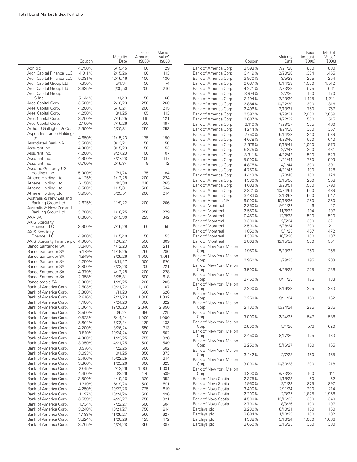|                                                | Coupon           | Maturity<br>Date    | Face<br>Amount<br>(\$000) | Market<br>Value <sup>•</sup><br>(\$000) |                                                | Coupon           | Maturity<br>Date   | Face<br>Amount<br>(\$000) | Market<br>Value <sup>•</sup><br>(S000) |
|------------------------------------------------|------------------|---------------------|---------------------------|-----------------------------------------|------------------------------------------------|------------------|--------------------|---------------------------|----------------------------------------|
| Aon plc                                        | 4.750%           | 5/15/45             | 100                       | 129                                     | Bank of America Corp.                          | 3.593%           | 7/21/28            | 800                       | 880                                    |
| Arch Capital Finance LLC                       | 4.011%           | 12/15/26            | 100                       | 113                                     | Bank of America Corp.                          | 3.419%           | 12/20/28           | 1,334                     | 1,455                                  |
| Arch Capital Finance LLC                       | 5.031%           | 12/15/46            | 100                       | 130                                     | Bank of America Corp.                          | 3.970%           | 3/5/29             | 225                       | 254                                    |
| Arch Capital Group Ltd.                        | 7.350%           | 5/1/34              | 50                        | 74                                      | Bank of America Corp.                          | 2.087%           | 6/14/29            | 1,500                     | 1,512                                  |
| Arch Capital Group Ltd.                        | 3.635%           | 6/30/50             | 200                       | 216                                     | Bank of America Corp.                          | 4.271%           | 7/23/29            | 575                       | 661                                    |
| Arch Capital Group                             |                  |                     |                           |                                         | Bank of America Corp.                          | 3.974%           | 2/7/30             | 150                       | 170                                    |
| US Inc.                                        | 5.144%           | 11/1/43             | 50                        | 66                                      | Bank of America Corp.                          | 3.194%           | 7/23/30            | 1,125                     | 1,211                                  |
| Ares Capital Corp.                             | 3.500%           | 2/10/23             | 250                       | 260                                     | Bank of America Corp.                          | 2.884%           | 10/22/30           | 300                       | 316                                    |
| Ares Capital Corp.                             | 4.200%           | 6/10/24             | 200                       | 215                                     | Bank of America Corp.                          | 2.496%           | 2/13/31            | 750                       | 767                                    |
| Ares Capital Corp.                             | 4.250%<br>3.250% | 3/1/25              | 105<br>115                | 113<br>121                              | Bank of America Corp.                          | 2.592%           | 4/29/31            | 2,000                     | 2,059                                  |
| Ares Capital Corp.<br>Ares Capital Corp.       | 2.150%           | 7/15/25<br>7/15/26  | 500                       | 497                                     | Bank of America Corp.                          | 2.687%           | 4/22/32            | 500                       | 515                                    |
| Arthur J Gallagher & Co.                       | 2.500%           | 5/20/31             | 250                       | 253                                     | Bank of America Corp.                          | 6.110%           | 1/29/37            | 335                       | 460                                    |
| Aspen Insurance Holdings                       |                  |                     |                           |                                         | Bank of America Corp.                          | 4.244%<br>7.750% | 4/24/38            | 300<br>340                | 357<br>539                             |
| Ltd.                                           | 4.650%           | 11/15/23            | 175                       | 190                                     | Bank of America Corp.<br>Bank of America Corp. | 4.078%           | 5/14/38<br>4/23/40 | 550                       | 643                                    |
| Associated Bank NA                             | 3.500%           | 8/13/21             | 50                        | 50                                      | Bank of America Corp.                          | 2.676%           | 6/19/41            | 1,000                     | 973                                    |
| Assurant Inc.                                  | 4.000%           | 3/15/23             | 50                        | 53                                      | Bank of America Corp.                          | 5.875%           | 2/7/42             | 300                       | 431                                    |
| Assurant Inc.                                  | 4.200%           | 9/27/23             | 100                       | 107                                     | Bank of America Corp.                          | 3.311%           | 4/22/42            | 500                       | 529                                    |
| Assurant Inc.                                  | 4.900%           | 3/27/28             | 100                       | 117                                     | Bank of America Corp.                          | 5.000%           | 1/21/44            | 750                       | 999                                    |
| Assurant Inc.                                  | 6.750%           | 2/15/34             | 9                         | 12                                      | Bank of America Corp.                          | 4.875%           | 4/1/44             | 300                       | 391                                    |
| <b>Assured Guaranty US</b>                     |                  |                     |                           |                                         | Bank of America Corp.                          | 4.750%           | 4/21/45            | 100                       | 128                                    |
| Holdings Inc.                                  | 5.000%           | 7/1/24              | 75                        | 84                                      | Bank of America Corp.                          | 4.443%           | 1/20/48            | 100                       | 124                                    |
| Athene Holding Ltd.                            | 4.125%           | 1/12/28             | 200                       | 224                                     | Bank of America Corp.                          | 4.330%           | 3/15/50            | 250                       | 308                                    |
| Athene Holding Ltd.                            | 6.150%           | 4/3/30              | 210                       | 265                                     | Bank of America Corp.                          | 4.083%           | 3/20/51            | 1,500                     | 1,790                                  |
| Athene Holding Ltd.                            | 3.500%           | 1/15/31             | 500                       | 534                                     | Bank of America Corp.                          | 2.831%           | 10/24/51           | 500                       | 489                                    |
| Athene Holding Ltd.                            | 3.950%           | 5/25/51             | 200                       | 214                                     | Bank of America Corp.                          | 3.483%           | 3/13/52            | 500                       | 547                                    |
| Australia & New Zealand<br>Banking Group Ltd.  | 2.625%           | 11/9/22             | 200                       | 206                                     | Bank of America NA                             | 6.000%           | 10/15/36           | 250                       | 350                                    |
| Australia & New Zealand                        |                  |                     |                           |                                         | <b>Bank of Montreal</b>                        | 2.350%           | 9/11/22            | 46                        | 47                                     |
| Banking Group Ltd.                             | 3.700%           | 11/16/25            | 250                       | 279                                     | <b>Bank of Montreal</b>                        | 2.550%           | 11/6/22            | 104                       | 107                                    |
| AXA SA                                         | 8.600%           | 12/15/30            | 225                       | 342                                     | <b>Bank of Montreal</b>                        | 0.450%           | 12/8/23            | 500                       | 500                                    |
| <b>AXIS Specialty</b>                          |                  |                     |                           |                                         | <b>Bank of Montreal</b>                        | 3.300%           | 2/5/24             | 300                       | 321                                    |
| Finance LLC                                    | 3.900%           | 7/15/29             | 50                        | 55                                      | <b>Bank of Montreal</b>                        | 2.500%           | 6/28/24            | 200                       | 211                                    |
| <b>AXIS Specialty</b>                          |                  |                     |                           |                                         | Bank of Montreal                               | 1.850%           | 5/1/25             | 457                       | 472                                    |
| Finance LLC                                    | 4.900%           | 1/15/40             | 50                        | 53                                      | Bank of Montreal                               | 4.338%           | 10/5/28            | 100                       | 107                                    |
| AXIS Specialty Finance plc 4.000%              |                  | 12/6/27             | 550                       | 609                                     | <b>Bank of Montreal</b>                        | 3.803%           | 12/15/32           | 500                       | 551                                    |
| Banco Santander SA                             | 3.848%           | 4/12/23             | 200                       | 211                                     | Bank of New York Mellon<br>Corp.               | 1.950%           | 8/23/22            | 250                       | 255                                    |
| Banco Santander SA                             | 5.179%           | 11/19/25            | 250                       | 286                                     | Bank of New York Mellon                        |                  |                    |                           |                                        |
| Banco Santander SA                             | 1.849%           | 3/25/26             | 1,000                     | 1,011<br>676                            | Corp.                                          | 2.950%           | 1/29/23            | 195                       | 203                                    |
| Banco Santander SA<br>Banco Santander SA       | 4.250%<br>3.800% | 4/11/27<br>2/23/28  | 600<br>200                | 221                                     | Bank of New York Mellon                        |                  |                    |                           |                                        |
| Banco Santander SA                             | 4.379%           | 4/12/28             | 200                       | 228                                     | Corp.                                          | 3.500%           | 4/28/23            | 225                       | 238                                    |
| Banco Santander SA                             | 2.958%           | 3/25/31             | 600                       | 618                                     | Bank of New York Mellon                        |                  |                    |                           |                                        |
| Bancolombia SA                                 | 3.000%           | 1/29/25             | 200                       | 205                                     | Corp.                                          | 3.450%           | 8/11/23            | 125                       | 133                                    |
| Bank of America Corp.                          | 2.503%           | 10/21/22            | 1,100                     | 1,107                                   | Bank of New York Mellon                        |                  |                    |                           |                                        |
| Bank of America Corp.                          | 3.300%           | 1/11/23             | 600                       | 626                                     | Corp.<br>Bank of New York Mellon               | 2.200%           | 8/16/23            | 225                       | 233                                    |
| Bank of America Corp.                          | 2.816%           | 7/21/23             | 1,300                     | 1,332                                   | Corp.                                          | 3.250%           | 9/11/24            | 150                       | 162                                    |
| Bank of America Corp.                          | 4.100%           | 7/24/23             | 300                       | 322                                     | Bank of New York Mellon                        |                  |                    |                           |                                        |
| Bank of America Corp.                          | 3.004%           | 12/20/23            | 2,846                     | 2,950                                   | Corp.                                          | 2.100%           | 10/24/24           | 225                       | 236                                    |
| Bank of America Corp.                          | 3.550%           | 3/5/24              | 690                       | 725                                     | Bank of New York Mellon                        |                  |                    |                           |                                        |
| Bank of America Corp.                          | 0.523%           | 6/14/24             | 1,000                     | 1,000                                   | Corp.                                          | 3.000%           | 2/24/25            | 547                       | 588                                    |
| Bank of America Corp.                          | 3.864%           | 7/23/24             | 125                       | 133                                     | Bank of New York Mellon                        |                  |                    |                           |                                        |
| Bank of America Corp.                          | 4.200%           | 8/26/24             | 650                       | 713                                     | Corp.                                          | 2.800%           | 5/4/26             | 576                       | 620                                    |
| Bank of America Corp.                          | 0.810%           | 10/24/24            | 500                       | 502                                     | Bank of New York Mellon                        | 2.450%           | 8/17/26            | 125                       | 133                                    |
| Bank of America Corp.                          | 4.000%           | 1/22/25             | 755                       | 828                                     | Corp.<br>Bank of New York Mellon               |                  |                    |                           |                                        |
| Bank of America Corp.                          | 3.950%           | 4/21/25             | 500                       | 549                                     | Corp.                                          | 3.250%           | 5/16/27            | 150                       | 165                                    |
| Bank of America Corp.                          | 0.976%           | 4/22/25             | 500                       | 502                                     | Bank of New York Mellon                        |                  |                    |                           |                                        |
| Bank of America Corp.                          | 3.093%           | 10/1/25             | 350                       | 373                                     | Corp.                                          | 3.442%           | 2/7/28             | 150                       | 165                                    |
| Bank of America Corp.                          | 2.456%           | 10/22/25            | 300                       | 314                                     | Bank of New York Mellon                        |                  |                    |                           |                                        |
| Bank of America Corp.                          | 3.366%           | 1/23/26             | 300                       | 323                                     | Corp.                                          | 3.000%           | 10/30/28           | 200                       | 218                                    |
| Bank of America Corp.                          | 2.015%           | 2/13/26             | 1,000                     | 1,031                                   | Bank of New York Mellon                        |                  |                    |                           |                                        |
| Bank of America Corp.                          | 4.450%           | 3/3/26              | 475                       | 539                                     | Corp.                                          | 3.300%           | 8/23/29            | 100                       | 111                                    |
| Bank of America Corp.<br>Bank of America Corp. | 3.500%           | 4/19/26             | 320<br>500                | 352<br>501                              | Bank of Nova Scotia<br>Bank of Nova Scotia     | 2.375%<br>1.950% | 1/18/23            | 50<br>875                 | 52<br>897                              |
| Bank of America Corp.                          | 1.319%<br>4.250% | 6/19/26<br>10/22/26 | 725                       | 819                                     | Bank of Nova Scotia                            | 3.400%           | 2/1/23<br>2/11/24  | 200                       | 214                                    |
| Bank of America Corp.                          | 1.197%           | 10/24/26            | 500                       | 496                                     | Bank of Nova Scotia                            | 2.200%           | 2/3/25             | 1,875                     | 1,958                                  |
| Bank of America Corp.                          | 3.559%           | 4/23/27             | 750                       | 821                                     | Bank of Nova Scotia                            | 4.500%           | 12/16/25           | 300                       | 340                                    |
| Bank of America Corp.                          | 1.734%           | 7/22/27             | 500                       | 504                                     | Bank of Nova Scotia                            | 2.700%           | 8/3/26             | 100                       | 107                                    |
| Bank of America Corp.                          | 3.248%           | 10/21/27            | 750                       | 814                                     | Barclays plc                                   | 3.200%           | 8/10/21            | 150                       | 150                                    |
| Bank of America Corp.                          | 4.183%           | 11/25/27            | 560                       | 627                                     | Barclays plc                                   | 3.684%           | 1/10/23            | 100                       | 102                                    |
| Bank of America Corp.                          | 3.824%           | 1/20/28             | 425                       | 472                                     | Barclays plc                                   | 4.338%           | 5/16/24            | 1,000                     | 1,066                                  |
| Bank of America Corp.                          | 3.705%           | 4/24/28             | 350                       | 387                                     | Barclays plc                                   | 3.650%           | 3/16/25            | 350                       | 380                                    |
|                                                |                  |                     |                           |                                         |                                                |                  |                    |                           |                                        |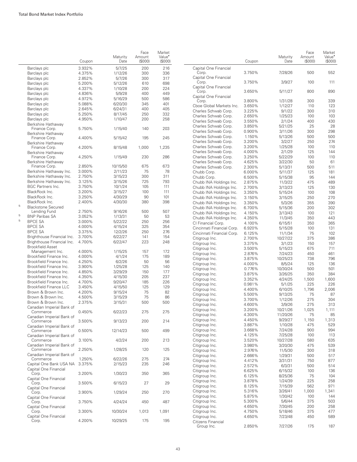|             |                                                         | Coupon           | Maturity<br>Date   | Face<br>Amount<br>(S000) | Market<br>Value <sup>*</sup><br>(\$000) |                                                  | Coupon           | Maturity<br>Date     | Face<br>Amount<br>$($ \$000) | Market<br>Value <sup>•</sup><br>(S000) |
|-------------|---------------------------------------------------------|------------------|--------------------|--------------------------|-----------------------------------------|--------------------------------------------------|------------------|----------------------|------------------------------|----------------------------------------|
|             | Barclays plc                                            | 3.932%           | 5/7/25             | 200                      | 216                                     | Capital One Financial                            |                  |                      |                              |                                        |
|             | Barclays plc                                            | 4.375%           | 1/12/26            | 300                      | 336                                     | Corp.                                            | 3.750%           | 7/28/26              | 500                          | 552                                    |
|             | Barclays plc                                            | 2.852%           | 5/7/26             | 300                      | 317                                     | Capital One Financial                            |                  |                      |                              |                                        |
|             | Barclays plc                                            | 5.200%           | 5/12/26            | 610                      | 698                                     | Corp.                                            | 3.750%           | 3/9/27               | 100                          | 111                                    |
|             | Barclays plc                                            | 4.337%           | 1/10/28            | 200                      | 224                                     | Capital One Financial<br>Corp.                   | 3.650%           | 5/11/27              | 800                          | 890                                    |
|             | Barclays plc                                            | 4.836%           | 5/9/28             | 400                      | 449                                     | Capital One Financial                            |                  |                      |                              |                                        |
|             | Barclays plc                                            | 4.972%           | 5/16/29            | 500                      | 586                                     | Corp.                                            | 3.800%           | 1/31/28              | 300                          | 339                                    |
|             | Barclays plc                                            | 5.088%           | 6/20/30            | 345                      | 401                                     | Cboe Global Markets Inc.                         | 3.650%           | 1/12/27              | 110                          | 123                                    |
|             | Barclays plc                                            | 2.645%           | 6/24/31            | 400                      | 405                                     | Charles Schwab Corp.                             | 3.225%           | 9/1/22               | 300                          | 310                                    |
|             | Barclays plc<br>Barclays plc                            | 5.250%<br>4.950% | 8/17/45<br>1/10/47 | 250<br>200               | 332<br>258                              | Charles Schwab Corp.                             | 2.650%           | 1/25/23              | 100                          | 103                                    |
|             | Berkshire Hathaway                                      |                  |                    |                          |                                         | Charles Schwab Corp.                             | 3.550%           | 2/1/24               | 400                          | 430                                    |
|             | Finance Corp.                                           | 5.750%           | 1/15/40            | 140                      | 203                                     | Charles Schwab Corp.                             | 3.850%           | 5/21/25              | 25                           | 28                                     |
|             | Berkshire Hathaway                                      |                  |                    |                          |                                         | Charles Schwab Corp.                             | 0.900%<br>1.150% | 3/11/26              | 300<br>500                   | 298<br>500                             |
|             | Finance Corp.                                           | 4.400%           | 5/15/42            | 195                      | 245                                     | Charles Schwab Corp.<br>Charles Schwab Corp.     | 3.200%           | 5/13/26<br>3/2/27    | 250                          | 274                                    |
|             | Berkshire Hathaway<br>Finance Corp.                     | 4.200%           | 8/15/48            | 1,000                    | 1,235                                   | Charles Schwab Corp.                             | 3.200%           | 1/25/28              | 100                          | 110                                    |
|             | Berkshire Hathaway                                      |                  |                    |                          |                                         | Charles Schwab Corp.                             | 4.000%           | 2/1/29               | 125                          | 144                                    |
|             | Finance Corp.                                           | 4.250%           | 1/15/49            | 230                      | 286                                     | Charles Schwab Corp.                             | 3.250%           | 5/22/29              | 100                          | 110                                    |
|             | Berkshire Hathaway                                      |                  |                    |                          |                                         | Charles Schwab Corp.                             | 4.625%           | 3/22/30              | 50                           | 61                                     |
|             | Finance Corp.                                           | 2.850%           | 10/15/50           | 675                      | 673                                     | Charles Schwab Corp.                             | 2.300%           | 5/13/31              | 500                          | 511                                    |
|             | Berkshire Hathaway Inc.                                 | 3.000%           | 2/11/23            | 75                       | 78                                      | Chubb Corp.                                      | 6.000%           | 5/11/37              | 125                          | 181                                    |
|             | Berkshire Hathaway Inc.                                 | 2.750%           | 3/15/23            | 300                      | 311                                     | Chubb Corp.                                      | 6.500%           | 5/15/38              | 95                           | 144                                    |
|             | Berkshire Hathaway Inc.                                 | 3.125%           | 3/15/26            | 725                      | 793                                     | Chubb INA Holdings Inc.                          | 2.875%           | 11/3/22              | 475                          | 489                                    |
|             | <b>BGC Partners Inc.</b>                                | 3.750%           | 10/1/24            | 105                      | 111                                     | Chubb INA Holdings Inc.                          | 2.700%           | 3/13/23              | 125                          | 130                                    |
|             | BlackRock Inc.                                          | 3.200%           | 3/15/27            | 100                      | 111                                     | Chubb INA Holdings Inc.                          | 3.350%           | 5/15/24              | 100                          | 108                                    |
|             | BlackRock Inc.                                          | 3.250%           | 4/30/29            | 90                       | 101                                     | Chubb INA Holdings Inc.                          | 3.150%           | 3/15/25              | 250                          | 270                                    |
| $\mathbf 5$ | BlackRock Inc.<br><b>Blackstone Secured</b>             | 2.400%           | 4/30/30            | 380                      | 398                                     | Chubb INA Holdings Inc.                          | 3.350%           | 5/3/26               | 355                          | 390                                    |
|             | Lending Fund                                            | 2.750%           | 9/16/26            | 500                      | 507                                     | Chubb INA Holdings Inc.                          | 6.700%           | 5/15/36              | 200                          | 302                                    |
| $\mathbf 5$ | <b>BNP Paribas SA</b>                                   | 3.052%           | 1/13/31            | 50                       | 53                                      | Chubb INA Holdings Inc.                          | 4.150%           | 3/13/43              | 100                          | 121                                    |
| 5           | <b>BPCE SA</b>                                          | 3.000%           | 5/22/22            | 250                      | 256                                     | Chubb INA Holdings Inc.                          | 4.350%<br>4.100% | 11/3/45              | 350<br>350                   | 443<br>365                             |
|             | <b>BPCE SA</b>                                          | 4.000%           | 4/15/24            | 325                      | 354                                     | CI Financial Corp.<br>Cincinnati Financial Corp. | 6.920%           | 6/15/51<br>5/15/28   | 100                          | 131                                    |
|             | <b>BPCE SA</b>                                          | 3.375%           | 12/2/26            | 250                      | 276                                     | Cincinnati Financial Corp.                       | 6.125%           | 11/1/34              | 75                           | 102                                    |
|             | Brighthouse Financial Inc.                              | 3.700%           | 6/22/27            | 141                      | 154                                     | Citigroup Inc.                                   | 2.700%           | 10/27/22             | 375                          | 386                                    |
|             | Brighthouse Financial Inc.                              | 4.700%           | 6/22/47            | 223                      | 248                                     | Citigroup Inc.                                   | 3.375%           | 3/1/23               | 150                          | 157                                    |
|             | <b>Brookfield Asset</b>                                 |                  |                    |                          |                                         | Citigroup Inc.                                   | 3.500%           | 5/15/23              | 675                          | 711                                    |
|             | Management Inc.                                         | 4.000%           | 1/15/25            | 157                      | 172                                     | Citigroup Inc.                                   | 2.876%           | 7/24/23              | 450                          | 461                                    |
|             | Brookfield Finance Inc.                                 | 4.000%           | 4/1/24             | 175                      | 189                                     | Citigroup Inc.                                   | 3.875%           | 10/25/23             | 738                          | 796                                    |
|             | Brookfield Finance Inc.                                 | 4.250%           | 6/2/26             | 50                       | 56                                      | Citigroup Inc.                                   | 4.000%           | 8/5/24               | 125                          | 136                                    |
|             | Brookfield Finance Inc.<br>Brookfield Finance Inc.      | 3.900%<br>4.850% | 1/25/28<br>3/29/29 | 125<br>150               | 140<br>177                              | Citigroup Inc.                                   | 0.776%           | 10/30/24             | 500                          | 501                                    |
|             | Brookfield Finance Inc.                                 | 4.350%           | 4/15/30            | 205                      | 237                                     | Citigroup Inc.                                   | 3.875%           | 3/26/25              | 350                          | 384                                    |
|             | Brookfield Finance Inc.                                 | 4.700%           | 9/20/47            | 185                      | 226                                     | Citigroup Inc.                                   | 3.352%           | 4/24/25              | 1,500                        | 1,600                                  |
|             | <b>Brookfield Finance LLC</b>                           | 3.450%           | 4/15/50            | 125                      | 129                                     | Citigroup Inc.                                   | 0.981%           | 5/1/25               | 225                          | 226                                    |
|             | Brown & Brown Inc.                                      | 4.200%           | 9/15/24            | 75                       | 82                                      | Citigroup Inc.                                   | 4.400%           | 6/10/25              | 1,796                        | 2,006                                  |
|             | Brown & Brown Inc.                                      | 4.500%           | 3/15/29            | 75                       | 86                                      | Citigroup Inc.                                   | 5.500%           | 9/13/25              | 75                           | 87                                     |
|             | Brown & Brown Inc.                                      | 2.375%           | 3/15/31            | 500                      | 500                                     | Citigroup Inc.                                   | 3.700%           | 1/12/26              | 275                          | 304                                    |
|             | Canadian Imperial Bank of                               |                  |                    |                          |                                         | Citigroup Inc.                                   | 4.600%<br>3.200% | 3/9/26               | 275<br>1,025                 | 313<br>1,111                           |
|             | Commerce                                                | 0.450%           | 6/22/23            | 275                      | 275                                     | Citigroup Inc.<br>Citigroup Inc.                 | 4.300%           | 10/21/26<br>11/20/26 | 75                           | 85                                     |
|             | Canadian Imperial Bank of                               |                  |                    |                          |                                         | Citigroup Inc.                                   | 4.450%           | 9/29/27              | 1,150                        | 1,313                                  |
|             | Commerce                                                | 3.500%           | 9/13/23            | 200                      | 214                                     | Citigroup Inc.                                   | 3.887%           | 1/10/28              | 475                          | 529                                    |
|             | Canadian Imperial Bank of<br>Commerce                   | 0.500%           | 12/14/23           | 500                      | 499                                     | Citigroup Inc.                                   | 3.668%           | 7/24/28              | 900                          | 994                                    |
|             | Canadian Imperial Bank of                               |                  |                    |                          |                                         | Citigroup Inc.                                   | 4.125%           | 7/25/28              | 100                          | 113                                    |
|             | Commerce                                                | 3.100%           | 4/2/24             | 200                      | 213                                     | Citigroup Inc.                                   | 3.520%           | 10/27/28             | 580                          | 635                                    |
|             | Canadian Imperial Bank of                               |                  |                    |                          |                                         | Citigroup Inc.                                   | 3.980%           | 3/20/30              | 475                          | 539                                    |
|             | Commerce                                                | 2.250%           | 1/28/25            | 120                      | 125                                     | Citigroup Inc.                                   | 2.976%           | 11/5/30              | 300                          | 318                                    |
|             | Canadian Imperial Bank of                               |                  |                    |                          |                                         | Citigroup Inc.                                   | 2.666%           | 1/29/31              | 500                          | 517                                    |
|             | Commerce                                                | 1.250%           | 6/22/26            | 275                      | 274                                     | Citigroup Inc.                                   | 4.412%           | 3/31/31              | 750                          | 877                                    |
|             | Capital One Bank USA NA 3.375%<br>Capital One Financial |                  | 2/15/23            | 235                      | 246                                     | Citigroup Inc.                                   | 2.572%           | 6/3/31               | 500                          | 514                                    |
|             | Corp.                                                   | 3.200%           | 1/30/23            | 350                      | 365                                     | Citigroup Inc.                                   | 6.625%           | 6/15/32              | 100                          | 136                                    |
|             | Capital One Financial                                   |                  |                    |                          |                                         | Citigroup Inc.                                   | 6.125%           | 8/25/36              | 75                           | 104                                    |
|             | Corp.                                                   | 3.500%           | 6/15/23            | 27                       | 29                                      | Citigroup Inc.                                   | 3.878%           | 1/24/39              | 225                          | 258                                    |
|             | Capital One Financial                                   |                  |                    |                          |                                         | Citigroup Inc.                                   | 8.125%           | 7/15/39              | 562                          | 971                                    |
|             | Corp.                                                   | 3.900%           | 1/29/24            | 250                      | 270                                     | Citigroup Inc.<br>Citigroup Inc.                 | 5.316%<br>5.875% | 3/26/41<br>1/30/42   | 1,000<br>100                 | 1,341<br>144                           |
|             | Capital One Financial<br>Corp.                          | 3.750%           | 4/24/24            | 450                      | 487                                     | Citigroup Inc.                                   | 5.300%           | 5/6/44               | 375                          | 503                                    |
|             | Capital One Financial                                   |                  |                    |                          |                                         | Citigroup Inc.                                   | 4.650%           | 7/30/45              | 200                          | 258                                    |
|             | Corp.                                                   | 3.300%           | 10/30/24           | 1,013                    | 1,091                                   | Citigroup Inc.                                   | 4.750%           | 5/18/46              | 375                          | 477                                    |
|             | Capital One Financial                                   |                  |                    |                          |                                         | Citigroup Inc.                                   | 4.650%           | 7/23/48              | 450                          | 589                                    |
|             | Corp.                                                   | 4.200%           | 10/29/25           | 175                      | 195                                     | Citizens Financial                               |                  |                      |                              |                                        |
|             |                                                         |                  |                    |                          |                                         | Group Inc.                                       | 2.850%           | 7/27/26              | 175                          | 187                                    |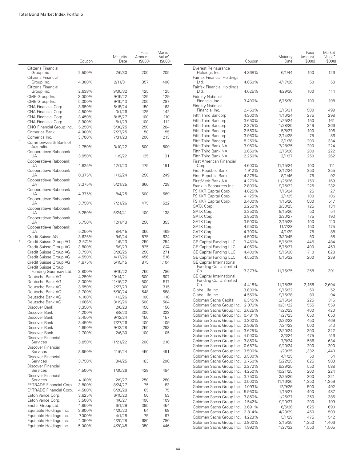|                                                        | Coupon | Maturity<br>Date | Face<br>Amount<br>(S000) | Market<br>Value <sup>•</sup><br>(\$000) |
|--------------------------------------------------------|--------|------------------|--------------------------|-----------------------------------------|
| Citizens Financial<br>Group Inc.                       | 2.500% | 2/6/30           | 200                      | 205                                     |
| Citizens Financial<br>Group Inc.<br>Citizens Financial | 4.300% | 2/11/31          | 357                      | 400                                     |
| Group Inc.                                             | 2.638% | 9/30/32          | 125                      | 125                                     |
| CME Group Inc.                                         | 3.000% | 9/15/22          | 125                      | 129                                     |
| CME Group Inc.                                         | 5.300% | 9/15/43          | 200                      | 287                                     |
| CNA Financial Corp.                                    | 3.950% | 5/15/24          | 150                      | 163                                     |
| CNA Financial Corp.                                    | 4.500% | 3/1/26           | 125                      | 142                                     |
|                                                        |        |                  |                          |                                         |
| CNA Financial Corp.                                    | 3.450% | 8/15/27          | 100                      | 110                                     |
| CNA Financial Corp.                                    | 3.900% | 5/1/29           | 100                      | 112                                     |
| CNO Financial Group Inc.                               | 5.250% | 5/30/25          | 250                      | 284                                     |
| Comerica Bank                                          | 4.000% | 7/27/25          | 50                       | 55                                      |
| Comerica Inc.                                          | 3.700% | 7/31/23          | 200                      | 213                                     |
| Commonwealth Bank of<br>Australia                      | 2.750% | 3/10/22          | 500                      | 509                                     |
| Cooperatieve Rabobank<br>UA                            | 3.950% | 11/9/22          | 125                      | 131                                     |
| Cooperatieve Rabobank<br>UA                            | 4.625% | 12/1/23          | 175                      | 191                                     |
| Cooperatieve Rabobank<br>UA                            | 0.375% | 1/12/24          | 250                      | 249                                     |
| Cooperatieve Rabobank<br>UA                            | 3.375% | 5/21/25          | 666                      | 728                                     |
| Cooperatieve Rabobank<br>UA                            | 4.375% | 8/4/25           | 600                      | 669                                     |
| Cooperatieve Rabobank<br>UA                            | 3.750% | 7/21/26          | 475                      | 522                                     |
| Cooperatieve Rabobank<br>UA                            | 5.250% | 5/24/41          | 100                      | 138                                     |
| Cooperatieve Rabobank<br>UA                            | 5.750% | 12/1/43          | 250                      | 353                                     |
| Cooperatieve Rabobank<br>UA                            |        |                  |                          |                                         |
|                                                        | 5.250% | 8/4/45           | 350                      | 469                                     |
| Credit Suisse AG                                       | 3.625% | 9/9/24           | 575                      | 624                                     |
| Credit Suisse Group AG                                 | 3.574% | 1/9/23           | 250                      | 254                                     |
| Credit Suisse Group AG                                 | 3.800% | 6/9/23           | 825                      | 874                                     |
| Credit Suisse Group AG                                 | 3.750% | 3/26/25          | 250                      | 271                                     |
| Credit Suisse Group AG                                 | 4.550% | 4/17/26          | 456                      | 516                                     |
| Credit Suisse Group AG<br>Credit Suisse Group          | 4.875% | 5/15/45          | 875                      | 1,104                                   |
| Funding Guernsey Ltd.                                  | 3.800% | 9/15/22          | 750                      | 780                                     |
| Deutsche Bank AG                                       | 4.250% | 10/14/21         | 600                      | 607                                     |
| Deutsche Bank AG                                       | 3.300% | 11/16/22         | 500                      | 517                                     |
| Deutsche Bank AG                                       | 3.950% | 2/27/23          | 300                      | 315                                     |
| Deutsche Bank AG                                       | 3.700% | 5/30/24          | 548                      | 588                                     |
| Deutsche Bank AG                                       | 4.100% | 1/13/26          | 100                      | 110                                     |
| Deutsche Bank AG                                       | 1.686% | 3/19/26          | 500                      | 504                                     |
| Discover Bank                                          | 3.350% | 2/6/23           | 150                      | 156                                     |
| Discover Bank                                          | 4.200% | 8/8/23           | 300                      | 323                                     |
| Discover Bank                                          | 2.450% | 9/12/24          | 150                      | 157                                     |
| Discover Bank                                          | 3.450% | 7/27/26          | 100                      | 109                                     |
| Discover Bank                                          | 4.650% | 9/13/28          | 250                      | 293                                     |
| Discover Bank                                          | 2.700% | 2/6/30           | 100                      | 105                                     |
| Discover Financial<br>Services<br>Discover Financial   | 3.850% | 11/21/22         | 200                      | 210                                     |
| Services<br>Discover Financial                         | 3.950% | 11/6/24          | 450                      | 491                                     |
| Services<br>Discover Financial                         | 3.750% | 3/4/25           | 183                      | 200                                     |
| Services<br>Discover Financial                         | 4.500% | 1/30/26          | 428                      | 484                                     |
| Services                                               | 4.100% | 2/9/27           | 250                      | 280                                     |
| E*TRADE Financial Corp.                                | 3.800% | 8/24/27          | 75                       | 83                                      |
| E*TRADE Financial Corp.                                | 4.500% | 6/20/28          | 65                       | 75                                      |
| Eaton Vance Corp.                                      | 3.625% | 6/15/23          |                          | 53                                      |
|                                                        |        |                  | 50                       |                                         |
| Eaton Vance Corp.                                      | 3.500% | 4/6/27           | 100                      | 109                                     |
| Enstar Group Ltd.                                      | 4.950% | 6/1/29           | 395                      | 454                                     |
| Equitable Holdings Inc.                                | 3.900% | 4/20/23          | 64                       | 68                                      |
| Equitable Holdings Inc.                                | 7.000% | 4/1/28           | 75                       | 97                                      |
| Equitable Holdings Inc.                                | 4.350% | 4/20/28          | 680                      | 780                                     |
| Equitable Holdings Inc.                                | 5.000% | 4/20/48          | 350                      | 446                                     |

|                                                                                           | Coupon | Maturity<br>Date    | Face<br>Amount<br>(S000) | Market<br>Value <sup>•</sup><br>(S000) |
|-------------------------------------------------------------------------------------------|--------|---------------------|--------------------------|----------------------------------------|
| Everest Reinsurance<br>Holdings Inc.                                                      | 4.868% | 6/1/44              | 100                      | 126                                    |
| Fairfax Financial Holdings<br>Ltd.                                                        | 4.850% | 4/17/28             | 50                       | 58                                     |
| Fairfax Financial Holdings<br>Ltd.                                                        | 4.625% | 4/29/30             | 100                      | 114                                    |
| <b>Fidelity National</b><br>Financial Inc.                                                | 3.400% | 6/15/30             | 100                      | 108                                    |
| <b>Fidelity National</b><br>Financial Inc.                                                | 2.450% | 3/15/31             | 500                      | 499                                    |
| Fifth Third Bancorp                                                                       | 4.300% | 1/16/24             | 275                      | 298                                    |
| Fifth Third Bancorp                                                                       | 3.650% | 1/25/24             | 150                      | 161                                    |
| Fifth Third Bancorp                                                                       | 2.375% | 1/28/25             | 349                      | 366                                    |
| Fifth Third Bancorp                                                                       | 2.550% | 5/5/27              | 100                      | 106                                    |
| Fifth Third Bancorp                                                                       | 3.950% | 3/14/28             | 75                       | 86                                     |
| Fifth Third Bancorp                                                                       | 8.250% | 3/1/38              | 200                      | 334                                    |
| Fifth Third Bank NA                                                                       | 3.950% | 7/28/25             | 200                      | 224                                    |
| Fifth Third Bank NA                                                                       | 3.850% | 3/15/26             | 200                      | 222                                    |
| Fifth Third Bank NA<br>First American Financial                                           | 2.250% | 2/1/27              | 250                      | 262                                    |
| Corp.                                                                                     | 4.600% | 11/15/24            | 100                      | 111                                    |
| First Republic Bank                                                                       | 1.912% | 2/12/24             | 250                      | 255                                    |
| First Republic Bank                                                                       | 4.375% | 8/1/46              | 75                       | 92                                     |
| FirstMerit Bank NA                                                                        | 4.270% | 11/25/26            | 150                      | 169                                    |
| Franklin Resources Inc.                                                                   | 2.800% | 9/15/22             | 225                      | 232                                    |
| FS KKR Capital Corp.                                                                      | 4.625% | 7/15/24             | 25                       | 27                                     |
| FS KKR Capital Corp.                                                                      | 4.125% | 2/1/25              | 100                      | 106                                    |
| FS KKR Capital Corp.                                                                      | 3.400% | 1/15/26             | 500                      | 517                                    |
| GATX Corp.                                                                                | 3.250% | 3/30/25             | 125                      | 134                                    |
| GATX Corp.                                                                                | 3.250% | 9/15/26             | 50                       | 54                                     |
| GATX Corp.                                                                                | 3.850% | 3/30/27             | 175                      | 193                                    |
| GATX Corp.                                                                                | 3.500% | 3/15/28             | 100                      | 110                                    |
| GATX Corp.                                                                                | 4.550% | 11/7/28             | 150                      | 175                                    |
| GATX Corp.                                                                                | 4.700% | 4/1/29              | 75                       | 88                                     |
| GATX Corp.                                                                                | 4.500% | 3/30/45             | 50                       | 58                                     |
| <b>GE Capital Funding LLC</b>                                                             | 3.450% | 5/15/25             | 445                      | 484                                    |
| <b>GE Capital Funding LLC</b>                                                             | 4.050% | 5/15/27             | 400                      | 453                                    |
| <b>GE Capital Funding LLC</b>                                                             | 4.400% | 5/15/30             | 710                      | 828                                    |
| <b>GE Capital Funding LLC</b><br><b>GE Capital International</b><br>Funding Co. Unlimited | 4.550% | 5/15/32             | 200                      | 239                                    |
| Co.<br><b>GE Capital International</b>                                                    | 3.373% | 11/15/25            | 358                      | 391                                    |
| Funding Co. Unlimited<br>Co.                                                              | 4.418% |                     |                          |                                        |
| Globe Life Inc.                                                                           | 3.800% | 11/15/35<br>9/15/22 | 2,168<br>50              | 2,604<br>52                            |
| Globe Life Inc.                                                                           | 4.550% | 9/15/28             | 80                       | 94                                     |
| Goldman Sachs Capital I                                                                   | 6.345% | 2/15/34             | 225                      | 315                                    |
| Goldman Sachs Group Inc.                                                                  | 2.876% | 10/31/22            | 555                      | 559                                    |
| Goldman Sachs Group Inc.                                                                  | 3.625% | 1/22/23             | 400                      | 420                                    |
| Goldman Sachs Group Inc.                                                                  | 0.481% | 1/27/23             | 650                      | 650                                    |
| Goldman Sachs Group Inc.                                                                  | 3.200% | 2/23/23             | 450                      | 469                                    |
| Goldman Sachs Group Inc.                                                                  | 2.905% | 7/24/23             | 500                      | 513                                    |
| Goldman Sachs Group Inc.                                                                  | 3.625% | 2/20/24             | 300                      | 322                                    |
| Goldman Sachs Group Inc.                                                                  | 4.000% | 3/3/24              | 475                      | 516                                    |
| Goldman Sachs Group Inc.                                                                  | 3.850% | 7/8/24              | 586                      | 634                                    |
| Goldman Sachs Group Inc.                                                                  | 0.657% | 9/10/24             | 200                      | 200                                    |
| Goldman Sachs Group Inc.                                                                  | 3.500% | 1/23/25             | 1,332                    | 1,440                                  |
| Goldman Sachs Group Inc.                                                                  | 3.500% | 4/1/25              | 50                       | 54                                     |
| Goldman Sachs Group Inc.                                                                  | 3.750% | 5/22/25             | 825                      | 903                                    |
| Goldman Sachs Group Inc.                                                                  | 3.272% | 9/29/25             | 550                      | 588                                    |
| Goldman Sachs Group Inc.                                                                  | 4.250% | 10/21/25            | 200                      | 224                                    |
| Goldman Sachs Group Inc.                                                                  | 3.750% | 2/25/26             | 200                      | 221                                    |
| Goldman Sachs Group Inc.                                                                  | 3.500% | 11/16/26            | 1,250                    | 1,359                                  |
| Goldman Sachs Group Inc.                                                                  | 1.093% | 12/9/26             | 500                      | 492                                    |
| Goldman Sachs Group Inc.                                                                  | 5.950% | 1/15/27             | 400                      | 487                                    |
| Goldman Sachs Group Inc.                                                                  | 3.850% | 1/26/27             | 350                      | 386                                    |
| Goldman Sachs Group Inc.                                                                  | 1.542% | 9/10/27             | 200                      | 199                                    |
| Goldman Sachs Group Inc.                                                                  | 3.691% | 6/5/28              | 625                      | 690                                    |
| Goldman Sachs Group Inc.                                                                  | 3.814% | 4/23/29             | 450                      | 503                                    |
| Goldman Sachs Group Inc.                                                                  | 4.223% | 5/1/29              | 475                      | 542                                    |
| Goldman Sachs Group Inc.                                                                  | 3.800% | 3/15/30             | 1,250                    | 1,406                                  |
| Goldman Sachs Group Inc.                                                                  | 1.992% | 1/27/32             | 1,550                    | 1,505                                  |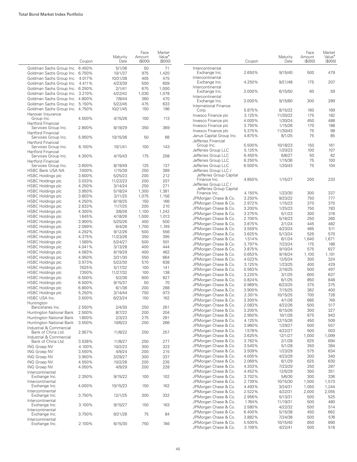|                                                      | Coupon | Maturity<br>Date | Face<br>Amount<br>(S000) | Market<br>Value <sup>•</sup><br>(\$000) |                            |
|------------------------------------------------------|--------|------------------|--------------------------|-----------------------------------------|----------------------------|
| Goldman Sachs Group Inc.                             | 6.450% | 5/1/36           | 50                       | 71                                      | Interconti                 |
| Goldman Sachs Group Inc.                             | 6.750% | 10/1/37          | 975                      | 1,420                                   | Exchang                    |
| Goldman Sachs Group Inc.                             | 4.017% | 10/31/38         | 405                      | 475                                     | Interconti                 |
| Goldman Sachs Group Inc.                             | 4.411% | 4/23/39          | 500                      | 609                                     | Exchang                    |
| Goldman Sachs Group Inc.                             | 6.250% | 2/1/41           | 675                      | 1,000                                   | Interconti                 |
| Goldman Sachs Group Inc.                             | 3.210% | 4/22/42          | 1,030                    | 1,078                                   | Exchang<br>Interconti      |
| Goldman Sachs Group Inc. 4.800%                      |        | 7/8/44           | 360                      | 470                                     | Exchang                    |
| Goldman Sachs Group Inc.                             | 5.150% | 5/22/45          | 475                      | 633                                     | Internation                |
| Goldman Sachs Group Inc. 4.750%<br>Hanover Insurance |        | 10/21/45         | 150                      | 196                                     | Corp.<br>Invesco Fi        |
| Group Inc.<br>Hartford Financial                     | 4.500% | 4/15/26          | 100                      | 113                                     | Invesco Fi<br>Invesco Fi   |
| Services Group Inc.<br><b>Hartford Financial</b>     | 2.800% | 8/19/29          | 350                      | 369                                     | Invesco Fi<br>Janus Cap    |
| Services Group Inc.<br>Hartford Financial            | 5.950% | 10/15/36         | 50                       | 68                                      | Jefferies F                |
| Services Group Inc.<br><b>Hartford Financial</b>     | 6.100% | 10/1/41          | 100                      | 143                                     | Group I<br>Jefferies (     |
| Services Group Inc.<br>Hartford Financial            | 4.300% | 4/15/43          | 175                      | 208                                     | Jefferies (<br>Jefferies ( |
| Services Group Inc.                                  | 3.600% | 8/19/49          | 125                      | 137                                     | Jefferies (                |
| HSBC Bank USA NA                                     | 7.000% | 1/15/39          | 250                      | 389                                     | Jefferies (                |
| <b>HSBC Holdings plc</b>                             | 3.600% | 5/25/23          | 200                      | 212                                     | <b>Jefferie</b>            |
| <b>HSBC Holdings plc</b>                             | 3.033% | 11/22/23         | 200                      | 207                                     | Finance                    |
| <b>HSBC Holdings plc</b>                             | 4.250% | 3/14/24          | 250                      | 271                                     | Jefferies (                |
| <b>HSBC Holdings plc</b>                             | 3.950% | 5/18/24          | 1,300                    | 1,381                                   | <b>Jefferie</b>            |
| <b>HSBC Holdings plc</b>                             | 3.803% | 3/11/25          | 1,075                    | 1,156                                   | Finance                    |
| <b>HSBC Holdings plc</b>                             | 4.250% | 8/18/25          | 150                      | 166                                     | JPMorgar                   |
| <b>HSBC Holdings plc</b>                             | 2.633% | 11/7/25          | 200                      | 210                                     | JPMorgar                   |
| <b>HSBC Holdings plc</b>                             | 4.300% | 3/8/26           | 1,100                    | 1,242                                   | JPMorgar                   |
| <b>HSBC Holdings plc</b>                             | 1.645% | 4/18/26          | 1,000                    | 1,013                                   | JPMorgar                   |
| <b>HSBC Holdings plc</b>                             | 3.900% | 5/25/26          | 450                      | 500                                     | JPMorgar                   |
| <b>HSBC Holdings plc</b>                             | 2.099% | 6/4/26           | 1,700                    | 1,749                                   | JPMorgar                   |
| <b>HSBC Holdings plc</b>                             | 4.292% | 9/12/26          | 500                      | 556                                     | JPMorgar                   |
| <b>HSBC Holdings plc</b>                             | 4.375% | 11/23/26         | 350                      | 395                                     | JPMorgar                   |
| <b>HSBC Holdings plc</b>                             | 1.589% | 5/24/27          | 500                      | 501                                     | JPMorgar                   |
| <b>HSBC Holdings plc</b>                             | 4.041% | 3/13/28          | 400                      | 444                                     | JPMorgar<br>JPMorgar       |
| <b>HSBC Holdings plc</b>                             | 4.583% | 6/19/29          | 400                      | 462                                     | JPMorgar                   |
| <b>HSBC Holdings plc</b>                             | 4.950% | 3/31/30          | 550                      | 664                                     | JPMorgar                   |
| <b>HSBC Holdings plc</b>                             | 3.973% | 5/22/30          | 570                      | 638                                     | JPMorgar                   |
| <b>HSBC Holdings plc</b>                             | 7.625% | 5/17/32          | 100                      | 141                                     | JPMorgar                   |
| <b>HSBC Holdings plc</b>                             | 7.350% | 11/27/32         | 100                      | 138                                     | JPMorgar                   |
| <b>HSBC Holdings plc</b>                             | 6.500% | 5/2/36           | 600                      | 827                                     | JPMorgar                   |
| <b>HSBC Holdings plc</b>                             | 6.500% | 9/15/37          | 50                       | 70                                      | JPMorgar                   |
| <b>HSBC Holdings plc</b>                             | 6.800% | 6/1/38           | 200                      | 288                                     | JPMorgar                   |
| <b>HSBC Holdings plc</b>                             | 5.250% | 3/14/44          | 750                      | 973                                     | JPMorgar                   |
| HSBC USA Inc.<br>Huntinaton                          | 3.500% | 6/23/24          | 150                      | 162                                     | JPMorgar<br>JPMorgar       |
| Bancshares Inc.                                      | 2.550% | 2/4/30           | 250                      | 261                                     | JPMorgar                   |
| Huntington National Bank                             | 2.500% | 8/7/22           | 200                      | 204                                     |                            |
| Huntington National Bank                             | 1.800% | 2/3/23           | 275                      | 281                                     | JPMorgar                   |
| Huntington National Bank                             | 3.550% | 10/6/23          | 250                      | 266                                     | JPMorgar                   |
| Industrial & Commercial                              |        |                  |                          |                                         | JPMorgar                   |
| Bank of China Ltd.<br>Industrial & Commercial        | 2.957% | 11/8/22          | 250                      | 257                                     | JPMorgar<br>JPMorgar       |
| Bank of China Ltd.                                   | 3.538% | 11/8/27          | 250                      | 277                                     | JPMorgar                   |
| <b>ING Groep NV</b>                                  | 4.100% | 10/2/23          | 300                      | 323                                     | JPMorgar                   |
| <b>ING Groep NV</b>                                  | 3.550% | 4/9/24           | 200                      | 215                                     | JPMorgar                   |
| <b>ING Groep NV</b>                                  | 3.950% | 3/29/27          | 300                      | 337                                     | JPMorgar                   |
| <b>ING Groep NV</b>                                  | 4.550% | 10/2/28          | 200                      | 235                                     | JPMorgar                   |
| <b>ING Groep NV</b><br>Intercontinental              | 4.050% | 4/9/29           | 200                      | 228                                     | JPMorgar<br>JPMorgar       |
| Exchange Inc.<br>Intercontinental                    | 2.350% | 9/15/22          | 100                      | 102                                     | JPMorgar<br>JPMorgar       |
| Exchange Inc.<br>Intercontinental                    | 4.000% | 10/15/23         | 150                      | 162                                     | JPMorgar                   |
| Exchange Inc.<br>Intercontinental                    | 3.750% | 12/1/25          | 300                      | 332                                     | JPMorgar<br>JPMorgar       |
| Exchange Inc.<br>Intercontinental                    | 3.100% | 9/15/27          | 150                      | 163                                     | JPMorgar<br>JPMorgar       |
| Exchange Inc.<br>Intercontinental                    | 3.750% | 9/21/28          | 75                       | 84                                      | JPMorgar<br>JPMorgar       |
| Exchange Inc.                                        | 2.100% | 6/15/30          | 750                      | 746                                     | JPMorgar                   |

|                                                  | Coupon | Maturity<br>Date | Face<br>Amount<br>(S000) | Market<br>Value <sup>•</sup><br>(S000) |
|--------------------------------------------------|--------|------------------|--------------------------|----------------------------------------|
| Intercontinental<br>Exchange Inc.                | 2.650% | 9/15/40          | 500                      | 479                                    |
| Intercontinental<br>Exchange Inc.                | 4.250% | 9/21/48          | 175                      | 207                                    |
| Intercontinental<br>Exchange Inc.                | 3.000% | 6/15/50          | 60                       | 59                                     |
| Intercontinental<br>Exchange Inc.                | 3.000% | 9/15/60          | 300                      | 289                                    |
| <b>International Finance</b><br>Corp.            | 5.875% | 8/15/22          | 160                      | 169                                    |
| Invesco Finance plc                              | 3.125% | 11/30/22         | 175                      | 182                                    |
| Invesco Finance plc                              | 4.000% | 1/30/24          | 450                      | 488                                    |
| Invesco Finance plc                              | 3.750% | 1/15/26          | 170                      | 188                                    |
| Invesco Finance plc                              | 5.375% | 11/30/43         | 75                       | 98                                     |
| Janus Capital Group Inc.                         | 4.875% | 8/1/25           | 75                       | 85                                     |
| Jefferies Financial                              |        |                  |                          |                                        |
| Group Inc.                                       | 5.500% | 10/18/23         | 150                      | 161                                    |
| Jefferies Group LLC                              | 5.125% | 1/20/23          | 100                      | 107                                    |
| Jefferies Group LLC                              | 6.450% | 6/8/27           | 50                       | 62                                     |
| Jefferies Group LLC                              | 6.250% | 1/15/36          | 75                       | 100                                    |
| Jefferies Group LLC                              | 6.500% | 1/20/43          | 75                       | 104                                    |
| Jefferies Group LLC /<br>Jefferies Group Capital |        |                  |                          |                                        |
| Finance Inc.                                     | 4.850% | 1/15/27          | 200                      | 233                                    |
| Jefferies Group LLC /                            |        |                  |                          |                                        |
| Jefferies Group Capital                          |        |                  |                          |                                        |
| Finance Inc.                                     | 4.150% | 1/23/30          | 300                      | 337                                    |
| JPMorgan Chase & Co.                             | 3.250% | 9/23/22          | 750                      | 777                                    |
| JPMorgan Chase & Co.                             | 2.972% | 1/15/23          | 370                      | 375                                    |
| JPMorgan Chase & Co.                             | 3.200% | 1/25/23          | 750                      | 783                                    |
| JPMorgan Chase & Co.                             | 3.375% | 5/1/23           | 300                      | 316                                    |
| JPMorgan Chase & Co.                             | 2.700% | 5/18/23          | 250                      | 260                                    |
| JPMorgan Chase & Co.                             | 3.875% | 2/1/24           | 445                      | 482                                    |
| JPMorgan Chase & Co.                             | 3.559% | 4/23/24          | 485                      | 511                                    |
| JPMorgan Chase & Co.                             | 3.625% | 5/13/24          | 526                      | 570                                    |
| JPMorgan Chase & Co.                             | 1.514% | 6/1/24           | 1,640                    | 1,671                                  |
| JPMorgan Chase & Co.                             | 3.797% | 7/23/24          | 175                      | 186                                    |
| JPMorgan Chase & Co.                             | 3.875% | 9/10/24          | 575                      | 627                                    |
| JPMorgan Chase & Co.                             | 0.653% | 9/16/24          | 1,100                    | 1,101                                  |
| JPMorgan Chase & Co.                             | 4.023% | 12/5/24          | 300                      | 324                                    |
| JPMorgan Chase & Co.                             | 3.125% | 1/23/25          | 400                      | 429                                    |
| JPMorgan Chase & Co.                             | 0.563% | 2/16/25          | 500                      | 497                                    |
| JPMorgan Chase & Co.                             | 3.220% | 3/1/25           | 600                      | 637                                    |
| JPMorgan Chase & Co.                             | 0.824% | 6/1/25           | 850                      | 848                                    |
| JPMorgan Chase & Co.                             | 0.969% | 6/23/25          | 375                      | 375                                    |
| JPMorgan Chase & Co.                             | 3.900% | 7/15/25          | 362                      | 400                                    |
| JPMorgan Chase & Co.                             | 2.301% | 10/15/25         | 700                      | 728                                    |
| JPMorgan Chase & Co.                             | 3.300% | 4/1/26           | 685                      | 749                                    |
| JPMorgan Chase & Co.                             | 2.083% | 4/22/26          | 500                      | 517                                    |
| JPMorgan Chase & Co.                             | 3.200% |                  | 300                      | 327                                    |
| JPMorgan Chase & Co.                             | 2.950% | 6/15/26          | 875                      | 943                                    |
| JPMorgan Chase & Co.                             | 4.125% | 10/1/26          | 450                      | 509                                    |
| JPMorgan Chase & Co.                             |        | 12/15/26         |                          | 557                                    |
| JPMorgan Chase & Co.                             | 3.960% | 1/29/27          | 500                      | 503                                    |
|                                                  | 1.578% | 4/22/27          | 500                      |                                        |
| JPMorgan Chase & Co.                             | 3.625% | 12/1/27          | 1,000                    | 1,099                                  |
| JPMorgan Chase & Co.                             | 3.782% | 2/1/28           | 625                      | 694                                    |
| JPMorgan Chase & Co.                             | 3.540% | 5/1/28           | 350                      | 384                                    |
| JPMorgan Chase & Co.                             | 3.509% | 1/23/29          | 575                      | 634                                    |
| JPMorgan Chase & Co.                             | 4.005% | 4/23/29          | 300                      | 340                                    |
| JPMorgan Chase & Co.                             | 2.069% | 6/1/29           | 625                      | 630                                    |
| JPMorgan Chase & Co.                             | 4.203% | 7/23/29          | 250                      | 287                                    |
| JPMorgan Chase & Co.                             | 4.452% | 12/5/29          | 300                      | 351                                    |
| JPMorgan Chase & Co.                             | 3.702% | 5/6/30           | 300                      | 336                                    |
| JPMorgan Chase & Co.                             | 2.739% | 10/15/30         | 1,500                    | 1,573                                  |
| JPMorgan Chase & Co.                             | 4.493% | 3/24/31          | 1,050                    | 1,244                                  |
| JPMorgan Chase & Co.                             | 2.522% | 4/22/31          | 2,000                    | 2,055                                  |
| JPMorgan Chase & Co.                             | 2.956% | 5/13/31          | 500                      | 525                                    |
| JPMorgan Chase & Co.                             | 1.764% | 11/19/31         | 500                      | 480                                    |
| JPMorgan Chase & Co.                             | 2.580% | 4/22/32          | 500                      | 514                                    |
| JPMorgan Chase & Co.                             | 6.400% | 5/15/38          | 450                      | 662                                    |
| JPMorgan Chase & Co.                             | 3.882% | 7/24/38          | 500                      | 576                                    |
| JPMorgan Chase & Co.                             | 5.500% | 10/15/40         | 650                      | 890                                    |
| JPMorgan Chase & Co.                             | 3.109% | 4/22/41          | 500                      | 518                                    |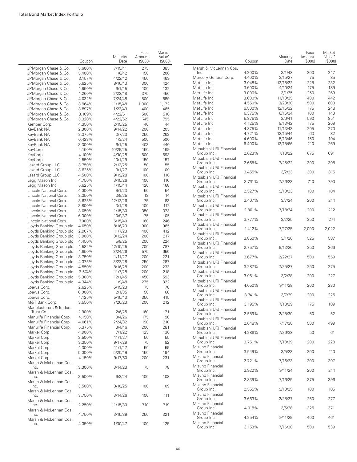|                                                      |                  |                     | Face             | Market                              |        |
|------------------------------------------------------|------------------|---------------------|------------------|-------------------------------------|--------|
|                                                      | Coupon           | Maturity<br>Date    | Amount<br>(S000) | Value <sup>•</sup><br>$($ \$000 $)$ |        |
| JPMorgan Chase & Co.                                 | 5.600%           | 7/15/41             | 275              | 385                                 | Ν      |
| JPMorgan Chase & Co.                                 | 5.400%           | 1/6/42              | 150              | 206                                 |        |
| JPMorgan Chase & Co.                                 | 3.157%           | 4/22/42             | 450              | 469                                 | Ν<br>Ν |
| JPMorgan Chase & Co.<br>JPMorgan Chase & Co.         | 5.625%<br>4.950% | 8/16/43             | 300<br>100       | 424<br>132                          | Ν      |
| JPMorgan Chase & Co.                                 | 4.260%           | 6/1/45<br>2/22/48   | 375              | 456                                 | Ν      |
| JPMorgan Chase & Co.                                 | 4.032%           | 7/24/48             | 500              | 589                                 | Ν      |
| JPMorgan Chase & Co.                                 | 3.964%           | 11/15/48            | 1,000            | 1,172                               | Ν      |
| JPMorgan Chase & Co.                                 | 3.897%           | 1/23/49             | 400              | 465                                 | Ν      |
| JPMorgan Chase & Co.                                 | 3.109%           | 4/22/51             | 500              | 518                                 | Ν      |
| JPMorgan Chase & Co.                                 | 3.328%           | 4/22/52             | 745              | 795                                 | Ν      |
| Kemper Corp.                                         | 4.350%           | 2/15/25             | 40               | 44                                  | Ν      |
| KeyBank NA                                           | 2.300%           | 9/14/22             | 200              | 205                                 | Ν      |
| KeyBank NA                                           | 3.375%           | 3/7/23              | 250              | 263                                 | Ν      |
| KeyBank NA                                           | 0.423%           | 1/3/24              | 500              | 500                                 | Ν<br>Ν |
| KeyBank NA                                           | 3.300%           | 6/1/25              | 403              | 440                                 | Ν      |
| KeyCorp<br>KeyCorp                                   | 4.150%<br>4.100% | 10/29/25<br>4/30/28 | 150<br>600       | 169<br>693                          |        |
| KeyCorp                                              | 2.550%           | 10/1/29             | 150              | 157                                 | Ν      |
| Lazard Group LLC                                     | 3.750%           | 2/13/25             | 50               | 55                                  |        |
| Lazard Group LLC                                     | 3.625%           | 3/1/27              | 100              | 109                                 | Ν      |
| Lazard Group LLC                                     | 4.500%           | 9/19/28             | 100              | 116                                 |        |
| Legg Mason Inc.                                      | 4.750%           | 3/15/26             | 100              | 116                                 | Ν      |
| Legg Mason Inc.                                      | 5.625%           | 1/15/44             | 120              | 168                                 | Ν      |
| Lincoln National Corp.                               | 4.000%           | 9/1/23              | 50               | 54                                  |        |
| Lincoln National Corp.                               | 3.350%           | 3/9/25              | 13               | 14                                  | Ν      |
| Lincoln National Corp.                               | 3.625%           | 12/12/26            | 75               | 83                                  |        |
| Lincoln National Corp.                               | 3.800%           | 3/1/28              | 100              | 112                                 | Ν      |
| Lincoln National Corp.                               | 3.050%           | 1/15/30             | 350              | 373                                 | Ν      |
| Lincoln National Corp.<br>Lincoln National Corp.     | 6.300%<br>7.000% | 10/9/37<br>6/15/40  | 75<br>160        | 105<br>246                          |        |
| Lloyds Banking Group plc                             | 4.050%           | 8/16/23             | 900              | 965                                 | Ν      |
| Lloyds Banking Group plc                             | 2.907%           | 11/7/23             | 400              | 412                                 |        |
| Lloyds Banking Group plc                             | 3.900%           | 3/12/24             | 200              | 217                                 | Ν      |
| Lloyds Banking Group plc                             | 4.450%           | 5/8/25              | 200              | 224                                 | Ν      |
| Lloyds Banking Group plc                             | 4.582%           | 12/10/25            | 700              | 787                                 |        |
| Lloyds Banking Group plc                             | 4.650%           | 3/24/26             | 575              | 650                                 | Ν      |
| Lloyds Banking Group plc                             | 3.750%           | 1/11/27             | 200              | 221                                 |        |
| Lloyds Banking Group plc                             | 4.375%           | 3/22/28             | 250              | 287                                 | Ν      |
| Lloyds Banking Group plc                             | 4.550%           | 8/16/28             | 200              | 233                                 |        |
| Lloyds Banking Group plc                             | 3.574%           | 11/7/28             | 200              | 218                                 | Ν      |
| Lloyds Banking Group plc<br>Lloyds Banking Group plc | 5.300%<br>4.344% | 12/1/45<br>1/9/48   | 450<br>275       | 593<br>322                          | Ν      |
| Loews Corp.                                          | 2.625%           | 5/15/23             | 75               | 78                                  |        |
| Loews Corp.                                          | 6.000%           | 2/1/35              | 50               | 68                                  | Ν      |
| Loews Corp.                                          | 4.125%           | 5/15/43             | 350              | 415                                 |        |
| M&T Bank Corp.                                       | 3.550%           | 7/26/23             | 200              | 212                                 | Ν      |
| Manufacturers & Traders                              |                  |                     |                  |                                     | Ņ      |
| Trust Co.                                            | 2.900%           | 2/6/25              | 160              | 171                                 |        |
| Manulife Financial Corp.                             | 4.150%           | 3/4/26              | 175              | 198                                 | N      |
| Manulife Financial Corp.<br>Manulife Financial Corp. | 4.061%           | 2/24/32             | 190              | 210                                 |        |
| Markel Corp.                                         | 5.375%<br>4.900% | 3/4/46<br>7/1/22    | 200<br>125       | 281<br>130                          | N      |
| Markel Corp.                                         | 3.500%           | 11/1/27             | 50               | 55                                  | N      |
| Markel Corp.                                         | 3.350%           | 9/17/29             | 75               | 82                                  |        |
| Markel Corp.                                         | 4.300%           | 11/1/47             | 50               | 59                                  | N      |
| Markel Corp.                                         | 5.000%           | 5/20/49             | 150              | 194                                 |        |
| Markel Corp.                                         | 4.150%           | 9/17/50             | 200              | 231                                 | N      |
| Marsh & McLennan Cos.                                |                  |                     |                  |                                     | N      |
| Inc.<br>Marsh & McLennan Cos.                        | 3.300%           | 3/14/23             | 75               | 78                                  |        |
| Inc.                                                 | 3.500%           | 6/3/24              | 100              | 108                                 |        |
| Marsh & McLennan Cos.<br>Inc.                        | 3.500%           | 3/10/25             | 100              | 109                                 | N      |
| Marsh & McLennan Cos.<br>Inc.                        | 3.750%           | 3/14/26             | 100              | 111                                 | N      |
| Marsh & McLennan Cos.<br>Inc.                        | 2.250%           | 11/15/30            | 710              | 719                                 | N      |
| Marsh & McLennan Cos.<br>Inc.                        | 4.750%           | 3/15/39             | 250              | 321                                 |        |
| Marsh & McLennan Cos.<br>Inc.                        | 4.350%           | 1/30/47             | 100              | 125                                 | N      |
|                                                      |                  |                     |                  |                                     |        |

|                                          | Coupon           | Maturity<br>Date    | Face<br>Amount<br>(S000) | Market<br>Value <sup>•</sup><br>(S000) |
|------------------------------------------|------------------|---------------------|--------------------------|----------------------------------------|
| Marsh & McLennan Cos.                    |                  |                     |                          |                                        |
| Inc.<br>Mercury General Corp.            | 4.200%<br>4.400% | 3/1/48<br>3/15/27   | 200<br>75                | 247<br>85                              |
| MetLife Inc.                             | 3.048%           | 12/15/22            | 225                      | 232                                    |
| MetLife Inc.                             | 3.600%           | 4/10/24             | 175                      | 189                                    |
| MetLife Inc.                             | 3.000%           | 3/1/25              | 250                      | 269                                    |
| MetLife Inc.<br>MetLife Inc.             | 3.600%<br>4.550% | 11/13/25<br>3/23/30 | 400<br>500               | 442<br>600                             |
| MetLife Inc.                             | 6.500%           | 12/15/32            | 175                      | 248                                    |
| MetLife Inc.                             | 6.375%           | 6/15/34             | 100                      | 143                                    |
| MetLife Inc.<br>MetLife Inc.             | 5.875%<br>4.125% | 2/6/41<br>8/13/42   | 590<br>175               | 851<br>209                             |
| MetLife Inc.                             | 4.875%           | 11/13/43            | 205                      | 270                                    |
| MetLife Inc.                             | 4.721%           | 12/15/44            | 63                       | 82                                     |
| MetLife Inc.                             | 4.600%           | 5/13/46             | 150                      | 194                                    |
| MetLife Inc.<br>Mitsubishi UFJ Financial | 6.400%           | 12/15/66            | 210                      | 269                                    |
| Group Inc.<br>Mitsubishi UFJ Financial   | 2.623%           | 7/18/22             | 675                      | 691                                    |
| Group Inc.                               | 2.665%           | 7/25/22             | 300                      | 308                                    |
| Mitsubishi UFJ Financial<br>Group Inc.   | 3.455%           | 3/2/23              | 300                      | 315                                    |
| Mitsubishi UFJ Financial<br>Group Inc.   | 3.761%           | 7/26/23             | 740                      | 790                                    |
| Mitsubishi UFJ Financial<br>Group Inc.   | 2.527%           | 9/13/23             | 100                      | 104                                    |
| Mitsubishi UFJ Financial<br>Group Inc.   | 3.407%           | 3/7/24              | 200                      | 214                                    |
| Mitsubishi UFJ Financial<br>Group Inc.   | 2.801%           | 7/18/24             | 200                      | 212                                    |
| Mitsubishi UFJ Financial<br>Group Inc.   | 3.777%           | 3/2/25              | 250                      | 274                                    |
| Mitsubishi UFJ Financial<br>Group Inc.   | 1.412%           | 7/17/25             | 2,000                    | 2,022                                  |
| Mitsubishi UFJ Financial<br>Group Inc.   | 3.850%           | 3/1/26              | 525                      | 587                                    |
| Mitsubishi UFJ Financial<br>Group Inc.   | 2.757%           | 9/13/26             | 250                      | 266                                    |
| Mitsubishi UFJ Financial<br>Group Inc.   | 3.677%           | 2/22/27             | 500                      | 559                                    |
| Mitsubishi UFJ Financial<br>Group Inc.   | 3.287%           | 7/25/27             | 250                      | 275                                    |
| Mitsubishi UFJ Financial                 | 3.961%           |                     |                          |                                        |
| Group Inc.<br>Mitsubishi UFJ Financial   |                  | 3/2/28              | 200                      | 227                                    |
| Group Inc.<br>Mitsubishi UFJ Financial   | 4.050%           | 9/11/28             | 200                      | 230                                    |
| Group Inc.<br>Mitsubishi UFJ Financial   | 3.741%           | 3/7/29              | 200                      | 225                                    |
| Group Inc.<br>Mitsubishi UFJ Financial   | 3.195%           | 7/18/29             | 175                      | 189                                    |
| Group Inc.<br>Mitsubishi UFJ Financial   | 2.559%           | 2/25/30             | 50                       | 52                                     |
| Group Inc.<br>Mitsubishi UFJ Financial   | 2.048%           | 7/17/30             | 500                      | 499                                    |
| Group Inc.<br>Mitsubishi UFJ Financial   | 4.286%           | 7/26/38             | 50                       | 61                                     |
| Group Inc.<br>Mizuho Financial           | 3.751%           | 7/18/39             | 200                      | 228                                    |
| Group Inc.<br>Mizuho Financial           | 3.549%           | 3/5/23              | 200                      | 210                                    |
| Group Inc.<br>Mizuho Financial           | 2.721%           | 7/16/23             | 300                      | 307                                    |
| Group Inc.<br>Mizuho Financial           | 3.922%           | 9/11/24             | 200                      | 214                                    |
| Group Inc.                               | 2.839%           | 7/16/25             | 375                      | 396                                    |
| Mizuho Financial<br>Group Inc.           | 2.555%           | 9/13/25             | 100                      | 105                                    |
| Mizuho Financial<br>Group Inc.           | 3.663%           | 2/28/27             | 250                      | 277                                    |
| Mizuho Financial<br>Group Inc.           | 4.018%           | 3/5/28              | 325                      | 371                                    |
| Mizuho Financial<br>Group Inc.           | 4.254%           | 9/11/29             | 400                      | 461                                    |
| Mizuho Financial<br>Group Inc.           | 3.153%           | 7/16/30             | 500                      | 539                                    |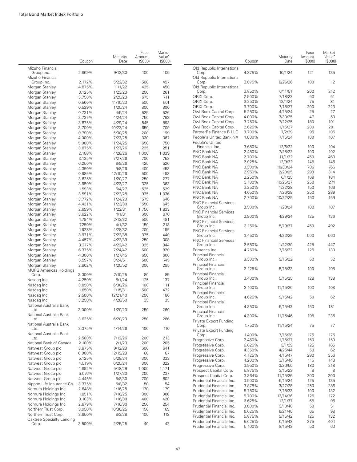|                                        | Coupon | Maturity<br>Date | Face<br>Amount<br>(S000) | Market<br>Value <sup>•</sup><br>(S000) |
|----------------------------------------|--------|------------------|--------------------------|----------------------------------------|
| Mizuho Financial<br>Group Inc.         | 2.869% | 9/13/30          | 100                      | 105                                    |
| Mizuho Financial                       |        |                  |                          |                                        |
| Group Inc.                             | 2.172% | 5/22/32          | 500                      | 497                                    |
| Morgan Stanley                         | 4.875% | 11/1/22          | 425                      | 450                                    |
| Morgan Stanley                         | 3.125% | 1/23/23          | 250                      | 261                                    |
| Morgan Stanley                         | 3.750% | 2/25/23          | 675                      | 711                                    |
| Morgan Stanley                         | 0.560% | 11/10/23         | 500                      | 501                                    |
| Morgan Stanley                         | 0.529% | 1/25/24          | 800                      | 800                                    |
| Morgan Stanley                         | 0.731% | 4/5/24           | 525                      | 526                                    |
| Morgan Stanley                         | 3.737% | 4/24/24          | 750                      | 793                                    |
| Morgan Stanley                         | 3.875% | 4/29/24          | 545                      | 593                                    |
| Morgan Stanley                         | 3.700% | 10/23/24         | 650                      | 709                                    |
| Morgan Stanley                         | 0.790% | 5/30/25          | 200                      | 199                                    |
| Morgan Stanley                         | 4.000% | 7/23/25          | 330                      | 367                                    |
| Morgan Stanley                         | 5.000% | 11/24/25         | 650                      | 750                                    |
| Morgan Stanley                         | 3.875% | 1/27/26          | 225                      | 251                                    |
| Morgan Stanley                         | 2.188% | 4/28/26          | 1,000                    | 1,039                                  |
| Morgan Stanley                         | 3.125% | 7/27/26          | 700                      | 758                                    |
| Morgan Stanley                         | 6.250% | 8/9/26           | 425                      | 526                                    |
| Morgan Stanley                         | 4.350% | 9/8/26           | 400                      | 453                                    |
| Morgan Stanley                         | 0.985% | 12/10/26         | 500                      | 493                                    |
| Morgan Stanley                         | 3.625% | 1/20/27          | 250                      | 277                                    |
| Morgan Stanley                         | 3.950% | 4/23/27          | 325                      | 363                                    |
| Morgan Stanley                         | 1.593% | 5/4/27           | 525                      | 529                                    |
| Morgan Stanley                         | 3.591% | 7/22/28          | 935                      | 1.036                                  |
| Morgan Stanley                         | 3.772% | 1/24/29          | 575                      | 646                                    |
| Morgan Stanley                         | 4.431% | 1/23/30          | 550                      | 645                                    |
| Morgan Stanley                         | 2.699% | 1/22/31          | 1,750                    | 1,833                                  |
| Morgan Stanley                         | 3.622% | 4/1/31           | 600                      | 670                                    |
| Morgan Stanley                         | 1.794% | 2/13/32          | 500                      | 481                                    |
| Morgan Stanley                         | 7.250% | 4/1/32           | 150                      | 218                                    |
| Morgan Stanley                         | 1.928% | 4/28/32          | 200                      | 195                                    |
| Morgan Stanley                         | 3.971% | 7/22/38          | 375                      | 440                                    |
| Morgan Stanley                         | 4.457% | 4/22/39          | 250                      | 308                                    |
| Morgan Stanley                         | 3.217% | 4/22/42          | 325                      | 344                                    |
| Morgan Stanley                         | 6.375% | 7/24/42          | 600                      | 920                                    |
| Morgan Stanley                         | 4.300% | 1/27/45          | 650                      | 806                                    |
| Morgan Stanley                         | 5.597% | 3/24/51          | 500                      | 745                                    |
| Morgan Stanley                         | 2.802% | 1/25/52          | 300                      | 295                                    |
| <b>MUFG Americas Holdings</b><br>Corp. | 3.000% | 2/10/25          | 80                       | 85                                     |
| Nasdag Inc.                            | 4.250% | 6/1/24           | 125                      | 137                                    |
| Nasdag Inc.                            | 3.850% | 6/30/26          | 100                      | 111                                    |
| Nasdag Inc.                            | 1.650% | 1/15/31          | 500                      | 472                                    |
| Nasdag Inc.                            | 2.500% | 12/21/40         | 200                      | 186                                    |
| Nasdag Inc.                            | 3.250% | 4/28/50          | 35                       | 35                                     |
| National Australia Bank                |        |                  |                          |                                        |
| Ltd.<br>National Australia Bank        | 3.000% | 1/20/23          | 250                      | 260                                    |
| Ltd.<br>National Australia Bank        | 3.625% | 6/20/23          | 250                      | 266                                    |
| Ltd.<br>National Australia Bank        | 3.375% | 1/14/26          | 100                      | 110                                    |
| Ltd.                                   | 2.500% | 7/12/26          | 200                      | 213                                    |
| National Bank of Canada                | 2.100% | 2/1/23           | 200                      | 205                                    |
| Natwest Group plc                      | 3.875% | 9/12/23          | 600                      | 641                                    |
| Natwest Group plc                      | 6.000% | 12/19/23         | 60                       | 67                                     |
| Natwest Group plc                      | 5.125% | 5/28/24          | 300                      | 333                                    |
| Natwest Group plc                      | 4.519% | 6/25/24          | 300                      | 322                                    |
| Natwest Group plc                      | 4.892% | 5/18/29          | 1,000                    | 1,171                                  |
| Natwest Group plc                      | 5.076% | 1/27/30          | 200                      | 237                                    |
| Natwest Group plc                      | 4.445% | 5/8/30           | 700                      | 802                                    |
| Nippon Life Insurance Co.              | 3.375% | 5/8/32           | 50                       | 54                                     |
| Nomura Holdings Inc.                   | 2.648% | 1/16/25          | 170                      | 179                                    |
| Nomura Holdings Inc.                   | 1.851% | 7/16/25          | 300                      | 306                                    |
| Nomura Holdings Inc.                   | 3.103% | 1/16/30          | 400                      | 420                                    |
| Nomura Holdings Inc.                   | 2.679% | 7/16/30          | 250                      | 254                                    |
| Northern Trust Corp.                   | 3.950% | 10/30/25         | 150                      | 169                                    |
| Northern Trust Corp.                   | 3.650% | 8/3/28           | 100                      | 113                                    |
| Oaktree Specialty Lending              |        |                  |                          |                                        |
| Corp.                                  | 3.500% | 2/25/25          | 40                       | 42                                     |
|                                        |        |                  |                          |                                        |

|                                             | Coupon           | Maturity<br>Date   | Face<br>Amount<br>(S000) | Market<br>Value <sup>•</sup><br>(S000) |
|---------------------------------------------|------------------|--------------------|--------------------------|----------------------------------------|
| Old Republic International<br>Corp.         | 4.875%           | 10/1/24            | 121                      | 135                                    |
| Old Republic International<br>Corp.         | 3.875%           | 8/26/26            | 100                      | 112                                    |
| Old Republic International                  |                  |                    |                          |                                        |
| Corp.                                       | 3.850%           | 6/11/51            | 200                      | 212                                    |
| ORIX Corp.                                  | 2.900%           | 7/18/22            | 50                       | 51                                     |
| ORIX Corp.                                  | 3.250%           | 12/4/24            | 75                       | 81                                     |
| ORIX Corp.                                  | 3.700%           | 7/18/27            | 200                      | 223                                    |
| Owl Rock Capital Corp.                      | 5.250%           | 4/15/24            | 25                       | 27                                     |
| Owl Rock Capital Corp.                      | 4.000%           | 3/30/25            | 47                       | 50                                     |
| Owl Rock Capital Corp.                      | 3.750%           | 7/22/25            | 180                      | 191                                    |
| Owl Rock Capital Corp.                      | 2.625%           | 1/15/27            | 200                      | 201                                    |
| PartnerRe Finance B LLC                     | 3.700%           | 7/2/29             | 95                       | 106                                    |
| People's United Bank NA                     | 4.000%           | 7/15/24            | 100                      | 107                                    |
| People's United<br>Financial Inc.           | 3.650%           | 12/6/22            | 100                      | 104                                    |
| PNC Bank NA                                 | 2.450%           | 7/28/22            | 100                      | 102                                    |
| PNC Bank NA                                 | 2.700%           | 11/1/22            | 450                      | 463                                    |
| PNC Bank NA                                 | 2.028%           | 12/9/22            | 145                      | 146                                    |
| PNC Bank NA                                 | 3.300%           | 10/30/24           | 706                      | 766                                    |
| PNC Bank NA                                 | 2.950%           | 2/23/25            | 293                      | 314                                    |
| PNC Bank NA                                 | 3.250%           | 6/1/25             | 169                      | 184                                    |
| PNC Bank NA                                 | 3.100%           | 10/25/27           | 250                      | 274                                    |
| PNC Bank NA                                 | 3.250%           | 1/22/28            | 150                      | 166                                    |
| PNC Bank NA                                 | 4.050%           | 7/26/28            | 250                      | 289                                    |
| PNC Bank NA                                 | 2.700%           | 10/22/29           | 150                      | 159                                    |
| <b>PNC Financial Services</b>               |                  |                    |                          |                                        |
| Group Inc.<br><b>PNC Financial Services</b> | 3.500%           | 1/23/24            | 100                      | 107                                    |
| Group Inc.<br><b>PNC Financial Services</b> | 3.900%           | 4/29/24            | 125                      | 136                                    |
| Group Inc.                                  | 3.150%           | 5/19/27            | 450                      | 492                                    |
| <b>PNC Financial Services</b><br>Group Inc. | 3.450%           | 4/23/29            | 500                      | 560                                    |
| <b>PNC Financial Services</b>               |                  |                    |                          |                                        |
| Group Inc.                                  | 2.550%           | 1/22/30            | 425                      | 447                                    |
| Primerica Inc.<br>Principal Financial       | 4.750%           | 7/15/22            | 125                      | 130                                    |
| Group Inc.                                  | 3.300%           | 9/15/22            | 50                       | 52                                     |
| Principal Financial<br>Group Inc.           | 3.125%           | 5/15/23            | 100                      | 105                                    |
| Principal Financial<br>Group Inc.           | 3.400%           | 5/15/25            | 128                      | 139                                    |
| Principal Financial                         |                  |                    |                          |                                        |
| Group Inc.<br>Principal Financial           | 3.100%           | 11/15/26           | 100                      | 108                                    |
| Group Inc.<br>Principal Financial           | 4.625%           | 9/15/42            | 50                       | 62                                     |
| Group Inc.                                  | 4.350%           | 5/15/43            | 150                      | 181                                    |
| Principal Financial<br>Group Inc.           | 4.300%           | 11/15/46           | 195                      | 236                                    |
| Private Export Funding<br>Corp.             | 1.750%           | 11/15/24           | 75                       | 77                                     |
| Private Export Funding                      |                  |                    |                          |                                        |
| Corp.                                       | 1.400%           | 7/15/28            | 175                      | 175                                    |
| Progressive Corp.                           | 2.450%           | 1/15/27            | 150                      | 159                                    |
| Progressive Corp.                           | 6.625%           | 3/1/29             | 125                      | 165                                    |
| Progressive Corp.                           | 4.350%           | 4/25/44            | 50                       | 62                                     |
| Progressive Corp.                           | 4.125%<br>4.200% | 4/15/47            | 290                      | 356                                    |
| Progressive Corp.<br>Progressive Corp.      | 3.950%           | 3/15/48<br>3/26/50 | 115<br>180               | 143<br>218                             |
| Prospect Capital Corp.                      | 5.875%           | 3/15/23            | 8                        | 8                                      |
| Prospect Capital Corp.                      | 3.364%           | 11/15/26           | 200                      | 200                                    |
| Prudential Financial Inc.                   | 3.500%           | 5/15/24            | 125                      | 135                                    |
| Prudential Financial Inc.                   | 3.878%           | 3/27/28            | 250                      | 286                                    |
| Prudential Financial Inc.                   | 5.750%           | 7/15/33            | 100                      | 132                                    |
| Prudential Financial Inc.                   | 5.700%           | 12/14/36           | 125                      | 172                                    |
| Prudential Financial Inc.                   | 6.625%           | 12/1/37            | 65                       | 96                                     |
| Prudential Financial Inc.                   | 3.000%           | 3/10/40            | 50                       | 51                                     |
| Prudential Financial Inc.                   | 6.625%           | 6/21/40            | 65                       | 98                                     |
| Prudential Financial Inc.                   | 5.875%           | 9/15/42            | 125                      | 132                                    |
| Prudential Financial Inc.                   | 5.625%           | 6/15/43            | 375                      | 404                                    |
| Prudential Financial Inc.                   | 5.100%           | 8/15/43            | 50                       | 60                                     |
|                                             |                  |                    |                          |                                        |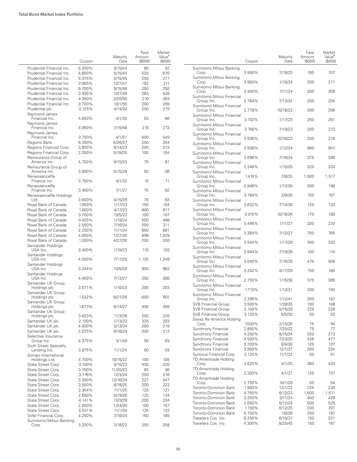÷.

|                                                   |        | Maturity | Face<br>Amount | Market<br>Value <sup>•</sup> |
|---------------------------------------------------|--------|----------|----------------|------------------------------|
|                                                   | Coupon | Date     | (S000)         | (\$000)                      |
| Prudential Financial Inc.                         | 5.200% | 3/15/44  | 85             | 92                           |
| Prudential Financial Inc.                         | 4.600% | 5/15/44  | 525            | 670                          |
| Prudential Financial Inc.                         | 5.375% | 5/15/45  | 250            | 277                          |
| Prudential Financial Inc.                         | 3.905% | 12/7/47  | 182            | 211                          |
| Prudential Financial Inc.                         | 5.700% | 9/15/48  | 250            | 293                          |
| Prudential Financial Inc.                         | 3.935% | 12/7/49  | 363            | 426                          |
| Prudential Financial Inc.                         | 4.350% | 2/25/50  | 210            | 263                          |
| Prudential Financial Inc.                         | 3.700% | 10/1/50  | 200            | 209                          |
| Prudential plc                                    | 3.125% | 4/14/30  | 200            | 215                          |
|                                                   |        |          |                |                              |
| Raymond James<br>Financial Inc.<br>Raymond James  | 4.650% | 4/1/30   | 55             | 66                           |
| Financial Inc.                                    | 4.950% | 7/15/46  | 210            | 272                          |
| Raymond James<br>Financial Inc.                   | 3.750% | 4/1/51   | 500            | 549                          |
|                                                   |        |          |                | 354                          |
| Regions Bank                                      | 6.450% | 6/26/37  | 250            |                              |
| Regions Financial Corp.                           | 3.800% | 8/14/23  | 200            | 213                          |
| Regions Financial Corp.                           | 2.250% | 5/18/25  | 100            | 104                          |
| Reinsurance Group of                              |        |          |                |                              |
| America Inc.<br>Reinsurance Group of              | 4.700% | 9/15/23  | 75             | 81                           |
| America Inc.<br>RenaissanceRe                     | 3.900% | 5/15/29  | 50             | 56                           |
| Finance Inc.<br>RenaissanceRe                     | 3.700% | 4/1/25   | 10             | 11                           |
| Finance Inc.<br>RenaissanceRe Holdings            | 3.450% | 7/1/27   | 75             | 82                           |
| Ltd.                                              | 3.600% | 4/15/29  | 75             | 83                           |
| Royal Bank of Canada                              | 1.950% | 1/17/23  | 150            | 154                          |
| Royal Bank of Canada                              | 1.600% | 4/17/23  | 800            | 817                          |
| Royal Bank of Canada                              | 3.700% | 10/5/23  | 100            | 107                          |
|                                                   |        |          |                |                              |
| Royal Bank of Canada                              | 0.425% | 1/19/24  | 500            | 498                          |
| Royal Bank of Canada                              | 2.550% | 7/16/24  | 200            | 211                          |
| Royal Bank of Canada                              | 2.250% | 11/1/24  | 650            | 681                          |
| Royal Bank of Canada                              | 4.650% | 1/27/26  | 898            | 1,029                        |
| Royal Bank of Canada<br>Santander Holdings        | 1.200% | 4/27/26  | 200            | 200                          |
| USA Inc.<br>Santander Holdings                    | 3.400% | 1/18/23  | 115            | 120                          |
| USA Inc.<br>Santander Holdings                    | 4.500% | 7/17/25  | 1,125          | 1,248                        |
| USA Inc.                                          | 3.244% | 10/5/26  | 900            | 962                          |
| Santander Holdings<br>USA Inc.                    | 4.400% | 7/13/27  | 250            | 280                          |
| Santander UK Group<br>Holdings plc                | 3.571% | 1/10/23  | 200            | 203                          |
| Santander UK Group<br>Holdings plc                | 1.532% | 8/21/26  | 600            | 601                          |
| Santander UK Group<br>Holdings plc                | 1.673% | 6/14/27  | 400            | 399                          |
| Santander UK Group<br>Holdings plc                | 3.823% | 11/3/28  | 200            | 220                          |
| Santander UK plc                                  | 2.100% | 1/13/23  | 325            | 333                          |
| Santander UK plc                                  | 4.000% | 3/13/24  | 200            | 218                          |
| Santander UK plc                                  | 2.875% | 6/18/24  | 200            | 212                          |
| Selective Insurance<br>Group Inc.                 | 5.375% | 3/1/49   | 50             | 63                           |
| <b>Sixth Street Specialty</b>                     |        |          |                |                              |
| Lending Inc.<br>Sompo International               | 3.875% | 11/1/24  | 50             | 53                           |
| Holdings Ltd.                                     | 4.700% | 10/15/22 | 100            | 105                          |
| State Street Corp.                                | 3.100% | 5/15/23  | 400            | 420                          |
| State Street Corp.                                | 3.700% | 11/20/23 | 83             | 90                           |
| State Street Corp.                                | 3.776% | 12/3/24  | 200            | 216                          |
| State Street Corp.                                | 3.300% | 12/16/24 | 227            | 247                          |
| State Street Corp.                                | 3.550% | 8/18/25  | 200            | 222                          |
| State Street Corp.                                | 2.354% | 11/1/25  | 125            | 131                          |
| State Street Corp.                                | 2.650% | 5/19/26  | 125            | 134                          |
| State Street Corp.                                | 4.141% | 12/3/29  | 200            | 234                          |
| State Street Corp.                                | 2.400% | 1/24/30  | 150            | 157                          |
| State Street Corp.                                | 3.031% |          | 125            | 133                          |
|                                                   |        | 11/1/34  |                |                              |
| Stifel Financial Corp.<br>Sumitomo Mitsui Banking | 4.250% | 7/18/24  | 150            | 165                          |
| Corp.                                             | 3.200% | 7/18/22  | 250            | 258                          |

|                                                        | Coupon           | Maturity<br>Date   | Face<br>Amount<br>(S000) | Market<br>Value <sup>•</sup><br>(S000) |
|--------------------------------------------------------|------------------|--------------------|--------------------------|----------------------------------------|
| Sumitomo Mitsui Banking<br>Corp.                       | 3.950%           | 7/19/23            | 100                      | 107                                    |
| Sumitomo Mitsui Banking<br>Corp.                       | 3.950%           | 1/10/24            | 250                      | 271                                    |
| Sumitomo Mitsui Banking<br>Corp.                       | 3.400%           | 7/11/24            | 250                      | 269                                    |
| Sumitomo Mitsui Financial<br>Group Inc.                | 2.784%           | 7/12/22            | 200                      | 205                                    |
| Sumitomo Mitsui Financial<br>Group Inc.                | 2.778%           | 10/18/22           | 200                      | 206                                    |
| Sumitomo Mitsui Financial<br>Group Inc.                | 3.102%           | 1/17/23            | 250                      | 261                                    |
| Sumitomo Mitsui Financial<br>Group Inc.                | 3.748%           | 7/19/23            | 200                      | 213                                    |
| Sumitomo Mitsui Financial<br>Group Inc.                | 3.936%           | 10/16/23           | 200                      | 216                                    |
| Sumitomo Mitsui Financial<br>Group Inc.                | 0.508%           | 1/12/24            | 950                      | 947                                    |
| Sumitomo Mitsui Financial<br>Group Inc.                | 2.696%           | 7/16/24            | 375                      | 396                                    |
| Sumitomo Mitsui Financial<br>Group Inc.                | 2.348%           | 1/15/25            | 320                      | 334                                    |
| Sumitomo Mitsui Financial<br>Group Inc.                | 1.474%           | 7/8/25             | 1,500                    | 1,517                                  |
| Sumitomo Mitsui Financial<br>Group Inc.                | 0.948%           | 1/12/26            | 200                      | 198                                    |
| Sumitomo Mitsui Financial<br>Group Inc.                | 3.784%           | 3/9/26             | 150                      | 167                                    |
| Sumitomo Mitsui Financial<br>Group Inc.                | 2.632%           | 7/14/26            | 125                      | 133                                    |
| Sumitomo Mitsui Financial<br>Group Inc.                | 3.010%           | 10/19/26           | 175                      | 189                                    |
| Sumitomo Mitsui Financial<br>Group Inc.                | 3.446%           | 1/11/27            | 200                      | 220                                    |
| Sumitomo Mitsui Financial<br>Group Inc.                | 3.364%           | 7/12/27            | 700                      | 765                                    |
| Sumitomo Mitsui Financial<br>Group Inc.                | 3.544%           | 1/17/28            | 300                      | 332                                    |
| Sumitomo Mitsui Financial<br>Group Inc.                | 3.944%           | 7/19/28            | 100                      | 114                                    |
| Sumitomo Mitsui Financial<br>Group Inc.                | 3.040%           | 7/16/29            | 475                      | 509                                    |
| Sumitomo Mitsui Financial<br>Group Inc.                | 3.202%           | 9/17/29            | 150                      | 160                                    |
| Sumitomo Mitsui Financial<br>Group Inc.                | 2.750%           | 1/15/30            | 370                      | 389                                    |
| Sumitomo Mitsui Financial                              |                  |                    |                          | 194                                    |
| Group Inc.<br>Sumitomo Mitsui Financial                | 1.710%           | 1/12/31            | 200                      |                                        |
| Group Inc.<br><b>SVB Financial Group</b>               | 2.296%<br>3.500% | 1/12/41<br>1/29/25 | 200<br>100               | 187<br>108                             |
| <b>SVB Financial Group</b>                             | 2.100%           | 5/15/28            | 225                      | 228                                    |
| <b>SVB Financial Group</b><br>Swiss Re America Holding | 3.125%           | 6/5/30             | 50                       | 53                                     |
| Corp.                                                  | 7.000%           | 2/15/26            | 75                       | 94                                     |
| Synchrony Financial                                    | 2.850%           | 7/25/22            | 75                       | 77                                     |
| Synchrony Financial                                    | 4.250%           | 8/15/24            | 250                      | 273                                    |
| Synchrony Financial                                    | 4.500%           | 7/23/25            | 426                      | 477                                    |
| Synchrony Financial                                    | 3.700%           | 8/4/26             | 125                      | 137                                    |
| Synchrony Financial<br>Synovus Financial Corp.         | 3.950%<br>3.125% | 12/1/27<br>11/1/22 | 300<br>50                | 334<br>51                              |
| TD Ameritrade Holding<br>Corp.                         | 3.625%           | 4/1/25             | 384                      | 420                                    |
| TD Ameritrade Holding                                  |                  |                    |                          |                                        |
| Corp.<br>TD Ameritrade Holding                         | 3.300%           | 4/1/27             | 125                      | 137                                    |
| Corp.                                                  | 2.750%           | 10/1/29            | 50                       | 54                                     |
| Toronto-Dominion Bank<br>Toronto-Dominion Bank         | 1.900%<br>0.750% | 12/1/22<br>6/12/23 | 225<br>1,500             | 230<br>1,511                           |
| Toronto-Dominion Bank                                  | 3.250%           | 3/11/24            | 400                      | 428                                    |
| Toronto-Dominion Bank                                  | 2.650%           | 6/12/24            | 500                      | 529                                    |
| Toronto-Dominion Bank                                  | 1.150%           | 6/12/25            | 200                      | 201                                    |
| Toronto-Dominion Bank                                  | 0.750%           | 1/6/26             | 200                      | 197                                    |
| Travelers Cos. Inc.                                    | 6.250%           | 6/15/37            | 150                      | 221                                    |
| Travelers Cos. Inc.                                    | 4.300%           | 8/25/45            | 150                      | 187                                    |

 $\overline{\phantom{0}}$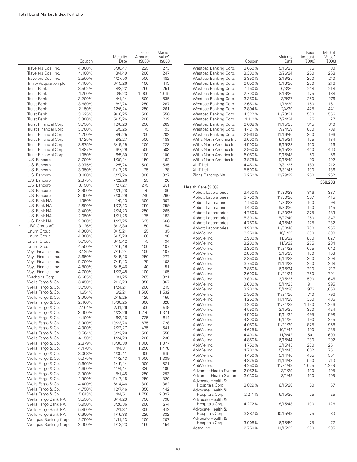|   |                                                  | Coupon           | Maturity<br>Date    | Face<br>Amount<br>(\$000) | Market<br>Value <sup>*</sup><br>(\$000) |                                                        | Coupon           | Maturity<br>Date    | Face<br>Amount<br>(\$000) | Market<br>Value <sup>*</sup><br>(S000) |
|---|--------------------------------------------------|------------------|---------------------|---------------------------|-----------------------------------------|--------------------------------------------------------|------------------|---------------------|---------------------------|----------------------------------------|
|   | Travelers Cos. Inc.                              | 4.000%           | 5/30/47             | 225                       | 273                                     | Westpac Banking Corp.                                  | 3.650%           | 5/15/23             | 75                        | 80                                     |
|   | Travelers Cos. Inc.                              | 4.100%           | 3/4/49              | 200                       | 247                                     | Westpac Banking Corp.                                  | 3.300%           | 2/26/24             | 250                       | 268                                    |
|   | Travelers Cos. Inc.                              | 2.550%           | 4/27/50             | 500                       | 482                                     | Westpac Banking Corp.                                  | 2.350%           | 2/19/25             | 200                       | 210                                    |
|   | Trinity Acquisition plc                          | 4.400%           | 3/15/26             | 100                       | 113                                     | Westpac Banking Corp.                                  | 2.850%           | 5/13/26             | 200                       | 216                                    |
|   | Truist Bank                                      | 3.502%           | 8/2/22              | 250                       | 251                                     | Westpac Banking Corp.                                  | 1.150%           | 6/3/26              | 218                       | 218                                    |
|   | <b>Truist Bank</b>                               | 1.250%           | 3/9/23              | 1,000                     | 1,015                                   | Westpac Banking Corp.                                  | 2.700%           | 8/19/26             | 175                       | 188                                    |
|   | <b>Truist Bank</b>                               | 3.200%           | 4/1/24              | 500                       | 535                                     | Westpac Banking Corp.                                  | 3.350%           | 3/8/27              | 250                       | 276                                    |
|   | <b>Truist Bank</b>                               | 3.689%           | 8/2/24              | 250                       | 267                                     | Westpac Banking Corp.                                  | 2.650%           | 1/16/30             | 150                       | 161                                    |
|   | <b>Truist Bank</b>                               | 2.150%           | 12/6/24             | 250                       | 261                                     | Westpac Banking Corp.                                  | 2.894%           | 2/4/30              | 425                       | 441                                    |
|   | <b>Truist Bank</b>                               | 3.625%           | 9/16/25             | 500                       | 550                                     | Westpac Banking Corp.                                  | 4.322%           | 11/23/31            | 500                       | 556                                    |
|   | Truist Bank                                      | 3.300%           | 5/15/26             | 200                       | 219                                     | Westpac Banking Corp.                                  | 4.110%           | 7/24/34             | 25                        | 27                                     |
|   | Truist Financial Corp.                           | 3.750%           | 12/6/23             | 250                       | 269                                     | Westpac Banking Corp.                                  | 2.668%           | 11/15/35            | 315                       | 310                                    |
|   | Truist Financial Corp.                           | 3.700%           | 6/5/25              | 175                       | 193                                     | Westpac Banking Corp.                                  | 4.421%           | 7/24/39             | 600                       | 709                                    |
|   | Truist Financial Corp.                           | 1.200%           | 8/5/25              | 200<br>500                | 202                                     | Westpac Banking Corp.                                  | 2.963%           | 11/16/40            | 200                       | 196<br>134                             |
|   | Truist Financial Corp.<br>Truist Financial Corp. | 1.125%<br>3.875% | 8/3/27<br>3/19/29   | 200                       | 488<br>228                              | Willis North America Inc.<br>Willis North America Inc. | 3.600%<br>4.500% | 5/15/24<br>9/15/28  | 125<br>100                | 116                                    |
|   | Truist Financial Corp.                           | 1.887%           | 6/7/29              | 500                       | 503                                     | Willis North America Inc.                              | 2.950%           | 9/15/29             | 440                       | 463                                    |
|   | Truist Financial Corp.                           | 1.950%           | 6/5/30              | 100                       | 100                                     | Willis North America Inc.                              | 5.050%           | 9/15/48             | 50                        | 66                                     |
|   | U.S. Bancorp                                     | 3.700%           | 1/30/24             | 150                       | 162                                     | Willis North America Inc.                              | 3.875%           | 9/15/49             | 90                        | 102                                    |
|   | U.S. Bancorp                                     | 3.375%           | 2/5/24              | 500                       | 535                                     | XLIT Ltd.                                              | 4.450%           | 3/31/25             | 189                       | 212                                    |
|   | U.S. Bancorp                                     | 3.950%           | 11/17/25            | 25                        | 28                                      | XLIT Ltd.                                              | 5.500%           | 3/31/45             | 100                       | 136                                    |
|   | U.S. Bancorp                                     | 3.100%           | 4/27/26             | 300                       | 327                                     | Zions Bancorp NA                                       | 3.250%           | 10/29/29            | 250                       | 262                                    |
|   | U.S. Bancorp                                     | 2.375%           | 7/22/26             | 25                        | 26                                      |                                                        |                  |                     |                           |                                        |
|   | U.S. Bancorp                                     | 3.150%           | 4/27/27             | 275                       | 301                                     |                                                        |                  |                     |                           | 368,203                                |
|   | U.S. Bancorp                                     | 3.900%           | 4/26/28             | 75                        | 86                                      | Health Care (3.3%)                                     |                  |                     |                           |                                        |
|   | U.S. Bancorp                                     | 3.000%           | 7/30/29             | 240                       | 260                                     | Abbott Laboratories<br>Abbott Laboratories             | 3.400%           | 11/30/23            | 316                       | 337                                    |
|   | U.S. Bank NA                                     | 1.950%           | 1/9/23              | 300                       | 307                                     |                                                        | 3.750%           | 11/30/26            | 367                       | 415<br>98                              |
|   | U.S. Bank NA                                     | 2.850%           | 1/23/23             | 250                       | 259                                     | Abbott Laboratories<br>Abbott Laboratories             | 1.150%<br>1.400% | 1/30/28<br>6/30/30  | 100<br>150                | 145                                    |
|   | U.S. Bank NA                                     | 3.400%           | 7/24/23             | 250                       | 265                                     | Abbott Laboratories                                    | 4.750%           | 11/30/36            | 375                       | 483                                    |
|   | U.S. Bank NA                                     | 2.050%           | 1/21/25             | 175                       | 183                                     | Abbott Laboratories                                    | 5.300%           | 5/27/40             | 250                       | 347                                    |
|   | U.S. Bank NA                                     | 2.800%           | 1/27/25             | 625                       | 668                                     | Abbott Laboratories                                    | 4.750%           | 4/15/43             | 175                       | 232                                    |
| 5 | <b>UBS Group AG</b>                              | 3.126%           | 8/13/30             | 50                        | 54                                      | Abbott Laboratories                                    | 4.900%           | 11/30/46            | 700                       | 955                                    |
|   | Unum Group                                       | 4.000%           | 3/15/24             | 125                       | 135                                     | AbbVie Inc.                                            | 3.250%           | 10/1/22             | 300                       | 308                                    |
|   | Unum Group                                       | 4.000%           | 6/15/29             | 80                        | 90                                      | AbbVie Inc.                                            | 2.900%           | 11/6/22             | 800                       | 827                                    |
|   | Unum Group                                       | 5.750%           | 8/15/42             | 75                        | 94                                      | AbbVie Inc.                                            | 3.200%           | 11/6/22             | 275                       | 284                                    |
|   | Unum Group                                       | 4.500%           | 12/15/49            | 100                       | 107                                     | AbbVie Inc.                                            | 2.300%           | 11/21/22            | 625                       | 642                                    |
|   | Voya Financial Inc.                              | 3.125%           | 7/15/24             | 100                       | 107                                     | AbbVie Inc.                                            | 2.800%           | 3/15/23             | 100                       | 103                                    |
|   | Voya Financial Inc.                              | 3.650%           | 6/15/26             | 250                       | 277                                     | AbbVie Inc.                                            | 2.850%           | 5/14/23             | 200                       | 208                                    |
|   | Voya Financial Inc.                              | 5.700%           | 7/15/43             | 75                        | 103                                     | AbbVie Inc.                                            | 3.750%           | 11/14/23            | 250                       | 268                                    |
|   | Voya Financial Inc.                              | 4.800%           | 6/15/46             | 40                        | 51                                      | AbbVie Inc.                                            | 3.850%           | 6/15/24             | 200                       | 217                                    |
|   | Voya Financial Inc.                              | 4.700%           | 1/23/48             | 100                       | 105                                     | AbbVie Inc.                                            | 2.600%           | 11/21/24            | 750                       | 791                                    |
|   | Wachovia Corp.                                   | 6.605%           | 10/1/25             | 265                       | 321                                     | AbbVie Inc.                                            | 3.800%           | 3/15/25             | 590                       | 645                                    |
|   | Wells Fargo & Co.                                | 3.450%           | 2/13/23             | 350                       | 367                                     | AbbVie Inc.                                            | 3.600%           | 5/14/25             | 911                       | 995                                    |
|   | Wells Fargo & Co.                                | 3.750%           | 1/24/24             | 200                       | 215                                     | AbbVie Inc.                                            | 3.200%           | 5/14/26             | 976                       | 1,058                                  |
|   | Wells Fargo & Co.                                | 1.654%           | 6/2/24              | 1,500                     | 1,532                                   | AbbVie Inc.                                            | 2.950%           | 11/21/26            | 740                       | 796                                    |
|   | Wells Fargo & Co.                                | 3.000%<br>2.406% | 2/19/25             | 425                       | 455<br>628                              | AbbVie Inc.                                            | 4.250%           | 11/14/28            | 350                       | 406                                    |
|   | Wells Fargo & Co.<br>Wells Fargo & Co.           | 2.164%           | 10/30/25<br>2/11/26 | 600<br>500                | 519                                     | AbbVie Inc.                                            | 3.200%           | 11/21/29            | 1,130                     | 1,226                                  |
|   | Wells Fargo & Co.                                | 3.000%           | 4/22/26             | 1,275                     | 1,371                                   | AbbVie Inc.                                            | 4.550%           | 3/15/35             | 350                       | 424                                    |
|   | Wells Fargo & Co.                                | 4.100%           | 6/3/26              | 725                       | 814                                     | AbbVie Inc.                                            | 4.500%           | 5/14/35             | 495                       | 598                                    |
|   | Wells Fargo & Co.                                | 3.000%           | 10/23/26            | 675                       | 728                                     | AbbVie Inc.                                            | 4.300%           | 5/14/36             | 190                       | 225                                    |
|   | Wells Fargo & Co.                                | 4.300%           | 7/22/27             | 475                       | 541                                     | AbbVie Inc.                                            | 4.050%           | 11/21/39            | 825                       | 958                                    |
|   | Wells Fargo & Co.                                | 3.584%           | 5/22/28             | 500                       | 550                                     | AbbVie Inc.                                            | 4.625%           | 10/1/42             | 190                       | 235                                    |
|   | Wells Fargo & Co.                                | 4.150%           | 1/24/29             | 200                       | 230                                     | AbbVie Inc.                                            | 4.400%           | 11/6/42             | 501                       | 609                                    |
|   | Wells Fargo & Co.                                | 2.879%           | 10/30/30            | 1,300                     | 1,377                                   | AbbVie Inc.                                            | 4.850%           | 6/15/44             | 230                       | 292                                    |
|   | Wells Fargo & Co.                                | 4.478%           | 4/4/31              | 1,250                     | 1,478                                   | AbbVie Inc.                                            | 4.750%           | 3/15/45             | 200                       | 251                                    |
|   | Wells Fargo & Co.                                | 3.068%           | 4/30/41             | 600                       | 615                                     | AbbVie Inc.                                            | 4.700%           | 5/14/45             | 602                       | 751                                    |
|   | Wells Fargo & Co.                                | 5.375%           | 11/2/43             | 1,000                     | 1,339                                   | AbbVie Inc.                                            | 4.450%           | 5/14/46             | 455                       | 551                                    |
|   | Wells Fargo & Co.                                | 5.606%           | 1/15/44             | 600                       | 821                                     | AbbVie Inc.                                            | 4.875%           | 11/14/48            | 550                       | 713                                    |
|   | Wells Fargo & Co.                                | 4.650%           | 11/4/44             | 325                       | 400                                     | AbbVie Inc.<br>Adventist Health System                 | 4.250%<br>2.952% | 11/21/49            | 1,025<br>100              | 1,229<br>105                           |
|   | Wells Fargo & Co.                                | 3.900%           | 5/1/45              | 250                       | 293                                     | Adventist Health System                                | 3.630%           | 3/1/29<br>3/1/49    | 100                       | 109                                    |
|   | Wells Fargo & Co.                                | 4.900%           | 11/17/45            | 250                       | 320                                     | Advocate Health &                                      |                  |                     |                           |                                        |
|   | Wells Fargo & Co.                                | 4.400%           | 6/14/46             | 300                       | 362                                     | Hospitals Corp.                                        | 3.829%           | 8/15/28             | 50                        | 57                                     |
|   | Wells Fargo & Co.                                | 4.750%           | 12/7/46             | 350                       | 442                                     | Advocate Health &                                      |                  |                     |                           |                                        |
|   | Wells Fargo & Co.                                | 5.013%           | 4/4/51              | 1,750                     | 2,397                                   | Hospitals Corp.                                        | 2.211%           | 6/15/30             | 25                        | 25                                     |
|   | Wells Fargo Bank NA                              | 3.550%           | 8/14/23             | 750                       | 798                                     | Advocate Health &                                      |                  |                     |                           |                                        |
|   | Wells Fargo Bank NA                              | 5.950%           | 8/26/36             | 200                       | 274                                     | Hospitals Corp.                                        | 4.272%           | 8/15/48             | 100                       | 126                                    |
|   | Wells Fargo Bank NA                              | 5.850%           | 2/1/37              | 300                       | 412                                     | Advocate Health &                                      |                  |                     |                           |                                        |
|   | Wells Fargo Bank NA                              | 6.600%           | 1/15/38             | 225                       | 332                                     | Hospitals Corp.                                        | 3.387%           | 10/15/49            | 75                        | 83                                     |
|   | Westpac Banking Corp.                            | 2.750%           | 1/11/23             | 200                       | 207                                     | Advocate Health &                                      |                  |                     |                           |                                        |
|   | Westpac Banking Corp.                            | 2.000%           | 1/13/23             | 150                       | 154                                     | Hospitals Corp.<br>Aetna Inc.                          | 3.008%<br>2.750% | 6/15/50<br>11/15/22 | 75<br>200                 | 77<br>205                              |
|   |                                                  |                  |                     |                           |                                         |                                                        |                  |                     |                           |                                        |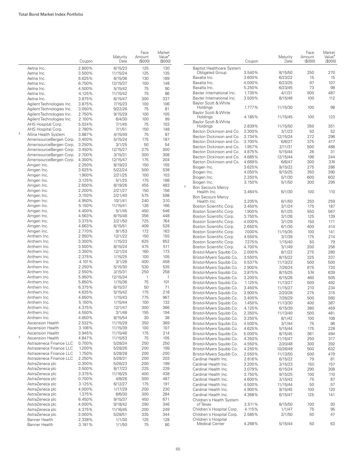|                         |                           | Coupon | Maturity<br>Date | Face<br>Amount<br>(\$000) | Market<br>Value <sup>•</sup><br>(S000) |                                  | Coupon | Maturity<br>Date | Face<br>Amount<br>(\$000) | Market<br>Value <sup>*</sup><br>(\$000) |
|-------------------------|---------------------------|--------|------------------|---------------------------|----------------------------------------|----------------------------------|--------|------------------|---------------------------|-----------------------------------------|
|                         | Aetna Inc.                | 2.800% | 6/15/23          | 125                       | 130                                    | <b>Baptist Healthcare System</b> |        |                  |                           |                                         |
|                         | Aetna Inc.                | 3.500% | 11/15/24         | 125                       | 135                                    | <b>Obligated Group</b>           | 3.540% | 8/15/50          | 250                       | 270                                     |
|                         | Aetna Inc.                | 6.625% | 6/15/36          | 130                       | 189                                    | Baxalta Inc.                     | 3.600% | 6/23/22          | 15                        | 15                                      |
|                         | Aetna Inc.                | 6.750% | 12/15/37         | 100                       | 148                                    | Baxalta Inc.                     | 4.000% | 6/23/25          | 97                        | 107                                     |
|                         | Aetna Inc.                | 4.500% | 5/15/42          | 75                        | 90                                     | Baxalta Inc.                     | 5.250% | 6/23/45          | 73                        | 98                                      |
|                         | Aetna Inc.                | 4.125% | 11/15/42         | 75                        | 86                                     | Baxter International Inc.        | 1.730% | 4/1/31           | 500                       | 487                                     |
|                         | Aetna Inc.                | 3.875% | 8/15/47          | 300                       | 337                                    | Baxter International Inc.        | 3.500% | 8/15/46          | 100                       | 112                                     |
|                         | Agilent Technologies Inc. | 3.875% | 7/15/23          | 100                       | 106                                    | Baylor Scott & White             |        |                  |                           |                                         |
|                         | Agilent Technologies Inc. | 3.050% | 9/22/26          | 75                        | 81                                     | Holdings                         | 1.777% | 11/15/30         | 100                       | 98                                      |
|                         | Agilent Technologies Inc. | 2.750% | 9/15/29          | 100                       | 105                                    | Baylor Scott & White             |        |                  |                           |                                         |
|                         | Agilent Technologies Inc. | 2.100% | 6/4/30           | 100                       | 99                                     | Holdings                         | 4.185% | 11/15/45         | 100                       | 123                                     |
|                         |                           |        |                  |                           |                                        | Baylor Scott & White             |        |                  |                           |                                         |
|                         | AHS Hospital Corp.        | 5.024% | 7/1/45           | 75                        | 103                                    | Holdings                         | 2.839% | 11/15/50         | 350                       | 351                                     |
| $\overline{\mathbf{c}}$ | AHS Hospital Corp.        | 2.780% | 7/1/51           | 150                       | 148                                    | Becton Dickinson and Co.         | 3.300% | 3/1/23           | 50                        | 52                                      |
|                         | Allina Health System      | 3.887% | 4/15/49          | 75                        | 87                                     | Becton Dickinson and Co.         | 3.734% | 12/15/24         | 272                       | 296                                     |
|                         | AmerisourceBergen Corp.   | 3.400% | 5/15/24          | 175                       | 187                                    | Becton Dickinson and Co.         | 3.700% | 6/6/27           | 375                       | 417                                     |
|                         | AmerisourceBergen Corp.   | 3.250% | 3/1/25           | 50                        | 54                                     | Becton Dickinson and Co.         | 1.957% | 2/11/31          | 500                       | 488                                     |
|                         | AmerisourceBergen Corp.   | 3.450% | 12/15/27         | 275                       | 300                                    | Becton Dickinson and Co.         | 4.875% | 5/15/44          | 26                        | 31                                      |
|                         | AmerisourceBergen Corp.   | 2.700% | 3/15/31          | 300                       | 308                                    | Becton Dickinson and Co.         | 4.685% | 12/15/44         | 196                       | 244                                     |
|                         | AmerisourceBergen Corp.   | 4.300% | 12/15/47         | 175                       | 204                                    | Becton Dickinson and Co.         | 4.669% | 6/6/47           | 300                       | 374                                     |
|                         | Amgen Inc.                | 2.250% | 8/19/23          | 150                       | 155                                    | Biogen Inc.                      | 3.625% | 9/15/22          | 275                       | 286                                     |
|                         | Amgen Inc.                | 3.625% | 5/22/24          | 500                       | 538                                    |                                  | 4.050% | 9/15/25          | 350                       | 390                                     |
|                         | Amgen Inc.                | 1.900% | 2/21/25          | 100                       | 103                                    | Biogen Inc.                      |        |                  |                           |                                         |
|                         | Amgen Inc.                | 3.125% | 5/1/25           | 175                       | 188                                    | Biogen Inc.                      | 2.250% | 5/1/30           | 600                       | 602                                     |
|                         | Amgen Inc.                | 2.600% | 8/19/26          | 455                       | 483                                    | Biogen Inc.<br>$\mathbf 2$       | 3.150% | 5/1/50           | 300                       | 295                                     |
|                         | Amgen Inc.                | 2.200% | 2/21/27          | 150                       | 156                                    | <b>Bon Secours Mercy</b>         |        |                  |                           |                                         |
|                         | Amgen Inc.                | 3.150% | 2/21/40          | 575                       | 598                                    | Health Inc.                      | 3.464% | 6/1/30           | 100                       | 110                                     |
|                         | Amgen Inc.                | 4.950% |                  |                           | 310                                    | <b>Bon Secours Mercy</b>         |        |                  |                           |                                         |
|                         |                           |        | 10/1/41          | 240                       |                                        | Health Inc.                      | 3.205% | 6/1/50           | 250                       | 259                                     |
|                         | Amgen Inc.                | 5.150% | 11/15/41         | 126                       | 166                                    | Boston Scientific Corp.          | 3.450% | 3/1/24           | 175                       | 187                                     |
|                         | Amgen Inc.                | 4.400% | 5/1/45           | 450                       | 546                                    | Boston Scientific Corp.          | 1.900% | 6/1/25           | 550                       | 567                                     |
|                         | Amgen Inc.                | 4.563% | 6/15/48          | 356                       | 448                                    | Boston Scientific Corp.          | 3.750% | 3/1/26           | 125                       | 139                                     |
|                         | Amgen Inc.                | 3.375% | 2/21/50          | 725                       | 764                                    | Boston Scientific Corp.          | 4.000% | 3/1/29           | 150                       | 171                                     |
|                         | Amgen Inc.                | 4.663% | 6/15/51          | 409                       | 528                                    | Boston Scientific Corp.          | 2.650% | 6/1/30           | 400                       | 414                                     |
|                         | Amgen Inc.                | 2.770% | 9/1/53           | 172                       | 163                                    | Boston Scientific Corp.          | 7.000% | 11/15/35         | 100                       | 141                                     |
|                         | Anthem Inc.               | 2.950% | 12/1/22          | 150                       | 155                                    | Boston Scientific Corp.          | 4.550% | 3/1/39           | 175                       | 214                                     |
|                         | Anthem Inc.               | 3.300% | 1/15/23          | 625                       | 652                                    | Boston Scientific Corp.          | 7.375% | 1/15/40          | 50                        | 79                                      |
|                         | Anthem Inc.               | 3.500% | 8/15/24          | 475                       | 511                                    | Boston Scientific Corp.          | 4.700% | 3/1/49           | 200                       | 256                                     |
|                         | Anthem Inc.               | 3.350% | 12/1/24          | 160                       | 173                                    | Bristol-Myers Squibb Co.         | 2.000% | 8/1/22           | 275                       | 280                                     |
|                         | Anthem Inc.               | 2.375% | 1/15/25          | 100                       | 105                                    | Bristol-Myers Squibb Co.         | 3.550% | 8/15/22          | 325                       | 337                                     |
|                         | Anthem Inc.               | 4.101% | 3/1/28           | 400                       | 458                                    | Bristol-Myers Squibb Co.         | 0.537% | 11/13/23         | 500                       | 500                                     |
|                         | Anthem Inc.               | 2.250% | 5/15/30          | 530                       | 535                                    |                                  | 2.900% |                  | 675                       | 720                                     |
|                         | Anthem Inc.               | 2.550% | 3/15/31          | 250                       | 258                                    | Bristol-Myers Squibb Co.         |        | 7/26/24          |                           |                                         |
|                         | Anthem Inc.               |        |                  | $\mathbf{1}$              | $\mathbf{1}$                           | Bristol-Myers Squibb Co.         | 3.875% | 8/15/25          | 574                       | 639                                     |
|                         |                           | 5.950% | 12/15/34         |                           |                                        | Bristol-Myers Squibb Co.         | 3.200% | 6/15/26          | 460                       | 505                                     |
|                         | Anthem Inc.               | 5.850% | 1/15/36          | 75                        | 101                                    | Bristol-Myers Squibb Co.         | 1.125% | 11/13/27         | 500                       | 492                                     |
|                         | Anthem Inc.               | 6.375% | 6/15/37          | 50                        | 71                                     | Bristol-Myers Squibb Co.         | 3.450% | 11/15/27         | 210                       | 234                                     |
|                         | Anthem Inc.               | 4.625% | 5/15/42          | 175                       | 218                                    | Bristol-Myers Squibb Co.         | 3.900% | 2/20/28          | 275                       | 315                                     |
|                         | Anthem Inc.               | 4.650% | 1/15/43          | 775                       | 967                                    | Bristol-Myers Squibb Co.         | 3.400% | 7/26/29          | 500                       | 560                                     |
|                         | Anthem Inc.               | 5.100% | 1/15/44          | 100                       | 132                                    | Bristol-Myers Squibb Co.         | 1.450% | 11/13/30         | 400                       | 387                                     |
|                         | Anthem Inc.               | 4.375% | 12/1/47          | 300                       | 366                                    | Bristol-Myers Squibb Co.         | 4.125% | 6/15/39          | 380                       | 459                                     |
|                         | Anthem Inc.               | 4.550% | 3/1/48           | 155                       | 194                                    | Bristol-Myers Squibb Co.         | 2.350% | 11/13/40         | 500                       | 481                                     |
|                         | Anthem Inc.               | 4.850% | 8/15/54          | 30                        | 38                                     | Bristol-Myers Squibb Co.         | 3.250% | 8/1/42           | 100                       | 108                                     |
|                         | Ascension Health          | 2.532% | 11/15/29         | 350                       | 369                                    | Bristol-Myers Squibb Co.         | 4.500% | 3/1/44           | 75                        | 96                                      |
|                         | <b>Ascension Health</b>   | 3.106% | 11/15/39         | 100                       | 107                                    | Bristol-Myers Squibb Co.         | 4.625% | 5/15/44          | 175                       | 228                                     |
|                         | <b>Ascension Health</b>   | 3.945% | 11/15/46         | 175                       | 214                                    | Bristol-Myers Squibb Co.         | 5.000% | 8/15/45          | 361                       | 494                                     |
| $\overline{\mathbf{c}}$ | Ascension Health          | 4.847% | 11/15/53         | 75                        | 105                                    | Bristol-Myers Squibb Co.         | 4.350% | 11/15/47         | 250                       | 317                                     |
|                         | Astrazeneca Finance LLC   | 0.700% | 5/28/24          | 250                       | 250                                    | Bristol-Myers Squibb Co.         | 4.550% | 2/20/48          | 300                       | 392                                     |
|                         | Astrazeneca Finance LLC   | 1.200% | 5/28/26          | 200                       | 199                                    | Bristol-Myers Squibb Co.         |        |                  |                           |                                         |
|                         | Astrazeneca Finance LLC   | 1.750% | 5/28/28          | 200                       | 200                                    |                                  | 4.250% | 10/26/49         | 500                       | 632                                     |
|                         |                           |        |                  |                           |                                        | Bristol-Myers Squibb Co.         | 2.550% | 11/13/50         | 500                       | 479                                     |
|                         | Astrazeneca Finance LLC   | 2.250% | 5/28/31          | 200                       | 203                                    | Cardinal Health Inc.             | 2.616% | 6/15/22          | 79                        | 81                                      |
|                         | AstraZeneca plc           | 0.300% | 5/26/23          | 200                       | 199                                    | Cardinal Health Inc.             | 3.200% | 3/15/23          | 150                       | 157                                     |
|                         | AstraZeneca plc           | 3.500% | 8/17/23          | 225                       | 239                                    | Cardinal Health Inc.             | 3.079% | 6/15/24          | 290                       | 308                                     |
|                         | AstraZeneca plc           | 3.375% | 11/16/25         | 400                       | 438                                    | Cardinal Health Inc.             | 3.750% | 9/15/25          | 100                       | 110                                     |
|                         | AstraZeneca plc           | 0.700% | 4/8/26           | 500                       | 487                                    | Cardinal Health Inc.             | 4.600% | 3/15/43          | 75                        | 87                                      |
|                         | AstraZeneca plc           | 3.125% | 6/12/27          | 175                       | 191                                    | Cardinal Health Inc.             | 4.500% | 11/15/44         | 50                        | 57                                      |
|                         | AstraZeneca plc           | 4.000% | 1/17/29          | 200                       | 230                                    | Cardinal Health Inc.             | 4.900% | 9/15/45          | 100                       | 120                                     |
|                         | AstraZeneca plc           | 1.375% | 8/6/30           | 300                       | 284                                    | Cardinal Health Inc.             | 4.368% | 6/15/47          | 125                       | 141                                     |
|                         | AstraZeneca plc           | 6.450% | 9/15/37          | 450                       | 671                                    | Children's Health System         |        |                  |                           |                                         |
|                         | AstraZeneca plc           | 4.000% | 9/18/42          | 290                       | 346                                    | of Texas                         | 2.511% | 8/15/50          | 100                       | 93                                      |
|                         | AstraZeneca plc           | 4.375% | 11/16/45         | 200                       | 249                                    | Children's Hospital Corp.        | 4.115% | 1/1/47           | 75                        | 95                                      |
|                         | AstraZeneca plc           | 3.000% | 5/28/51          | 335                       | 344                                    | Children's Hospital Corp.        | 2.585% | 2/1/50           | 50                        | 47                                      |
|                         | Banner Health             | 2.338% | 1/1/30           | 125                       | 128                                    | Children's Hospital              |        |                  |                           |                                         |
|                         | Banner Health             | 3.181% | 1/1/50           | 75                        | 80                                     | <b>Medical Center</b>            | 4.268% | 5/15/44          | 50                        | 63                                      |
|                         |                           |        |                  |                           |                                        |                                  |        |                  |                           |                                         |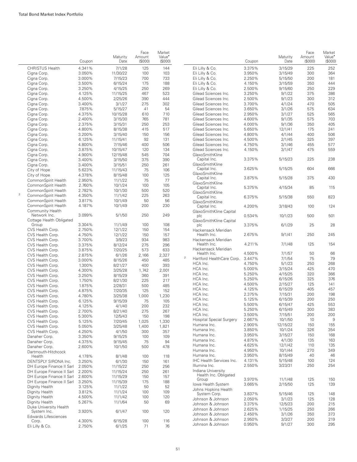|                |                                   | Coupon | Maturity<br>Date | Face<br>Amount<br>(S000) | Market<br>Value <sup>®</sup><br>(\$000) |             |                                    | Coupon | Maturity<br>Date | Face<br>Amount<br>(\$000) | Market<br>Value <sup>•</sup><br>(\$000) |
|----------------|-----------------------------------|--------|------------------|--------------------------|-----------------------------------------|-------------|------------------------------------|--------|------------------|---------------------------|-----------------------------------------|
|                | <b>CHRISTUS Health</b>            | 4.341% | 7/1/28           | 125                      | 144                                     |             | Eli Lilly & Co.                    | 3.375% | 3/15/29          | 225                       | 252                                     |
|                | Cigna Corp.                       | 3.050% | 11/30/22         | 100                      | 103                                     |             | Eli Lilly & Co.                    | 3.950% | 3/15/49          | 300                       | 364                                     |
|                | Cigna Corp.                       | 3.000% | 7/15/23          | 700                      | 733                                     |             | Eli Lilly & Co.                    | 2.250% | 5/15/50          | 200                       | 181                                     |
|                | Cigna Corp.                       | 3.500% | 6/15/24          | 175                      | 188                                     |             | Eli Lilly & Co.                    | 4.150% | 3/15/59          | 350                       | 444                                     |
|                | Cigna Corp.                       | 3.250% | 4/15/25          | 250                      | 269                                     |             | Eli Lilly & Co.                    | 2.500% | 9/15/60          | 250                       | 229                                     |
|                | Cigna Corp.                       | 4.125% | 11/15/25         | 467                      | 523                                     |             | Gilead Sciences Inc.               | 3.250% | 9/1/22           | 375                       | 386                                     |
|                | Cigna Corp.                       | 4.500% | 2/25/26          | 390                      | 444                                     |             | Gilead Sciences Inc.               | 2.500% | 9/1/23           | 300                       | 312                                     |
|                | Cigna Corp.                       | 3.400% | 3/1/27           | 275                      | 302                                     |             | Gilead Sciences Inc.               | 3.700% | 4/1/24           | 470                       | 505                                     |
|                |                                   | 7.875% |                  |                          | 54                                      |             | Gilead Sciences Inc.               | 3.650% |                  | 575                       | 634                                     |
|                | Cigna Corp.                       |        | 5/15/27          | 41                       |                                         |             |                                    |        | 3/1/26           |                           |                                         |
|                | Cigna Corp.                       | 4.375% | 10/15/28         | 610                      | 710                                     |             | Gilead Sciences Inc.               | 2.950% | 3/1/27           | 525                       | 565                                     |
|                | Cigna Corp.                       | 2.400% | 3/15/30          | 765                      | 781                                     |             | Gilead Sciences Inc.               | 4.600% | 9/1/35           | 575                       | 703                                     |
|                | Cigna Corp.                       | 2.375% | 3/15/31          | 250                      | 253                                     |             | Gilead Sciences Inc.               | 4.000% | 9/1/36           | 350                       | 405                                     |
|                | Cigna Corp.                       | 4.800% | 8/15/38          | 415                      | 517                                     |             | Gilead Sciences Inc.               | 5.650% | 12/1/41          | 175                       | 241                                     |
|                | Cigna Corp.                       | 3.200% | 3/15/40          | 150                      | 156                                     |             | Gilead Sciences Inc.               | 4.800% | 4/1/44           | 400                       | 506                                     |
|                | Cigna Corp.                       | 6.125% | 11/15/41         | 92                       | 131                                     |             | Gilead Sciences Inc.               | 4.500% | 2/1/45           | 325                       | 397                                     |
|                | Cigna Corp.                       | 4.800% | 7/15/46          | 400                      | 506                                     |             | Gilead Sciences Inc.               | 4.750% | 3/1/46           | 455                       | 577                                     |
|                | Cigna Corp.                       | 3.875% | 10/15/47         | 120                      | 134                                     |             | Gilead Sciences Inc.               | 4.150% | 3/1/47           | 475                       | 559                                     |
|                | Cigna Corp.                       | 4.900% | 12/15/48         | 545                      | 704                                     |             | GlaxoSmithKline                    |        |                  |                           |                                         |
|                | Cigna Corp.                       | 3.400% | 3/15/50          | 375                      | 390                                     |             | Capital Inc.                       | 3.375% | 5/15/23          | 225                       | 238                                     |
|                | Cigna Corp.                       | 3.400% | 3/15/51          | 250                      | 261                                     |             | GlaxoSmithKline                    |        |                  |                           |                                         |
|                | City of Hope                      | 5.623% | 11/15/43         | 75                       | 106                                     |             | Capital Inc.                       | 3.625% | 5/15/25          | 604                       | 666                                     |
|                | City of Hope                      | 4.378% | 8/15/48          | 100                      | 125                                     |             | GlaxoSmithKline                    |        |                  |                           |                                         |
|                | CommonSpirit Health               | 2.950% | 11/1/22          | 75                       | 77                                      |             | Capital Inc.                       | 3.875% | 5/15/28          | 375                       | 430                                     |
|                | CommonSpirit Health               | 2.760% | 10/1/24          | 100                      | 105                                     |             | GlaxoSmithKline                    |        |                  |                           |                                         |
|                | CommonSpirit Health               | 2.782% | 10/1/30          | 500                      | 520                                     |             | Capital Inc.                       | 5.375% | 4/15/34          | 85                        | 115                                     |
| $\overline{2}$ | CommonSpirit Health               | 4.350% | 11/1/42          | 225                      | 263                                     |             | GlaxoSmithKline                    |        |                  |                           |                                         |
|                | CommonSpirit Health               | 3.817% | 10/1/49          | 50                       | 56                                      |             | Capital Inc.                       | 6.375% | 5/15/38          | 550                       | 823                                     |
|                | CommonSpirit Health               | 4.187% | 10/1/49          |                          | 230                                     |             | GlaxoSmithKline                    |        |                  |                           |                                         |
|                |                                   |        |                  | 200                      |                                         |             | Capital Inc.                       | 4.200% | 3/18/43          | 100                       | 124                                     |
|                | Community Health<br>Network Inc.  | 3.099% | 5/1/50           | 250                      | 249                                     |             | GlaxoSmithKline Capital            |        |                  | 500                       |                                         |
|                |                                   |        |                  |                          |                                         |             | plc                                | 0.534% | 10/1/23          |                           | 501                                     |
|                | Cottage Health Obligated<br>Group | 3.304% | 11/1/49          | 100                      | 108                                     |             | GlaxoSmithKline Capital<br>plc     | 3.375% | 6/1/29           | 25                        | 28                                      |
|                | CVS Health Corp.                  | 2.750% | 12/1/22          | 150                      | 154                                     |             |                                    |        |                  |                           |                                         |
|                | CVS Health Corp.                  | 4.750% | 12/1/22          | 150                      | 157                                     |             | Hackensack Meridian<br>Health Inc. | 2.675% | 9/1/41           | 250                       | 245                                     |
|                | CVS Health Corp.                  | 3.700% | 3/9/23           | 934                      | 983                                     |             | Hackensack Meridian                |        |                  |                           |                                         |
|                |                                   |        |                  |                          | 296                                     |             | Health Inc.                        | 4.211% | 7/1/48           | 125                       | 154                                     |
|                | CVS Health Corp.                  | 3.375% | 8/12/24          | 275<br>573               | 633                                     |             | Hackensack Meridian                |        |                  |                           |                                         |
|                | CVS Health Corp.                  | 3.875% | 7/20/25          |                          |                                         |             | Health Inc.                        | 4.500% | 7/1/57           | 50                        | 66                                      |
|                | CVS Health Corp.                  | 2.875% | 6/1/26           | 2,166                    | 2,327                                   | $\mathbf 2$ | Hartford HealthCare Corp.          | 3.447% | 7/1/54           | 75                        | 79                                      |
|                | CVS Health Corp.                  | 3.000% | 8/15/26          | 450                      | 485                                     |             | HCA Inc.                           | 4.750% | 5/1/23           | 250                       | 268                                     |
|                | CVS Health Corp.                  | 1.300% | 8/21/27          | 400                      | 393                                     |             | HCA Inc.                           | 5.000% | 3/15/24          | 425                       | 470                                     |
|                | CVS Health Corp.                  | 4.300% | 3/25/28          | 1,742                    | 2,001                                   |             | HCA Inc.                           | 5.250% | 4/15/25          | 320                       | 366                                     |
|                | CVS Health Corp.                  | 3.250% | 8/15/29          | 360                      | 391                                     |             | HCA Inc.                           | 5.250% | 6/15/26          | 325                       | 376                                     |
|                | CVS Health Corp.                  | 1.750% | 8/21/30          | 225                      | 217                                     |             | HCA Inc.                           | 4.500% | 2/15/27          | 125                       | 141                                     |
|                | CVS Health Corp.                  | 1.875% | 2/28/31          | 500                      | 485                                     |             | HCA Inc.                           |        |                  |                           | 457                                     |
|                | CVS Health Corp.                  | 4.875% | 7/20/35          | 125                      | 152                                     |             |                                    | 4.125% | 6/15/29          | 405                       |                                         |
|                | CVS Health Corp.                  | 4.780% | 3/25/38          | 1,000                    | 1,230                                   |             | HCA Inc.                           | 2.375% | 7/15/31          | 200                       | 198                                     |
|                | CVS Health Corp.                  | 6.125% | 9/15/39          | 75                       | 105                                     |             | HCA Inc.                           | 5.125% | 6/15/39          | 200                       | 250                                     |
|                | CVS Health Corp.                  | 4.125% | 4/1/40           | 200                      | 232                                     |             | HCA Inc.                           | 5.500% | 6/15/47          | 425                       | 553                                     |
|                | CVS Health Corp.                  | 2.700% | 8/21/40          | 275                      | 267                                     |             | HCA Inc.                           | 5.250% | 6/15/49          | 300                       | 383                                     |
|                | CVS Health Corp.                  | 5.300% | 12/5/43          | 150                      | 198                                     |             | HCA Inc.                           | 3.500% | 7/15/51          | 200                       | 200                                     |
|                | CVS Health Corp.                  | 5.125% | 7/20/45          | 1,025                    | 1,330                                   |             | <b>Hospital Special Surgery</b>    | 2.667% | 10/1/50          | 10                        | 9                                       |
|                | CVS Health Corp.                  | 5.050% | 3/25/48          | 1,400                    | 1,821                                   |             | Humana Inc.                        | 2.900% | 12/15/22         | 150                       | 155                                     |
|                | CVS Health Corp.                  | 4.250% | 4/1/50           | 300                      | 357                                     |             | Humana Inc.                        | 3.850% | 10/1/24          | 326                       | 354                                     |
|                | Danaher Corp.                     | 3.350% | 9/15/25          | 100                      | 109                                     |             | Humana Inc.                        | 3.950% | 3/15/27          | 150                       | 168                                     |
|                | Danaher Corp.                     | 4.375% | 9/15/45          | 75                       | 94                                      |             | Humana Inc.                        | 4.875% | 4/1/30           | 135                       | 163                                     |
|                | Danaher Corp.                     | 2.600% | 10/1/50          | 500                      | 478                                     |             | Humana Inc.                        | 4.625% | 12/1/42          | 110                       | 135                                     |
|                | Dartmouth-Hitchcock               |        |                  |                          |                                         |             | Humana Inc.                        | 4.950% | 10/1/44          | 270                       | 349                                     |
|                | Health                            | 4.178% | 8/1/48           | 100                      | 118                                     |             | Humana Inc.                        | 3.950% | 8/15/49          | 40                        | 46                                      |
|                | DENTSPLY SIRONA Inc.              | 3.250% | 6/1/30           | 150                      | 161                                     |             | <b>IHC Health Services Inc.</b>    | 4.131% | 5/15/48          | 100                       | 124                                     |
|                | DH Europe Finance II Sarl 2.050%  |        | 11/15/22         |                          | 256                                     |             | Illumina Inc.                      | 2.550% | 3/23/31          | 250                       | 254                                     |
|                |                                   |        |                  | 250                      | 261                                     |             | Indiana University                 |        |                  |                           |                                         |
|                | DH Europe Finance II Sarl         | 2.200% | 11/15/24         | 250                      |                                         |             | Health Inc. Obligated              |        |                  |                           |                                         |
|                | DH Europe Finance II Sarl         | 2.600% | 11/15/29         | 150                      | 157                                     |             | Group                              | 3.970% | 11/1/48          | 125                       | 150                                     |
|                | DH Europe Finance II Sarl         | 3.250% | 11/15/39         | 175                      | 188                                     |             | lowa Health System                 | 3.665% | 2/15/50          | 125                       | 139                                     |
|                | Dignity Health                    | 3.125% | 11/1/22          | 50                       | 52                                      |             | Johns Hopkins Health               |        |                  |                           |                                         |
|                | Dignity Health                    | 3.812% | 11/1/24          | 100                      | 109                                     |             | System Corp.                       | 3.837% | 5/15/46          | 125                       | 148                                     |
|                | Dignity Health                    | 4.500% | 11/1/42          | 100                      | 120                                     |             | Johnson & Johnson                  | 2.050% | 3/1/23           | 125                       | 128                                     |
|                | Dignity Health                    | 5.267% | 11/1/64          | 50                       | 69                                      |             | Johnson & Johnson                  | 3.375% | 12/5/23          | 200                       | 215                                     |
|                | Duke University Health            |        |                  |                          |                                         |             | Johnson & Johnson                  | 2.625% | 1/15/25          | 250                       | 266                                     |
|                | System Inc.                       | 3.920% | 6/1/47           | 100                      | 120                                     |             | Johnson & Johnson                  | 2.450% | 3/1/26           | 350                       | 373                                     |
|                | Edwards Lifesciences              |        |                  |                          |                                         |             | Johnson & Johnson                  | 2.950% | 3/3/27           | 200                       | 219                                     |
|                | Corp.                             | 4.300% | 6/15/28          | 100                      | 116                                     |             | Johnson & Johnson                  | 0.950% | 9/1/27           | 300                       | 295                                     |
|                | Eli Lilly & Co.                   | 2.750% | 6/1/25           | 71                       | 76                                      |             |                                    |        |                  |                           |                                         |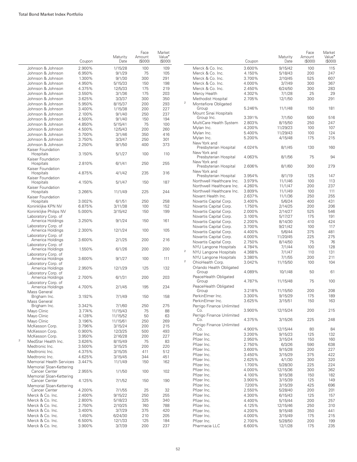|                                              | Coupon           | Maturity<br>Date   | Face<br>Amount<br>(S000) | Market<br>Value <sup>•</sup><br>$($ \$000 $)$ |
|----------------------------------------------|------------------|--------------------|--------------------------|-----------------------------------------------|
| Johnson & Johnson                            | 2.900%           | 1/15/28            | 100                      | 109                                           |
| Johnson & Johnson                            | 6.950%           | 9/1/29             | 75                       | 105                                           |
| Johnson & Johnson                            | 1.300%           | 9/1/30             | 300                      | 291                                           |
| Johnson & Johnson                            | 4.950%           | 5/15/33            | 150                      | 198                                           |
| Johnson & Johnson                            | 4.375%           | 12/5/33            | 175                      | 219                                           |
| Johnson & Johnson                            | 3.550%           | 3/1/36             | 175                      | 203                                           |
| Johnson & Johnson                            | 3.625%           | 3/3/37             | 300                      | 350                                           |
| Johnson & Johnson                            | 5.950%           | 8/15/37            | 200                      | 293                                           |
| Johnson & Johnson                            | 3.400%           | 1/15/38            | 200                      | 227                                           |
| Johnson & Johnson                            | 2.100%           | 9/1/40             | 250                      | 237                                           |
| Johnson & Johnson                            | 4.500%           | 9/1/40             | 150                      | 194                                           |
| Johnson & Johnson                            | 4.850%           | 5/15/41            | 75                       | 100                                           |
| Johnson & Johnson                            | 4.500%           | 12/5/43            | 200                      | 260                                           |
| Johnson & Johnson                            | 3.700%           | 3/1/46             | 350                      | 416                                           |
| Johnson & Johnson<br>Johnson & Johnson       | 3.750%<br>2.250% | 3/3/47             | 250<br>400               | 301<br>373                                    |
| Kaiser Foundation                            |                  | 9/1/50             |                          |                                               |
| Hospitals                                    | 3.150%           | 5/1/27             | 100                      | 110                                           |
| Kaiser Foundation<br>Hospitals               | 2.810%           | 6/1/41             | 250                      | 255                                           |
| Kaiser Foundation<br>Hospitals               | 4.875%           | 4/1/42             | 235                      | 316                                           |
| Kaiser Foundation<br>Hospitals               | 4.150%           | 5/1/47             | 150                      | 187                                           |
| Kaiser Foundation                            |                  |                    |                          |                                               |
| Hospitals<br>Kaiser Foundation               | 3.266%           | 11/1/49            | 225                      | 244                                           |
| Hospitals                                    | 3.002%           | 6/1/51             | 250<br>100               | 258<br>152                                    |
| Koninklijke KPN NV<br>Koninklijke Philips NV | 6.875%<br>5.000% | 3/11/38<br>3/15/42 | 150                      | 199                                           |
| Laboratory Corp. of<br>America Holdings      | 3.250%           | 9/1/24             | 150                      | 161                                           |
| Laboratory Corp. of                          | 2.300%           |                    | 100                      | 105                                           |
| America Holdings<br>Laboratory Corp. of      |                  | 12/1/24            |                          |                                               |
| America Holdings<br>Laboratory Corp. of      | 3.600%           | 2/1/25             | 200                      | 216                                           |
| America Holdings<br>Laboratory Corp. of      | 1.550%           | 6/1/26             | 200                      | 200                                           |
| America Holdings<br>Laboratory Corp. of      | 3.600%           | 9/1/27             | 100                      | 111                                           |
| America Holdings<br>Laboratory Corp. of      | 2.950%           | 12/1/29            | 125                      | 132                                           |
| America Holdings                             | 2.700%           | 6/1/31             | 200                      | 203                                           |
| Laboratory Corp. of<br>America Holdings      | 4.700%           | 2/1/45             | 195                      | 234                                           |
| Mass General<br>Brigham Inc.                 | 3.192%           | 7/1/49             | 150                      | 158                                           |
| Mass General<br>Brigham Inc.                 | 3.342%           | 7/1/60             | 250                      | 275                                           |
| Mayo Clinic                                  | 3.774%           | 11/15/43           | 75                       | 88                                            |
| Mayo Clinic                                  | 4.128%           | 11/15/52           | 50                       | 63                                            |
| Mavo Clinic                                  | 3.196%           | 11/15/61           | 250                      | 269                                           |
| McKesson Corp.                               | 3.796%           | 3/15/24            | 200                      | 215                                           |
| McKesson Corp.                               | 0.900%           | 12/3/25            | 500                      | 493                                           |
| McKesson Corp.                               | 3.950%           | 2/16/28            | 200                      | 227                                           |
| $\overline{2}$<br>MedStar Health Inc.        | 3.626%           | 8/15/49            | 75                       | 83                                            |
| Medtronic Inc.                               | 3.500%           | 3/15/25            | 200                      | 220                                           |
| Medtronic Inc.                               | 4.375%           | 3/15/35            | 411                      | 512                                           |
| Medtronic Inc.                               | 4.625%           | 3/15/45            | 344                      | 451                                           |
| Memorial Health Services                     | 3.447%           | 11/1/49            | 150                      | 162                                           |
| Memorial Sloan-Kettering<br>Cancer Center    | 2.955%           | 1/1/50             | 100                      | 102                                           |
| Memorial Sloan-Kettering<br>Cancer Center    | 4.125%           | 7/1/52             | 150                      | 190                                           |
| Memorial Sloan-Kettering<br>Cancer Center    | 4.200%           | 7/1/55             | 25                       | 32                                            |
| Merck & Co. Inc.                             | 2.400%           | 9/15/22            | 250                      | 255                                           |
| Merck & Co. Inc.                             | 2.800%           | 5/18/23            | 325                      | 340                                           |
| Merck & Co. Inc.                             | 2.750%           | 2/10/25            | 740                      | 788                                           |
| Merck & Co. Inc.                             | 3.400%           | 3/7/29             | 375                      | 420                                           |
| Merck & Co. Inc.                             | 1.450%           | 6/24/30            | 210                      | 205                                           |
| Merck & Co. Inc.                             | 6.500%           | 12/1/33            | 125                      | 184                                           |
| Merck & Co. Inc.                             | 3.900%           | 3/7/39             | 200                      | 237                                           |

|                |                                               | Coupon           | Maturity<br>Date   | Face<br>Amount<br>(S000) | Market<br>Value <sup>•</sup><br>(S000) |
|----------------|-----------------------------------------------|------------------|--------------------|--------------------------|----------------------------------------|
|                | Merck & Co. Inc.                              | 3.600%           | 9/15/42            | 100                      | 115                                    |
|                | Merck & Co. Inc.                              | 4.150%           | 5/18/43            | 200                      | 247                                    |
|                | Merck & Co. Inc.                              | 3.700%           | 2/10/45            | 525                      | 607                                    |
|                | Merck & Co. Inc.                              | 4.000%           | 3/7/49             | 300                      | 367                                    |
|                | Merck & Co. Inc.                              | 2.450%           | 6/24/50            | 300                      | 283                                    |
|                | Mercy Health                                  | 4.302%           | 7/1/28             | 25                       | 29                                     |
|                | Methodist Hospital                            | 2.705%           | 12/1/50            | 300                      | 291                                    |
| 2              | Montefiore Obligated                          |                  |                    |                          |                                        |
|                | Group                                         | 5.246%           | 11/1/48            | 150                      | 181                                    |
|                | Mount Sinai Hospitals                         |                  |                    |                          |                                        |
|                | Group Inc.                                    | 3.391%           | 7/1/50             | 500                      | 516                                    |
|                | MultiCare Health System                       | 2.803%           | 8/15/50            | 250                      | 247                                    |
|                | Mylan Inc.                                    | 4.200%           | 11/29/23           | 100                      | 107                                    |
|                | Mylan Inc.                                    | 5.400%           | 11/29/43           | 100                      | 124                                    |
|                | Mylan Inc.                                    | 5.200%           | 4/15/48            | 175                      | 215                                    |
|                | New York and<br>Presbyterian Hospital         | 4.024%           | 8/1/45             | 130                      | 160                                    |
|                | New York and<br>Presbyterian Hospital         | 4.063%           | 8/1/56             | 75                       | 94                                     |
|                | New York and<br>Presbyterian Hospital         | 2.606%           | 8/1/60             | 300                      | 279                                    |
|                | New York and<br>Presbyterian Hospital         | 3.954%           | 8/1/19             | 125                      | 147                                    |
|                | Northwell Healthcare Inc.                     | 3.979%           | 11/1/46            | 100                      | 113                                    |
|                | Northwell Healthcare Inc.                     | 4.260%           | 11/1/47            | 200                      | 237                                    |
|                | Northwell Healthcare Inc.                     | 3.809%           | 11/1/49            | 100                      | 111                                    |
|                | Novant Health Inc.                            | 2.637%           | 11/1/36            | 250                      | 255                                    |
|                | Novartis Capital Corp.                        | 3.400%           | 5/6/24             | 400                      | 431                                    |
|                | Novartis Capital Corp.                        | 1.750%           | 2/14/25            | 200                      | 206                                    |
|                | Novartis Capital Corp.                        | 2.000%           | 2/14/27            | 525                      | 546                                    |
|                | Novartis Capital Corp.                        | 3.100%           | 5/17/27            | 175                      | 191                                    |
|                | Novartis Capital Corp.                        | 2.200%           | 8/14/30            | 410                      | 424                                    |
|                | Novartis Capital Corp.                        | 3.700%           | 9/21/42            | 100                      | 117                                    |
|                | Novartis Capital Corp.                        | 4.400%           | 5/6/44             | 375                      | 481                                    |
|                | Novartis Capital Corp.                        | 4.000%           | 11/20/45           | 225                      | 275                                    |
|                | Novartis Capital Corp.                        | 2.750%           | 8/14/50            | 75                       | 76                                     |
|                | NYU Langone Hospitals                         | 4.784%           | 7/1/44             | 100                      | 128                                    |
| $\overline{2}$ | NYU Langone Hospitals                         | 4.368%           | 7/1/47             | 110                      | 131                                    |
|                | NYU Langone Hospitals                         | 3.380%           | 7/1/55             | 200                      | 211                                    |
| 2              | OhioHealth Corp.                              | 3.042%           | 11/15/50           | 100                      | 104                                    |
|                | Orlando Health Obligated                      |                  |                    |                          |                                        |
|                | Group<br>PeaceHealth Obligated                | 4.089%           | 10/1/48            | 50                       | 61                                     |
|                | Group<br>PeaceHealth Obligated                | 4.787%           | 11/15/48           | 75                       | 100                                    |
|                | Group                                         | 3.218%           | 11/15/50           | 200                      | 208                                    |
|                | PerkinElmer Inc.                              | 3.300%           | 9/15/29            | 175                      | 189                                    |
|                | PerkinElmer Inc.<br>Perrigo Finance Unlimited | 3.625%           | 3/15/51            | 150                      | 163                                    |
|                | <u>െ</u><br>Perrigo Finance Unlimited         | 3.900%           | 12/15/24           | 200                      | 215                                    |
|                | Co.                                           | 4.375%           | 3/15/26            | 225                      | 248                                    |
|                | Perrigo Finance Unlimited                     |                  |                    |                          |                                        |
|                | Co.<br>Pfizer Inc.                            | 4.900%<br>3.200% | 12/15/44           | 80                       | 84<br>132                              |
|                | Pfizer Inc.                                   | 2.950%           | 9/15/23<br>3/15/24 | 125<br>150               | 160                                    |
|                | Pfizer Inc.                                   | 2.750%           | 6/3/26             | 590                      | 638                                    |
|                | Pfizer Inc.                                   | 3.600%           | 9/15/28            | 200                      | 227                                    |
|                | Pfizer Inc.                                   | 3.450%           | 3/15/29            | 375                      | 422                                    |
|                | Pfizer Inc.                                   | 2.625%           | 4/1/30             | 300                      | 320                                    |
|                | Pfizer Inc.                                   | 1.700%           | 5/28/30            | 225                      | 224                                    |
|                | Pfizer Inc.                                   | 4.000%           | 12/15/36           | 300                      | 362                                    |
|                | Pfizer Inc.                                   | 4.100%           | 9/15/38            | 150                      | 182                                    |
|                | Pfizer Inc.                                   | 3.900%           | 3/15/39            | 125                      | 149                                    |
|                | Pfizer Inc.                                   | 7.200%           | 3/15/39            | 425                      | 696                                    |
|                | Pfizer Inc.                                   | 2.550%           | 5/28/40            | 200                      | 201                                    |
|                | Pfizer Inc.                                   | 4.300%           | 6/15/43            | 125                      | 157                                    |
|                | Pfizer Inc.                                   | 4.400%           | 5/15/44            | 200                      | 257                                    |
|                | Pfizer Inc.                                   | 4.125%           | 12/15/46           | 250                      | 310                                    |
|                | Pfizer Inc.                                   | 4.200%           | 9/15/48            | 350                      | 441                                    |
|                | Pfizer Inc.                                   | 4.000%           | 3/15/49            | 175                      | 215                                    |
|                | Pfizer Inc.                                   | 2.700%           | 5/28/50            | 200                      | 199                                    |
|                | Pharmacia LLC                                 | 6.600%           | 12/1/28            | 175                      | 235                                    |
|                |                                               |                  |                    |                          |                                        |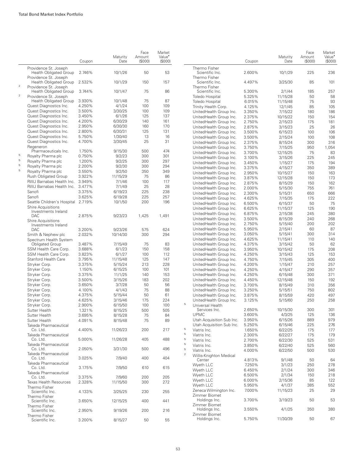|              |                                                                                 | Coupon           | Maturity<br>Date | Face<br>Amount<br>(S000) | Market<br>Value <sup>*</sup><br>(\$000) |                |                                                   | Coupon | Maturity<br>Date | Face<br>Amount<br>(\$000) | Market<br>Value <sup>*</sup><br>(S000) |
|--------------|---------------------------------------------------------------------------------|------------------|------------------|--------------------------|-----------------------------------------|----------------|---------------------------------------------------|--------|------------------|---------------------------|----------------------------------------|
|              | Providence St. Joseph<br><b>Health Obligated Group</b>                          | 2.746%           | 10/1/26          | 50                       | 53                                      |                | Thermo Fisher<br>Scientific Inc.                  | 2.600% | 10/1/29          | 225                       | 236                                    |
| $\sqrt{2}$   | Providence St. Joseph<br><b>Health Obligated Group</b><br>Providence St. Joseph | 2.532%           | 10/1/29          | 150                      | 157                                     |                | Thermo Fisher<br>Scientific Inc.<br>Thermo Fisher | 4.497% | 3/25/30          | 85                        | 101                                    |
| $\mathbf{2}$ | <b>Health Obligated Group</b>                                                   | 3.744%           | 10/1/47          | 75                       | 86                                      |                | Scientific Inc.                                   | 5.300% | 2/1/44           | 185                       | 257                                    |
|              | Providence St. Joseph                                                           |                  |                  |                          |                                         |                | Toledo Hospital                                   | 5.325% | 11/15/28         | 50                        | 58                                     |
|              | <b>Health Obligated Group</b>                                                   | 3.930%           | 10/1/48          | 75                       | 87                                      |                | Toledo Hospital                                   | 6.015% | 11/15/48         | 75                        | 93                                     |
|              | Quest Diagnostics Inc.                                                          | 4.250%           | 4/1/24           | 100                      | 109                                     |                | Trinity Health Corp.                              | 4.125% | 12/1/45          | 85                        | 105                                    |
|              | Quest Diagnostics Inc.                                                          | 3.500%           | 3/30/25          | 100                      | 109                                     |                | UnitedHealth Group Inc.                           | 3.350% | 7/15/22          | 180                       | 186                                    |
|              | Quest Diagnostics Inc.                                                          | 3.450%           | 6/1/26           | 125                      | 137                                     |                | UnitedHealth Group Inc.                           | 2.375% | 10/15/22         | 150                       | 154                                    |
|              | Quest Diagnostics Inc.                                                          | 4.200%           | 6/30/29          | 140                      | 161                                     |                | UnitedHealth Group Inc.                           | 2.750% | 2/15/23          | 175                       | 181                                    |
|              | Quest Diagnostics Inc.                                                          | 2.950%           | 6/30/30          | 160                      | 170                                     |                | UnitedHealth Group Inc.                           | 2.875% | 3/15/23          | 25                        | 26                                     |
|              | Quest Diagnostics Inc.                                                          | 2.800%           | 6/30/31          | 125                      | 131                                     |                | UnitedHealth Group Inc.                           | 3.500% | 6/15/23          | 100                       | 106                                    |
|              | Quest Diagnostics Inc.                                                          | 5.750%           | 1/30/40          | 13                       | 16                                      |                | UnitedHealth Group Inc.                           | 3.500% | 2/15/24          | 100                       | 108                                    |
|              | Quest Diagnostics Inc.                                                          | 4.700%           | 3/30/45          | 25                       | 31                                      |                | UnitedHealth Group Inc.                           | 2.375% | 8/15/24          | 300                       | 316                                    |
|              | Regeneron                                                                       |                  |                  |                          |                                         |                | UnitedHealth Group Inc.                           | 3.750% | 7/15/25          | 950                       | 1,054                                  |
| 5            | Pharmaceuticals Inc.                                                            | 1.750%           | 9/15/30          | 500                      | 474                                     |                | UnitedHealth Group Inc.                           | 3.700% | 12/15/25         | 75                        | 83                                     |
| $\mathbf 5$  | Royalty Pharma plc                                                              | 0.750%           | 9/2/23           | 300                      | 301                                     |                | UnitedHealth Group Inc.                           | 3.100% | 3/15/26          | 225                       | 245                                    |
| $\mathbf 5$  | Royalty Pharma plc<br>Royalty Pharma plc                                        | 1.200%<br>2.200% | 9/2/25<br>9/2/30 | 300<br>300               | 297<br>294                              |                | UnitedHealth Group Inc.                           | 3.450% | 1/15/27          | 175                       | 194                                    |
| 5            |                                                                                 | 3.550%           |                  |                          | 349                                     |                | UnitedHealth Group Inc.                           | 3.375% | 4/15/27          | 350                       | 389                                    |
|              | Royalty Pharma plc                                                              |                  | 9/2/50           | 350                      |                                         |                | UnitedHealth Group Inc.                           | 2.950% | 10/15/27         | 150                       | 163                                    |
|              | Rush Obligated Group                                                            | 3.922%           | 11/15/29         | 75                       | 86                                      |                | UnitedHealth Group Inc.                           | 3.875% | 12/15/28         | 150                       | 173                                    |
|              | RWJ Barnabas Health Inc.                                                        | 3.949%           | 7/1/46           | 100                      | 117                                     |                | UnitedHealth Group Inc.                           | 2.875% | 8/15/29          | 150                       | 162                                    |
|              | RWJ Barnabas Health Inc.                                                        | 3.477%           | 7/1/49           | 25                       | 28                                      |                | UnitedHealth Group Inc.                           | 2.000% | 5/15/30          | 755                       | 761                                    |
|              | Sanofi                                                                          | 3.375%           | 6/19/23          | 225                      | 238                                     |                | UnitedHealth Group Inc.                           | 2.300% | 5/15/31          | 650                       | 666                                    |
|              | Sanofi                                                                          | 3.625%           | 6/19/28          | 225                      | 257                                     |                | UnitedHealth Group Inc.                           | 4.625% | 7/15/35          | 175                       | 222                                    |
|              | Seattle Children's Hospital                                                     | 2.719%           | 10/1/50          | 200                      | 196                                     |                | UnitedHealth Group Inc.                           | 6.500% | 6/15/37          | 50                        | 75                                     |
|              | <b>Shire Acquisitions</b><br>Investments Ireland                                |                  |                  |                          |                                         |                | UnitedHealth Group Inc.                           | 6.625% | 11/15/37         | 125                       | 190                                    |
|              | DAC                                                                             | 2.875%           | 9/23/23          | 1,425                    | 1,491                                   |                | UnitedHealth Group Inc.                           | 6.875% | 2/15/38          | 245                       | 380                                    |
|              | <b>Shire Acquisitions</b>                                                       |                  |                  |                          |                                         |                | UnitedHealth Group Inc.                           | 3.500% | 8/15/39          | 240                       | 268                                    |
|              | Investments Ireland                                                             |                  |                  |                          |                                         |                | UnitedHealth Group Inc.                           | 2.750% | 5/15/40          | 200                       | 202                                    |
|              | <b>DAC</b>                                                                      | 3.200%           | 9/23/26          | 575                      | 624                                     |                | UnitedHealth Group Inc.                           | 5.950% | 2/15/41          | 60                        | 87                                     |
|              | Smith & Nephew plc                                                              | 2.032%           | 10/14/30         | 300                      | 294                                     |                | UnitedHealth Group Inc.                           | 3.050% | 5/15/41          | 300                       | 314                                    |
|              | Spectrum Health System                                                          |                  |                  |                          |                                         |                | UnitedHealth Group Inc.                           | 4.625% | 11/15/41         | 110                       | 140                                    |
|              | <b>Obligated Group</b>                                                          | 3.487%           | 7/15/49          | 75                       | 83                                      |                | UnitedHealth Group Inc.                           | 4.375% | 3/15/42          | 50                        | 62                                     |
|              | SSM Health Care Corp.                                                           | 3.688%           | 6/1/23           | 150                      | 158                                     |                | UnitedHealth Group Inc.                           | 3.950% | 10/15/42         | 175                       | 208                                    |
|              | SSM Health Care Corp.                                                           | 3.823%           | 6/1/27           | 100                      | 112                                     |                | UnitedHealth Group Inc.                           | 4.250% | 3/15/43          | 125                       | 153                                    |
|              | Stanford Health Care                                                            | 3.795%           | 11/15/48         | 125                      | 147                                     |                | UnitedHealth Group Inc.                           | 4.750% | 7/15/45          | 305                       | 400                                    |
|              | Stryker Corp.                                                                   | 3.375%           | 5/15/24          | 213                      | 228                                     |                | UnitedHealth Group Inc.                           | 4.200% | 1/15/47          | 210                       | 257                                    |
|              | Stryker Corp.                                                                   | 1.150%           | 6/15/25          | 100                      | 101                                     |                | UnitedHealth Group Inc.                           | 4.250% | 4/15/47          | 290                       | 357                                    |
|              | Stryker Corp.                                                                   | 3.375%           | 11/1/25          | 140                      | 153                                     |                | UnitedHealth Group Inc.                           | 4.250% | 6/15/48          | 300                       | 371                                    |
|              | Stryker Corp.                                                                   | 3.500%           | 3/15/26          | 183                      | 202                                     |                | UnitedHealth Group Inc.                           | 4.450% | 12/15/48         | 150                       | 192                                    |
|              | Stryker Corp.                                                                   | 3.650%           | 3/7/28           | 50                       | 56                                      |                | UnitedHealth Group Inc.                           | 3.700% | 8/15/49          | 310                       | 356                                    |
|              | Stryker Corp.                                                                   | 4.100%           | 4/1/43           | 75                       | 88                                      |                | UnitedHealth Group Inc.                           | 3.250% | 5/15/51          | 750                       | 802                                    |
|              | Stryker Corp.                                                                   | 4.375%           | 5/15/44          | 50                       | 61                                      |                | UnitedHealth Group Inc.                           | 3.875% | 8/15/59          | 420                       | 497                                    |
|              | Stryker Corp.                                                                   | 4.625%           | 3/15/46          | 175                      | 224                                     |                | UnitedHealth Group Inc.                           | 3.125% | 5/15/60          | 250                       | 258                                    |
|              | Stryker Corp.                                                                   | 2.900%           | 6/15/50          | 100                      | 100                                     | 5              | Universal Health                                  |        |                  |                           |                                        |
|              | Sutter Health                                                                   | 1.321%           | 8/15/25          | 500                      | 505                                     |                | Services Inc.                                     | 2.650% | 10/15/30         | 300                       | 301                                    |
|              | Sutter Health                                                                   | 3.695%           | 8/15/28          | 75                       | 84                                      |                | <b>UPMC</b>                                       | 3.600% | 4/3/25           | 125                       | 136                                    |
|              | Sutter Health                                                                   | 4.091%           | 8/15/48          | 75                       | 89                                      |                | Utah Acquisition Sub Inc.                         | 3.950% | 6/15/26          | 889                       | 979                                    |
|              | Takeda Pharmaceutical                                                           |                  |                  |                          |                                         | 5              | Utah Acquisition Sub Inc.                         | 5.250% | 6/15/46          | 225                       | 276                                    |
|              | Co. Ltd.                                                                        | 4.400%           | 11/26/23         | 200                      | 217                                     | $\mathbf 5$    | Viatris Inc.                                      | 1.650% | 6/22/25          | 175                       | 177                                    |
|              | Takeda Pharmaceutical<br>Co. Ltd.                                               | 5.000%           | 11/26/28         | 405                      | 488                                     | 5              | Viatris Inc.                                      | 2.300% | 6/22/27          | 175                       | 179                                    |
|              | Takeda Pharmaceutical                                                           |                  |                  |                          |                                         | 5              | Viatris Inc.                                      | 2.700% | 6/22/30          | 525                       | 531                                    |
|              | Co. Ltd.                                                                        | 2.050%           | 3/31/30          | 500                      | 496                                     | 5              | Viatris Inc.                                      | 3.850% | 6/22/40          | 525                       | 560                                    |
|              | Takeda Pharmaceutical                                                           |                  |                  |                          |                                         | $\overline{2}$ | Viatris Inc.<br>Willis-Knighton Medical           | 4.000% | 6/22/50          | 500                       | 530                                    |
|              | Co. Ltd.                                                                        | 3.025%           | 7/9/40           | 400                      | 404                                     |                | Center                                            | 4.813% | 9/1/48           | 50                        | 64                                     |
|              | Takeda Pharmaceutical                                                           |                  |                  |                          |                                         |                | Wyeth LLC                                         | 7.250% | 3/1/23           | 250                       | 278                                    |
|              | Co. Ltd.                                                                        | 3.175%           | 7/9/50           | 610                      | 615                                     |                | Wyeth LLC                                         | 6.450% | 2/1/24           | 300                       | 346                                    |
|              | Takeda Pharmaceutical                                                           |                  |                  |                          |                                         |                | Wyeth LLC                                         | 6.500% | 2/1/34           | 150                       | 218                                    |
|              | Co. Ltd.                                                                        | 3.375%           | 7/9/60           | 200                      | 205                                     |                | Wyeth LLC                                         | 6.000% | 2/15/36          | 85                        | 122                                    |
|              | <b>Texas Health Resources</b>                                                   | 2.328%           | 11/15/50         | 300                      | 272                                     |                | Wyeth LLC                                         | 5.950% | 4/1/37           | 385                       | 552                                    |
|              | Thermo Fisher                                                                   |                  |                  |                          |                                         |                | Zeneca Wilmington Inc.                            | 7.000% | 11/15/23         | 25                        | 29                                     |
|              | Scientific Inc.<br>Thermo Fisher                                                | 4.133%           | 3/25/25          | 230                      | 255                                     |                | Zimmer Biomet                                     |        |                  |                           |                                        |
|              | Scientific Inc.                                                                 | 3.650%           | 12/15/25         | 400                      | 441                                     |                | Holdings Inc.                                     | 3.700% | 3/19/23          | 50                        | 53                                     |
|              | Thermo Fisher                                                                   |                  |                  |                          |                                         |                | Zimmer Biomet                                     |        |                  |                           |                                        |
|              | Scientific Inc.                                                                 | 2.950%           | 9/19/26          | 200                      | 216                                     |                | Holdings Inc.                                     | 3.550% | 4/1/25           | 350                       | 380                                    |
|              | Thermo Fisher                                                                   |                  |                  |                          |                                         |                | Zimmer Biomet                                     |        |                  |                           |                                        |
|              | Scientific Inc.                                                                 | 3.200%           | 8/15/27          | 50                       | 55                                      |                | Holdings Inc.                                     | 5.750% | 11/30/39         | 50                        | 67                                     |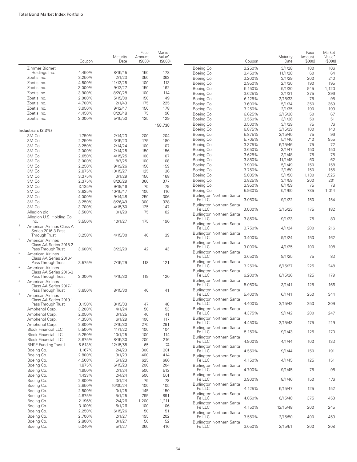|              |                                                                   | Coupon           | Maturity<br>Date    | Face<br>Amount<br>(S000) | Market<br>Value <sup>•</sup><br>(S000) |  |
|--------------|-------------------------------------------------------------------|------------------|---------------------|--------------------------|----------------------------------------|--|
|              | Zimmer Biomet                                                     |                  |                     |                          |                                        |  |
|              | Holdings Inc.                                                     | 4.450%           | 8/15/45             | 150                      | 178                                    |  |
|              | Zoetis Inc.                                                       | 3.250%           | 2/1/23              | 350                      | 363                                    |  |
|              | Zoetis Inc.                                                       | 4.500%           | 11/13/25            | 100                      | 113                                    |  |
|              | Zoetis Inc.                                                       | 3.000%           | 9/12/27             | 150                      | 162                                    |  |
|              | Zoetis Inc.                                                       | 3.900%           | 8/20/28             | 100                      | 114                                    |  |
|              | Zoetis Inc.                                                       | 2.000%           | 5/15/30             | 150                      | 149                                    |  |
|              | Zoetis Inc.                                                       | 4.700%           | 2/1/43              | 175                      | 225                                    |  |
|              | Zoetis Inc.                                                       | 3.950%           | 9/12/47             | 150                      | 178                                    |  |
|              | Zoetis Inc.<br>Zoetis Inc.                                        | 4.450%           | 8/20/48<br>5/15/50  | 75                       | 96<br>129                              |  |
|              |                                                                   | 3.000%           |                     | 125                      | 158,738                                |  |
|              | Industrials (2.3%)                                                |                  |                     |                          |                                        |  |
|              | 3M Co.                                                            | 1.750%           | 2/14/23             | 200                      | 204                                    |  |
|              | 3M Co.                                                            | 2.250%           | 3/15/23             | 175                      | 180                                    |  |
|              | 3M Co.                                                            | 3.250%           | 2/14/24             | 100                      | 107                                    |  |
|              | 3M Co.                                                            | 2.000%           | 2/14/25             | 150                      | 156                                    |  |
|              | 3M Co.                                                            | 2.650%           | 4/15/25             | 100                      | 107                                    |  |
|              | 3M Co.<br>3M Co.                                                  | 3.000%           | 8/7/25              | 100                      | 108                                    |  |
|              | 3M Co.                                                            | 2.250%<br>2.875% | 9/19/26<br>10/15/27 | 150                      | 159                                    |  |
|              | 3M Co.                                                            | 3.375%           | 3/1/29              | 125<br>150               | 136<br>168                             |  |
|              | 3M Co.                                                            | 2.375%           | 8/26/29             | 360                      | 377                                    |  |
|              | 3M Co.                                                            | 3.125%           | 9/19/46             | 75                       | 79                                     |  |
|              | 3M Co.                                                            | 3.625%           | 10/15/47            | 100                      | 116                                    |  |
|              | 3M Co.                                                            | 4.000%           | 9/14/48             | 250                      | 306                                    |  |
|              | 3M Co.                                                            | 3.250%           | 8/26/49             | 300                      | 328                                    |  |
|              | 3M Co.                                                            | 3.700%           | 4/15/50             | 125                      | 147                                    |  |
|              | Allegion plc                                                      | 3.500%           | 10/1/29             | 75                       | 82                                     |  |
|              | Allegion U.S. Holding Co.<br>Inc.                                 | 3.550%           | 10/1/27             | 175                      | 190                                    |  |
| $\mathbf{2}$ | American Airlines Class A<br>Series 2016-3 Pass                   |                  |                     |                          |                                        |  |
| $\mathbf{2}$ | Through Trust<br>American Airlines<br>Class AA Series 2015-2      | 3.250%           | 4/15/30             | 40                       | 39                                     |  |
| $\mathbf{2}$ | Pass Through Trust<br>American Airlines                           | 3.600%           | 3/22/29             | 42                       | 43                                     |  |
| 2            | Class AA Series 2016-1<br>Pass Through Trust<br>American Airlines | 3.575%           | 7/15/29             | 118                      | 121                                    |  |
| 2            | Class AA Series 2016-3<br>Pass Through Trust<br>American Airlines | 3.000%           | 4/15/30             | 119                      | 120                                    |  |
| $\mathbf{2}$ | Class AA Series 2017-1<br>Pass Through Trust                      | 3.650%           | 8/15/30             | 40                       | 41                                     |  |
|              | American Airlines<br>Class AA Series 2019-1                       |                  |                     |                          |                                        |  |
|              | Pass Through Trust                                                | 3.150%           | 8/15/33             | 47                       | 48                                     |  |
|              | Amphenol Corp.<br>Amphenol Corp.                                  | 3.200%<br>2.050% | 4/1/24<br>3/1/25    | 50<br>40                 | 53<br>41                               |  |
|              | Amphenol Corp.                                                    | 4.350%           | 6/1/29              | 100                      | 117                                    |  |
|              | Amphenol Corp.                                                    | 2.800%           | 2/15/30             | 275                      | 291                                    |  |
|              | <b>Block Financial LLC</b>                                        | 5.500%           | 11/1/22             | 100                      | 104                                    |  |
|              | <b>Block Financial LLC</b>                                        | 5.250%           | 10/1/25             | 100                      | 114                                    |  |
|              | <b>Block Financial LLC</b>                                        | 3.875%           | 8/15/30             | 200                      | 216                                    |  |
|              | <b>BNSF Funding Trust I</b>                                       | 6.613%           | 12/15/55            | 65                       | 74                                     |  |
|              | Boeina Co.                                                        | 1.167%           | 2/4/23              | 300                      | 301                                    |  |
|              | Boeing Co.                                                        | 2.800%           | 3/1/23              | 400                      | 414                                    |  |
|              | Boeing Co.                                                        | 4.508%           | 5/1/23              | 625                      | 666                                    |  |
|              | Boeing Co.                                                        | 1.875%           | 6/15/23             | 200                      | 204                                    |  |
|              | Boeing Co.                                                        | 1.950%           | 2/1/24              | 500                      | 512                                    |  |
|              | Boeing Co.                                                        | 1.433%           | 2/4/24              | 500                      | 501                                    |  |
|              | Boeing Co.                                                        | 2.800%           | 3/1/24              | 75                       | 78                                     |  |
|              | Boeing Co.                                                        | 2.850%           | 10/30/24            | 100                      | 105                                    |  |
|              | Boeing Co.                                                        | 2.500%           | 3/1/25              | 145                      | 150                                    |  |
|              | Boeing Co.                                                        | 4.875%           | 5/1/25              | 795                      | 891                                    |  |
|              | Boeing Co.                                                        | 2.196%           | 2/4/26              | 1,200                    | 1,211                                  |  |
|              | Boeing Co.                                                        | 3.100%           | 5/1/26              | 100                      | 106                                    |  |
|              | Boeing Co.                                                        | 2.250%           | 6/15/26             | 50                       | 51                                     |  |
|              | Boeing Co.                                                        | 2.700%           | 2/1/27              | 195                      | 202                                    |  |
|              | Boeing Co.<br>Boeing Co.                                          | 2.800%<br>5.040% | 3/1/27<br>5/1/27    | 50<br>360                | 52<br>416                              |  |
|              |                                                                   |                  |                     |                          |                                        |  |

|                                                      | Coupon           | Maturity<br>Date  | Face<br>Amount<br>(S000) | Market<br>Value <sup>•</sup><br>(\$000) |
|------------------------------------------------------|------------------|-------------------|--------------------------|-----------------------------------------|
| Boeing Co.                                           | 3.250%           | 3/1/28            | 100                      | 106                                     |
| Boeing Co.                                           | 3.450%           | 11/1/28           | 60                       | 64                                      |
| Boeing Co.                                           | 3.200%           | 3/1/29            | 200                      | 210                                     |
| Boeing Co.                                           | 2.950%           | 2/1/30            | 190                      | 195                                     |
| Boeing Co.                                           | 5.150%           | 5/1/30            | 945                      | 1,120                                   |
| Boeing Co.                                           | 3.625%           | 2/1/31            | 275                      | 296                                     |
| Boeing Co.<br>Boeing Co.                             | 6.125%<br>3.600% | 2/15/33           | 75<br>350                | 95<br>369                               |
| Boeing Co.                                           | 3.250%           | 5/1/34<br>2/1/35  | 190                      | 193                                     |
| Boeing Co.                                           | 6.625%           | 2/15/38           | 50                       | 67                                      |
| Boeing Co.                                           | 3.550%           | 3/1/38            | 50                       | 51                                      |
| Boeing Co.                                           | 3.500%           | 3/1/39            | 75                       | 76                                      |
| Boeing Co.                                           | 6.875%           | 3/15/39           | 100                      | 140                                     |
| Boeing Co.                                           | 5.875%           | 2/15/40           | 75                       | 96                                      |
| Boeing Co.                                           | 5.705%           | 5/1/40            | 740                      | 955                                     |
| Boeing Co.<br>Boeing Co.                             | 3.375%<br>3.650% | 6/15/46<br>3/1/47 | 75<br>150                | 72<br>150                               |
| Boeing Co.                                           | 3.625%           | 3/1/48            | 75                       | 75                                      |
| Boeing Co.                                           | 3.850%           | 11/1/48           | 60                       | 62                                      |
| Boeing Co.                                           | 3.900%           | 5/1/49            | 150                      | 158                                     |
| Boeing Co.                                           | 3.750%           | 2/1/50            | 150                      | 155                                     |
| Boeing Co.                                           | 5.805%           | 5/1/50            | 1,130                    | 1,525                                   |
| Boeing Co.                                           | 3.825%           | 3/1/59            | 200                      | 201                                     |
| Boeing Co.                                           | 3.950%           | 8/1/59            | 75                       | 78                                      |
| Boeing Co.<br>Burlington Northern Santa              | 5.930%           | 5/1/60            | 735                      | 1,014                                   |
| $Fe \perp\!\!\!\perp C$<br>Burlington Northern Santa | 3.050%           | 9/1/22            | 150                      | 154                                     |
| Fe LLC<br>Burlington Northern Santa                  | 3.000%           | 3/15/23           | 175                      | 182                                     |
| Fe LLC<br>Burlington Northern Santa                  | 3.850%           | 9/1/23            | 75                       | 80                                      |
| Fe LLC<br>Burlington Northern Santa                  | 3.750%           | 4/1/24            | 200                      | 216                                     |
| Fe LLC<br>Burlington Northern Santa                  | 3.400%           | 9/1/24            | 150                      | 162                                     |
| Fe LLC<br>Burlington Northern Santa                  | 3.000%           | 4/1/25            | 100                      | 108                                     |
| Fe LLC                                               | 3.650%           | 9/1/25            | 75                       | 83                                      |
| Burlington Northern Santa<br>Fe LLC                  | 3.250%           | 6/15/27           | 225                      | 248                                     |
| Burlington Northern Santa<br>Fe LLC                  | 6.200%           | 8/15/36           | 125                      | 179                                     |
| Burlington Northern Santa<br>Fe LLC                  | 5.050%           | 3/1/41            | 125                      | 166                                     |
| Burlington Northern Santa<br>Fe LLC                  | 5.400%           | 6/1/41            | 250                      | 344                                     |
| Burlington Northern Santa<br>Fe LLC                  | 4.400%           | 3/15/42           | 250                      | 309                                     |
| Burlington Northern Santa<br>Fe LLC                  | 4.375%           | 9/1/42            | 200                      | 247                                     |
| Burlington Northern Santa<br>Fe LLC                  | 4.450%           | 3/15/43           | 175                      | 219                                     |
| Burlington Northern Santa<br>Fe LLC                  | 5.150%           | 9/1/43            | 125                      | 170                                     |
| Burlington Northern Santa<br>Fe LLC                  | 4.900%           | 4/1/44            | 100                      | 133                                     |
| Burlington Northern Santa<br>Fe LLC                  | 4.550%           | 9/1/44            | 150                      | 191                                     |
| Burlington Northern Santa<br>Fe LLC                  | 4.150%           | 4/1/45            | 125                      | 151                                     |
| Burlington Northern Santa<br>Fe LLC                  | 4.700%           | 9/1/45            | 75                       | 98                                      |
| Burlington Northern Santa<br>Fe LLC                  | 3.900%           | 8/1/46            | 150                      | 176                                     |
| Burlington Northern Santa<br>Fe LLC                  | 4.125%           | 6/15/47           | 125                      | 152                                     |
| Burlington Northern Santa<br>Fe LLC                  | 4.050%           | 6/15/48           | 375                      | 453                                     |
| Burlington Northern Santa<br>Fe LLC                  | 4.150%           | 12/15/48          | 200                      | 245                                     |
| Burlington Northern Santa<br>Fe LLC                  | 3.550%           | 2/15/50           | 400                      | 453                                     |
| Burlington Northern Santa<br>Fe LLC                  | 3.050%           | 2/15/51           | 200                      | 208                                     |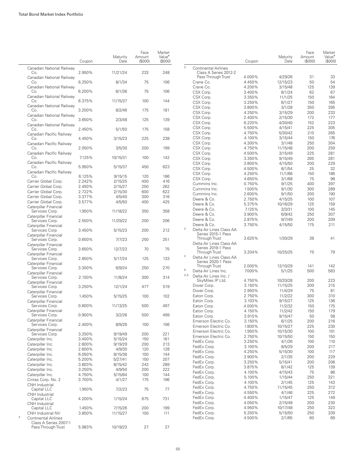|              |                                                  | Coupon | Maturity<br>Date | Face<br>Amount<br>(\$000) | Market<br>Value <sup>•</sup><br>(\$000) |               |
|--------------|--------------------------------------------------|--------|------------------|---------------------------|-----------------------------------------|---------------|
|              | Canadian National Railway<br>Co.                 | 2.950% | 11/21/24         | 233                       | 248                                     | $\mathcal{P}$ |
|              | Canadian National Railway<br>Co.                 | 6.250% | 8/1/34           | 75                        | 106                                     |               |
|              | Canadian National Railway<br>Co.                 | 6.200% | 6/1/36           | 75                        | 106                                     |               |
|              | Canadian National Railway<br>Co.                 | 6.375% | 11/15/37         | 100                       | 144                                     |               |
|              | Canadian National Railway<br>Co.                 | 3.200% | 8/2/46           | 175                       | 181                                     |               |
|              | Canadian National Railway<br>Co.                 | 3.650% | 2/3/48           | 125                       | 139                                     |               |
|              | Canadian National Railway<br>Co.                 | 2.450% | 5/1/50           | 175                       | 158                                     |               |
|              | Canadian Pacific Railway<br>Co.                  | 4.450% | 3/15/23          | 225                       | 238                                     |               |
|              | Canadian Pacific Railway<br>Co.                  | 2.050% | 3/5/30           | 200                       | 199                                     |               |
|              | Canadian Pacific Railway<br>Co.                  | 7.125% | 10/15/31         | 100                       | 142                                     |               |
|              | Canadian Pacific Railway<br>Co.                  |        | 5/15/37          | 450                       | 623                                     |               |
|              | Canadian Pacific Railway                         | 5.950% |                  |                           |                                         |               |
|              | Co.                                              | 6.125% | 9/15/15          | 120                       | 186                                     |               |
|              | Carrier Global Corp.                             | 2.242% | 2/15/25          | 400                       | 416                                     |               |
|              | Carrier Global Corp.                             | 2.493% | 2/15/27          | 250                       | 262                                     |               |
|              | Carrier Global Corp.                             | 2.722% | 2/15/30          | 600                       | 622                                     |               |
|              | Carrier Global Corp.                             | 3.377% | 4/5/40           | 300                       | 316                                     |               |
|              | Carrier Global Corp.                             | 3.577% | 4/5/50           | 400                       | 425                                     |               |
|              | Caterpillar Financial<br>Services Corp.          | 1.950% | 11/18/22         | 350                       | 358                                     |               |
|              | Caterpillar Financial<br>Services Corp.          | 2.550% | 11/29/22         | 200                       | 206                                     |               |
|              | Caterpillar Financial<br>Services Corp.          | 3.450% | 5/15/23          | 200                       | 212                                     | $\mathbf{2}$  |
|              | Caterpillar Financial<br>Services Corp.          | 0.650% | 7/7/23           | 250                       | 251                                     |               |
|              | Caterpillar Financial<br>Services Corp.          | 3.650% | 12/7/23          | 70                        | 75                                      |               |
|              | Caterpillar Financial<br>Services Corp.          | 2.850% | 5/17/24          | 125                       | 133                                     | $\bar{2}$     |
|              | Caterpillar Financial<br>Services Corp.          | 3.300% | 6/9/24           | 250                       | 270                                     |               |
|              | Caterpillar Financial<br>Services Corp.          | 2.150% | 11/8/24          | 300                       | 314                                     | 5<br>2,5      |
|              | Caterpillar Financial                            |        |                  | 477                       | 519                                     |               |
|              | Services Corp.<br>Caterpillar Financial          | 3.250% | 12/1/24          |                           |                                         |               |
|              | Services Corp.<br>Caterpillar Financial          | 1.450% | 5/15/25          | 100                       | 102                                     |               |
|              | Services Corp.<br>Caterpillar Financial          | 0.800% | 11/13/25         | 500                       | 497                                     |               |
|              | Services Corp.<br>Caterpillar Financial          | 0.900% | 3/2/26           | 500                       | 499                                     |               |
|              | Services Corp.<br>Caterpillar Financial          | 2.400% | 8/9/26           | 100                       | 106                                     |               |
|              | Services Corp.                                   | 3.250% | 9/19/49          | 200                       | 221                                     |               |
|              | Caterpillar Inc.                                 | 3.400% | 5/15/24          | 150                       | 161                                     |               |
|              | Caterpillar Inc.                                 | 2.600% | 9/19/29          | 200                       | 213                                     |               |
|              | Caterpillar Inc.                                 | 2.600% | 4/9/30           | 120                       | 128                                     |               |
|              | Caterpillar Inc.                                 | 6.050% | 8/15/36          | 100                       | 144                                     |               |
|              | Caterpillar Inc.                                 | 5.200% | 5/27/41          | 150                       | 207                                     |               |
|              | Caterpillar Inc.                                 | 3.803% | 8/15/42          | 243                       | 289                                     |               |
|              | Caterpillar Inc.                                 | 3.250% | 4/9/50           | 200                       | 222                                     |               |
|              |                                                  |        |                  |                           |                                         |               |
|              | Caterpillar Inc.                                 | 4.750% | 5/15/64          | 100                       | 144                                     |               |
|              | Cintas Corp. No. 2<br>CNH Industrial             | 3.700% | 4/1/27           | 175                       | 196                                     |               |
|              | Capital LLC<br>CNH Industrial                    | 1.950% | 7/2/23           | 75                        | 77                                      |               |
|              | Capital LLC<br><b>CNH</b> Industrial             | 4.200% | 1/15/24          | 675                       | 731                                     |               |
|              | Capital LLC                                      | 1.450% | 7/15/26          | 200                       | 199                                     |               |
| $\mathbf{2}$ | CNH Industrial NV<br><b>Continental Airlines</b> | 3.850% | 11/15/27         | 100                       | 111                                     |               |
|              | Class A Series 2007-1                            |        |                  |                           |                                         |               |
|              | Pass Through Trust                               | 5.983% | 10/19/23         | 27                        | 27                                      |               |

|                |                                            | Coupon           | Maturity<br>Date   | Face<br>Amount<br>(\$000) | Market<br>Value <sup>•</sup><br>(\$000) |
|----------------|--------------------------------------------|------------------|--------------------|---------------------------|-----------------------------------------|
| $\overline{c}$ | <b>Continental Airlines</b>                |                  |                    |                           |                                         |
|                | Class A Series 2012-2                      |                  |                    |                           |                                         |
|                | Pass Through Trust                         | 4.000%           | 4/29/26            | 31                        | 33                                      |
|                | Crane Co.<br>Crane Co.                     | 4.450%           | 12/15/23           | 50                        | 54                                      |
|                | CSX Corp.                                  | 4.200%<br>3.400% | 3/15/48<br>8/1/24  | 125<br>62                 | 139<br>67                               |
|                | CSX Corp.                                  | 3.350%           | 11/1/25            | 150                       | 164                                     |
|                | CSX Corp.                                  | 3.250%           | 6/1/27             | 150                       | 165                                     |
|                | CSX Corp.                                  | 3.800%           | 3/1/28             | 350                       | 395                                     |
|                | CSX Corp.                                  | 4.250%           | 3/15/29            | 200                       | 233                                     |
|                | CSX Corp.                                  | 2.400%           | 2/15/30            | 172                       | 177                                     |
|                | CSX Corp.                                  | 6.220%           | 4/30/40            | 152                       | 223                                     |
|                | CSX Corp.                                  | 5.500%           | 4/15/41            | 225                       | 305                                     |
|                | CSX Corp.                                  | 4.750%           | 5/30/42            | 210                       | 265                                     |
|                | CSX Corp.                                  | 4.100%           | 3/15/44            | 150                       | 176                                     |
|                | CSX Corp.                                  | 4.300%           | 3/1/48             | 250                       | 304                                     |
|                | CSX Corp.                                  | 4.750%           | 11/15/48           | 200                       | 259                                     |
|                | CSX Corp.                                  | 4.500%           | 3/15/49            | 225                       | 281                                     |
|                | CSX Corp.                                  | 3.350%           | 9/15/49            | 265                       | 281                                     |
|                | CSX Corp.<br>CSX Corp.                     | 3.800%<br>4.500% | 4/15/50<br>8/1/54  | 200<br>25                 | 229<br>32                               |
|                | CSX Corp.                                  | 4.250%           | 11/1/66            | 150                       | 186                                     |
|                | CSX Corp.                                  | 4.650%           | 3/1/68             | 75                        | 98                                      |
|                | Cummins Inc.                               | 0.750%           | 9/1/25             | 400                       | 397                                     |
|                | Cummins Inc.                               | 1.500%           | 9/1/30             | 300                       | 289                                     |
|                | Cummins Inc.                               | 2.600%           | 9/1/50             | 200                       | 190                                     |
|                | Deere & Co.                                | 2.750%           | 4/15/25            | 100                       | 107                                     |
|                | Deere & Co.                                | 5.375%           | 10/16/29           | 125                       | 159                                     |
|                | Deere & Co.                                | 7.125%           | 3/3/31             | 100                       | 145                                     |
|                | Deere & Co.                                | 3.900%           | 6/9/42             | 250                       | 307                                     |
|                | Deere & Co.                                | 2.875%           | 9/7/49             | 200                       | 209                                     |
|                | Deere & Co.                                | 3.750%           | 4/15/50            | 175                       | 211                                     |
| 2              | Delta Air Lines Class AA                   |                  |                    |                           |                                         |
|                | Series 2015-1 Pass                         |                  |                    |                           | 41                                      |
|                | Through Trust<br>Delta Air Lines Class AA  | 3.625%           | 1/30/29            | 38                        |                                         |
|                | Series 2019-1 Pass                         |                  |                    |                           |                                         |
|                | Through Trust                              | 3.204%           | 10/25/25           | 75                        | 79                                      |
| 2              | Delta Air Lines Class AA                   |                  |                    |                           |                                         |
|                | Series 2020-1 Pass                         |                  |                    |                           |                                         |
| 5              | Through Trust                              | 2.000%           | 12/10/29           | 141                       | 142                                     |
| 2,5            | Delta Air Lines Inc.                       | 7.000%           | 5/1/25             | 500                       | 583                                     |
|                | Delta Air Lines Inc. /<br>SkyMiles IP Ltd. | 4.750%           | 10/20/28           | 200                       | 223                                     |
|                | Dover Corp.                                | 3.150%           | 11/15/25           | 200                       | 215                                     |
|                | Dover Corp.                                | 2.950%           | 11/4/29            | 75                        | 81                                      |
|                | Eaton Corp.                                | 2.750%           | 11/2/22            | 300                       | 310                                     |
|                | Eaton Corp.                                | 3.103%           | 9/15/27            | 125                       | 136                                     |
|                | Eaton Corp.                                | 4.000%           | 11/2/32            | 150                       | 175                                     |
|                | Eaton Corp.                                | 4.150%           | 11/2/42            | 150                       | 179                                     |
|                | Eaton Corp.                                | 3.915%           | 9/15/47            | 50                        | 58                                      |
|                | Emerson Electric Co.                       | 3.150%           | 6/1/25             | 200                       | 216                                     |
|                | Emerson Electric Co.                       | 1.800%           | 10/15/27           | 225                       | 230                                     |
|                | Emerson Electric Co.                       | 1.950%           | 10/15/30           | 100                       | 101                                     |
|                | Emerson Electric Co.                       | 2.750%           | 10/15/50           | 150                       | 150                                     |
|                | FedEx Corp.                                | 3.250%           | 4/1/26             | 100                       | 110                                     |
|                | FedEx Corp.                                | 3.100%           | 8/5/29             | 200                       | 217                                     |
|                | FedEx Corp.                                | 4.250%           | 5/15/30            | 100                       | 117                                     |
|                | FedEx Corp.                                | 3.900%           | 2/1/35             | 200                       | 229                                     |
|                | FedEx Corp.                                | 3.250%           | 5/15/41            | 200                       | 206                                     |
|                | FedEx Corp.                                | 3.875%           | 8/1/42             | 125                       | 139                                     |
|                | FedEx Corp.                                | 4.100%           | 4/15/43            | 75                        | 86                                      |
|                | FedEx Corp.                                | 5.100%<br>4.100% | 1/15/44            | 250                       | 321                                     |
|                | FedEx Corp.<br>FedEx Corp.                 |                  | 2/1/45             | 125                       | 143                                     |
|                | FedEx Corp.                                | 4.750%<br>4.550% | 11/15/45<br>4/1/46 | 250<br>225                | 312<br>272                              |
|                | FedEx Corp.                                | 4.400%           | 1/15/47            | 125                       | 149                                     |
|                | FedEx Corp.                                | 4.050%           | 2/15/48            | 200                       | 230                                     |
|                | FedEx Corp.                                | 4.950%           | 10/17/48           | 250                       | 323                                     |
|                | FedEx Corp.                                | 5.250%           | 5/15/50            | 250                       | 339                                     |
|                | FedEx Corp.                                | 4.500%           | 2/1/65             | 60                        | 69                                      |
|                |                                            |                  |                    |                           |                                         |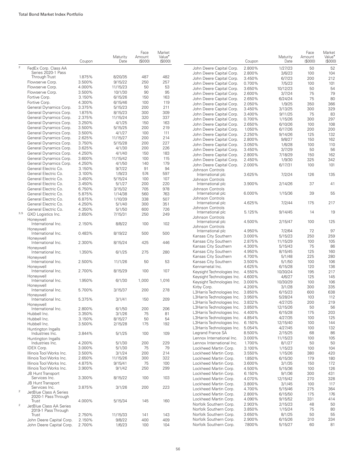|                |                                                      | Coupon           | Maturity<br>Date   | Face<br>Amount<br>(S000) | Market<br>Value <sup>*</sup><br>(S000) |                                                      | Coupon           | Maturity<br>Date   | Face<br>Amount<br>(S000) | Market<br>Value <sup>•</sup><br>(S000) |
|----------------|------------------------------------------------------|------------------|--------------------|--------------------------|----------------------------------------|------------------------------------------------------|------------------|--------------------|--------------------------|----------------------------------------|
| $\mathbf{2}$   | FedEx Corp. Class AA                                 |                  |                    |                          |                                        | John Deere Capital Corp.                             | 2.800%           | 1/27/23            | 50                       | 52                                     |
|                | Series 2020-1 Pass                                   |                  |                    |                          |                                        | John Deere Capital Corp.                             | 2.800%           | 3/6/23             | 100                      | 104                                    |
|                | Through Trust                                        | 1.875%           | 8/20/35            | 487                      | 482                                    | John Deere Capital Corp.                             | 3.450%           | 6/7/23             | 200                      | 212                                    |
|                | Flowserve Corp.                                      | 3.500%           | 9/15/22            | 250                      | 257                                    | John Deere Capital Corp.                             | 0.700%           | 7/5/23             | 100                      | 101                                    |
|                | Flowserve Corp.                                      | 4.000%           | 11/15/23           | 50                       | 53                                     | John Deere Capital Corp.                             | 3.650%           | 10/12/23           | 50                       | 54                                     |
|                | Flowserve Corp.                                      | 3.500%<br>3.150% | 10/1/30            | 90<br>150                | 95<br>163                              | John Deere Capital Corp.                             | 2.600%           | 3/7/24             | 75                       | 79                                     |
|                | Fortive Corp.                                        | 4.300%           | 6/15/26            |                          | 119                                    | John Deere Capital Corp.                             | 2.650%           | 6/24/24            | 75                       | 80                                     |
|                | Fortive Corp.<br>General Dynamics Corp.              | 3.375%           | 6/15/46<br>5/15/23 | 100<br>200               | 211                                    | John Deere Capital Corp.                             | 2.050%           | 1/9/25             | 350                      | 366                                    |
|                | General Dynamics Corp.                               | 1.875%           | 8/15/23            | 300                      | 309                                    | John Deere Capital Corp.                             | 3.450%           | 3/13/25            | 300                      | 329                                    |
|                | General Dynamics Corp.                               | 2.375%           | 11/15/24           | 320                      | 337                                    | John Deere Capital Corp.                             | 3.400%           | 9/11/25            | 75                       | 83                                     |
|                | General Dynamics Corp.                               | 3.250%           | 4/1/25             | 150                      | 163                                    | John Deere Capital Corp.                             | 0.700%           | 1/15/26            | 300                      | 297                                    |
|                | General Dynamics Corp.                               | 3.500%           | 5/15/25            | 200                      | 219                                    | John Deere Capital Corp.                             | 2.650%           | 6/10/26            | 100                      | 108                                    |
|                | General Dynamics Corp.                               | 3.500%           | 4/1/27             | 100                      | 111                                    | John Deere Capital Corp.                             | 1.050%           | 6/17/26            | 200                      | 200                                    |
|                | General Dynamics Corp.                               | 2.625%           | 11/15/27           | 200                      | 214                                    | John Deere Capital Corp.                             | 2.250%           | 9/14/26            | 125                      | 132                                    |
|                | General Dynamics Corp.                               | 3.750%           | 5/15/28            | 200                      | 227                                    | John Deere Capital Corp.                             | 2.800%           | 9/8/27             | 150                      | 162                                    |
|                | General Dynamics Corp.                               | 3.625%           | 4/1/30             | 200                      | 226                                    | John Deere Capital Corp.                             | 3.050%<br>3.450% | 1/6/28             | 100<br>50                | 110<br>56                              |
|                | General Dynamics Corp.                               | 4.250%           | 4/1/40             | 150                      | 183                                    | John Deere Capital Corp.<br>John Deere Capital Corp. | 2.800%           | 3/7/29<br>7/18/29  | 150                      | 162                                    |
|                | General Dynamics Corp.                               | 3.600%           | 11/15/42           | 100                      | 115                                    | John Deere Capital Corp.                             | 2.450%           | 1/9/30             | 325                      | 342                                    |
|                | General Dynamics Corp.                               | 4.250%           | 4/1/50             | 140                      | 179                                    | John Deere Capital Corp.                             | 2.000%           | 6/17/31            | 100                      | 101                                    |
|                | General Electric Co.                                 | 3.150%           | 9/7/22             | 91                       | 94                                     | Johnson Controls                                     |                  |                    |                          |                                        |
|                | General Electric Co.                                 | 3.100%           | 1/9/23             | 574                      | 597                                    | International plc                                    | 3.625%           | 7/2/24             | 126                      | 135                                    |
|                | General Electric Co.                                 | 3.450%           | 5/15/24            | 100                      | 107                                    | Johnson Controls                                     |                  |                    |                          |                                        |
|                | General Electric Co.                                 | 3.450%           | 5/1/27             | 200                      | 220                                    | International plc                                    | 3.900%           | 2/14/26            | 37                       | 41                                     |
|                | General Electric Co.                                 | 6.750%           | 3/15/32            | 705                      | 978                                    | Johnson Controls                                     |                  |                    |                          |                                        |
|                | General Electric Co.                                 | 5.875%           | 1/14/38            | 560                      | 763                                    | International plc                                    | 6.000%           | 1/15/36            | 39                       | 55                                     |
|                | General Electric Co.                                 | 6.875%           | 1/10/39            | 338                      | 507                                    | Johnson Controls                                     |                  |                    |                          |                                        |
|                | General Electric Co.                                 | 4.250%           | 5/1/40             | 300                      | 351                                    | International plc                                    | 4.625%           | 7/2/44             | 175                      | 217                                    |
|                | General Electric Co.                                 | 4.350%           | 5/1/50             | 600                      | 726                                    | Johnson Controls                                     | 5.125%           | 9/14/45            | 14                       | 19                                     |
| 3,5            | GXO Logistics Inc.                                   | 2.650%           | 7/15/31            | 250                      | 249                                    | International plc<br>Johnson Controls                |                  |                    |                          |                                        |
|                | Honeywell                                            |                  |                    |                          |                                        | International plc                                    | 4.500%           | 2/15/47            | 100                      | 125                                    |
|                | International Inc.                                   | 2.150%           | 8/8/22             | 100                      | 102                                    | Johnson Controls                                     |                  |                    |                          |                                        |
|                | Honeywell                                            | 0.483%           |                    |                          | 500                                    | International plc                                    | 4.950%           | 7/2/64             | 72                       | 97                                     |
|                | International Inc.                                   |                  | 8/19/22            | 500                      |                                        | Kansas City Southern                                 | 3.000%           | 5/15/23            | 250                      | 259                                    |
|                | Honeywell<br>International Inc.                      | 2.300%           | 8/15/24            | 425                      | 446                                    | Kansas City Southern                                 | 2.875%           | 11/15/29           | 100                      | 105                                    |
|                | Honeywell                                            |                  |                    |                          |                                        | Kansas City Southern                                 | 4.300%           | 5/15/43            | 75                       | 86                                     |
|                | International Inc.                                   | 1.350%           | 6/1/25             | 275                      | 280                                    | Kansas City Southern                                 | 4.950%           | 8/15/45            | 125                      | 160                                    |
|                | Honeywell                                            |                  |                    |                          |                                        | Kansas City Southern                                 | 4.700%           | 5/1/48             | 225                      | 280                                    |
|                | International Inc.                                   | 2.500%           | 11/1/26            | 50                       | 53                                     | Kansas City Southern                                 | 3.500%           | 5/1/50             | 100                      | 106                                    |
|                | Honeywell                                            |                  |                    |                          |                                        | Kennametal Inc.                                      | 4.625%           | 6/15/28            | 120                      | 136                                    |
|                | International Inc.                                   | 2.700%           | 8/15/29            | 100                      | 107                                    | Keysight Technologies Inc.                           | 4.550%           | 10/30/24           | 195                      | 217                                    |
|                | Honeywell                                            |                  |                    |                          |                                        | Keysight Technologies Inc.                           | 4.600%           | 4/6/27             | 125                      | 145                                    |
|                | International Inc.                                   | 1.950%           | 6/1/30             | 1,000                    | 1,016                                  | Keysight Technologies Inc.                           | 3.000%           | 10/30/29           | 100                      | 106                                    |
|                | Honeywell<br>International Inc.                      | 5.700%           | 3/15/37            | 200                      | 278                                    | Kirby Corp.                                          | 4.200%           | 3/1/28             | 300                      | 335                                    |
|                | Honeywell                                            |                  |                    |                          |                                        | L3Harris Technologies Inc.                           | 3.850%           | 6/15/23            | 600                      | 638                                    |
|                | International Inc.                                   | 5.375%           | 3/1/41             | 150                      | 209                                    | L3Harris Technologies Inc.                           | 3.950%           | 5/28/24            | 103                      | 112                                    |
|                | Honeywell                                            |                  |                    |                          |                                        | L3Harris Technologies Inc.                           | 3.832%           | 4/27/25            | 200                      | 219                                    |
|                | International Inc.                                   | 2.800%           | 6/1/50             | 200                      | 206                                    | L3Harris Technologies Inc.                           | 3.850%           | 12/15/26           | 50                       | 56                                     |
|                | Hubbell Inc.                                         | 3.350%           | 3/1/26             | 75                       | 81                                     | L3Harris Technologies Inc.                           | 4.400%           | 6/15/28            | 175                      | 203                                    |
|                | Hubbell Inc.                                         | 3.150%           | 8/15/27            | 50                       | 54                                     | L3Harris Technologies Inc.                           | 4.854%           | 4/27/35            | 100                      | 125                                    |
|                | Hubbell Inc.                                         | 3.500%           | 2/15/28            | 175                      | 192                                    | L3Harris Technologies Inc.                           | 6.150%           | 12/15/40           | 100                      | 144                                    |
|                | Huntington Ingalls                                   |                  |                    |                          |                                        | L3Harris Technologies Inc.                           | 5.054%           | 4/27/45            | 100                      | 132                                    |
|                | Industries Inc.                                      | 3.844%           | 5/1/25             | 100                      | 109                                    | Legrand France SA                                    | 8.500%           | 2/15/25            | 68                       | 86                                     |
|                | Huntington Ingalls                                   |                  |                    |                          |                                        | Lennox International Inc.                            | 3.000%           | 11/15/23           | 100                      | 105                                    |
|                | Industries Inc.                                      | 4.200%           | 5/1/30             | 200                      | 229                                    | Lennox International Inc.                            | 1.700%           | 8/1/27             | 50                       | 50                                     |
|                | <b>IDEX Corp.</b><br>Illinois Tool Works Inc.        | 3.000%           | 5/1/30             | 75                       | 79                                     | Lockheed Martin Corp.                                | 3.100%           | 1/15/23            | 100                      | 104                                    |
|                | Illinois Tool Works Inc.                             | 3.500%<br>2.650% | 3/1/24<br>11/15/26 | 200<br>300               | 214<br>322                             | Lockheed Martin Corp.                                | 3.550%           | 1/15/26            | 380                      | 420                                    |
|                |                                                      |                  |                    |                          |                                        | Lockheed Martin Corp.<br>Lockheed Martin Corp.       | 1.850%<br>3.600% | 6/15/30            | 179                      | 180                                    |
|                | Illinois Tool Works Inc.<br>Illinois Tool Works Inc. | 4.875%<br>3.900% | 9/15/41<br>9/1/42  | 75<br>250                | 100<br>299                             |                                                      |                  | 3/1/35             | 150                      | 172                                    |
|                | <b>JB Hunt Transport</b>                             |                  |                    |                          |                                        | Lockheed Martin Corp.<br>Lockheed Martin Corp.       | 4.500%           | 5/15/36            | 100                      | 126                                    |
|                | Services Inc.                                        | 3.300%           | 8/15/22            | 100                      | 103                                    | Lockheed Martin Corp.                                | 6.150%<br>4.070% | 9/1/36<br>12/15/42 | 300<br>270               | 431<br>328                             |
|                | <b>JB Hunt Transport</b>                             |                  |                    |                          |                                        | Lockheed Martin Corp.                                | 3.800%           |                    | 100                      | 117                                    |
|                | Services Inc.                                        | 3.875%           | 3/1/26             | 200                      | 223                                    | Lockheed Martin Corp.                                | 4.700%           | 3/1/45<br>5/15/46  | 275                      | 364                                    |
| $\overline{c}$ | JetBlue Class A Series                               |                  |                    |                          |                                        | Lockheed Martin Corp.                                | 2.800%           | 6/15/50            | 175                      | 176                                    |
|                | 2020-1 Pass Through                                  |                  |                    |                          |                                        | Lockheed Martin Corp.                                | 4.090%           | 9/15/52            | 331                      | 414                                    |
| $\overline{c}$ | Trust                                                | 4.000%           | 5/15/34            | 145                      | 160                                    | Norfolk Southern Corp.                               | 2.903%           | 2/15/23            | 48                       | 50                                     |
|                | JetBlue Class AA Series                              |                  |                    |                          |                                        | Norfolk Southern Corp.                               | 3.850%           | 1/15/24            | 75                       | 80                                     |
|                | 2019-1 Pass Through<br>Trust                         | 2.750%           | 11/15/33           | 141                      | 143                                    | Norfolk Southern Corp.                               | 3.650%           | 8/1/25             | 50                       | 55                                     |
|                | John Deere Capital Corp.                             | 2.150%           | 9/8/22             | 400                      | 409                                    | Norfolk Southern Corp.                               | 2.900%           | 6/15/26            | 310                      | 334                                    |
|                | John Deere Capital Corp.                             | 2.700%           | 1/6/23             | 100                      | 104                                    | Norfolk Southern Corp.                               | 7.800%           | 5/15/27            | 60                       | 81                                     |
|                |                                                      |                  |                    |                          |                                        |                                                      |                  |                    |                          |                                        |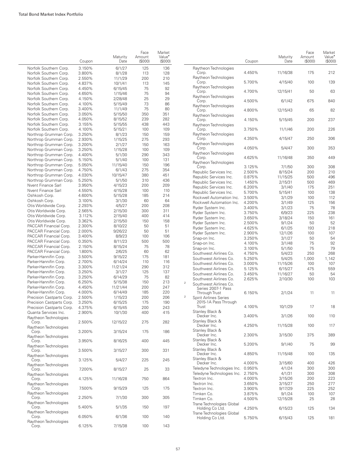|                                                         | Coupon           | Maturity<br>Date   | Face<br>Amount<br>(S000) | Market<br>Value <sup>*</sup><br>(\$000) |                |                                                          | Coupon           | Maturity<br>Date   | Face<br>Amount<br>(S000) | Market<br>Value <sup>•</sup><br>(S000) |
|---------------------------------------------------------|------------------|--------------------|--------------------------|-----------------------------------------|----------------|----------------------------------------------------------|------------------|--------------------|--------------------------|----------------------------------------|
| Norfolk Southern Corp.<br>Norfolk Southern Corp.        | 3.150%<br>3.800% | 6/1/27<br>8/1/28   | 125<br>113               | 136<br>128                              |                | Raytheon Technologies<br>Corp.                           | 4.450%           | 11/16/38           | 175                      | 212                                    |
| Norfolk Southern Corp.<br>Norfolk Southern Corp.        | 2.550%<br>4.837% | 11/1/29<br>10/1/41 | 200<br>113               | 210<br>145                              |                | Raytheon Technologies<br>Corp.                           | 5.700%           | 4/15/40            | 100                      | 139                                    |
| Norfolk Southern Corp.<br>Norfolk Southern Corp.        | 4.450%<br>4.650% | 6/15/45<br>1/15/46 | 75<br>75                 | 92<br>94                                |                | Raytheon Technologies<br>Corp.                           | 4.700%           | 12/15/41           | 50                       | 63                                     |
| Norfolk Southern Corp.<br>Norfolk Southern Corp.        | 4.150%<br>4.100% | 2/28/48<br>5/15/49 | 25<br>73                 | 29<br>86                                |                | Raytheon Technologies<br>Corp.                           | 4.500%           | 6/1/42             | 675                      | 840                                    |
| Norfolk Southern Corp.                                  | 3.400%           | 11/1/49            | 75                       | 80                                      |                | Raytheon Technologies<br>Corp.                           | 4.800%           | 12/15/43           | 65                       | 82                                     |
| Norfolk Southern Corp.<br>Norfolk Southern Corp.        | 3.050%<br>4.050% | 5/15/50<br>8/15/52 | 350<br>239               | 351<br>282                              |                | Raytheon Technologies<br>Corp.                           | 4.150%           | 5/15/45            | 200                      | 237                                    |
| Norfolk Southern Corp.<br>Norfolk Southern Corp.        | 3.155%<br>4.100% | 5/15/55<br>5/15/21 | 438<br>100               | 443<br>109                              |                | Raytheon Technologies<br>Corp.                           | 3.750%           | 11/1/46            | 200                      | 226                                    |
| Northrop Grumman Corp.<br>Northrop Grumman Corp.        | 3.250%<br>2.930% | 8/1/23<br>1/15/25  | 150<br>275               | 159<br>293                              |                | Raytheon Technologies<br>Corp.                           | 4.350%           | 4/15/47            | 250                      | 306                                    |
| Northrop Grumman Corp.<br>Northrop Grumman Corp.        | 3.200%<br>3.250% | 2/1/27<br>1/15/28  | 150<br>100               | 163<br>109                              |                | Raytheon Technologies<br>Corp.                           | 4.050%           | 5/4/47             | 300                      | 353                                    |
| Northrop Grumman Corp.                                  | 4.400%           | 5/1/30             | 290                      | 343                                     |                | Raytheon Technologies<br>Corp.                           | 4.625%           | 11/16/48           | 350                      | 449                                    |
| Northrop Grumman Corp.<br>Northrop Grumman Corp.        | 5.150%<br>5.050% | 5/1/40<br>11/15/40 | 100<br>150               | 131<br>196                              |                | Raytheon Technologies<br>Corp.                           | 3.125%           | 7/1/50             | 300                      | 308                                    |
| Northrop Grumman Corp.                                  | 4.750%           | 6/1/43             | 275                      | 354                                     |                | Republic Services Inc.                                   | 2.500%           | 8/15/24            | 200                      | 210                                    |
| Northrop Grumman Corp.                                  | 4.030%           | 10/15/47           | 380                      | 451                                     |                | Republic Services Inc.                                   | 0.875%           | 11/15/25           | 500                      | 496                                    |
| Northrop Grumman Corp.                                  | 5.250%           | 5/1/50             | 310                      | 436                                     |                | Republic Services Inc.                                   | 1.450%           | 2/15/31            | 500                      | 469                                    |
| Nvent Finance Sarl                                      | 3.950%           | 4/15/23            | 200                      | 209                                     |                | Republic Services Inc.                                   | 6.200%           | 3/1/40             | 175                      | 251                                    |
| Nvent Finance Sarl                                      | 4.550%           | 4/15/28            | 100                      | 110                                     |                | Republic Services Inc.                                   | 5.700%           | 5/15/41            | 100                      | 138                                    |
| Oshkosh Corp.                                           | 4.600%           | 5/15/28            | 185                      | 214                                     |                | Rockwell Automation Inc.                                 | 3.500%           | 3/1/29             | 100                      | 112                                    |
| Oshkosh Corp.                                           | 3.100%           | 3/1/30             | 60                       | 64                                      |                | Rockwell Automation Inc.                                 | 4.200%           | 3/1/49             | 125                      | 156                                    |
| Otis Worldwide Corp.                                    | 2.293%           | 4/5/27             | 200                      | 208                                     |                | Ryder System Inc.                                        | 3.400%           | 3/1/23             | 75                       | 78                                     |
| Otis Worldwide Corp.                                    | 2.565%           | 2/15/30            | 300                      | 311                                     |                | Ryder System Inc.                                        | 3.750%           | 6/9/23             | 225                      | 238                                    |
| Otis Worldwide Corp.                                    | 3.112%           | 2/15/40            | 400                      | 414                                     |                | Ryder System Inc.                                        | 3.650%           | 3/18/24            | 150                      | 161                                    |
| Otis Worldwide Corp.                                    | 3.362%           | 2/15/50            | 150                      | 158                                     |                | Ryder System Inc.                                        | 2.500%           | 9/1/24             | 50                       | 52                                     |
| PACCAR Financial Corp.                                  | 2.300%           | 8/10/22            | 50                       | 51                                      |                | Ryder System Inc.                                        | 4.625%           | 6/1/25             | 193                      | 218                                    |
| PACCAR Financial Corp.                                  | 2.000%<br>3.400% | 9/26/22            | 50<br>100                | 51<br>106                               |                | Ryder System Inc.                                        | 2.900%           | 12/1/26            | 100                      | 107                                    |
| PACCAR Financial Corp.<br>PACCAR Financial Corp.        | 0.350%           | 8/9/23<br>8/11/23  | 500                      | 500                                     |                | Snap-on Inc.                                             | 3.250%           | 3/1/27             | 50                       | 54                                     |
| PACCAR Financial Corp.                                  | 2.150%           | 8/15/24            | 75                       | 78                                      |                | Snap-on Inc.                                             | 4.100%           | 3/1/48             | 75                       | 92                                     |
| PACCAR Financial Corp.                                  | 1.800%           | 2/6/25             | 60                       | 62                                      |                | Snap-on Inc.                                             | 3.100%           | 5/1/50             | 75                       | 79                                     |
| Parker-Hannifin Corp.                                   | 3.500%           | 9/15/22            | 175                      | 181                                     |                | Southwest Airlines Co.                                   | 4.750%           | 5/4/23             | 250                      | 268                                    |
| Parker-Hannifin Corp.                                   | 2.700%           | 6/14/24            | 110                      | 116                                     |                | Southwest Airlines Co.                                   | 5.250%           | 5/4/25             | 1,000                    | 1,142                                  |
| Parker-Hannifin Corp.                                   | 3.300%           | 11/21/24           | 290                      | 312                                     |                | Southwest Airlines Co.                                   | 3.000%           | 11/15/26           | 100                      | 107                                    |
| Parker-Hannifin Corp.                                   | 3.250%           | 3/1/27             | 125                      | 137                                     |                | Southwest Airlines Co.                                   | 5.125%           | 6/15/27            | 475                      | 559                                    |
| Parker-Hannifin Corp.                                   | 3.250%           | 6/14/29            | 75                       | 82                                      |                | Southwest Airlines Co.                                   | 3.450%           | 11/16/27           | 50                       | 54                                     |
| Parker-Hannifin Corp.                                   | 6.250%           | 5/15/38            | 150                      | 213                                     | $\overline{c}$ | Southwest Airlines Co.                                   | 2.625%           | 2/10/30            | 100                      | 103                                    |
| Parker-Hannifin Corp.                                   | 4.450%           | 11/21/44           | 200                      | 247                                     |                | Southwest Airlines Co.<br>Series 2007-1 Pass             |                  |                    |                          |                                        |
| Parker-Hannifin Corp.                                   | 4.000%           | 6/14/49            | 185                      | 220                                     |                | Through Trust                                            | 6.150%           | 2/1/24             | 11                       | 11                                     |
| Precision Castparts Corp.                               | 2.500%           | 1/15/23            | 200                      | 206                                     |                | <b>Spirit Airlines Series</b>                            |                  |                    |                          |                                        |
| Precision Castparts Corp.                               | 3.250%           | 6/15/25            | 175                      | 190                                     |                | 2015-1A Pass Through                                     |                  |                    |                          |                                        |
| Precision Castparts Corp.                               | 4.375%           | 6/15/45            | 200                      | 243                                     |                | Trust                                                    | 4.100%           | 10/1/29            | 17                       | 18                                     |
| Quanta Services Inc.                                    | 2.900%           | 10/1/30            | 400                      | 415                                     |                | Stanley Black &                                          |                  |                    |                          |                                        |
| Ravtheon Technologies<br>Corp.                          | 2.500%           | 12/15/22           | 275                      | 282                                     |                | Decker Inc.<br>Stanley Black &                           | 3.400%           | 3/1/26             | 100                      | 110                                    |
| Raytheon Technologies<br>Corp.                          | 3.200%           | 3/15/24            | 175                      | 186                                     |                | Decker Inc.<br>Stanley Black &                           | 4.250%           | 11/15/28           | 100                      | 117                                    |
| Raytheon Technologies                                   |                  |                    |                          |                                         |                | Decker Inc.<br>Stanley Black &                           | 2.300%           | 3/15/30            | 375                      | 389                                    |
| Corp.<br>Raytheon Technologies                          | 3.950%           | 8/16/25            | 400                      | 445                                     |                | Decker Inc.                                              | 5.200%           | 9/1/40             | 75                       | 99                                     |
| Corp.<br>Raytheon Technologies                          | 3.500%           | 3/15/27            | 300                      | 331                                     |                | Stanley Black &<br>Decker Inc.                           | 4.850%           | 11/15/48           | 100                      | 135                                    |
| Corp.<br>Raytheon Technologies                          | 3.125%           | 5/4/27             | 225                      | 245                                     |                | Stanley Black &<br>Decker Inc.                           | 4.000%           | 3/15/60            | 400                      | 426                                    |
| Corp.<br>Raytheon Technologies                          | 7.200%           | 8/15/27            | 25                       | 33                                      |                | Teledyne Technologies Inc.<br>Teledyne Technologies Inc. | 0.950%<br>2.750% | 4/1/24<br>4/1/31   | 300<br>300               | 300<br>308                             |
| Corp.<br>Raytheon Technologies                          | 4.125%           | 11/16/28           | 750                      | 864                                     |                | Textron Inc.<br>Textron Inc.                             | 4.000%<br>3.650% | 3/15/26<br>3/15/27 | 200<br>250               | 223<br>277                             |
| Corp.                                                   | 7.500%           | 9/15/29            | 125                      | 175                                     |                | Textron Inc.                                             | 3.900%           | 9/17/29            | 225                      | 252                                    |
| Raytheon Technologies<br>Corp.                          | 2.250%           | 7/1/30             | 300                      | 305                                     |                | Timken Co.<br>Timken Co.                                 | 3.875%<br>4.500% | 9/1/24<br>12/15/28 | 100<br>25                | 107<br>28                              |
| Raytheon Technologies<br>Corp.<br>Raytheon Technologies | 5.400%           | 5/1/35             | 150                      | 197                                     |                | Trane Technologies Global<br>Holding Co Ltd.             | 4.250%           | 6/15/23            | 125                      | 134                                    |
| Corp.<br>Raytheon Technologies                          | 6.050%           | 6/1/36             | 100                      | 140                                     |                | Trane Technologies Global<br>Holding Co Ltd.             | 5.750%           | 6/15/43            | 125                      | 181                                    |
| Corp.                                                   | 6.125%           | 7/15/38            | 100                      | 143                                     |                |                                                          |                  |                    |                          |                                        |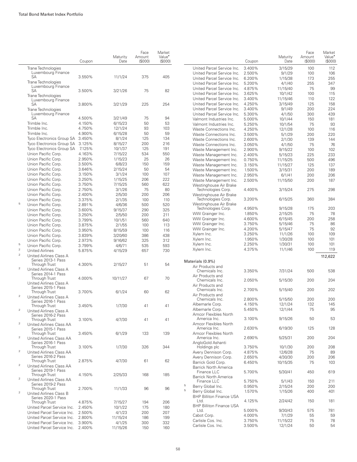|                         |                                                | Coupon | Maturity<br>Date | Face<br>Amount<br>(\$000) | Market<br>Value <sup>*</sup><br>(S000) |   |                                       | Coupon | Maturity<br>Date | Face<br>Amount<br>(\$000) | Market<br>Value <sup>•</sup><br>(\$000) |
|-------------------------|------------------------------------------------|--------|------------------|---------------------------|----------------------------------------|---|---------------------------------------|--------|------------------|---------------------------|-----------------------------------------|
|                         | Trane Technologies                             |        |                  |                           |                                        |   | United Parcel Service Inc.            | 3.400% | 3/15/29          | 100                       | 112                                     |
|                         | Luxembourg Finance                             |        |                  |                           |                                        |   | United Parcel Service Inc.            | 2.500% | 9/1/29           | 100                       | 106                                     |
|                         | SA                                             | 3.550% | 11/1/24          | 375                       | 405                                    |   | United Parcel Service Inc.            | 6.200% | 1/15/38          | 173                       | 255                                     |
|                         | Trane Technologies                             |        |                  |                           |                                        |   | United Parcel Service Inc.            | 5.200% | 4/1/40           | 255                       | 347                                     |
|                         | Luxembourg Finance                             |        |                  |                           |                                        |   | United Parcel Service Inc.            | 4.875% |                  | 75                        | 99                                      |
|                         | SA                                             | 3.500% | 3/21/26          | 75                        | 82                                     |   |                                       |        | 11/15/40         |                           |                                         |
|                         | Trane Technologies                             |        |                  |                           |                                        |   | United Parcel Service Inc.            | 3.625% | 10/1/42          | 100                       | 115                                     |
|                         | Luxembourg Finance                             |        |                  |                           |                                        |   | United Parcel Service Inc.            | 3.400% | 11/15/46         | 110                       | 122                                     |
|                         | SA                                             | 3.800% | 3/21/29          | 225                       | 254                                    |   | United Parcel Service Inc.            | 4.250% | 3/15/49          | 125                       | 158                                     |
|                         | Trane Technologies                             |        |                  |                           |                                        |   | United Parcel Service Inc.            | 3.400% | 9/1/49           | 200                       | 224                                     |
|                         | Luxembourg Finance                             |        |                  |                           |                                        |   | United Parcel Service Inc.            | 5.300% | 4/1/50           | 300                       | 439                                     |
|                         | SA                                             | 4.500% | 3/21/49          | 75                        | 94                                     |   | Valmont Industries Inc.               | 5.000% | 10/1/44          | 150                       | 181                                     |
|                         | Trimble Inc.                                   | 4.150% | 6/15/23          | 50                        | 53                                     |   | Valmont Industries Inc.               | 5.250% | 10/1/54          | 75                        | 93                                      |
|                         | Trimble Inc.                                   | 4.750% | 12/1/24          | 93                        | 103                                    |   | Waste Connections Inc.                | 4.250% | 12/1/28          | 100                       | 116                                     |
|                         | Trimble Inc.                                   | 4.900% | 6/15/28          | 50                        | 59                                     |   | Waste Connections Inc.                | 3.500% | 5/1/29           | 200                       | 220                                     |
|                         | Tyco Electronics Group SA 3.450%               |        | 8/1/24           | 125                       | 134                                    |   | Waste Connections Inc.                | 2.600% | 2/1/30           | 139                       | 144                                     |
|                         | Tyco Electronics Group SA 3.125%               |        | 8/15/27          | 200                       | 216                                    |   | Waste Connections Inc.                | 3.050% | 4/1/50           | 75                        | 76                                      |
|                         | Tyco Electronics Group SA                      | 7.125% | 10/1/37          | 125                       | 191                                    |   |                                       | 2.900% |                  | 100                       | 102                                     |
|                         | Union Pacific Corp.                            | 4.163% | 7/15/22          | 534                       | 550                                    |   | Waste Management Inc.                 |        | 9/15/22          |                           |                                         |
|                         | Union Pacific Corp.                            | 2.950% | 1/15/23          | 25                        | 26                                     |   | Waste Management Inc.                 | 2.400% | 5/15/23          | 225                       | 233                                     |
|                         |                                                |        |                  |                           |                                        |   | Waste Management Inc.                 | 0.750% | 11/15/25         | 500                       | 496                                     |
|                         | Union Pacific Corp.                            | 3.500% | 6/8/23           | 150                       | 159                                    |   | Waste Management Inc.                 | 3.150% | 11/15/27         | 125                       | 137                                     |
|                         | Union Pacific Corp.                            | 3.646% | 2/15/24          | 50                        | 54                                     |   | Waste Management Inc.                 | 1.500% | 3/15/31          | 200                       | 189                                     |
|                         | Union Pacific Corp.                            | 3.150% | 3/1/24           | 100                       | 107                                    |   | Waste Management Inc.                 | 2.950% | 6/1/41           | 200                       | 206                                     |
|                         | Union Pacific Corp.                            | 3.250% | 1/15/25          | 206                       | 222                                    |   | Waste Management Inc.                 | 2.500% | 11/15/50         | 200                       | 187                                     |
|                         | Union Pacific Corp.                            | 3.750% | 7/15/25          | 560                       | 622                                    |   | Westinghouse Air Brake                |        |                  |                           |                                         |
|                         | Union Pacific Corp.                            | 2.750% | 3/1/26           | 75                        | 80                                     |   | Technologies Corp.                    | 4.400% | 3/15/24          | 275                       | 298                                     |
|                         | Union Pacific Corp.                            | 2.400% | 2/5/30           | 200                       | 206                                    |   | Westinghouse Air Brake                |        |                  |                           |                                         |
|                         | Union Pacific Corp.                            | 3.375% | 2/1/35           | 100                       | 110                                    |   | Technologies Corp.                    | 3.200% | 6/15/25          | 360                       | 384                                     |
| 5                       | Union Pacific Corp.                            | 2.891% | 4/6/36           | 500                       | 520                                    |   | Westinghouse Air Brake                |        |                  |                           |                                         |
|                         | Union Pacific Corp.                            | 3.600% | 9/15/37          | 290                       | 325                                    |   | Technologies Corp.                    | 4.950% | 9/15/28          | 175                       | 203                                     |
|                         | Union Pacific Corp.                            | 3.250% | 2/5/50           | 200                       | 211                                    |   | WW Grainger Inc.                      | 1.850% | 2/15/25          | 75                        | 78                                      |
|                         |                                                |        |                  |                           |                                        |   | WW Grainger Inc.                      | 4.600% | 6/15/45          | 200                       | 258                                     |
|                         | Union Pacific Corp.                            | 3.799% | 10/1/51          | 560                       | 640                                    |   | WW Grainger Inc.                      | 3.750% | 5/15/46          | 75                        | 86                                      |
|                         | Union Pacific Corp.                            | 3.875% | 2/1/55           | 100                       | 113                                    |   | WW Grainger Inc.                      | 4.200% | 5/15/47          | 75                        | 92                                      |
|                         | Union Pacific Corp.                            | 3.950% | 8/15/59          | 100                       | 116                                    |   |                                       |        |                  |                           |                                         |
|                         | Union Pacific Corp.                            | 3.839% | 3/20/60          | 386                       | 438                                    |   | Xylem Inc.                            | 3.250% | 11/1/26          | 100                       | 109                                     |
|                         | Union Pacific Corp.                            | 2.973% | 9/16/62          | 325                       | 312                                    |   | Xylem Inc.                            | 1.950% | 1/30/28          | 100                       | 101                                     |
| 5                       | Union Pacific Corp.                            | 3.799% | 4/6/71           | 535                       | 593                                    |   | Xylem Inc.                            | 2.250% | 1/30/31          | 100                       | 101                                     |
| $\,2$                   | <b>United Airlines</b>                         | 5.875% | 4/15/29          | 657                       | 730                                    |   | Xylem Inc.                            | 4.375% | 11/1/46          | 100                       | 119                                     |
| $\mathbf 2$             | United Airlines Class A                        |        |                  |                           |                                        |   |                                       |        |                  |                           | 112,622                                 |
|                         | Series 2013-1 Pass                             |        |                  |                           |                                        |   | Materials (0.9%)                      |        |                  |                           |                                         |
|                         | Through Trust                                  | 4.300% | 2/15/27          | 51                        | 54                                     |   | Air Products and                      |        |                  |                           |                                         |
| $\,2$                   | United Airlines Class A                        |        |                  |                           |                                        |   | Chemicals Inc.                        | 3.350% | 7/31/24          | 500                       | 538                                     |
|                         | Series 2014-1 Pass                             |        |                  |                           |                                        |   | Air Products and                      |        |                  |                           |                                         |
|                         | Through Trust                                  | 4.000% | 10/11/27         | 67                        | 70                                     |   | Chemicals Inc.                        | 2.050% | 5/15/30          | 200                       | 204                                     |
|                         | United Airlines Class A                        |        |                  |                           |                                        |   | Air Products and                      |        |                  |                           |                                         |
|                         | Series 2015-1 Pass                             |        |                  |                           |                                        |   | Chemicals Inc.                        | 2.700% | 5/15/40          | 200                       | 202                                     |
|                         | Through Trust                                  | 3.700% | 6/1/24           | 60                        | 62                                     |   | Air Products and                      |        |                  |                           |                                         |
| $\mathbf 2$             | United Airlines Class A                        |        |                  |                           |                                        |   | Chemicals Inc.                        | 2.800% | 5/15/50          | 200                       | 200                                     |
|                         | Series 2016-1 Pass                             |        |                  |                           |                                        |   | Albemarle Corp.                       | 4.150% | 12/1/24          | 132                       | 145                                     |
|                         | Through Trust                                  | 3.450% | 1/7/30           | 41                        | 41                                     |   | Albemarle Corp.                       | 5.450% | 12/1/44          | 75                        | 95                                      |
|                         | United Airlines Class A                        |        |                  |                           |                                        |   |                                       |        |                  |                           |                                         |
|                         | Series 2016-2 Pass                             |        |                  |                           |                                        |   | Amcor Flexibles North<br>America Inc. | 3.100% | 9/15/26          | 50                        | 53                                      |
| $\boldsymbol{2}$        | Through Trust                                  | 3.100% | 4/7/30           | 41                        | 41                                     |   | Amcor Flexibles North                 |        |                  |                           |                                         |
|                         | United Airlines Class AA                       |        |                  |                           |                                        |   | America Inc.                          | 2.630% | 6/19/30          | 125                       | 128                                     |
|                         | Series 2015-1 Pass                             |        |                  |                           |                                        |   | Amcor Flexibles North                 |        |                  |                           |                                         |
| $\boldsymbol{2}$        | Through Trust                                  | 3.450% | 6/1/29           | 133                       | 139                                    |   | America Inc.                          | 2.690% | 5/25/31          | 200                       | 204                                     |
|                         | United Airlines Class AA                       |        |                  |                           |                                        |   |                                       |        |                  |                           |                                         |
|                         | Series 2016-1 Pass                             |        |                  |                           |                                        |   | AngloGold Ashanti                     |        |                  |                           |                                         |
| $\overline{\mathbf{c}}$ | Through Trust                                  | 3.100% | 1/7/30           | 326                       | 344                                    |   | Holdings plc                          | 3.750% | 10/1/30          | 200                       | 208                                     |
|                         | United Airlines Class AA<br>Series 2016-2 Pass |        |                  |                           |                                        |   | Avery Dennison Corp.                  | 4.875% | 12/6/28          | 75                        | 89                                      |
|                         | Through Trust                                  | 2.875% | 4/7/30           | 61                        | 62                                     |   | Avery Dennison Corp.                  | 2.650% | 4/30/30          | 200                       | 206                                     |
| $\boldsymbol{2}$        | United Airlines Class AA                       |        |                  |                           |                                        |   | Barrick Gold Corp.                    | 6.450% | 10/15/35         | 75                        | 103                                     |
|                         |                                                |        |                  |                           |                                        |   | <b>Barrick North America</b>          |        |                  |                           |                                         |
|                         | Series 2019-1 Pass<br>Through Trust            | 4.150% | 2/25/33          | 168                       | 185                                    |   | Finance LLC                           | 5.700% | 5/30/41          | 450                       | 619                                     |
| $\mathbf 2$             | United Airlines Class AA                       |        |                  |                           |                                        |   | <b>Barrick North America</b>          |        |                  |                           |                                         |
|                         | Series 2019-2 Pass                             |        |                  |                           |                                        |   | Finance LLC                           | 5.750% | 5/1/43           | 150                       | 211                                     |
|                         | Through Trust                                  | 2.700% | 11/1/33          | 96                        | 96                                     | 5 | Berry Global Inc.                     | 0.950% | 2/15/24          | 200                       | 200                                     |
| $\overline{\mathbf{c}}$ | United Airlines Class B                        |        |                  |                           |                                        | 5 | Berry Global Inc.                     | 1.570% | 1/15/26          | 400                       | 401                                     |
|                         | Series 2020-1 Pass                             |        |                  |                           |                                        |   | <b>BHP Billiton Finance USA</b>       |        |                  |                           |                                         |
|                         | Through Trust                                  | 4.875% | 7/15/27          | 194                       | 206                                    |   | Ltd.                                  | 4.125% | 2/24/42          | 150                       | 181                                     |
|                         | United Parcel Service Inc.                     | 2.450% | 10/1/22          | 175                       | 180                                    |   | <b>BHP Billiton Finance USA</b>       |        |                  |                           |                                         |
|                         | United Parcel Service Inc.                     | 2.500% | 4/1/23           | 200                       | 207                                    |   | Ltd.                                  | 5.000% | 9/30/43          | 575                       | 781                                     |
|                         |                                                |        |                  |                           |                                        |   | Cabot Corp.                           | 4.000% | 7/1/29           | 55                        | 59                                      |
|                         | United Parcel Service Inc.                     | 2.800% | 11/15/24         | 186                       | 199                                    |   | Carlisle Cos. Inc.                    | 3.750% | 11/15/22         | 75                        | 78                                      |
|                         | United Parcel Service Inc.                     | 3.900% | 4/1/25           | 300                       | 332                                    |   | Carlisle Cos. Inc.                    | 3.500% | 12/1/24          | 50                        | 54                                      |
|                         | United Parcel Service Inc.                     | 2.400% | 11/15/26         | 150                       | 160                                    |   |                                       |        |                  |                           |                                         |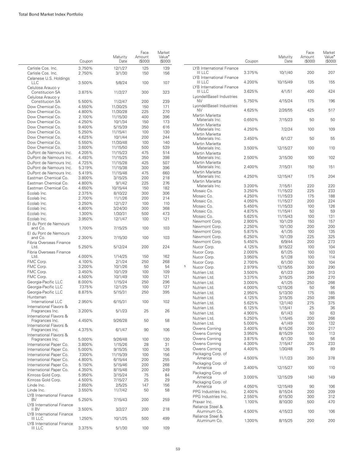$\overline{\phantom{a}}$ 

|                                                    | Coupon           | Maturity<br>Date     | Face<br>Amount<br>(\$000) | Market<br>Value <sup>•</sup><br>(\$000) |   |                                             | Coupon           | Maturity<br>Date    | Face<br>Amount<br>(\$000) | Market<br>Value <sup>•</sup><br>(S000) |
|----------------------------------------------------|------------------|----------------------|---------------------------|-----------------------------------------|---|---------------------------------------------|------------------|---------------------|---------------------------|----------------------------------------|
| Carlisle Cos. Inc.<br>Carlisle Cos. Inc.           | 3.750%<br>2.750% | 12/1/27<br>3/1/30    | 125<br>150                | 139<br>156                              |   | LYB International Finance<br>III LLC        | 3.375%           | 10/1/40             | 200                       | 207                                    |
| Celanese U.S. Holdings<br><b>LLC</b>               | 3.500%           | 5/8/24               | 100                       | 107                                     |   | LYB International Finance<br>III LLC        | 4.200%           | 10/15/49            | 135                       | 155                                    |
| Celulosa Arauco y<br>Constitucion SA               | 3.875%           | 11/2/27              | 300                       | 323                                     |   | LYB International Finance<br><b>III LLC</b> | 3.625%           | 4/1/51              | 400                       | 424                                    |
| Celulosa Arauco y<br>Constitucion SA               | 5.500%           | 11/2/47              | 200                       | 239                                     |   | LyondellBasell Industries<br><b>NV</b>      | 5.750%           | 4/15/24             | 175                       | 196                                    |
| Dow Chemical Co.                                   | 4.550%           | 11/30/25             | 150                       | 171                                     |   | LyondellBasell Industries<br><b>NV</b>      | 4.625%           | 2/26/55             | 425                       | 517                                    |
| Dow Chemical Co.<br>Dow Chemical Co.               | 4.800%<br>2.100% | 11/30/28<br>11/15/30 | 225<br>400                | 270<br>396                              |   | Martin Marietta                             |                  |                     |                           |                                        |
| Dow Chemical Co.                                   | 4.250%           | 10/1/34              | 150                       | 173                                     |   | Materials Inc.                              | 0.650%           | 7/15/23             | 50                        | 50                                     |
| Dow Chemical Co.                                   | 9.400%           | 5/15/39              | 350                       | 616                                     |   | Martin Marietta<br>Materials Inc.           | 4.250%           | 7/2/24              | 100                       | 109                                    |
| Dow Chemical Co.                                   | 5.250%           | 11/15/41             | 100                       | 130                                     |   | Martin Marietta                             |                  |                     |                           |                                        |
| Dow Chemical Co.<br>Dow Chemical Co.               | 4.625%<br>5.550% | 10/1/44<br>11/30/48  | 200<br>100                | 244<br>140                              |   | Materials Inc.                              | 3.450%           | 6/1/27              | 50                        | 55                                     |
| Dow Chemical Co.                                   | 3.600%           | 11/15/50             | 500                       | 539                                     |   | Martin Marietta<br>Materials Inc.           | 3.500%           | 12/15/27            | 100                       | 110                                    |
| DuPont de Nemours Inc.                             | 4.205%           | 11/15/23             | 475                       | 514                                     |   | Martin Marietta                             |                  |                     |                           |                                        |
| DuPont de Nemours Inc.                             | 4.493%           | 11/15/25             | 350                       | 398                                     |   | Materials Inc.                              | 2.500%           | 3/15/30             | 100                       | 102                                    |
| DuPont de Nemours Inc.                             | 4.725%           | 11/15/28             | 425                       | 507                                     |   | Martin Marietta<br>Materials Inc.           | 2.400%           | 7/15/31             | 150                       | 151                                    |
| DuPont de Nemours Inc.<br>DuPont de Nemours Inc.   | 5.319%<br>5.419% | 11/15/38<br>11/15/48 | 300<br>475                | 396<br>660                              |   | Martin Marietta                             |                  |                     |                           |                                        |
| Eastman Chemical Co.                               | 3.800%           | 3/15/25              | 200                       | 218                                     |   | Materials Inc.                              | 4.250%           | 12/15/47            | 175                       | 204                                    |
| Eastman Chemical Co.                               | 4.800%           | 9/1/42               | 225                       | 276                                     |   | Martin Marietta                             | 3.200%           | 7/15/51             | 220                       | 220                                    |
| Eastman Chemical Co.                               | 4.650%           | 10/15/44             | 150                       | 182                                     |   | Materials Inc.<br>Mosaic Co.                | 3.250%           | 11/15/22            | 225                       | 233                                    |
| Ecolab Inc.                                        | 2.375%           | 8/10/22              | 300                       | 306                                     |   | Mosaic Co.                                  | 4.250%           | 11/15/23            | 175                       | 188                                    |
| Ecolab Inc.<br>Ecolab Inc.                         | 2.700%<br>3.250% | 11/1/26<br>12/1/27   | 200<br>100                | 214<br>110                              |   | Mosaic Co.                                  | 4.050%           | 11/15/27            | 200                       | 224                                    |
| Ecolab Inc.                                        | 4.800%           | 3/24/30              | 300                       | 368                                     |   | Mosaic Co.                                  | 5.450%           | 11/15/33            | 100                       | 126                                    |
| Ecolab Inc.                                        | 1.300%           | 1/30/31              | 500                       | 473                                     |   | Mosaic Co.                                  | 4.875%           | 11/15/41            | 50                        | 59                                     |
| Ecolab Inc.                                        | 3.950%           | 12/1/47              | 100                       | 121                                     |   | Mosaic Co.<br>Newmont Corp.                 | 5.625%<br>2.800% | 11/15/43<br>10/1/29 | 100<br>150                | 131<br>157                             |
| El du Pont de Nemours                              |                  |                      |                           |                                         |   | Newmont Corp.                               | 2.250%           | 10/1/30             | 200                       | 200                                    |
| and Co.<br>El du Pont de Nemours                   | 1.700%           | 7/15/25              | 100                       | 103                                     |   | Newmont Corp.                               | 5.875%           | 4/1/35              | 100                       | 135                                    |
| and Co.                                            | 2.300%           | 7/15/30              | 100                       | 103                                     |   | Newmont Corp.                               | 6.250%           | 10/1/39             | 225                       | 325                                    |
| Fibria Overseas Finance                            |                  |                      |                           |                                         |   | Newmont Corp.                               | 5.450%           | 6/9/44              | 200                       | 273                                    |
| Ltd.<br>Fibria Overseas Finance                    | 5.250%           | 5/12/24              | 200                       | 224                                     |   | Nucor Corp.<br>Nucor Corp.                  | 4.125%<br>2.000% | 9/15/22<br>6/1/25   | 100<br>100                | 104<br>103                             |
| Ltd.                                               | 4.000%           | 1/14/25              | 150                       | 162                                     |   | Nucor Corp.                                 | 3.950%           | 5/1/28              | 100                       | 114                                    |
| FMC Corp.                                          | 4.100%           | 2/1/24               | 250                       | 268                                     |   | Nucor Corp.                                 | 2.700%           | 6/1/30              | 100                       | 104                                    |
| FMC Corp.                                          | 3.200%           | 10/1/26              | 50                        | 54                                      | 5 | Nucor Corp.                                 | 2.979%           | 12/15/55            | 300                       | 290                                    |
| FMC Corp.                                          | 3.450%           | 10/1/29              | 100                       | 109                                     |   | Nutrien Ltd.                                | 3.500%           | 6/1/23              | 299                       | 313                                    |
| FMC Corp.<br>Georgia-Pacific LLC                   | 4.500%<br>8.000% | 10/1/49<br>1/15/24   | 100<br>250                | 121<br>296                              |   | Nutrien Ltd.<br>Nutrien Ltd.                | 3.375%<br>3.000% | 3/15/25             | 250<br>250                | 270<br>266                             |
| Georgia-Pacific LLC                                | 7.375%           | 12/1/25              | 100                       | 127                                     |   | Nutrien Ltd.                                | 4.000%           | 4/1/25<br>12/15/26  | 50                        | 56                                     |
| Georgia-Pacific LLC                                | 8.875%           | 5/15/31              | 250                       | 395                                     |   | Nutrien Ltd.                                | 2.950%           | 5/13/30             | 175                       | 185                                    |
| Huntsman                                           |                  |                      |                           |                                         |   | Nutrien Ltd.                                | 4.125%           | 3/15/35             | 250                       | 286                                    |
| International LLC<br>International Flavors &       | 2.950%           | 6/15/31              | 100                       | 102                                     |   | Nutrien Ltd.                                | 5.625%           | 12/1/40             | 275                       | 375                                    |
| Fragrances Inc.                                    | 3.200%           | 5/1/23               | 25                        | 26                                      |   | Nutrien Ltd.                                | 6.125%           | 1/15/41             | 25                        | 36                                     |
| International Flavors &                            |                  |                      |                           |                                         |   | Nutrien Ltd.<br>Nutrien Ltd.                | 4.900%<br>5.250% | 6/1/43<br>1/15/45   | 50<br>200                 | 63<br>266                              |
| Fragrances Inc.                                    | 4.450%           | 9/26/28              | 50                        | 58                                      |   | Nutrien Ltd.                                | 5.000%           | 4/1/49              | 100                       | 132                                    |
| International Flavors &<br>Fragrances Inc.         | 4.375%           | 6/1/47               | 90                        | 106                                     |   | Owens Corning                               | 3.400%           | 8/15/26             | 200                       | 217                                    |
| International Flavors &                            |                  |                      |                           |                                         |   | Owens Corning                               | 3.950%           | 8/15/29             | 100                       | 113                                    |
| Fragrances Inc.                                    | 5.000%           | 9/26/48              | 100                       | 130                                     |   | Owens Cornina                               | 3.875%           | 6/1/30              | 50                        | 56                                     |
| International Paper Co.                            | 3.800%           | 1/15/26              | 28                        | 31                                      |   | Owens Corning<br>Owens Corning              | 4.300%<br>4.400% | 7/15/47<br>1/30/48  | 200<br>75                 | 233<br>89                              |
| International Paper Co.<br>International Paper Co. | 5.000%<br>7.300% | 9/15/35<br>11/15/39  | 100<br>100                | 126<br>156                              |   | Packaging Corp. of                          |                  |                     |                           |                                        |
| International Paper Co.                            | 4.800%           | 6/15/44              | 200                       | 255                                     |   | America                                     | 4.500%           | 11/1/23             | 350                       | 378                                    |
| International Paper Co.                            | 5.150%           | 5/15/46              | 200                       | 268                                     |   | Packaging Corp. of                          |                  |                     |                           |                                        |
| International Paper Co.                            | 4.350%           | 8/15/48              | 200                       | 249                                     |   | America<br>Packaging Corp. of               | 3.400%           | 12/15/27            | 100                       | 110                                    |
| Kinross Gold Corp.                                 | 5.950%           | 3/15/24              | 75                        | 84                                      |   | America                                     | 3.000%           | 12/15/29            | 140                       | 149                                    |
| Kinross Gold Corp.<br>Linde Inc.                   | 4.500%           | 7/15/27              | 25                        | 29                                      |   | Packaging Corp. of                          |                  |                     |                           |                                        |
| Linde Inc.                                         | 2.650%<br>3.550% | 2/5/25<br>11/7/42    | 147<br>50                 | 156<br>58                               |   | America<br>PPG Industries Inc.              | 4.050%           | 12/15/49            | 90                        | 106<br>209                             |
| LYB International Finance                          |                  |                      |                           |                                         |   | PPG Industries Inc.                         | 2.400%<br>2.550% | 8/15/24<br>6/15/30  | 200<br>300                | 312                                    |
| BV<br>LYB International Finance                    | 5.250%           | 7/15/43              | 200                       | 259                                     |   | Praxair Inc.                                | 1.100%           | 8/10/30             | 500                       | 470                                    |
| II BV<br>LYB International Finance                 | 3.500%           | 3/2/27               | 200                       | 218                                     |   | Reliance Steel &<br>Aluminum Co.            | 4.500%           | 4/15/23             | 100                       | 106                                    |
| <b>III LLC</b>                                     | 1.250%           | 10/1/25              | 500                       | 499                                     |   | Reliance Steel &<br>Aluminum Co.            | 1.300%           | 8/15/25             | 200                       | 200                                    |
| LYB International Finance<br>III LLC               | 3.375%           | 5/1/30               | 100                       | 109                                     |   |                                             |                  |                     |                           |                                        |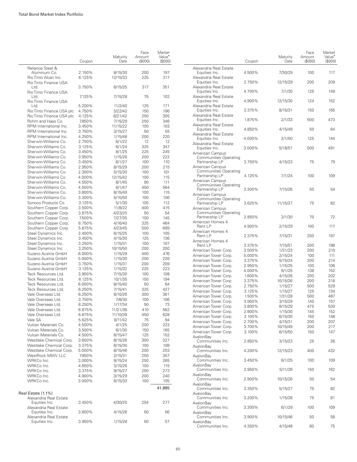|                                                  | Coupon           | Maturity<br>Date   | Face<br>Amount<br>(S000) | Market<br>Value <sup>•</sup><br>(\$000) |
|--------------------------------------------------|------------------|--------------------|--------------------------|-----------------------------------------|
| Reliance Steel &                                 |                  |                    |                          |                                         |
| Aluminum Co.                                     | 2.150%           | 8/15/30            | 200                      | 197                                     |
| Rio Tinto Alcan Inc.                             | 6.125%           | 12/15/33           | 225                      | 317                                     |
| Rio Tinto Finance USA                            |                  |                    |                          |                                         |
| Ltd.<br>Rio Tinto Finance USA                    | 3.750%           | 6/15/25            | 317                      | 351                                     |
| Ltd.                                             | 7.125%           | 7/15/28            | 75                       | 102                                     |
| Rio Tinto Finance USA                            |                  |                    |                          |                                         |
| ht I                                             | 5.200%           | 11/2/40            | 125                      | 171                                     |
| Rio Tinto Finance USA plc                        | 4.750%           | 3/22/42            | 150                      | 196                                     |
| Rio Tinto Finance USA plc                        | 4.125%           | 8/21/42            | 250                      | 305                                     |
| Rohm and Haas Co.                                | 7.850%           | 7/15/29            | 250                      | 346                                     |
| RPM International Inc.                           | 3.450%           | 11/15/22           | 100                      | 103                                     |
| RPM International Inc.<br>RPM International Inc. | 3.750%<br>4.250% | 3/15/27            | 50<br>200                | 55<br>220                               |
| Sherwin-Williams Co.                             | 2.750%           | 1/15/48<br>6/1/22  | 12                       | 12                                      |
| Sherwin-Williams Co.                             | 3.125%           | 6/1/24             | 325                      | 347                                     |
| Sherwin-Williams Co.                             | 3.450%           | 8/1/25             | 225                      | 245                                     |
| Sherwin-Williams Co.                             | 3.950%           | 1/15/26            | 200                      | 222                                     |
| Sherwin-Williams Co.                             | 3.450%           | 6/1/27             | 100                      | 110                                     |
| Sherwin-Williams Co.                             | 2.950%           | 8/15/29            | 200                      | 215                                     |
| Sherwin-Williams Co.                             | 2.300%           | 5/15/30            | 100                      | 101                                     |
| Sherwin-Williams Co.                             | 4.000%           | 12/15/42           | 100                      | 115                                     |
| Sherwin-Williams Co.                             | 4.550%           | 8/1/45             | 90                       | 111                                     |
| Sherwin-Williams Co.                             | 4.500%           | 6/1/47             | 450                      | 564                                     |
| Sherwin-Williams Co.                             | 3.800%           | 8/15/49            | 100                      | 115                                     |
| Sherwin-Williams Co.                             | 3.300%           | 5/15/50            | 100                      | 106                                     |
| Sonoco Products Co.                              | 3.125%           | 5/1/30             | 105                      | 112                                     |
| Southern Copper Corp.                            | 3.500%           | 11/8/22            | 400                      | 415                                     |
| Southern Copper Corp.                            | 3.875%           | 4/23/25            | 50                       | 54                                      |
| Southern Copper Corp.                            | 7.500%           | 7/27/35            | 100                      | 145                                     |
| Southern Copper Corp.                            | 6.750%           | 4/16/40            | 325                      | 464<br>699                              |
| Southern Copper Corp.<br>Steel Dynamics Inc.     | 5.875%<br>2.400% | 4/23/45<br>6/15/25 | 500<br>100               | 105                                     |
| Steel Dynamics Inc.                              | 3.450%           | 4/15/30            | 125                      | 136                                     |
| Steel Dynamics Inc.                              | 3.250%           | 1/15/31            | 100                      | 107                                     |
| Steel Dynamics Inc.                              | 3.250%           | 10/15/50           | 200                      | 200                                     |
| Suzano Austria GmbH                              | 6.000%           | 1/15/29            | 400                      | 476                                     |
| Suzano Austria GmbH                              | 5.000%           | 1/15/30            | 200                      | 226                                     |
| Suzano Austria GmbH                              | 3.750%           | 1/15/31            | 200                      | 209                                     |
| Suzano Austria GmbH                              | 3.125%           | 1/15/32            | 225                      | 223                                     |
| Teck Resources Ltd.                              | 3.900%           | 7/15/30            | 100                      | 108                                     |
| Teck Resources Ltd.                              | 6.125%           | 10/1/35            | 150                      | 194                                     |
| Teck Resources Ltd.                              | 6.000%           | 8/15/40            | 50                       | 64                                      |
| Teck Resources Ltd.                              | 6.250%<br>6.250% | 7/15/41            | 325                      | 427                                     |
| Vale Overseas Ltd.<br>Vale Overseas Ltd.         | 3.750%           | 8/10/26<br>7/8/30  | 300<br>100               | 361<br>106                              |
| Vale Overseas Ltd.                               | 8.250%           | 1/17/34            | 50                       | 73                                      |
| Vale Overseas Ltd.                               | 6.875%           | 11/21/36           | 410                      | 562                                     |
| Vale Overseas Ltd.                               | 6.875%           | 11/10/39           | 450                      | 628                                     |
| Vale SA                                          | 5.625%           | 9/11/42            | 75                       | 94                                      |
| Vulcan Materials Co.                             | 4.500%           | 4/1/25             | 200                      | 223                                     |
| Vulcan Materials Co.                             | 3.500%           | 6/1/30             | 150                      | 165                                     |
| Vulcan Materials Co.                             | 4.500%           | 6/15/47            | 125                      | 152                                     |
| Westlake Chemical Corp.                          | 3.600%           | 8/15/26            | 300                      | 327                                     |
| Westlake Chemical Corp.                          | 3.375%           | 6/15/30            | 100                      | 108                                     |
| Westlake Chemical Corp.                          | 5.000%           | 8/15/46            | 200                      | 253                                     |
| WestRock MWV LLC                                 | 7.950%           | 2/15/31            | 250                      | 357                                     |
| WRKCo Inc.                                       | 3.000%           | 9/15/24            | 250                      | 265                                     |
| WRKCo Inc.<br>WRKCo Inc.                         | 4.650%           | 3/15/26            | 100                      | 115                                     |
| WRKCo Inc.                                       | 3.375%<br>4.900% | 9/15/27<br>3/15/29 | 250<br>200               | 273<br>240                              |
| WRKCo Inc.                                       | 3.000%           | 6/15/33            | 100                      | 105                                     |
|                                                  |                  |                    |                          |                                         |
| Real Estate (1.1%)                               |                  |                    |                          | 41,885                                  |
| Alexandria Real Estate<br>Equities Inc.          | 3.450%           | 4/30/25            | 254                      | 277                                     |
| Alexandria Real Estate<br>Equities Inc.          | 3.800%           | 4/15/26            | 50                       | 56                                      |
| Alexandria Real Estate<br>Equities Inc.          | 3.950%           | 1/15/28            | 50                       | 57                                      |

|                                                                    | Coupon           | Maturity<br>Date    | Face<br>Amount<br>(S000) | Market<br>Value <sup>•</sup><br>(S000) |
|--------------------------------------------------------------------|------------------|---------------------|--------------------------|----------------------------------------|
| Alexandria Real Estate<br>Equities Inc.                            | 4.500%           | 7/30/29             | 100                      | 117                                    |
| Alexandria Real Estate<br>Equities Inc.                            | 2.750%           | 12/15/29            | 200                      | 209                                    |
| Alexandria Real Estate<br>Equities Inc.                            | 4.700%           | 7/1/30              | 125                      | 149                                    |
| Alexandria Real Estate<br>Equities Inc.                            | 4.900%           | 12/15/30            | 124                      | 152                                    |
| Alexandria Real Estate<br>Equities Inc.                            | 3.375%           | 8/15/31             | 150                      | 165                                    |
| Alexandria Real Estate<br>Equities Inc.                            | 1.875%           | 2/1/33              | 500                      | 473                                    |
| Alexandria Real Estate<br>Equities Inc.                            | 4.850%           | 4/15/49             | 50                       | 64                                     |
| Alexandria Real Estate<br>Equities Inc.                            | 4.000%           | 2/1/50              | 125                      | 144                                    |
| Alexandria Real Estate<br>Equities Inc.                            | 3.000%           | 5/18/51             | 500                      | 491                                    |
| American Campus<br><b>Communities Operating</b><br>Partnership LP  | 3.750%           | 4/15/23             | 75                       | 79                                     |
| American Campus<br><b>Communities Operating</b><br>Partnership LP  | 4.125%           | 7/1/24              | 100                      | 109                                    |
| American Campus<br><b>Communities Operating</b>                    |                  |                     |                          |                                        |
| Partnership LP<br>American Campus<br><b>Communities Operating</b>  | 3.300%           | 7/15/26             | 50                       | 54                                     |
| Partnership LP<br>American Campus                                  | 3.625%           | 11/15/27            | 75                       | 82                                     |
| <b>Communities Operating</b><br>Partnership LP<br>American Homes 4 | 2.850%           | 2/1/30              | 70                       | 72                                     |
| Rent LP                                                            | 4.900%           | 2/15/29             | 100                      | 117                                    |
| American Homes 4<br>Rent LP                                        | 2.375%           | 7/15/31             | 200                      | 197                                    |
| American Homes 4<br>Rent LP                                        | 3.375%           | 7/15/51             | 200                      | 196                                    |
| American Tower Corp.                                               | 3.500%           | 1/31/23             | 200                      | 210                                    |
| American Tower Corp.                                               | 5.000%           | 2/15/24             | 100                      | 111<br>214                             |
| American Tower Corp.                                               | 3.375%           | 5/15/24             | 200                      |                                        |
| American Tower Corp.                                               | 2.950%           | 1/15/25             | 100                      | 106                                    |
| American Tower Corp.                                               | 4.000%           | 6/1/25              | 138                      | 152                                    |
| American Tower Corp.                                               | 1.600%           | 4/15/26             | 200                      | 202                                    |
| American Tower Corp.                                               | 3.375%           | 10/15/26            | 200                      | 218                                    |
| American Tower Corp.                                               | 2.750%           | 1/15/27             | 500                      | 529                                    |
| American Tower Corp.                                               | 3.125%           | 1/15/27             | 125                      | 134                                    |
| American Tower Corp.                                               | 1.500%           | 1/31/28             | 500                      | 487                                    |
| American Tower Corp.                                               | 3.950%           | 3/15/29             | 140                      | 157                                    |
| American Tower Corp.                                               | 3.800%           | 8/15/29             | 475                      | 530                                    |
| American Tower Corp.                                               | 2.900%           | 1/15/30             | 145                      | 152                                    |
| American Tower Corp.                                               | 2.100%           | 6/15/30             | 150                      | 148<br>207                             |
| American Tower Corp.                                               | 2.700%           | 4/15/31<br>10/15/49 | 200                      |                                        |
| American Tower Corp.                                               | 3.700%<br>3.100% |                     | 200                      | 217                                    |
| American Tower Corp.<br>AvalonBay<br>Communities Inc.              | 2.850%           | 6/15/50<br>3/15/23  | 150<br>25                | 147<br>26                              |
| AvalonBay<br>Communities Inc.                                      | 4.200%           | 12/15/23            | 400                      | 432                                    |
| AvalonBay<br>Communities Inc.<br>AvalonBay                         | 3.450%           | 6/1/25              | 100                      | 109                                    |
| Communities Inc.<br>AvalonBay                                      | 2.950%           | 5/11/26             | 150                      | 162                                    |
| Communities Inc.<br>AvalonBay                                      | 2.900%           | 10/15/26            | 50                       | 54                                     |
| Communities Inc.<br>AvalonBay                                      | 3.350%           | 5/15/27             | 75                       | 82                                     |
| Communities Inc.<br>AvalonBay                                      | 3.200%           | 1/15/28             | 75                       | 81                                     |
| Communities Inc.<br>AvalonBay                                      | 3.300%           | 6/1/29              | 100                      | 109                                    |
| Communities Inc.<br>AvalonBay                                      | 3.900%           | 10/15/46            | 50                       | 58                                     |
| Communities Inc.                                                   | 4.350%           | 4/15/48             | 60                       | 75                                     |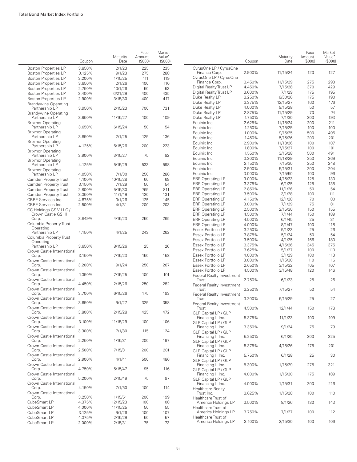L.

|       |                                               | Coupon | Maturity<br>Date | Face<br>Amount<br>(S000) | Market<br>Value <sup>•</sup><br>(\$000) |          |
|-------|-----------------------------------------------|--------|------------------|--------------------------|-----------------------------------------|----------|
|       | <b>Boston Properties LP</b>                   | 3.850% | 2/1/23           | 225                      | 235                                     | Сy       |
|       | <b>Boston Properties LP</b>                   | 3.125% | 9/1/23           | 275                      | 288                                     |          |
|       | <b>Boston Properties LP</b>                   | 3.200% | 1/15/25          | 111                      | 119                                     | Сy       |
|       | <b>Boston Properties LP</b>                   | 3.650% | 2/1/26           | 100                      | 110                                     |          |
|       | <b>Boston Properties LP</b>                   | 2.750% | 10/1/26          | 50                       | 53                                      | Dig      |
|       | <b>Boston Properties LP</b>                   | 3.400% | 6/21/29          | 400                      | 435                                     | Dig      |
|       | <b>Boston Properties LP</b>                   | 2.900% | 3/15/30          | 400                      | 417                                     | Dυ       |
|       | <b>Brandywine Operating</b>                   |        |                  |                          |                                         | Dυ       |
|       | Partnership LP                                | 3.950% | 2/15/23          | 700                      | 731                                     | Dυ<br>Dυ |
|       | <b>Brandywine Operating</b><br>Partnership LP | 3.950% | 11/15/27         | 100                      | 109                                     | Dυ       |
|       | <b>Brixmor Operating</b><br>Partnership LP    | 3.650% | 6/15/24          | 50                       | 54                                      | Eq<br>Eq |
|       | <b>Brixmor Operating</b><br>Partnership LP    | 3.850% | 2/1/25           | 125                      | 136                                     | Eq<br>Eq |
|       | <b>Brixmor Operating</b><br>Partnership LP    | 4.125% | 6/15/26          | 200                      | 223                                     | Eq<br>Eq |
|       | <b>Brixmor Operating</b><br>Partnership LP    | 3.900% | 3/15/27          | 75                       | 82                                      | Eq<br>Eq |
|       | <b>Brixmor Operating</b><br>Partnership LP    | 4.125% | 5/15/29          | 533                      | 598                                     | Eq       |
|       | <b>Brixmor Operating</b>                      |        |                  |                          |                                         | Eq       |
|       | Partnership LP                                | 4.050% | 7/1/30           | 250                      | 280                                     | Eq       |
|       | Camden Property Trust                         | 4.100% | 10/15/28         | 60                       | 69                                      | ER       |
|       | Camden Property Trust                         | 3.150% | 7/1/29           | 50                       | 54                                      | ER       |
|       | Camden Property Trust                         | 2.800% | 5/15/30          | 765                      | 811                                     | ER       |
|       | Camden Property Trust                         | 3.350% | 11/1/49          | 120                      | 131                                     | ER       |
|       | <b>CBRE</b> Services Inc.                     | 4.875% | 3/1/26           | 125                      | 145                                     | ΕR       |
|       | <b>CBRE</b> Services Inc.                     | 2.500% | 4/1/31           | 200                      | 203                                     | ER       |
|       | CC Holdings GS V LLC /<br>Crown Castle GS III |        |                  |                          |                                         | ER<br>ER |
| Corp. | Columbia Property Trust                       | 3.849% | 4/15/23          | 250                      | 265                                     | ER<br>ER |
|       | Operating<br>Partnership LP                   | 4.150% | 4/1/25           | 243                      | 262                                     | Es<br>Es |
|       | Columbia Property Trust<br>Operating          |        |                  |                          |                                         | Es<br>Es |
|       | Partnership LP<br>Crown Castle International  | 3.650% | 8/15/26          | 25                       | 26                                      | Es       |
| Corp. | Crown Castle International                    | 3.150% | 7/15/23          | 150                      | 158                                     | Es<br>Es |
| Corp. | Crown Castle International                    | 3.200% | 9/1/24           | 250                      | 267                                     | Es<br>Es |
| Corp. | Crown Castle International                    | 1.350% | 7/15/25          | 100                      | 101                                     | Fe       |
| Corp. | Crown Castle International                    | 4.450% | 2/15/26          | 250                      | 282                                     | Fe       |
| Corp. | Crown Castle International                    | 3.700% | 6/15/26          | 175                      | 193                                     | Fer      |
| Corp. | Crown Castle International                    | 3.650% | 9/1/27           | 325                      | 358                                     | Fe       |
| Corp. | Crown Castle International                    | 3.800% | 2/15/28          | 425                      | 472                                     | GL       |
| Corp. | Crown Castle International                    | 3.100% | 11/15/29         | 100                      | 106                                     | GL       |
| Corp. | Crown Castle International                    | 3.300% | 7/1/30           | 115                      | 124                                     | GL       |
| Corp. | Crown Castle International                    | 2.250% | 1/15/31          | 200                      | 197                                     | GL       |
| Corp. | Crown Castle International                    | 2.500% | 7/15/31          | 200                      | 201                                     | GL       |
| Corp. | Crown Castle International                    | 2.900% | 4/1/41           | 500                      | 486                                     | GL       |
| Corp. |                                               | 4.750% | 5/15/47          | 95                       | 116                                     | GL       |
| Corp. | Crown Castle International                    | 5.200% | 2/15/49          | 75                       | 97                                      | GL       |
| Corp. | Crown Castle International                    | 4.150% | 7/1/50           | 100                      | 114                                     | He       |
| Corp. | Crown Castle International                    | 3.250% | 1/15/51          | 200                      | 199                                     | He       |
|       | CubeSmart LP                                  | 4.375% | 12/15/23         | 100                      | 108                                     |          |
|       | CubeSmart LP                                  | 4.000% | 11/15/25         | 50                       | 55                                      | He       |
|       | CubeSmart LP                                  | 3.125% | 9/1/26           | 100                      | 107                                     |          |
|       | CubeSmart LP                                  | 4.375% | 2/15/29          | 50                       | 57                                      | He       |
|       | CubeSmart LP                                  | 2.000% | 2/15/31          | 75                       | 73                                      |          |

|                                                    | Coupon           | Maturity<br>Date   | Face<br>Amount<br>(\$000) | Market<br>Value <sup>•</sup><br>(S000) |
|----------------------------------------------------|------------------|--------------------|---------------------------|----------------------------------------|
| CyrusOne LP / CyrusOne<br>Finance Corp.            | 2.900%           | 11/15/24           | 120                       | 127                                    |
| CyrusOne LP / CyrusOne                             |                  |                    |                           |                                        |
| Finance Corp.                                      | 3.450%           | 11/15/29           | 275                       | 293                                    |
| Digital Realty Trust LP                            | 4.450%           | 7/15/28            | 370                       | 429                                    |
| Digital Realty Trust LP<br>Duke Realty LP          | 3.600%<br>3.250% | 7/1/29<br>6/30/26  | 175<br>175                | 195<br>190                             |
| Duke Realty LP                                     | 3.375%           | 12/15/27           | 160                       | 176                                    |
| Duke Realty LP                                     | 4.000%           | 9/15/28            | 50                        | 57                                     |
| Duke Realty LP                                     | 2.875%           | 11/15/29           | 70                        | 74                                     |
| Duke Realty LP                                     | 1.750%           | 7/1/30             | 200                       | 193                                    |
| Equinix Inc.                                       | 2.625%           | 11/18/24           | 200                       | 211                                    |
| Equinix Inc.                                       | 1.250%           | 7/15/25            | 100                       | 100                                    |
| Equinix Inc.                                       | 1.000%           | 9/15/25            | 500                       | 496                                    |
| Equinix Inc.                                       | 1.450%           | 5/15/26            | 200                       | 201                                    |
| Equinix Inc.                                       | 2.900%           | 11/18/26           | 100                       | 107                                    |
| Equinix Inc.<br>Equinix Inc.                       | 1.800%<br>1.550% | 7/15/27<br>3/15/28 | 100<br>500                | 101<br>491                             |
| Equinix Inc.                                       | 3.200%           | 11/18/29           | 250                       | 269                                    |
| Equinix Inc.                                       | 2.150%           | 7/15/30            | 250                       | 248                                    |
| Equinix Inc.                                       | 2.500%           | 5/15/31            | 200                       | 204                                    |
| Equinix Inc.                                       | 3.000%           | 7/15/50            | 100                       | 96                                     |
| <b>ERP Operating LP</b>                            | 3.000%           | 4/15/23            | 125                       | 130                                    |
| <b>ERP Operating LP</b>                            | 3.375%           | 6/1/25             | 125                       | 135                                    |
| <b>ERP Operating LP</b>                            | 2.850%           | 11/1/26            | 50                        | 54                                     |
| <b>ERP Operating LP</b>                            | 3.500%           | 3/1/28             | 100                       | 111                                    |
| <b>ERP Operating LP</b><br><b>ERP Operating LP</b> | 4.150%<br>3.000% | 12/1/28<br>7/1/29  | 70<br>75                  | 80<br>81                               |
| <b>ERP Operating LP</b>                            | 2.500%           | 2/15/30            | 150                       | 155                                    |
| <b>ERP Operating LP</b>                            | 4.500%           | 7/1/44             | 150                       | 189                                    |
| <b>ERP Operating LP</b>                            | 4.500%           | 6/1/45             | 25                        | 31                                     |
| <b>ERP Operating LP</b>                            | 4.000%           | 8/1/47             | 100                       | 118                                    |
| Essex Portfolio LP                                 | 3.250%           | 5/1/23             | 25                        | 26                                     |
| Essex Portfolio LP                                 | 3.875%           | 5/1/24             | 50                        | 54                                     |
| Essex Portfolio LP                                 | 3.500%           | 4/1/25             | 166                       | 180                                    |
| Essex Portfolio LP                                 | 3.375%           | 4/15/26            | 345                       | 375                                    |
| Essex Portfolio LP<br>Essex Portfolio LP           | 3.625%<br>4.000% | 5/1/27<br>3/1/29   | 100<br>100                | 110<br>113                             |
| Essex Portfolio LP                                 | 3.000%           | 1/15/30            | 110                       | 116                                    |
| Essex Portfolio LP                                 | 2.650%           | 3/15/32            | 105                       | 107                                    |
| Essex Portfolio LP                                 | 4.500%           | 3/15/48            | 120                       | 146                                    |
| Federal Realty Investment                          |                  |                    |                           |                                        |
| Trust                                              | 2.750%           | 6/1/23             | 25                        | 26                                     |
| <b>Federal Realty Investment</b><br>Trust          | 3.250%           | 7/15/27            | 50                        | 54                                     |
| Federal Realty Investment                          |                  |                    |                           |                                        |
| Trust                                              | 3.200%           | 6/15/29            | 25                        | 27                                     |
| Federal Realty Investment<br>Trust                 | 4.500%           | 12/1/44            | 150                       | 178                                    |
| GLP Capital LP / GLP<br>Financing II Inc.          | 5.375%           | 11/1/23            | 100                       | 109                                    |
| GLP Capital LP / GLP                               | 3.350%           |                    | 75                        | 79                                     |
| Financing II Inc.<br>GLP Capital LP / GLP          |                  | 9/1/24             |                           |                                        |
| Financing II Inc.<br>GLP Capital LP / GLP          | 5.250%           | 6/1/25             | 200                       | 225                                    |
| Financing II Inc.                                  | 5.375%           | 4/15/26            | 175                       | 201                                    |
| GLP Capital LP / GLP<br>Financing II Inc.          | 5.750%           | 6/1/28             | 25                        | 30                                     |
| GLP Capital LP / GLP<br>Financing II Inc.          | 5.300%           | 1/15/29            | 275                       | 321                                    |
| GLP Capital LP / GLP<br>Financing II Inc.          | 4.000%           | 1/15/30            | 175                       | 189                                    |
| GLP Capital LP / GLP                               |                  |                    |                           |                                        |
| Financing II Inc.<br><b>Healthcare Realty</b>      | 4.000%           | 1/15/31            | 200                       | 216                                    |
| Trust Inc.<br>Healthcare Trust of                  | 3.625%           | 1/15/28            | 100                       | 110                                    |
| America Holdings LP                                | 3.500%           | 8/1/26             | 130                       | 143                                    |
| Healthcare Trust of<br>America Holdings LP         | 3.750%           | 7/1/27             | 100                       | 112                                    |
| Healthcare Trust of<br>America Holdings LP         | 3.100%           | 2/15/30            | 100                       | 106                                    |
|                                                    |                  |                    |                           |                                        |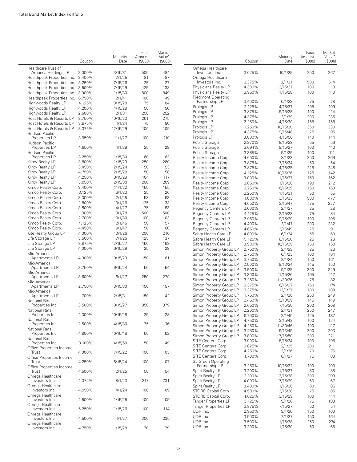|                                                          | Coupon | Maturity<br>Date  | Face<br>Amount<br>(\$000) | Market<br>Value <sup>•</sup><br>(S000) |                                          | Coupon           | Maturity<br>Date  | Face<br>Amount<br>(\$000) | Market<br>Value <sup>*</sup><br>(\$000 |
|----------------------------------------------------------|--------|-------------------|---------------------------|----------------------------------------|------------------------------------------|------------------|-------------------|---------------------------|----------------------------------------|
| Healthcare Trust of                                      |        |                   |                           |                                        | Omega Healthcare                         |                  |                   |                           |                                        |
| America Holdings LP<br>Healthpeak Properties Inc. 3.400% | 2.000% | 3/15/31<br>2/1/25 | 500<br>81                 | 484<br>87                              | Investors Inc.<br>Omega Healthcare       | 3.625%           | 10/1/29           | 250                       | 267                                    |
| Healthpeak Properties Inc.                               | 3.250% | 7/15/26           | 25                        | 27                                     | Investors Inc.                           | 3.375%           | 2/1/31            | 500                       | 514                                    |
| Healthpeak Properties Inc.                               | 3.500% | 7/15/29           | 125                       | 138                                    | Physicians Realty LP                     | 4.300%           | 3/15/27           | 100                       | 113                                    |
| Healthpeak Properties Inc.                               | 3.000% | 1/15/30           | 800                       | 849                                    | Physicians Realty LP                     | 3.950%           | 1/15/28           | 100                       | 110                                    |
| Healthpeak Properties Inc. 6.750%                        |        | 2/1/41            | 100                       | 149                                    | Piedmont Operating                       |                  |                   |                           |                                        |
| Highwoods Realty LP                                      | 4.125% | 3/15/28           | 75                        | 84                                     | Partnership LP                           | 3.400%           | 6/1/23            | 75                        | 78                                     |
| Highwoods Realty LP                                      | 4.200% | 4/15/29           | 50                        | 56                                     | Prologis LP                              | 2.125%           | 4/15/27           | 105                       | 109                                    |
| Highwoods Realty LP                                      | 2.600% | 2/1/31            | 250                       | 252                                    | Prologis LP                              | 3.875%           | 9/15/28           | 100                       | 114                                    |
| Host Hotels & Resorts LP                                 | 3.750% | 10/15/23          | 261                       | 275                                    | Prologis LP                              | 4.375%           | 2/1/29            | 200                       | 235                                    |
| Host Hotels & Resorts LP                                 | 3.875% | 4/1/24            | 75                        | 80                                     | Prologis LP                              | 2.250%           | 4/15/30           | 155                       | 158                                    |
| Host Hotels & Resorts LP                                 | 3.375% | 12/15/29          | 100                       | 105                                    | Prologis LP                              | 1.250%           | 10/15/30          | 350                       | 330                                    |
| Hudson Pacific                                           |        |                   |                           |                                        | Prologis LP                              | 4.375%           | 9/15/48           | 75                        | 95                                     |
| Properties LP                                            | 3.950% | 11/1/27           | 100                       | 110                                    | Prologis LP                              | 3.000%           | 4/15/50           | 140                       | 144                                    |
| Hudson Pacific                                           |        |                   |                           |                                        | Public Storage                           | 2.370%           | 9/15/22           | 55                        | 56                                     |
| Properties LP                                            | 4.650% | 4/1/29            | 25                        | 29                                     | Public Storage                           | 3.094%           | 9/15/27           | 100                       | 110                                    |
| Hudson Pacific<br>Properties LP                          | 3.250% | 1/15/30           | 60                        | 63                                     | Public Storage                           | 3.385%           | 5/1/29            | 100                       | 111                                    |
| Kilroy Realty LP                                         | 3.800% | 1/15/23           | 250                       | 260                                    | Realty Income Corp.                      | 4.650%           | 8/1/23            | 250                       | 269                                    |
| Kilroy Realty LP                                         | 3.450% | 12/15/24          | 50                        | 53                                     | Realty Income Corp.                      | 3.875%           | 7/15/24           | 50                        | 54                                     |
| Kilroy Realty LP                                         | 4.750% | 12/15/28          | 50                        | 58                                     | Realty Income Corp.                      | 3.875%           | 4/15/25           | 225                       | 248                                    |
| Kilroy Realty LP                                         | 4.250% | 8/15/29           | 104                       | 117                                    | Realty Income Corp.                      | 4.125%           | 10/15/26          | 125                       | 142                                    |
| Kilroy Realty LP                                         | 3.050% | 2/15/30           | 200                       | 209                                    | Realty Income Corp.                      | 3.000%           | 1/15/27           | 150                       | 162                                    |
| Kimco Realty Corp.                                       | 3.400% | 11/1/22           | 150                       | 155                                    | Realty Income Corp.                      | 3.650%           | 1/15/28           | 190                       | 212                                    |
| Kimco Realty Corp.                                       | 3.125% | 6/1/23            | 25                        | 26                                     | Realty Income Corp.                      | 3.250%           | 6/15/29           | 150                       | 163<br>55                              |
| Kimco Realty Corp.                                       | 3.300% | 2/1/25            | 58                        | 63                                     | Realty Income Corp.                      | 3.250%           | 1/15/31           | 50                        |                                        |
| Kimco Realty Corp.                                       | 2.800% | 10/1/26           | 125                       | 133                                    | Realty Income Corp.                      | 1.800%           | 3/15/33           | 500                       | 477                                    |
| Kimco Realty Corp.                                       | 3.800% | 4/1/27            | 75                        | 83                                     | Realty Income Corp.                      | 4.650%           | 3/15/47           | 175                       | 227                                    |
| Kimco Realty Corp.                                       | 1.900% | 3/1/28            | 500                       | 500                                    | <b>Regency Centers LP</b>                | 3.600%           | 2/1/27            | 25                        | 28                                     |
| Kimco Realty Corp.                                       | 2.700% | 10/1/30           | 100                       | 103                                    | Regency Centers LP                       | 4.125%<br>2.950% | 3/15/28           | 75<br>100                 | 84                                     |
| Kimco Realty Corp.                                       | 4.125% | 12/1/46           | 50                        | 57                                     | Regency Centers LP<br>Regency Centers LP | 4.400%           | 9/15/29<br>2/1/47 | 200                       | 105<br>232                             |
| Kimco Realty Corp.                                       | 4.450% | 9/1/47            | 50                        | 60                                     | <b>Regency Centers LP</b>                | 4.650%           | 3/15/49           | 75                        | 91                                     |
| Kite Realty Group LP                                     | 4.000% | 10/1/26           | 200                       | 216                                    | Sabra Health Care LP                     | 4.800%           | 6/1/24            | 55                        | 60                                     |
| Life Storage LP                                          | 3.500% | 7/1/26            | 125                       | 137                                    | Sabra Health Care LP                     | 5.125%           | 8/15/26           | 25                        | 28                                     |
| Life Storage LP                                          | 3.875% | 12/15/27          | 150                       | 168                                    | Sabra Health Care LP                     | 3.900%           | 10/15/29          | 150                       | 158                                    |
| Life Storage LP                                          | 4.000% | 6/15/29           | 25                        | 28                                     | Simon Property Group LP                  | 2.750%           | 2/1/23            | 25                        | 26                                     |
| Mid-America                                              |        |                   |                           |                                        | Simon Property Group LP                  | 2.750%           | 6/1/23            | 100                       | 104                                    |
| Apartments LP                                            | 4.300% | 10/15/23          | 150                       | 161                                    | Simon Property Group LP                  | 3.750%           | 2/1/24            | 150                       | 161                                    |
| Mid-America                                              |        |                   |                           |                                        | Simon Property Group LP                  | 2.000%           | 9/13/24           | 145                       | 150                                    |
| Apartments LP                                            | 3.750% | 6/15/24           | 50                        | 54                                     | Simon Property Group LP                  | 3.500%           | 9/1/25            | 300                       | 329                                    |
| Mid-America                                              |        |                   |                           |                                        | Simon Property Group LP                  | 3.300%           | 1/15/26           | 195                       | 212                                    |
| Apartments LP                                            | 3.600% | 6/1/27            | 250                       | 279                                    | Simon Property Group LP                  | 3.250%           | 11/30/26          | 75                        | 82                                     |
| Mid-America<br>Apartments LP                             | 2.750% | 3/15/30           | 150                       | 157                                    | Simon Property Group LP                  | 3.375%           | 6/15/27           | 160                       | 174                                    |
| Mid-America                                              |        |                   |                           |                                        | Simon Property Group LP                  | 3.375%           | 12/1/27           | 100                       | 109                                    |
| Apartments LP                                            | 1.700% | 2/15/31           | 150                       | 142                                    | Simon Property Group LP                  | 1.750%           | 2/1/28            | 250                       | 249                                    |
| National Retail                                          |        |                   |                           |                                        | Simon Property Group LP                  | 2.450%           | 9/13/29           | 145                       | 149                                    |
| Properties Inc.                                          | 3.500% | 10/15/27          | 350                       | 379                                    | Simon Property Group LP                  | 2.650%           | 7/15/30           | 200                       | 208                                    |
| National Retail                                          |        |                   |                           |                                        | Simon Property Group LP                  | 2.200%           | 2/1/31            | 250                       | 247                                    |
| Properties Inc.                                          | 4.300% | 10/15/28          | 25                        | 28                                     | Simon Property Group LP                  | 6.750%           | 2/1/40            | 125                       | 187                                    |
| National Retail                                          |        |                   |                           |                                        | Simon Property Group LP                  | 4.750%           | 3/15/42           | 100                       | 124                                    |
| Properties Inc.                                          | 2.500% | 4/15/30           | 75                        | 76                                     | Simon Property Group LP                  | 4.250%           | 11/30/46          | 100                       | 117                                    |
| National Retail                                          | 4.800% | 10/15/48          | 50                        | 62                                     | Simon Property Group LP                  | 3.250%           | 9/13/49           | 200                       | 203                                    |
| Properties Inc.<br>National Retail                       |        |                   |                           |                                        | Simon Property Group LP                  | 3.800%           | 7/15/50           | 200                       | 221                                    |
| Properties Inc.                                          | 3.100% | 4/15/50           | 50                        | 49                                     | SITE Centers Corp.                       | 3.900%           | 8/15/24           | 100                       | 105                                    |
| Office Properties Income                                 |        |                   |                           |                                        | SITE Centers Corp.                       | 3.625%           | 2/1/25            | 200                       | 211                                    |
| Trust                                                    | 4.000% | 7/15/22           | 100                       | 103                                    | SITE Centers Corp.                       | 4.250%           | 2/1/26            | 70                        | 76                                     |
| Office Properties Income                                 |        |                   |                           |                                        | SITE Centers Corp.                       | 4.700%           | 6/1/27            | 75                        | 83                                     |
| Trust                                                    | 4.250% | 5/15/24           | 100                       | 107                                    | <b>SL Green Operating</b>                |                  |                   |                           |                                        |
| Office Properties Income                                 |        |                   |                           |                                        | Partnership LP                           | 3.250%           | 10/15/22          | 100                       | 103                                    |
| Trust                                                    | 4.500% | 2/1/25            | 50                        | 54                                     | Spirit Realty LP                         | 3.200%           | 1/15/27           | 80                        | 85                                     |
| Omega Healthcare                                         |        |                   |                           |                                        | Spirit Realty LP                         | 2.100%           | 3/15/28           | 300                       | 299                                    |
| Investors Inc.                                           | 4.375% | 8/1/23            | 217                       | 231                                    | Spirit Realty LP                         | 4.000%           | 7/15/29           | 60                        | 67                                     |
| Omega Healthcare<br>Investors Inc.                       | 4.950% | 4/1/24            | 100                       | 109                                    | Spirit Realty LP                         | 3.400%           | 1/15/30           | 80                        | 85                                     |
|                                                          |        |                   |                           |                                        | STORE Capital Corp.                      | 4.500%           | 3/15/28           | 75                        | 85                                     |
| Omega Healthcare<br>Investors Inc.                       | 4.500% | 1/15/25           | 100                       | 109                                    | STORE Capital Corp.                      | 4.625%           | 3/15/29           | 100                       | 114                                    |
| Omega Healthcare                                         |        |                   |                           |                                        | <b>Tanger Properties LP</b>              | 3.125%           | 9/1/26            | 175                       | 183                                    |
| Investors Inc.                                           | 5.250% | 1/15/26           | 100                       | 114                                    | Tanger Properties LP                     | 3.875%           | 7/15/27           | 50                        | 54                                     |
| Omega Healthcare                                         |        |                   |                           |                                        | UDR Inc.                                 | 2.950%           | 9/1/26            | 150                       | 160                                    |
| Investors Inc.                                           | 4.500% | 4/1/27            | 300                       | 335                                    | UDR Inc.                                 | 3.500%           | 7/1/27            | 150                       | 164                                    |
| Omega Healthcare                                         |        |                   |                           |                                        | UDR Inc.                                 | 3.500%           | 1/15/28           | 250                       | 274                                    |
| Investors Inc.                                           | 4.750% | 1/15/28           | 70                        | 79                                     | UDR Inc.                                 | 3.200%           | 1/15/30           | 60                        | 65                                     |

Market Value• (\$000)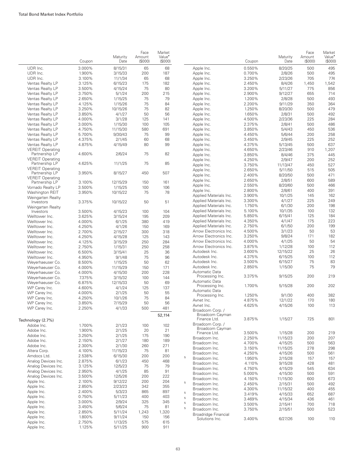|                          | Coupon | Maturity<br>Date | Face<br>Amount<br>(S000) | Market<br>Value <sup>*</sup><br>(\$000) |   |                        | Coupon | Maturity<br>Date | Face<br>Amount<br>$($ \$000 $)$ | Market<br>Value <sup>•</sup><br>(\$000) |
|--------------------------|--------|------------------|--------------------------|-----------------------------------------|---|------------------------|--------|------------------|---------------------------------|-----------------------------------------|
| UDR Inc.                 | 3.000% | 8/15/31          | 65                       | 68                                      |   | Apple Inc.             | 0.550% | 8/20/25          | 500                             | 495                                     |
| UDR Inc.                 | 1.900% |                  |                          | 187                                     |   |                        | 0.700% |                  | 500                             | 495                                     |
|                          |        | 3/15/33          | 200                      | 68                                      |   | Apple Inc.             |        | 2/8/26           |                                 | 774                                     |
| UDR Inc.                 | 3.100% | 11/1/34          | 65                       |                                         |   | Apple Inc.             | 3.250% | 2/23/26          | 705                             |                                         |
| Ventas Realty LP         | 3.125% | 6/15/23          | 175                      | 182                                     |   | Apple Inc.             | 2.450% | 8/4/26           | 1,450                           | 1,542                                   |
| Ventas Realty LP         | 3.500% | 4/15/24          | 75                       | 80                                      |   | Apple Inc.             | 3.200% | 5/11/27          | 775                             | 856                                     |
| Ventas Realty LP         | 3.750% | 5/1/24           | 200                      | 215                                     |   | Apple Inc.             | 2.900% | 9/12/27          | 655                             | 714                                     |
| Ventas Realty LP         | 2.650% | 1/15/25          | 75                       | 79                                      |   | Apple Inc.             | 1.200% | 2/8/28           | 500                             | 493                                     |
| Ventas Realty LP         | 4.125% | 1/15/26          | 75                       | 84                                      |   | Apple Inc.             | 2.200% | 9/11/29          | 350                             | 364                                     |
| Ventas Realty LP         | 3.250% | 10/15/26         | 75                       | 82                                      |   | Apple Inc.             | 1.250% | 8/20/30          | 500                             | 479                                     |
| Ventas Realty LP         | 3.850% | 4/1/27           | 50                       | 56                                      |   | Apple Inc.             | 1.650% | 2/8/31           | 500                             | 492                                     |
| Ventas Realty LP         | 4.000% | 3/1/28           | 125                      | 141                                     |   | Apple Inc.             | 4.500% | 2/23/36          | 225                             | 284                                     |
| Ventas Realty LP         | 3.000% | 1/15/30          | 100                      | 105                                     |   | Apple Inc.             | 2.375% | 2/8/41           | 500                             | 486                                     |
| Ventas Realty LP         | 4.750% | 11/15/30         | 580                      | 691                                     |   | Apple Inc.             | 3.850% | 5/4/43           | 450                             | 536                                     |
| Ventas Realty LP         | 5.700% | 9/30/43          | 75                       | 99                                      |   | Apple Inc.             | 4.450% | 5/6/44           | 200                             | 258                                     |
| Ventas Realty LP         | 4.375% | 2/1/45           | 60                       | 68                                      |   | Apple Inc.             | 3.450% | 2/9/45           | 225                             | 252                                     |
| Ventas Realty LP         | 4.875% | 4/15/49          | 80                       | 99                                      |   | Apple Inc.             | 4.375% | 5/13/45          | 500                             | 637                                     |
| <b>VEREIT Operating</b>  |        |                  |                          |                                         |   | Apple Inc.             | 4.650% | 2/23/46          | 910                             | 1,207                                   |
| Partnership LP           | 4.600% | 2/6/24           | 75                       | 82                                      |   | Apple Inc.             | 3.850% | 8/4/46           | 375                             | 445                                     |
| <b>VEREIT Operating</b>  |        |                  |                          |                                         |   |                        |        |                  |                                 |                                         |
| Partnership LP           | 4.625% | 11/1/25          | 75                       | 85                                      |   | Apple Inc.             | 4.250% | 2/9/47           | 200                             | 252                                     |
| <b>VEREIT Operating</b>  |        |                  |                          |                                         |   | Apple Inc.             | 3.750% | 11/13/47         | 450                             | 527                                     |
| Partnership LP           | 3.950% | 8/15/27          | 450                      | 507                                     |   | Apple Inc.             | 2.650% | 5/11/50          | 515                             | 505                                     |
| <b>VEREIT Operating</b>  |        |                  |                          |                                         |   | Apple Inc.             | 2.400% | 8/20/50          | 500                             | 471                                     |
| Partnership LP           | 3.100% | 12/15/29         | 150                      | 161                                     |   | Apple Inc.             | 2.650% | 2/8/51           | 600                             | 589                                     |
| Vornado Realty LP        | 3.500% | 1/15/25          | 100                      | 106                                     |   | Apple Inc.             | 2.550% | 8/20/60          | 500                             | 466                                     |
|                          |        |                  |                          |                                         |   | Apple Inc.             | 2.800% | 2/8/61           | 400                             | 391                                     |
| Washington REIT          | 3.950% | 10/15/22         | 75                       | 78                                      |   | Applied Materials Inc. | 3.900% | 10/1/25          | 145                             | 162                                     |
| <b>Weingarten Realty</b> |        |                  |                          |                                         |   | Applied Materials Inc. | 3.300% | 4/1/27           | 225                             | 249                                     |
| Investors                | 3.375% | 10/15/22         | 50                       | 51                                      |   | Applied Materials Inc. | 1.750% | 6/1/30           | 200                             | 198                                     |
| <b>Weingarten Realty</b> |        |                  |                          | 104                                     |   | Applied Materials Inc. | 5.100% | 10/1/35          | 100                             | 132                                     |
| Investors                | 3.500% | 4/15/23          | 100                      |                                         |   |                        | 5.850% |                  | 125                             | 184                                     |
| Welltower Inc.           | 3.625% | 3/15/24          | 195                      | 209                                     |   | Applied Materials Inc. |        | 6/15/41          |                                 |                                         |
| Welltower Inc.           | 4.000% | 6/1/25           | 380                      | 419                                     |   | Applied Materials Inc. | 4.350% | 4/1/47           | 175                             | 223                                     |
| Welltower Inc.           | 4.250% | 4/1/26           | 150                      | 169                                     |   | Applied Materials Inc. | 2.750% | 6/1/50           | 200                             | 199                                     |
| Welltower Inc.           | 2.700% | 2/15/27          | 300                      | 318                                     |   | Arrow Electronics Inc. | 4.500% | 3/1/23           | 50                              | 53                                      |
| Welltower Inc.           | 4.250% | 4/15/28          | 125                      | 143                                     |   | Arrow Electronics Inc. | 3.250% | 9/8/24           | 171                             | 182                                     |
| Welltower Inc.           | 4.125% | 3/15/29          | 250                      | 284                                     |   | Arrow Electronics Inc. | 4.000% | 4/1/25           | 50                              | 54                                      |
| Welltower Inc.           | 2.750% | 1/15/31          | 250                      | 258                                     |   | Arrow Electronics Inc. | 3.875% | 1/12/28          | 100                             | 112                                     |
| Welltower Inc.           | 6.500% | 3/15/41          | 25                       | 36                                      |   | Autodesk Inc.          | 3.600% | 12/15/22         | 25                              | 26                                      |
| Welltower Inc.           | 4.950% | 9/1/48           | 75                       | 96                                      |   | Autodesk Inc.          | 4.375% | 6/15/25          | 100                             | 112                                     |
| Weyerhaeuser Co.         | 8.500% | 1/15/25          | 50                       | 62                                      |   | Autodesk Inc.          | 3.500% | 6/15/27          | 75                              | 83                                      |
| Weyerhaeuser Co.         | 4.000% | 11/15/29         | 150                      | 171                                     |   | Autodesk Inc.          | 2.850% | 1/15/30          | 75                              | 79                                      |
|                          |        |                  |                          | 228                                     |   | Automatic Data         |        |                  |                                 |                                         |
| Weyerhaeuser Co.         | 4.000% | 4/15/30          | 200                      |                                         |   | Processing Inc.        | 3.375% | 9/15/25          | 200                             | 219                                     |
| Weyerhaeuser Co.         | 7.375% | 3/15/32          | 100                      | 144                                     |   | Automatic Data         |        |                  |                                 |                                         |
| Weyerhaeuser Co.         | 6.875% | 12/15/33         | 50                       | 69                                      |   | Processing Inc.        | 1.700% | 5/15/28          | 200                             | 202                                     |
| WP Carey Inc.            | 4.600% | 4/1/24           | 125                      | 137                                     |   | Automatic Data         |        |                  |                                 |                                         |
| WP Carey Inc.            | 4.000% | 2/1/25           | 50                       | 55                                      |   | Processing Inc.        | 1.250% | 9/1/30           | 400                             | 382                                     |
| WP Carey Inc.            | 4.250% | 10/1/26          | 75                       | 84                                      |   | Avnet Inc.             | 4.875% | 12/1/22          | 170                             | 180                                     |
| WP Carey Inc.            | 3.850% | 7/15/29          | 50                       | 56                                      |   | Avnet Inc.             | 4.625% | 4/15/26          | 100                             | 113                                     |
| WP Carey Inc.            | 2.250% | 4/1/33           | 500                      | 481                                     |   | Broadcom Corp. /       |        |                  |                                 |                                         |
|                          |        |                  |                          | 52,114                                  |   | Broadcom Cayman        |        |                  |                                 |                                         |
| Technology (2.7%)        |        |                  |                          |                                         |   | Finance Ltd.           | 3.875% | 1/15/27          | 725                             | 801                                     |
|                          | 1.700% | 2/1/23           |                          |                                         |   | Broadcom Corp. /       |        |                  |                                 |                                         |
| Adobe Inc.               |        |                  | 100                      | 102                                     |   | Broadcom Cayman        |        |                  |                                 |                                         |
| Adobe Inc.               | 1.900% | 2/1/25           | 20                       | 21                                      |   | Finance Ltd.           | 3.500% | 1/15/28          | 200                             | 219                                     |
| Adobe Inc.               | 3.250% | 2/1/25           | 175                      | 190                                     |   | Broadcom Inc.          | 2.250% | 11/15/23         | 200                             | 207                                     |
| Adobe Inc.               | 2.150% | 2/1/27           | 180                      | 189                                     |   | Broadcom Inc.          | 4.700% | 4/15/25          | 500                             | 563                                     |
| Adobe Inc.               | 2.300% | 2/1/30           | 260                      | 271                                     |   | Broadcom Inc.          | 3.150% | 11/15/25         | 278                             | 298                                     |
| Altera Corp.             | 4.100% | 11/15/23         | 75                       | 81                                      |   | Broadcom Inc.          | 4.250% | 4/15/26          | 500                             | 561                                     |
| Amdocs Ltd.              | 2.538% | 6/15/30          | 200                      | 200                                     | 5 | Broadcom Inc.          | 1.950% |                  |                                 | 157                                     |
| Analog Devices Inc.      | 2.875% | 6/1/23           | 450                      | 468                                     |   |                        |        | 2/15/28          | 157                             |                                         |
| Analog Devices Inc.      | 3.125% | 12/5/23          | 75                       | 79                                      |   | Broadcom Inc.          | 4.110% | 9/15/28          | 428                             | 481                                     |
| Analog Devices Inc.      | 2.950% | 4/1/25           | 85                       | 91                                      |   | Broadcom Inc.          | 4.750% | 4/15/29          | 545                             | 634                                     |
| Analog Devices Inc.      | 3.500% | 12/5/26          | 200                      | 222                                     |   | Broadcom Inc.          | 5.000% | 4/15/30          | 500                             | 591                                     |
| Apple Inc.               | 2.100% | 9/12/22          | 200                      | 204                                     |   | Broadcom Inc.          | 4.150% | 11/15/30         | 600                             | 673                                     |
| Apple Inc.               | 2.850% | 2/23/23          | 342                      | 355                                     | 5 | Broadcom Inc.          | 2.450% | 2/15/31          | 500                             | 492                                     |
|                          |        |                  |                          |                                         |   | Broadcom Inc.          | 4.300% | 11/15/32         | 400                             | 455                                     |
| Apple Inc.               | 2.400% | 5/3/23           | 865                      | 897                                     | 5 | Broadcom Inc.          | 3.419% | 4/15/33          | 652                             | 687                                     |
| Apple Inc.               | 0.750% | 5/11/23          | 400                      | 403                                     | 5 | Broadcom Inc.          | 3.469% | 4/15/34          | 436                             | 461                                     |
| Apple Inc.               | 3.000% | 2/9/24           | 325                      | 345                                     | 5 | Broadcom Inc.          | 3.500% | 2/15/41          | 700                             | 718                                     |
| Apple Inc.               | 3.450% | 5/6/24           | 75                       | 81                                      | 5 | Broadcom Inc.          | 3.750% | 2/15/51          | 500                             | 523                                     |
| Apple Inc.               | 2.850% | 5/11/24          | 1,243                    | 1,320                                   |   | Broadridge Financial   |        |                  |                                 |                                         |
| Apple Inc.               | 1.800% | 9/11/24          | 150                      | 156                                     |   | Solutions Inc.         | 3.400% | 6/27/26          | 100                             | 110                                     |
| Apple Inc.               | 2.750% | 1/13/25          | 575                      | 615                                     |   |                        |        |                  |                                 |                                         |
| Apple Inc.               | 1.125% | 5/11/25          | 900                      | 911                                     |   |                        |        |                  |                                 |                                         |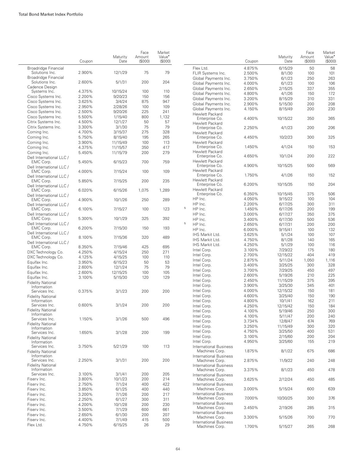|                                         | Coupon | Maturity<br>Date | Face<br>Amount<br>(S000) | Market<br>Value <sup>•</sup><br>(\$000) |   |
|-----------------------------------------|--------|------------------|--------------------------|-----------------------------------------|---|
| Broadridge Financial<br>Solutions Inc.  | 2.900% | 12/1/29          | 75                       | 79                                      |   |
| Broadridge Financial<br>Solutions Inc.  | 2.600% | 5/1/31           | 200                      | 204                                     |   |
| Cadence Design<br>Systems Inc.          | 4.375% | 10/15/24         | 100                      | 110                                     |   |
| Cisco Systems Inc.                      | 2.200% | 9/20/23          | 150                      | 156                                     |   |
| Cisco Systems Inc.                      | 3.625% | 3/4/24           | 875                      | 947                                     |   |
| Cisco Systems Inc.                      | 2.950% | 2/28/26          | 100                      | 109                                     |   |
| Cisco Systems Inc.                      | 2.500% | 9/20/26          | 225                      | 241                                     |   |
| Cisco Systems Inc.                      | 5.500% | 1/15/40          | 800                      | 1,132                                   |   |
|                                         | 4.500% |                  |                          |                                         |   |
| Citrix Systems Inc.                     |        | 12/1/27          | 50                       | 57                                      |   |
| Citrix Systems Inc.                     | 3.300% | 3/1/30           | 75                       | 79                                      |   |
| Corning Inc.                            | 4.700% | 3/15/37          | 275                      | 328                                     |   |
| Corning Inc.                            | 5.750% | 8/15/40          | 195                      | 265                                     |   |
| Corning Inc.                            | 3.900% | 11/15/49         | 100                      | 113                                     |   |
| Corning Inc.                            | 4.375% | 11/15/57         | 350                      | 417                                     |   |
| Corning Inc.                            | 5.450% | 11/15/79         | 200                      | 279                                     |   |
| Dell International LLC /                |        |                  |                          |                                         |   |
| EMC Corp.<br>Dell International LLC /   | 5.450% | 6/15/23          | 700                      | 759                                     |   |
| EMC Corp.<br>Dell International LLC /   | 4.000% | 7/15/24          | 100                      | 109                                     |   |
| EMC Corp.<br>Dell International LLC /   | 5.850% | 7/15/25          | 200                      | 235                                     |   |
| EMC Corp.<br>Dell International LLC /   | 6.020% | 6/15/26          | 1,075                    | 1,289                                   |   |
| EMC Corp.<br>Dell International LLC /   | 4.900% | 10/1/26          | 250                      | 289                                     |   |
| EMC Corp.                               | 6.100% | 7/15/27          | 100                      | 123                                     | 5 |
| Dell International LLC /<br>EMC Corp.   | 5.300% | 10/1/29          | 325                      | 392                                     |   |
| Dell International LLC /<br>EMC Corp.   | 6.200% | 7/15/30          | 150                      | 193                                     | 5 |
| Dell International LLC /<br>EMC Corp.   | 8.100% | 7/15/36          | 320                      | 489                                     |   |
| Dell International LLC /                |        |                  |                          |                                         |   |
| EMC Corp.                               | 8.350% | 7/15/46          | 425                      | 695                                     |   |
| DXC Technology Co.                      | 4.250% | 4/15/24          | 250                      | 271                                     |   |
| DXC Technology Co.                      | 4.125% | 4/15/25          | 100                      | 110                                     |   |
| Equifax Inc.                            | 3.950% | 6/15/23          | 50                       | 53                                      |   |
| Equifax Inc.                            | 2.600% | 12/1/24          | 75                       | 79                                      |   |
| Equifax Inc.                            | 2.600% | 12/15/25         | 100                      | 105                                     |   |
| Equifax Inc.                            | 3.100% | 5/15/30          | 120                      | 129                                     |   |
| <b>Fidelity National</b>                |        |                  |                          |                                         |   |
| Information                             |        |                  |                          |                                         |   |
| Services Inc.                           | 0.375% | 3/1/23           | 200                      | 200                                     |   |
| <b>Fidelity National</b>                |        |                  |                          |                                         |   |
| Information                             |        |                  |                          |                                         |   |
| Services Inc.                           | 0.600% | 3/1/24           | 200                      | 200                                     |   |
| <b>Fidelity National</b><br>Information |        |                  |                          |                                         |   |
| Services Inc.                           | 1.150% | 3/1/26           | 500                      | 496                                     |   |
| <b>Fidelity National</b>                |        |                  |                          |                                         |   |
| Information                             |        |                  |                          |                                         |   |
| Services Inc.                           | 1.650% | 3/1/28           | 200                      | 199                                     |   |
| <b>Fidelity National</b>                |        |                  |                          |                                         |   |
| Information                             |        |                  |                          |                                         |   |
| Services Inc.                           | 3.750% | 5/21/29          | 100                      | 113                                     |   |
| <b>Fidelity National</b>                |        |                  |                          |                                         |   |
| Information                             |        |                  |                          |                                         |   |
| Services Inc.                           | 2.250% | 3/1/31           | 200                      | 200                                     |   |
| <b>Fidelity National</b><br>Information |        |                  |                          |                                         |   |
| Services Inc.                           | 3.100% | 3/1/41           | 200                      | 205                                     |   |
| Fisery Inc.                             | 3.800% | 10/1/23          | 200                      | 214                                     |   |
| Fisery Inc.                             | 2.750% | 7/1/24           | 400                      | 422                                     |   |
| Fisery Inc.                             | 3.850% | 6/1/25           | 400                      | 440                                     |   |
| Fisery Inc.                             | 3.200% | 7/1/26           | 200                      | 217                                     |   |
| Fisery Inc.                             | 2.250% | 6/1/27           | 300                      | 311                                     |   |
| Fisery Inc.                             | 4.200% | 10/1/28          | 200                      | 230                                     |   |
| Fisery Inc.                             | 3.500% | 7/1/29           | 600                      | 661                                     |   |
| Fisery Inc.                             | 2.650% | 6/1/30           | 200                      | 207                                     |   |
| Fisery Inc.                             | 4.400% | 7/1/49           | 415                      | 500                                     |   |
| Flex Ltd.                               | 4.750% | 6/15/25          | 26                       | 29                                      |   |
|                                         |        |                  |                          |                                         |   |

|                                                 | Coupon           | Maturity<br>Date   | Face<br>Amount<br>(S000) | Market<br>Value <sup>•</sup><br>(\$000) |
|-------------------------------------------------|------------------|--------------------|--------------------------|-----------------------------------------|
| Flex Ltd.                                       | 4.875%           | 6/15/29            | 50                       | 58                                      |
| FLIR Systems Inc.                               | 2.500%           | 8/1/30             | 100                      | 101                                     |
| Global Payments Inc.                            | 3.750%           | 6/1/23             | 250                      | 263                                     |
| Global Payments Inc.                            | 4.000%           | 6/1/23             | 100                      | 106                                     |
| Global Payments Inc.                            | 2.650%           | 2/15/25            | 337                      | 355                                     |
| Global Payments Inc.                            | 4.800%           | 4/1/26             | 150                      | 172                                     |
| Global Payments Inc.                            | 3.200%           | 8/15/29            | 310                      | 331                                     |
| Global Payments Inc.                            | 2.900%           | 5/15/30            | 200                      | 208                                     |
| Global Payments Inc.                            | 4.150%           | 8/15/49            | 200                      | 230                                     |
| Hewlett Packard                                 |                  |                    |                          |                                         |
| Enterprise Co.                                  | 4.400%           | 10/15/22           | 350                      | 365                                     |
| Hewlett Packard                                 |                  |                    |                          |                                         |
| Enterprise Co.<br>Hewlett Packard               | 2.250%           | 4/1/23             | 200                      | 206                                     |
| Enterprise Co.                                  | 4.450%           | 10/2/23            | 300                      | 325                                     |
| Hewlett Packard                                 |                  |                    |                          |                                         |
| Enterprise Co.                                  | 1.450%           | 4/1/24             | 150                      | 153                                     |
| Hewlett Packard                                 |                  |                    |                          |                                         |
| Enterprise Co.                                  | 4.650%           | 10/1/24            | 200                      | 222                                     |
| Hewlett Packard                                 |                  |                    |                          |                                         |
| Enterprise Co.                                  | 4.900%           | 10/15/25           | 500                      | 569                                     |
| Hewlett Packard                                 | 1.750%           |                    | 150                      | 152                                     |
| Enterprise Co.<br>Hewlett Packard               |                  | 4/1/26             |                          |                                         |
| Enterprise Co.                                  | 6.200%           | 10/15/35           | 150                      | 204                                     |
| Hewlett Packard                                 |                  |                    |                          |                                         |
| Enterprise Co.                                  | 6.350%           | 10/15/45           | 375                      | 506                                     |
| HP Inc.                                         | 4.050%           | 9/15/22            | 100                      | 104                                     |
| HP Inc.                                         | 2.200%           | 6/17/25            | 300                      | 311                                     |
| 5<br>HP Inc.                                    | 1.450%           | 6/17/26            | 200                      | 199                                     |
| HP Inc.                                         | 3.000%           | 6/17/27            | 350                      | 375                                     |
| HP Inc.                                         | 3.400%           | 6/17/30            | 500                      | 536                                     |
| 5<br>HP Inc.                                    | 2.650%           | 6/17/31            | 200                      | 200                                     |
| HP Inc.                                         | 6.000%           | 9/15/41            | 100                      | 132                                     |
| IHS Markit Ltd.                                 | 3.625%           | 5/1/24             | 100                      | 107                                     |
| IHS Markit Ltd.                                 | 4.750%           | 8/1/28             | 140                      | 165                                     |
| IHS Markit Ltd.                                 | 4.250%           | 5/1/29             | 100                      | 116                                     |
| Intel Corp.                                     | 3.100%           | 7/29/22            | 175                      | 180                                     |
| Intel Corp.                                     | 2.700%           | 12/15/22           | 404                      | 419                                     |
| Intel Corp.                                     | 2.875%           | 5/11/24            | 1,050                    | 1,116                                   |
| Intel Corp.                                     | 3.400%           | 3/25/25            | 300                      | 328                                     |
| Intel Corp.                                     | 3.700%           | 7/29/25            | 450                      | 497                                     |
| Intel Corp.                                     | 2.600%           | 5/19/26            | 210                      | 225                                     |
| Intel Corp.                                     | 2.450%           | 11/15/29           | 375                      | 395                                     |
| Intel Corp.                                     | 3.900%           | 3/25/30            | 345                      | 401                                     |
| Intel Corp.                                     | 4.000%           | 12/15/32           | 150                      | 181                                     |
| Intel Corp.                                     | 4.600%           | 3/25/40            | 150                      | 190                                     |
| Intel Corp.                                     | 4.800%           | 10/1/41            | 162                      | 211                                     |
| Intel Corp.                                     | 4.250%           | 12/15/42           | 150                      | 184                                     |
| Intel Corp.                                     | 4.100%           | 5/19/46            | 250                      | 300                                     |
| Intel Corp.                                     | 4.100%           | 5/11/47            | 200                      | 240                                     |
| Intel Corp.                                     | 3.734%           | 12/8/47            | 674                      | 769                                     |
| Intel Corp.                                     | 3.250%           | 11/15/49           | 300                      | 320                                     |
| Intel Corp.                                     | 4.750%           | 3/25/50<br>2/15/60 | 400                      | 531                                     |
| Intel Corp.<br>Intel Corp.                      | 3.100%<br>4.950% | 3/25/60            | 200<br>155               | 204<br>219                              |
| <b>International Business</b>                   |                  |                    |                          |                                         |
| Machines Corp.                                  | 1.875%           | 8/1/22             | 675                      | 686                                     |
| <b>International Business</b>                   |                  |                    |                          |                                         |
| Machines Corp.                                  | 2.875%           | 11/9/22            | 240                      | 248                                     |
| <b>International Business</b>                   |                  |                    |                          |                                         |
| Machines Corp.                                  | 3.375%           | 8/1/23             | 450                      | 478                                     |
| <b>International Business</b>                   |                  |                    |                          |                                         |
| Machines Corp.                                  | 3.625%           | 2/12/24            | 450                      | 485                                     |
| <b>International Business</b>                   |                  |                    |                          |                                         |
| Machines Corp.                                  | 3.000%           | 5/15/24            | 600                      | 639                                     |
| <b>International Business</b><br>Machines Corp. | 7.000%           | 10/30/25           | 300                      | 376                                     |
| <b>International Business</b>                   |                  |                    |                          |                                         |
| Machines Corp.                                  | 3.450%           | 2/19/26            | 285                      | 315                                     |
| <b>International Business</b>                   |                  |                    |                          |                                         |
| Machines Corp.                                  | 3.300%           | 5/15/26            | 700                      | 770                                     |
| <b>International Business</b>                   |                  |                    |                          |                                         |
| Machines Corp.                                  | 1.700%           | 5/15/27            | 265                      | 268                                     |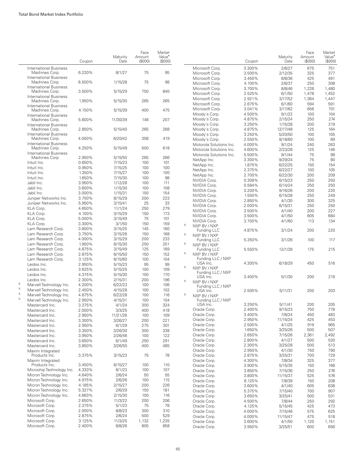|                          |                                                  | Coupon           | Maturity<br>Date    | Face<br>Amount<br>(\$000) | Market<br>Value <sup>*</sup><br>(S000) |   |                                          | Coupon           | Maturity<br>Date    | Face<br>Amount<br>(S000) | Market<br>Value <sup>•</sup><br>(\$000) |
|--------------------------|--------------------------------------------------|------------------|---------------------|---------------------------|----------------------------------------|---|------------------------------------------|------------------|---------------------|--------------------------|-----------------------------------------|
|                          | <b>International Business</b>                    |                  |                     |                           |                                        |   | Microsoft Corp.                          | 3.300%           | 2/6/27              | 675                      | 751                                     |
|                          | Machines Corp.                                   | 6.220%           | 8/1/27              | 75                        | 95                                     |   | Microsoft Corp.                          | 3.500%           | 2/12/35             | 325                      | 377                                     |
|                          | <b>International Business</b><br>Machines Corp.  | 6.500%           | 1/15/28             | 75                        | 98                                     |   | Microsoft Corp.                          | 3.450%           | 8/8/36              | 425                      | 491                                     |
|                          | <b>International Business</b>                    |                  |                     |                           |                                        |   | Microsoft Corp.<br>Microsoft Corp.       | 4.100%<br>3.700% | 2/6/37<br>8/8/46    | 250<br>1,226             | 308<br>1,480                            |
|                          | Machines Corp.                                   | 3.500%           | 5/15/29             | 750                       | 840                                    |   | Microsoft Corp.                          | 2.525%           | 6/1/50              | 1,478                    | 1,452                                   |
|                          | <b>International Business</b>                    |                  |                     |                           |                                        |   | Microsoft Corp.                          | 2.921%           | 3/17/52             | 1,364                    | 1,447                                   |
|                          | Machines Corp                                    | 1.950%           | 5/15/30             | 265                       | 265                                    |   | Microsoft Corp.                          | 2.675%           | 6/1/60              | 594                      | 591                                     |
|                          | <b>International Business</b><br>Machines Corp.  | 4.150%           | 5/15/39             | 400                       | 475                                    |   | Microsoft Corp.                          | 3.041%           | 3/17/62             | 656                      | 701                                     |
|                          | <b>International Business</b>                    |                  |                     |                           |                                        |   | Moody's Corp.                            | 4.500%           | 9/1/22              | 100                      | 104                                     |
|                          | Machines Corp.                                   | 5.600%           | 11/30/39            | 148                       | 207                                    |   | Moody's Corp.                            | 4.875%           | 2/15/24             | 250                      | 274                                     |
|                          | <b>International Business</b>                    |                  |                     |                           |                                        |   | Moody's Corp.                            | 3.250%           | 1/15/28             | 200                      | 219                                     |
|                          | Machines Corp.                                   | 2.850%           | 5/15/40             | 265                       | 268                                    |   | Moody's Corp.                            | 4.875%           | 12/17/48            | 125                      | 164                                     |
|                          | <b>International Business</b><br>Machines Corp.  | 4.000%           | 6/20/42             | 358                       | 419                                    |   | Moody's Corp.                            | 3.250%           | 5/20/50             | 100                      | 105                                     |
|                          | <b>International Business</b>                    |                  |                     |                           |                                        |   | Moody's Corp.<br>Motorola Solutions Inc. | 2.550%<br>4.000% | 8/18/60<br>9/1/24   | 100<br>240               | 89<br>263                               |
|                          | Machines Corp.                                   | 4.250%           | 5/15/49             | 500                       | 618                                    |   | Motorola Solutions Inc.                  | 4.600%           | 2/23/28             | 125                      | 146                                     |
|                          | <b>International Business</b>                    |                  |                     |                           |                                        |   | Motorola Solutions Inc.                  | 5.500%           | 9/1/44              | 75                       | 98                                      |
|                          | Machines Corp.                                   | 2.950%           | 5/15/50             | 265                       | 266                                    |   | NetApp Inc.                              | 3.300%           | 9/29/24             | 75                       | 80                                      |
|                          | Intuit Inc.                                      | 0.650%           | 7/15/23             | 100                       | 101                                    |   | NetApp Inc.                              | 1.875%           | 6/22/25             | 150                      | 154                                     |
|                          | Intuit Inc.                                      | 0.950%           | 7/15/25             | 100                       | 100                                    |   | NetApp Inc.                              | 2.375%           | 6/22/27             | 100                      | 105                                     |
|                          | Intuit Inc.                                      | 1.350%           | 7/15/27             | 100                       | 100                                    |   | NetApp Inc.                              | 2.700%           | 6/22/30             | 200                      | 209                                     |
|                          | Intuit Inc.                                      | 1.650%           | 7/15/30             | 100                       | 98                                     |   | NVIDIA Corp.                             | 0.309%           | 6/15/23             | 250                      | 250                                     |
|                          | Jabil Inc.                                       | 3.950%           | 1/12/28             | 100                       | 111                                    |   | NVIDIA Corp.                             | 0.584%           | 6/14/24             | 250                      | 250                                     |
|                          | Jabil Inc.                                       | 3.600%           | 1/15/30             | 100                       | 108                                    |   | NVIDIA Corp.                             | 3.200%           | 9/16/26             | 200                      | 220                                     |
|                          | Jabil Inc.                                       | 3.000%<br>3.750% | 1/15/31<br>8/15/29  | 150<br>200                | 154<br>223                             |   | NVIDIA Corp.                             | 1.550%           | 6/15/28             | 250                      | 249                                     |
|                          | Juniper Networks Inc.<br>Juniper Networks Inc.   | 5.950%           | 3/15/41             | 25                        | 33                                     |   | NVIDIA Corp.                             | 2.850%           | 4/1/30              | 300                      | 325                                     |
|                          | KLA Corp.                                        | 4.650%           | 11/1/24             | 250                       | 279                                    |   | NVIDIA Corp.                             | 2.000%           | 6/15/31             | 250                      | 250                                     |
|                          | KLA Corp.                                        | 4.100%           | 3/15/29             | 150                       | 173                                    |   | NVIDIA Corp.                             | 3.500%           | 4/1/40              | 200                      | 227                                     |
|                          | KLA Corp.                                        | 5.000%           | 3/15/49             | 75                        | 101                                    |   | NVIDIA Corp.                             | 3.500%           | 4/1/50              | 605                      | 684                                     |
|                          | KLA Corp.                                        | 3.300%           | 3/1/50              | 150                       | 159                                    |   | NVIDIA Corp.                             | 3.700%           | 4/1/60              | 113                      | 134                                     |
|                          | Lam Research Corp.                               | 3.800%           | 3/15/25             | 145                       | 160                                    | 5 | NXP BV / NXP                             |                  |                     |                          |                                         |
|                          | Lam Research Corp.                               | 3.750%           | 3/15/26             | 150                       | 168                                    | 5 | Funding LLC<br>NXP BV / NXP              | 4.875%           | 3/1/24              | 200                      | 220                                     |
|                          | Lam Research Corp.                               | 4.000%           | 3/15/29             | 200                       | 233                                    |   | Funding LLC                              | 5.350%           | 3/1/26              | 100                      | 117                                     |
|                          | Lam Research Corp.                               | 1.900%           | 6/15/30             | 250                       | 251                                    | 5 | NXP BV / NXP                             |                  |                     |                          |                                         |
|                          | Lam Research Corp.                               | 4.875%           | 3/15/49             | 125                       | 169                                    |   | Funding LLC                              | 5.550%           | 12/1/28             | 175                      | 215                                     |
|                          | Lam Research Corp.                               | 2.875%           | 6/15/50             | 150                       | 152                                    | 5 | NXP BV / NXP                             |                  |                     |                          |                                         |
|                          | Lam Research Corp.                               | 3.125%           | 6/15/60             | 100                       | 104                                    |   | Funding LLC / NXP                        |                  |                     |                          |                                         |
|                          | Leidos Inc.                                      | 2.950%           | 5/15/23             | 95                        | 99                                     | 5 | USA Inc.                                 | 4.300%           | 6/18/29             | 450                      | 516                                     |
|                          | Leidos Inc.                                      | 3.625%           | 5/15/25             | 100                       | 109                                    |   | NXP BV / NXP<br>Funding LLC / NXP        |                  |                     |                          |                                         |
|                          | Leidos Inc.                                      | 4.375%           | 5/15/30             | 150                       | 170                                    |   | USA Inc.                                 | 3.400%           | 5/1/30              | 200                      | 218                                     |
|                          | Leidos Inc.                                      | 2.300%           | 2/15/31             | 200                       | 196                                    | 5 | NXP BV / NXP                             |                  |                     |                          |                                         |
| $\overline{5}$<br>$\,$ 5 | Marvell Technology Inc.                          | 4.200%           | 6/22/23             | 100                       | 106                                    |   | Funding LLC / NXP                        |                  |                     |                          |                                         |
| $\mathbf 5$              | Marvell Technology Inc.                          | 2.450%           | 4/15/28             | 100                       | 102                                    |   | USA Inc.                                 | 2.500%           | 5/11/31             | 200                      | 203                                     |
| 5                        | Marvell Technology Inc.                          | 4.875%           | 6/22/28             | 100                       | 116                                    | 5 | NXP BV / NXP                             |                  |                     |                          |                                         |
|                          | Marvell Technology Inc.                          | 2.950%           | 4/15/31             | 100                       | 104                                    |   | Funding LLC / NXP<br>USA Inc.            | 3.250%           | 5/11/41             | 200                      | 205                                     |
|                          | Mastercard Inc.                                  | 3.375%           | 4/1/24              | 300                       | 324                                    |   | Oracle Corp.                             | 2.400%           | 9/15/23             | 750                      | 778                                     |
|                          | Mastercard Inc.<br>Mastercard Inc.               | 2.000%<br>2.950% | 3/3/25              | 400                       | 418                                    |   | Oracle Corp.                             | 3.400%           | 7/8/24              | 450                      | 483                                     |
|                          | Mastercard Inc.                                  | 3.300%           | 11/21/26<br>3/26/27 | 100<br>200                | 109<br>221                             |   | Oracle Corp.                             | 2.950%           | 11/15/24            | 425                      | 453                                     |
|                          | Mastercard Inc.                                  | 2.950%           | 6/1/29              | 275                       | 301                                    |   | Oracle Corp.                             | 2.500%           | 4/1/25              | 919                      | 965                                     |
|                          | Mastercard Inc.                                  | 3.350%           | 3/26/30             | 300                       | 338                                    |   | Oracle Corp.                             | 1.650%           | 3/25/26             | 500                      | 507                                     |
|                          | Mastercard Inc.                                  | 3.950%           | 2/26/48             | 100                       | 122                                    |   | Oracle Corp.                             | 2.650%           | 7/15/26             | 2,361                    | 2,492                                   |
|                          | Mastercard Inc.                                  | 3.650%           | 6/1/49              | 250                       | 291                                    |   | Oracle Corp.                             | 2.800%           | 4/1/27              | 500                      | 530                                     |
|                          | Mastercard Inc.                                  | 3.850%           | 3/26/50             | 400                       | 485                                    |   | Oracle Corp.                             | 2.300%           | 3/25/28             | 500                      | 513                                     |
|                          | Maxim Integrated                                 |                  |                     |                           |                                        |   | Oracle Corp.                             | 2.950%           | 4/1/30              | 750                      | 790                                     |
|                          | Products Inc.                                    | 3.375%           | 3/15/23             | 75                        | 78                                     |   | Oracle Corp.                             | 2.875%           | 3/25/31             | 700                      | 729                                     |
|                          | Maxim Integrated                                 |                  |                     |                           |                                        |   | Oracle Corp.                             | 4.300%           | 7/8/34              | 325                      | 377                                     |
|                          | Products Inc.                                    | 3.450%           | 6/15/27             | 100                       | 110                                    |   | Oracle Corp.                             | 3.900%           | 5/15/35             | 150                      | 168                                     |
|                          | Microchip Technology Inc.                        | 4.333%           | 6/1/23              | 100                       | 107                                    |   | Oracle Corp.                             | 3.850%           | 7/15/36             | 250                      | 276                                     |
|                          | Micron Technology Inc.                           | 4.640%           | 2/6/24              | 50                        | 55                                     |   | Oracle Corp.                             | 3.800%           | 11/15/37            | 525                      | 576                                     |
|                          | Micron Technology Inc.                           | 4.975%           | 2/6/26              | 100                       | 115                                    |   | Oracle Corp.                             | 6.125%           | 7/8/39              | 150                      | 208                                     |
|                          | Micron Technology Inc.<br>Micron Technology Inc. | 4.185%<br>5.327% | 2/15/27<br>2/6/29   | 200                       | 226<br>181                             |   | Oracle Corp.                             | 3.600%           | 4/1/40              | 605                      | 638                                     |
|                          | Micron Technology Inc.                           | 4.663%           | 2/15/30             | 150<br>100                | 116                                    |   | Oracle Corp.                             | 5.375%           | 7/15/40             | 700                      | 907                                     |
|                          | Microsoft Corp.                                  | 2.650%           | 11/3/22             | 200                       | 206                                    |   | Oracle Corp.                             | 3.650%           | 3/25/41             | 500                      | 531                                     |
|                          | Microsoft Corp.                                  | 2.375%           | 5/1/23              | 75                        | 78                                     |   | Oracle Corp.                             | 4.500%           | 7/8/44              | 250                      | 292                                     |
|                          | Microsoft Corp.                                  | 2.000%           | 8/8/23              | 300                       | 310                                    |   | Oracle Corp.                             | 4.125%<br>4.000% | 5/15/45             | 425                      | 473<br>625                              |
|                          | Microsoft Corp.                                  | 2.875%           | 2/6/24              | 500                       | 529                                    |   | Oracle Corp.<br>Oracle Corp.             | 4.000%           | 7/15/46<br>11/15/47 | 575<br>475               | 518                                     |
|                          | Microsoft Corp.                                  | 3.125%           | 11/3/25             | 1,132                     | 1,235                                  |   | Oracle Corp.                             | 3.600%           | 4/1/50              | 1,120                    | 1,151                                   |
|                          | Microsoft Corp.                                  | 2.400%           | 8/8/26              | 805                       | 858                                    |   | Oracle Corp.                             | 3.950%           | 3/25/51             | 600                      | 656                                     |
|                          |                                                  |                  |                     |                           |                                        |   |                                          |                  |                     |                          |                                         |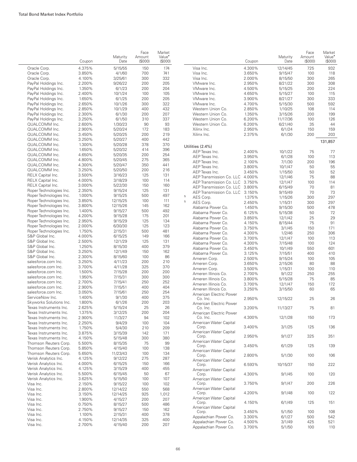|                   |                                                    | Coupon           | Maturity<br>Date    | Face<br>Amount<br>(\$000) | Market<br>Value <sup>•</sup><br>(\$000) |                          |
|-------------------|----------------------------------------------------|------------------|---------------------|---------------------------|-----------------------------------------|--------------------------|
| Oracle Corp.      |                                                    | 4.375%           | 5/15/55             | 150                       | 174                                     | Visa Inc.                |
| Oracle Corp.      |                                                    | 3.850%           | 4/1/60              | 700                       | 741                                     | Visa Inc.                |
| Oracle Corp.      |                                                    | 4.100%           | 3/25/61             | 300                       | 332                                     | Visa Inc.                |
|                   | PayPal Holdings Inc.                               | 2.200%           | 9/26/22             | 200                       | 205                                     | VMware Ind               |
|                   | PayPal Holdings Inc.                               | 1.350%           | 6/1/23              | 200                       | 204                                     | VMware Ind               |
|                   | PayPal Holdings Inc.                               | 2.400%           | 10/1/24             | 100                       | 105                                     | VMware Ind               |
|                   | PayPal Holdings Inc.                               | 1.650%           | 6/1/25              | 200                       | 205                                     | VMware Ind               |
|                   | PayPal Holdings Inc.<br>PayPal Holdings Inc.       | 2.650%<br>2.850% | 10/1/26             | 300<br>400                | 322<br>432                              | VMware Ind<br>Western Ur |
|                   | PayPal Holdings Inc.                               | 2.300%           | 10/1/29<br>6/1/30   | 200                       | 207                                     | Western Ur               |
|                   | PayPal Holdings Inc.                               | 3.250%           | 6/1/50              | 310                       | 337                                     | Western Ur               |
| QUALCOMM Inc.     |                                                    | 2.600%           | 1/30/23             | 90                        | 93                                      | Western Ur               |
| QUALCOMM Inc.     |                                                    | 2.900%           | 5/20/24             | 172                       | 183                                     | Xilinx Inc.              |
| QUALCOMM Inc.     |                                                    | 3.450%           | 5/20/25             | 200                       | 219                                     | Xilinx Inc.              |
| QUALCOMM Inc.     |                                                    | 3.250%           | 5/20/27             | 400                       | 442                                     |                          |
| QUALCOMM Inc.     |                                                    | 1.300%           | 5/20/28             | 378                       | 370                                     | Utilities (2.4%)         |
| QUALCOMM Inc.     |                                                    | 1.650%           | 5/20/32             | 414                       | 396                                     | AEP Texas I              |
| QUALCOMM Inc.     |                                                    | 4.650%           | 5/20/35             | 200                       | 254                                     | AEP Texas I              |
| QUALCOMM Inc.     |                                                    | 4.800%           | 5/20/45             | 275                       | 365                                     | AEP Texas I              |
| QUALCOMM Inc.     |                                                    | 4.300%           | 5/20/47             | 350                       | 441                                     | AEP Texas I              |
| QUALCOMM Inc.     |                                                    | 3.250%           | 5/20/50             | 200                       | 216                                     | AEP Texas I              |
| RELX Capital Inc. |                                                    | 3.500%           | 3/16/23             | 125                       | 131                                     | <b>AEP</b> Transm        |
| RELX Capital Inc. |                                                    | 4.000%           | 3/18/29             | 100                       | 114                                     | <b>AEP Transm</b>        |
| RELX Capital Inc. |                                                    | 3.000%           | 5/22/30             | 150                       | 160                                     | <b>AEP</b> Transm        |
|                   | Roper Technologies Inc.<br>Roper Technologies Inc. | 2.350%<br>1.000% | 9/15/24             | 125<br>500                | 131<br>497                              | <b>AEP</b> Transm        |
|                   | Roper Technologies Inc.                            | 3.850%           | 9/15/25<br>12/15/25 | 100                       | 111                                     | 5<br>AES Corp.<br>5      |
|                   | Roper Technologies Inc.                            | 3.800%           | 12/15/26            | 145                       | 162                                     | AES Corp.                |
|                   | Roper Technologies Inc.                            | 1.400%           | 9/15/27             | 500                       | 492                                     | Alabama Po               |
|                   | Roper Technologies Inc.                            | 4.200%           | 9/15/28             | 175                       | 201                                     | Alabama Po               |
|                   | Roper Technologies Inc.                            | 2.950%           | 9/15/29             | 125                       | 134                                     | Alabama Po               |
|                   | Roper Technologies Inc.                            | 2.000%           | 6/30/30             | 125                       | 123                                     | Alabama Po<br>Alabama Po |
|                   | Roper Technologies Inc.                            | 1.750%           | 2/15/31             | 500                       | 481                                     | Alabama Po               |
| S&P Global Inc.   |                                                    | 4.000%           | 6/15/25             | 149                       | 166                                     | Alabama Po               |
| S&P Global Inc.   |                                                    | 2.500%           | 12/1/29             | 125                       | 131                                     | Alabama Po               |
| S&P Global Inc.   |                                                    | 1.250%           | 8/15/30             | 400                       | 379                                     | Alabama Po               |
| S&P Global Inc.   |                                                    | 3.250%           | 12/1/49             | 150                       | 162                                     | Alabama Po               |
| S&P Global Inc.   |                                                    | 2.300%           | 8/15/60             | 100                       | 86                                      | Ameren Co                |
|                   | salesforce.com Inc.                                | 3.250%           | 4/11/23             | 200                       | 210                                     | Ameren Co                |
|                   | salesforce.com Inc.<br>salesforce.com Inc.         | 3.700%           | 4/11/28             | 325<br>200                | 370<br>200                              | Ameren Co                |
|                   | salesforce.com Inc.                                | 1.500%<br>1.950% | 7/15/28<br>7/15/31  | 300                       | 300                                     | Ameren Illir             |
|                   | salesforce.com Inc.                                | 2.700%           | 7/15/41             | 250                       | 252                                     | Ameren Illir             |
|                   | salesforce.com Inc.                                | 2.900%           | 7/15/51             | 400                       | 404                                     | Ameren Illir             |
|                   | salesforce.com Inc.                                | 3.050%           | 7/15/61             | 250                       | 254                                     | Ameren Illir             |
| ServiceNow Inc.   |                                                    | 1.400%           | 9/1/30              | 400                       | 375                                     | American E<br>Co. Inc.   |
|                   | Skyworks Solutions Inc.                            | 1.800%           | 6/1/26              | 200                       | 203                                     | American E               |
|                   | Texas Instruments Inc.                             | 2.625%           | 5/15/24             | 25                        | 26                                      | Co. Inc.                 |
|                   | Texas Instruments Inc.                             | 1.375%           | 3/12/25             | 200                       | 204                                     | American E               |
|                   | Texas Instruments Inc.                             | 2.900%           | 11/3/27             | 94                        | 102                                     | Co. Inc.                 |
|                   | Texas Instruments Inc.                             | 2.250%           | 9/4/29              | 100                       | 104                                     | American W               |
|                   | Texas Instruments Inc.                             | 1.750%           | 5/4/30              | 210                       | 209                                     | Corp.<br>American W      |
|                   | Texas Instruments Inc.                             | 3.875%           | 3/15/39             | 142                       | 171                                     | Corp.                    |
|                   | Texas Instruments Inc.                             | 4.150%           | 5/15/48             | 300                       | 380                                     | American W               |
|                   | Thomson Reuters Corp.                              | 5.500%           | 8/15/35             | 75                        | 99                                      | Corp.                    |
|                   | Thomson Reuters Corp.<br>Thomson Reuters Corp.     | 5.850%<br>5.650% | 4/15/40<br>11/23/43 | 100<br>100                | 138<br>134                              | American W               |
|                   | Verisk Analytics Inc.                              | 4.125%           | 9/12/22             | 275                       | 287                                     | Corp.                    |
|                   | Verisk Analytics Inc.                              | 4.000%           | 6/15/25             | 150                       | 166                                     | American W               |
|                   | Verisk Analytics Inc.                              | 4.125%           | 3/15/29             | 400                       | 455                                     | Corp.<br>American W      |
|                   | Verisk Analytics Inc.                              | 5.500%           | 6/15/45             | 50                        | 67                                      | Corp.                    |
|                   | Verisk Analytics Inc.                              | 3.625%           | 5/15/50             | 100                       | 107                                     | American W               |
| Visa Inc.         |                                                    | 2.150%           | 9/15/22             | 100                       | 102                                     | Corp.                    |
| Visa Inc.         |                                                    | 2.800%           | 12/14/22            | 550                       | 568                                     | American W               |
| Visa Inc.         |                                                    | 3.150%           | 12/14/25            | 925                       | 1,012                                   | Corp.                    |
| Visa Inc.         |                                                    | 1.900%           | 4/15/27             | 200                       | 207                                     | American W               |
| Visa Inc.         |                                                    | 0.750%           | 8/15/27             | 500                       | 486                                     | Corp.<br>American W      |
| Visa Inc.         |                                                    | 2.750%           | 9/15/27             | 150                       | 162                                     | Corp.                    |
| Visa Inc.         |                                                    | 1.100%           | 2/15/31             | 400                       | 378                                     | Appalachian              |
| Visa Inc.         |                                                    | 4.150%           | 12/14/35            | 325                       | 400                                     | Appalachian              |
| Visa Inc.         |                                                    | 2.700%           | 4/15/40             | 200                       | 207                                     |                          |

|   |                                                | Coupon           | Maturity<br>Date | Face<br>Amount<br>(S000) | Market<br>Value <sup>•</sup><br>(\$000) |
|---|------------------------------------------------|------------------|------------------|--------------------------|-----------------------------------------|
|   | Visa Inc.                                      | 4.300%           | 12/14/45         | 725                      | 932                                     |
|   | Visa Inc.                                      | 3.650%           | 9/15/47          | 100                      | 118                                     |
|   | Visa Inc.                                      | 2.000%           | 8/15/50          | 300                      | 265                                     |
|   | VMware Inc.                                    | 2.950%           | 8/21/22          | 300                      | 308                                     |
|   | VMware Inc.                                    | 4.500%           | 5/15/25          | 200                      | 224                                     |
|   | VMware Inc.                                    | 4.650%           | 5/15/27          | 100                      | 115                                     |
|   | VMware Inc.                                    | 3.900%           | 8/21/27          | 300                      | 333                                     |
|   | VMware Inc.                                    | 4.700%           | 5/15/30          | 500                      | 592                                     |
|   | Western Union Co.                              | 2.850%           | 1/10/25          | 108                      | 114                                     |
|   | Western Union Co.                              | 1.350%           | 3/15/26          | 200                      | 199                                     |
|   | Western Union Co.                              | 6.200%           | 11/17/36         | 100                      | 126                                     |
|   | Western Union Co.                              | 6.200%           | 6/21/40          | 35                       | 44                                      |
|   | Xilinx Inc.                                    | 2.950%           | 6/1/24           | 150                      | 159                                     |
|   | Xilinx Inc.                                    | 2.375%           | 6/1/30           | 200                      | 203                                     |
|   |                                                |                  |                  |                          | 131,857                                 |
|   | Utilities (2.4%)                               |                  |                  |                          |                                         |
|   | AEP Texas Inc.                                 | 2.400%           | 10/1/22          | 75                       | 77                                      |
|   | AEP Texas Inc.                                 | 3.950%           | 6/1/28           | 100                      | 113                                     |
|   | AEP Texas Inc.                                 | 2.100%           | 7/1/30           | 200                      | 196                                     |
|   | AEP Texas Inc.                                 | 3.800%           | 10/1/47          | 50                       | 55                                      |
|   | AEP Texas Inc.                                 | 3.450%           | 1/15/50          | 50                       | 52                                      |
|   | AEP Transmission Co. LLC                       | 4.000%           | 12/1/46          | 75                       | 88                                      |
|   | AEP Transmission Co. LLC                       | 3.750%           | 12/1/47          | 100                      | 114                                     |
|   | AEP Transmission Co. LLC                       | 3.800%           | 6/15/49          | 70                       | 81                                      |
| 5 | AEP Transmission Co. LLC                       | 3.150%           | 9/15/49          | 70                       | 73                                      |
| 5 | AES Corp.                                      | 1.375%           | 1/15/26          | 300                      | 297                                     |
|   | AES Corp.                                      | 2.450%           | 1/15/31          | 300                      | 297                                     |
|   | Alabama Power Co.                              | 1.450%           | 9/15/30          | 500                      | 478                                     |
|   | Alabama Power Co.                              | 6.125%           | 5/15/38          | 50                       | 72                                      |
|   | Alabama Power Co.                              | 3.850%           | 12/1/42          | 25                       | 29                                      |
|   | Alabama Power Co.                              | 4.150%           | 8/15/44          | 75                       | 91                                      |
|   | Alabama Power Co.                              | 3.750%           | 3/1/45           | 150                      | 171                                     |
|   | Alabama Power Co.                              | 4.300%           | 1/2/46           | 250                      | 306                                     |
|   | Alabama Power Co.                              | 3.700%           | 12/1/47          | 100                      | 113                                     |
|   | Alabama Power Co.                              | 4.300%           | 7/15/48          | 100                      | 124                                     |
|   | Alabama Power Co.                              | 3.450%           | 10/1/49          | 550                      | 601                                     |
|   | Alabama Power Co.                              | 3.125%           | 7/15/51          | 400                      | 410                                     |
|   | Ameren Corp.                                   | 2.500%           | 9/15/24          | 100                      | 105                                     |
|   | Ameren Corp.                                   | 3.650%           | 2/15/26          | 80                       | 88                                      |
|   | Ameren Corp.                                   | 3.500%           | 1/15/31          | 100                      | 110                                     |
|   | Ameren Illinois Co.                            | 2.700%           | 9/1/22           | 250                      | 255                                     |
|   | Ameren Illinois Co.                            | 3.800%           | 5/15/28          | 75                       | 85                                      |
|   | Ameren Illinois Co.                            | 3.700%           | 12/1/47          | 150                      | 172                                     |
|   | Ameren Illinois Co.<br>American Electric Power | 3.250%           | 3/15/50          | 60                       | 65                                      |
|   | Co. Inc.                                       | 2.950%           | 12/15/22         | 25                       | 26                                      |
|   | American Electric Power                        |                  |                  |                          |                                         |
|   | Co. Inc.                                       | 3.200%           | 11/13/27         | 75                       | 81                                      |
|   | American Electric Power<br>Co. Inc.            | 4.300%           | 12/1/28          | 150                      | 173                                     |
|   | American Water Capital                         |                  |                  |                          |                                         |
|   | Corp.                                          | 3.400%           | 3/1/25           | 125                      | 136                                     |
|   | American Water Capital<br>Corp.                | 2.950%           | 9/1/27           | 325                      | 351                                     |
|   | American Water Capital                         |                  |                  |                          |                                         |
|   | Corp.                                          | 3.450%           | 6/1/29           | 125                      | 139                                     |
|   | American Water Capital<br>Corp.                | 2.800%           | 5/1/30           | 100                      | 106                                     |
|   | American Water Capital                         |                  |                  |                          |                                         |
|   | Corp.                                          | 6.593%           | 10/15/37         | 150                      | 222                                     |
|   | American Water Capital                         | 4.300%           | 9/1/45           | 100                      | 120                                     |
|   | Corp.<br>American Water Capital                |                  |                  |                          |                                         |
|   | Corp.                                          | 3.750%           | 9/1/47           | 200                      | 226                                     |
|   | American Water Capital                         |                  |                  |                          |                                         |
|   | Corp.<br>American Water Capital                | 4.200%           | 9/1/48           | 100                      | 122                                     |
|   | Corp.                                          | 4.150%           | 6/1/49           | 125                      | 151                                     |
|   | American Water Capital                         |                  |                  |                          |                                         |
|   | Corp.                                          | 3.450%           | 5/1/50           | 100                      | 108                                     |
|   | Appalachian Power Co.<br>Appalachian Power Co. | 3.300%           | 6/1/27           | 500                      | 542                                     |
|   | Appalachian Power Co.                          | 4.500%<br>3.700% | 3/1/49<br>5/1/50 | 425<br>100               | 521<br>110                              |
|   |                                                |                  |                  |                          |                                         |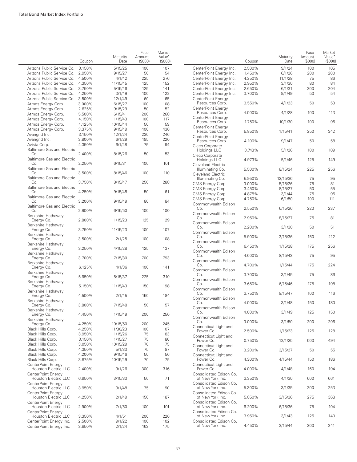|                                            | Coupon | Maturity<br>Date | Face<br>Amount<br>(S000) | Market<br>Value <sup>•</sup><br>(\$000) |                                               | Coupon | Maturity<br>Date | Face<br>Amount<br>(\$000) | Market<br>Value <sup>•</sup><br>(S000) |
|--------------------------------------------|--------|------------------|--------------------------|-----------------------------------------|-----------------------------------------------|--------|------------------|---------------------------|----------------------------------------|
| Arizona Public Service Co. 3.150%          |        | 5/15/25          | 100                      | 107                                     | CenterPoint Energy Inc.                       | 2.500% | 9/1/24           | 100                       | 105                                    |
| Arizona Public Service Co. 2.950%          |        | 9/15/27          | 50                       | 54                                      | CenterPoint Energy Inc.                       | 1.450% | 6/1/26           | 200                       | 200                                    |
| Arizona Public Service Co. 4.500%          |        | 4/1/42           | 225                      | 276                                     | CenterPoint Energy Inc.                       | 4.250% | 11/1/28          | 75                        | 86                                     |
| Arizona Public Service Co. 4.350%          |        | 11/15/45         | 125                      | 152                                     | CenterPoint Energy Inc.                       | 2.950% | 3/1/30           | 80                        | 84                                     |
| Arizona Public Service Co. 3.750%          |        | 5/15/46          | 125                      | 141                                     | CenterPoint Energy Inc.                       | 2.650% | 6/1/31           | 200                       | 204                                    |
| Arizona Public Service Co. 4.250%          |        | 3/1/49           | 100                      | 122                                     | CenterPoint Energy Inc.                       | 3.700% | 9/1/49           | 50                        | 54                                     |
| Arizona Public Service Co. 3.500%          |        | 12/1/49          | 60                       | 65                                      | CenterPoint Energy                            |        |                  |                           |                                        |
| Atmos Energy Corp.                         | 3.000% | 6/15/27          | 100                      | 108                                     | Resources Corp.                               | 3.550% | 4/1/23           | 50                        | 53                                     |
| Atmos Energy Corp.                         | 2.625% | 9/15/29          | 50                       | 52                                      | CenterPoint Energy                            |        |                  |                           |                                        |
| Atmos Energy Corp.                         | 5.500% | 6/15/41          | 200                      | 268                                     | Resources Corp.                               | 4.000% | 4/1/28           | 100                       | 113                                    |
| Atmos Energy Corp.                         | 4.150% | 1/15/43          | 100                      | 117                                     | CenterPoint Energy                            |        |                  |                           |                                        |
| Atmos Energy Corp.                         | 4.125% | 10/15/44         | 50                       | 59                                      | Resources Corp.                               | 1.750% | 10/1/30          | 100                       | 96                                     |
| Atmos Energy Corp.                         | 3.375% | 9/15/49          | 400                      | 430                                     | CenterPoint Energy                            |        |                  |                           |                                        |
| Avangrid Inc.                              | 3.150% | 12/1/24          | 230                      | 246                                     | Resources Corp.                               | 5.850% | 1/15/41          | 250                       | 342                                    |
| Avangrid Inc.                              | 3.800% | 6/1/29           | 195                      | 220                                     | CenterPoint Energy                            |        |                  |                           |                                        |
| Avista Corp.                               | 4.350% | 6/1/48           | 75                       | 94                                      | Resources Corp.                               | 4.100% | 9/1/47           | 50                        | 58                                     |
| <b>Baltimore Gas and Electric</b><br>Co.   | 2.400% | 8/15/26          | 50                       | 53                                      | Cleco Corporate<br>Holdings LLC               | 3.743% | 5/1/26           | 100                       | 109                                    |
| <b>Baltimore Gas and Electric</b>          |        |                  |                          |                                         | Cleco Corporate                               |        |                  |                           |                                        |
| Co.                                        | 2.250% | 6/15/31          | 100                      | 101                                     | Holdings LLC                                  | 4.973% | 5/1/46           | 125                       | 149                                    |
| <b>Baltimore Gas and Electric</b>          |        |                  |                          |                                         | <b>Cleveland Electric</b><br>Illuminating Co. | 5.500% | 8/15/24          | 225                       | 256                                    |
| Co.                                        | 3.500% | 8/15/46          | 100                      | 110                                     | <b>Cleveland Electric</b>                     |        |                  |                           |                                        |
| <b>Baltimore Gas and Electric</b>          |        |                  |                          |                                         | Illuminating Co.                              | 5.950% | 12/15/36         | 75                        | 95                                     |
| Co.                                        | 3.750% | 8/15/47          | 250                      | 288                                     | CMS Energy Corp.                              | 3.000% | 5/15/26          | 75                        | 81                                     |
| <b>Baltimore Gas and Electric</b>          |        |                  |                          |                                         | CMS Energy Corp.                              | 3.450% | 8/15/27          | 50                        | 55                                     |
| Co.                                        | 4.250% | 9/15/48          | 50                       | 61                                      | CMS Energy Corp.                              | 4.875% | 3/1/44           | 75                        | 96                                     |
| <b>Baltimore Gas and Electric</b>          |        |                  |                          |                                         | CMS Energy Corp.                              | 4.750% | 6/1/50           | 100                       | 111                                    |
| Co.                                        | 3.200% | 9/15/49          | 80                       | 84                                      | Commonwealth Edison                           |        |                  |                           |                                        |
| Baltimore Gas and Electric                 |        |                  |                          |                                         | Co.                                           | 2.550% | 6/15/26          | 223                       | 237                                    |
| Co.                                        | 2.900% | 6/15/50          | 100                      | 100                                     | Commonwealth Edison                           |        |                  |                           |                                        |
| Berkshire Hathaway                         |        |                  |                          |                                         | Co.                                           | 2.950% | 8/15/27          | 75                        | 81                                     |
| Energy Co.                                 | 2.800% | 1/15/23          | 125                      | 129                                     | Commonwealth Edison                           |        |                  |                           |                                        |
| Berkshire Hathaway                         | 3.750% | 11/15/23         | 100                      | 107                                     | Co.                                           | 2.200% | 3/1/30           | 50                        | 51                                     |
| Energy Co.<br>Berkshire Hathaway           |        |                  |                          |                                         | Commonwealth Edison                           |        |                  |                           |                                        |
| Energy Co.                                 | 3.500% | 2/1/25           | 100                      | 108                                     | Co.                                           | 5.900% | 3/15/36          | 150                       | 212                                    |
| Berkshire Hathaway                         |        |                  |                          |                                         | Commonwealth Edison                           |        |                  |                           |                                        |
| Energy Co.                                 | 3.250% | 4/15/28          | 125                      | 137                                     | Co.                                           | 6.450% | 1/15/38          | 175                       | 256                                    |
| Berkshire Hathaway                         |        |                  |                          |                                         | Commonwealth Edison                           |        |                  |                           |                                        |
| Energy Co.                                 | 3.700% | 7/15/30          | 700                      | 793                                     | Co.                                           | 4.600% | 8/15/43          | 75                        | 95                                     |
| Berkshire Hathaway                         |        |                  |                          |                                         | Commonwealth Edison                           |        |                  |                           |                                        |
| Energy Co.                                 | 6.125% | 4/1/36           | 100                      | 141                                     | Co.                                           | 4.700% | 1/15/44          | 175                       | 224                                    |
| Berkshire Hathaway                         |        |                  |                          |                                         | Commonwealth Edison<br>Co.                    | 3.700% | 3/1/45           | 75                        | 86                                     |
| Energy Co.                                 | 5.950% | 5/15/37          | 225                      | 310                                     | Commonwealth Edison                           |        |                  |                           |                                        |
| Berkshire Hathaway                         |        |                  |                          |                                         | Co.                                           | 3.650% | 6/15/46          | 175                       | 198                                    |
| Energy Co.                                 | 5.150% | 11/15/43         | 150                      | 198                                     | Commonwealth Edison                           |        |                  |                           |                                        |
| Berkshire Hathaway                         |        |                  |                          |                                         | Co.                                           | 3.750% | 8/15/47          | 100                       | 116                                    |
| Energy Co.                                 | 4.500% | 2/1/45           | 150                      | 184                                     | Commonwealth Edison                           |        |                  |                           |                                        |
| Berkshire Hathawav                         |        |                  |                          | 57                                      | Co.                                           | 4.000% | 3/1/48           | 150                       | 180                                    |
| Energy Co.                                 | 3.800% | 7/15/48          | 50                       |                                         | Commonwealth Edison                           |        |                  |                           |                                        |
| Berkshire Hathaway<br>Energy Co.           | 4.450% | 1/15/49          | 200                      | 250                                     | Co.                                           | 4.000% | 3/1/49           | 125                       | 150                                    |
| Berkshire Hathaway                         |        |                  |                          |                                         | Commonwealth Edison                           |        |                  |                           |                                        |
| Energy Co.                                 | 4.250% | 10/15/50         | 200                      | 245                                     | Co.                                           | 3.000% | 3/1/50           | 200                       | 206                                    |
| Black Hills Corp.                          | 4.250% | 11/30/23         | 100                      | 107                                     | Connecticut Light and                         |        |                  |                           |                                        |
| Black Hills Corp.                          | 3.950% | 1/15/26          | 75                       | 83                                      | Power Co.                                     | 2.500% | 1/15/23          | 125                       | 128                                    |
| Black Hills Corp.                          | 3.150% | 1/15/27          | 75                       | 80                                      | Connecticut Light and                         |        |                  |                           |                                        |
| Black Hills Corp.                          | 3.050% | 10/15/29         | 70                       | 75                                      | Power Co.                                     | 0.750% | 12/1/25          | 500                       | 494                                    |
| Black Hills Corp.                          | 4.350% | 5/1/33           | 75                       | 87                                      | Connecticut Light and<br>Power Co.            | 3.200% | 3/15/27          | 50                        | 55                                     |
| Black Hills Corp.                          | 4.200% | 9/15/46          | 50                       | 56                                      | Connecticut Light and                         |        |                  |                           |                                        |
| Black Hills Corp.                          | 3.875% | 10/15/49         | 70                       | 75                                      | Power Co.                                     | 4.300% | 4/15/44          | 150                       | 186                                    |
| CenterPoint Energy                         |        |                  |                          |                                         | Connecticut Light and                         |        |                  |                           |                                        |
| Houston Electric LLC                       | 2.400% | 9/1/26           | 300                      | 316                                     | Power Co.                                     | 4.000% | 4/1/48           | 160                       | 194                                    |
| CenterPoint Energy                         |        |                  |                          |                                         | Consolidated Edison Co.                       |        |                  |                           |                                        |
| Houston Electric LLC                       | 6.950% | 3/15/33          | 50                       | 71                                      | of New York Inc.                              | 3.350% | 4/1/30           | 600                       | 661                                    |
| CenterPoint Enerav                         |        |                  |                          |                                         | Consolidated Edison Co.                       |        |                  |                           |                                        |
| Houston Electric LLC                       | 3.950% | 3/1/48           | 75                       | 90                                      | of New York Inc.                              | 5.300% | 3/1/35           | 200                       | 253                                    |
| CenterPoint Energy                         |        |                  |                          |                                         | Consolidated Edison Co.                       |        |                  |                           |                                        |
| Houston Electric LLC                       | 4.250% | 2/1/49           | 150                      | 187                                     | of New York Inc.                              | 5.850% | 3/15/36          | 275                       | 368                                    |
| CenterPoint Energy                         |        |                  |                          |                                         | Consolidated Edison Co.                       |        |                  |                           |                                        |
| Houston Electric LLC                       | 2.900% | 7/1/50           | 100                      | 101                                     | of New York Inc.                              | 6.200% | 6/15/36          | 75                        | 104                                    |
| CenterPoint Energy<br>Houston Electric LLC | 3.350% | 4/1/51           | 200                      | 220                                     | Consolidated Edison Co.<br>of New York Inc.   | 3.950% | 3/1/43           | 125                       | 140                                    |
| CenterPoint Energy Inc.                    | 2.500% | 9/1/22           | 100                      | 102                                     | Consolidated Edison Co.                       |        |                  |                           |                                        |
| CenterPoint Energy Inc.                    | 3.850% | 2/1/24           | 163                      | 175                                     | of New York Inc.                              | 4.450% | 3/15/44          | 200                       | 241                                    |
|                                            |        |                  |                          |                                         |                                               |        |                  |                           |                                        |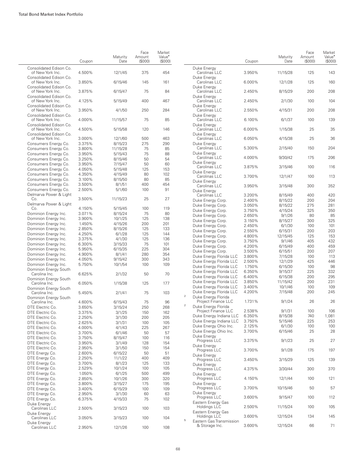|                                                | Coupon           | Maturity<br>Date    | Face<br>Amount<br>(\$000) | Market<br>Value <sup>*</sup><br>(\$000) |                |                                                | Coupon           | Maturity<br>Date   | Face<br>Amount<br>(\$000) | Market<br>Value <sup>•</sup><br>(S000) |
|------------------------------------------------|------------------|---------------------|---------------------------|-----------------------------------------|----------------|------------------------------------------------|------------------|--------------------|---------------------------|----------------------------------------|
| Consolidated Edison Co.<br>of New York Inc.    | 4.500%           | 12/1/45             | 375                       | 454                                     |                | Duke Energy<br>Carolinas LLC                   | 3.950%           | 11/15/28           | 125                       | 143                                    |
| Consolidated Edison Co.<br>of New York Inc.    | 3.850%           | 6/15/46             | 145                       | 161                                     |                | Duke Energy<br>Carolinas LLC                   | 6.000%           | 12/1/28            | 125                       | 160                                    |
| Consolidated Edison Co.<br>of New York Inc.    | 3.875%           | 6/15/47             | 75                        | 84                                      |                | Duke Energy<br>Carolinas LLC                   | 2.450%           | 8/15/29            | 200                       | 208                                    |
| Consolidated Edison Co.<br>of New York Inc.    | 4.125%           | 5/15/49             | 400                       | 467                                     |                | Duke Energy<br>Carolinas LLC                   | 2.450%           | 2/1/30             | 100                       | 104                                    |
| Consolidated Edison Co.<br>of New York Inc.    | 3.950%           | 4/1/50              | 250                       | 284                                     |                | Duke Energy<br>Carolinas LLC                   | 2.550%           | 4/15/31            | 200                       | 208                                    |
| Consolidated Edison Co.<br>of New York Inc.    | 4.000%           | 11/15/57            | 75                        | 85                                      |                | Duke Energy<br>Carolinas LLC                   | 6.100%           | 6/1/37             | 100                       | 139                                    |
| Consolidated Edison Co.<br>of New York Inc.    | 4.500%           | 5/15/58             | 120                       | 146                                     |                | Duke Energy<br>Carolinas LLC                   | 6.000%           | 1/15/38            | 25                        | 35                                     |
| Consolidated Edison Co.<br>of New York Inc.    | 3.000%           | 12/1/60             | 500                       | 463                                     |                | Duke Energy<br>Carolinas LLC                   | 6.050%           | 4/15/38            | 25                        | 36                                     |
| Consumers Energy Co.<br>Consumers Energy Co.   | 3.375%<br>3.800% | 8/15/23<br>11/15/28 | 275<br>75                 | 290<br>85                               |                | Duke Energy<br>Carolinas LLC                   | 5.300%           | 2/15/40            | 150                       | 204                                    |
| Consumers Energy Co.                           | 3.950%           | 5/15/43             | 75                        | 88                                      |                | Duke Energy                                    |                  |                    |                           |                                        |
| Consumers Energy Co.                           | 3.250%           | 8/15/46             | 50                        | 54                                      |                | Carolinas LLC                                  | 4.000%           | 9/30/42            | 175                       | 206                                    |
| Consumers Energy Co.                           | 3.950%           | 7/15/47             | 50                        | 60                                      |                | Duke Energy                                    |                  |                    |                           |                                        |
| Consumers Energy Co.                           | 4.050%           | 5/15/48             | 125                       | 153                                     |                | Carolinas LLC<br>Duke Energy                   | 3.875%           | 3/15/46            | 100                       | 116                                    |
| Consumers Energy Co.                           | 4.350%           | 4/15/49             | 80                        | 102                                     |                | Carolinas LLC                                  | 3.700%           | 12/1/47            | 100                       | 113                                    |
| Consumers Energy Co.                           | 3.100%           | 8/15/50             | 80                        | 85                                      |                | Duke Energy                                    |                  |                    |                           |                                        |
| Consumers Energy Co.                           | 3.500%           | 8/1/51              | 400                       | 454                                     |                | Carolinas LLC                                  | 3.950%           | 3/15/48            | 300                       | 352                                    |
| Consumers Energy Co.<br>Delmarva Power & Light | 2.500%           | 5/1/60              | 100                       | 91                                      |                | Duke Energy                                    |                  |                    |                           |                                        |
| Co.                                            | 3.500%           | 11/15/23            | 25                        | 27                                      |                | Carolinas LLC<br>Duke Energy Corp.             | 3.200%<br>2.400% | 8/15/49<br>8/15/22 | 400<br>200                | 420<br>204                             |
| Delmarva Power & Light                         |                  |                     |                           |                                         |                | Duke Energy Corp.                              | 3.050%           | 8/15/22            | 275                       | 281                                    |
| Co.                                            | 4.150%           | 5/15/45             | 100                       | 119                                     |                | Duke Energy Corp.                              | 3.750%           | 4/15/24            | 325                       | 350                                    |
| Dominion Energy Inc.                           | 3.071%           | 8/15/24             | 75                        | 80                                      |                | Duke Energy Corp.                              | 2.650%           | 9/1/26             | 80                        | 85                                     |
| Dominion Energy Inc.                           | 3.900%           | 10/1/25             | 125                       | 138                                     |                | Duke Energy Corp.                              | 3.150%           | 8/15/27            | 300                       | 325                                    |
| Dominion Energy Inc.                           | 1.450%           | 4/15/26             | 200                       | 201                                     |                | Duke Energy Corp.                              | 2.450%           | 6/1/30             | 100                       | 101                                    |
| Dominion Energy Inc.                           | 2.850%           | 8/15/26             | 125                       | 133                                     |                | Duke Energy Corp.                              | 2.550%           | 6/15/31            | 200                       | 203                                    |
| Dominion Energy Inc.                           | 4.250%           | 6/1/28              | 125                       | 144                                     |                | Duke Energy Corp.                              | 4.800%           | 12/15/45           | 125                       | 153                                    |
| Dominion Energy Inc.                           | 3.375%           | 4/1/30              | 125                       | 136<br>101                              |                | Duke Energy Corp.                              | 3.750%           | 9/1/46             | 405                       | 432                                    |
| Dominion Energy Inc.<br>Dominion Energy Inc.   | 6.300%<br>5.950% | 3/15/33<br>6/15/35  | 75<br>225                 | 304                                     |                | Duke Energy Corp.                              | 4.200%           | 6/15/49            | 400                       | 459                                    |
| Dominion Energy Inc.                           | 4.900%           | 8/1/41              | 280                       | 354                                     |                | Duke Energy Corp.                              | 3.500%           | 6/15/51            | 200                       | 207                                    |
| Dominion Energy Inc.                           | 4.050%           | 9/15/42             | 300                       | 343                                     |                | Duke Energy Florida LLC                        | 3.800%           | 7/15/28            | 100                       | 113                                    |
| Dominion Energy Inc.                           | 5.750%           | 10/1/54             | 100                       | 109                                     |                | Duke Energy Florida LLC                        | 2.500%           | 12/1/29            | 425                       | 446                                    |
| Dominion Energy South                          |                  |                     |                           |                                         |                | Duke Energy Florida LLC                        | 1.750%           | 6/15/30            | 100                       | 98                                     |
| Carolina Inc.                                  | 6.625%           | 2/1/32              | 50                        | 70                                      |                | Duke Energy Florida LLC                        | 6.350%           | 9/15/37            | 225                       | 332                                    |
| Dominion Energy South                          |                  |                     |                           |                                         |                | Duke Energy Florida LLC                        | 6.400%           | 6/15/38            | 200                       | 295                                    |
| Carolina Inc.                                  | 6.050%           | 1/15/38             | 125                       | 177                                     |                | Duke Energy Florida LLC                        | 3.850%           | 11/15/42           | 200                       | 231                                    |
| Dominion Energy South                          |                  |                     |                           |                                         |                | Duke Energy Florida LLC                        | 3.400%           | 10/1/46            | 100                       | 109                                    |
| Carolina Inc.<br>Dominion Energy South         | 5.450%           | 2/1/41              | 75                        | 103                                     | $\overline{2}$ | Duke Energy Florida LLC<br>Duke Energy Florida | 4.200%           | 7/15/48            | 200                       | 245                                    |
| Carolina Inc.                                  | 4.600%           | 6/15/43             | 75                        | 96                                      | $\overline{2}$ | Project Finance LLC                            | 1.731%           | 9/1/24             | 26                        | 26                                     |
| DTE Electric Co.                               | 3.650%           | 3/15/24             | 250                       | 268                                     |                | Duke Energy Florida<br>Project Finance LLC     | 2.538%           | 9/1/31             | 100                       | 106                                    |
| DTE Electric Co.                               | 3.375%           | 3/1/25              | 150                       | 162                                     |                | Duke Energy Indiana LLC                        | 6.350%           | 8/15/38            | 740                       | 1,081                                  |
| DTE Electric Co.                               | 2.250%           | 3/1/30              | 200                       | 205                                     |                | Duke Energy Indiana LLC                        | 3.750%           | 5/15/46            | 225                       | 253                                    |
| DTE Electric Co.<br>DTE Electric Co.           | 2.625%           | 3/1/31              | 100                       | 105                                     |                | Duke Energy Ohio Inc.                          | 2.125%           | 6/1/30             | 100                       | 100                                    |
| DTE Electric Co.                               | 4.000%<br>3.700% | 4/1/43              | 225<br>50                 | 267<br>57                               |                | Duke Energy Ohio Inc.                          | 3.700%           | 6/15/46            | 25                        | 28                                     |
| DTE Electric Co.                               | 3.750%           | 6/1/46<br>8/15/47   | 100                       | 116                                     |                | Duke Energy                                    |                  |                    |                           |                                        |
| DTE Electric Co.                               | 3.950%           | 3/1/49              | 128                       | 154                                     |                | Progress LLC                                   | 3.375%           | 9/1/23             | 25                        | 27                                     |
| DTE Electric Co.                               | 2.950%           | 3/1/50              | 150                       | 154                                     |                | Duke Energy                                    |                  |                    |                           |                                        |
| DTE Energy Co.                                 | 2.600%           | 6/15/22             | 50                        | 51                                      |                | Progress LLC                                   | 3.700%           | 9/1/28             | 175                       | 197                                    |
| DTE Energy Co.                                 | 2.250%           | 11/1/22             | 400                       | 409                                     |                | Duke Energy<br>Progress LLC                    |                  |                    |                           |                                        |
| DTE Energy Co.                                 | 3.700%           | 8/1/23              | 125                       | 133                                     |                | Duke Energy                                    | 3.450%           | 3/15/29            | 125                       | 139                                    |
| DTE Energy Co.                                 | 2.529%           | 10/1/24             | 100                       | 105                                     |                | Progress LLC                                   | 4.375%           | 3/30/44            | 300                       | 370                                    |
| DTE Energy Co.                                 | 1.050%           | 6/1/25              | 500                       | 499                                     |                | Duke Energy                                    |                  |                    |                           |                                        |
| DTE Energy Co.                                 | 2.850%           | 10/1/26             | 300                       | 320                                     |                | Progress LLC                                   | 4.150%           | 12/1/44            | 100                       | 121                                    |
| DTE Energy Co.                                 | 3.800%           | 3/15/27             | 175                       | 195                                     |                | Duke Energy                                    |                  |                    |                           |                                        |
| DTE Energy Co.                                 | 3.400%           | 6/15/29             | 100                       | 109                                     |                | Progress LLC                                   | 3.700%           | 10/15/46           | 50                        | 57                                     |
| DTE Energy Co.                                 | 2.950%           | 3/1/30              | 60                        | 63                                      |                | Duke Energy                                    | 3.600%           |                    | 100                       | 112                                    |
| DTE Energy Co.                                 | 6.375%           | 4/15/33             | 75                        | 102                                     |                | Progress LLC<br>Eastern Energy Gas             |                  | 9/15/47            |                           |                                        |
| Duke Energy<br>Carolinas LLC                   | 2.500%           | 3/15/23             | 100                       | 103                                     |                | Holdings LLC                                   | 2.500%           | 11/15/24           | 100                       | 105                                    |
| Duke Energy<br>Carolinas LLC                   | 3.050%           | 3/15/23             | 100                       | 104                                     | $\mathbf 5$    | Eastern Energy Gas<br>Holdings LLC             | 3.600%           | 12/15/24           | 134                       | 145                                    |
| Duke Energy<br>Carolinas LLC                   | 2.950%           | 12/1/26             | 100                       | 108                                     |                | Eastern Gas Transmission<br>& Storage Inc.     | 3.600%           | 12/15/24           | 66                        | 71                                     |
|                                                |                  |                     |                           |                                         |                |                                                |                  |                    |                           |                                        |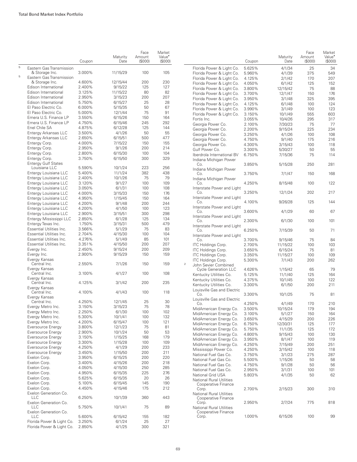|   |                                                | Coupon           | Maturity<br>Date   | Face<br>Amount<br>(S000) | Market<br>Value <sup>•</sup><br>(S000) |              |                              |
|---|------------------------------------------------|------------------|--------------------|--------------------------|----------------------------------------|--------------|------------------------------|
| 5 | Eastern Gas Transmission                       |                  |                    |                          | 105                                    |              | Florid                       |
| 5 | & Storage Inc.<br>Eastern Gas Transmission     | 3.000%           | 11/15/29           | 100                      |                                        |              | Florid<br>Florid             |
|   | & Storage Inc.                                 | 4.600%           | 12/15/44           | 200                      | 230                                    |              | Florid                       |
|   | Edison International                           | 2.400%           | 9/15/22            | 125                      | 127                                    |              | Florid                       |
|   | Edison International                           | 3.125%           | 11/15/22           | 80                       | 82                                     |              | Florid                       |
|   | Edison International                           | 2.950%           | 3/15/23            | 200                      | 207                                    |              | Florid                       |
|   | Edison International<br>El Paso Electric Co.   | 5.750%<br>6.000% | 6/15/27            | 25<br>50                 | 28<br>67                               |              | Florid                       |
|   | El Paso Electric Co.                           | 5.000%           | 5/15/35<br>12/1/44 | 75                       | 91                                     |              | Florid                       |
|   | Emera U.S. Finance LP                          | 3.550%           | 6/15/26            | 150                      | 164                                    |              | Florid                       |
|   | Emera U.S. Finance LP                          | 4.750%           | 6/15/46            | 245                      | 292                                    |              | Fortis<br>Geor               |
|   | Enel Chile SA                                  | 4.875%           | 6/12/28            | 125                      | 144                                    |              | Geor                         |
|   | Entergy Arkansas LLC                           | 3.500%           | 4/1/26             | 50                       | 55                                     |              | Geor                         |
|   | Entergy Arkansas LLC                           | 2.650%           | 6/15/51            | 500                      | 477                                    |              | Geor                         |
|   | Entergy Corp.                                  | 4.000%           | 7/15/22            | 150                      | 155                                    |              | Geor                         |
|   | Entergy Corp.                                  | 2.950%           | 9/1/26             | 200                      | 214                                    |              | Gulf                         |
|   | Entergy Corp.                                  | 2.800%           | 6/15/30            | 100                      | 104                                    |              | Ibero                        |
|   | Entergy Corp.<br><b>Entergy Gulf States</b>    | 3.750%           | 6/15/50            | 300                      | 329                                    |              | India<br>Co                  |
|   | Louisiana LLC                                  | 5.590%           | 10/1/24            | 223                      | 256                                    |              | India                        |
|   | Entergy Louisiana LLC                          | 5.400%           | 11/1/24            | 382                      | 438                                    |              | Co                           |
|   | Entergy Louisiana LLC                          | 2.400%           | 10/1/26            | 75                       | 79                                     |              | India                        |
|   | Entergy Louisiana LLC                          | 3.120%           | 9/1/27             | 100                      | 109                                    |              | Co                           |
|   | Entergy Louisiana LLC                          | 3.050%           | 6/1/31             | 100                      | 108                                    |              | Inter:                       |
|   | Entergy Louisiana LLC                          | 4.000%           | 3/15/33            | 150                      | 176                                    |              | Co<br>Inter:                 |
|   | Entergy Louisiana LLC<br>Entergy Louisiana LLC | 4.950%<br>4.200% | 1/15/45<br>9/1/48  | 150<br>200               | 164<br>244                             |              | Co                           |
|   | Entergy Louisiana LLC                          | 4.200%           | 4/1/50             | 100                      | 123                                    |              | Inter:                       |
|   | Entergy Louisiana LLC                          | 2.900%           | 3/15/51            | 300                      | 298                                    |              | Co                           |
|   | Entergy Mississippi LLC                        | 2.850%           | 6/1/28             | 125                      | 134                                    |              | Inter:                       |
|   | Entergy Texas Inc.                             | 1.750%           | 3/15/31            | 500                      | 479                                    |              | Co<br>Inter:                 |
|   | <b>Essential Utilities Inc.</b>                | 3.566%           | 5/1/29             | 75                       | 83                                     |              | Co                           |
|   | Essential Utilities Inc.                       | 2.704%           | 4/15/30            | 100                      | 104                                    |              | Inter:                       |
|   | Essential Utilities Inc.                       | 4.276%           | 5/1/49             | 85                       | 101                                    |              | Co                           |
|   | Essential Utilities Inc.                       | 3.351%           | 4/15/50            | 200                      | 207                                    |              | ITC <b>F</b>                 |
|   | Evergy Inc.                                    | 2.450%<br>2.900% | 9/15/24<br>9/15/29 | 200<br>150               | 209<br>159                             |              | ITC F                        |
|   | Evergy Inc.<br>Evergy Kansas                   |                  |                    |                          |                                        |              | <b>ITC F</b><br><b>ITC F</b> |
|   | Central Inc.<br>Evergy Kansas                  | 2.550%           | 7/1/26             | 150                      | 159                                    | $\mathbf{2}$ | John                         |
|   | Central Inc.                                   | 3.100%           | 4/1/27             | 100                      | 108                                    |              | Сy<br>Kenti                  |
|   | Evergy Kansas<br>Central Inc.                  | 4.125%           | 3/1/42             | 200                      | 235                                    |              | Kent                         |
|   | Evergy Kansas                                  |                  |                    |                          |                                        |              | Kent<br>Louis                |
|   | Central Inc.<br>Evergy Kansas                  | 4.100%           | 4/1/43             | 100                      | 118                                    |              | Co                           |
|   | Central Inc.                                   | 4.250%           | 12/1/45            | 25                       | 30                                     |              | Louis<br>Co                  |
|   | Evergy Metro Inc.                              | 3.150%           | 3/15/23            | 75                       | 78                                     |              | MidA                         |
|   | Evergy Metro Inc.                              | 2.250%           | 6/1/30             | 100                      | 102                                    |              | Mid <sub>A</sub>             |
|   | Evergy Metro Inc.                              | 5.300%           | 10/1/41            | 100                      | 132                                    |              | MidA                         |
|   | Evergy Metro Inc.<br>Eversource Energy         | 4.200%<br>3.800% | 6/15/47<br>12/1/23 | 100<br>75                | 121<br>81                              |              | MidA                         |
|   | Eversource Energy                              | 2.900%           | 10/1/24            | 50                       | 53                                     |              | MidA                         |
|   | Eversource Energy                              | 3.150%           | 1/15/25            | 168                      | 179                                    |              | Mid <sub>A</sub>             |
|   | Eversource Energy                              | 3.300%           | 1/15/28            | 100                      | 109                                    |              | MidA                         |
|   | Eversource Energy                              | 4.250%           | 4/1/29             | 200                      | 233                                    |              | MidA<br>Miss                 |
|   | Eversource Energy                              | 3.450%           | 1/15/50            | 200                      | 211                                    |              | Natio                        |
|   | Exelon Corp.                                   | 3.950%           | 6/15/25            | 200                      | 220                                    |              | Natio                        |
|   | Exelon Corp.                                   | 3.400%           | 4/15/26            | 200                      | 218                                    |              | Natio                        |
|   | Exelon Corp.                                   | 4.050%           | 4/15/30            | 250                      | 285                                    |              | Natio                        |
|   | Exelon Corp.                                   | 4.950%           | 6/15/35            | 225                      | 276                                    |              | Natio                        |
|   | Exelon Corp.<br>Exelon Corp.                   | 5.625%<br>5.100% | 6/15/35<br>6/15/45 | 20<br>145                | 26<br>190                              |              | Natio                        |
|   | Exelon Corp.                                   | 4.450%           | 4/15/46            | 175                      | 212                                    |              | Co<br>Co                     |
|   | Exelon Generation Co.                          |                  |                    |                          |                                        |              | Natio                        |
|   | LLC<br>Exelon Generation Co.                   | 6.250%           | 10/1/39            | 360                      | 443                                    |              | Co<br>Co                     |
|   | LLC                                            | 5.750%           | 10/1/41            | 75                       | 89                                     |              | Natio                        |
|   | Exelon Generation Co.<br>LLC                   | 5.600%           | 6/15/42            | 155                      | 182                                    |              | Co<br>Co                     |
|   | Florida Power & Light Co.                      | 3.250%           | 6/1/24             | 25                       | 27                                     |              |                              |
|   | Florida Power & Light Co.                      | 2.850%           | 4/1/25             | 300                      | 321                                    |              |                              |

|   |                                                        | Coupon | Maturity<br>Date | Face<br>Amount<br>$($ \$000 $)$ | Market<br>Value <sup>•</sup><br>(\$000) |
|---|--------------------------------------------------------|--------|------------------|---------------------------------|-----------------------------------------|
|   | Florida Power & Light Co.                              | 5.625% | 4/1/34           | 25                              | 34                                      |
|   | Florida Power & Light Co.                              | 5.960% | 4/1/39           | 375                             | 549                                     |
|   | Florida Power & Light Co.                              | 4.125% | 2/1/42           | 170                             | 207                                     |
|   | Florida Power & Light Co.                              | 4.050% | 6/1/42           | 125                             | 152                                     |
|   | Florida Power & Light Co.                              | 3.800% | 12/15/42         | 75                              | 88                                      |
|   | Florida Power & Light Co.                              | 3.700% | 12/1/47          | 150                             | 176                                     |
|   |                                                        | 3.950% |                  | 325                             | 395                                     |
|   | Florida Power & Light Co.                              |        | 3/1/48           |                                 |                                         |
|   | Florida Power & Light Co.                              | 4.125% | 6/1/48           | 100                             | 124                                     |
|   | Florida Power & Light Co.                              | 3.990% | 3/1/49           | 100                             | 123                                     |
|   | Florida Power & Light Co.                              | 3.150% | 10/1/49          | 555                             | 603                                     |
|   | Fortis Inc.                                            | 3.055% | 10/4/26          | 295                             | 317                                     |
|   | Georgia Power Co.                                      | 2.100% | 7/30/23          | 75                              | 77                                      |
|   | Georgia Power Co.                                      | 2.200% | 9/15/24          | 225                             | 234                                     |
|   | Georgia Power Co.                                      | 3.250% | 4/1/26           | 100                             | 108                                     |
|   | Georgia Power Co.                                      | 4.750% | 9/1/40           | 175                             | 216                                     |
|   | Georgia Power Co.                                      | 4.300% | 3/15/43          | 100                             | 118                                     |
|   | Gulf Power Co.                                         | 3.300% | 5/30/27          | 50                              | 55                                      |
|   | Iberdrola International BV<br>Indiana Michigan Power   | 6.750% | 7/15/36          | 75                              | 114                                     |
|   | Co.<br>Indiana Michigan Power                          | 3.850% | 5/15/28          | 250                             | 281                                     |
|   | Co.<br>Indiana Michigan Power                          | 3.750% | 7/1/47           | 150                             | 168                                     |
|   | Co.<br>Interstate Power and Light                      | 4.250% | 8/15/48          | 100                             | 122                                     |
|   | Co.<br>Interstate Power and Light                      | 3.250% | 12/1/24          | 202                             | 217                                     |
|   | Co.<br>Interstate Power and Light                      | 4.100% | 9/26/28          | 125                             | 144                                     |
|   | Co.<br>Interstate Power and Light                      | 3.600% | 4/1/29           | 60                              | 67                                      |
|   | Co.<br>Interstate Power and Light                      | 2.300% | 6/1/30           | 100                             | 101                                     |
|   | Co.<br>Interstate Power and Light                      | 6.250% | 7/15/39          | 50                              | 71                                      |
|   | Co.                                                    | 3.700% | 9/15/46          | 75                              | 84                                      |
|   | ITC Holdings Corp.                                     | 2.700% | 11/15/22         | 100                             | 103                                     |
|   | ITC Holdings Corp.                                     | 3.650% | 6/15/24          | 75                              | 81                                      |
|   | ITC Holdings Corp.                                     | 3.350% | 11/15/27         | 100                             | 109                                     |
| 2 | ITC Holdings Corp.<br>John Sevier Combined             | 5.300% | 7/1/43           | 200                             | 262                                     |
|   | <b>Cycle Generation LLC</b>                            | 4.626% | 1/15/42          | 65                              | 79                                      |
|   | Kentucky Utilities Co.                                 | 5.125% | 11/1/40          | 125                             | 164                                     |
|   | Kentucky Utilities Co.                                 | 4.375% | 10/1/45          | 100                             | 122                                     |
|   | Kentucky Utilities Co.<br>Louisville Gas and Electric  | 3.300% | 6/1/50           | 200                             | 211                                     |
|   | Co.<br>Louisville Gas and Electric                     | 3.300% | 10/1/25          | 75                              | 81                                      |
|   | Co.                                                    | 4.250% | 4/1/49           | 170                             | 210                                     |
|   | MidAmerican Energy Co.                                 | 3.500% | 10/15/24         | 179                             | 194                                     |
|   | MidAmerican Energy Co.                                 | 3.100% | 5/1/27           | 150                             | 164                                     |
|   | MidAmerican Energy Co.                                 | 3.650% | 4/15/29          | 200                             | 226                                     |
|   | MidAmerican Energy Co.                                 | 6.750% | 12/30/31         | 125                             | 177                                     |
|   | MidAmerican Energy Co.                                 | 5.750% | 11/1/35          | 125                             | 172                                     |
|   | MidAmerican Energy Co.                                 | 4.800% | 9/15/43          | 100                             | 130                                     |
|   | MidAmerican Energy Co.                                 | 3.950% | 8/1/47           | 100                             | 119                                     |
|   | MidAmerican Energy Co.                                 | 4.250% | 7/15/49          | 200                             | 251                                     |
|   | Mississippi Power Co.                                  | 4.250% | 3/15/42          | 100                             | 118                                     |
|   | National Fuel Gas Co.                                  | 3.750% | 3/1/23           | 275                             | 287                                     |
|   | National Fuel Gas Co.                                  | 5.500% | 1/15/26          | 50                              | 58                                      |
|   | National Fuel Gas Co.                                  | 4.750% | 9/1/28           | 50                              | 56                                      |
|   | National Fuel Gas Co.                                  | 2.950% | 3/1/31           | 100                             | 101                                     |
|   | National Grid USA<br><b>National Rural Utilities</b>   | 5.803% | 4/1/35           | 50                              | 62                                      |
|   | Cooperative Finance<br>Corp.                           | 2.700% | 2/15/23          | 300                             | 310                                     |
|   | <b>National Rural Utilities</b><br>Cooperative Finance |        |                  |                                 |                                         |
|   | Corp.<br>National Rural Utilities                      | 2.950% | 2/7/24           | 775                             | 818                                     |
|   | Cooperative Finance<br>Corp.                           | 1.000% | 6/15/26          | 100                             | 99                                      |
|   |                                                        |        |                  |                                 |                                         |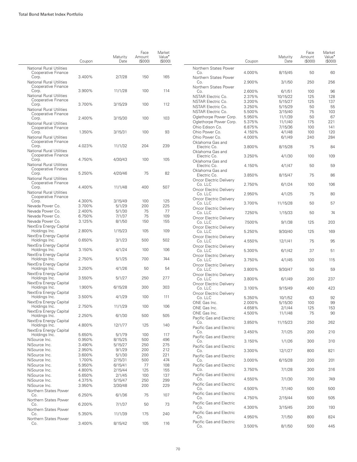|                                                        | Coupon | Maturity<br>Date | Face<br>Amount<br>(\$000) | Market<br>Value <sup>*</sup><br>(\$000) |                                           | Coupon | Maturity<br>Date | Face<br>Amount<br>(S000) | Market<br>Value <sup>*</sup><br>(S000) |
|--------------------------------------------------------|--------|------------------|---------------------------|-----------------------------------------|-------------------------------------------|--------|------------------|--------------------------|----------------------------------------|
| <b>National Rural Utilities</b><br>Cooperative Finance |        |                  |                           |                                         | Northern States Power<br>Co.              | 4.000% | 8/15/45          | 50                       | 60                                     |
| Corp.<br><b>National Rural Utilities</b>               | 3.400% | 2/7/28           | 150                       | 165                                     | Northern States Power<br>Co.              | 2.900% | 3/1/50           | 250                      | 256                                    |
| Cooperative Finance<br>Corp.                           | 3.900% | 11/1/28          | 100                       | 114                                     | Northern States Power<br>Co.              | 2.600% | 6/1/51           | 100                      | 96                                     |
| <b>National Rural Utilities</b>                        |        |                  |                           |                                         | NSTAR Electric Co.                        | 2.375% | 10/15/22         | 125                      | 128                                    |
| Cooperative Finance                                    |        |                  |                           |                                         | NSTAR Electric Co.                        | 3.200% | 5/15/27          | 125                      | 137                                    |
| Corp.                                                  | 3.700% | 3/15/29          | 100                       | 112                                     | NSTAR Electric Co.                        | 3.250% | 5/15/29          | 50                       | 55                                     |
| <b>National Rural Utilities</b><br>Cooperative Finance |        |                  |                           |                                         | <b>NSTAR Electric Co.</b>                 | 5.500% | 3/15/40          | 75                       | 103                                    |
| Corp.                                                  | 2.400% | 3/15/30          | 100                       | 103                                     | Oglethorpe Power Corp.                    | 5.950% | 11/1/39          | 50                       | 67                                     |
| <b>National Rural Utilities</b>                        |        |                  |                           |                                         | Oglethorpe Power Corp.                    | 5.375% | 11/1/40          | 175                      | 221                                    |
| Cooperative Finance                                    |        |                  |                           |                                         | Ohio Edison Co.                           | 6.875% | 7/15/36          | 100                      | 141                                    |
| Corp.                                                  | 1.350% | 3/15/31          | 100                       | 93                                      | Ohio Power Co.                            | 4.150% | 4/1/48           | 100                      | 120                                    |
| <b>National Rural Utilities</b><br>Cooperative Finance |        |                  |                           |                                         | Ohio Power Co.                            | 4.000% | 6/1/49           | 240                      | 284                                    |
| Corp.<br><b>National Rural Utilities</b>               | 4.023% | 11/1/32          | 204                       | 239                                     | Oklahoma Gas and<br>Electric Co.          | 3.800% | 8/15/28          | 75                       | 84                                     |
| Cooperative Finance                                    | 4.750% | 4/30/43          | 100                       | 105                                     | Oklahoma Gas and<br>Electric Co.          | 3.250% | 4/1/30           | 100                      | 109                                    |
| Corp.<br><b>National Rural Utilities</b>               |        |                  |                           |                                         | Oklahoma Gas and<br>Electric Co.          | 4.150% | 4/1/47           | 50                       | 59                                     |
| Cooperative Finance<br>Corp.                           | 5.250% | 4/20/46          | 75                        | 82                                      | Oklahoma Gas and                          |        |                  |                          |                                        |
| <b>National Rural Utilities</b>                        |        |                  |                           |                                         | Electric Co.                              | 3.850% | 8/15/47          | 75                       | 86                                     |
| Cooperative Finance<br>Corp.                           | 4.400% | 11/1/48          | 400                       | 507                                     | <b>Oncor Electric Delivery</b><br>Co. LLC | 2.750% | 6/1/24           | 100                      | 106                                    |
| <b>National Rural Utilities</b><br>Cooperative Finance |        |                  |                           |                                         | <b>Oncor Electric Delivery</b><br>Co. LLC | 2.950% | 4/1/25           | 75                       | 80                                     |
| Corp.                                                  | 4.300% | 3/15/49          | 100                       | 125                                     | Oncor Electric Delivery                   |        |                  |                          |                                        |
| Nevada Power Co.                                       | 3.700% | 5/1/29           | 200                       | 225                                     | Co. LLC                                   | 3.700% | 11/15/28         | 50                       | 57                                     |
| Nevada Power Co.                                       | 2.400% | 5/1/30           | 75                        | 77                                      | <b>Oncor Electric Delivery</b><br>Co. LLC | 7.250% | 1/15/33          | 50                       | 74                                     |
| Nevada Power Co.                                       | 6.750% | 7/1/37           | 75                        | 109                                     | Oncor Electric Delivery                   |        |                  |                          |                                        |
| Nevada Power Co.                                       | 3.125% | 8/1/50           | 150                       | 155                                     | Co. LLC                                   | 7.500% | 9/1/38           | 125                      | 203                                    |
| NextEra Energy Capital<br>Holdings Inc.                | 2.800% | 1/15/23          | 105                       | 109                                     | <b>Oncor Electric Delivery</b><br>Co. LLC | 5.250% | 9/30/40          | 125                      | 169                                    |
| NextEra Energy Capital                                 |        |                  |                           |                                         | <b>Oncor Electric Delivery</b>            |        |                  |                          |                                        |
| Holdings Inc.<br>NextEra Energy Capital                | 0.650% | 3/1/23           | 500                       | 502                                     | Co. LLC<br>Oncor Electric Delivery        | 4.550% | 12/1/41          | 75                       | 95                                     |
| Holdings Inc.<br>NextEra Energy Capital                | 3.150% | 4/1/24           | 100                       | 106                                     | Co. LLC<br>Oncor Electric Delivery        | 5.300% | 6/1/42           | 37                       | 51                                     |
| Holdings Inc.<br>NextEra Energy Capital                | 2.750% | 5/1/25           | 700                       | 744                                     | Co. LLC<br><b>Oncor Electric Delivery</b> | 3.750% | 4/1/45           | 100                      | 115                                    |
| Holdings Inc.<br>NextEra Energy Capital                | 3.250% | 4/1/26           | 50                        | 54                                      | Co. LLC                                   | 3.800% | 9/30/47          | 50                       | 59                                     |
| Holdings Inc.                                          | 3.550% | 5/1/27           | 250                       | 277                                     | <b>Oncor Electric Delivery</b><br>Co. LLC | 3.800% | 6/1/49           | 200                      | 237                                    |
| NextEra Energy Capital<br>Holdings Inc.                | 1.900% | 6/15/28          | 300                       | 303                                     | <b>Oncor Electric Delivery</b><br>Co. LLC | 3.100% | 9/15/49          | 400                      | 423                                    |
| NextEra Energy Capital<br>Holdings Inc.                | 3.500% | 4/1/29           | 100                       | 111                                     | Oncor Electric Delivery<br>Co. LLC        | 5.350% | 10/1/52          | 63                       | 92                                     |
| NextEra Energy Capital                                 |        |                  |                           |                                         | ONE Gas Inc.                              | 2.000% | 5/15/30          | 100                      | 99                                     |
| Holdings Inc.                                          | 2.750% | 11/1/29          | 100                       | 106                                     | ONE Gas Inc.                              | 4.658% | 2/1/44           | 125                      | 153                                    |
| NextEra Energy Capital<br>Holdings Inc.                | 2.250% | 6/1/30           | 500                       | 505                                     | ONE Gas Inc.<br>Pacific Gas and Electric  | 4.500% | 11/1/48          | 75                       | 90                                     |
| NextEra Energy Capital<br>Holdings Inc.                | 4.800% | 12/1/77          | 125                       | 140                                     | Co.<br>Pacific Gas and Electric           | 3.850% | 11/15/23         | 250                      | 262                                    |
| NextEra Energy Capital<br>Holdings Inc.                | 5.650% | 5/1/79           | 100                       | 117                                     | Co.                                       | 3.450% | 7/1/25           | 200                      | 210                                    |
| NiSource Inc.                                          | 0.950% | 8/15/25          | 500                       | 496                                     | Pacific Gas and Electric                  |        |                  |                          |                                        |
| NiSource Inc.                                          | 3.490% | 5/15/27          | 250                       | 275                                     | Co.                                       | 3.150% | 1/1/26           | 300                      | 310                                    |
| NiSource Inc.                                          | 2.950% | 9/1/29           | 200                       | 212                                     | Pacific Gas and Electric<br>Co.           | 3.300% | 12/1/27          | 800                      | 821                                    |
| NiSource Inc.                                          | 3.600% | 5/1/30           | 200                       | 221                                     | Pacific Gas and Electric                  |        |                  |                          |                                        |
| NiSource Inc.                                          | 1.700% | 2/15/31          | 500                       | 474                                     | Co.                                       | 3.000% | 6/15/28          | 200                      | 201                                    |
| NiSource Inc.                                          | 5.950% | 6/15/41          | 77                        | 108                                     | Pacific Gas and Electric                  |        |                  |                          |                                        |
| NiSource Inc.                                          | 4.800% | 2/15/44          | 125                       | 155                                     | Co.                                       | 3.750% | 7/1/28           | 300                      | 316                                    |
| NiSource Inc.                                          | 5.650% | 2/1/45           | 100                       | 137                                     | Pacific Gas and Electric                  |        |                  |                          |                                        |
| NiSource Inc.                                          | 4.375% | 5/15/47          | 250                       | 299                                     | Co.<br>Pacific Gas and Electric           | 4.550% | 7/1/30           | 700                      | 749                                    |
| NiSource Inc.<br>Northern States Power                 | 3.950% | 3/30/48          | 200                       | 229                                     | Co.                                       | 4.500% | 7/1/40           | 500                      | 500                                    |
| Co.<br>Northern States Power                           | 6.250% | 6/1/36           | 75                        | 107                                     | Pacific Gas and Electric<br>Co.           | 4.750% | 2/15/44          | 500                      | 505                                    |
| Co.<br>Northern States Power                           | 6.200% | 7/1/37           | 50                        | 73                                      | Pacific Gas and Electric<br>Co.           | 4.300% | 3/15/45          | 200                      | 193                                    |
| Co.<br>Northern States Power                           | 5.350% | 11/1/39          | 175                       | 240                                     | Pacific Gas and Electric<br>Co.           | 4.950% | 7/1/50           | 800                      | 824                                    |
| Co.                                                    | 3.400% | 8/15/42          | 105                       | 116                                     | Pacific Gas and Electric<br>Co.           | 3.500% | 8/1/50           | 500                      | 445                                    |
|                                                        |        |                  |                           |                                         |                                           |        |                  |                          |                                        |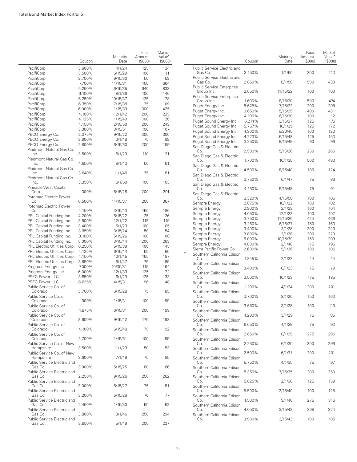|                                                              | Coupon           | Maturity<br>Date   | Face<br>Amount<br>(S000) | Market<br>Value <sup>•</sup><br>(\$000) |                      |
|--------------------------------------------------------------|------------------|--------------------|--------------------------|-----------------------------------------|----------------------|
| PacifiCorp                                                   | 3.600%           | 4/1/24             | 125                      | 134                                     | Pu                   |
| PacifiCorp                                                   | 3.500%           | 6/15/29            | 100                      | 111                                     |                      |
| PacifiCorp                                                   | 2.700%           | 9/15/30            | 50                       | 53                                      | Pu                   |
| PacifiCorp                                                   | 7.700%           | 11/15/31           | 450                      | 664                                     |                      |
| PacifiCorp                                                   | 5.250%           | 6/15/35            | 640                      | 833                                     | Pu                   |
| PacifiCorp                                                   | 6.100%           | 8/1/36             | 100                      | 140                                     | Pu                   |
| PacifiCorp                                                   | 6.250%           | 10/15/37           | 125                      | 178                                     |                      |
| PacifiCorp                                                   | 6.350%           | 7/15/38            | 75                       | 109                                     | Pu                   |
| PacifiCorp                                                   | 6.000%           | 1/15/39            | 300                      | 425                                     | Pu                   |
| PacifiCorp                                                   | 4.100%           | 2/1/42             | 200                      | 235                                     | Pu                   |
| PacifiCorp                                                   | 4.125%           | 1/15/49            | 100                      | 120                                     | Pu                   |
| PacifiCorp                                                   | 4.150%           | 2/15/50            | 200                      | 243                                     | Pu                   |
| PacifiCorp                                                   | 3.300%           | 3/15/51            | 100                      | 107                                     | Pu                   |
| PECO Energy Co.                                              | 2.375%           | 9/15/22            | 300                      | 306                                     | Pu                   |
| PECO Energy Co.                                              | 3.900%           | 3/1/48             | 75                       | 89                                      | Pu                   |
| PECO Energy Co.                                              | 2.800%           | 6/15/50            | 200                      | 199                                     | Sa                   |
| Piedmont Natural Gas Co.                                     |                  |                    | 110                      | 121                                     |                      |
| Inc.<br>Piedmont Natural Gas Co.                             | 3.500%           | 6/1/29             |                          |                                         | Sa                   |
| Inc.<br>Piedmont Natural Gas Co.                             | 4.650%           | 8/1/43             | 50                       | 61                                      | Sa                   |
| Inc.<br>Piedmont Natural Gas Co.                             | 3.640%           | 11/1/46            | 75                       | 81                                      | Sa                   |
| Inc.                                                         | 3.350%           | 6/1/50             | 100                      | 103                                     | Sa                   |
| Pinnacle West Capital<br>Corp.                               | 1.300%           | 6/15/25            | 200                      | 201                                     | Sa                   |
| Potomac Electric Power<br>Co.                                | 6.500%           | 11/15/37           | 250                      | 367                                     | Se                   |
| Potomac Electric Power                                       |                  |                    |                          |                                         | Se                   |
| Co.                                                          | 4.150%           | 3/15/43            | 150                      | 180                                     | Se                   |
| PPL Capital Funding Inc.                                     | 4.200%           | 6/15/22            | 25                       | 26                                      | Se                   |
| PPL Capital Funding Inc.                                     | 3.500%           | 12/1/22            | 115                      | 119                                     | Se                   |
| PPL Capital Funding Inc.                                     | 3.400%           | 6/1/23             | 100                      | 105                                     | Se                   |
| PPL Capital Funding Inc.                                     | 3.950%           | 3/15/24            | 50                       | 54                                      | Se                   |
| PPL Capital Funding Inc.                                     | 3.100%           | 5/15/26            | 100                      | 108                                     | Se                   |
| PPL Capital Funding Inc.                                     | 5.000%           | 3/15/44            | 200                      | 263                                     | Se                   |
| PPL Electric Utilities Corp.                                 | 6.250%           | 5/15/39            | 100<br>50                | 145                                     | Sie                  |
| PPL Electric Utilities Corp.<br>PPL Electric Utilities Corp. | 4.125%<br>4.150% | 6/15/44            | 155                      | 60<br>187                               | $\overline{2}$<br>So |
| PPL Electric Utilities Corp.                                 | 3.950%           | 10/1/45            | 75                       | 89                                      |                      |
| Progress Energy Inc.                                         | 7.000%           | 6/1/47<br>10/30/31 | 119                      | 164                                     | So                   |
| Progress Energy Inc.                                         | 6.000%           | 12/1/39            | 125                      | 172                                     |                      |
| <b>PSEG Power LLC</b>                                        | 3.850%           | 6/1/23             | 125                      | 133                                     | So                   |
| <b>PSEG Power LLC</b>                                        | 8.625%           | 4/15/31            | 96                       | 148                                     | So                   |
| Public Service Co. of<br>Colorado                            | 3.700%           |                    | 75                       | 85                                      |                      |
| Public Service Co. of                                        |                  | 6/15/28            |                          |                                         | So                   |
| Colorado<br>Public Service Co. of                            | 1.900%           | 1/15/31            | 100                      | 99                                      | So                   |
| Colorado<br>Public Service Co. of                            | 1.875%           | 6/15/31            | 200                      | 199                                     | So                   |
| Colorado<br>Public Service Co. of                            | 3.600%           | 9/15/42            | 175                      | 198                                     | So                   |
| Colorado<br>Public Service Co. of                            | 4.100%           | 6/15/48            | 75                       | 92                                      | So                   |
| Colorado<br>Public Service Co. of New                        | 2.700%           | 1/15/51            | 100                      | 99                                      | So                   |
| Hampshire<br>Public Service Co. of New                       | 3.500%           | 11/1/23            | 50                       | 53                                      | So                   |
| Hampshire<br>Public Service Electric and                     | 3.600%           | 7/1/49             | 75                       | 85                                      | So                   |
| Gas Co.<br>Public Service Electric and                       | 3.000%           | 5/15/25            | 80                       | 86                                      | So                   |
| Gas Co.                                                      | 2.250%           | 9/15/26            | 250                      | 262                                     | So                   |
| Public Service Electric and<br>Gas Co.                       | 3.000%           | 5/15/27            | 75                       | 81                                      | So                   |
| Public Service Electric and<br>Gas Co.                       | 3.200%           | 5/15/29            | 70                       | 77                                      | So                   |
| Public Service Electric and<br>Gas Co.                       | 2.450%           | 1/15/30            | 50                       | 52                                      | So                   |
| Public Service Electric and<br>Gas Co.                       | 3.800%           | 3/1/46             | 250                      | 294                                     | So                   |
| Public Service Electric and<br>Gas Co.                       | 3.850%           | 5/1/49             | 200                      | 237                                     |                      |

|   |                                                     | Coupon           | Maturity<br>Date | Face<br>Amount<br>(S000) | Market<br>Value <sup>•</sup><br>(S000) |
|---|-----------------------------------------------------|------------------|------------------|--------------------------|----------------------------------------|
|   | Public Service Electric and<br>Gas Co.              | 3.150%           | 1/1/50           | 200                      | 213                                    |
|   | Public Service Electric and<br>Gas Co.              | 2.050%           | 8/1/50           | 500                      | 433                                    |
|   | Public Service Enterprise<br>Group Inc.             | 2.650%           | 11/15/22         | 100                      | 103                                    |
|   | <b>Public Service Enterprise</b>                    |                  |                  |                          |                                        |
|   | Group Inc.                                          | 1.600%           | 8/15/30          | 500                      | 474                                    |
|   | Puget Energy Inc.                                   | 5.625%           | 7/15/22          | 200                      | 208                                    |
|   | Puget Energy Inc.                                   | 3.650%           | 5/15/25          | 400                      | 431                                    |
|   | Puget Energy Inc.                                   | 4.100%           | 6/15/30          | 100                      | 112                                    |
|   | Puget Sound Energy Inc.                             | 6.274%<br>5.757% | 3/15/37          | 125<br>125               | 176<br>172                             |
|   | Puget Sound Energy Inc.                             |                  | 10/1/39          |                          |                                        |
|   | Puget Sound Energy Inc.                             | 4.300%           | 5/20/45          | 100                      | 123                                    |
|   | Puget Sound Energy Inc.                             | 4.223%           | 6/15/48          | 125                      | 153                                    |
|   | Puget Sound Energy Inc.<br>San Diego Gas & Electric | 3.250%           | 9/15/49          | 90                       | 96                                     |
|   | Co.                                                 | 2.500%           | 5/15/26          | 250                      | 265                                    |
|   | San Diego Gas & Electric<br>Co.                     | 1.700%           | 10/1/30          | 500                      | 483                                    |
|   | San Diego Gas & Electric<br>Co.                     | 4.500%           | 8/15/40          | 100                      | 124                                    |
|   | San Diego Gas & Electric<br>Co.                     | 3.750%           | 6/1/47           | 75                       | 86                                     |
|   | San Diego Gas & Electric<br>Co.                     | 4.150%           | 5/15/48          | 75                       | 91                                     |
|   | San Diego Gas & Electric                            |                  |                  |                          |                                        |
|   | Co.                                                 | 3.320%           | 4/15/50          | 100                      | 106                                    |
|   | Sempra Energy                                       | 2.875%           | 10/1/22          | 100                      | 102                                    |
|   | Sempra Energy                                       | 2.900%           | 2/1/23           | 100                      | 104                                    |
|   | Sempra Energy                                       | 4.050%           | 12/1/23          | 100                      | 107                                    |
|   | Sempra Energy                                       | 3.750%           | 11/15/25         | 424                      | 466                                    |
|   | Sempra Energy                                       | 3.250%           | 6/15/27          | 150                      | 163                                    |
|   | Sempra Energy                                       | 3.400%           | 2/1/28           | 200                      | 220                                    |
|   | Sempra Energy                                       | 3.800%           | 2/1/38           | 200                      | 223                                    |
|   | Sempra Energy                                       | 6.000%           | 10/15/39         | 150                      | 209                                    |
|   | Sempra Energy                                       | 4.000%           | 2/1/48           | 175                      | 196                                    |
|   | Sierra Pacific Power Co.                            | 2.600%           | 5/1/26           | 100                      | 106                                    |
| 2 | Southern California Edison<br>Co.                   | 1.845%           | 2/1/22           | 14                       | 14                                     |
|   | Southern California Edison<br>Co.                   | 3.400%           | 6/1/23           | 75                       | 79                                     |
|   | Southern California Edison<br>Co.                   | 3.500%           | 10/1/23          | 175                      | 185                                    |
|   | Southern California Edison<br>Co.                   | 1.100%           | 4/1/24           | 200                      | 201                                    |
|   | Southern California Edison                          |                  |                  |                          |                                        |
|   | Co.<br>Southern California Edison                   | 3.700%           | 8/1/25           | 150                      | 163                                    |
|   | Co.<br>Southern California Edison                   | 3.650%           | 3/1/28           | 100                      | 110                                    |
|   | Co.<br>Southern California Edison                   | 4.200%           | 3/1/29           | 75                       | 85                                     |
|   | Co.<br>Southern California Edison                   | 6.650%           | 4/1/29           | 75                       | 93                                     |
|   | Co.<br>Southern California Edison                   | 2.850%           | 8/1/29           | 275                      | 286                                    |
|   | Co.                                                 | 2.250%           | 6/1/30           | 300                      | 296                                    |
|   | Southern California Edison<br>Co.                   | 2.500%           | 6/1/31           | 200                      | 201                                    |
|   | Southern California Edison<br>Co.                   | 5.750%           | 4/1/35           | 75                       | 97                                     |
|   | Southern California Edison<br>Co.                   | 5.350%           | 7/15/35          | 200                      | 250                                    |
|   | Southern California Edison<br>Co.                   | 5.625%           | 2/1/36           | 125                      | 159                                    |
|   | Southern California Edison<br>Co.                   | 5.500%           | 3/15/40          | 100                      | 125                                    |
|   | Southern California Edison                          |                  |                  |                          |                                        |
|   | Co.<br>Southern California Edison                   | 4.500%           | 9/1/40           | 275                      | 316                                    |
|   | Co.<br>Southern California Edison                   | 4.050%           | 3/15/42          | 208                      | 224                                    |
|   | Co.                                                 | 3.900%           | 3/15/43          | 100                      | 105                                    |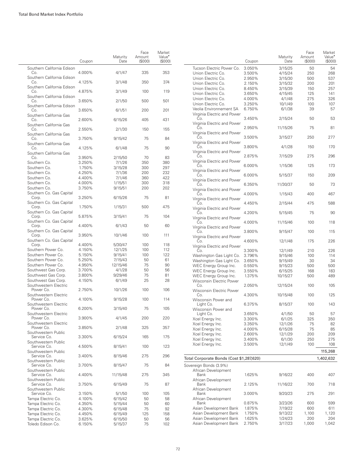|                                    | Coupon | Maturity<br>Date | Face<br>Amount<br>(\$000) | Market<br>Value <sup>•</sup><br>(\$000) |
|------------------------------------|--------|------------------|---------------------------|-----------------------------------------|
| Southern California Edison<br>Co.  | 4.000% | 4/1/47           | 335                       | 353                                     |
| Southern California Edison<br>Co.  | 4.125% | 3/1/48           | 350                       | 374                                     |
| Southern California Edison<br>Co.  | 4.875% | 3/1/49           | 100                       | 119                                     |
| Southern California Edison<br>Co.  | 3.650% | 2/1/50           | 500                       | 501                                     |
| Southern California Edison<br>Co.  | 3.650% | 6/1/51           | 200                       | 201                                     |
| Southern California Gas<br>Co.     | 2.600% | 6/15/26          | 405                       | 431                                     |
| Southern California Gas<br>Co.     | 2.550% | 2/1/30           | 150                       | 155                                     |
| Southern California Gas<br>Co.     | 3.750% | 9/15/42          | 75                        | 84                                      |
| Southern California Gas<br>Co.     | 4.125% | 6/1/48           | 75                        | 90                                      |
| Southern California Gas<br>Co.     | 3.950% | 2/15/50          | 70                        | 83                                      |
|                                    |        |                  |                           |                                         |
| Southern Co.                       | 3.250% | 7/1/26           | 350                       | 380                                     |
| Southern Co.                       | 1.750% | 3/15/28          | 300                       | 297                                     |
| Southern Co.                       | 4.250% | 7/1/36           | 200                       | 232                                     |
| Southern Co.                       | 4.400% | 7/1/46           | 360                       | 422                                     |
| Southern Co.                       | 4.000% | 1/15/51          | 300                       | 318                                     |
| Southern Co.                       | 3.750% |                  | 200                       | 202                                     |
|                                    |        | 9/15/51          |                           |                                         |
| Southern Co. Gas Capital<br>Corp.  | 3.250% | 6/15/26          | 75                        | 81                                      |
| Southern Co. Gas Capital<br>Corp.  | 1.750% | 1/15/31          | 500                       | 475                                     |
| Southern Co. Gas Capital<br>Corp.  | 5.875% | 3/15/41          | 75                        | 104                                     |
| Southern Co. Gas Capital<br>Corp.  | 4.400% | 6/1/43           | 50                        | 60                                      |
| Southern Co. Gas Capital<br>Corp.  | 3.950% | 10/1/46          | 100                       | 111                                     |
| Southern Co. Gas Capital           |        |                  |                           |                                         |
| Corp.                              | 4.400% | 5/30/47          | 100                       | 118                                     |
| Southern Power Co.                 | 4.150% | 12/1/25          | 100                       | 112                                     |
| Southern Power Co.                 | 5.150% | 9/15/41          | 100                       | 122                                     |
| Southern Power Co.                 | 5.250% | 7/15/43          | 50                        | 61                                      |
| Southern Power Co.                 | 4.950% |                  | 75                        | 90                                      |
|                                    |        | 12/15/46         |                           |                                         |
| Southwest Gas Corp.                | 3.700% | 4/1/28           | 50                        | 56                                      |
| Southwest Gas Corp.                | 3.800% | 9/29/46          | 75                        | 81                                      |
| Southwest Gas Corp.                | 4.150% | 6/1/49           | 25                        | 28                                      |
| Southwestern Electric<br>Power Co. | 2.750% | 10/1/26          | 100                       | 106                                     |
| Southwestern Electric<br>Power Co. | 4.100% | 9/15/28          | 100                       | 114                                     |
| Southwestern Electric              |        |                  | 75                        |                                         |
| Power Co.<br>Southwestern Electric | 6.200% | 3/15/40          |                           | 105                                     |
| Power Co.<br>Southwestern Electric | 3.900% | 4/1/45           | 200                       | 220                                     |
| Power Co.<br>Southwestern Public   | 3.850% | 2/1/48           | 325                       | 357                                     |
| Service Co.<br>Southwestern Public | 3.300% | 6/15/24          | 165                       | 175                                     |
| Service Co.<br>Southwestern Public | 4.500% | 8/15/41          | 100                       | 123                                     |
| Service Co.<br>Southwestern Public | 3.400% | 8/15/46          | 275                       | 296                                     |
| Service Co.<br>Southwestern Public | 3.700% | 8/15/47          | 75                        | 84                                      |
| Service Co.<br>Southwestern Public | 4.400% | 11/15/48         | 275                       | 345                                     |
| Service Co.                        | 3.750% | 6/15/49          | 75                        | 87                                      |
| Southwestern Public<br>Service Co. | 3.150% | 5/1/50           | 100                       | 105                                     |
| Tampa Electric Co.                 | 4.100% | 6/15/42          | 50                        | 58                                      |
| Tampa Electric Co.                 | 4.350% | 5/15/44          | 50                        | 60                                      |
| Tampa Electric Co.                 | 4.300% | 6/15/48          | 75                        | 92                                      |
| Tampa Electric Co.                 | 4.450% | 6/15/49          | 125                       | 158                                     |
| Tampa Electric Co.                 | 3.625% | 6/15/50          | 50                        | 56                                      |
|                                    |        |                  |                           |                                         |
| Toledo Edison Co.                  | 6.150% | 5/15/37          | 75                        | 102                                     |

|                                                   |                  |                    | Face             | Market                              |
|---------------------------------------------------|------------------|--------------------|------------------|-------------------------------------|
|                                                   | Coupon           | Maturity<br>Date   | Amount<br>(S000) | Value <sup>•</sup><br>$($ \$000 $)$ |
| Tucson Electric Power Co.                         | 3.050%           | 3/15/25            | 50               | 54                                  |
| Union Electric Co.                                | 3.500%           | 4/15/24            | 250              | 268                                 |
| Union Electric Co.                                | 2.950%           | 3/15/30            | 500              | 537                                 |
| Union Electric Co.                                | 2.150%           | 3/15/32            | 200              | 201                                 |
| Union Electric Co.<br>Union Electric Co.          | 8.450%           | 3/15/39            | 150              | 257<br>141                          |
| Union Electric Co.                                | 3.650%<br>4.000% | 4/15/45<br>4/1/48  | 125<br>275       | 326                                 |
| Union Electric Co.                                | 3.250%           | 10/1/49            | 100              | 107                                 |
| Veolia Environnement SA                           | 6.750%           | 6/1/38             | 39               | 57                                  |
| Virginia Electric and Power<br>Co.                | 3.450%           | 2/15/24            | 50               | 53                                  |
| Virginia Electric and Power<br>Co.                | 2.950%           | 11/15/26           | 75               | 81                                  |
| Virginia Electric and Power<br>Co.                | 3.500%           | 3/15/27            | 250              | 277                                 |
| Virginia Electric and Power                       |                  |                    |                  |                                     |
| Co.<br>Virginia Electric and Power                | 3.800%           | 4/1/28             | 150              | 170                                 |
| Co.<br>Virginia Electric and Power                | 2.875%           | 7/15/29            | 275              | 296                                 |
| Co.<br>Virginia Electric and Power                | 6.000%           | 1/15/36            | 125              | 173                                 |
| Co.<br>Virginia Electric and Power                | 6.000%           | 5/15/37            | 150              | 209                                 |
| Co.<br>Virginia Electric and Power                | 6.350%           | 11/30/37           | 50               | 73                                  |
| Co.                                               | 4.000%           | 1/15/43            | 400              | 467                                 |
| Virginia Electric and Power<br>Co.                | 4.450%           | 2/15/44            | 475              | 588                                 |
| Virginia Electric and Power<br>Co.                | 4.200%           | 5/15/45            | 75               | 90                                  |
| Virginia Electric and Power<br>Co.                | 4.000%           | 11/15/46           | 100              | 118                                 |
| Virginia Electric and Power<br>Co.                | 3.800%           | 9/15/47            | 100              | 115                                 |
| Virginia Electric and Power<br>Co.                | 4.600%           | 12/1/48            | 175              | 226                                 |
| Virginia Electric and Power<br>Co.                | 3.300%           | 12/1/49            | 210              | 226                                 |
| Washington Gas Light Co.                          | 3.796%           | 9/15/46            | 100              | 114                                 |
| Washington Gas Light Co.                          | 3.650%           | 9/15/49            | 30               | 34                                  |
| WEC Energy Group Inc.                             | 0.550%           | 9/15/23            | 500              | 500                                 |
| WEC Energy Group Inc.                             | 3.550%           | 6/15/25            | 168              | 183                                 |
| WEC Energy Group Inc.<br>Wisconsin Electric Power | 1.375%           | 10/15/27           | 500              | 489                                 |
| Co.<br><b>Wisconsin Electric Power</b>            | 2.050%           | 12/15/24           | 100              | 105                                 |
| Co.<br>Wisconsin Power and                        | 4.300%           | 10/15/48           | 100              | 125                                 |
| Light Co.<br>Wisconsin Power and                  | 6.375%           | 8/15/37            | 100              | 143                                 |
| Light Co.                                         | 3.650%           | 4/1/50             | 50               | 57                                  |
| Xcel Energy Inc.                                  | 3.300%           | 6/1/25             | 325              | 350                                 |
| Xcel Energy Inc.                                  | 3.350%           | 12/1/26            | 75               | 82                                  |
| Xcel Energy Inc.                                  | 4.000%           | 6/15/28            | 75               | 85                                  |
| Xcel Energy Inc.                                  | 2.600%           | 12/1/29            | 200              | 209                                 |
| Xcel Energy Inc.                                  | 3.400%           | 6/1/30             | 250              | 275                                 |
| Xcel Energy Inc.                                  | 3.500%           | 12/1/49            | 100              | 108<br>115,268                      |
| Total Corporate Bonds (Cost \$1,287,620)          |                  |                    |                  | 1,402,632                           |
| Sovereign Bonds (3.9%)                            |                  |                    |                  |                                     |
| African Development<br>Bank                       | 1.625%           | 9/16/22            | 400              | 407                                 |
| African Development<br>Bank                       | 2.125%           | 11/16/22           | 700              | 718                                 |
| African Development<br>Bank                       | 3.000%           | 9/20/23            | 275              | 291                                 |
| African Development                               |                  |                    |                  |                                     |
| Bank<br>Asian Development Bank                    | 0.875%<br>1.875% | 3/23/26<br>7/19/22 | 600              | 599<br>611                          |
| Asian Development Bank                            | 1.750%           | 9/13/22            | 600<br>1,100     | 1,120                               |
| Asian Development Bank                            | 1.625%           | 1/24/23            | 200              | 204                                 |
| Asian Development Bank                            | 2.750%           | 3/17/23            | 1,000            | 1,042                               |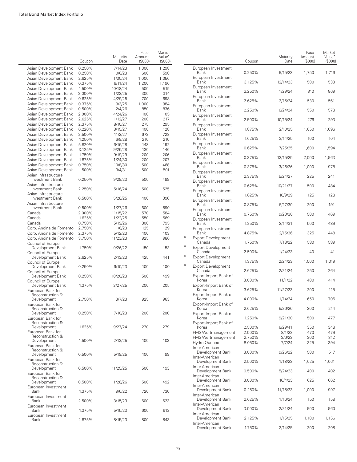|                                                      | Coupon           | Maturity<br>Date    | Face<br>Amount<br>(S000) | Market<br>Value <sup>*</sup><br>(S000) |   |                                                      | Coupon           | Maturity<br>Date  | Face<br>Amount<br>(\$000) | Market<br>Value <sup>•</sup><br>(S000) |
|------------------------------------------------------|------------------|---------------------|--------------------------|----------------------------------------|---|------------------------------------------------------|------------------|-------------------|---------------------------|----------------------------------------|
| Asian Development Bank<br>Asian Development Bank     | 0.250%<br>0.250% | 7/14/23<br>10/6/23  | 1,300<br>600             | 1,298<br>598                           |   | European Investment<br>Bank                          | 0.250%           | 9/15/23           | 1,750                     | 1,746                                  |
| Asian Development Bank<br>Asian Development Bank     | 2.625%<br>0.375% | 1/30/24<br>6/11/24  | 1,000<br>1,200           | 1,056<br>1,196                         |   | European Investment<br>Bank                          | 3.125%           | 12/14/23          | 500                       | 533                                    |
| Asian Development Bank<br>Asian Development Bank     | 1.500%<br>2.000% | 10/18/24<br>1/22/25 | 500<br>300               | 515<br>314                             |   | European Investment<br>Bank                          | 3.250%           | 1/29/24           | 810                       | 869                                    |
| Asian Development Bank                               | 0.625%           | 4/29/25             | 700                      | 698                                    |   | European Investment<br>Bank                          | 2.625%           | 3/15/24           | 530                       | 561                                    |
| Asian Development Bank<br>Asian Development Bank     | 0.375%<br>0.500% | 9/3/25<br>2/4/26    | 1,000<br>850             | 984<br>836                             |   | European Investment<br>Bank                          | 2.250%           | 6/24/24           | 550                       | 578                                    |
| Asian Development Bank<br>Asian Development Bank     | 2.000%<br>2.625% | 4/24/26<br>1/12/27  | 100<br>200               | 105<br>217                             |   | European Investment<br>Bank                          | 2.500%           | 10/15/24          | 276                       | 293                                    |
| Asian Development Bank<br>Asian Development Bank     | 2.375%<br>6.220% | 8/10/27<br>8/15/27  | 275<br>100               | 295<br>128                             |   | European Investment<br>Bank                          | 1.875%           | 2/10/25           | 1,050                     | 1,096                                  |
| Asian Development Bank                               | 2.500%           | 11/2/27             | 673                      | 728                                    |   | European Investment<br>Bank                          | 1.625%           | 3/14/25           | 100                       | 104                                    |
| Asian Development Bank<br>Asian Development Bank     | 1.250%<br>5.820% | 6/9/28<br>6/16/28   | 210<br>148               | 210<br>192                             |   | European Investment<br>Bank                          | 0.625%           | 7/25/25           | 1,600                     | 1,594                                  |
| Asian Development Bank<br>Asian Development Bank     | 3.125%<br>1.750% | 9/26/28<br>9/19/29  | 130<br>200               | 146<br>206                             |   | European Investment                                  |                  |                   |                           |                                        |
| Asian Development Bank<br>Asian Development Bank     | 1.875%<br>0.750% | 1/24/30<br>10/8/30  | 200<br>500               | 207<br>468                             |   | Bank<br>European Investment                          | 0.375%           | 12/15/25          | 2,000                     | 1,963                                  |
| Asian Development Bank                               | 1.500%           | 3/4/31              | 500                      | 501                                    |   | Bank<br>European Investment                          | 0.375%           | 3/26/26           | 1,000                     | 978                                    |
| Asian Infrastructure<br>Investment Bank              | 0.250%           | 9/29/23             | 500                      | 499                                    |   | Bank<br>European Investment                          | 2.375%           | 5/24/27           | 225                       | 241                                    |
| Asian Infrastructure<br>Investment Bank              | 2.250%           | 5/16/24             | 500                      | 525                                    |   | Bank<br>European Investment                          | 0.625%           | 10/21/27          | 500                       | 484                                    |
| Asian Infrastructure<br>Investment Bank              | 0.500%           | 5/28/25             | 400                      | 396                                    |   | Bank<br>European Investment                          | 1.625%           | 10/9/29           | 125                       | 128                                    |
| Asian Infrastructure<br>Investment Bank              | 0.500%           | 1/27/26             | 600                      | 590                                    |   | Bank<br>European Investment                          | 0.875%           | 5/17/30           | 200                       | 191                                    |
| Canada<br>Canada                                     | 2.000%<br>1.625% | 11/15/22<br>1/22/25 | 570<br>550               | 584<br>569                             |   | Bank<br>European Investment                          | 0.750%           | 9/23/30           | 500                       | 469                                    |
| Canada<br>Corp. Andina de Fomento                    | 0.750%<br>2.750% | 5/19/26<br>1/6/23   | 800<br>125               | 795<br>129                             |   | Bank                                                 | 1.250%           | 2/14/31           | 500                       | 489                                    |
| Corp. Andina de Fomento                              | 2.375%           | 5/12/23             | 100                      | 103                                    | 6 | European Investment<br>Bank                          | 4.875%           | 2/15/36           | 325                       | 448                                    |
| Corp. Andina de Fomento<br>Council of Europe         | 3.750%           | 11/23/23            | 925                      | 986                                    | 6 | <b>Export Development</b><br>Canada                  | 1.750%           | 7/18/22           | 580                       | 589                                    |
| Development Bank<br>Council of Europe                | 1.750%           | 9/26/22             | 150                      | 153                                    |   | <b>Export Development</b><br>Canada                  | 2.500%           | 1/24/23           | 40                        | 41                                     |
| Development Bank<br>Council of Europe                | 2.625%           | 2/13/23             | 425                      | 441                                    | 6 | <b>Export Development</b><br>Canada                  | 1.375%           | 2/24/23           | 1,000                     | 1,019                                  |
| Development Bank<br>Council of Europe                | 0.250%           | 6/10/23             | 100                      | 100                                    | 6 | <b>Export Development</b><br>Canada                  | 2.625%           | 2/21/24           | 250                       | 264                                    |
| Development Bank<br>Council of Europe                | 0.250%           | 10/20/23            | 500                      | 499                                    |   | Export-Import Bank of<br>Korea                       | 3.000%           | 11/1/22           | 400                       | 414                                    |
| Development Bank<br>European Bank for                | 1.375%           | 2/27/25             | 200                      | 205                                    |   | Export-Import Bank of<br>Korea                       | 3.625%           | 11/27/23          | 200                       | 215                                    |
| Reconstruction &<br>Development                      | 2.750%           | 3/7/23              | 925                      | 963                                    |   | Export-Import Bank of<br>Korea                       | 4.000%           | 1/14/24           | 650                       | 706                                    |
| European Bank for<br>Reconstruction &                |                  |                     |                          |                                        |   | Export-Import Bank of<br>norea                       | 2.625%           | 5/26/26           | 200                       | 214                                    |
| Development<br>European Bank for                     | 0.250%           | 7/10/23             | 200                      | 200                                    |   | Export-Import Bank of<br>Korea                       | 1.250%           | 9/21/30           | 500                       | 477                                    |
| Reconstruction &<br>Development                      | 1.625%           | 9/27/24             | 270                      | 279                                    |   | Export-Import Bank of<br>Korea                       |                  |                   | 350                       | 348                                    |
| European Bank for                                    |                  |                     |                          |                                        |   | FMS Wertmanagement                                   | 2.500%<br>2.000% | 6/29/41<br>8/1/22 | 470                       | 479                                    |
| Reconstruction &<br>Development<br>European Bank for | 1.500%           | 2/13/25             | 100                      | 103                                    |   | FMS Wertmanagement<br>Hydro-Quebec                   | 2.750%<br>8.050% | 3/6/23<br>7/7/24  | 300<br>325                | 312<br>394                             |
| Reconstruction &<br>Development                      | 0.500%           | 5/19/25             | 100                      | 99                                     |   | Inter-American<br>Development Bank<br>Inter-American | 3.000%           | 9/26/22           | 500                       | 517                                    |
| European Bank for<br>Reconstruction &                |                  |                     |                          |                                        |   | Development Bank                                     | 2.500%           | 1/18/23           | 1,025                     | 1,061                                  |
| Development<br>European Bank for                     | 0.500%           | 11/25/25            | 500                      | 493                                    |   | Inter-American<br>Development Bank<br>Inter-American | 0.500%           | 5/24/23           | 400                       | 402                                    |
| Reconstruction &<br>Development                      | 0.500%           | 1/28/26             | 500                      | 492                                    |   | Development Bank<br>Inter-American                   | 3.000%           | 10/4/23           | 625                       | 662                                    |
| European Investment<br>Bank                          | 1.375%           | 9/6/22              | 720                      | 730                                    |   | Development Bank<br>Inter-American                   | 0.250%           | 11/15/23          | 1,000                     | 997                                    |
| European Investment<br>Bank                          | 2.500%           | 3/15/23             | 600                      | 623                                    |   | Development Bank<br>Inter-American                   | 2.625%           | 1/16/24           | 150                       | 158                                    |
| European Investment<br>Bank                          | 1.375%           | 5/15/23             | 600                      | 612                                    |   | Development Bank<br>Inter-American                   | 3.000%           | 2/21/24           | 900                       | 960                                    |
| European Investment<br>Bank                          | 2.875%           | 8/15/23             | 800                      | 843                                    |   | Development Bank<br>Inter-American                   | 2.125%           | 1/15/25           | 1,100                     | 1,156                                  |
|                                                      |                  |                     |                          |                                        |   | Development Bank                                     | 1.750%           | 3/14/25           | 200                       | 208                                    |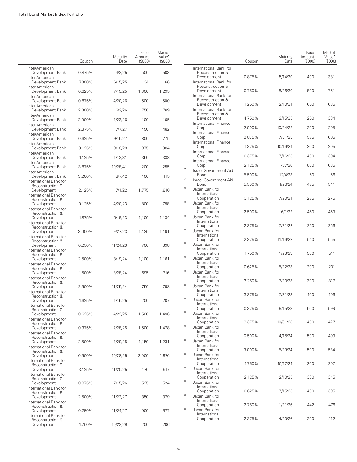|                                                      | Coupon | Maturity<br>Date | Face<br>Amount<br>(\$000) | Market<br>Value <sup>•</sup><br>(S000) |                          |                                                           | Coupon | Maturity<br>Date | Face<br>Amount<br>(S000) | Market<br>Value <sup>•</sup><br>(S000) |
|------------------------------------------------------|--------|------------------|---------------------------|----------------------------------------|--------------------------|-----------------------------------------------------------|--------|------------------|--------------------------|----------------------------------------|
| Inter-American<br>Development Bank<br>Inter-American | 0.875% | 4/3/25           | 500                       | 503                                    |                          | International Bank for<br>Reconstruction &<br>Development | 0.875% | 5/14/30          | 400                      | 381                                    |
| Development Bank                                     | 7.000% | 6/15/25          | 134                       | 166                                    |                          | International Bank for<br>Reconstruction &                |        |                  |                          |                                        |
| Inter-American<br>Development Bank                   | 0.625% | 7/15/25          | 1,300                     | 1,295                                  |                          | Development                                               | 0.750% | 8/26/30          | 800                      | 751                                    |
| Inter-American<br>Development Bank                   | 0.875% | 4/20/26          | 500                       | 500                                    |                          | International Bank for<br>Reconstruction &                |        |                  |                          |                                        |
| Inter-American<br>Development Bank                   | 2.000% | 6/2/26           | 750                       | 789                                    |                          | Development<br>International Bank for                     | 1.250% | 2/10/31          | 650                      | 635                                    |
| Inter-American<br>Development Bank                   | 2.000% | 7/23/26          | 100                       | 105                                    |                          | Reconstruction &<br>Development                           | 4.750% | 2/15/35          | 250                      | 334                                    |
| Inter-American<br>Development Bank                   | 2.375% | 7/7/27           | 450                       | 482                                    |                          | International Finance<br>Corp.                            | 2.000% | 10/24/22         | 200                      | 205                                    |
| Inter-American<br>Development Bank                   | 0.625% | 9/16/27          | 800                       | 775                                    |                          | International Finance<br>Corp.                            | 2.875% | 7/31/23          | 575                      | 605                                    |
| Inter-American<br>Development Bank                   | 3.125% | 9/18/28          | 875                       | 984                                    |                          | International Finance<br>Corp.                            | 1.375% | 10/16/24         | 200                      | 205                                    |
| Inter-American<br>Development Bank                   | 1.125% | 1/13/31          | 350                       | 338                                    |                          | International Finance<br>Corp.                            | 0.375% | 7/16/25          | 400                      | 394                                    |
| Inter-American                                       |        |                  |                           |                                        |                          | International Finance<br>Corp.                            | 2.125% | 4/7/26           | 600                      | 635                                    |
| Development Bank<br>Inter-American                   | 3.875% | 10/28/41         | 200                       | 255                                    | $\overline{\phantom{a}}$ | Israel Government Aid<br>Bond                             | 5.500% | 12/4/23          | 50                       | 56                                     |
| Development Bank<br>International Bank for           | 3.200% | 8/7/42           | 100                       | 115                                    | 7                        | Israel Government Aid<br>Bond                             |        |                  |                          | 541                                    |
| Reconstruction &<br>Development                      | 2.125% | 7/1/22           | 1,775                     | 1,810                                  | 8                        | Japan Bank for                                            | 5.500% | 4/26/24          | 475                      |                                        |
| International Bank for<br>Reconstruction &           |        |                  |                           |                                        |                          | International<br>Cooperation                              | 3.125% | 7/20/21          | 275                      | 275                                    |
| Development<br>International Bank for                | 0.125% | 4/20/23          | 800                       | 798                                    | $^{\rm 8}$               | Japan Bank for<br>International                           |        |                  |                          |                                        |
| Reconstruction &<br>Development                      | 1.875% | 6/19/23          | 1,100                     | 1,134                                  | $^{\rm 8}$               | Cooperation<br>Japan Bank for                             | 2.500% | 6/1/22           | 450                      | 459                                    |
| International Bank for<br>Reconstruction &           |        |                  |                           |                                        |                          | International<br>Cooperation                              | 2.375% | 7/21/22          | 250                      | 256                                    |
| Development<br>International Bank for                | 3.000% | 9/27/23          | 1,125                     | 1,191                                  | $^{\rm 8}$               | Japan Bank for<br>International                           |        |                  |                          |                                        |
| Reconstruction &<br>Development                      | 0.250% | 11/24/23         | 700                       | 698                                    | 8                        | Cooperation<br>Japan Bank for                             | 2.375% | 11/16/22         | 540                      | 555                                    |
| International Bank for<br>Reconstruction &           |        |                  |                           |                                        |                          | International<br>Cooperation                              | 1.750% | 1/23/23          | 500                      | 511                                    |
| Development<br>International Bank for                | 2.500% | 3/19/24          | 1,100                     | 1,161                                  | 8                        | Japan Bank for<br>International                           |        |                  |                          |                                        |
| Reconstruction &<br>Development                      | 1.500% | 8/28/24          | 695                       | 716                                    | 8                        | Cooperation<br>Japan Bank for                             | 0.625% | 5/22/23          | 200                      | 201                                    |
| International Bank for                               |        |                  |                           |                                        |                          | International<br>Cooperation                              | 3.250% | 7/20/23          | 300                      | 317                                    |
| Reconstruction &<br>Development                      | 2.500% | 11/25/24         | 750                       | 798                                    | 8                        | Japan Bank for<br>International                           |        |                  |                          |                                        |
| International Bank for<br>Reconstruction &           |        |                  |                           |                                        | 8                        | Cooperation                                               | 3.375% | 7/31/23          | 100                      | 106                                    |
| Development<br>International Bank for                | 1.625% | 1/15/25          | 200                       | 207                                    |                          | Japan Bank for<br>International                           | 0.375% | 9/15/23          |                          | 599                                    |
| Reconstruction &<br>Development                      | 0.625% | 4/22/25          | 1,500                     | 1,496                                  | 8                        | Cooperation<br>Japan Bank for                             |        |                  | 600                      |                                        |
| International Bank for<br>Reconstruction &           |        |                  |                           |                                        |                          | International<br>Cooperation                              | 3.375% | 10/31/23         | 400                      | 427                                    |
| Development<br>International Bank for                | 0.375% | 7/28/25          | 1,500                     | 1,478                                  | 8                        | Japan Bank for<br>International                           |        |                  |                          |                                        |
| Reconstruction &<br>Development                      | 2.500% | 7/29/25          | 1,150                     | 1,231                                  | 8                        | Cooperation<br>Japan Bank for                             | 0.500% | 4/15/24          | 500                      | 499                                    |
| International Bank for<br>Reconstruction &           |        |                  |                           |                                        |                          | International<br>Cooperation                              | 3.000% | 5/29/24          | 500                      | 534                                    |
| Development<br>International Bank for                | 0.500% | 10/28/25         | 2,000                     | 1,976                                  | 8                        | Japan Bank for<br>International                           |        |                  |                          |                                        |
| Reconstruction &<br>Development                      | 3.125% | 11/20/25         | 470                       | 517                                    | 8                        | Cooperation<br>Japan Bank for                             | 1.750% | 10/17/24         | 200                      | 207                                    |
| International Bank for<br>Reconstruction &           |        |                  |                           |                                        |                          | International<br>Cooperation                              | 2.125% | 2/10/25          | 330                      | 345                                    |
| Development                                          | 0.875% | 7/15/26          | 525                       | 524                                    | 8                        | Japan Bank for<br>International                           |        |                  |                          |                                        |
| International Bank for<br>Reconstruction &           |        |                  |                           |                                        | 8                        | Cooperation                                               | 0.625% | 7/15/25          | 400                      | 395                                    |
| Development<br>International Bank for                | 2.500% | 11/22/27         | 350                       | 379                                    |                          | Japan Bank for<br>International                           |        |                  |                          |                                        |
| Reconstruction &<br>Development                      | 0.750% | 11/24/27         | 900                       | 877                                    | 8                        | Cooperation<br>Japan Bank for                             | 2.750% | 1/21/26          | 442                      | 476                                    |
| International Bank for<br>Reconstruction &           |        |                  |                           |                                        |                          | International<br>Cooperation                              | 2.375% | 4/20/26          | 200                      | 212                                    |
| Development                                          | 1.750% | 10/23/29         | 200                       | 206                                    |                          |                                                           |        |                  |                          |                                        |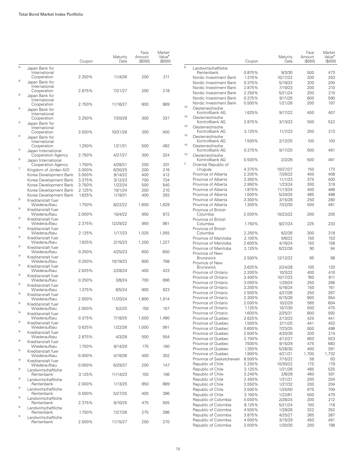|                                                                | Coupon | Maturity<br>Date | Face<br>Amount<br>(S000) | Market<br>Value <sup>•</sup><br>(\$000) |
|----------------------------------------------------------------|--------|------------------|--------------------------|-----------------------------------------|
| 8<br>Japan Bank for                                            |        |                  |                          |                                         |
| International<br>Cooperation                                   | 2.250% | 11/4/26          | 200                      | 211                                     |
| 8<br>Japan Bank for                                            |        |                  |                          |                                         |
| International<br>Cooperation                                   | 2.875% | 7/21/27          | 200                      | 218                                     |
| 8<br>Japan Bank for                                            |        |                  |                          |                                         |
| International                                                  |        |                  |                          |                                         |
| Cooperation<br>8                                               | 2.750% | 11/16/27         | 800                      | 869                                     |
| Japan Bank for<br>International                                |        |                  |                          |                                         |
| Cooperation                                                    | 3.250% | 7/20/28          | 300                      | 337                                     |
| 8<br>Japan Bank for                                            |        |                  |                          |                                         |
| International                                                  |        |                  |                          |                                         |
| Cooperation<br>8                                               | 3.500% | 10/31/28         | 350                      | 400                                     |
| Japan Bank for                                                 |        |                  |                          |                                         |
| International<br>Cooperation                                   | 1.250% | 1/21/31          | 500                      | 482                                     |
| 8<br>Japan International                                       |        |                  |                          |                                         |
| Cooperation Agency                                             | 2.750% | 4/27/27          | 300                      | 324                                     |
| 8<br>Japan International                                       |        |                  |                          |                                         |
| Cooperation Agency                                             | 1.750% | 4/28/31          | 200                      | 201                                     |
| 7<br>Kingdom of Jordan AID                                     | 3.000% | 6/30/25          | 200                      | 216                                     |
| Korea Development Bank                                         | 3.000% | 9/14/22          | 400                      | 412                                     |
| Korea Development Bank                                         | 3.375% | 3/12/23          | 700                      | 734                                     |
| Korea Development Bank                                         | 3.750% | 1/22/24          | 500                      | 540                                     |
| Korea Development Bank                                         | 2.125% | 10/1/24          | 200<br>400               | 210                                     |
| Korea Development Bank<br>$\overline{9}$<br>Kreditanstalt fuer | 1.625% | 1/19/31          |                          | 393                                     |
| Wiederaufbau                                                   | 1.750% | 8/22/22          | 1,600                    | 1,629                                   |
| 9<br>Kreditanstalt fuer                                        |        |                  |                          |                                         |
| Wiederaufbau<br>9                                              | 2.000% | 10/4/22          | 950                      | 972                                     |
| Kreditanstalt fuer<br>Wiederaufbau                             | 2.375% | 12/29/22         | 950                      | 981                                     |
| 9<br>Kreditanstalt fuer<br>Wiederaufbau                        | 2.125% | 1/17/23          | 1,025                    | 1,055                                   |
| 9<br>Kreditanstalt fuer                                        |        |                  |                          |                                         |
| Wiederaufbau                                                   | 1.625% | 2/15/23          | 1,200                    | 1,227                                   |
| 9<br>Kreditanstalt fuer                                        |        |                  |                          |                                         |
| Wiederaufbau<br>9                                              | 0.250% | 4/25/23          | 600                      | 600                                     |
| Kreditanstalt fuer<br>Wiederaufbau                             | 0.250% | 10/19/23         | 800                      | 798                                     |
| 9<br>Kreditanstalt fuer                                        |        |                  |                          |                                         |
| Wiederaufbau                                                   | 2.625% | 2/28/24          | 400                      | 423                                     |
| 9<br>Kreditanstalt fuer                                        |        |                  |                          |                                         |
| Wiederaufbau<br>9                                              | 0.250% | 3/8/24           | 700                      | 696                                     |
| Kreditanstalt fuer<br>Wiederaufbau                             | 1.375% | 8/5/24           | 900                      | 923                                     |
| 9<br>Kreditanstalt fuer                                        |        |                  |                          |                                         |
| Wiederaufbau                                                   | 2.500% | 11/20/24         | 1,800                    | 1,914                                   |
| 9<br>Kreditanstalt fuer                                        |        |                  |                          |                                         |
| Wiederaufbau<br>9<br>Kreditanstalt fuer                        | 2.000% | 5/2/25           | 150                      | 157                                     |
| Wiederaufbau                                                   | 0.375% | 7/18/25          | 1,500                    | 1,480                                   |
| $\mathbf 9$<br>Kreditanstalt fuer                              |        |                  |                          |                                         |
| Wiederaufbau                                                   | 0.625% | 1/22/26          | 1,000                    | 991                                     |
| $\mathbf 9$<br>Kreditanstalt fuer                              |        |                  |                          |                                         |
| Wiederaufbau                                                   | 2.875% | 4/3/28           | 500                      | 554                                     |
| $\mathbf 9$<br>Kreditanstalt fuer                              | 1.750% |                  |                          |                                         |
| Wiederaufbau<br>9<br>Kreditanstalt fuer                        |        | 9/14/29          | 175                      | 180                                     |
| Wiederaufbau                                                   | 0.000% | 4/18/36          | 400                      | 302                                     |
| 9<br>Kreditanstalt fuer                                        |        |                  |                          |                                         |
| Wiederaufbau                                                   | 0.000% | 6/29/37          | 200                      | 147                                     |
| 9<br>Landwirtschaftliche                                       |        |                  |                          |                                         |
| Rentenbank<br>9                                                | 3.125% | 11/14/23         | 100                      | 106                                     |
| Landwirtschaftliche<br>Rentenbank                              | 2.000% | 1/13/25          | 850                      | 889                                     |
| 9<br>Landwirtschaftliche                                       |        |                  |                          |                                         |
| Rentenbank                                                     | 0.500% | 5/27/25          | 400                      | 396                                     |
| 9<br>Landwirtschaftliche                                       |        |                  |                          |                                         |
| Rentenbank                                                     | 2.375% | 6/10/25          | 475                      | 505                                     |
| 9<br>Landwirtschaftliche                                       |        |                  |                          |                                         |
| Rentenbank<br>$\mathbf 9$<br>Landwirtschaftliche               | 1.750% | 7/27/26          | 275                      | 286                                     |
| Rentenbank                                                     | 2.500% | 11/15/27         | 250                      | 270                                     |

|          |                                                         | Coupon           | Maturity<br>Date    | Face<br>Amount<br>(S000) | Market<br>Value <sup>•</sup><br>(\$000) |
|----------|---------------------------------------------------------|------------------|---------------------|--------------------------|-----------------------------------------|
| 9        | Landwirtschaftliche                                     |                  |                     |                          |                                         |
|          | Rentenbank                                              | 0.875%           | 9/3/30              | 500                      | 473                                     |
|          | Nordic Investment Bank<br>Nordic Investment Bank        | 1.375%<br>0.375% | 10/17/22            | 200<br>200               | 203<br>200                              |
|          | Nordic Investment Bank                                  | 2.875%           | 5/19/23<br>7/19/23  | 200                      | 210                                     |
|          | Nordic Investment Bank                                  | 2.250%           | 5/21/24             | 200                      | 210                                     |
|          | Nordic Investment Bank                                  | 0.375%           | 9/11/25             | 600                      | 590                                     |
|          | Nordic Investment Bank                                  | 0.500%           | 1/21/26             | 200                      | 197                                     |
| 10       | Oesterreichische<br>Kontrollbank AG                     | 1.625%           | 9/17/22             | 400                      | 407                                     |
| 10<br>10 | Oesterreichische<br>Kontrollbank AG                     | 2.875%           | 3/13/23             | 500                      | 522                                     |
| 10       | Oesterreichische<br>Kontrollbank AG<br>Oesterreichische | 3.125%           | 11/7/23             | 200                      | 213                                     |
| 10       | Kontrollbank AG<br>Oesterreichische                     | 1.500%           | 2/12/25             | 100                      | 103                                     |
| 10       | Kontrollbank AG<br>Oesterreichische                     | 0.375%           | 9/17/25             | 500                      | 491                                     |
| 2        | Kontrollbank AG<br>Oriental Republic of                 | 0.500%           | 2/2/26              | 500                      | 491                                     |
|          | Uruguay                                                 | 4.375%           | 10/27/27            | 150                      | 173                                     |
|          | Province of Alberta                                     | 2.200%           | 7/26/22             | 400                      | 408                                     |
|          | Province of Alberta                                     | 3.350%           | 11/1/23             | 375                      | 400                                     |
|          | Province of Alberta<br>Province of Alberta              | 2.950%<br>1.875% | 1/23/24<br>11/13/24 | 300<br>450               | 319<br>468                              |
|          | Province of Alberta                                     | 1.000%           | 5/20/25             | 485                      | 488                                     |
|          | Province of Alberta                                     | 3.300%           | 3/15/28             | 250                      | 280                                     |
|          | Province of Alberta                                     | 1.300%           | 7/22/30             | 500                      | 481                                     |
|          | Province of British<br>Columbia                         | 2.000%           | 10/23/22            | 200                      | 205                                     |
|          | Province of British<br>Columbia                         | 1.750%           | 9/27/24             | 225                      | 233                                     |
|          | Province of British<br>Columbia                         | 2.250%           | 6/2/26              | 300                      | 318                                     |
|          | Province of Manitoba                                    | 2.100%           | 9/6/22              | 150                      | 153                                     |
|          | Province of Manitoba                                    | 2.600%           | 4/16/24             | 150                      | 158                                     |
|          | Province of Manitoba<br>Province of New                 | 2.125%           | 6/22/26             | 90                       | 94                                      |
|          | <b>Brunswick</b><br>Province of New                     | 2.500%           | 12/12/22            | 95                       | 98                                      |
|          | <b>Brunswick</b>                                        | 3.625%           | 2/24/28             | 105                      | 120                                     |
|          | Province of Ontario                                     | 2.200%           | 10/3/22             | 400                      | 410                                     |
|          | Province of Ontario                                     | 3.400%           | 10/17/23            | 760                      | 811                                     |
|          | Province of Ontario                                     | 3.050%           | 1/29/24             | 250                      | 266                                     |
|          | Province of Ontario                                     | 3.200%           | 5/16/24             | 150                      | 161                                     |
|          | Province of Ontario                                     | 2.500%           | 4/27/26             | 250                      | 267                                     |
|          | Province of Ontario<br>Province of Ontario              | 2.300%           | 6/15/26             | 900                      | 954<br>604                              |
|          | Province of Ontario                                     | 2.000%<br>1.125% | 10/2/29<br>10/7/30  | 585<br>500               | 475                                     |
|          | Province of Ontario                                     | 1.600%           | 2/25/31             | 600                      | 592                                     |
|          | Province of Quebec                                      | 2.625%           | 2/13/23             | 425                      | 441                                     |
|          | Province of Quebec                                      | 1.500%           | 2/11/25             | 441                      | 453                                     |
|          | Province of Quebec                                      | 0.600%           | 7/23/25             | 500                      | 496                                     |
|          | Province of Quebec                                      | 2.500%           | 4/20/26             | 200                      | 214                                     |
|          | Province of Quebec                                      | 2.750%           | 4/12/27             | 850                      | 923                                     |
|          | Province of Quebec                                      | 7.500%           | 9/15/29             | 475                      | 683                                     |
|          | Province of Quebec                                      | 1.350%           | 5/28/30             | 400                      | 391                                     |
|          | Province of Quebec                                      | 1.900%           | 4/21/31             | 1,700                    | 1,732                                   |
|          | Province of Saskatchewan                                | 8.500%           | 7/15/22             | 58                       | 63                                      |
|          | Republic of Chile                                       | 2.250%           | 10/30/22            | 175                      | 179                                     |
|          | Republic of Chile                                       | 3.125%           | 1/21/26             | 485                      | 525                                     |
|          | Republic of Chile                                       | 3.240%           | 2/6/28              | 460                      | 501                                     |
|          | Republic of Chile                                       | 2.450%           | 1/31/31             | 200                      | 204                                     |
|          | Republic of Chile                                       | 2.550%           | 1/27/32             | 200                      | 204                                     |
|          | Republic of Chile                                       | 3.500%           | 1/25/50             | 675                      | 709                                     |
|          | Republic of Chile                                       | 3.100%           | 1/22/61             | 500                      | 479                                     |
|          | Republic of Colombia                                    | 4.000%           | 2/26/24             | 200                      | 212                                     |
|          | Republic of Colombia<br>Republic of Colombia            | 8.125%<br>4.500% | 5/21/24<br>1/28/26  | 100<br>322               | 118<br>352                              |
|          | Republic of Colombia                                    | 3.875%           | 4/25/27             | 365                      | 387                                     |
|          | Republic of Colombia                                    | 4.500%           | 3/15/29             | 450                      | 491                                     |
|          | Republic of Colombia                                    | 3.000%           | 1/30/30             | 200                      | 196                                     |
|          |                                                         |                  |                     |                          |                                         |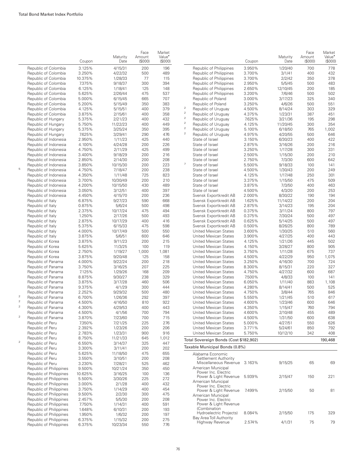|                |                         | Coupon  | Maturity<br>Date | Face<br>Amount<br>(\$000) | Market<br>Value <sup>•</sup><br>(\$000) |                                         |
|----------------|-------------------------|---------|------------------|---------------------------|-----------------------------------------|-----------------------------------------|
|                | Republic of Colombia    | 3.125%  | 4/15/31          | 200                       | 196                                     | Republic o                              |
|                | Republic of Colombia    | 3.250%  | 4/22/32          | 500                       | 489                                     | Republic o                              |
|                | Republic of Colombia    | 10.375% | 1/28/33          | 77                        | 115                                     | Republic o                              |
|                | Republic of Colombia    | 7.375%  | 9/18/37          | 300                       | 394                                     | Republic o                              |
|                | Republic of Colombia    | 6.125%  | 1/18/41          | 125                       | 148                                     | Republic o                              |
|                | Republic of Colombia    | 5.625%  | 2/26/44          | 475                       | 537                                     | Republic o                              |
|                |                         | 5.000%  |                  | 665                       | 707                                     |                                         |
|                | Republic of Colombia    |         | 6/15/45          |                           |                                         | Republic o                              |
|                | Republic of Colombia    | 5.200%  | 5/15/49          | 350                       | 383                                     | Republic o<br>$\mathfrak 2$             |
|                | Republic of Colombia    | 4.125%  | 5/15/51          | 400                       | 379                                     | Republic o<br>$\mathbf 2$               |
|                | Republic of Colombia    | 3.875%  | 2/15/61          | 400                       | 358                                     | Republic o<br>$\mathbf 2$               |
|                | Republic of Hungary     | 5.375%  | 2/21/23          | 400                       | 432                                     | Republic o<br>$\mathfrak 2$             |
|                | Republic of Hungary     | 5.750%  | 11/22/23         | 400                       | 449                                     | Republic o                              |
|                | Republic of Hungary     | 5.375%  | 3/25/24          | 350                       | 395                                     | $\overline{\mathbf{c}}$<br>Republic o   |
|                | Republic of Hungary     | 7.625%  | 3/29/41          | 290                       | 476                                     | $\overline{c}$<br>Republic o            |
|                | Republic of Indonesia   | 2.950%  | 1/11/23          | 425                       | 440                                     | State of Is                             |
|                | Republic of Indonesia   | 4.100%  | 4/24/28          | 200                       | 226                                     | State of Is                             |
|                | Republic of Indonesia   | 4.750%  | 2/11/29          | 425                       | 499                                     | State of Is                             |
|                | Republic of Indonesia   | 3.400%  | 9/18/29          | 200                       | 216                                     | State of Is                             |
|                | Republic of Indonesia   | 2.850%  | 2/14/30          | 200                       | 208                                     | State of Is                             |
|                | Republic of Indonesia   | 3.850%  | 10/15/30         | 200                       | 223                                     | $\overline{\phantom{a}}$<br>State of Is |
| 5              | Republic of Indonesia   | 4.750%  | 7/18/47          | 200                       | 238                                     | State of Is                             |
|                | Republic of Indonesia   | 4.350%  | 1/11/48          | 725                       | 823                                     | State of Is                             |
|                | Republic of Indonesia   | 3.700%  | 10/30/49         | 200                       | 210                                     | State of Is                             |
|                |                         |         |                  |                           |                                         |                                         |
|                | Republic of Indonesia   | 4.200%  | 10/15/50         | 430                       | 489                                     | State of Is                             |
|                | Republic of Indonesia   | 3.050%  | 3/12/51          | 400                       | 397                                     | State of Is                             |
|                | Republic of Indonesia   | 4.450%  | 4/15/70          | 200                       | 236                                     | Svensk Ex                               |
|                | Republic of Italy       | 6.875%  | 9/27/23          | 590                       | 668                                     | Svensk Ex                               |
|                | Republic of Italy       | 0.875%  | 5/6/24           | 500                       | 498                                     | Svensk Ex                               |
|                | Republic of Italy       | 2.375%  | 10/17/24         | 475                       | 494                                     | Svensk Ex                               |
|                | Republic of Italy       | 1.250%  | 2/17/26          | 500                       | 493                                     | Svensk Ex                               |
|                | Republic of Italy       | 2.875%  | 10/17/29         | 400                       | 416                                     | Svensk Ex                               |
|                | Republic of Italy       | 5.375%  | 6/15/33          | 475                       | 598                                     | Svensk Ex                               |
|                | Republic of Italy       | 4.000%  | 10/17/49         | 500                       | 550                                     | United Me                               |
|                | Republic of Italy       | 3.875%  | 5/6/51           | 600                       | 646                                     | United Me                               |
|                | Republic of Korea       | 3.875%  | 9/11/23          | 200                       | 215                                     | United Me                               |
|                | Republic of Korea       | 5.625%  |                  | 100                       | 119                                     | United Me                               |
|                |                         |         | 11/3/25          |                           |                                         |                                         |
|                | Republic of Korea       | 2.750%  | 1/19/27          | 1,000                     | 1,081                                   | United Me                               |
|                | Republic of Korea       | 3.875%  | 9/20/48          | 125                       | 158                                     | United Me                               |
|                | Republic of Panama      | 4.000%  | 9/22/24          | 200                       | 218                                     | United Me                               |
|                | Republic of Panama      | 3.750%  | 3/16/25          | 207                       | 225                                     | United Me                               |
|                | Republic of Panama      | 7.125%  | 1/29/26          | 168                       | 209                                     | United Me                               |
|                | Republic of Panama      | 8.875%  | 9/30/27          | 238                       | 329                                     | United Me                               |
|                | Republic of Panama      | 3.875%  | 3/17/28          | 460                       | 506                                     | United Me                               |
|                | Republic of Panama      | 9.375%  | 4/1/29           | 300                       | 444                                     | United Me                               |
|                | Republic of Panama      | 2.252%  | 9/29/32          | 500                       | 480                                     | United Me                               |
| $\overline{a}$ | Republic of Panama      | 6.700%  | 1/26/36          | 292                       | 397                                     | United Me                               |
| $\mathbf 2$    | Republic of Panama      | 4.500%  | 4/16/50          | 810                       | 922                                     | United Me                               |
| $\overline{2}$ | Republic of Panama      | 4.300%  | 4/29/53          | 400                       | 443                                     | United Me                               |
|                | Republic of Panama      | 4.500%  | 4/1/56           | 700                       | 794                                     | United Me                               |
| $\mathbf 2$    | Republic of Panama      | 3.870%  | 7/23/60          | 700                       | 715                                     | United Me                               |
|                | Republic of Peru        | 7.350%  | 7/21/25          | 225                       | 276                                     | United Me                               |
|                | Republic of Peru        | 2.392%  |                  | 200                       | 206                                     | United Me                               |
|                |                         |         | 1/23/26          |                           |                                         |                                         |
|                | Republic of Peru        | 2.783%  | 1/23/31          | 900                       | 916                                     | United Me                               |
| $\mathbf 2$    | Republic of Peru        | 8.750%  | 11/21/33         | 645                       | 1,012                                   | Total Sovereig                          |
|                | Republic of Peru        | 6.550%  | 3/14/37          | 325                       | 447                                     |                                         |
|                | Republic of Peru        | 3.300%  | 3/11/41          | 200                       | 202                                     | <b>Taxable Munio</b>                    |
|                | Republic of Peru        | 5.625%  | 11/18/50         | 475                       | 655                                     | Alabama E                               |
|                | Republic of Peru        | 3.550%  | 3/10/51          | 200                       | 208                                     | Settlem                                 |
|                | Republic of Peru        | 3.230%  | 7/28/21          | 525                       | 462                                     | Miscella                                |
|                | Republic of Philippines | 9.500%  | 10/21/24         | 350                       | 450                                     | American                                |
|                | Republic of Philippines | 10.625% | 3/16/25          | 100                       | 136                                     | Power I                                 |
|                | Republic of Philippines | 5.500%  | 3/30/26          | 225                       | 272                                     | Power &                                 |
|                | Republic of Philippines | 3.000%  | 2/1/28           | 400                       | 432                                     | American                                |
|                | Republic of Philippines | 3.750%  | 1/14/29          | 400                       | 454                                     | Power I                                 |
|                | Republic of Philippines |         |                  |                           |                                         | Power &                                 |
|                |                         | 9.500%  | 2/2/30           | 300                       | 475                                     | American                                |
|                | Republic of Philippines | 2.457%  | 5/5/30           | 200                       | 208                                     | Power I                                 |
|                | Republic of Philippines | 7.750%  | 1/14/31          | 400                       | 591                                     | 8 Power                                 |
|                | Republic of Philippines | 1.648%  | 6/10/31          | 200                       | 193                                     | (Combir<br>Hydroel                      |
|                | Republic of Philippines | 1.950%  | 1/6/32           | 200                       | 197                                     | Bay Area 7                              |
|                | Republic of Philippines | 6.375%  | 1/15/32          | 200                       | 275                                     | Highwa                                  |
|                | Republic of Philippines | 6.375%  | 10/23/34         | 550                       | 776                                     |                                         |

|        |                                                              |                  | Maturity           | Face<br>Amount | Market<br>Value <sup>•</sup> |
|--------|--------------------------------------------------------------|------------------|--------------------|----------------|------------------------------|
|        |                                                              | Coupon           | Date               | $($ \$000 $)$  | $($ \$000 $)$                |
|        | Republic of Philippines                                      | 3.950%           | 1/20/40            | 700            | 778                          |
|        | Republic of Philippines                                      | 3.700%           | 3/1/41             | 400            | 432                          |
|        | Republic of Philippines<br>Republic of Philippines           | 3.700%<br>2.950% | 2/2/42<br>5/5/45   | 350<br>500     | 378<br>483                   |
|        | Republic of Philippines                                      | 2.650%           | 12/10/45           | 200            | 185                          |
|        | Republic of Philippines                                      | 3.200%           | 7/6/46             | 500            | 502                          |
|        | Republic of Poland                                           | 3.000%           | 3/17/23            | 325            | 340                          |
|        | Republic of Poland                                           | 3.250%           | 4/6/26             | 500            | 551                          |
| 2      | Republic of Uruguay                                          | 4.500%           | 8/14/24            | 303            | 329                          |
| 2      | Republic of Uruguay                                          | 4.375%           | 1/23/31            | 387            | 451                          |
| 2<br>2 | Republic of Uruguay                                          | 7.625%           | 3/21/36            | 195            | 298                          |
| 2      | Republic of Uruguay                                          | 4.125%           | 11/20/45           | 300            | 354                          |
| 2      | Republic of Uruguay<br>Republic of Uruguay                   | 5.100%<br>4.975% | 6/18/50<br>4/20/55 | 765<br>500     | 1,002<br>646                 |
|        | State of Israel                                              | 3.150%           | 6/30/23            | 400            | 422                          |
|        | State of Israel                                              | 2.875%           | 3/16/26            | 200            | 216                          |
|        | State of Israel                                              | 3.250%           | 1/17/28            | 300            | 331                          |
|        | State of Israel                                              | 2.500%           | 1/15/30            | 200            | 210                          |
|        | State of Israel                                              | 2.750%           | 7/3/30             | 600            | 642                          |
| 7      | State of Israel                                              | 5.500%           | 9/18/33            | 100            | 141                          |
|        | State of Israel                                              | 4.500%           | 1/30/43            | 200            | 249                          |
|        | State of Israel                                              | 4.125%           | 1/17/48            | 250            | 301                          |
|        | State of Israel                                              | 3.375%           | 1/15/50            | 475            | 509                          |
|        | State of Israel<br>State of Israel                           | 3.875%<br>4.500% | 7/3/50<br>4/3/20   | 400<br>200     | 463<br>253                   |
|        | Svensk Exportkredit AB                                       | 2.000%           | 8/30/22            | 190            | 194                          |
|        | Svensk Exportkredit AB                                       | 1.625%           | 11/14/22           | 200            | 204                          |
|        | Svensk Exportkredit AB                                       | 2.875%           | 3/14/23            | 195            | 204                          |
|        | Svensk Exportkredit AB                                       | 0.375%           | 3/11/24            | 800            | 797                          |
|        | Svensk Exportkredit AB                                       | 0.375%           | 7/30/24            | 500            | 497                          |
|        | Svensk Exportkredit AB                                       | 0.625%           | 5/14/25            | 500            | 497                          |
|        | Svensk Exportkredit AB                                       | 0.500%           | 8/26/25            | 800            | 789                          |
|        | United Mexican States                                        | 3.600%           | 1/30/25            | 510            | 560                          |
|        | United Mexican States                                        | 3.900%           | 4/27/25            | 400            | 443                          |
|        | United Mexican States                                        | 4.125%           | 1/21/26            | 445            | 502                          |
|        | United Mexican States<br><b>United Mexican States</b>        | 4.150%<br>3.750% | 3/28/27<br>1/11/28 | 800<br>675     | 905<br>737                   |
|        | <b>United Mexican States</b>                                 | 4.500%           | 4/22/29            | 950            | 1,075                        |
|        | United Mexican States                                        | 3.250%           | 4/16/30            | 700            | 724                          |
|        | United Mexican States                                        | 8.300%           | 8/15/31            | 220            | 327                          |
|        | <b>United Mexican States</b>                                 | 4.750%           | 4/27/32            | 600            | 687                          |
|        | <b>United Mexican States</b>                                 | 7.500%           | 4/8/33             | 100            | 141                          |
|        | United Mexican States                                        | 6.050%           | 1/11/40            | 883            | 1,108                        |
|        | <b>United Mexican States</b>                                 | 4.280%           | 8/14/41            | 500            | 525                          |
|        | United Mexican States                                        | 4.750%           | 3/8/44             | 765            | 846                          |
|        | <b>United Mexican States</b>                                 | 5.550%           | 1/21/45            | 510            | 617                          |
|        | <b>United Mexican States</b>                                 | 4.600%           | 1/23/46            | 600            | 646                          |
|        | <b>United Mexican States</b><br><b>United Mexican States</b> | 4.350%           | 1/15/47            | 760<br>455     | 794<br>489                   |
|        | <b>United Mexican States</b>                                 | 4.600%<br>4.500% | 2/10/48<br>1/31/50 | 600            | 638                          |
|        | <b>United Mexican States</b>                                 | 5.000%           | 4/27/51            | 550            | 626                          |
|        | <b>United Mexican States</b>                                 | 3.771%           | 5/24/61            | 850            | 792                          |
|        | <b>United Mexican States</b>                                 | 5.750%           | 10/12/10           | 342            | 408                          |
|        | Total Sovereign Bonds (Cost \$182,902)                       |                  |                    |                | 190,468                      |
|        | Taxable Municipal Bonds (0.8%)                               |                  |                    |                |                              |
|        | Alabama Economic                                             |                  |                    |                |                              |
|        | Settlement Authority<br>Miscellaneous Revenue                | 3.163%           | 9/15/25            | 65             | 69                           |
|        | American Municipal                                           |                  |                    |                |                              |
|        | Power Inc. Electric<br>Power & Light Revenue                 | 5.939%           | 2/15/47            | 150            | 221                          |
|        | American Municipal<br>Power Inc. Electric                    |                  |                    |                |                              |
|        | Power & Light Revenue<br>American Municipal                  | 7.499%           | 2/15/50            | 50             | 81                           |
|        | Power Inc. Electric<br>Power & Light Revenue                 |                  |                    |                |                              |
|        | (Combination                                                 |                  |                    |                |                              |
|        | Hydroelectric Projects)<br>Bay Area Toll Authority           | 8.084%           | 2/15/50            | 175            | 329                          |
|        | Highway Revenue                                              | 2.574%           | 4/1/31             | 75             | 79                           |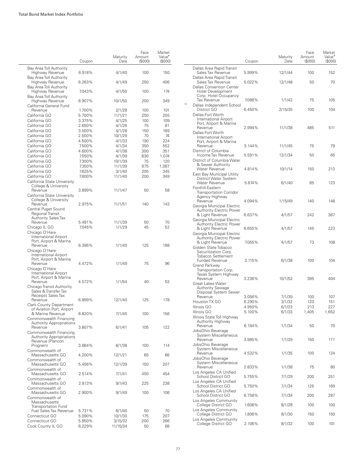|                                                                                           | Coupon           | Maturity<br>Date  | Face<br>Amount<br>(S000) | Market<br>Value <sup>•</sup><br>(S000) |
|-------------------------------------------------------------------------------------------|------------------|-------------------|--------------------------|----------------------------------------|
| Bay Area Toll Authority<br>Highway Revenue                                                | 6.918%           | 4/1/40            | 100                      | 150                                    |
| Bay Area Toll Authority<br>Highway Revenue                                                | 6.263%           | 4/1/49            | 250                      | 406                                    |
| Bay Area Toll Authority<br>Highway Revenue                                                | 7.043%           | 4/1/50            | 100                      | 174                                    |
| Bay Area Toll Authority<br>Highway Revenue                                                | 6.907%           | 10/1/50           | 200                      | 349                                    |
| California General Fund<br>Revenue                                                        | 1.700%           | 2/1/28            | 100                      | 101                                    |
| California GO                                                                             | 5.700%           | 11/1/21           | 250                      | 255                                    |
| California GO                                                                             | 3.375%           | 4/1/25            | 100                      | 109                                    |
| California GO                                                                             | 2.650%           | 4/1/26            | 75                       | 81                                     |
| California GO                                                                             | 3.500%           | 4/1/28            | 150                      | 169                                    |
| California GO                                                                             | 2.500%           | 10/1/29           | 70                       | 74                                     |
| California GO                                                                             | 4.500%           | 4/1/33            | 190                      | 224                                    |
| California GO                                                                             | 7.500%           | 4/1/34            | 350                      | 552                                    |
| California GO<br>California GO                                                            | 4.600%<br>7.550% | 4/1/38            | 300<br>630               | 351                                    |
| California GO                                                                             | 7.300%           | 4/1/39<br>10/1/39 | 75                       | 1,074<br>120                           |
| California GO                                                                             | 7.350%           | 11/1/39           | 675                      | 1,087                                  |
| California GO                                                                             | 7.625%           | 3/1/40            | 205                      | 345                                    |
| California GO                                                                             | 7.600%           | 11/1/40           | 200                      | 349                                    |
| California State University<br>College & University                                       |                  |                   |                          |                                        |
| Revenue<br>California State University<br>College & University                            | 3.899%           | 11/1/47           | 50                       | 58                                     |
| Revenue<br>Central Puget Sound                                                            | 2.975%           | 11/1/51           | 140                      | 143                                    |
| Regional Transit                                                                          |                  |                   |                          |                                        |
| <b>Authority Sales Tax</b>                                                                |                  |                   |                          |                                        |
| Revenue                                                                                   | 5.491%           | 11/1/39           | 50                       | 70                                     |
| Chicago IL GO<br>Chicago O'Hare<br><b>International Airport</b><br>Port, Airport & Marina | 7.045%           | 1/1/29            | 45                       | 52                                     |
| Revenue<br>Chicago O'Hare<br><b>International Airport</b>                                 | 6.395%           | 1/1/40            | 125                      | 188                                    |
| Port, Airport & Marina<br>Revenue<br>Chicago O'Hare<br><b>International Airport</b>       | 4.472%           | 1/1/49            | 75                       | 96                                     |
| Port, Airport & Marina<br>Revenue<br>Chicago Transit Authority                            | 4.572%           | 1/1/54            | 40                       | 53                                     |
| Sales & Transfer Tax<br>Receipts Sales Tax<br>Revenue                                     | 6.899%           | 12/1/40           | 125                      | 178                                    |
| <b>Clark County Department</b><br>of Aviation Port, Airport                               |                  |                   |                          |                                        |
| & Marina Revenue<br>Commonwealth Financing<br><b>Authority Appropriations</b>             | 6.820%           | 7/1/45            | 100                      | 156                                    |
| Revenue<br>Commonwealth Financing<br><b>Authority Appropriations</b>                      | 3.807%           | 6/1/41            | 105                      | 122                                    |
| Revenue (Plancon<br>Program)                                                              | 3.864%           | 6/1/38            | 100                      | 114                                    |
| Commonwealth of<br>Massachusetts GO<br>Commonwealth of                                    | 4.200%           | 12/1/21           | 65                       | 66                                     |
| Massachusetts GO<br>Commonwealth of                                                       | 5.456%           | 12/1/39           | 150                      | 207                                    |
| Massachusetts GO<br>Commonwealth of                                                       | 2.514%           | 7/1/41            | 450                      | 454                                    |
| Massachusetts GO<br>Commonwealth of                                                       | 2.813%           | 9/1/43            | 225                      | 238                                    |
| Massachusetts GO<br>Commonwealth of<br>Massachusetts<br><b>Transportation Fund</b>        | 2.900%           | 9/1/49            | 100                      | 106                                    |
| <b>Fuel Sales Tax Revenue</b>                                                             | 5.731%           | 6/1/40            | 50                       | 70                                     |
| Connecticut GO                                                                            | 5.090%           | 10/1/30           | 175                      | 207                                    |
| Connecticut GO                                                                            | 5.850%           | 3/15/32           | 200                      | 266                                    |
| Cook County IL GO                                                                         | 6.229%           | 11/15/34          | 50                       | 68                                     |

|    |                                                                                                         | Coupon           | Maturity<br>Date | Face<br>Amount<br>(S000) | Market<br>Value <sup>•</sup><br>(\$000) |
|----|---------------------------------------------------------------------------------------------------------|------------------|------------------|--------------------------|-----------------------------------------|
|    | Dallas Area Rapid Transit<br>Sales Tax Revenue                                                          | 5.999%           | 12/1/44          | 100                      | 152                                     |
|    | Dallas Area Rapid Transit<br>Sales Tax Revenue<br><b>Dallas Convention Center</b>                       | 5.022%           | 12/1/48          | 50                       | 70                                      |
| 11 | <b>Hotel Development</b><br>Corp. Hotel Occupancy<br>Tax Revenue                                        | 7.088%           | 1/1/42           | 75                       | 105                                     |
|    | Dallas Independent School<br>District GO<br>Dallas-Fort Worth                                           | 6.450%           | 2/15/35          | 100                      | 104                                     |
|    | International Airport<br>Port, Airport & Marina<br>Revenue<br>Dallas-Fort Worth                         | 2.994%           | 11/1/38          | 485                      | 511                                     |
|    | International Airport<br>Port, Airport & Marina<br>Revenue                                              | 3.144%           | 11/1/45          | 75                       | 79                                      |
|    | District of Columbia                                                                                    |                  |                  |                          |                                         |
|    | Income Tax Revenue<br>District of Columbia Water<br>& Sewer Authority                                   | 5.591%           | 12/1/34          | 50                       | 65                                      |
|    | Water Revenue<br>East Bay Municipal Utility                                                             | 4.814%           | 10/1/14          | 150                      | 213                                     |
|    | District Water System<br><b>Water Revenue</b><br>Foothill-Eastern<br><b>Transportation Corridor</b>     | 5.874%           | 6/1/40           | 85                       | 123                                     |
|    | Agency Highway<br>Revenue<br>Georgia Municipal Electric                                                 | 4.094%           | 1/15/49          | 140                      | 148                                     |
|    | <b>Authority Electric Power</b><br>& Light Revenue<br>Georgia Municipal Electric                        | 6.637%           | 4/1/57           | 242                      | 367                                     |
|    | <b>Authority Electric Power</b><br>& Light Revenue                                                      | 6.655%           | 4/1/57           | 145                      | 223                                     |
|    | Georgia Municipal Electric<br>Authority Electric Power<br>& Light Revenue<br>Golden State Tobacco       | 7.055%           | 4/1/57           | 73                       | 108                                     |
|    | Securitization Corp.<br><b>Tobacco Settlement</b><br><b>Funded Revenue</b><br>Grand Parkway             | 3.115%           | 6/1/38           | 100                      | 104                                     |
|    | Transportation Corp.<br>Texas System Highway<br>Revenue<br><b>Great Lakes Water</b><br>Authority Sewage | 3.236%           | 10/1/52          | 395                      | 404                                     |
|    | Disposal System Sewer                                                                                   |                  |                  |                          |                                         |
|    | Revenue<br>Houston TX GO                                                                                | 3.056%<br>6.290% | 7/1/39<br>3/1/32 | 100<br>120               | 107<br>151                              |
|    | Illinois GO                                                                                             | 4.950%           | 6/1/23           | 213                      | 227                                     |
|    | Illinois GO<br>Illinois State Toll Highway                                                              | 5.100%           | 6/1/33           | 1,405                    | 1,652                                   |
|    | Authority Highway<br>Revenue<br>JobsOhio Beverage                                                       | 6.184%           | 1/1/34           | 50                       | 70                                      |
|    | System Miscellaneous<br>Revenue<br>JobsOhio Beverage                                                    | 3.985%           | 1/1/29           | 150                      | 171                                     |
|    | System Miscellaneous<br>Revenue                                                                         | 4.532%           | 1/1/35           | 100                      | 124                                     |
|    | JobsOhio Beverage<br>System Miscellaneous<br>Revenue                                                    | 2.833%           |                  | 75                       | 80                                      |
|    | Los Angeles CA Unified<br>School District GO                                                            | 5.755%           | 1/1/38           | 200                      | 251                                     |
|    | Los Angeles CA Unified<br>School District GO                                                            | 5.750%           | 7/1/29<br>7/1/34 | 125                      | 169                                     |
|    | Los Angeles CA Unified<br>School District GO                                                            | 6.758%           | 7/1/34           | 200                      | 287                                     |
|    | Los Angeles Community<br>College District GO                                                            | 1.606%           | 8/1/28           | 100                      | 100                                     |
|    | Los Angeles Community<br>College District GO                                                            | 1.806%           | 8/1/30           | 150                      | 150                                     |
|    | Los Angeles Community<br>College District GO                                                            | 2.106%           | 8/1/32           | 100                      | 101                                     |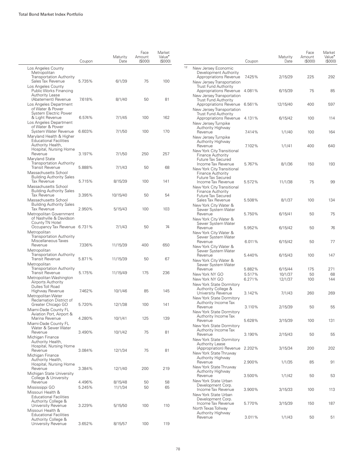|                                                                                                           | Coupon           | Maturity<br>Date   | Face<br>Amount<br>(\$000) | Market<br>Value <sup>•</sup><br>(\$000) |    |                                                                                                    | Coupon | Maturity<br>Date | Face<br>Amount<br>(S000) | Market<br>Value <sup>•</sup><br>(\$000 |
|-----------------------------------------------------------------------------------------------------------|------------------|--------------------|---------------------------|-----------------------------------------|----|----------------------------------------------------------------------------------------------------|--------|------------------|--------------------------|----------------------------------------|
| Los Angeles County<br>Metropolitan<br><b>Transportation Authority</b>                                     |                  |                    |                           |                                         | 12 | New Jersey Economic<br>Development Authority<br>Appropriations Revenue                             | 7.425% | 2/15/29          | 225                      | 292                                    |
| Sales Tax Revenue<br>Los Angeles County<br>Public Works Financing                                         | 5.735%           | 6/1/39             | 75                        | 100                                     |    | New Jersey Transportation<br><b>Trust Fund Authority</b><br>Appropriations Revenue 4.081%          |        | 6/15/39          | 75                       | 85                                     |
| <b>Authority Lease</b><br>(Abatement) Revenue                                                             | 7.618%           | 8/1/40             | 50                        | 81                                      |    | New Jersey Transportation<br>Trust Fund Authority                                                  |        |                  |                          |                                        |
| Los Angeles Department<br>of Water & Power                                                                |                  |                    |                           |                                         |    | Appropriations Revenue 6.561%<br>New Jersey Transportation                                         |        | 12/15/40         | 400                      | 597                                    |
| System Electric Power<br>& Light Revenue<br>Los Angeles Department                                        | 6.574%           | 7/1/45             | 100                       | 162                                     |    | <b>Trust Fund Authority</b><br>Appropriations Revenue 4.131%<br>New Jersey Turnpike                |        | 6/15/42          | 100                      | 114                                    |
| of Water & Power<br>System Water Revenue<br>Maryland Health & Higher                                      | 6.603%           | 7/1/50             | 100                       | 170                                     |    | Authority Highway<br>Revenue<br>New Jersey Turnpike                                                | 7.414% | 1/1/40           | 100                      | 164                                    |
| <b>Educational Facilities</b><br>Authority Health,<br>Hospital, Nursing Home                              |                  |                    |                           |                                         |    | Authority Highway<br>Revenue                                                                       | 7.102% | 1/1/41           | 400                      | 640                                    |
| Revenue<br>Maryland State<br><b>Transportation Authority</b>                                              | 3.197%           | 7/1/50             | 250                       | 257                                     |    | New York City Transitional<br>Finance Authority<br><b>Future Tax Secured</b>                       |        |                  |                          |                                        |
| <b>Transit Revenue</b><br>Massachusetts School                                                            | 5.888%           | 7/1/43             | 50                        | 68                                      |    | Income Tax Revenue<br>New York City Transitional<br><b>Finance Authority</b>                       | 5.767% | 8/1/36           | 150                      | 193                                    |
| <b>Building Authority Sales</b><br>Tax Revenue<br>Massachusetts School<br><b>Building Authority Sales</b> | 5.715%           | 8/15/39            | 100                       | 141                                     |    | <b>Future Tax Secured</b><br>Income Tax Revenue<br>New York City Transitional<br>Finance Authority | 5.572% | 11/1/38          | 75                       | 99                                     |
| Tax Revenue<br>Massachusetts School<br><b>Building Authority Sales</b>                                    | 3.395%           | 10/15/40           | 50                        | 54                                      |    | Future Tax Secured<br>Sales Tax Revenue<br>New York City Water &                                   | 5.508% | 8/1/37           | 100                      | 134                                    |
| <b>Tax Revenue</b><br>Metropolitan Government<br>of Nashville & Davidson                                  | 2.950%           | 5/15/43            | 100                       | 103                                     |    | Sewer System Water<br>Revenue<br>New York City Water &                                             | 5.750% | 6/15/41          | 50                       | 75                                     |
| County TN Hotel<br>Occupancy Tax Revenue 6.731%<br>Metropolitan<br><b>Transportation Authority</b>        |                  | 7/1/43             | 50                        | 74                                      |    | Sewer System Water<br>Revenue<br>New York City Water &<br>Sewer System Water                       | 5.952% | 6/15/42          | 50                       | 76                                     |
| Miscellaneous Taxes<br>Revenue<br>Metropolitan                                                            | 7.336%           | 11/15/39           | 400                       | 650                                     |    | Revenue<br>New York City Water &<br>Sewer System Water                                             | 6.011% | 6/15/42          | 50                       | 77                                     |
| <b>Transportation Authority</b><br>Transit Revenue<br>Metropolitan                                        | 5.871%           | 11/15/39           | 50                        | 67                                      |    | Revenue<br>New York City Water &<br>Sewer System Water                                             | 5.440% | 6/15/43          | 100                      | 147                                    |
| <b>Transportation Authority</b>                                                                           |                  |                    |                           |                                         |    | Revenue                                                                                            | 5.882% | 6/15/44          | 175                      | 271                                    |
| Transit Revenue                                                                                           | 5.175%           | 11/15/49           | 175                       | 236                                     |    | New York NY GO                                                                                     | 5.517% | 10/1/37          | 50                       | 68                                     |
| Metropolitan Washington<br>Airports Authority<br>Dulles Toll Road                                         |                  |                    |                           |                                         |    | New York NY GO<br>New York State Dormitory<br>Authority College &                                  | 6.271% | 12/1/37          | 100                      | 144                                    |
| Highway Revenue<br>Metropolitan Water<br>Reclamation District of                                          | 7.462%           | 10/1/46            | 85                        | 145                                     |    | University Revenue<br>New York State Dormitory                                                     | 3.142% | 7/1/43           | 260                      | 269                                    |
| Greater Chicago GO<br>Miami-Dade County FL<br>Aviation Port, Airport &                                    | 5.720%           | 12/1/38            | 100                       | 141                                     |    | Authority Income Tax<br>Revenue<br>New York State Dormitory                                        | 3.110% | 2/15/39          | 50                       | 55                                     |
| Marina Revenue<br>Miami-Dade County FL<br>Water & Sewer Water                                             | 4.280%           | 10/1/41            | 125                       | 139                                     |    | Authority Income Tax<br>Revenue<br>New York State Dormitory                                        | 5.628% | 3/15/39          | 100                      | 131                                    |
| Revenue<br>Michigan Finance<br>Authority Health,                                                          | 3.490%           | 10/1/42            | 75                        | 81                                      |    | Authority Income Tax<br>Revenue<br>New York State Dormitory                                        | 3.190% | 2/15/43          | 50                       | 55                                     |
| Hospital, Nursing Home<br>Revenue<br>Michigan Finance                                                     | 3.084%           | 12/1/34            | 75                        | 81                                      |    | Authority Lease<br>(Appropriation) Revenue 2.202%<br>New York State Thruway                        |        | 3/15/34          | 200                      | 202                                    |
| Authority Health,<br>Hospital, Nursing Home<br>Revenue                                                    | 3.384%           | 12/1/40            | 200                       | 219                                     |    | Authority Highway<br>Revenue<br>New York State Thruway                                             | 2.900% | 1/1/35           | 85                       | 91                                     |
| Michigan State University<br>College & University                                                         |                  |                    |                           |                                         |    | Authority Highway<br>Revenue<br>New York State Urban                                               | 3.500% | 1/1/42           | 50                       | 53                                     |
| Revenue<br>Mississippi GO<br>Missouri Health &                                                            | 4.496%<br>5.245% | 8/15/48<br>11/1/34 | 50<br>50                  | 58<br>65                                |    | Development Corp.<br>Income Tax Revenue<br>New York State Urban                                    | 3.900% | 3/15/33          | 100                      | 113                                    |
| <b>Educational Facilities</b><br>Authority College &<br>University Revenue                                | 3.229%           | 5/15/50            | 100                       | 110                                     |    | Development Corp.<br>Income Tax Revenue<br>North Texas Tollway                                     | 5.770% | 3/15/39          | 150                      | 187                                    |
| Missouri Health &<br><b>Educational Facilities</b><br>Authority College &<br>University Revenue           | 3.652%           | 8/15/57            | 100                       | 119                                     |    | Authority Highway<br>Revenue                                                                       | 3.011% | 1/1/43           | 50                       | 51                                     |
|                                                                                                           |                  |                    |                           |                                         |    |                                                                                                    |        |                  |                          |                                        |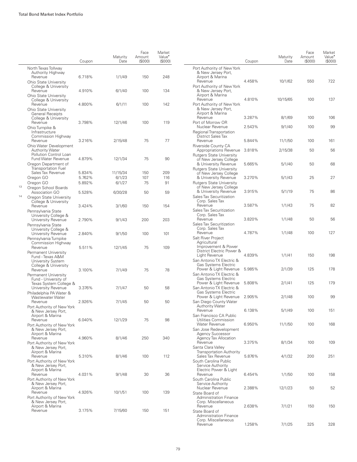|    |                                                                                                  | Coupon           | Maturity<br>Date | Face<br>Amount<br>(S000) | Market<br>Value <sup>•</sup><br>(\$000) |                                              |
|----|--------------------------------------------------------------------------------------------------|------------------|------------------|--------------------------|-----------------------------------------|----------------------------------------------|
|    | North Texas Tollway                                                                              |                  |                  |                          |                                         | Port Au                                      |
|    | Authority Highway<br>Revenue<br><b>Ohio State University</b>                                     | 6.718%           | 1/1/49           | 150                      | 248                                     | & Ne<br>Airpo<br>Reve                        |
|    | College & University<br>Revenue                                                                  | 4.910%           | 6/1/40           | 100                      | 134                                     | Port Au<br>& Ne                              |
|    | <b>Ohio State University</b><br>College & University                                             |                  |                  |                          |                                         | Airpo<br>Reve                                |
|    | Revenue<br>Ohio State University<br><b>General Receipts</b><br>College & University              | 4.800%           | 6/1/11           | 100                      | 142                                     | Port Au<br>& Ne<br>Airpo<br>Reve             |
|    | Revenue<br>Ohio Turnpike &<br>Infrastructure                                                     | 3.798%           | 12/1/46          | 100                      | 119                                     | Port of<br>Nucle<br>Regiona                  |
|    | Commission Highway<br>Revenue<br>Ohio Water Development                                          | 3.216%           | 2/15/48          | 75                       | 77                                      | Distri<br>Reve<br>Riversio                   |
|    | <b>Authority Water</b><br>Pollution Control Loan<br><b>Fund Water Revenue</b>                    | 4.879%           | 12/1/34          | 75                       | 90                                      | Appro<br>Rutgers<br>of Ne                    |
|    | Oregon Department of<br><b>Transportation Fuel</b><br>Sales Tax Revenue                          | 5.834%           | 11/15/34         | 150                      | 209                                     | & Un<br>Rutgers<br>of Ne                     |
| 13 | Oregon GO<br>Oregon GO                                                                           | 5.762%<br>5.892% | 6/1/23<br>6/1/27 | 107<br>75                | 116<br>91                               | & Un<br>Rutgers<br>of Ne                     |
| 14 | Oregon School Boards<br>Association GO<br>Oregon State University<br>College & University        | 5.528%           | 6/30/28          | 50                       | 59                                      | & Un<br>Sales Ta<br>Corp.                    |
|    | Revenue<br>Pennsylvania State<br>University College &                                            | 3.424%           | 3/1/60           | 150                      | 154                                     | Reve<br>Sales Ta<br>Corp.                    |
|    | University Revenue<br>Pennsylvania State<br>University College &                                 | 2.790%           | 9/1/43           | 200                      | 203                                     | Reve<br>Sales <sub>Ta</sub><br>Corp.         |
|    | University Revenue<br>Pennsylvania Turnpike<br>Commission Highway                                | 2.840%           | 9/1/50           | 100                      | 101                                     | Reve<br>Salt Riv<br>Agric                    |
|    | Revenue<br>Permanent University<br>Fund - Texas A&M<br>University System<br>College & University | 5.511%           | 12/1/45          | 75                       | 109                                     | Impro<br>Distri<br>Light<br>San Ant<br>Gas S |
|    | Revenue<br>Permanent University<br>Fund - University of                                          | 3.100%           | 7/1/49           | 75                       | 78                                      | Powe<br>San Ant<br>Gas S<br>Powe             |
|    | Texas System College &<br>University Revenue<br>Philadelphia PA Water &<br>Wastewater Water      | 3.376%           | 7/1/47           | 50                       | 58                                      | San Ant<br>Gas S<br>Powe                     |
|    | Revenue<br>Port Authority of New York<br>& New Jersey Port,                                      | 2.926%           | 7/1/45           | 50                       | 50                                      | San Die<br>Autho<br>Reve                     |
|    | Airport & Marina<br>Revenue<br>Port Authority of New York<br>& New Jersey Port,                  | 6.040%           | 12/1/29          | 75                       | 98                                      | San Fra<br>Utiliti<br>Wate<br>San Jos        |
|    | Airport & Marina<br>Revenue<br>Port Authority of New York<br>& New Jersey Port,                  | 4.960%           | 8/1/46           | 250                      | 340                                     | Agen<br>Agen<br>Reve<br>Santa C              |
|    | Airport & Marina<br>Revenue<br>Port Authority of New York                                        | 5.310%           | 8/1/46           | 100                      | 112                                     | Trans<br>Sales<br>South C                    |
|    | & New Jersey Port,<br>Airport & Marina<br>Revenue<br>Port Authority of New York                  | 4.031%           | 9/1/48           | 30                       | 36                                      | Servi<br>Elect<br>Reve<br>South C            |
|    | & New Jersey Port,<br>Airport & Marina<br>Revenue                                                | 4.926%           | 10/1/51          | 100                      | 139                                     | Servi<br>Nucle<br>State B                    |
|    | Port Authority of New York<br>& New Jersey Port,<br>Airport & Marina<br>Revenue                  | 3.175%           | 7/15/60          | 150                      | 151                                     | Admi<br>Corp.<br>Reve<br>State B<br>Admi     |

|                                                                                         | Coupon | Maturity<br>Date | Face<br>Amount<br>(S000) | Market<br>Value <sup>•</sup><br>(S000) |
|-----------------------------------------------------------------------------------------|--------|------------------|--------------------------|----------------------------------------|
| Port Authority of New York<br>& New Jersey Port,                                        |        |                  |                          |                                        |
| Airport & Marina<br>Revenue<br>Port Authority of New York                               | 4.458% | 10/1/62          | 550                      | 722                                    |
| & New Jersey Port,<br>Airport & Marina<br>Revenue<br>Port Authority of New York         | 4.810% | 10/15/65         | 100                      | 137                                    |
| & New Jersey Port,<br>Airport & Marina                                                  |        |                  |                          |                                        |
| Revenue<br>Port of Morrow OR                                                            | 3.287% | 8/1/69           | 100                      | 106                                    |
| Nuclear Revenue<br>Regional Transportation<br><b>District Sales Tax</b>                 | 2.543% | 9/1/40           | 100                      | 99                                     |
| Revenue                                                                                 | 5.844% | 11/1/50          | 100                      | 161                                    |
| Riverside County CA<br><b>Appropriations Revenue</b><br><b>Rutgers State University</b> | 3.818% | 2/15/38          | 50                       | 56                                     |
| of New Jersey College<br>& University Revenue<br><b>Rutgers State University</b>        | 5.665% | 5/1/40           | 50                       | 68                                     |
| of New Jersey College<br>& University Revenue<br><b>Rutgers State University</b>        | 3.270% | 5/1/43           | 25                       | 27                                     |
| of New Jersey College<br>& University Revenue<br>Sales Tax Securitization               | 3.915% | 5/1/19           | 75                       | 86                                     |
| Corp. Sales Tax<br>Revenue<br>Sales Tax Securitization                                  | 3.587% | 1/1/43           | 75                       | 82                                     |
| Corp. Sales Tax<br>Revenue<br>Sales Tax Securitization                                  | 3.820% | 1/1/48           | 50                       | 56                                     |
| Corp. Sales Tax<br>Revenue<br>Salt River Project                                        | 4.787% | 1/1/48           | 100                      | 127                                    |
| Agricultural<br>Improvement & Power<br>District Electric Power &<br>Light Revenue       | 4.839% | 1/1/41           | 150                      | 198                                    |
| San Antonio TX Electric &<br>Gas Systems Electric<br>Power & Light Revenue              | 5.985% | 2/1/39           | 125                      | 178                                    |
| San Antonio TX Electric &<br>Gas Systems Electric<br>Power & Light Revenue              | 5.808% | 2/1/41           | 125                      | 179                                    |
| San Antonio TX Electric &<br>Gas Systems Electric<br>Power & Light Revenue              | 2.905% | 2/1/48           | 100                      | 99                                     |
| San Diego County Water<br>Authority Water<br>Revenue                                    | 6.138% | 5/1/49           | 100                      | 151                                    |
| San Francisco CA Public<br>Utilities Commission<br><b>Water Revenue</b>                 |        |                  |                          |                                        |
| San Jose Redevelopment<br><b>Agency Successor</b><br>Agency Tax Allocation              | 6.950% | 11/1/50          | 100                      | 168                                    |
| Revenue<br>Santa Clara Valley<br><b>Transportation Authority</b>                        | 3.375% | 8/1/34           | 100                      | 109                                    |
| Sales Tax Revenue<br>South Carolina Public<br>Service Authority                         | 5.876% | 4/1/32           | 200                      | 251                                    |
| Electric Power & Light<br>Revenue<br>South Carolina Public                              | 6.454% | 1/1/50           | 100                      | 158                                    |
| Service Authority<br>Nuclear Revenue<br>State Board of                                  | 2.388% | 12/1/23          | 50                       | 52                                     |
| <b>Administration Finance</b><br>Corp. Miscellaneous<br>Revenue<br>State Board of       | 2.638% | 7/1/21           | 150                      | 150                                    |
| Administration Finance<br>Corp. Miscellaneous<br>Revenue                                | 1.258% | 7/1/25           | 325                      | 328                                    |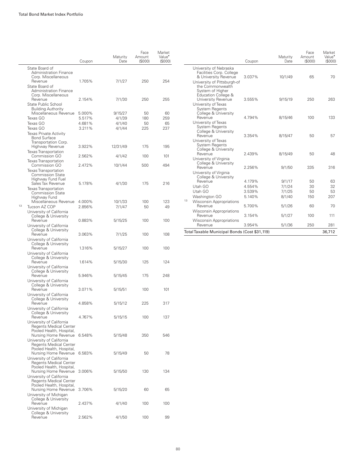|    |                                                                                                               | Coupon           | Maturity<br>Date | Face<br>Amount<br>(S000) | Market<br>Value <sup>•</sup><br>(S000) |
|----|---------------------------------------------------------------------------------------------------------------|------------------|------------------|--------------------------|----------------------------------------|
|    | State Board of<br><b>Administration Finance</b><br>Corp. Miscellaneous                                        |                  |                  |                          |                                        |
|    | Revenue<br>State Board of<br><b>Administration Finance</b>                                                    | 1.705%           | 7/1/27           | 250                      | 254                                    |
|    | Corp. Miscellaneous<br>Revenue<br>State Public School                                                         | 2.154%           | 7/1/30           | 250                      | 255                                    |
|    | <b>Building Authority</b><br>Miscellaneous Revenue<br>Texas GO                                                | 5.000%<br>5.517% | 9/15/27          | 50<br>180                | 60<br>259                              |
|    | Texas GO                                                                                                      | 4.681%           | 4/1/39<br>4/1/40 | 50                       | 65                                     |
|    | Texas GO                                                                                                      | 3.211%           | 4/1/44           | 225                      | 237                                    |
|    | <b>Texas Private Activity</b><br><b>Bond Surface</b><br>Transportation Corp.                                  |                  |                  |                          |                                        |
|    | Highway Revenue<br><b>Texas Transportation</b>                                                                | 3.922%           | 12/31/49         | 175                      | 195                                    |
|    | Commission GO<br>Texas Transportation                                                                         | 2.562%           | 4/1/42           | 100                      | 101                                    |
|    | Commission GO<br><b>Texas Transportation</b><br><b>Commission State</b>                                       | 2.472%           | 10/1/44          | 500                      | 494                                    |
|    | Highway Fund Fuel<br>Sales Tax Revenue<br><b>Texas Transportation</b><br><b>Commission State</b>              | 5.178%           | 4/1/30           | 175                      | 216                                    |
|    | Highway Fund<br>Miscellaneous Revenue                                                                         | 4.000%           | 10/1/33          | 100                      | 123                                    |
| 13 | Tucson AZ COP                                                                                                 | 2.856%           | 7/1/47           | 50                       | 49                                     |
|    | University of California<br>College & University<br>Revenue                                                   | 0.883%           | 5/15/25          | 100                      | 100                                    |
|    | University of California<br>College & University<br>Revenue                                                   | 3.063%           | 7/1/25           | 100                      | 108                                    |
|    | University of California<br>College & University                                                              |                  |                  |                          |                                        |
|    | Revenue<br>University of California<br>College & University                                                   | 1.316%           | 5/15/27          | 100                      | 100                                    |
|    | Revenue<br>University of California<br>College & University                                                   | 1.614%           | 5/15/30          | 125                      | 124                                    |
|    | Revenue<br>University of California                                                                           | 5.946%           | 5/15/45          | 175                      | 248                                    |
|    | College & University<br>Revenue<br>University of California                                                   | 3.071%           | 5/15/51          | 100                      | 101                                    |
|    | College & University<br>Revenue<br>University of California                                                   | 4.858%           | 5/15/12          | 225                      | 317                                    |
|    | College & University<br>Revenue<br>University of California                                                   | 4.767%           | 5/15/15          | 100                      | 137                                    |
|    | <b>Regents Medical Center</b><br>Pooled Health, Hospital,<br>Nursing Home Revenue<br>University of California | 6.548%           | 5/15/48          | 350                      | 546                                    |
|    | <b>Regents Medical Center</b><br>Pooled Health, Hospital,<br>Nursing Home Revenue<br>University of California | 6.583%           | 5/15/49          | 50                       | 78                                     |
|    | <b>Regents Medical Center</b><br>Pooled Health, Hospital,<br>Nursing Home Revenue<br>University of California | 3.006%           | 5/15/50          | 130                      | 134                                    |
|    | <b>Regents Medical Center</b><br>Pooled Health, Hospital,<br>Nursing Home Revenue                             | 3.706%           | 5/15/20          | 60                       | 65                                     |
|    | University of Michigan<br>College & University<br>Revenue                                                     | 2.437%           | 4/1/40           | 100                      | 100                                    |
|    | University of Michigan<br>College & University<br>Revenue                                                     | 2.562%           | 4/1/50           | 100                      | 99                                     |

|                                                                                            | Coupon | Maturity<br>Date | Face<br>Amount<br>(S000) | Market<br>Value <sup>•</sup><br>(\$000) |
|--------------------------------------------------------------------------------------------|--------|------------------|--------------------------|-----------------------------------------|
| University of Nebraska<br>Facilities Corp. College<br>& University Revenue                 | 3.037% | 10/1/49          | 65                       | 70                                      |
| University of Pittsburgh-of<br>the Commonwealth<br>System of Higher<br>Education College & |        |                  |                          |                                         |
| University Revenue<br>University of Texas<br><b>System Regents</b><br>College & University | 3.555% | 9/15/19          | 250                      | 263                                     |
| Revenue<br>University of Texas<br>System Regents<br>College & University                   | 4.794% | 8/15/46          | 100                      | 133                                     |
| Revenue<br>University of Texas<br><b>System Regents</b>                                    | 3.354% | 8/15/47          | 50                       | 57                                      |
| College & University<br>Revenue<br>University of Virginia<br>College & University          | 2.439% | 8/15/49          | 50                       | 48                                      |
| Revenue<br>University of Virginia<br>College & University                                  | 2.256% | 9/1/50           | 335                      | 316                                     |
| Revenue                                                                                    | 4.179% | 9/1/17           | 50                       | 63                                      |
| Utah GO                                                                                    | 4.554% | 7/1/24           | 30                       | 32                                      |
| Utah GO                                                                                    | 3.539% | 7/1/25           | 50                       | 53                                      |
| Washington GO                                                                              | 5.140% | 8/1/40           | 150                      | 207                                     |
| 13<br><b>Wisconsin Appropriations</b>                                                      |        |                  |                          |                                         |
| Revenue<br><b>Wisconsin Appropriations</b>                                                 | 5.700% | 5/1/26           | 60                       | 70                                      |
| Revenue                                                                                    | 3.154% | 5/1/27           | 100                      | 111                                     |
| <b>Wisconsin Appropriations</b><br>Revenue                                                 | 3.954% | 5/1/36           | 250                      | 281                                     |
| Total Taxable Municipal Bonds (Cost \$31,119)                                              |        |                  |                          | 36,712                                  |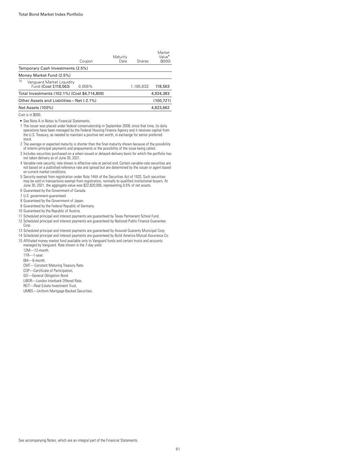| Coupon | Maturity<br>Date                                                                                                                                            | Shares    | Market<br>Value <sup>•</sup><br>(\$000) |
|--------|-------------------------------------------------------------------------------------------------------------------------------------------------------------|-----------|-----------------------------------------|
|        |                                                                                                                                                             |           |                                         |
|        |                                                                                                                                                             |           |                                         |
| 0.056% |                                                                                                                                                             | 1,185,633 | 118,563                                 |
|        |                                                                                                                                                             |           | 4,924,383                               |
|        |                                                                                                                                                             |           | (100.721)                               |
|        |                                                                                                                                                             |           | 4,823,662                               |
|        | Temporary Cash Investments (2.5%)<br>Vanguard Market Liguidity<br>Total Investments (102.1%) (Cost \$4,714,809)<br>Other Assets and Liabilities-Net (-2.1%) |           |                                         |

Cost is in \$000.

• See Note A in Notes to Financial Statements.

- 1 The issuer was placed under federal conservatorship in September 2008; since that time, its daily operations have been managed by the Federal Housing Finance Agency and it receives capital from the U.S. Treasury, as needed to maintain a positive net worth, in exchange for senior preferred stock.
- 2 The average or expected maturity is shorter than the final maturity shown because of the possibility of interim principal payments and prepayments or the possibility of the issue being called.
- 3 Includes securities purchased on a when-issued or delayed-delivery basis for which the portfolio has not taken delivery as of June 30, 2021.
- 4 Variable-rate security; rate shown is effective rate at period end. Certain variable-rate securities are not based on a published reference rate and spread but are determined by the issuer or agent based on current market conditions.
- 5 Security exempt from registration under Rule 144A of the Securities Act of 1933. Such securities may be sold in transactions exempt from registration, normally to qualified institutional buyers. At June 30, 2021, the aggregate value was \$22,820,000, representing 0.5% of net assets.
- 6 Guaranteed by the Government of Canada.
- 7 U.S. government-guaranteed.
- 8 Guaranteed by the Government of Japan.
- 9 Guaranteed by the Federal Republic of Germany.
- 10 Guaranteed by the Republic of Austria.
- 11 Scheduled principal and interest payments are guaranteed by Texas Permanent School Fund.
- 12 Scheduled principal and interest payments are guaranteed by National Public Finance Guarantee Corp.
- 13 Scheduled principal and interest payments are guaranteed by Assured Guaranty Municipal Corp.
- 14 Scheduled principal and interest payments are guaranteed by Build America Mutual Assurance Co.
- 15 Affiliated money market fund available only to Vanguard funds and certain trusts and accounts managed by Vanguard. Rate shown is the 7-day yield.
- 12M—12-month.
- 1YR—1-year.
- 6M—6-month.
- CMT—Constant Maturing Treasury Rate.
- COP—Certificate of Participation.
- GO—General Obligation Bond.
- LIBOR—London Interbank Offered Rate.
- REIT—Real Estate Investment Trust.
- UMBS—Uniform Mortgage-Backed Securities.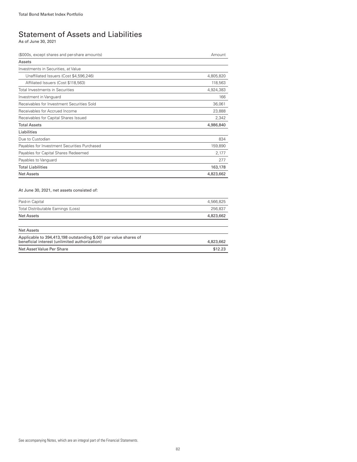### Statement of Assets and Liabilities

As of June 30, 2021

| (\$000s, except shares and per-share amounts) | Amount    |
|-----------------------------------------------|-----------|
| Assets                                        |           |
| Investments in Securities, at Value           |           |
| Unaffiliated Issuers (Cost \$4,596,246)       | 4,805,820 |
| Affiliated Issuers (Cost \$118,563)           | 118,563   |
| Total Investments in Securities               | 4,924,383 |
| Investment in Vanguard                        | 166       |
| Receivables for Investment Securities Sold    | 36,061    |
| Receivables for Accrued Income                | 23,888    |
| Receivables for Capital Shares Issued         | 2,342     |
| <b>Total Assets</b>                           | 4,986,840 |
| Liabilities                                   |           |
| Due to Custodian                              | 834       |
| Payables for Investment Securities Purchased  | 159,890   |
| Payables for Capital Shares Redeemed          | 2,177     |
| Payables to Vanguard                          | 277       |
| <b>Total Liabilities</b>                      | 163,178   |
| <b>Net Assets</b>                             | 4,823,662 |

#### At June 30, 2021, net assets consisted of:

| Paid-in Capital                                                                                                   | 4,566,825 |
|-------------------------------------------------------------------------------------------------------------------|-----------|
| Total Distributable Earnings (Loss)                                                                               | 256.837   |
| Net Assets                                                                                                        | 4,823,662 |
|                                                                                                                   |           |
| Net Assets                                                                                                        |           |
| Applicable to 394,413,198 outstanding \$.001 par value shares of<br>beneficial interest (unlimited authorization) | 4,823,662 |
| Net Asset Value Per Share                                                                                         | \$12.23   |
|                                                                                                                   |           |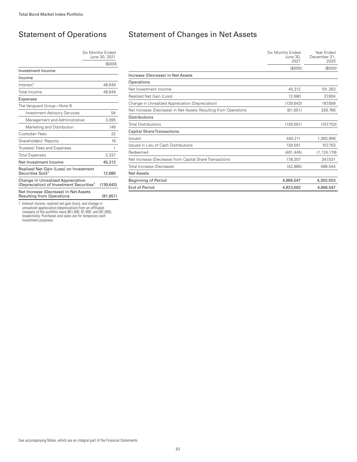### Statement of Operations

#### Six Months Ended June 30, 2021 (\$000)

| Investment Income                                                                         |           |
|-------------------------------------------------------------------------------------------|-----------|
| Income                                                                                    |           |
| Interest <sup>1</sup>                                                                     | 48,649    |
| Total Income                                                                              | 48.649    |
| Expenses                                                                                  |           |
| The Vanguard Group—Note B                                                                 |           |
| <b>Investment Advisory Services</b>                                                       | 54        |
| Management and Administrative                                                             | 3,095     |
| Marketing and Distribution                                                                | 149       |
| Custodian Fees                                                                            | 22        |
| Shareholders' Reports                                                                     | 16        |
| Trustees' Fees and Expenses                                                               | 1         |
| <b>Total Expenses</b>                                                                     | 3,337     |
| Net Investment Income                                                                     | 45,312    |
| Realized Net Gain (Loss) on Investment<br>Securities Sold <sup>1</sup>                    | 12,680    |
| Change in Unrealized Appreciation<br>(Depreciation) of Investment Securities <sup>1</sup> | (139.643) |
| Net Increase (Decrease) in Net Assets<br>Resulting from Operations                        | (81,651)  |

1 Interest income, realized net gain (loss), and change in<br>unrealized appreciation (depreciation) from an affiliated<br>company of the portfolio were \$51,000, \$1,000, and (\$1,000),<br>respectively. Purchases and sales are for te

### Statement of Changes in Net Assets

|                                                                 | Six Months Ended<br>June 30,<br>2021 | Year Ended<br>December 31,<br>2020 |
|-----------------------------------------------------------------|--------------------------------------|------------------------------------|
|                                                                 | (\$000)                              | (\$000)                            |
| Increase (Decrease) in Net Assets                               |                                      |                                    |
| Operations                                                      |                                      |                                    |
| Net Investment Income                                           | 45,312                               | 101,263                            |
| Realized Net Gain (Loss)                                        | 12,680                               | 37,804                             |
| Change in Unrealized Appreciation (Depreciation)                | (139, 643)                           | 187,699                            |
| Net Increase (Decrease) in Net Assets Resulting from Operations | (81, 651)                            | 326,766                            |
| Distributions                                                   |                                      |                                    |
| <b>Total Distributions</b>                                      | (139, 591)                           | (107,753)                          |
| <b>Capital Share Transactions</b>                               |                                      |                                    |
| Issued                                                          | 440,211                              | 1,363,956                          |
| Issued in Lieu of Cash Distributions                            | 139,591                              | 107,753                            |
| Redeemed                                                        | (401, 445)                           | (1, 124, 178)                      |
| Net Increase (Decrease) from Capital Share Transactions         | 178,357                              | 347,531                            |
| Total Increase (Decrease)                                       | (42, 885)                            | 566,544                            |
| <b>Net Assets</b>                                               |                                      |                                    |
| <b>Beginning of Period</b>                                      | 4,866,547                            | 4,300,003                          |
| <b>End of Period</b>                                            | 4.823.662                            | 4.866.547                          |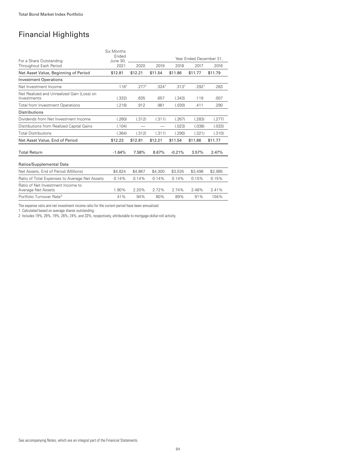## Financial Highlights

|                                                           | Six Months<br>Ended |                   |                          |                   | Year Ended December 31. |         |
|-----------------------------------------------------------|---------------------|-------------------|--------------------------|-------------------|-------------------------|---------|
| For a Share Outstanding<br>Throughout Each Period         | June 30.<br>2021    | 2020              | 2019                     | 2018              | 2017                    | 2016    |
|                                                           |                     |                   |                          |                   |                         |         |
| Net Asset Value, Beginning of Period                      | \$12.81             | \$12.21           | \$11.54                  | \$11.86           | \$11.77                 | \$11.79 |
| <b>Investment Operations</b>                              |                     |                   |                          |                   |                         |         |
| Net Investment Income                                     | .116 <sup>1</sup>   | .277 <sup>1</sup> | .324 <sup>1</sup>        | .313 <sup>1</sup> | .292 <sup>1</sup>       | .283    |
| Net Realized and Unrealized Gain (Loss) on<br>Investments | (.332)              | .635              | .657                     | (.343)            | .119                    | .007    |
| <b>Total from Investment Operations</b>                   | (.216)              | .912              | .981                     | (.030)            | .411                    | .290    |
| <b>Distributions</b>                                      |                     |                   |                          |                   |                         |         |
| Dividends from Net Investment Income                      | (.260)              | (.312)            | (.311)                   | (.267)            | (.283)                  | (.277)  |
| Distributions from Realized Capital Gains                 | (.104)              |                   | $\overline{\phantom{0}}$ | (.023)            | (.038)                  | (.033)  |
| <b>Total Distributions</b>                                | (.364)              | (.312)            | (.311)                   | (.290)            | (.321)                  | (.310)  |
| Net Asset Value, End of Period                            | \$12.23             | \$12.81           | \$12.21                  | \$11.54           | \$11.86                 | \$11.77 |
| <b>Total Return</b>                                       | $-1.64%$            | 7.58%             | 8.67%                    | $-0.21%$          | 3.57%                   | 2.47%   |
| Ratios/Supplemental Data                                  |                     |                   |                          |                   |                         |         |
| Net Assets, End of Period (Millions)                      | \$4,824             | \$4,867           | \$4,300                  | \$3,535           | \$3,498                 | \$2,985 |
| Ratio of Total Expenses to Average Net Assets             | 0.14%               | 0.14%             | 0.14%                    | 0.14%             | 0.15%                   | 0.15%   |
| Ratio of Net Investment Income to<br>Average Net Assets   | 1.90%               | 2.20%             | 2.72%                    | 2.74%             | 2.48%                   | 2.41%   |
| Portfolio Turnover Rate <sup>2</sup>                      | 41%                 | 94%               | 80%                      | 89%               | 91%                     | 104%    |

The expense ratio and net investment income ratio for the current period have been annualized.

1 Calculated based on average shares outstanding.

2 Includes 19%, 28%, 19%, 26%, 24%, and 33%, respectively, attributable to mortgage-dollar-roll activity.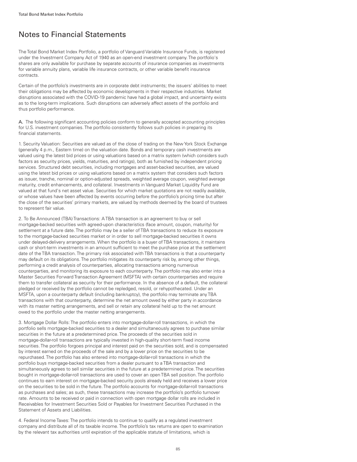### Notes to Financial Statements

The Total Bond Market Index Portfolio, a portfolio of Vanguard Variable Insurance Funds, is registered under the Investment Company Act of 1940 as an open-end investment company. The portfolio's shares are only available for purchase by separate accounts of insurance companies as investments for variable annuity plans, variable life insurance contracts, or other variable benefit insurance contracts.

Certain of the portfolio's investments are in corporate debt instruments; the issuers' abilities to meet their obligations may be affected by economic developments in their respective industries. Market disruptions associated with the COVID-19 pandemic have had a global impact, and uncertainty exists as to the long-term implications. Such disruptions can adversely affect assets of the portfolio and thus portfolio performance.

A. The following significant accounting policies conform to generally accepted accounting principles for U.S. investment companies. The portfolio consistently follows such policies in preparing its financial statements.

1. Security Valuation: Securities are valued as of the close of trading on the New York Stock Exchange (generally 4 p.m., Eastern time) on the valuation date. Bonds and temporary cash investments are valued using the latest bid prices or using valuations based on a matrix system (which considers such factors as security prices, yields, maturities, and ratings), both as furnished by independent pricing services. Structured debt securities, including mortgages and asset-backed securities, are valued using the latest bid prices or using valuations based on a matrix system that considers such factors as issuer, tranche, nominal or option-adjusted spreads, weighted average coupon, weighted average maturity, credit enhancements, and collateral. Investments in Vanguard Market Liquidity Fund are valued at that fund's net asset value. Securities for which market quotations are not readily available, or whose values have been affected by events occurring before the portfolio's pricing time but after the close of the securities' primary markets, are valued by methods deemed by the board of trustees to represent fair value.

2. To Be Announced (TBA) Transactions: A TBA transaction is an agreement to buy or sell mortgage-backed securities with agreed-upon characteristics (face amount, coupon, maturity) for settlement at a future date. The portfolio may be a seller of TBA transactions to reduce its exposure to the mortgage-backed securities market or in order to sell mortgage-backed securities it owns under delayed-delivery arrangements. When the portfolio is a buyer of TBA transactions, it maintains cash or short-term investments in an amount sufficient to meet the purchase price at the settlement date of the TBA transaction. The primary risk associated with TBA transactions is that a counterparty may default on its obligations. The portfolio mitigates its counterparty risk by, among other things, performing a credit analysis of counterparties, allocating transactions among numerous counterparties, and monitoring its exposure to each counterparty. The portfolio may also enter into a Master Securities Forward Transaction Agreement (MSFTA) with certain counterparties and require them to transfer collateral as security for their performance. In the absence of a default, the collateral pledged or received by the portfolio cannot be repledged, resold, or rehypothecated. Under an MSFTA, upon a counterparty default (including bankruptcy), the portfolio may terminate any TBA transactions with that counterparty, determine the net amount owed by either party in accordance with its master netting arrangements, and sell or retain any collateral held up to the net amount owed to the portfolio under the master netting arrangements.

3. Mortgage Dollar Rolls: The portfolio enters into mortgage-dollar-roll transactions, in which the portfolio sells mortgage-backed securities to a dealer and simultaneously agrees to purchase similar securities in the future at a predetermined price. The proceeds of the securities sold in mortgage-dollar-roll transactions are typically invested in high-quality short-term fixed income securities. The portfolio forgoes principal and interest paid on the securities sold, and is compensated by interest earned on the proceeds of the sale and by a lower price on the securities to be repurchased. The portfolio has also entered into mortgage-dollar-roll transactions in which the portfolio buys mortgage-backed securities from a dealer pursuant to a TBA transaction and simultaneously agrees to sell similar securities in the future at a predetermined price. The securities bought in mortgage-dollar-roll transactions are used to cover an open TBA sell position. The portfolio continues to earn interest on mortgage-backed security pools already held and receives a lower price on the securities to be sold in the future. The portfolio accounts for mortgage-dollar-roll transactions as purchases and sales; as such, these transactions may increase the portfolio's portfolio turnover rate. Amounts to be received or paid in connection with open mortgage dollar rolls are included in Receivables for Investment Securities Sold or Payables for Investment Securities Purchased in the Statement of Assets and Liabilities.

4. Federal Income Taxes: The portfolio intends to continue to qualify as a regulated investment company and distribute all of its taxable income. The portfolio's tax returns are open to examination by the relevant tax authorities until expiration of the applicable statute of limitations, which is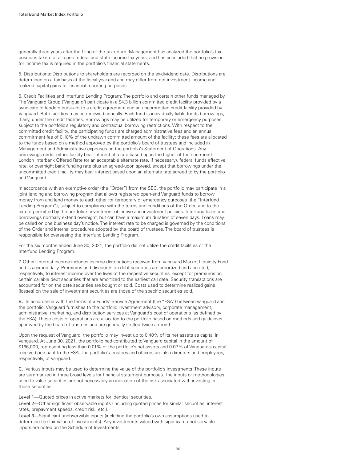generally three years after the filing of the tax return. Management has analyzed the portfolio's tax positions taken for all open federal and state income tax years, and has concluded that no provision for income tax is required in the portfolio's financial statements.

5. Distributions: Distributions to shareholders are recorded on the ex-dividend date. Distributions are determined on a tax basis at the fiscal year-end and may differ from net investment income and realized capital gains for financial reporting purposes.

6. Credit Facilities and Interfund Lending Program: The portfolio and certain other funds managed by The Vanguard Group ("Vanguard") participate in a \$4.3 billion committed credit facility provided by a syndicate of lenders pursuant to a credit agreement and an uncommitted credit facility provided by Vanguard. Both facilities may be renewed annually. Each fund is individually liable for its borrowings, if any, under the credit facilities. Borrowings may be utilized for temporary or emergency purposes, subject to the portfolio's regulatory and contractual borrowing restrictions. With respect to the committed credit facility, the participating funds are charged administrative fees and an annual commitment fee of 0.10% of the undrawn committed amount of the facility; these fees are allocated to the funds based on a method approved by the portfolio's board of trustees and included in Management and Administrative expenses on the portfolio's Statement of Operations. Any borrowings under either facility bear interest at a rate based upon the higher of the one-month London Interbank Offered Rate (or an acceptable alternate rate, if necessary), federal funds effective rate, or overnight bank funding rate plus an agreed-upon spread, except that borrowings under the uncommitted credit facility may bear interest based upon an alternate rate agreed to by the portfolio and Vanguard.

In accordance with an exemptive order (the "Order") from the SEC, the portfolio may participate in a joint lending and borrowing program that allows registered open-end Vanguard funds to borrow money from and lend money to each other for temporary or emergency purposes (the "Interfund Lending Program"), subject to compliance with the terms and conditions of the Order, and to the extent permitted by the portfolio's investment objective and investment policies. Interfund loans and borrowings normally extend overnight, but can have a maximum duration of seven days. Loans may be called on one business day's notice. The interest rate to be charged is governed by the conditions of the Order and internal procedures adopted by the board of trustees. The board of trustees is responsible for overseeing the Interfund Lending Program.

For the six months ended June 30, 2021, the portfolio did not utilize the credit facilities or the Interfund Lending Program.

7. Other: Interest income includes income distributions received from Vanguard Market Liquidity Fund and is accrued daily. Premiums and discounts on debt securities are amortized and accreted, respectively, to interest income over the lives of the respective securities, except for premiums on certain callable debt securities that are amortized to the earliest call date. Security transactions are accounted for on the date securities are bought or sold. Costs used to determine realized gains (losses) on the sale of investment securities are those of the specific securities sold.

B. In accordance with the terms of a Funds' Service Agreement (the "FSA") between Vanguard and the portfolio, Vanguard furnishes to the portfolio investment advisory, corporate management, administrative, marketing, and distribution services at Vanguard's cost of operations (as defined by the FSA). These costs of operations are allocated to the portfolio based on methods and guidelines approved by the board of trustees and are generally settled twice a month.

Upon the request of Vanguard, the portfolio may invest up to 0.40% of its net assets as capital in Vanguard. At June 30, 2021, the portfolio had contributed to Vanguard capital in the amount of \$166,000, representing less than 0.01% of the portfolio's net assets and 0.07% of Vanguard's capital received pursuant to the FSA. The portfolio's trustees and officers are also directors and employees, respectively, of Vanguard.

C. Various inputs may be used to determine the value of the portfolio's investments. These inputs are summarized in three broad levels for financial statement purposes. The inputs or methodologies used to value securities are not necessarily an indication of the risk associated with investing in those securities.

Level 1—Quoted prices in active markets for identical securities.

Level 2—Other significant observable inputs (including quoted prices for similar securities, interest rates, prepayment speeds, credit risk, etc.).

Level 3—Significant unobservable inputs (including the portfolio's own assumptions used to determine the fair value of investments). Any investments valued with significant unobservable inputs are noted on the Schedule of Investments.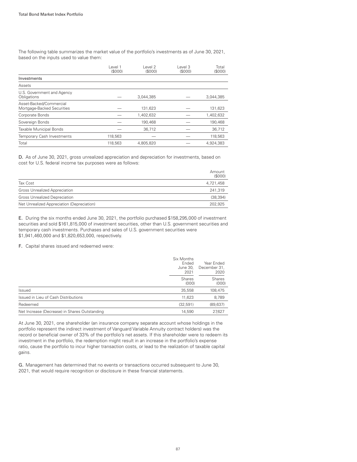The following table summarizes the market value of the portfolio's investments as of June 30, 2021, based on the inputs used to value them:

|                                                       | Level 1<br>(S000) | evel 2<br>(S000) | Level 3<br>(S000) | Total<br>(\$000) |
|-------------------------------------------------------|-------------------|------------------|-------------------|------------------|
| Investments                                           |                   |                  |                   |                  |
| Assets                                                |                   |                  |                   |                  |
| U.S. Government and Agency<br>Obligations             |                   | 3,044,385        |                   | 3,044,385        |
| Asset-Backed/Commercial<br>Mortgage-Backed Securities |                   | 131,623          |                   | 131,623          |
| Corporate Bonds                                       |                   | 1,402,632        |                   | 1,402,632        |
| Sovereign Bonds                                       |                   | 190,468          |                   | 190,468          |
| Taxable Municipal Bonds                               |                   | 36,712           |                   | 36,712           |
| Temporary Cash Investments                            | 118,563           |                  |                   | 118,563          |
| Total                                                 | 118,563           | 4,805,820        |                   | 4,924,383        |

D. As of June 30, 2021, gross unrealized appreciation and depreciation for investments, based on cost for U.S. federal income tax purposes were as follows:

|                                            | Amount<br>(S000) |
|--------------------------------------------|------------------|
| Tax Cost                                   | 4,721,458        |
| Gross Unrealized Appreciation              | 241.319          |
| <b>Gross Unrealized Depreciation</b>       | (38, 394)        |
| Net Unrealized Appreciation (Depreciation) | 202.925          |

E. During the six months ended June 30, 2021, the portfolio purchased \$158,295,000 of investment securities and sold \$161,815,000 of investment securities, other than U.S. government securities and temporary cash investments. Purchases and sales of U.S. government securities were \$1,941,460,000 and \$1,820,653,000, respectively.

F. Capital shares issued and redeemed were:

|                                               | Six Months<br>Ended<br>June 30,<br>2021<br><b>Shares</b><br>(000) | Year Ended<br>December 31,<br>2020<br>Shares<br>(000) |
|-----------------------------------------------|-------------------------------------------------------------------|-------------------------------------------------------|
|                                               |                                                                   |                                                       |
| Issued                                        | 35,558                                                            | 108,475                                               |
| Issued in Lieu of Cash Distributions          | 11,623                                                            | 8,789                                                 |
| Redeemed                                      | (32, 591)                                                         | (89, 637)                                             |
| Net Increase (Decrease) in Shares Outstanding | 14.590                                                            | 27.627                                                |

At June 30, 2021, one shareholder (an insurance company separate account whose holdings in the portfolio represent the indirect investment of Vanguard Variable Annuity contract holders) was the record or beneficial owner of 33% of the portfolio's net assets. If this shareholder were to redeem its investment in the portfolio, the redemption might result in an increase in the portfolio's expense ratio, cause the portfolio to incur higher transaction costs, or lead to the realization of taxable capital gains.

G. Management has determined that no events or transactions occurred subsequent to June 30, 2021, that would require recognition or disclosure in these financial statements.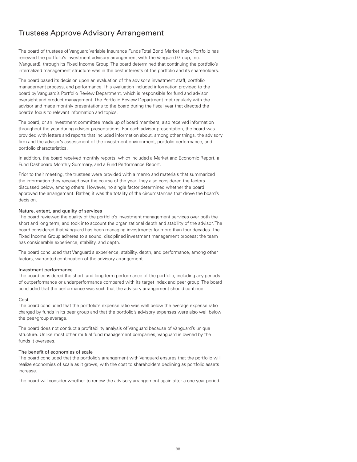### Trustees Approve Advisory Arrangement

The board of trustees of Vanguard Variable Insurance Funds Total Bond Market Index Portfolio has renewed the portfolio's investment advisory arrangement with The Vanguard Group, Inc. (Vanguard), through its Fixed Income Group. The board determined that continuing the portfolio's internalized management structure was in the best interests of the portfolio and its shareholders.

The board based its decision upon an evaluation of the advisor's investment staff, portfolio management process, and performance. This evaluation included information provided to the board by Vanguard's Portfolio Review Department, which is responsible for fund and advisor oversight and product management. The Portfolio Review Department met regularly with the advisor and made monthly presentations to the board during the fiscal year that directed the board's focus to relevant information and topics.

The board, or an investment committee made up of board members, also received information throughout the year during advisor presentations. For each advisor presentation, the board was provided with letters and reports that included information about, among other things, the advisory firm and the advisor's assessment of the investment environment, portfolio performance, and portfolio characteristics.

In addition, the board received monthly reports, which included a Market and Economic Report, a Fund Dashboard Monthly Summary, and a Fund Performance Report.

Prior to their meeting, the trustees were provided with a memo and materials that summarized the information they received over the course of the year. They also considered the factors discussed below, among others. However, no single factor determined whether the board approved the arrangement. Rather, it was the totality of the circumstances that drove the board's decision.

#### Nature, extent, and quality of services

The board reviewed the quality of the portfolio's investment management services over both the short and long term, and took into account the organizational depth and stability of the advisor. The board considered that Vanguard has been managing investments for more than four decades. The Fixed Income Group adheres to a sound, disciplined investment management process; the team has considerable experience, stability, and depth.

The board concluded that Vanguard's experience, stability, depth, and performance, among other factors, warranted continuation of the advisory arrangement.

#### Investment performance

The board considered the short- and long-term performance of the portfolio, including any periods of outperformance or underperformance compared with its target index and peer group. The board concluded that the performance was such that the advisory arrangement should continue.

#### Cost

The board concluded that the portfolio's expense ratio was well below the average expense ratio charged by funds in its peer group and that the portfolio's advisory expenses were also well below the peer-group average.

The board does not conduct a profitability analysis of Vanguard because of Vanguard's unique structure. Unlike most other mutual fund management companies, Vanguard is owned by the funds it oversees.

#### The benefit of economies of scale

The board concluded that the portfolio's arrangement with Vanguard ensures that the portfolio will realize economies of scale as it grows, with the cost to shareholders declining as portfolio assets increase.

The board will consider whether to renew the advisory arrangement again after a one-year period.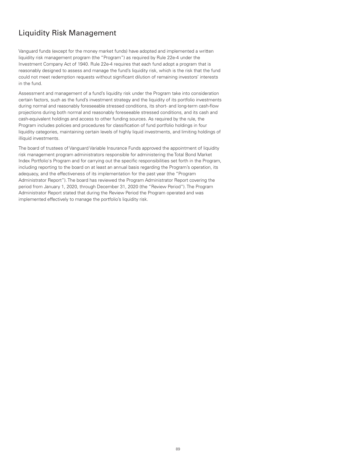### Liquidity Risk Management

Vanguard funds (except for the money market funds) have adopted and implemented a written liquidity risk management program (the "Program") as required by Rule 22e-4 under the Investment Company Act of 1940. Rule 22e-4 requires that each fund adopt a program that is reasonably designed to assess and manage the fund's liquidity risk, which is the risk that the fund could not meet redemption requests without significant dilution of remaining investors' interests in the fund.

Assessment and management of a fund's liquidity risk under the Program take into consideration certain factors, such as the fund's investment strategy and the liquidity of its portfolio investments during normal and reasonably foreseeable stressed conditions, its short- and long-term cash-flow projections during both normal and reasonably foreseeable stressed conditions, and its cash and cash-equivalent holdings and access to other funding sources. As required by the rule, the Program includes policies and procedures for classification of fund portfolio holdings in four liquidity categories, maintaining certain levels of highly liquid investments, and limiting holdings of illiquid investments.

The board of trustees of Vanguard Variable Insurance Funds approved the appointment of liquidity risk management program administrators responsible for administering the Total Bond Market Index Portfolio's Program and for carrying out the specific responsibilities set forth in the Program, including reporting to the board on at least an annual basis regarding the Program's operation, its adequacy, and the effectiveness of its implementation for the past year (the "Program Administrator Report"). The board has reviewed the Program Administrator Report covering the period from January 1, 2020, through December 31, 2020 (the "Review Period"). The Program Administrator Report stated that during the Review Period the Program operated and was implemented effectively to manage the portfolio's liquidity risk.